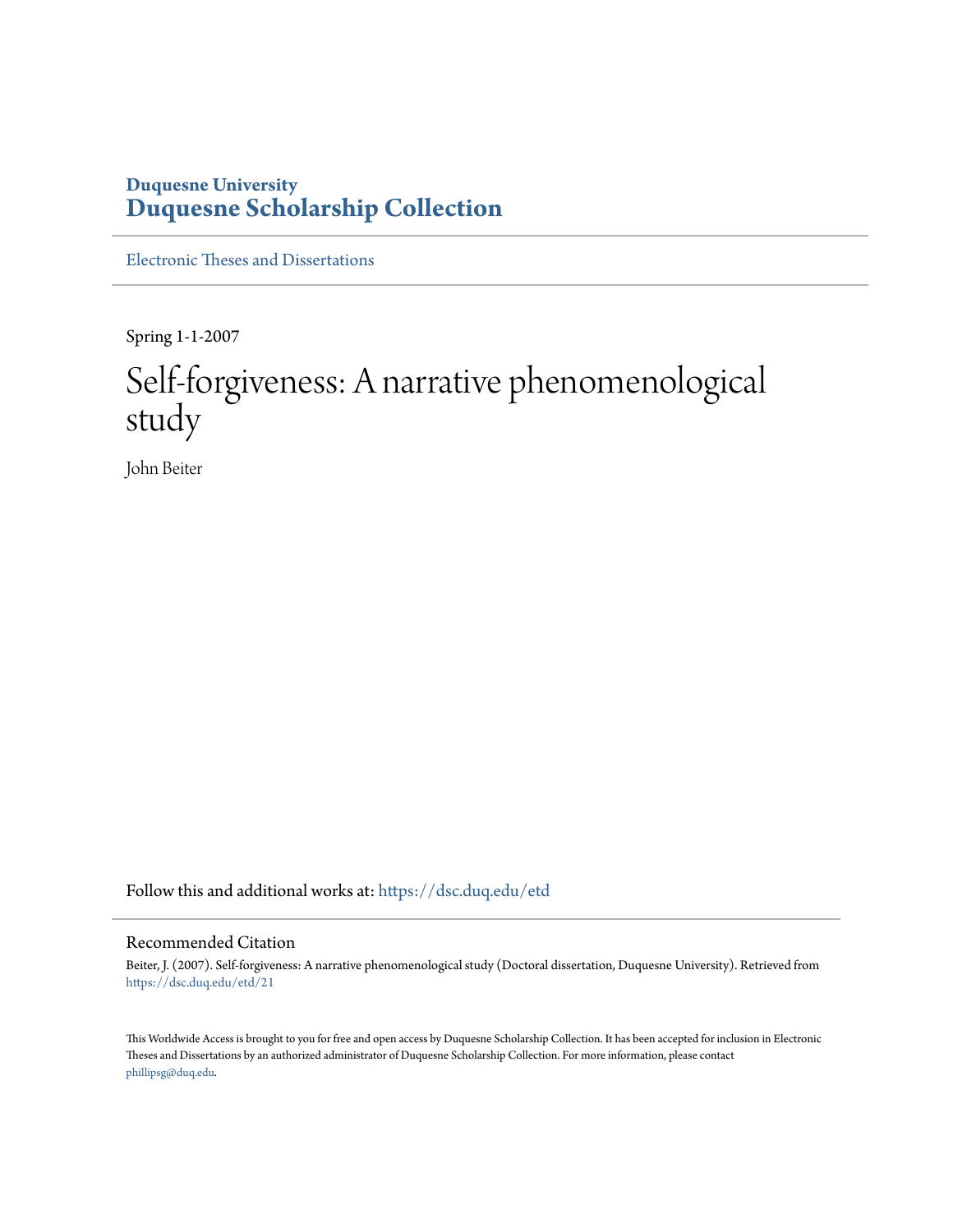## **Duquesne University [Duquesne Scholarship Collection](https://dsc.duq.edu?utm_source=dsc.duq.edu%2Fetd%2F21&utm_medium=PDF&utm_campaign=PDFCoverPages)**

[Electronic Theses and Dissertations](https://dsc.duq.edu/etd?utm_source=dsc.duq.edu%2Fetd%2F21&utm_medium=PDF&utm_campaign=PDFCoverPages)

Spring 1-1-2007

# Self-forgiveness: A narrative phenomenological study

John Beiter

Follow this and additional works at: [https://dsc.duq.edu/etd](https://dsc.duq.edu/etd?utm_source=dsc.duq.edu%2Fetd%2F21&utm_medium=PDF&utm_campaign=PDFCoverPages)

#### Recommended Citation

Beiter, J. (2007). Self-forgiveness: A narrative phenomenological study (Doctoral dissertation, Duquesne University). Retrieved from [https://dsc.duq.edu/etd/21](https://dsc.duq.edu/etd/21?utm_source=dsc.duq.edu%2Fetd%2F21&utm_medium=PDF&utm_campaign=PDFCoverPages)

This Worldwide Access is brought to you for free and open access by Duquesne Scholarship Collection. It has been accepted for inclusion in Electronic Theses and Dissertations by an authorized administrator of Duquesne Scholarship Collection. For more information, please contact [phillipsg@duq.edu.](mailto:phillipsg@duq.edu)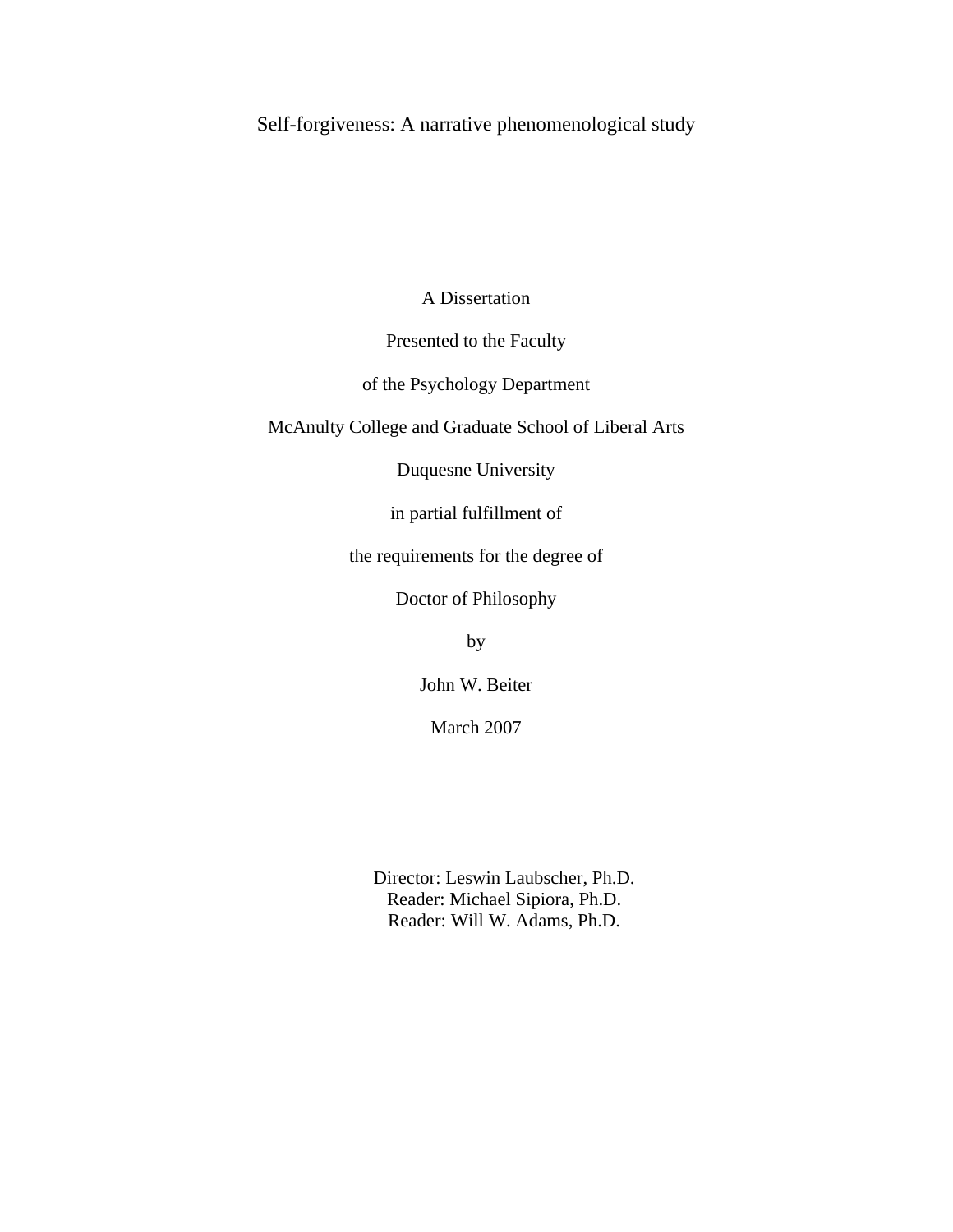Self-forgiveness: A narrative phenomenological study

A Dissertation

Presented to the Faculty

## of the Psychology Department

McAnulty College and Graduate School of Liberal Arts

Duquesne University

in partial fulfillment of

the requirements for the degree of

Doctor of Philosophy

by

John W. Beiter

March 2007

Director: Leswin Laubscher, Ph.D. Reader: Michael Sipiora, Ph.D. Reader: Will W. Adams, Ph.D.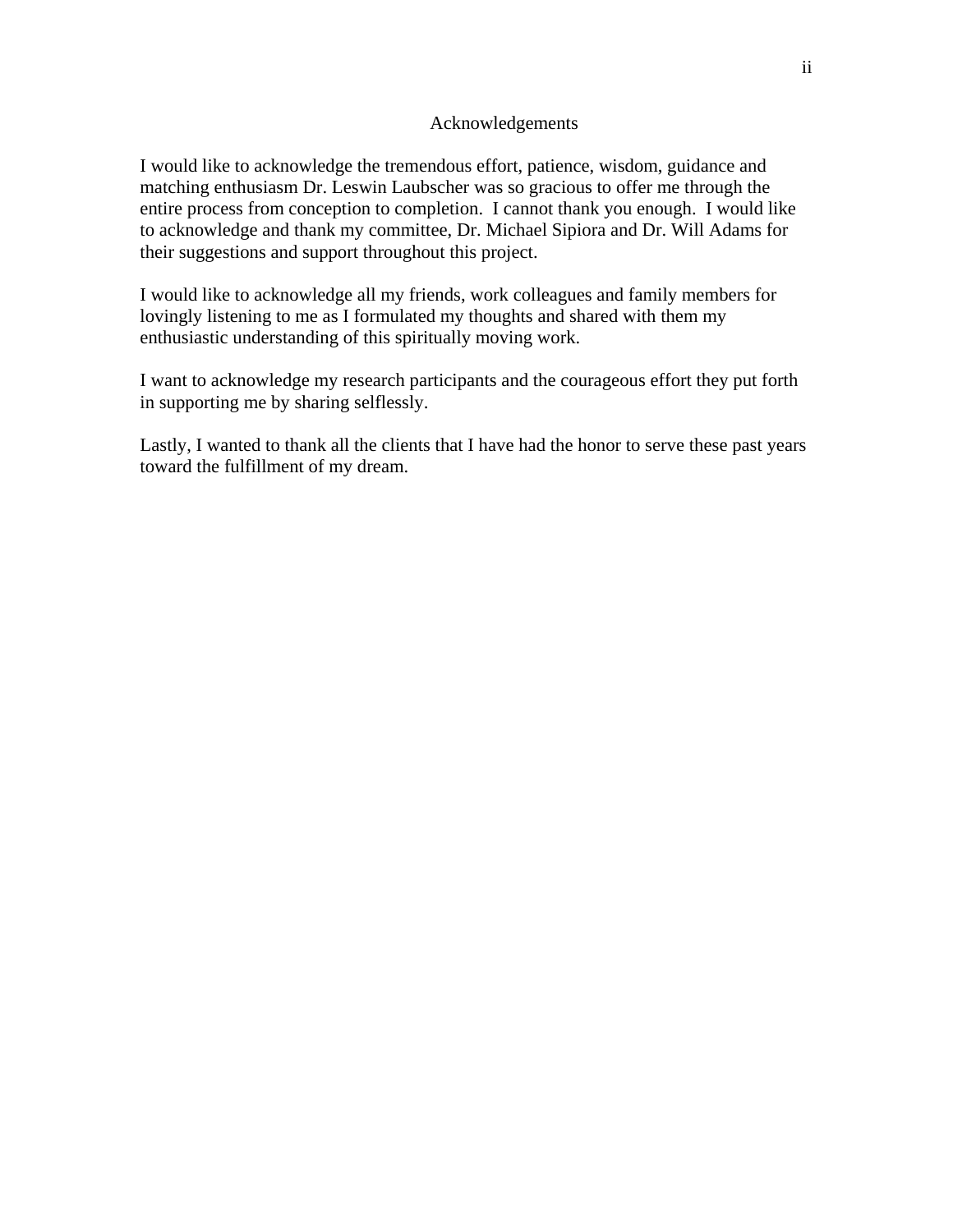#### Acknowledgements

I would like to acknowledge the tremendous effort, patience, wisdom, guidance and matching enthusiasm Dr. Leswin Laubscher was so gracious to offer me through the entire process from conception to completion. I cannot thank you enough. I would like to acknowledge and thank my committee, Dr. Michael Sipiora and Dr. Will Adams for their suggestions and support throughout this project.

I would like to acknowledge all my friends, work colleagues and family members for lovingly listening to me as I formulated my thoughts and shared with them my enthusiastic understanding of this spiritually moving work.

I want to acknowledge my research participants and the courageous effort they put forth in supporting me by sharing selflessly.

Lastly, I wanted to thank all the clients that I have had the honor to serve these past years toward the fulfillment of my dream.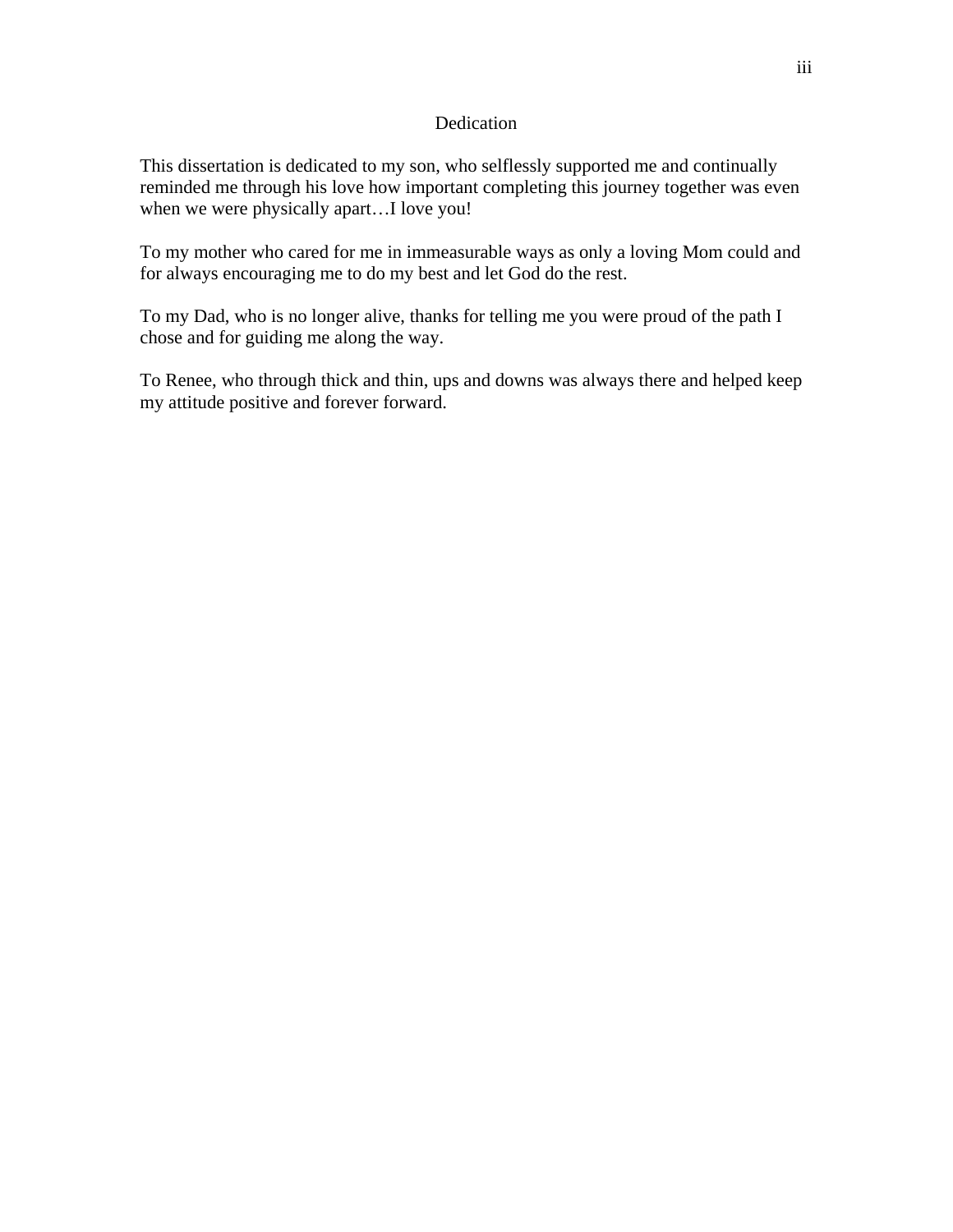### Dedication

This dissertation is dedicated to my son, who selflessly supported me and continually reminded me through his love how important completing this journey together was even when we were physically apart...I love you!

To my mother who cared for me in immeasurable ways as only a loving Mom could and for always encouraging me to do my best and let God do the rest.

To my Dad, who is no longer alive, thanks for telling me you were proud of the path I chose and for guiding me along the way.

To Renee, who through thick and thin, ups and downs was always there and helped keep my attitude positive and forever forward.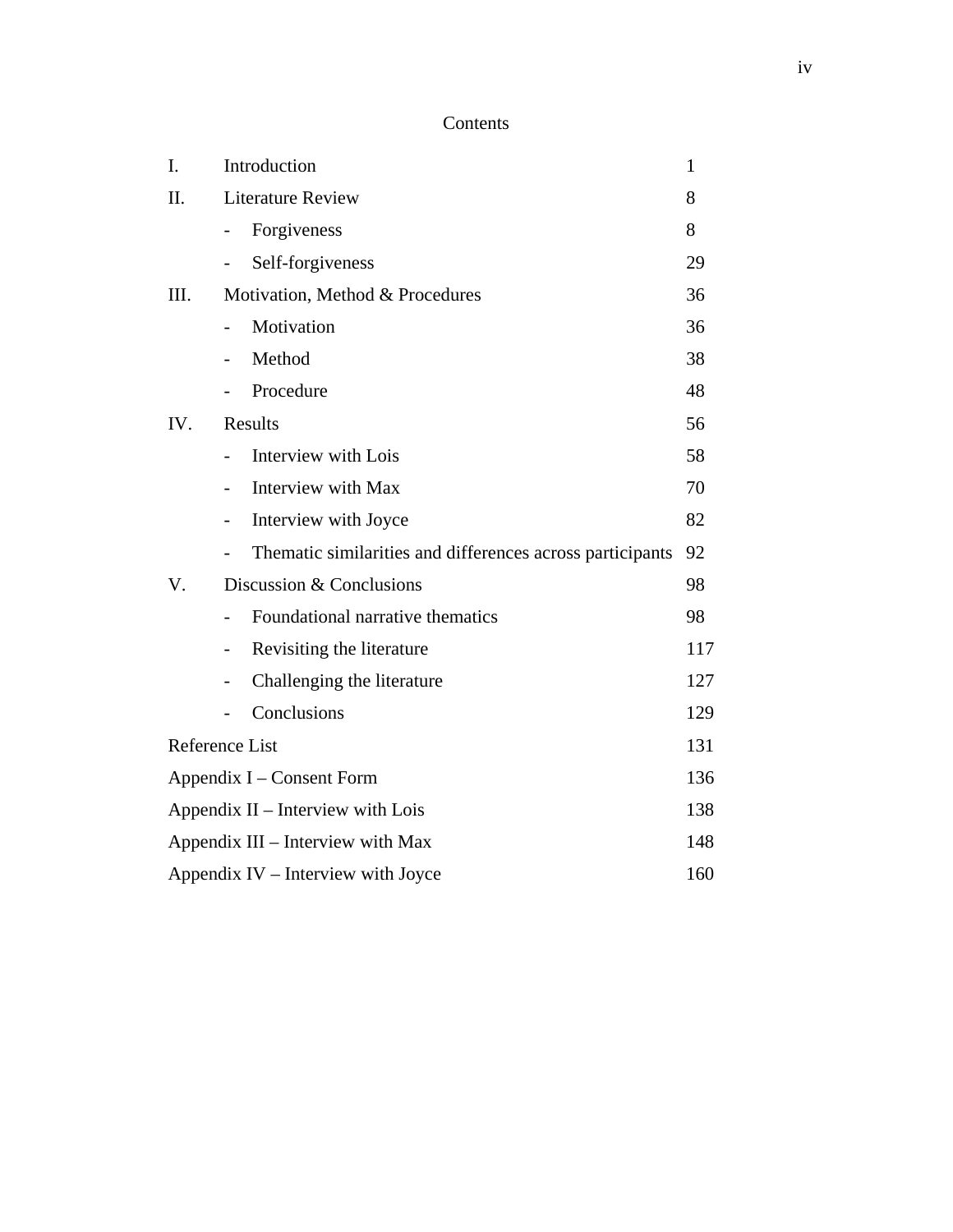## Contents

| I.                                 | Introduction             |                                                           | 1   |
|------------------------------------|--------------------------|-----------------------------------------------------------|-----|
| II.                                | <b>Literature Review</b> |                                                           | 8   |
|                                    |                          | Forgiveness                                               | 8   |
|                                    |                          | Self-forgiveness                                          | 29  |
| III.                               |                          | Motivation, Method & Procedures                           | 36  |
|                                    |                          | Motivation                                                | 36  |
|                                    |                          | Method                                                    | 38  |
|                                    |                          | Procedure                                                 | 48  |
| IV.                                |                          | <b>Results</b>                                            | 56  |
|                                    |                          | Interview with Lois                                       | 58  |
|                                    | $\overline{\phantom{0}}$ | Interview with Max                                        | 70  |
|                                    |                          | Interview with Joyce                                      | 82  |
|                                    |                          | Thematic similarities and differences across participants | 92  |
| V.                                 |                          | Discussion & Conclusions                                  | 98  |
|                                    |                          | Foundational narrative thematics                          | 98  |
|                                    |                          | Revisiting the literature                                 | 117 |
|                                    |                          | Challenging the literature                                | 127 |
|                                    |                          | Conclusions                                               | 129 |
| Reference List                     |                          |                                                           | 131 |
| Appendix $I$ – Consent Form        |                          |                                                           | 136 |
| Appendix II – Interview with Lois  |                          |                                                           | 138 |
| Appendix III – Interview with Max  |                          |                                                           | 148 |
| Appendix IV – Interview with Joyce |                          |                                                           | 160 |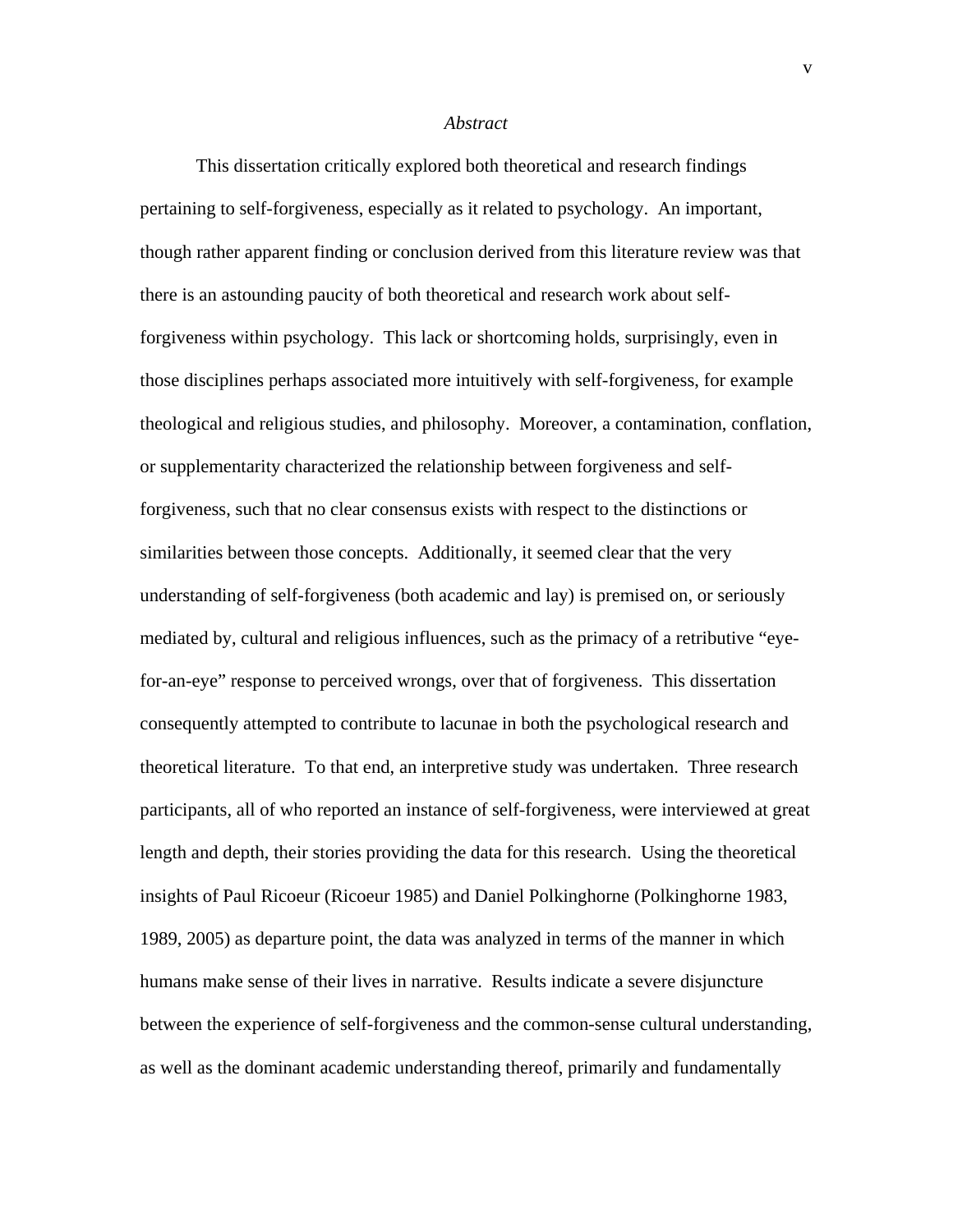#### *Abstract*

This dissertation critically explored both theoretical and research findings pertaining to self-forgiveness, especially as it related to psychology. An important, though rather apparent finding or conclusion derived from this literature review was that there is an astounding paucity of both theoretical and research work about selfforgiveness within psychology. This lack or shortcoming holds, surprisingly, even in those disciplines perhaps associated more intuitively with self-forgiveness, for example theological and religious studies, and philosophy. Moreover, a contamination, conflation, or supplementarity characterized the relationship between forgiveness and selfforgiveness, such that no clear consensus exists with respect to the distinctions or similarities between those concepts. Additionally, it seemed clear that the very understanding of self-forgiveness (both academic and lay) is premised on, or seriously mediated by, cultural and religious influences, such as the primacy of a retributive "eyefor-an-eye" response to perceived wrongs, over that of forgiveness. This dissertation consequently attempted to contribute to lacunae in both the psychological research and theoretical literature. To that end, an interpretive study was undertaken. Three research participants, all of who reported an instance of self-forgiveness, were interviewed at great length and depth, their stories providing the data for this research. Using the theoretical insights of Paul Ricoeur (Ricoeur 1985) and Daniel Polkinghorne (Polkinghorne 1983, 1989, 2005) as departure point, the data was analyzed in terms of the manner in which humans make sense of their lives in narrative. Results indicate a severe disjuncture between the experience of self-forgiveness and the common-sense cultural understanding, as well as the dominant academic understanding thereof, primarily and fundamentally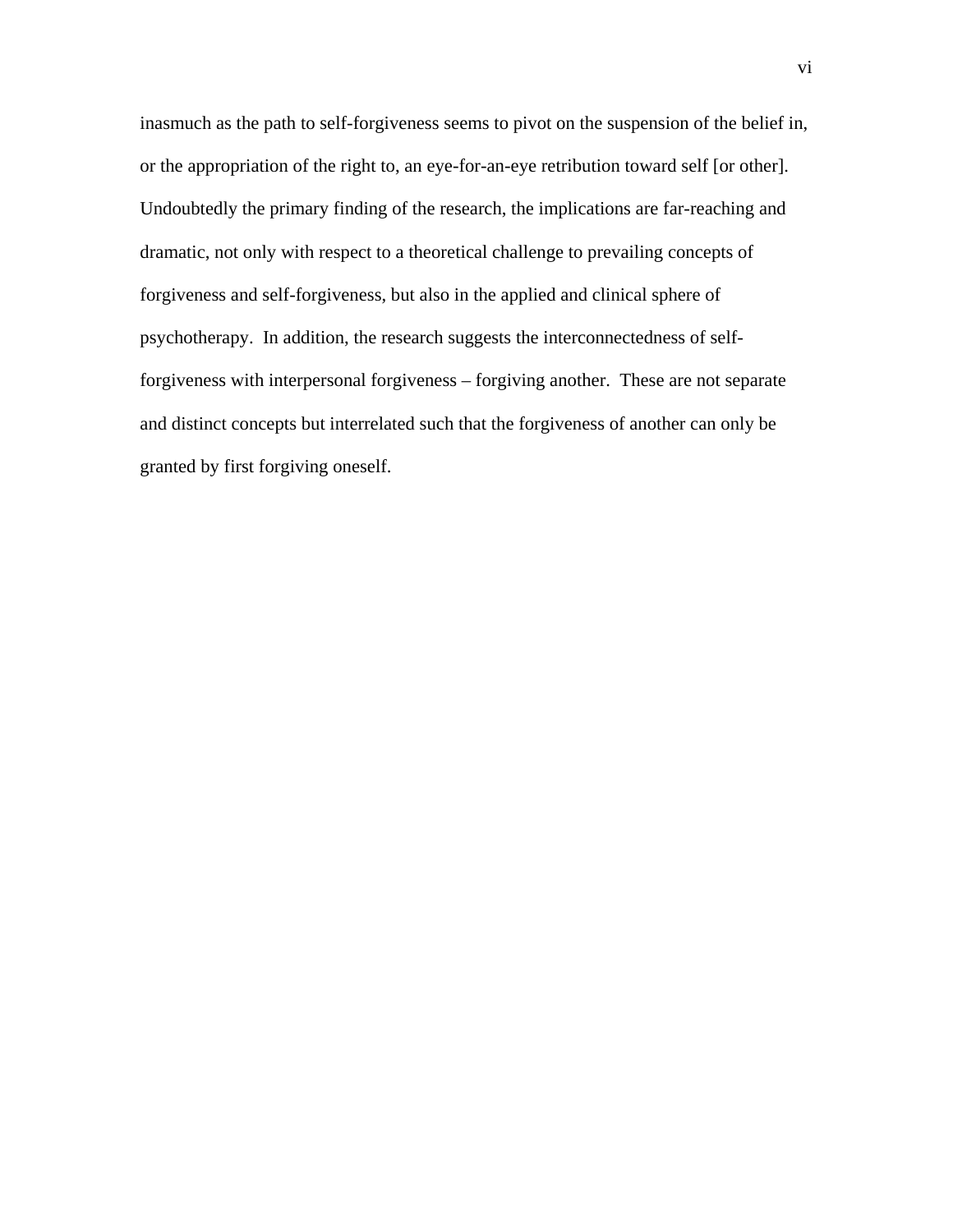inasmuch as the path to self-forgiveness seems to pivot on the suspension of the belief in, or the appropriation of the right to, an eye-for-an-eye retribution toward self [or other]. Undoubtedly the primary finding of the research, the implications are far-reaching and dramatic, not only with respect to a theoretical challenge to prevailing concepts of forgiveness and self-forgiveness, but also in the applied and clinical sphere of psychotherapy. In addition, the research suggests the interconnectedness of selfforgiveness with interpersonal forgiveness – forgiving another. These are not separate and distinct concepts but interrelated such that the forgiveness of another can only be granted by first forgiving oneself.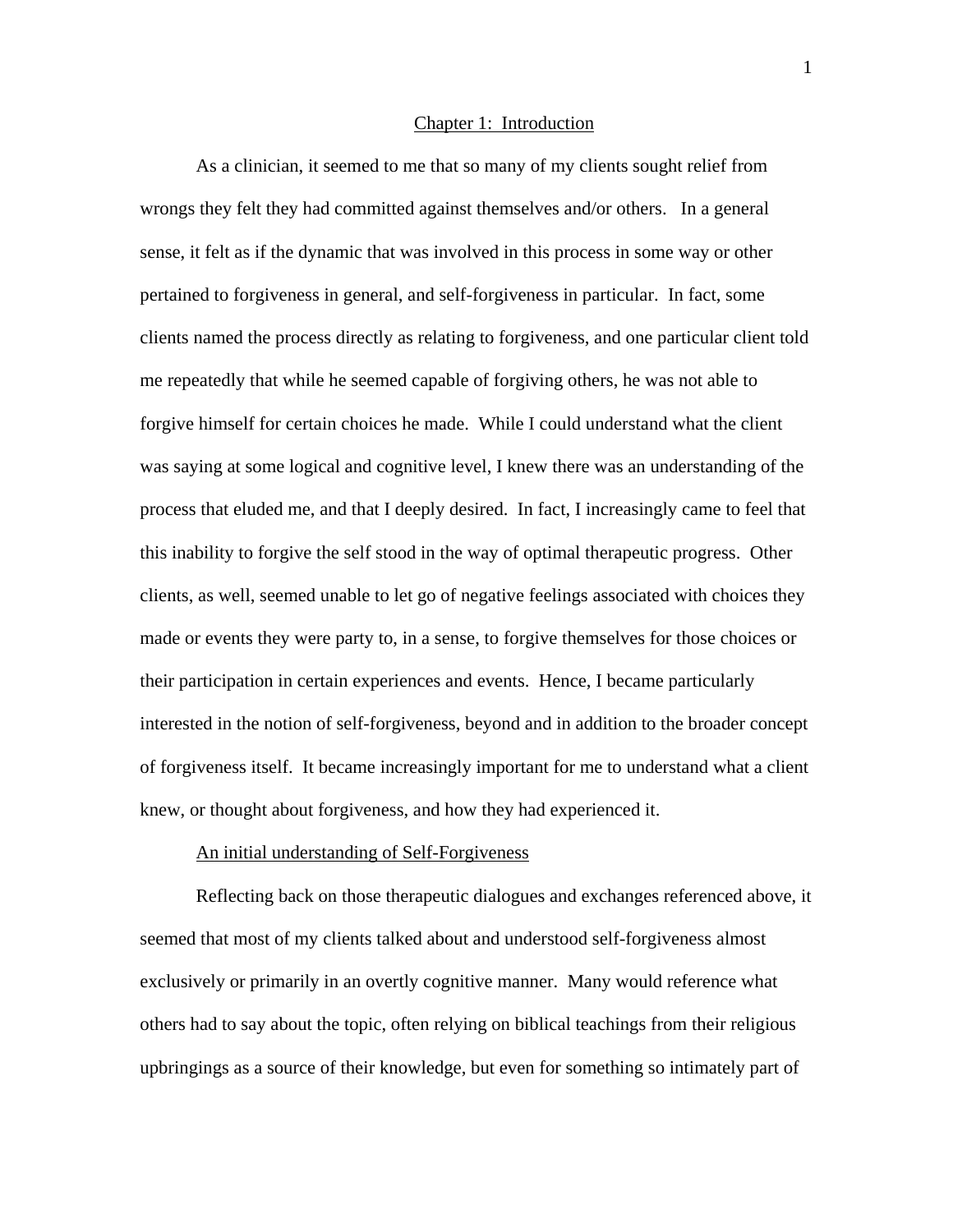#### Chapter 1: Introduction

As a clinician, it seemed to me that so many of my clients sought relief from wrongs they felt they had committed against themselves and/or others. In a general sense, it felt as if the dynamic that was involved in this process in some way or other pertained to forgiveness in general, and self-forgiveness in particular. In fact, some clients named the process directly as relating to forgiveness, and one particular client told me repeatedly that while he seemed capable of forgiving others, he was not able to forgive himself for certain choices he made. While I could understand what the client was saying at some logical and cognitive level, I knew there was an understanding of the process that eluded me, and that I deeply desired. In fact, I increasingly came to feel that this inability to forgive the self stood in the way of optimal therapeutic progress. Other clients, as well, seemed unable to let go of negative feelings associated with choices they made or events they were party to, in a sense, to forgive themselves for those choices or their participation in certain experiences and events. Hence, I became particularly interested in the notion of self-forgiveness, beyond and in addition to the broader concept of forgiveness itself. It became increasingly important for me to understand what a client knew, or thought about forgiveness, and how they had experienced it.

#### An initial understanding of Self-Forgiveness

Reflecting back on those therapeutic dialogues and exchanges referenced above, it seemed that most of my clients talked about and understood self-forgiveness almost exclusively or primarily in an overtly cognitive manner. Many would reference what others had to say about the topic, often relying on biblical teachings from their religious upbringings as a source of their knowledge, but even for something so intimately part of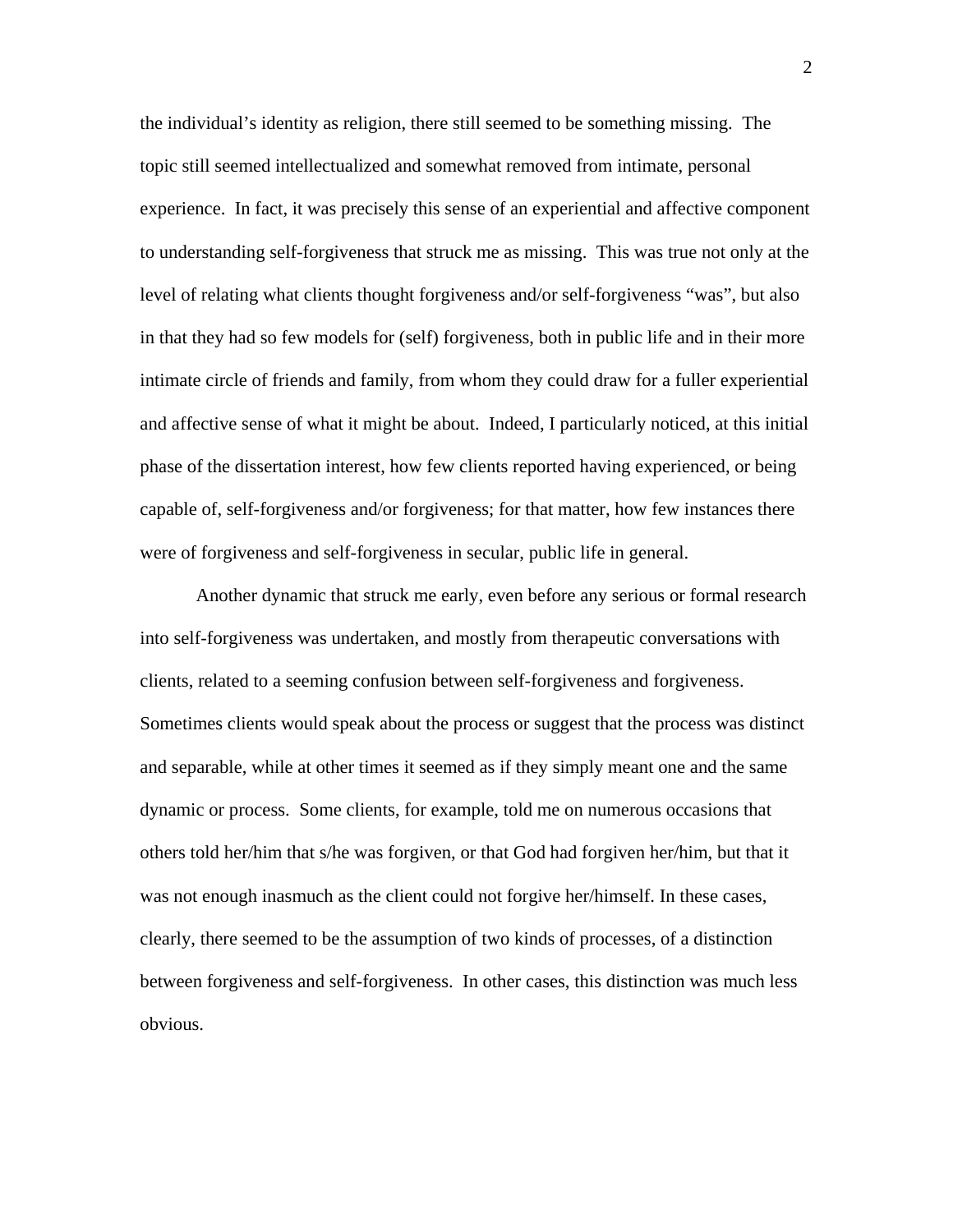the individual's identity as religion, there still seemed to be something missing. The topic still seemed intellectualized and somewhat removed from intimate, personal experience. In fact, it was precisely this sense of an experiential and affective component to understanding self-forgiveness that struck me as missing. This was true not only at the level of relating what clients thought forgiveness and/or self-forgiveness "was", but also in that they had so few models for (self) forgiveness, both in public life and in their more intimate circle of friends and family, from whom they could draw for a fuller experiential and affective sense of what it might be about. Indeed, I particularly noticed, at this initial phase of the dissertation interest, how few clients reported having experienced, or being capable of, self-forgiveness and/or forgiveness; for that matter, how few instances there were of forgiveness and self-forgiveness in secular, public life in general.

Another dynamic that struck me early, even before any serious or formal research into self-forgiveness was undertaken, and mostly from therapeutic conversations with clients, related to a seeming confusion between self-forgiveness and forgiveness. Sometimes clients would speak about the process or suggest that the process was distinct and separable, while at other times it seemed as if they simply meant one and the same dynamic or process. Some clients, for example, told me on numerous occasions that others told her/him that s/he was forgiven, or that God had forgiven her/him, but that it was not enough inasmuch as the client could not forgive her/himself. In these cases, clearly, there seemed to be the assumption of two kinds of processes, of a distinction between forgiveness and self-forgiveness. In other cases, this distinction was much less obvious.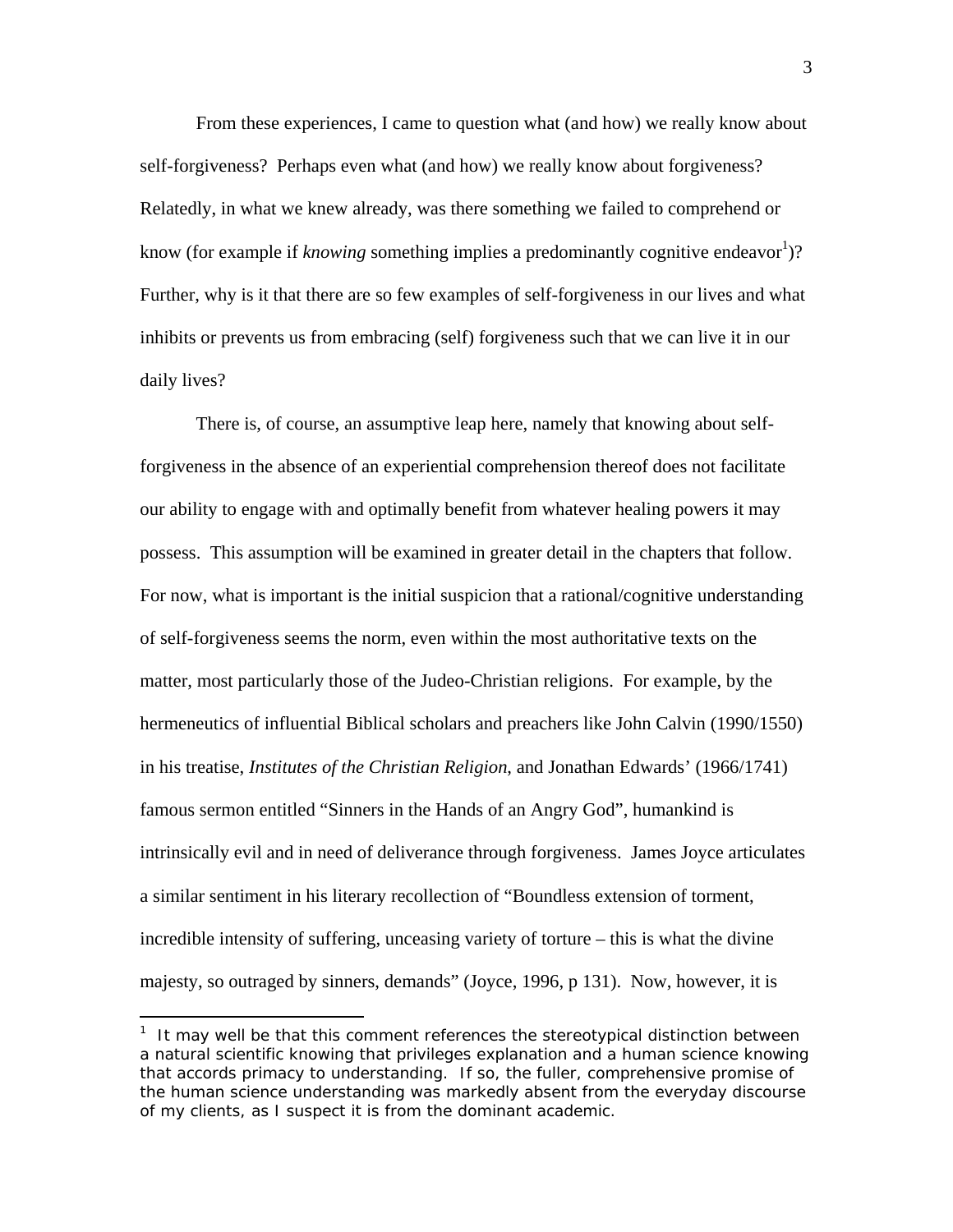From these experiences, I came to question what (and how) we really know about self-forgiveness? Perhaps even what (and how) we really know about forgiveness? Relatedly, in what we knew already, was there something we failed to comprehend or know (for example if *knowing* something implies a predominantly cognitive endeavor<sup>1</sup>)? Further, why is it that there are so few examples of self-forgiveness in our lives and what inhibits or prevents us from embracing (self) forgiveness such that we can live it in our daily lives?

There is, of course, an assumptive leap here, namely that knowing about selfforgiveness in the absence of an experiential comprehension thereof does not facilitate our ability to engage with and optimally benefit from whatever healing powers it may possess. This assumption will be examined in greater detail in the chapters that follow. For now, what is important is the initial suspicion that a rational/cognitive understanding of self-forgiveness seems the norm, even within the most authoritative texts on the matter, most particularly those of the Judeo-Christian religions. For example, by the hermeneutics of influential Biblical scholars and preachers like John Calvin (1990/1550) in his treatise, *Institutes of the Christian Religion*, and Jonathan Edwards' (1966/1741) famous sermon entitled "Sinners in the Hands of an Angry God", humankind is intrinsically evil and in need of deliverance through forgiveness. James Joyce articulates a similar sentiment in his literary recollection of "Boundless extension of torment, incredible intensity of suffering, unceasing variety of torture – this is what the divine majesty, so outraged by sinners, demands" (Joyce, 1996, p 131). Now, however, it is

 $\overline{a}$ 

 $1$  It may well be that this comment references the stereotypical distinction between a natural scientific knowing that privileges explanation and a human science knowing that accords primacy to understanding. If so, the fuller, comprehensive promise of the human science understanding was markedly absent from the everyday discourse of my clients, as I suspect it is from the dominant academic.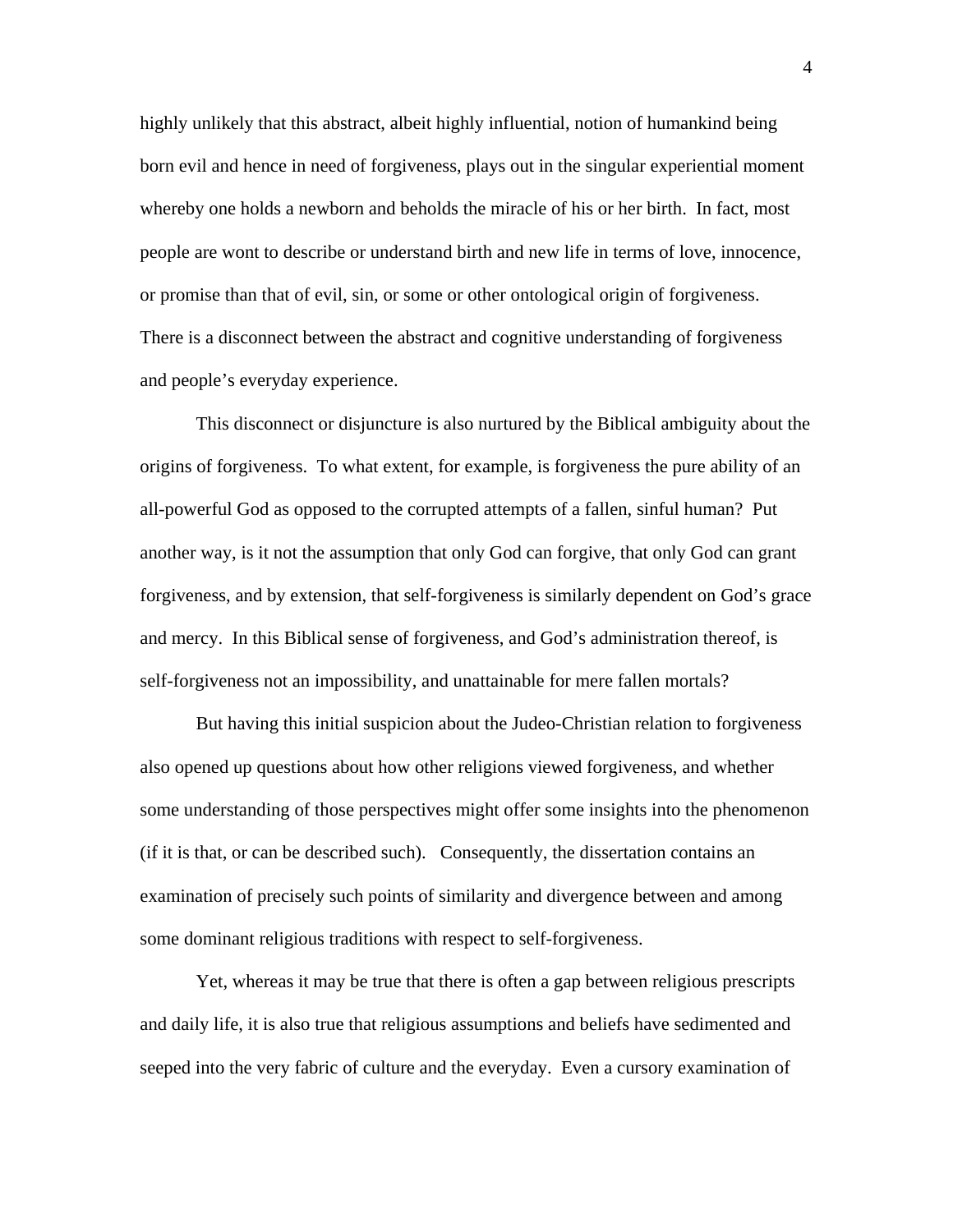highly unlikely that this abstract, albeit highly influential, notion of humankind being born evil and hence in need of forgiveness, plays out in the singular experiential moment whereby one holds a newborn and beholds the miracle of his or her birth. In fact, most people are wont to describe or understand birth and new life in terms of love, innocence, or promise than that of evil, sin, or some or other ontological origin of forgiveness. There is a disconnect between the abstract and cognitive understanding of forgiveness and people's everyday experience.

This disconnect or disjuncture is also nurtured by the Biblical ambiguity about the origins of forgiveness. To what extent, for example, is forgiveness the pure ability of an all-powerful God as opposed to the corrupted attempts of a fallen, sinful human? Put another way, is it not the assumption that only God can forgive, that only God can grant forgiveness, and by extension, that self-forgiveness is similarly dependent on God's grace and mercy. In this Biblical sense of forgiveness, and God's administration thereof, is self-forgiveness not an impossibility, and unattainable for mere fallen mortals?

But having this initial suspicion about the Judeo-Christian relation to forgiveness also opened up questions about how other religions viewed forgiveness, and whether some understanding of those perspectives might offer some insights into the phenomenon (if it is that, or can be described such). Consequently, the dissertation contains an examination of precisely such points of similarity and divergence between and among some dominant religious traditions with respect to self-forgiveness.

Yet, whereas it may be true that there is often a gap between religious prescripts and daily life, it is also true that religious assumptions and beliefs have sedimented and seeped into the very fabric of culture and the everyday. Even a cursory examination of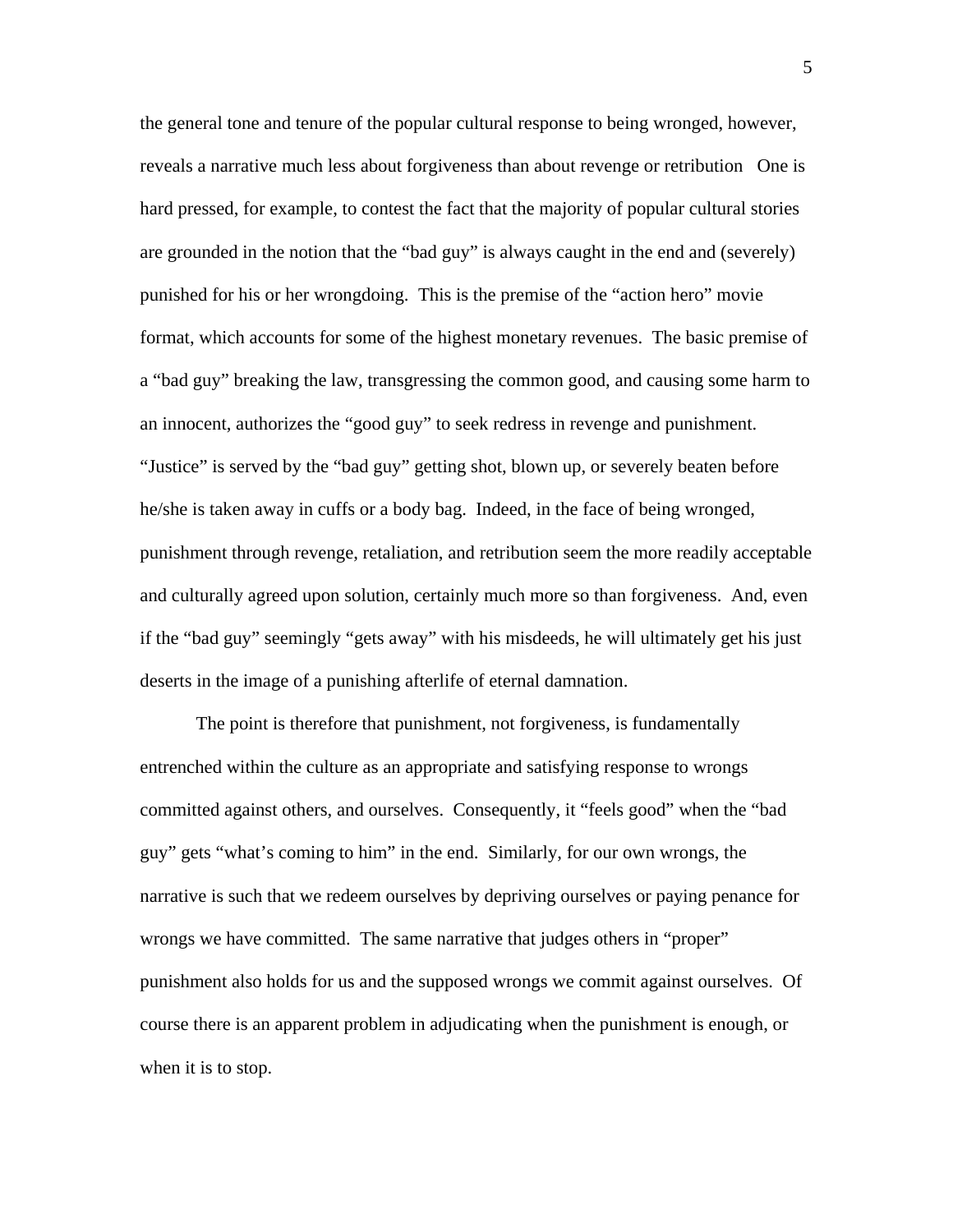the general tone and tenure of the popular cultural response to being wronged, however, reveals a narrative much less about forgiveness than about revenge or retribution One is hard pressed, for example, to contest the fact that the majority of popular cultural stories are grounded in the notion that the "bad guy" is always caught in the end and (severely) punished for his or her wrongdoing. This is the premise of the "action hero" movie format, which accounts for some of the highest monetary revenues. The basic premise of a "bad guy" breaking the law, transgressing the common good, and causing some harm to an innocent, authorizes the "good guy" to seek redress in revenge and punishment. "Justice" is served by the "bad guy" getting shot, blown up, or severely beaten before he/she is taken away in cuffs or a body bag. Indeed, in the face of being wronged, punishment through revenge, retaliation, and retribution seem the more readily acceptable and culturally agreed upon solution, certainly much more so than forgiveness. And, even if the "bad guy" seemingly "gets away" with his misdeeds, he will ultimately get his just deserts in the image of a punishing afterlife of eternal damnation.

The point is therefore that punishment, not forgiveness, is fundamentally entrenched within the culture as an appropriate and satisfying response to wrongs committed against others, and ourselves. Consequently, it "feels good" when the "bad guy" gets "what's coming to him" in the end. Similarly, for our own wrongs, the narrative is such that we redeem ourselves by depriving ourselves or paying penance for wrongs we have committed. The same narrative that judges others in "proper" punishment also holds for us and the supposed wrongs we commit against ourselves. Of course there is an apparent problem in adjudicating when the punishment is enough, or when it is to stop.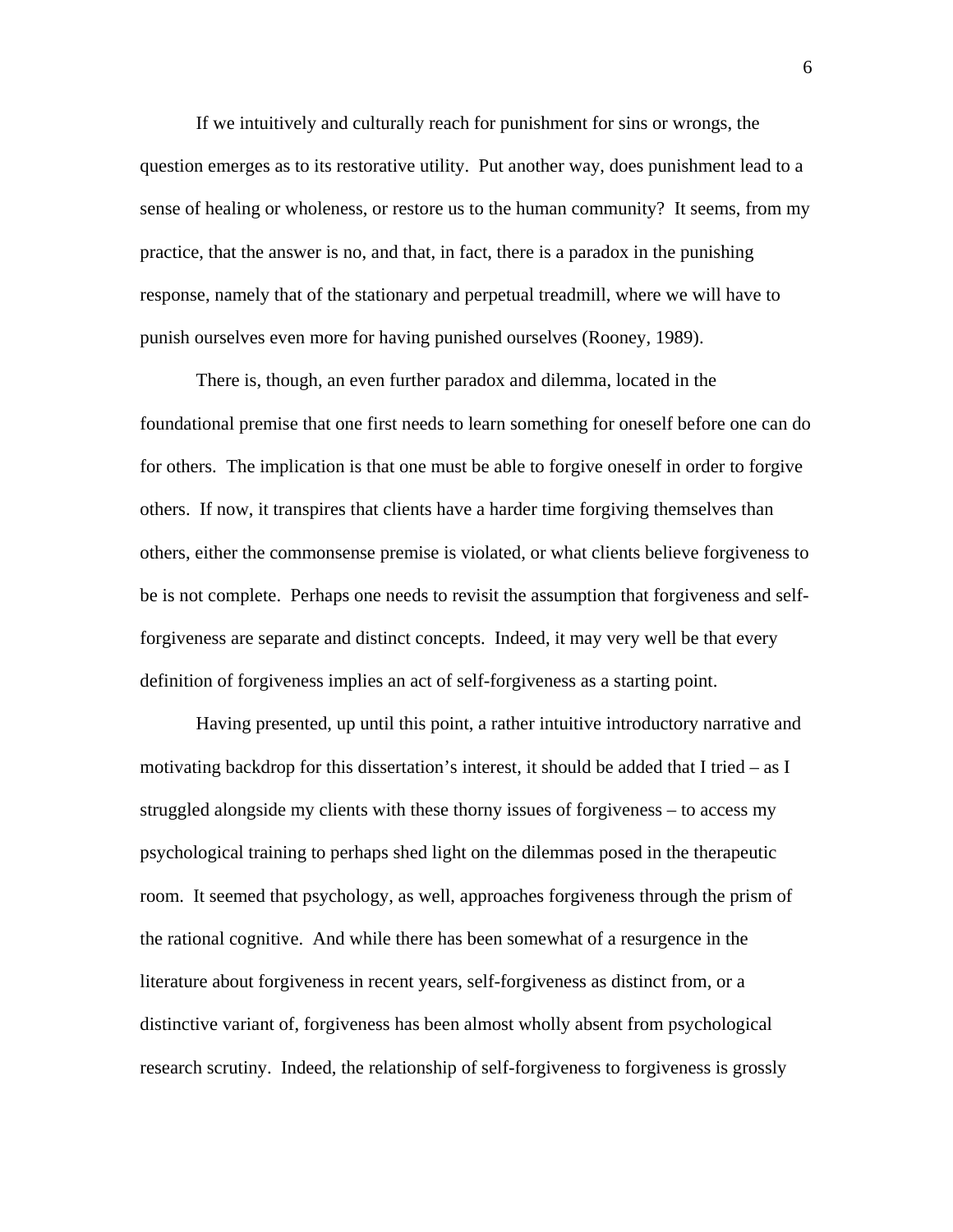If we intuitively and culturally reach for punishment for sins or wrongs, the question emerges as to its restorative utility. Put another way, does punishment lead to a sense of healing or wholeness, or restore us to the human community? It seems, from my practice, that the answer is no, and that, in fact, there is a paradox in the punishing response, namely that of the stationary and perpetual treadmill, where we will have to punish ourselves even more for having punished ourselves (Rooney, 1989).

There is, though, an even further paradox and dilemma, located in the foundational premise that one first needs to learn something for oneself before one can do for others. The implication is that one must be able to forgive oneself in order to forgive others. If now, it transpires that clients have a harder time forgiving themselves than others, either the commonsense premise is violated, or what clients believe forgiveness to be is not complete. Perhaps one needs to revisit the assumption that forgiveness and selfforgiveness are separate and distinct concepts. Indeed, it may very well be that every definition of forgiveness implies an act of self-forgiveness as a starting point.

Having presented, up until this point, a rather intuitive introductory narrative and motivating backdrop for this dissertation's interest, it should be added that I tried – as I struggled alongside my clients with these thorny issues of forgiveness – to access my psychological training to perhaps shed light on the dilemmas posed in the therapeutic room. It seemed that psychology, as well, approaches forgiveness through the prism of the rational cognitive. And while there has been somewhat of a resurgence in the literature about forgiveness in recent years, self-forgiveness as distinct from, or a distinctive variant of, forgiveness has been almost wholly absent from psychological research scrutiny. Indeed, the relationship of self-forgiveness to forgiveness is grossly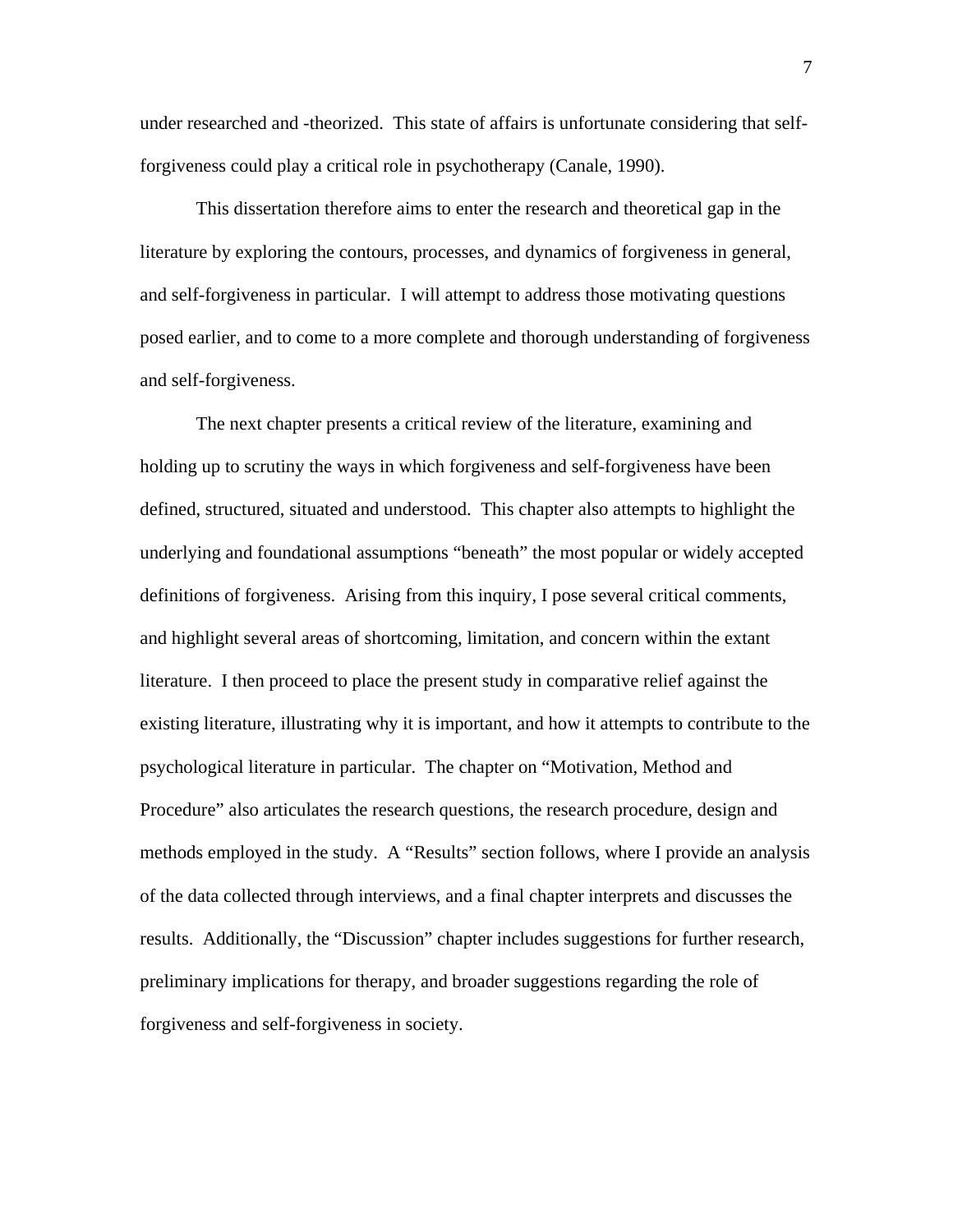under researched and -theorized. This state of affairs is unfortunate considering that selfforgiveness could play a critical role in psychotherapy (Canale, 1990).

This dissertation therefore aims to enter the research and theoretical gap in the literature by exploring the contours, processes, and dynamics of forgiveness in general, and self-forgiveness in particular. I will attempt to address those motivating questions posed earlier, and to come to a more complete and thorough understanding of forgiveness and self-forgiveness.

The next chapter presents a critical review of the literature, examining and holding up to scrutiny the ways in which forgiveness and self-forgiveness have been defined, structured, situated and understood. This chapter also attempts to highlight the underlying and foundational assumptions "beneath" the most popular or widely accepted definitions of forgiveness. Arising from this inquiry, I pose several critical comments, and highlight several areas of shortcoming, limitation, and concern within the extant literature. I then proceed to place the present study in comparative relief against the existing literature, illustrating why it is important, and how it attempts to contribute to the psychological literature in particular. The chapter on "Motivation, Method and Procedure" also articulates the research questions, the research procedure, design and methods employed in the study. A "Results" section follows, where I provide an analysis of the data collected through interviews, and a final chapter interprets and discusses the results. Additionally, the "Discussion" chapter includes suggestions for further research, preliminary implications for therapy, and broader suggestions regarding the role of forgiveness and self-forgiveness in society.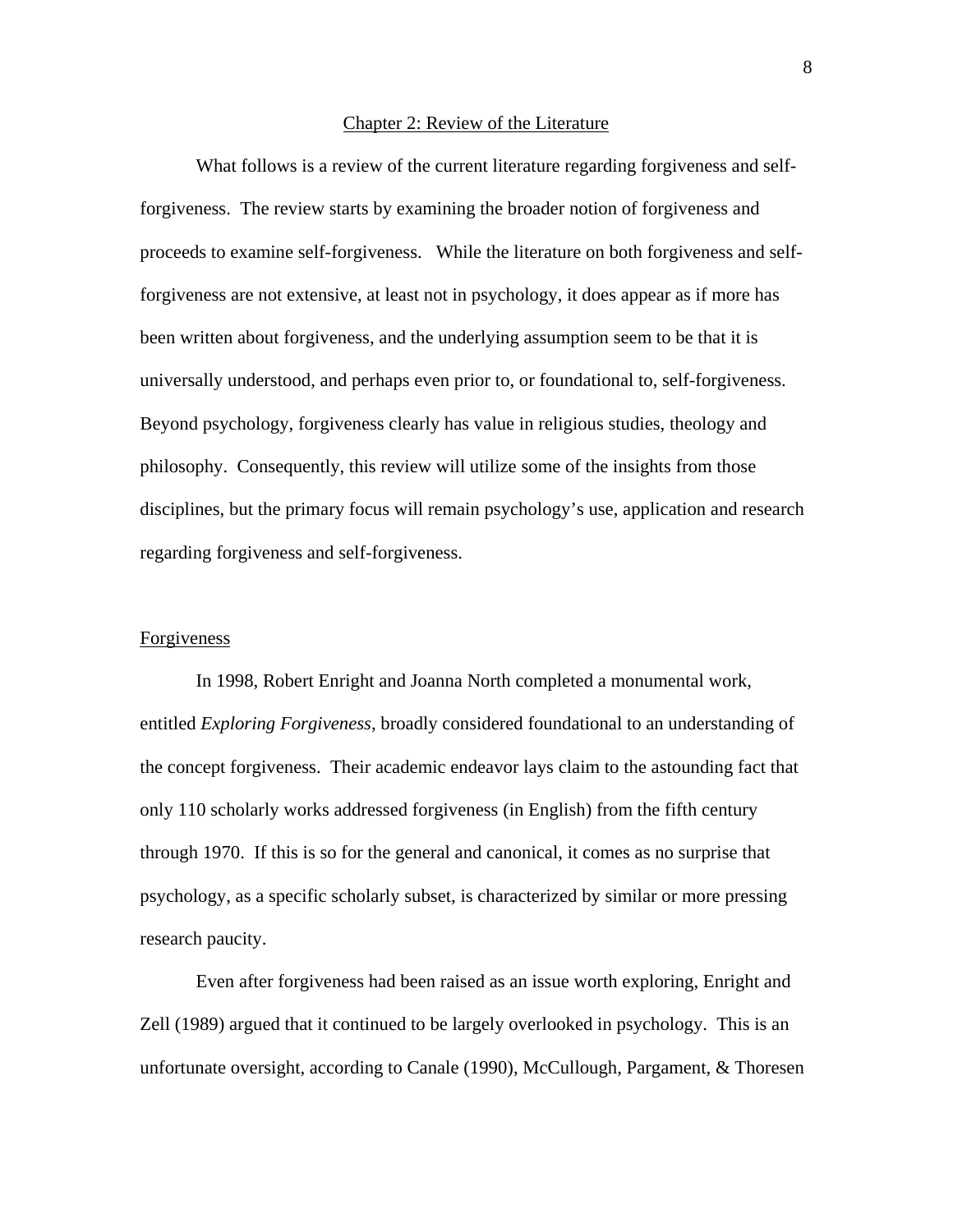#### Chapter 2: Review of the Literature

What follows is a review of the current literature regarding forgiveness and selfforgiveness. The review starts by examining the broader notion of forgiveness and proceeds to examine self-forgiveness. While the literature on both forgiveness and selfforgiveness are not extensive, at least not in psychology, it does appear as if more has been written about forgiveness, and the underlying assumption seem to be that it is universally understood, and perhaps even prior to, or foundational to, self-forgiveness. Beyond psychology, forgiveness clearly has value in religious studies, theology and philosophy. Consequently, this review will utilize some of the insights from those disciplines, but the primary focus will remain psychology's use, application and research regarding forgiveness and self-forgiveness.

#### Forgiveness

In 1998, Robert Enright and Joanna North completed a monumental work, entitled *Exploring Forgiveness*, broadly considered foundational to an understanding of the concept forgiveness. Their academic endeavor lays claim to the astounding fact that only 110 scholarly works addressed forgiveness (in English) from the fifth century through 1970. If this is so for the general and canonical, it comes as no surprise that psychology, as a specific scholarly subset, is characterized by similar or more pressing research paucity.

Even after forgiveness had been raised as an issue worth exploring, Enright and Zell (1989) argued that it continued to be largely overlooked in psychology. This is an unfortunate oversight, according to Canale (1990), McCullough, Pargament, & Thoresen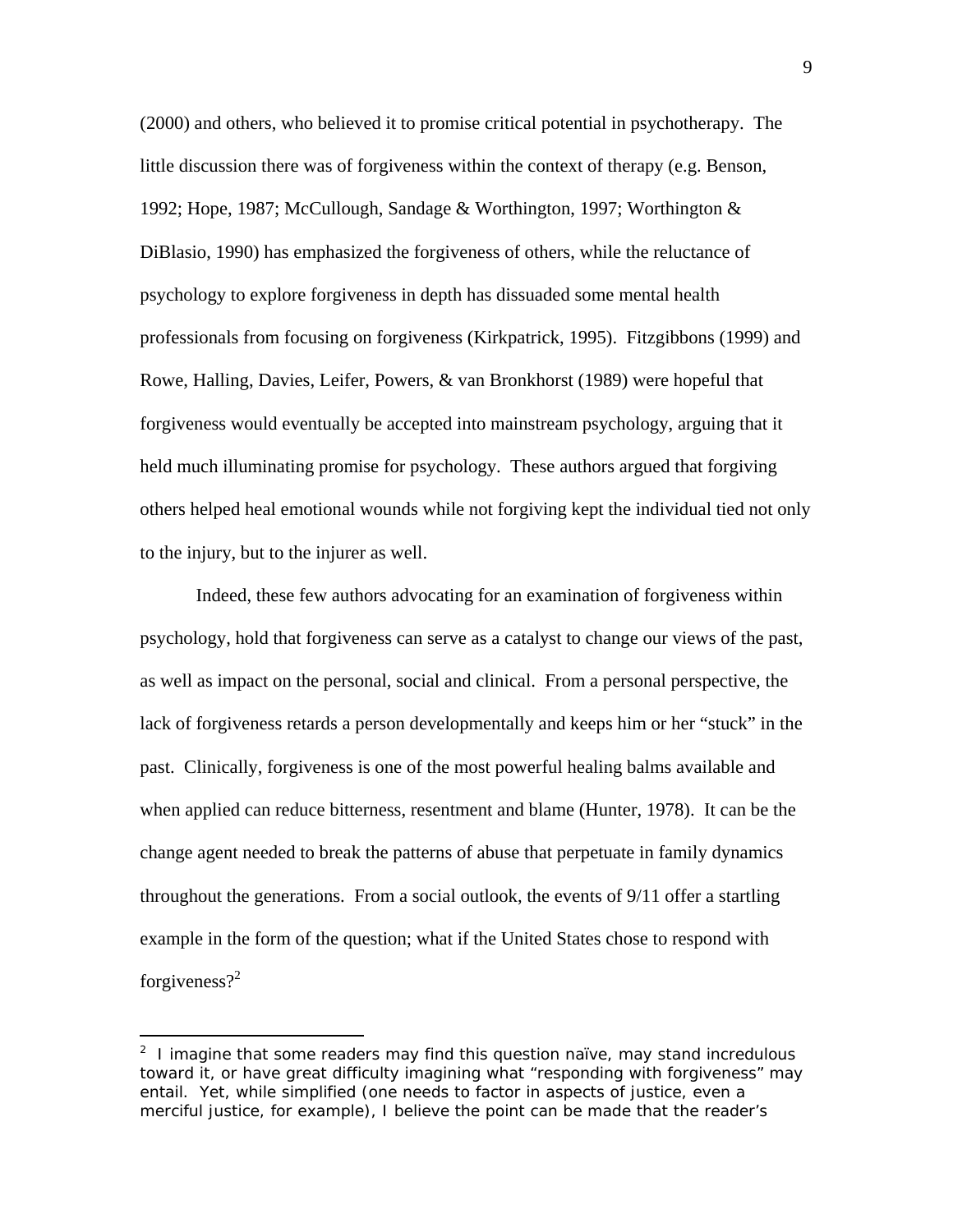(2000) and others, who believed it to promise critical potential in psychotherapy. The little discussion there was of forgiveness within the context of therapy (e.g. Benson, 1992; Hope, 1987; McCullough, Sandage & Worthington, 1997; Worthington & DiBlasio, 1990) has emphasized the forgiveness of others, while the reluctance of psychology to explore forgiveness in depth has dissuaded some mental health professionals from focusing on forgiveness (Kirkpatrick, 1995). Fitzgibbons (1999) and Rowe, Halling, Davies, Leifer, Powers, & van Bronkhorst (1989) were hopeful that forgiveness would eventually be accepted into mainstream psychology, arguing that it held much illuminating promise for psychology. These authors argued that forgiving others helped heal emotional wounds while not forgiving kept the individual tied not only to the injury, but to the injurer as well.

Indeed, these few authors advocating for an examination of forgiveness within psychology, hold that forgiveness can serve as a catalyst to change our views of the past, as well as impact on the personal, social and clinical. From a personal perspective, the lack of forgiveness retards a person developmentally and keeps him or her "stuck" in the past. Clinically, forgiveness is one of the most powerful healing balms available and when applied can reduce bitterness, resentment and blame (Hunter, 1978). It can be the change agent needed to break the patterns of abuse that perpetuate in family dynamics throughout the generations. From a social outlook, the events of 9/11 offer a startling example in the form of the question; what if the United States chose to respond with forgiveness?<sup>2</sup>

 $\overline{a}$ 

<sup>&</sup>lt;sup>2</sup> I imagine that some readers may find this question naïve, may stand incredulous toward it, or have great difficulty imagining what "responding with forgiveness" may entail. Yet, while simplified (one needs to factor in aspects of justice, even a merciful justice, for example), I believe the point can be made that the reader's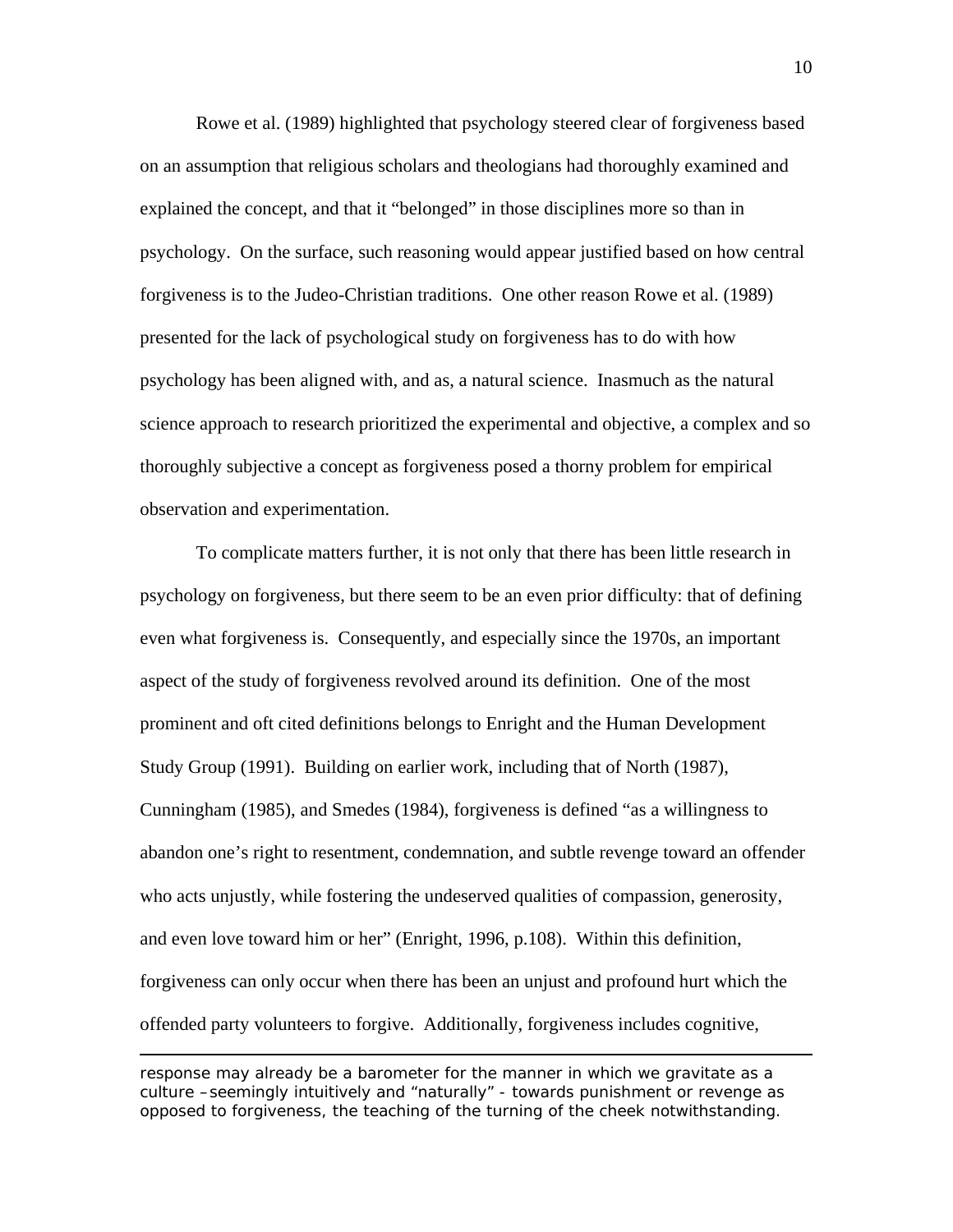Rowe et al. (1989) highlighted that psychology steered clear of forgiveness based on an assumption that religious scholars and theologians had thoroughly examined and explained the concept, and that it "belonged" in those disciplines more so than in psychology. On the surface, such reasoning would appear justified based on how central forgiveness is to the Judeo-Christian traditions. One other reason Rowe et al. (1989) presented for the lack of psychological study on forgiveness has to do with how psychology has been aligned with, and as, a natural science. Inasmuch as the natural science approach to research prioritized the experimental and objective, a complex and so thoroughly subjective a concept as forgiveness posed a thorny problem for empirical observation and experimentation.

To complicate matters further, it is not only that there has been little research in psychology on forgiveness, but there seem to be an even prior difficulty: that of defining even what forgiveness is. Consequently, and especially since the 1970s, an important aspect of the study of forgiveness revolved around its definition. One of the most prominent and oft cited definitions belongs to Enright and the Human Development Study Group (1991). Building on earlier work, including that of North (1987), Cunningham (1985), and Smedes (1984), forgiveness is defined "as a willingness to abandon one's right to resentment, condemnation, and subtle revenge toward an offender who acts unjustly, while fostering the undeserved qualities of compassion, generosity, and even love toward him or her" (Enright, 1996, p.108). Within this definition, forgiveness can only occur when there has been an unjust and profound hurt which the offended party volunteers to forgive. Additionally, forgiveness includes cognitive,

1

response may already be a barometer for the manner in which we gravitate as a culture –seemingly intuitively and "naturally" - towards punishment or revenge as opposed to forgiveness, the teaching of the turning of the cheek notwithstanding.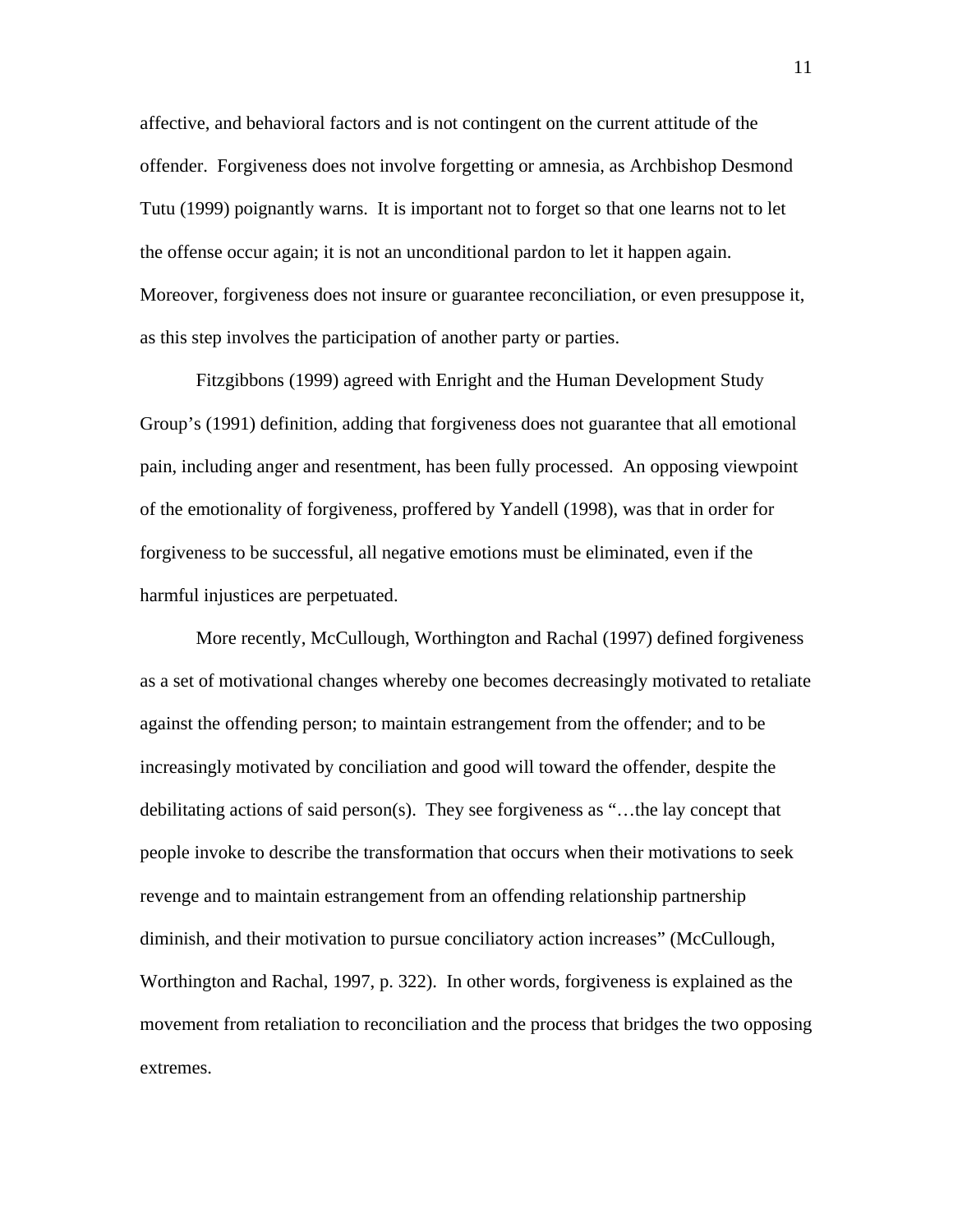affective, and behavioral factors and is not contingent on the current attitude of the offender. Forgiveness does not involve forgetting or amnesia, as Archbishop Desmond Tutu (1999) poignantly warns. It is important not to forget so that one learns not to let the offense occur again; it is not an unconditional pardon to let it happen again. Moreover, forgiveness does not insure or guarantee reconciliation, or even presuppose it, as this step involves the participation of another party or parties.

Fitzgibbons (1999) agreed with Enright and the Human Development Study Group's (1991) definition, adding that forgiveness does not guarantee that all emotional pain, including anger and resentment, has been fully processed. An opposing viewpoint of the emotionality of forgiveness, proffered by Yandell (1998), was that in order for forgiveness to be successful, all negative emotions must be eliminated, even if the harmful injustices are perpetuated.

More recently, McCullough, Worthington and Rachal (1997) defined forgiveness as a set of motivational changes whereby one becomes decreasingly motivated to retaliate against the offending person; to maintain estrangement from the offender; and to be increasingly motivated by conciliation and good will toward the offender, despite the debilitating actions of said person(s). They see forgiveness as "…the lay concept that people invoke to describe the transformation that occurs when their motivations to seek revenge and to maintain estrangement from an offending relationship partnership diminish, and their motivation to pursue conciliatory action increases" (McCullough, Worthington and Rachal, 1997, p. 322). In other words, forgiveness is explained as the movement from retaliation to reconciliation and the process that bridges the two opposing extremes.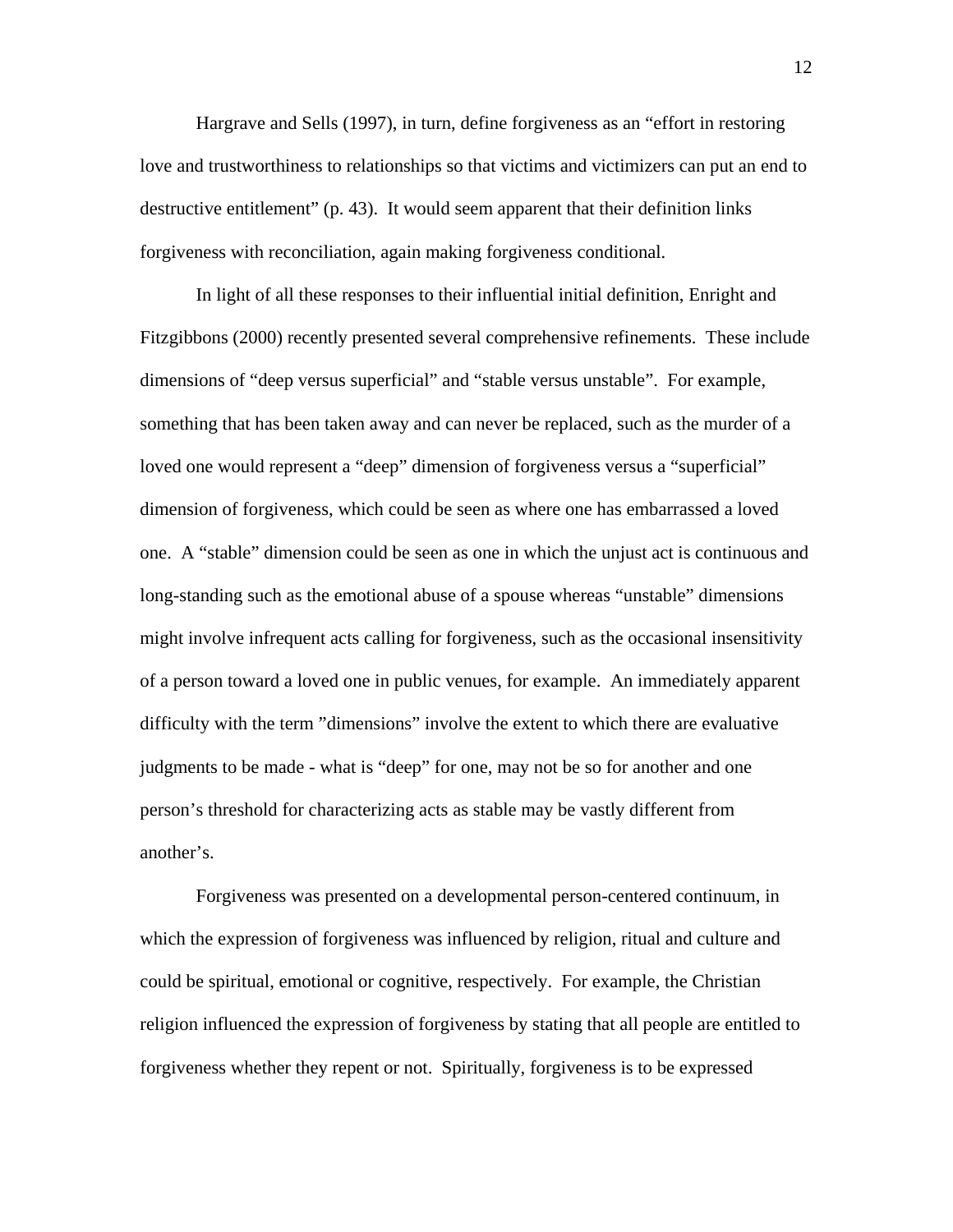Hargrave and Sells (1997), in turn, define forgiveness as an "effort in restoring love and trustworthiness to relationships so that victims and victimizers can put an end to destructive entitlement" (p. 43). It would seem apparent that their definition links forgiveness with reconciliation, again making forgiveness conditional.

In light of all these responses to their influential initial definition, Enright and Fitzgibbons (2000) recently presented several comprehensive refinements. These include dimensions of "deep versus superficial" and "stable versus unstable". For example, something that has been taken away and can never be replaced, such as the murder of a loved one would represent a "deep" dimension of forgiveness versus a "superficial" dimension of forgiveness, which could be seen as where one has embarrassed a loved one. A "stable" dimension could be seen as one in which the unjust act is continuous and long-standing such as the emotional abuse of a spouse whereas "unstable" dimensions might involve infrequent acts calling for forgiveness, such as the occasional insensitivity of a person toward a loved one in public venues, for example. An immediately apparent difficulty with the term "dimensions" involve the extent to which there are evaluative judgments to be made - what is "deep" for one, may not be so for another and one person's threshold for characterizing acts as stable may be vastly different from another's.

Forgiveness was presented on a developmental person-centered continuum, in which the expression of forgiveness was influenced by religion, ritual and culture and could be spiritual, emotional or cognitive, respectively. For example, the Christian religion influenced the expression of forgiveness by stating that all people are entitled to forgiveness whether they repent or not. Spiritually, forgiveness is to be expressed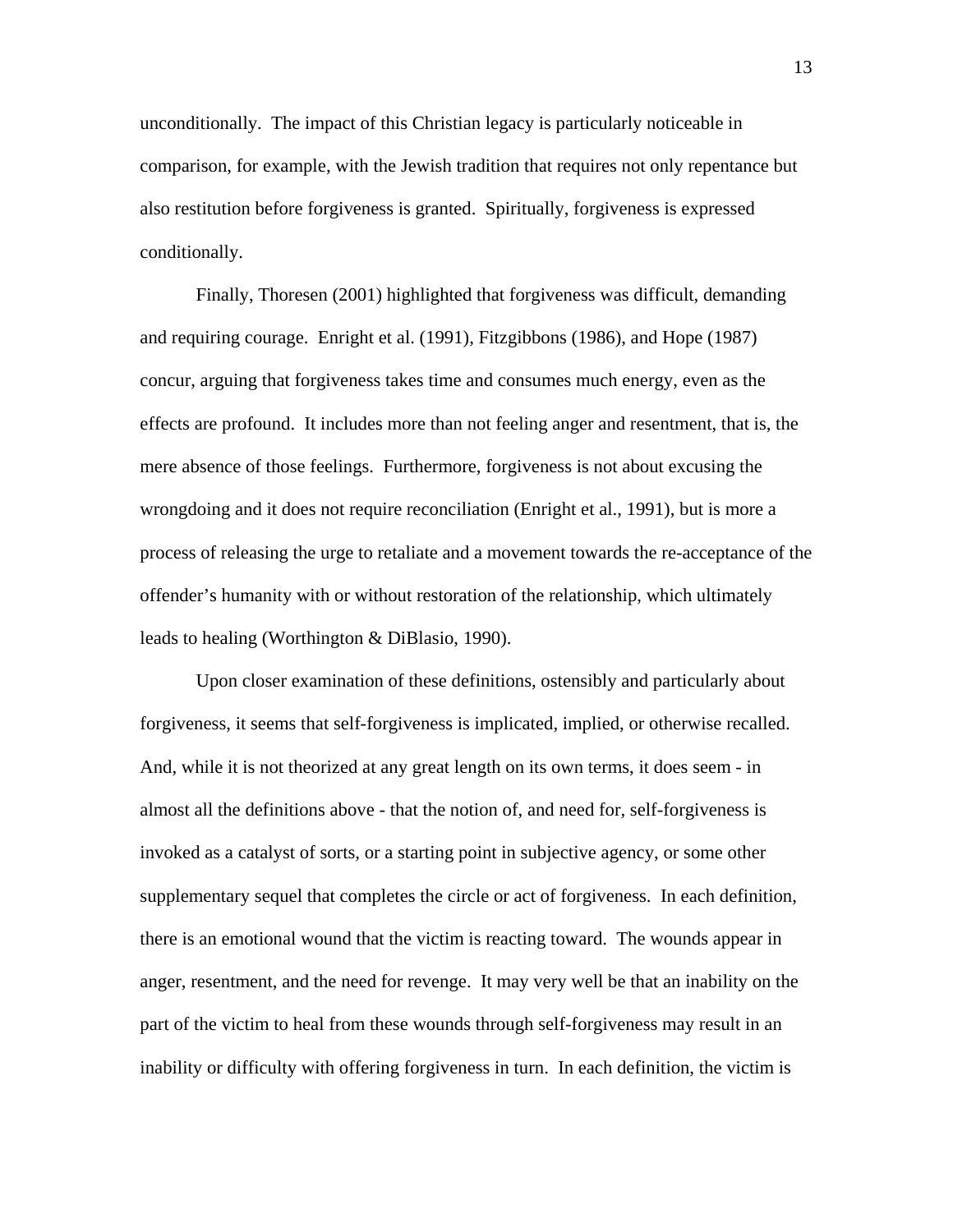unconditionally. The impact of this Christian legacy is particularly noticeable in comparison, for example, with the Jewish tradition that requires not only repentance but also restitution before forgiveness is granted. Spiritually, forgiveness is expressed conditionally.

Finally, Thoresen (2001) highlighted that forgiveness was difficult, demanding and requiring courage. Enright et al. (1991), Fitzgibbons (1986), and Hope (1987) concur, arguing that forgiveness takes time and consumes much energy, even as the effects are profound. It includes more than not feeling anger and resentment, that is, the mere absence of those feelings. Furthermore, forgiveness is not about excusing the wrongdoing and it does not require reconciliation (Enright et al., 1991), but is more a process of releasing the urge to retaliate and a movement towards the re-acceptance of the offender's humanity with or without restoration of the relationship, which ultimately leads to healing (Worthington & DiBlasio, 1990).

Upon closer examination of these definitions, ostensibly and particularly about forgiveness, it seems that self-forgiveness is implicated, implied, or otherwise recalled. And, while it is not theorized at any great length on its own terms, it does seem - in almost all the definitions above - that the notion of, and need for, self-forgiveness is invoked as a catalyst of sorts, or a starting point in subjective agency, or some other supplementary sequel that completes the circle or act of forgiveness. In each definition, there is an emotional wound that the victim is reacting toward. The wounds appear in anger, resentment, and the need for revenge. It may very well be that an inability on the part of the victim to heal from these wounds through self-forgiveness may result in an inability or difficulty with offering forgiveness in turn. In each definition, the victim is

13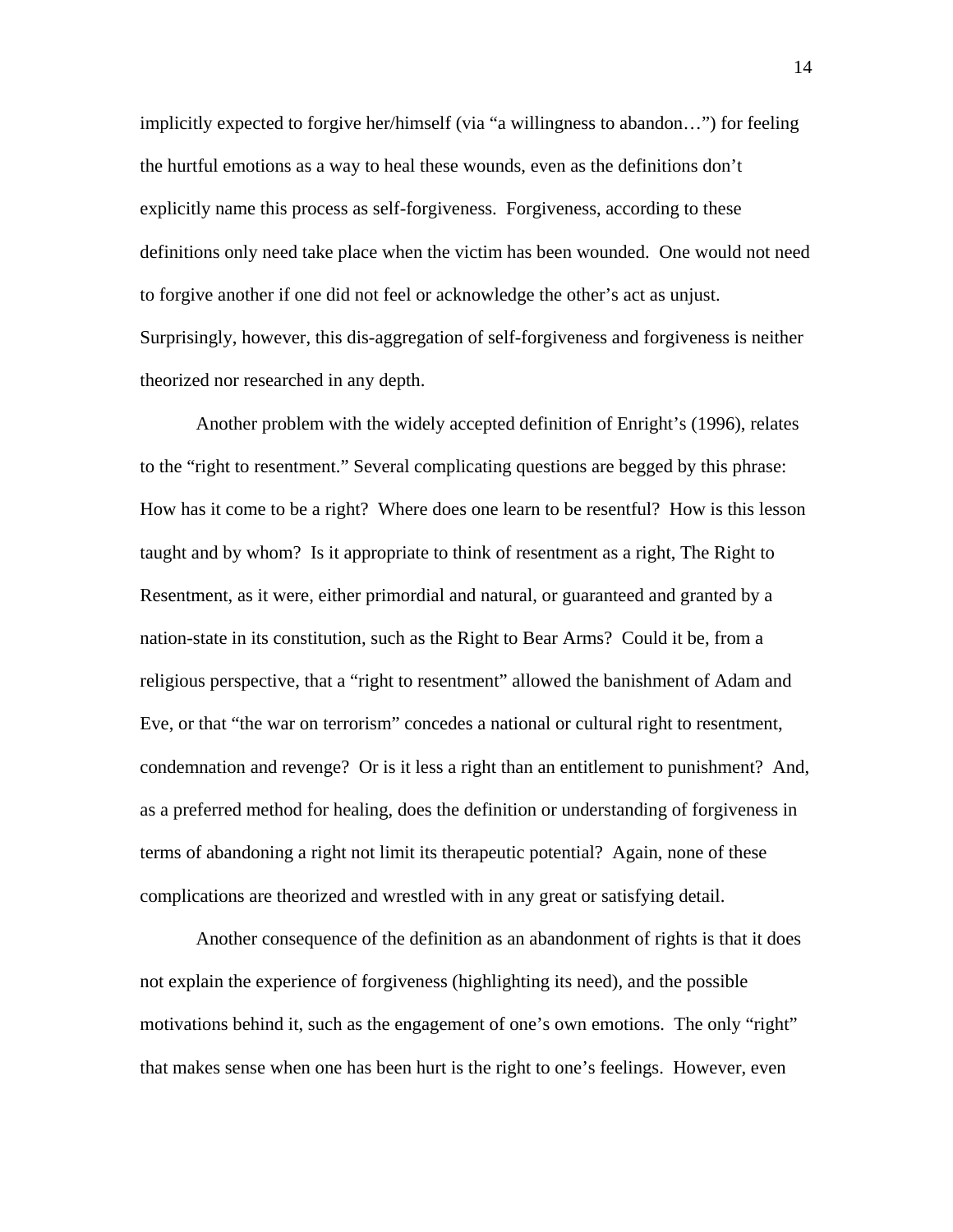implicitly expected to forgive her/himself (via "a willingness to abandon…") for feeling the hurtful emotions as a way to heal these wounds, even as the definitions don't explicitly name this process as self-forgiveness. Forgiveness, according to these definitions only need take place when the victim has been wounded. One would not need to forgive another if one did not feel or acknowledge the other's act as unjust. Surprisingly, however, this dis-aggregation of self-forgiveness and forgiveness is neither theorized nor researched in any depth.

Another problem with the widely accepted definition of Enright's (1996), relates to the "right to resentment." Several complicating questions are begged by this phrase: How has it come to be a right? Where does one learn to be resentful? How is this lesson taught and by whom? Is it appropriate to think of resentment as a right, The Right to Resentment, as it were, either primordial and natural, or guaranteed and granted by a nation-state in its constitution, such as the Right to Bear Arms? Could it be, from a religious perspective, that a "right to resentment" allowed the banishment of Adam and Eve, or that "the war on terrorism" concedes a national or cultural right to resentment, condemnation and revenge? Or is it less a right than an entitlement to punishment? And, as a preferred method for healing, does the definition or understanding of forgiveness in terms of abandoning a right not limit its therapeutic potential? Again, none of these complications are theorized and wrestled with in any great or satisfying detail.

Another consequence of the definition as an abandonment of rights is that it does not explain the experience of forgiveness (highlighting its need), and the possible motivations behind it, such as the engagement of one's own emotions. The only "right" that makes sense when one has been hurt is the right to one's feelings. However, even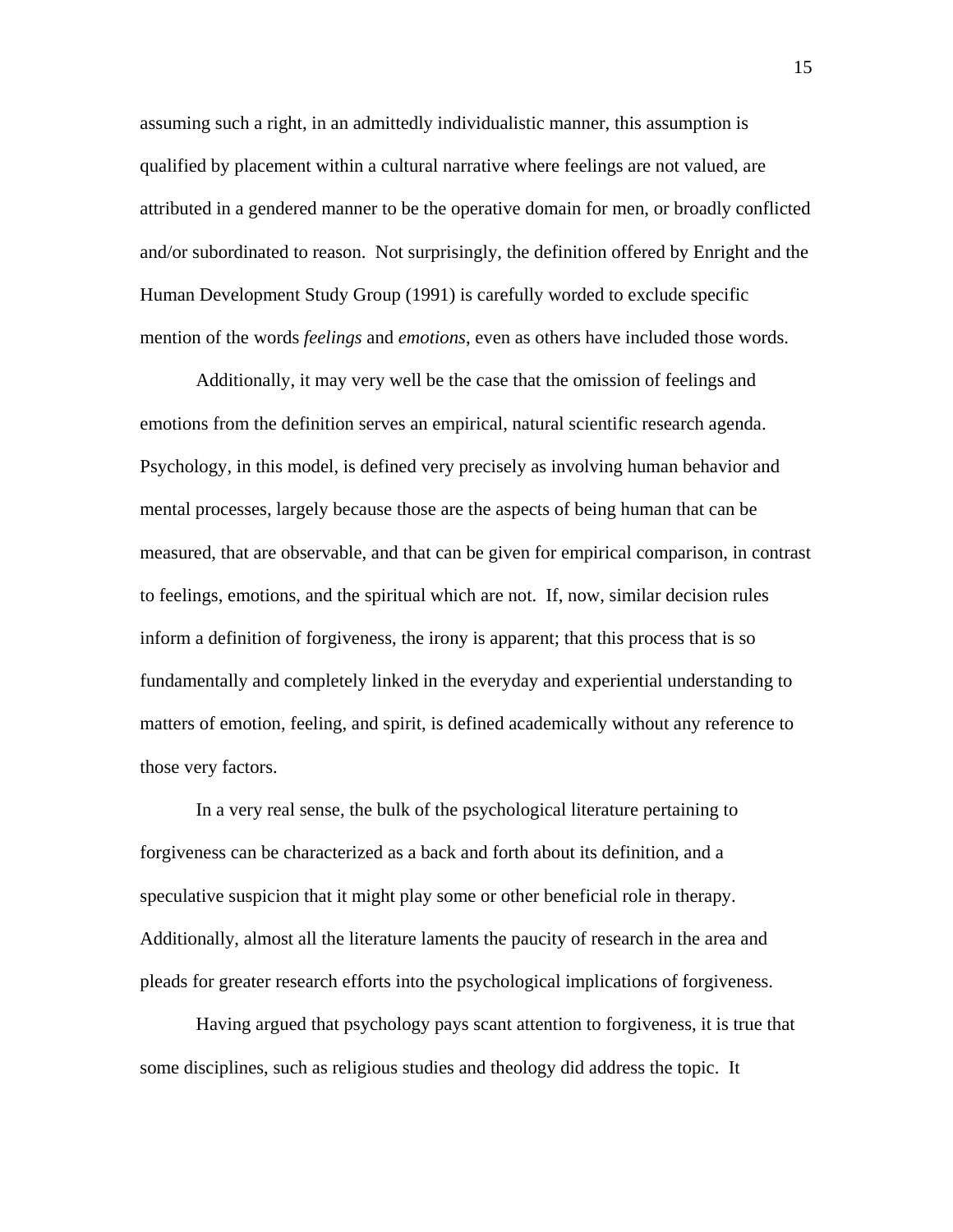assuming such a right, in an admittedly individualistic manner, this assumption is qualified by placement within a cultural narrative where feelings are not valued, are attributed in a gendered manner to be the operative domain for men, or broadly conflicted and/or subordinated to reason. Not surprisingly, the definition offered by Enright and the Human Development Study Group (1991) is carefully worded to exclude specific mention of the words *feelings* and *emotions*, even as others have included those words.

Additionally, it may very well be the case that the omission of feelings and emotions from the definition serves an empirical, natural scientific research agenda. Psychology, in this model, is defined very precisely as involving human behavior and mental processes, largely because those are the aspects of being human that can be measured, that are observable, and that can be given for empirical comparison, in contrast to feelings, emotions, and the spiritual which are not. If, now, similar decision rules inform a definition of forgiveness, the irony is apparent; that this process that is so fundamentally and completely linked in the everyday and experiential understanding to matters of emotion, feeling, and spirit, is defined academically without any reference to those very factors.

In a very real sense, the bulk of the psychological literature pertaining to forgiveness can be characterized as a back and forth about its definition, and a speculative suspicion that it might play some or other beneficial role in therapy. Additionally, almost all the literature laments the paucity of research in the area and pleads for greater research efforts into the psychological implications of forgiveness.

Having argued that psychology pays scant attention to forgiveness, it is true that some disciplines, such as religious studies and theology did address the topic. It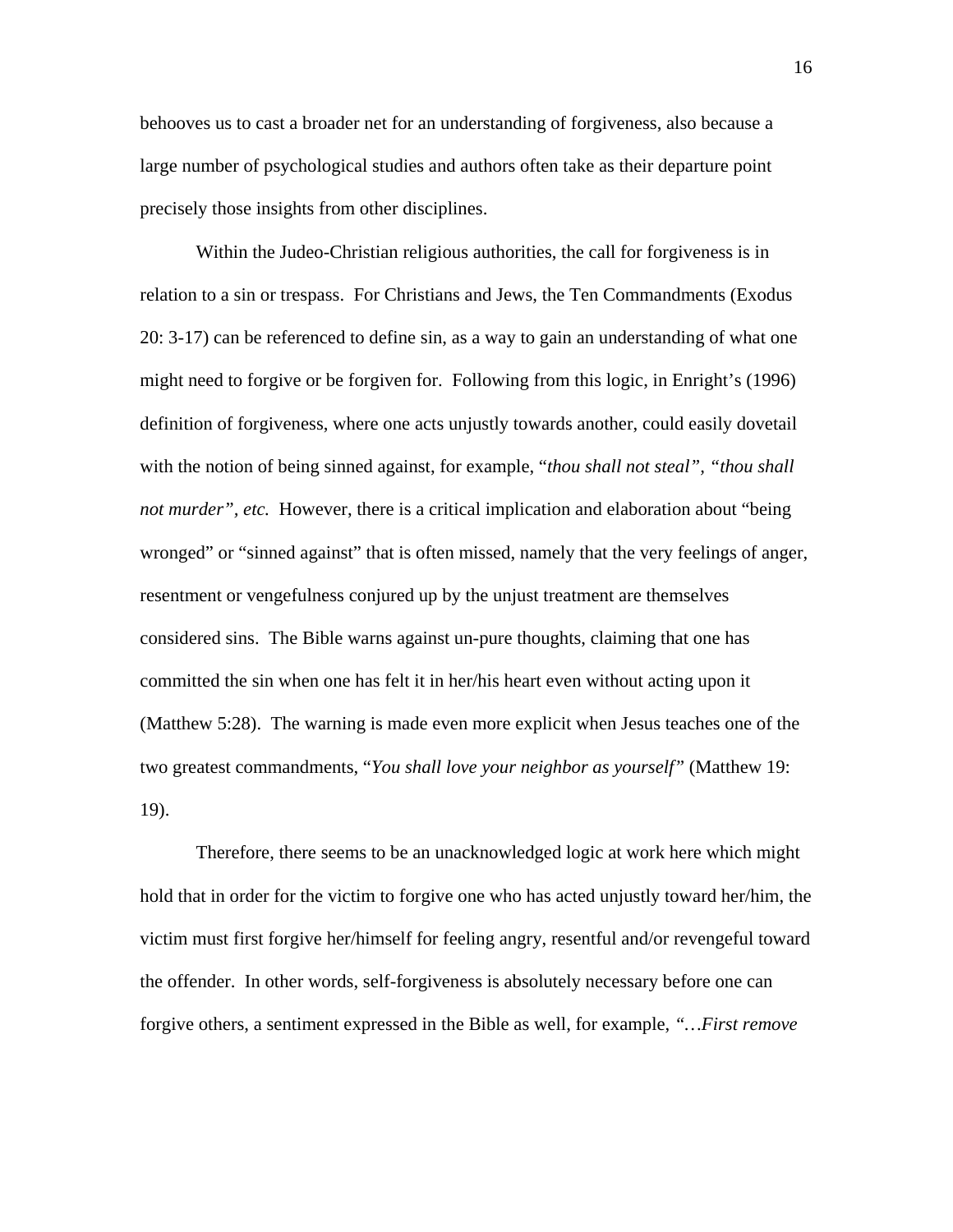behooves us to cast a broader net for an understanding of forgiveness, also because a large number of psychological studies and authors often take as their departure point precisely those insights from other disciplines.

Within the Judeo-Christian religious authorities, the call for forgiveness is in relation to a sin or trespass. For Christians and Jews, the Ten Commandments (Exodus 20: 3-17) can be referenced to define sin, as a way to gain an understanding of what one might need to forgive or be forgiven for. Following from this logic, in Enright's (1996) definition of forgiveness, where one acts unjustly towards another, could easily dovetail with the notion of being sinned against, for example, "*thou shall not steal", "thou shall not murder", etc.* However, there is a critical implication and elaboration about "being wronged" or "sinned against" that is often missed, namely that the very feelings of anger, resentment or vengefulness conjured up by the unjust treatment are themselves considered sins. The Bible warns against un-pure thoughts, claiming that one has committed the sin when one has felt it in her/his heart even without acting upon it (Matthew 5:28). The warning is made even more explicit when Jesus teaches one of the two greatest commandments, "*You shall love your neighbor as yourself"* (Matthew 19: 19).

Therefore, there seems to be an unacknowledged logic at work here which might hold that in order for the victim to forgive one who has acted unjustly toward her/him, the victim must first forgive her/himself for feeling angry, resentful and/or revengeful toward the offender. In other words, self-forgiveness is absolutely necessary before one can forgive others, a sentiment expressed in the Bible as well, for example, *"…First remove*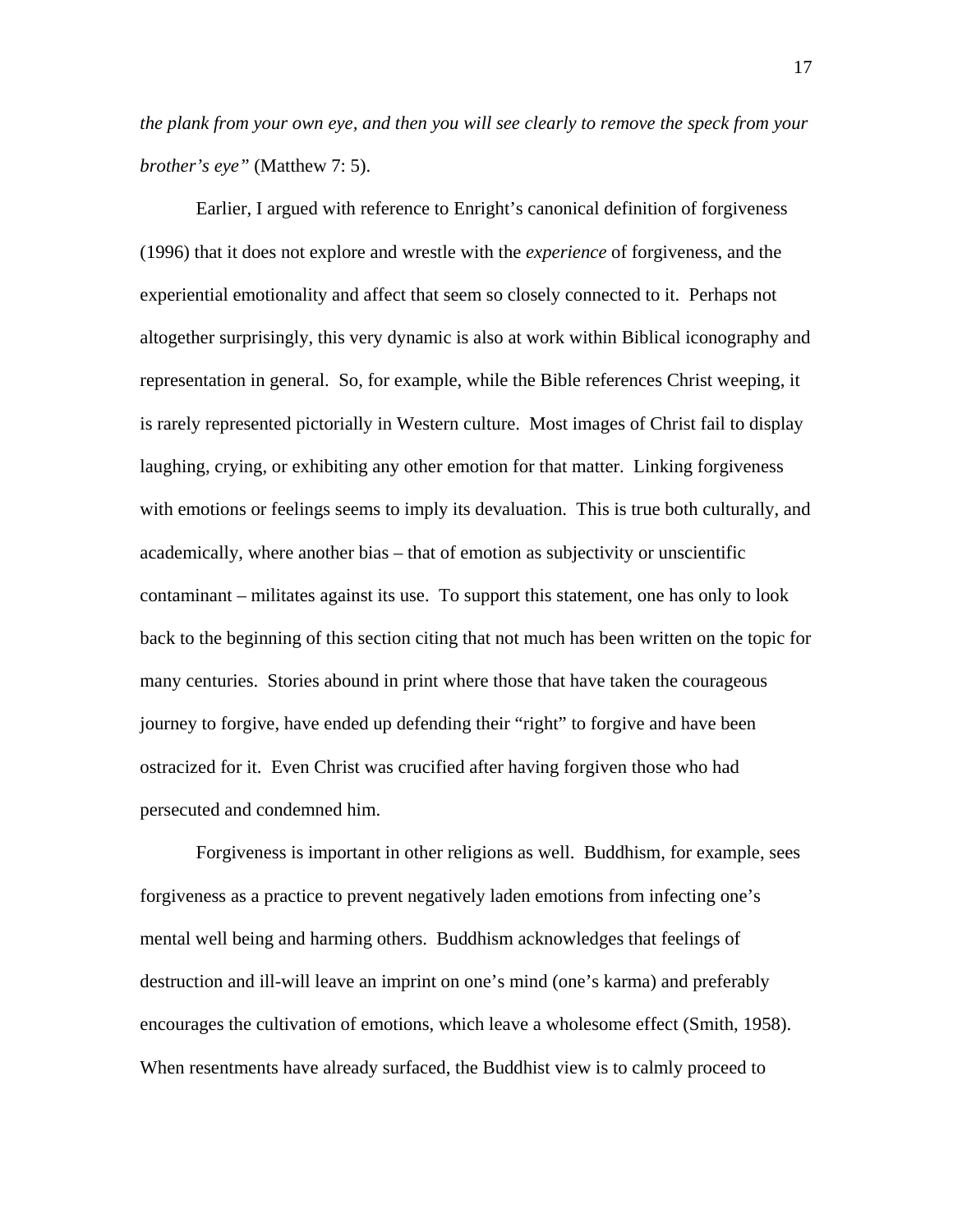*the plank from your own eye, and then you will see clearly to remove the speck from your brother's eye"* (Matthew 7: 5).

Earlier, I argued with reference to Enright's canonical definition of forgiveness (1996) that it does not explore and wrestle with the *experience* of forgiveness, and the experiential emotionality and affect that seem so closely connected to it. Perhaps not altogether surprisingly, this very dynamic is also at work within Biblical iconography and representation in general. So, for example, while the Bible references Christ weeping, it is rarely represented pictorially in Western culture. Most images of Christ fail to display laughing, crying, or exhibiting any other emotion for that matter. Linking forgiveness with emotions or feelings seems to imply its devaluation. This is true both culturally, and academically, where another bias – that of emotion as subjectivity or unscientific contaminant – militates against its use. To support this statement, one has only to look back to the beginning of this section citing that not much has been written on the topic for many centuries. Stories abound in print where those that have taken the courageous journey to forgive, have ended up defending their "right" to forgive and have been ostracized for it. Even Christ was crucified after having forgiven those who had persecuted and condemned him.

Forgiveness is important in other religions as well. Buddhism, for example, sees forgiveness as a practice to prevent negatively laden emotions from infecting one's mental well being and harming others. Buddhism acknowledges that feelings of destruction and ill-will leave an imprint on one's mind (one's karma) and preferably encourages the cultivation of emotions, which leave a wholesome effect (Smith, 1958). When resentments have already surfaced, the Buddhist view is to calmly proceed to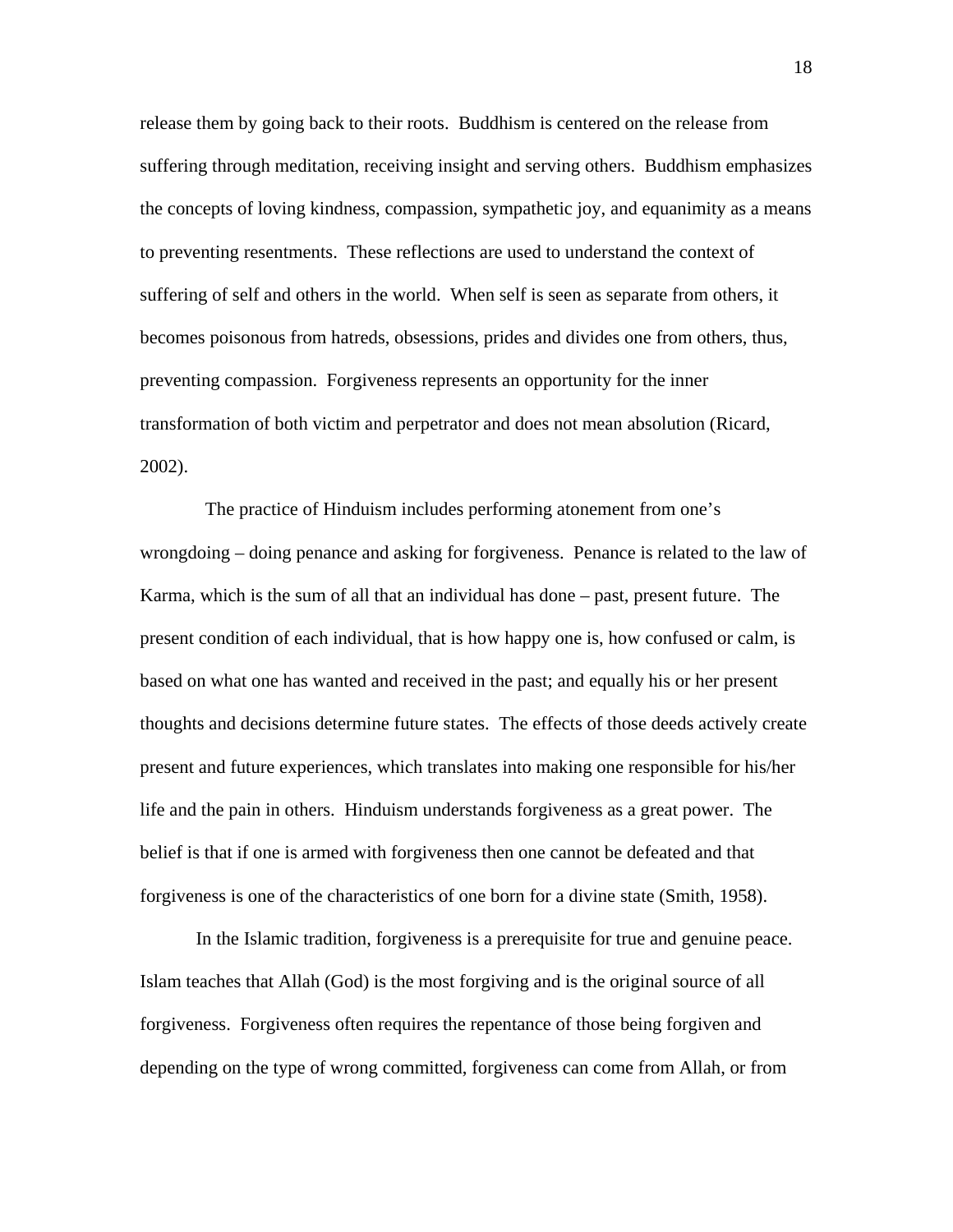release them by going back to their roots. Buddhism is centered on the release from suffering through meditation, receiving insight and serving others. Buddhism emphasizes the concepts of loving kindness, compassion, sympathetic joy, and equanimity as a means to preventing resentments. These reflections are used to understand the context of suffering of self and others in the world. When self is seen as separate from others, it becomes poisonous from hatreds, obsessions, prides and divides one from others, thus, preventing compassion. Forgiveness represents an opportunity for the inner transformation of both victim and perpetrator and does not mean absolution (Ricard, 2002).

 The practice of Hinduism includes performing atonement from one's wrongdoing – doing penance and asking for forgiveness. Penance is related to the law of Karma, which is the sum of all that an individual has done – past, present future. The present condition of each individual, that is how happy one is, how confused or calm, is based on what one has wanted and received in the past; and equally his or her present thoughts and decisions determine future states. The effects of those deeds actively create present and future experiences, which translates into making one responsible for his/her life and the pain in others. Hinduism understands forgiveness as a great power. The belief is that if one is armed with forgiveness then one cannot be defeated and that forgiveness is one of the characteristics of one born for a divine state (Smith, 1958).

In the Islamic tradition, forgiveness is a prerequisite for true and genuine peace. Islam teaches that Allah (God) is the most forgiving and is the original source of all forgiveness. Forgiveness often requires the repentance of those being forgiven and depending on the type of wrong committed, forgiveness can come from Allah, or from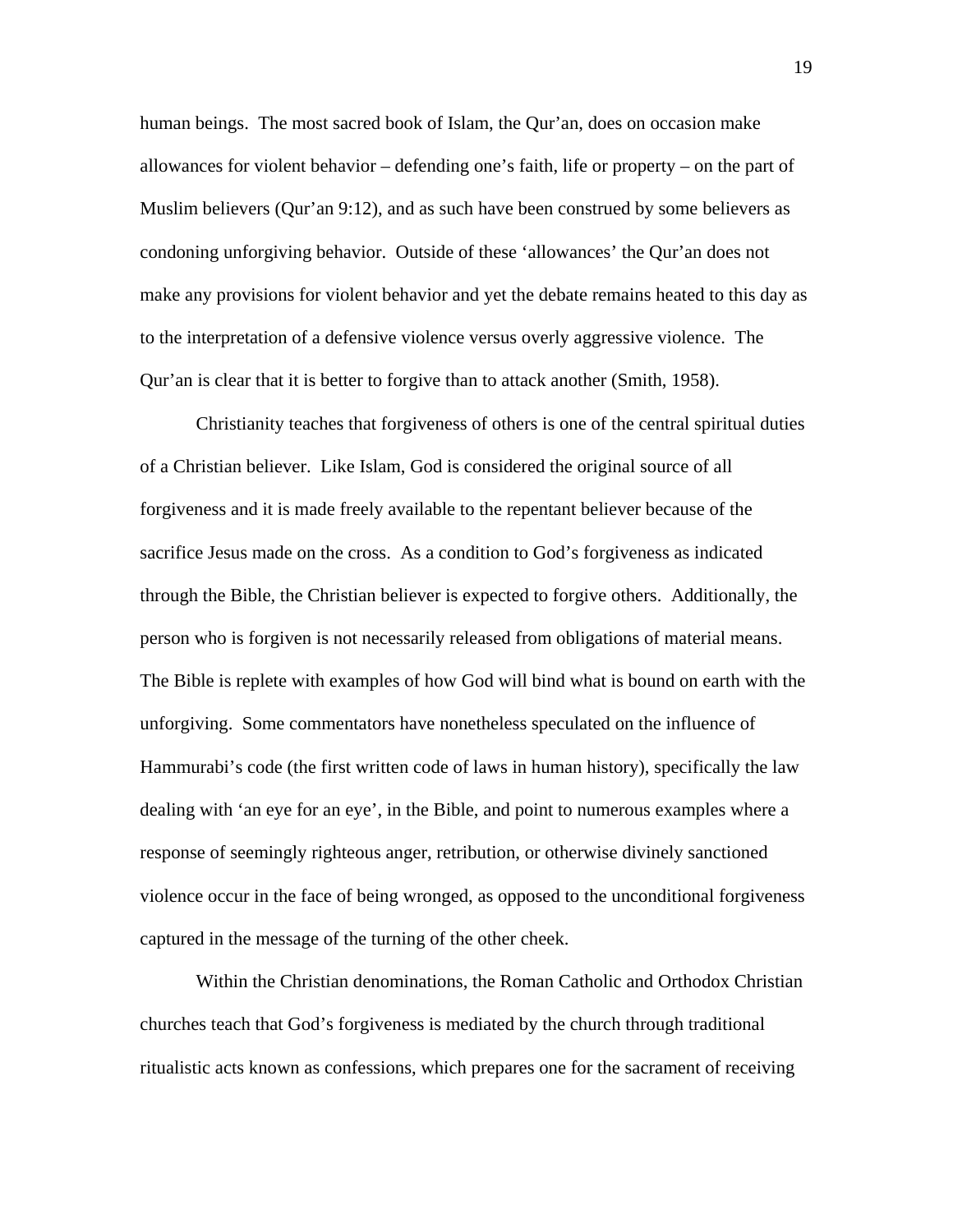human beings. The most sacred book of Islam, the Qur'an, does on occasion make allowances for violent behavior – defending one's faith, life or property – on the part of Muslim believers (Qur'an 9:12), and as such have been construed by some believers as condoning unforgiving behavior. Outside of these 'allowances' the Qur'an does not make any provisions for violent behavior and yet the debate remains heated to this day as to the interpretation of a defensive violence versus overly aggressive violence. The Qur'an is clear that it is better to forgive than to attack another (Smith, 1958).

Christianity teaches that forgiveness of others is one of the central spiritual duties of a Christian believer. Like Islam, God is considered the original source of all forgiveness and it is made freely available to the repentant believer because of the sacrifice Jesus made on the cross. As a condition to God's forgiveness as indicated through the Bible, the Christian believer is expected to forgive others. Additionally, the person who is forgiven is not necessarily released from obligations of material means. The Bible is replete with examples of how God will bind what is bound on earth with the unforgiving. Some commentators have nonetheless speculated on the influence of Hammurabi's code (the first written code of laws in human history), specifically the law dealing with 'an eye for an eye', in the Bible, and point to numerous examples where a response of seemingly righteous anger, retribution, or otherwise divinely sanctioned violence occur in the face of being wronged, as opposed to the unconditional forgiveness captured in the message of the turning of the other cheek.

Within the Christian denominations, the Roman Catholic and Orthodox Christian churches teach that God's forgiveness is mediated by the church through traditional ritualistic acts known as confessions, which prepares one for the sacrament of receiving

19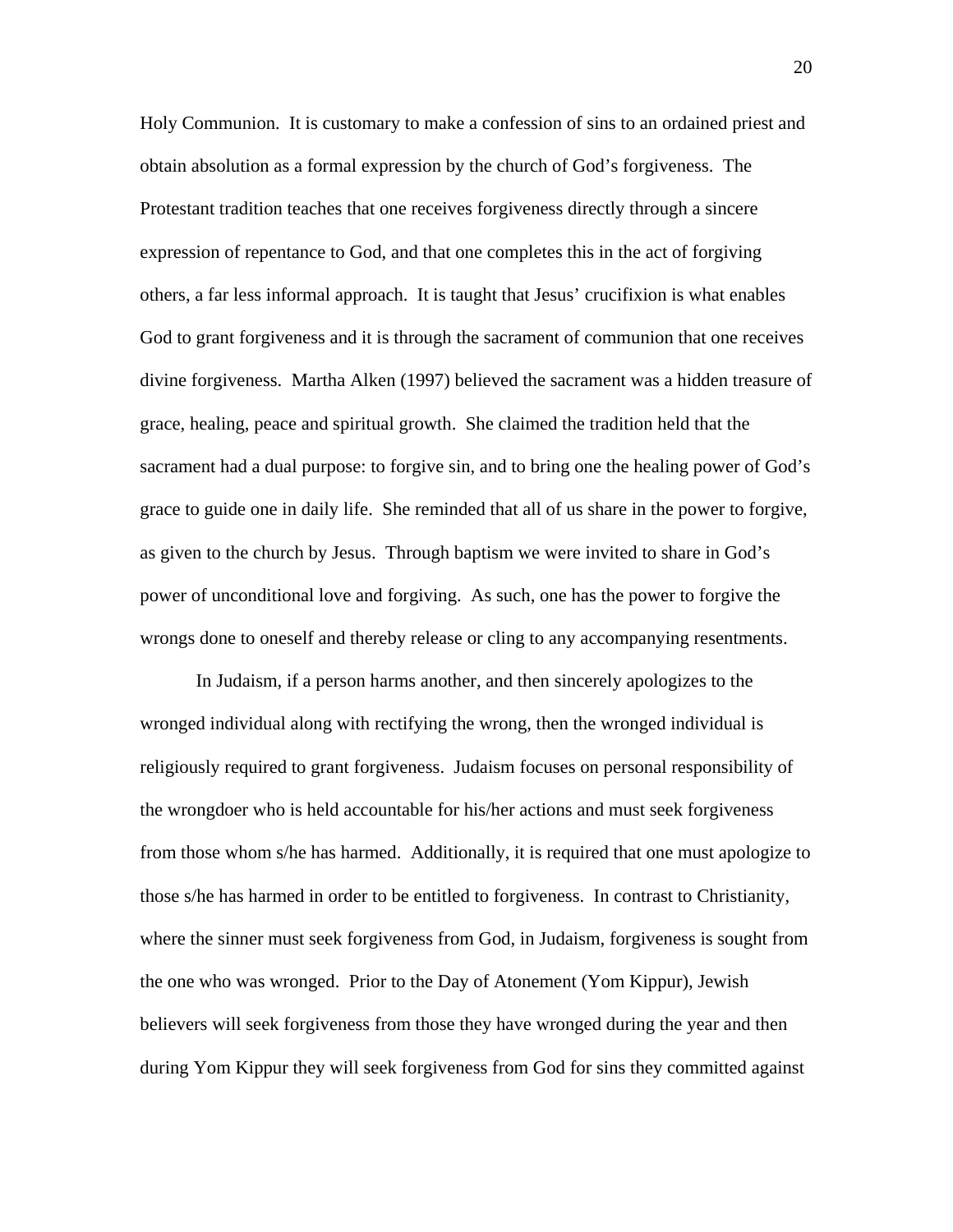Holy Communion. It is customary to make a confession of sins to an ordained priest and obtain absolution as a formal expression by the church of God's forgiveness. The Protestant tradition teaches that one receives forgiveness directly through a sincere expression of repentance to God, and that one completes this in the act of forgiving others, a far less informal approach. It is taught that Jesus' crucifixion is what enables God to grant forgiveness and it is through the sacrament of communion that one receives divine forgiveness. Martha Alken (1997) believed the sacrament was a hidden treasure of grace, healing, peace and spiritual growth. She claimed the tradition held that the sacrament had a dual purpose: to forgive sin, and to bring one the healing power of God's grace to guide one in daily life. She reminded that all of us share in the power to forgive, as given to the church by Jesus. Through baptism we were invited to share in God's power of unconditional love and forgiving. As such, one has the power to forgive the wrongs done to oneself and thereby release or cling to any accompanying resentments.

In Judaism, if a person harms another, and then sincerely apologizes to the wronged individual along with rectifying the wrong, then the wronged individual is religiously required to grant forgiveness. Judaism focuses on personal responsibility of the wrongdoer who is held accountable for his/her actions and must seek forgiveness from those whom s/he has harmed. Additionally, it is required that one must apologize to those s/he has harmed in order to be entitled to forgiveness. In contrast to Christianity, where the sinner must seek forgiveness from God, in Judaism, forgiveness is sought from the one who was wronged. Prior to the Day of Atonement (Yom Kippur), Jewish believers will seek forgiveness from those they have wronged during the year and then during Yom Kippur they will seek forgiveness from God for sins they committed against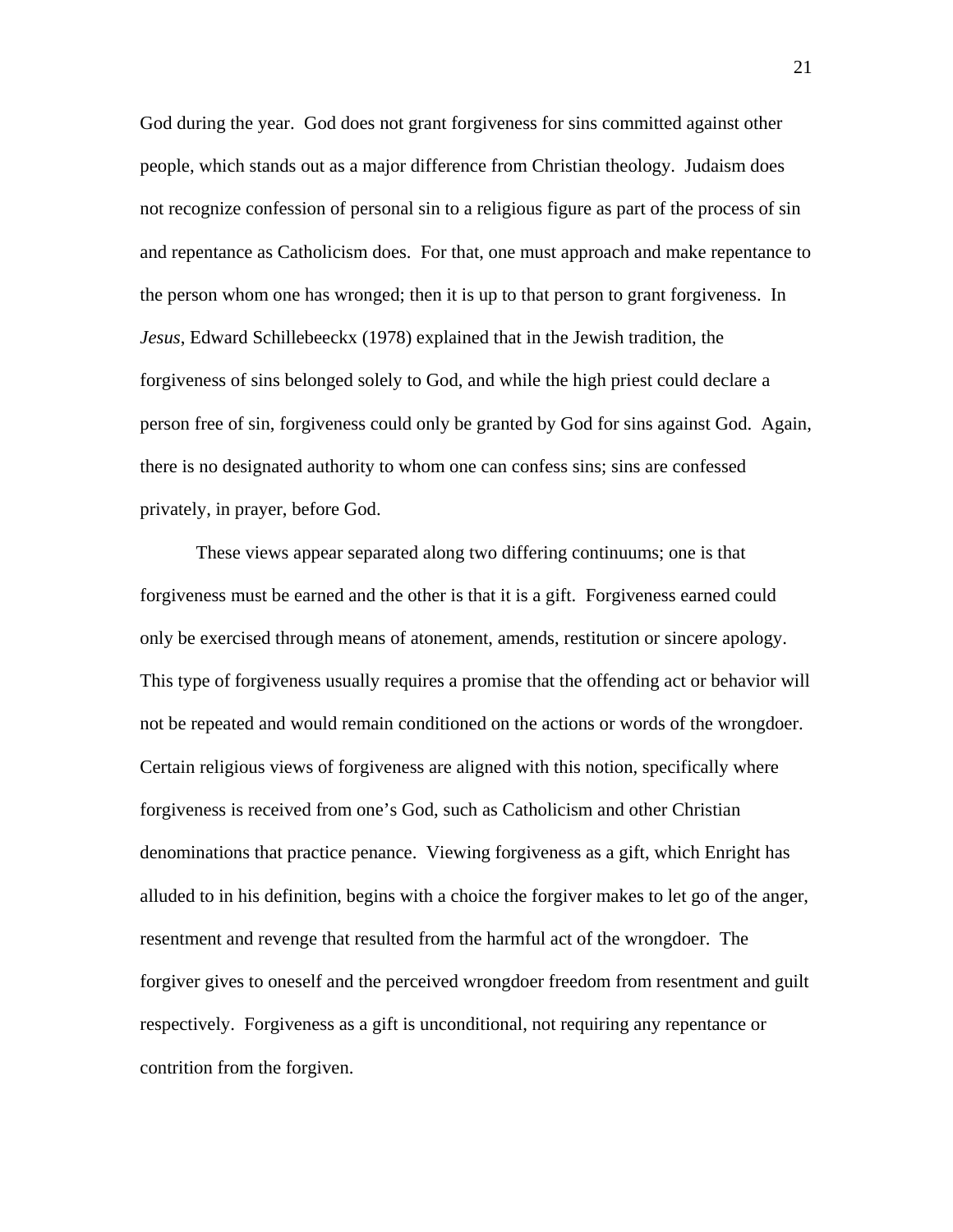God during the year. God does not grant forgiveness for sins committed against other people, which stands out as a major difference from Christian theology. Judaism does not recognize confession of personal sin to a religious figure as part of the process of sin and repentance as Catholicism does. For that, one must approach and make repentance to the person whom one has wronged; then it is up to that person to grant forgiveness. In *Jesus*, Edward Schillebeeckx (1978) explained that in the Jewish tradition, the forgiveness of sins belonged solely to God, and while the high priest could declare a person free of sin, forgiveness could only be granted by God for sins against God. Again, there is no designated authority to whom one can confess sins; sins are confessed privately, in prayer, before God.

These views appear separated along two differing continuums; one is that forgiveness must be earned and the other is that it is a gift. Forgiveness earned could only be exercised through means of atonement, amends, restitution or sincere apology. This type of forgiveness usually requires a promise that the offending act or behavior will not be repeated and would remain conditioned on the actions or words of the wrongdoer. Certain religious views of forgiveness are aligned with this notion, specifically where forgiveness is received from one's God, such as Catholicism and other Christian denominations that practice penance. Viewing forgiveness as a gift, which Enright has alluded to in his definition, begins with a choice the forgiver makes to let go of the anger, resentment and revenge that resulted from the harmful act of the wrongdoer. The forgiver gives to oneself and the perceived wrongdoer freedom from resentment and guilt respectively. Forgiveness as a gift is unconditional, not requiring any repentance or contrition from the forgiven.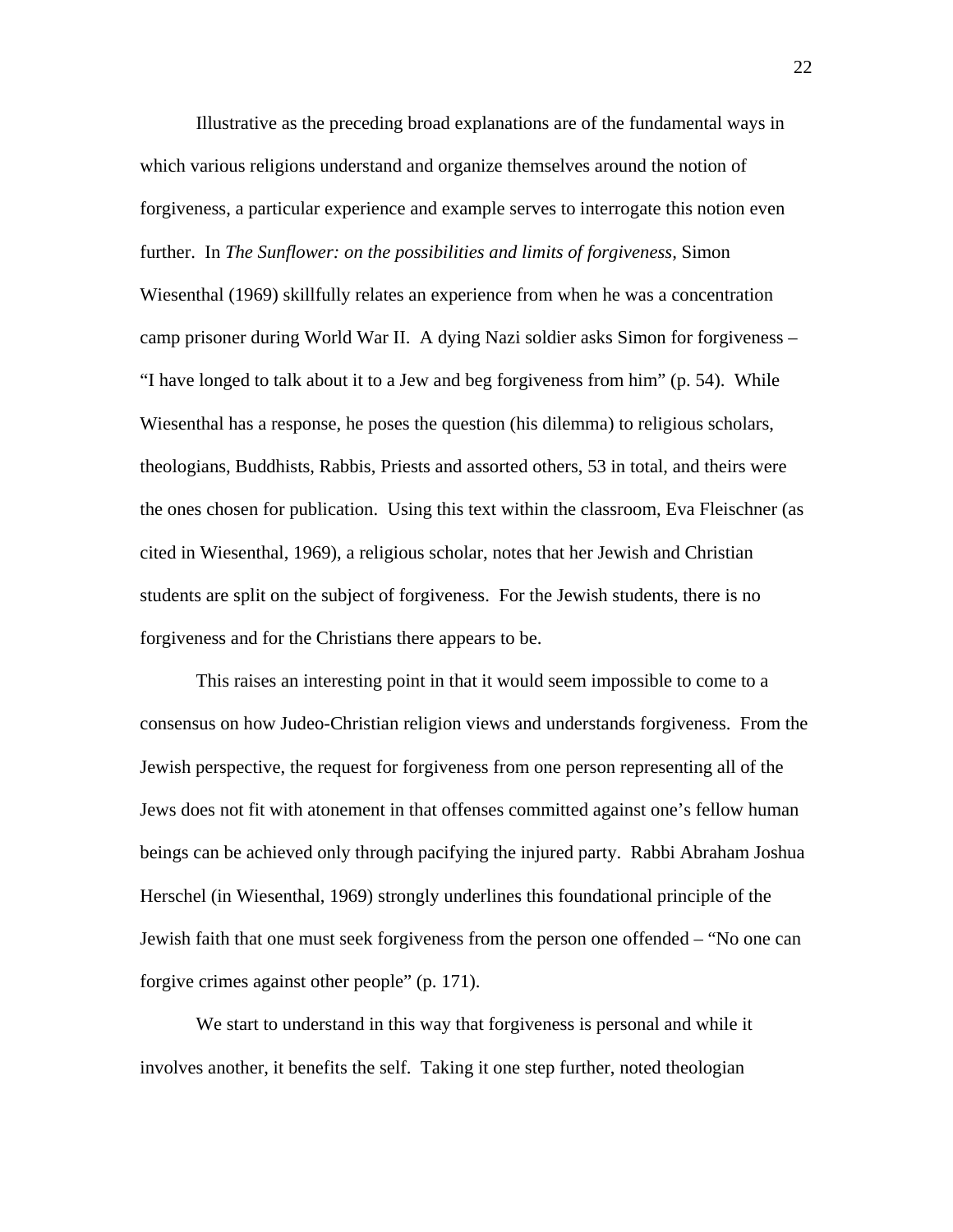Illustrative as the preceding broad explanations are of the fundamental ways in which various religions understand and organize themselves around the notion of forgiveness, a particular experience and example serves to interrogate this notion even further. In *The Sunflower: on the possibilities and limits of forgiveness,* Simon Wiesenthal (1969) skillfully relates an experience from when he was a concentration camp prisoner during World War II. A dying Nazi soldier asks Simon for forgiveness – "I have longed to talk about it to a Jew and beg forgiveness from him" (p. 54). While Wiesenthal has a response, he poses the question (his dilemma) to religious scholars, theologians, Buddhists, Rabbis, Priests and assorted others, 53 in total, and theirs were the ones chosen for publication. Using this text within the classroom, Eva Fleischner (as cited in Wiesenthal, 1969), a religious scholar, notes that her Jewish and Christian students are split on the subject of forgiveness. For the Jewish students, there is no forgiveness and for the Christians there appears to be.

This raises an interesting point in that it would seem impossible to come to a consensus on how Judeo-Christian religion views and understands forgiveness. From the Jewish perspective, the request for forgiveness from one person representing all of the Jews does not fit with atonement in that offenses committed against one's fellow human beings can be achieved only through pacifying the injured party. Rabbi Abraham Joshua Herschel (in Wiesenthal, 1969) strongly underlines this foundational principle of the Jewish faith that one must seek forgiveness from the person one offended – "No one can forgive crimes against other people" (p. 171).

We start to understand in this way that forgiveness is personal and while it involves another, it benefits the self. Taking it one step further, noted theologian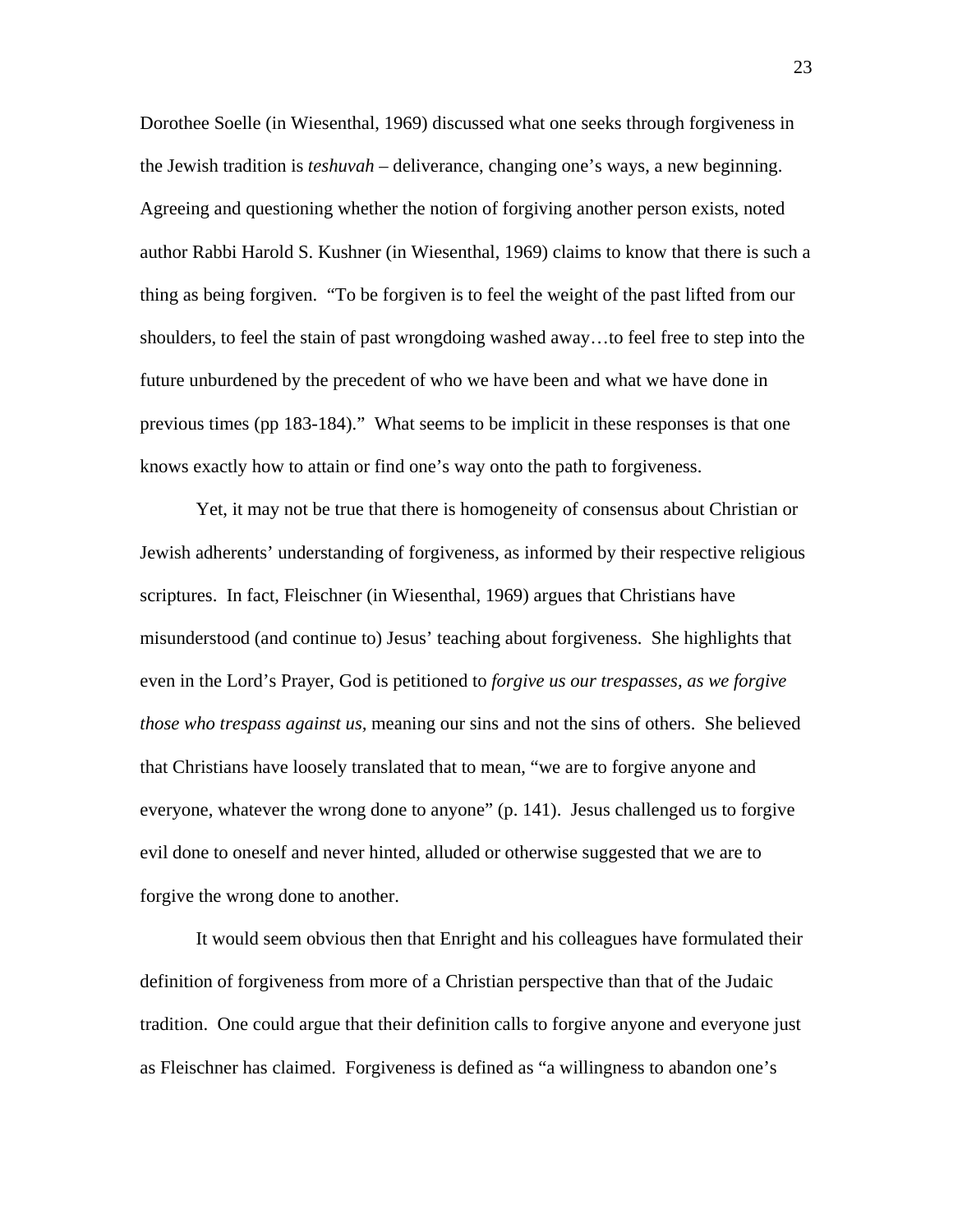Dorothee Soelle (in Wiesenthal, 1969) discussed what one seeks through forgiveness in the Jewish tradition is *teshuvah* – deliverance, changing one's ways, a new beginning. Agreeing and questioning whether the notion of forgiving another person exists, noted author Rabbi Harold S. Kushner (in Wiesenthal, 1969) claims to know that there is such a thing as being forgiven. "To be forgiven is to feel the weight of the past lifted from our shoulders, to feel the stain of past wrongdoing washed away…to feel free to step into the future unburdened by the precedent of who we have been and what we have done in previous times (pp 183-184)." What seems to be implicit in these responses is that one knows exactly how to attain or find one's way onto the path to forgiveness.

Yet, it may not be true that there is homogeneity of consensus about Christian or Jewish adherents' understanding of forgiveness, as informed by their respective religious scriptures. In fact, Fleischner (in Wiesenthal, 1969) argues that Christians have misunderstood (and continue to) Jesus' teaching about forgiveness. She highlights that even in the Lord's Prayer, God is petitioned to *forgive us our trespasses, as we forgive those who trespass against us,* meaning our sins and not the sins of others. She believed that Christians have loosely translated that to mean, "we are to forgive anyone and everyone, whatever the wrong done to anyone" (p. 141). Jesus challenged us to forgive evil done to oneself and never hinted, alluded or otherwise suggested that we are to forgive the wrong done to another.

It would seem obvious then that Enright and his colleagues have formulated their definition of forgiveness from more of a Christian perspective than that of the Judaic tradition. One could argue that their definition calls to forgive anyone and everyone just as Fleischner has claimed. Forgiveness is defined as "a willingness to abandon one's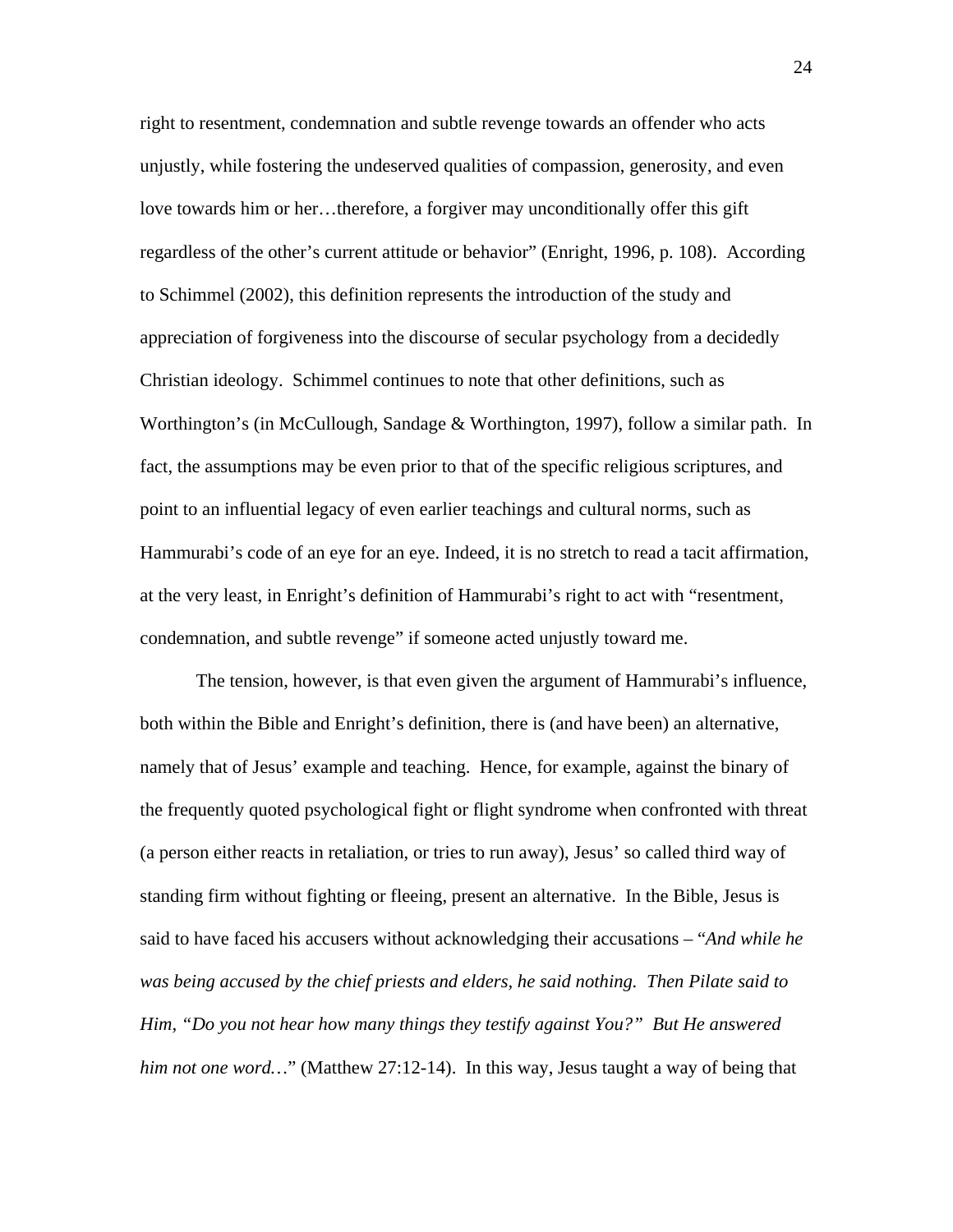right to resentment, condemnation and subtle revenge towards an offender who acts unjustly, while fostering the undeserved qualities of compassion, generosity, and even love towards him or her…therefore, a forgiver may unconditionally offer this gift regardless of the other's current attitude or behavior" (Enright, 1996, p. 108). According to Schimmel (2002), this definition represents the introduction of the study and appreciation of forgiveness into the discourse of secular psychology from a decidedly Christian ideology. Schimmel continues to note that other definitions, such as Worthington's (in McCullough, Sandage & Worthington, 1997), follow a similar path. In fact, the assumptions may be even prior to that of the specific religious scriptures, and point to an influential legacy of even earlier teachings and cultural norms, such as Hammurabi's code of an eye for an eye. Indeed, it is no stretch to read a tacit affirmation, at the very least, in Enright's definition of Hammurabi's right to act with "resentment, condemnation, and subtle revenge" if someone acted unjustly toward me.

The tension, however, is that even given the argument of Hammurabi's influence, both within the Bible and Enright's definition, there is (and have been) an alternative, namely that of Jesus' example and teaching. Hence, for example, against the binary of the frequently quoted psychological fight or flight syndrome when confronted with threat (a person either reacts in retaliation, or tries to run away), Jesus' so called third way of standing firm without fighting or fleeing, present an alternative. In the Bible, Jesus is said to have faced his accusers without acknowledging their accusations – "*And while he was being accused by the chief priests and elders, he said nothing. Then Pilate said to Him, "Do you not hear how many things they testify against You?" But He answered him not one word…*" (Matthew 27:12-14). In this way, Jesus taught a way of being that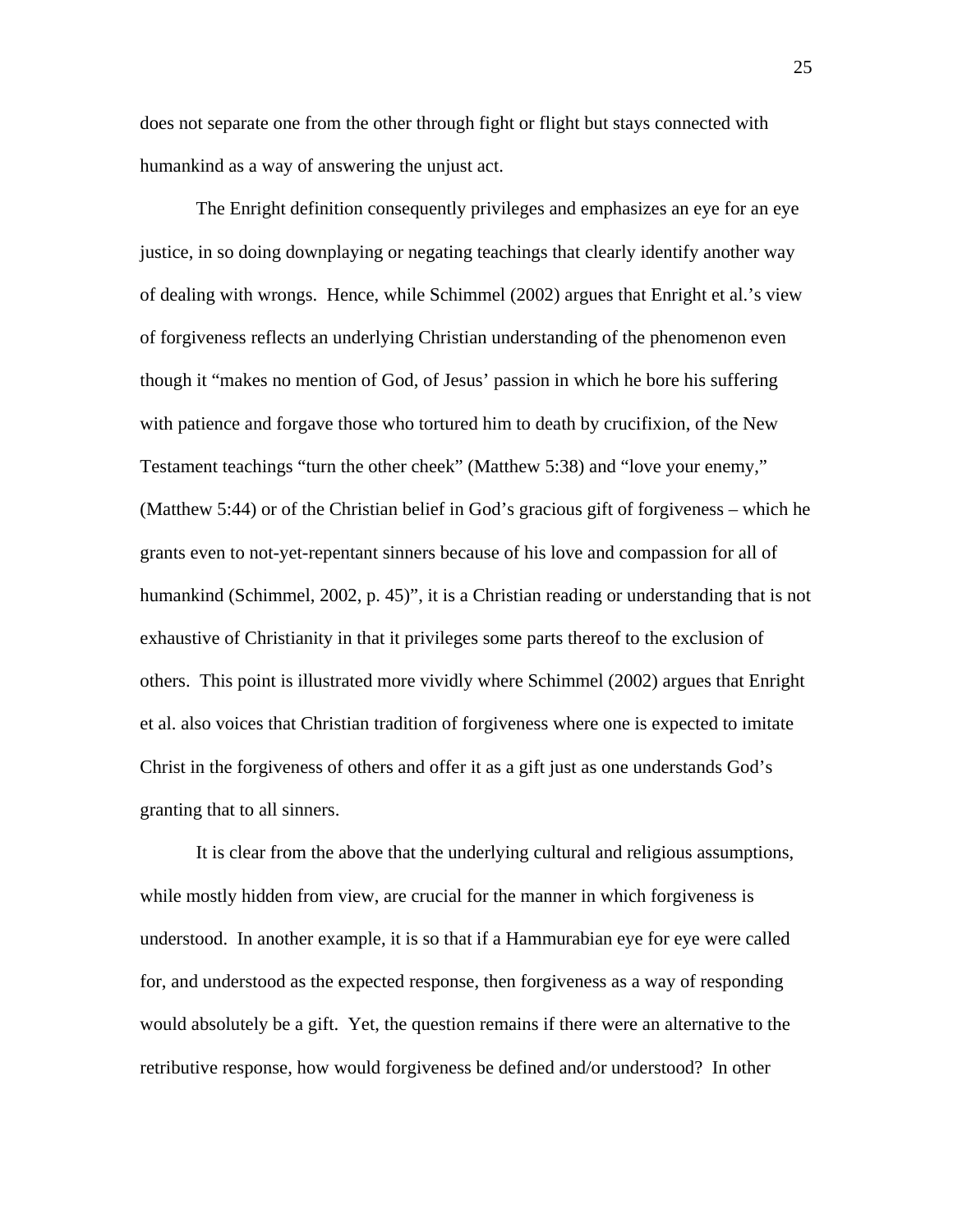does not separate one from the other through fight or flight but stays connected with humankind as a way of answering the unjust act.

The Enright definition consequently privileges and emphasizes an eye for an eye justice, in so doing downplaying or negating teachings that clearly identify another way of dealing with wrongs. Hence, while Schimmel (2002) argues that Enright et al.'s view of forgiveness reflects an underlying Christian understanding of the phenomenon even though it "makes no mention of God, of Jesus' passion in which he bore his suffering with patience and forgave those who tortured him to death by crucifixion, of the New Testament teachings "turn the other cheek" (Matthew 5:38) and "love your enemy," (Matthew 5:44) or of the Christian belief in God's gracious gift of forgiveness – which he grants even to not-yet-repentant sinners because of his love and compassion for all of humankind (Schimmel, 2002, p. 45)", it is a Christian reading or understanding that is not exhaustive of Christianity in that it privileges some parts thereof to the exclusion of others. This point is illustrated more vividly where Schimmel (2002) argues that Enright et al. also voices that Christian tradition of forgiveness where one is expected to imitate Christ in the forgiveness of others and offer it as a gift just as one understands God's granting that to all sinners.

It is clear from the above that the underlying cultural and religious assumptions, while mostly hidden from view, are crucial for the manner in which forgiveness is understood. In another example, it is so that if a Hammurabian eye for eye were called for, and understood as the expected response, then forgiveness as a way of responding would absolutely be a gift. Yet, the question remains if there were an alternative to the retributive response, how would forgiveness be defined and/or understood? In other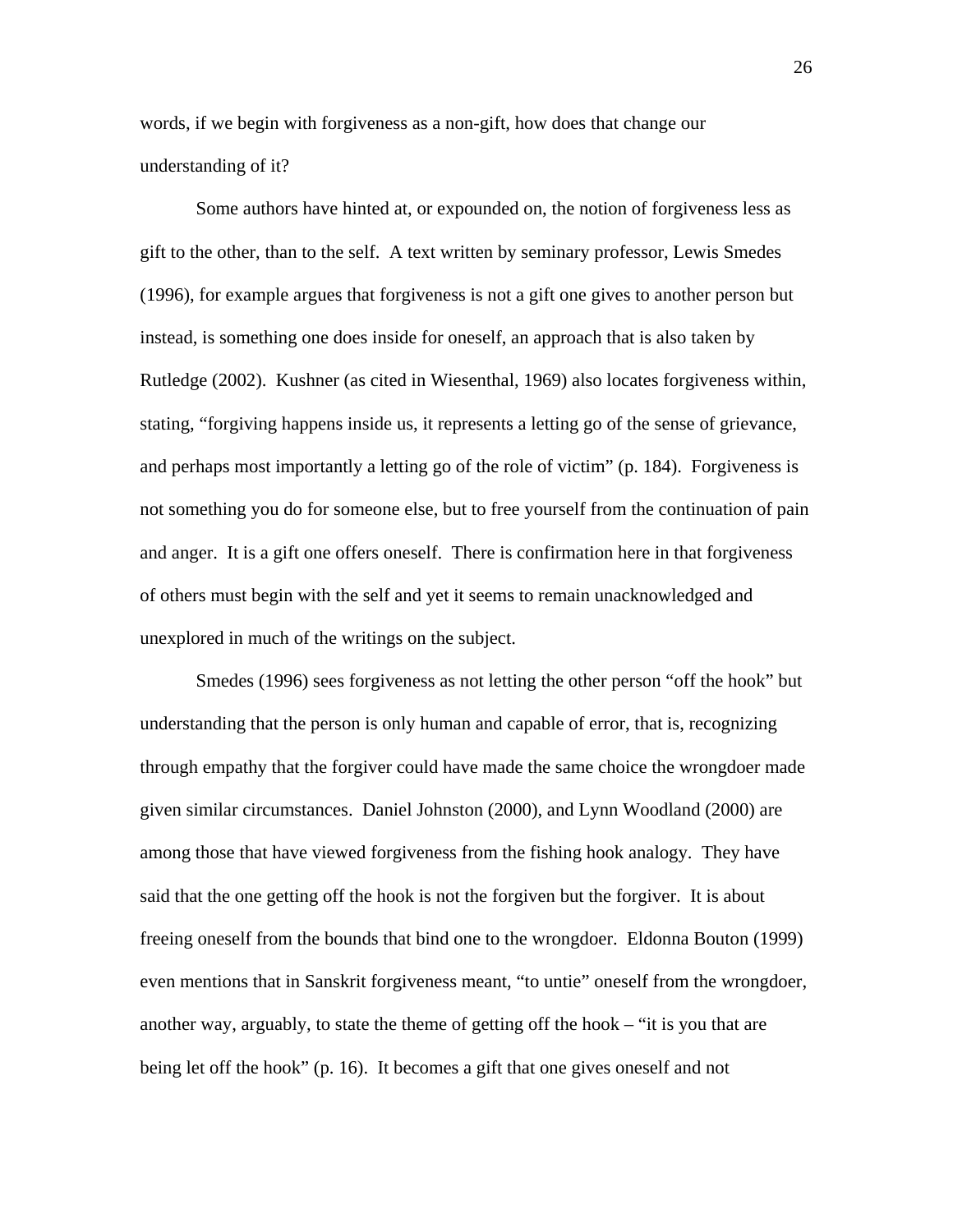words, if we begin with forgiveness as a non-gift, how does that change our understanding of it?

Some authors have hinted at, or expounded on, the notion of forgiveness less as gift to the other, than to the self. A text written by seminary professor, Lewis Smedes (1996), for example argues that forgiveness is not a gift one gives to another person but instead, is something one does inside for oneself, an approach that is also taken by Rutledge (2002). Kushner (as cited in Wiesenthal, 1969) also locates forgiveness within, stating, "forgiving happens inside us, it represents a letting go of the sense of grievance, and perhaps most importantly a letting go of the role of victim" (p. 184). Forgiveness is not something you do for someone else, but to free yourself from the continuation of pain and anger. It is a gift one offers oneself. There is confirmation here in that forgiveness of others must begin with the self and yet it seems to remain unacknowledged and unexplored in much of the writings on the subject.

Smedes (1996) sees forgiveness as not letting the other person "off the hook" but understanding that the person is only human and capable of error, that is, recognizing through empathy that the forgiver could have made the same choice the wrongdoer made given similar circumstances. Daniel Johnston (2000), and Lynn Woodland (2000) are among those that have viewed forgiveness from the fishing hook analogy. They have said that the one getting off the hook is not the forgiven but the forgiver. It is about freeing oneself from the bounds that bind one to the wrongdoer. Eldonna Bouton (1999) even mentions that in Sanskrit forgiveness meant, "to untie" oneself from the wrongdoer, another way, arguably, to state the theme of getting off the hook – "it is you that are being let off the hook" (p. 16). It becomes a gift that one gives oneself and not

26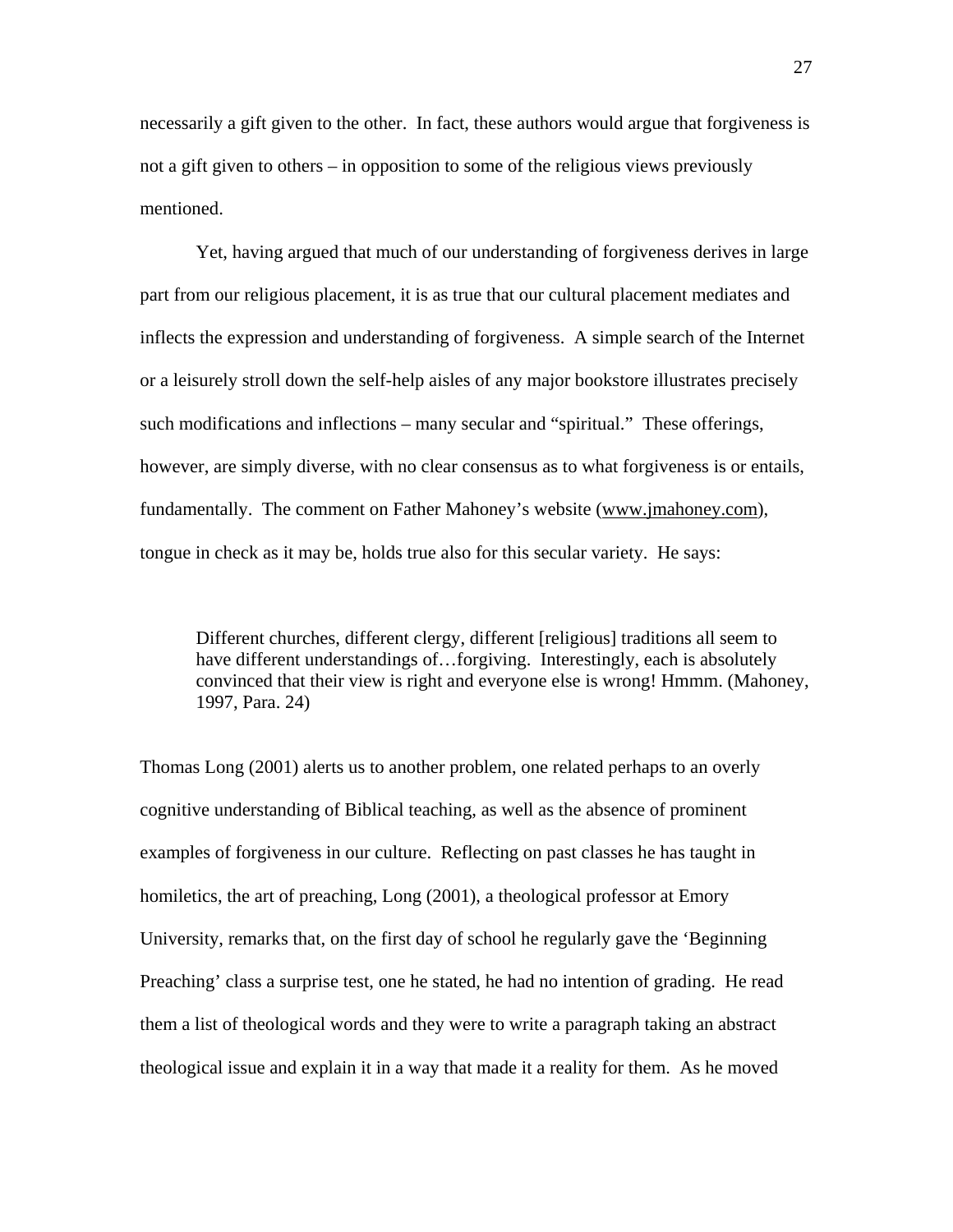necessarily a gift given to the other. In fact, these authors would argue that forgiveness is not a gift given to others – in opposition to some of the religious views previously mentioned.

Yet, having argued that much of our understanding of forgiveness derives in large part from our religious placement, it is as true that our cultural placement mediates and inflects the expression and understanding of forgiveness. A simple search of the Internet or a leisurely stroll down the self-help aisles of any major bookstore illustrates precisely such modifications and inflections – many secular and "spiritual." These offerings, however, are simply diverse, with no clear consensus as to what forgiveness is or entails, fundamentally. The comment on Father Mahoney's website (www.jmahoney.com), tongue in check as it may be, holds true also for this secular variety. He says:

Different churches, different clergy, different [religious] traditions all seem to have different understandings of...forgiving. Interestingly, each is absolutely convinced that their view is right and everyone else is wrong! Hmmm. (Mahoney, 1997, Para. 24)

Thomas Long (2001) alerts us to another problem, one related perhaps to an overly cognitive understanding of Biblical teaching, as well as the absence of prominent examples of forgiveness in our culture. Reflecting on past classes he has taught in homiletics, the art of preaching, Long (2001), a theological professor at Emory University, remarks that, on the first day of school he regularly gave the 'Beginning Preaching' class a surprise test, one he stated, he had no intention of grading. He read them a list of theological words and they were to write a paragraph taking an abstract theological issue and explain it in a way that made it a reality for them. As he moved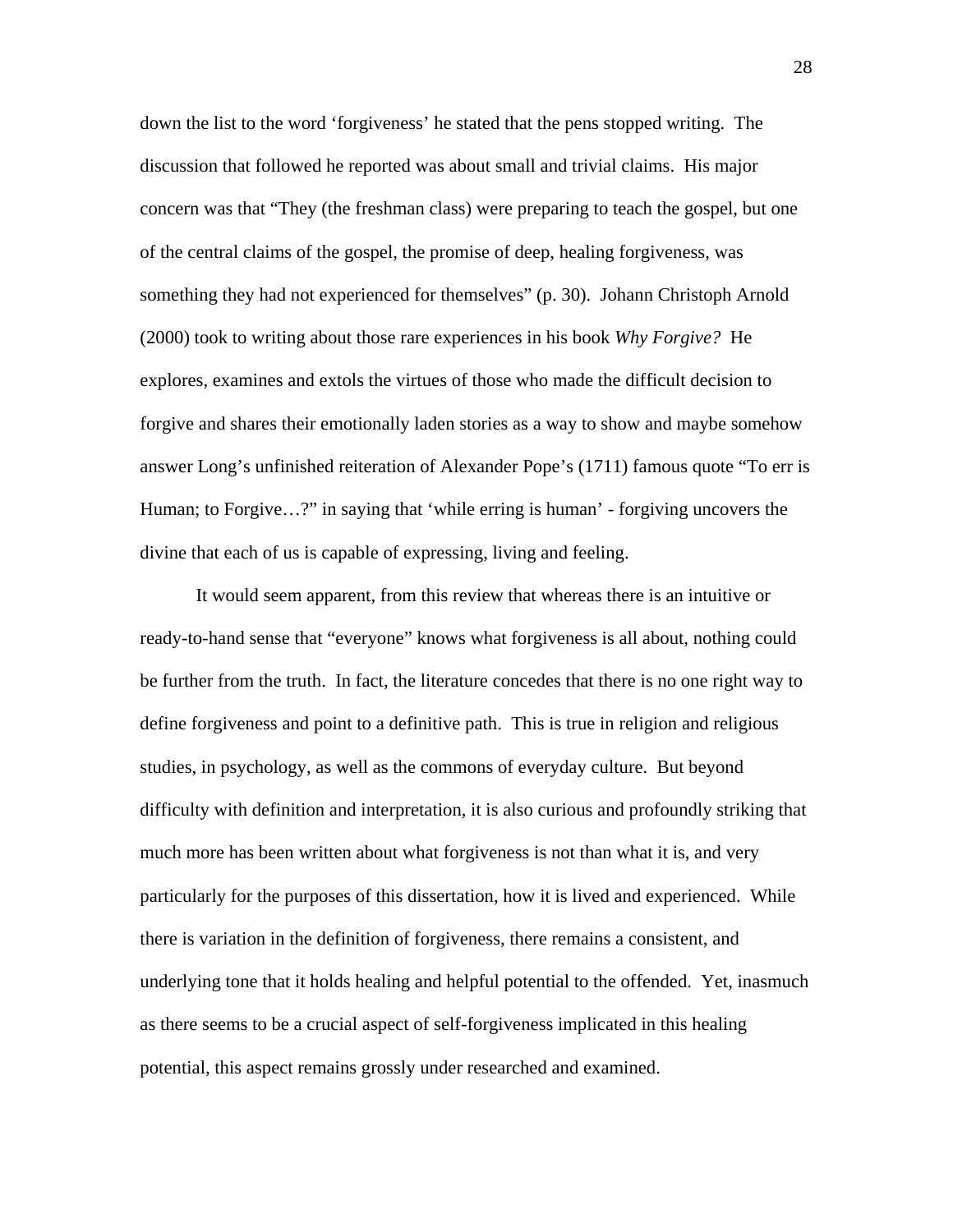down the list to the word 'forgiveness' he stated that the pens stopped writing. The discussion that followed he reported was about small and trivial claims. His major concern was that "They (the freshman class) were preparing to teach the gospel, but one of the central claims of the gospel, the promise of deep, healing forgiveness, was something they had not experienced for themselves" (p. 30). Johann Christoph Arnold (2000) took to writing about those rare experiences in his book *Why Forgive?* He explores, examines and extols the virtues of those who made the difficult decision to forgive and shares their emotionally laden stories as a way to show and maybe somehow answer Long's unfinished reiteration of Alexander Pope's (1711) famous quote "To err is Human; to Forgive…?" in saying that 'while erring is human' - forgiving uncovers the divine that each of us is capable of expressing, living and feeling.

It would seem apparent, from this review that whereas there is an intuitive or ready-to-hand sense that "everyone" knows what forgiveness is all about, nothing could be further from the truth. In fact, the literature concedes that there is no one right way to define forgiveness and point to a definitive path. This is true in religion and religious studies, in psychology, as well as the commons of everyday culture. But beyond difficulty with definition and interpretation, it is also curious and profoundly striking that much more has been written about what forgiveness is not than what it is, and very particularly for the purposes of this dissertation, how it is lived and experienced. While there is variation in the definition of forgiveness, there remains a consistent, and underlying tone that it holds healing and helpful potential to the offended. Yet, inasmuch as there seems to be a crucial aspect of self-forgiveness implicated in this healing potential, this aspect remains grossly under researched and examined.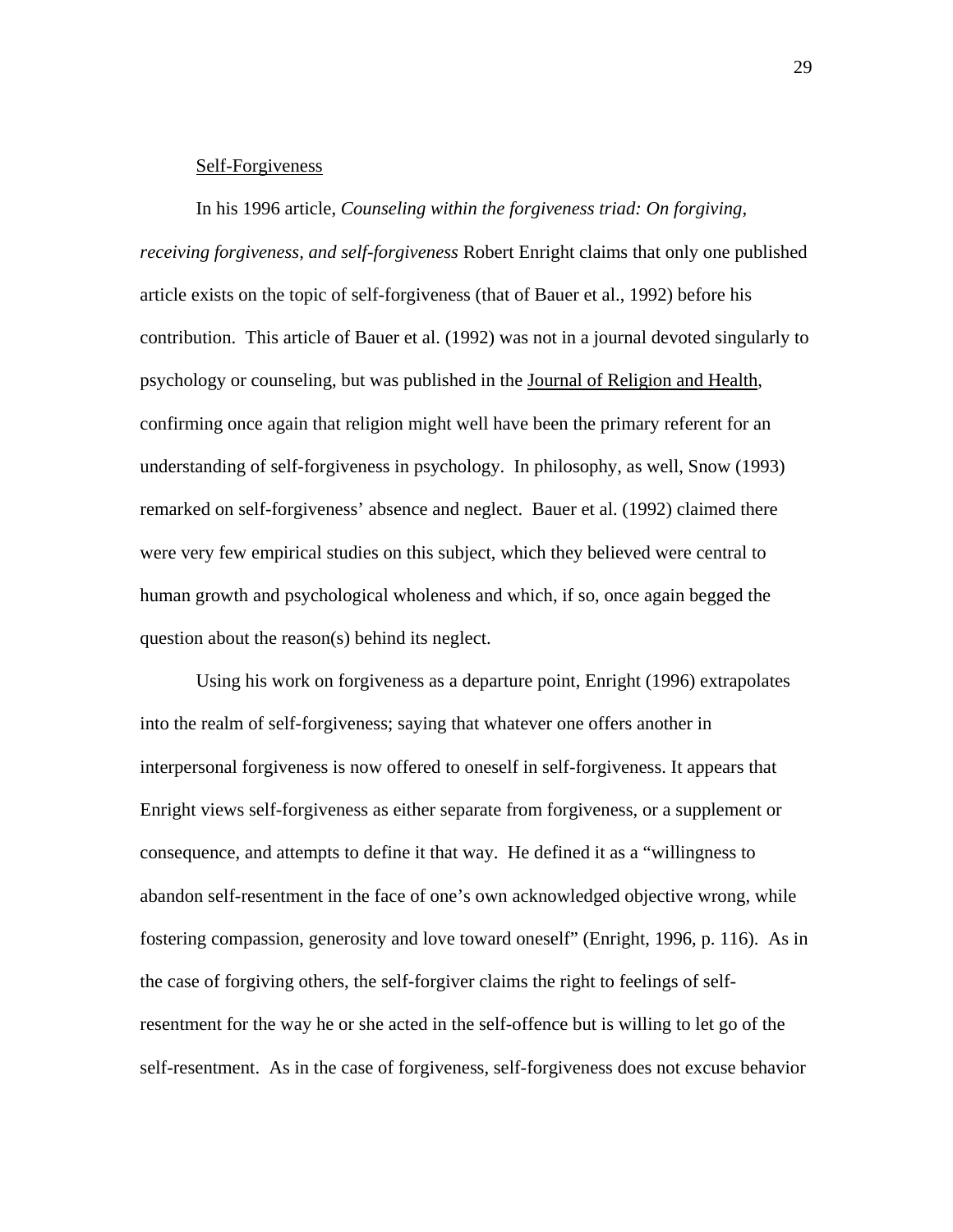#### Self-Forgiveness

In his 1996 article, *Counseling within the forgiveness triad: On forgiving, receiving forgiveness, and self-forgiveness* Robert Enright claims that only one published article exists on the topic of self-forgiveness (that of Bauer et al., 1992) before his contribution. This article of Bauer et al. (1992) was not in a journal devoted singularly to psychology or counseling, but was published in the Journal of Religion and Health, confirming once again that religion might well have been the primary referent for an understanding of self-forgiveness in psychology. In philosophy, as well, Snow (1993) remarked on self-forgiveness' absence and neglect. Bauer et al. (1992) claimed there were very few empirical studies on this subject, which they believed were central to human growth and psychological wholeness and which, if so, once again begged the question about the reason(s) behind its neglect.

Using his work on forgiveness as a departure point, Enright (1996) extrapolates into the realm of self-forgiveness; saying that whatever one offers another in interpersonal forgiveness is now offered to oneself in self-forgiveness. It appears that Enright views self-forgiveness as either separate from forgiveness, or a supplement or consequence, and attempts to define it that way. He defined it as a "willingness to abandon self-resentment in the face of one's own acknowledged objective wrong, while fostering compassion, generosity and love toward oneself" (Enright, 1996, p. 116). As in the case of forgiving others, the self-forgiver claims the right to feelings of selfresentment for the way he or she acted in the self-offence but is willing to let go of the self-resentment. As in the case of forgiveness, self-forgiveness does not excuse behavior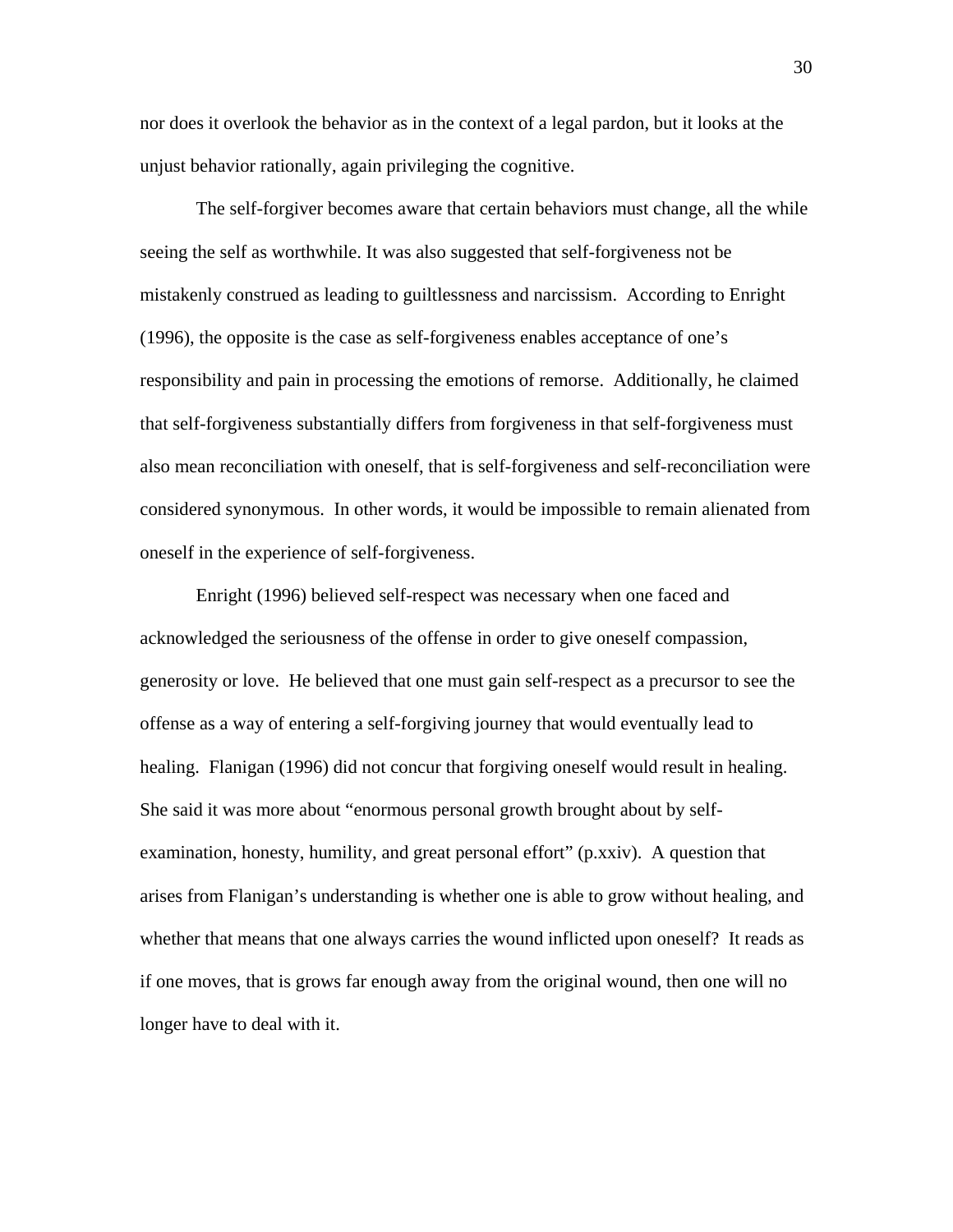nor does it overlook the behavior as in the context of a legal pardon, but it looks at the unjust behavior rationally, again privileging the cognitive.

The self-forgiver becomes aware that certain behaviors must change, all the while seeing the self as worthwhile. It was also suggested that self-forgiveness not be mistakenly construed as leading to guiltlessness and narcissism. According to Enright (1996), the opposite is the case as self-forgiveness enables acceptance of one's responsibility and pain in processing the emotions of remorse. Additionally, he claimed that self-forgiveness substantially differs from forgiveness in that self-forgiveness must also mean reconciliation with oneself, that is self-forgiveness and self-reconciliation were considered synonymous. In other words, it would be impossible to remain alienated from oneself in the experience of self-forgiveness.

Enright (1996) believed self-respect was necessary when one faced and acknowledged the seriousness of the offense in order to give oneself compassion, generosity or love. He believed that one must gain self-respect as a precursor to see the offense as a way of entering a self-forgiving journey that would eventually lead to healing. Flanigan (1996) did not concur that forgiving oneself would result in healing. She said it was more about "enormous personal growth brought about by selfexamination, honesty, humility, and great personal effort" (p.xxiv). A question that arises from Flanigan's understanding is whether one is able to grow without healing, and whether that means that one always carries the wound inflicted upon oneself? It reads as if one moves, that is grows far enough away from the original wound, then one will no longer have to deal with it.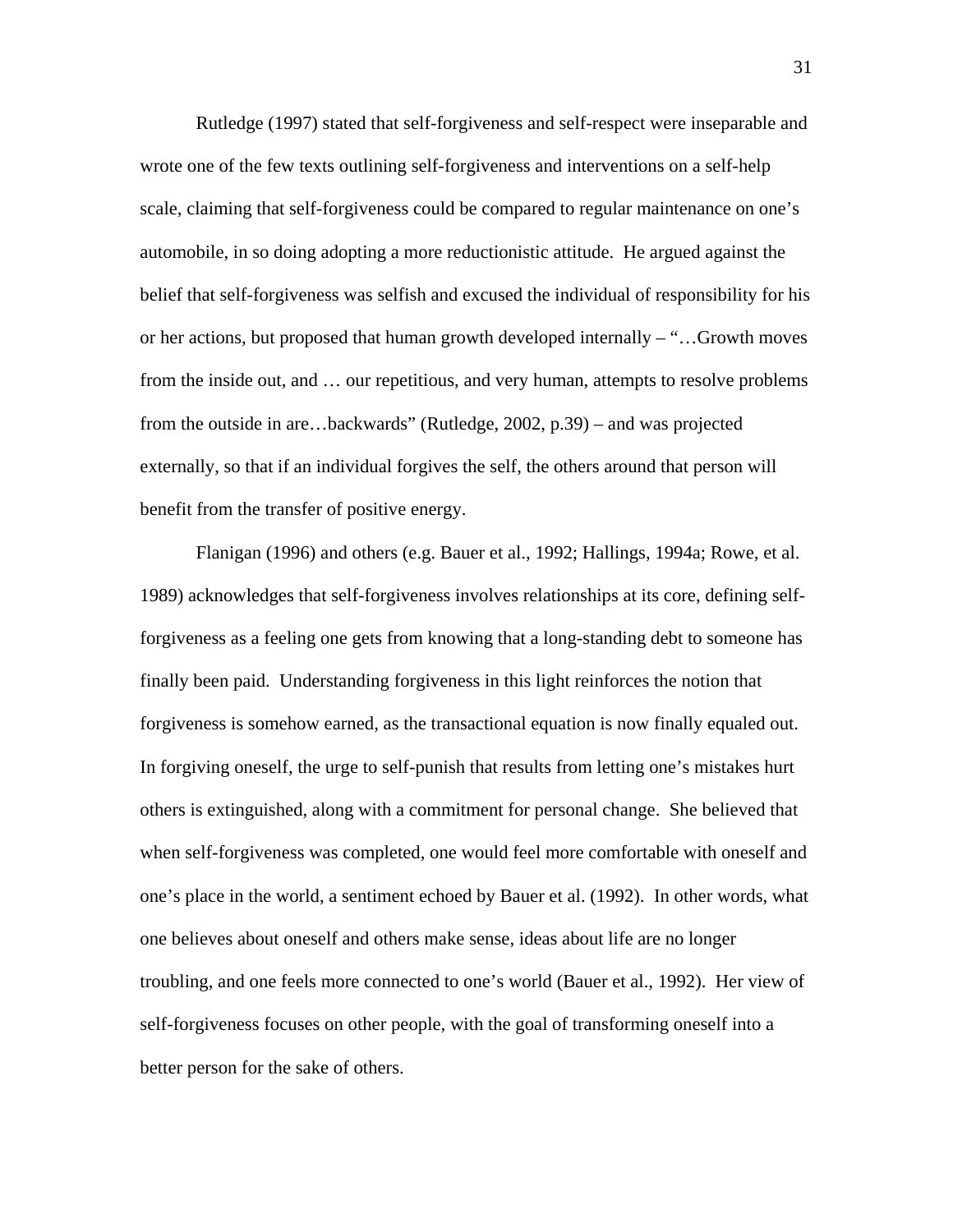Rutledge (1997) stated that self-forgiveness and self-respect were inseparable and wrote one of the few texts outlining self-forgiveness and interventions on a self-help scale, claiming that self-forgiveness could be compared to regular maintenance on one's automobile, in so doing adopting a more reductionistic attitude. He argued against the belief that self-forgiveness was selfish and excused the individual of responsibility for his or her actions, but proposed that human growth developed internally – "…Growth moves from the inside out, and … our repetitious, and very human, attempts to resolve problems from the outside in are…backwards" (Rutledge, 2002, p.39) – and was projected externally, so that if an individual forgives the self, the others around that person will benefit from the transfer of positive energy.

Flanigan (1996) and others (e.g. Bauer et al., 1992; Hallings, 1994a; Rowe, et al. 1989) acknowledges that self-forgiveness involves relationships at its core, defining selfforgiveness as a feeling one gets from knowing that a long-standing debt to someone has finally been paid. Understanding forgiveness in this light reinforces the notion that forgiveness is somehow earned, as the transactional equation is now finally equaled out. In forgiving oneself, the urge to self-punish that results from letting one's mistakes hurt others is extinguished, along with a commitment for personal change. She believed that when self-forgiveness was completed, one would feel more comfortable with oneself and one's place in the world, a sentiment echoed by Bauer et al. (1992). In other words, what one believes about oneself and others make sense, ideas about life are no longer troubling, and one feels more connected to one's world (Bauer et al., 1992). Her view of self-forgiveness focuses on other people, with the goal of transforming oneself into a better person for the sake of others.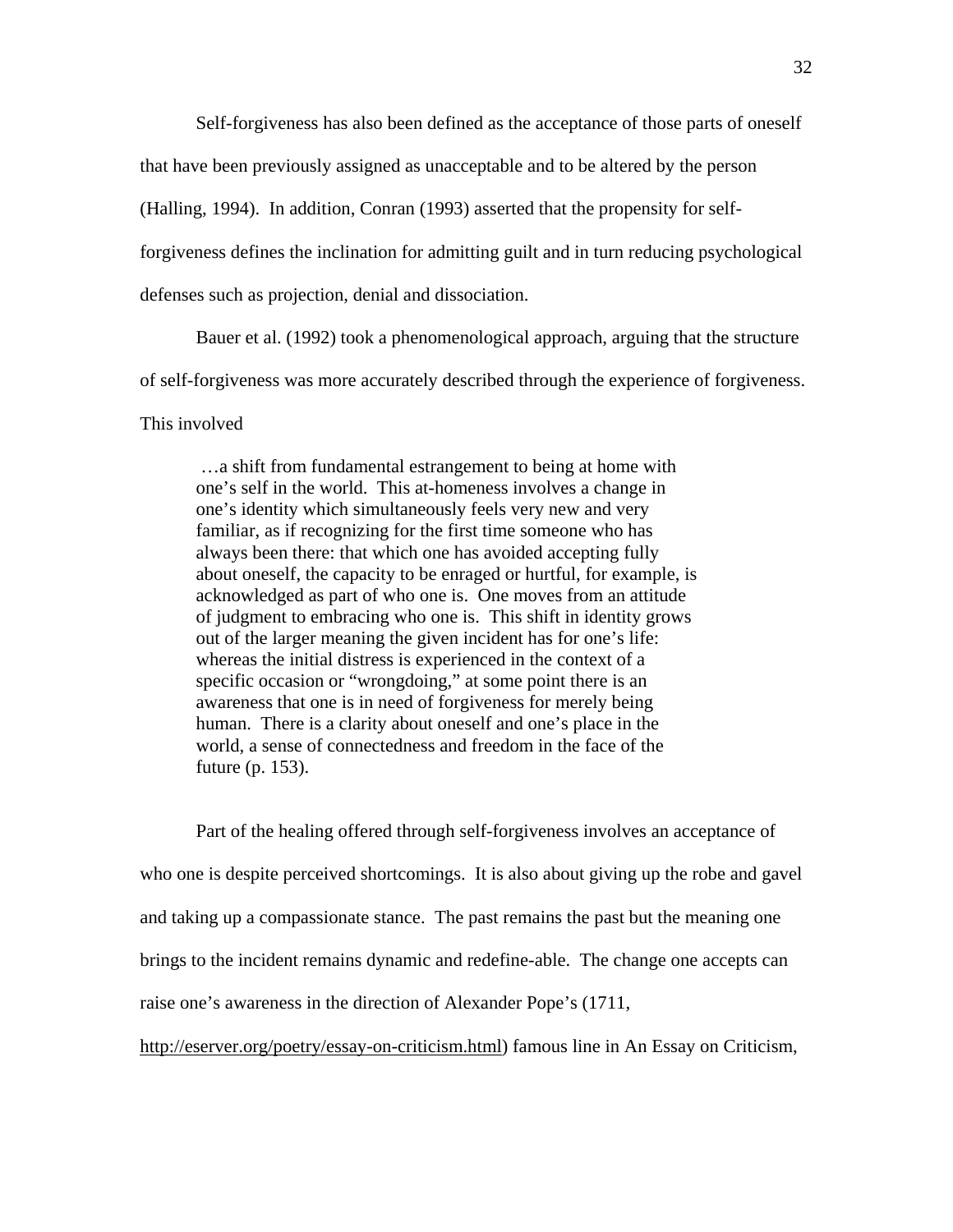Self-forgiveness has also been defined as the acceptance of those parts of oneself

that have been previously assigned as unacceptable and to be altered by the person

(Halling, 1994). In addition, Conran (1993) asserted that the propensity for self-

forgiveness defines the inclination for admitting guilt and in turn reducing psychological

defenses such as projection, denial and dissociation.

Bauer et al. (1992) took a phenomenological approach, arguing that the structure

of self-forgiveness was more accurately described through the experience of forgiveness.

This involved

 …a shift from fundamental estrangement to being at home with one's self in the world. This at-homeness involves a change in one's identity which simultaneously feels very new and very familiar, as if recognizing for the first time someone who has always been there: that which one has avoided accepting fully about oneself, the capacity to be enraged or hurtful, for example, is acknowledged as part of who one is. One moves from an attitude of judgment to embracing who one is. This shift in identity grows out of the larger meaning the given incident has for one's life: whereas the initial distress is experienced in the context of a specific occasion or "wrongdoing," at some point there is an awareness that one is in need of forgiveness for merely being human. There is a clarity about oneself and one's place in the world, a sense of connectedness and freedom in the face of the future (p. 153).

Part of the healing offered through self-forgiveness involves an acceptance of who one is despite perceived shortcomings. It is also about giving up the robe and gavel and taking up a compassionate stance. The past remains the past but the meaning one brings to the incident remains dynamic and redefine-able. The change one accepts can raise one's awareness in the direction of Alexander Pope's (1711,

http://eserver.org/poetry/essay-on-criticism.html) famous line in An Essay on Criticism,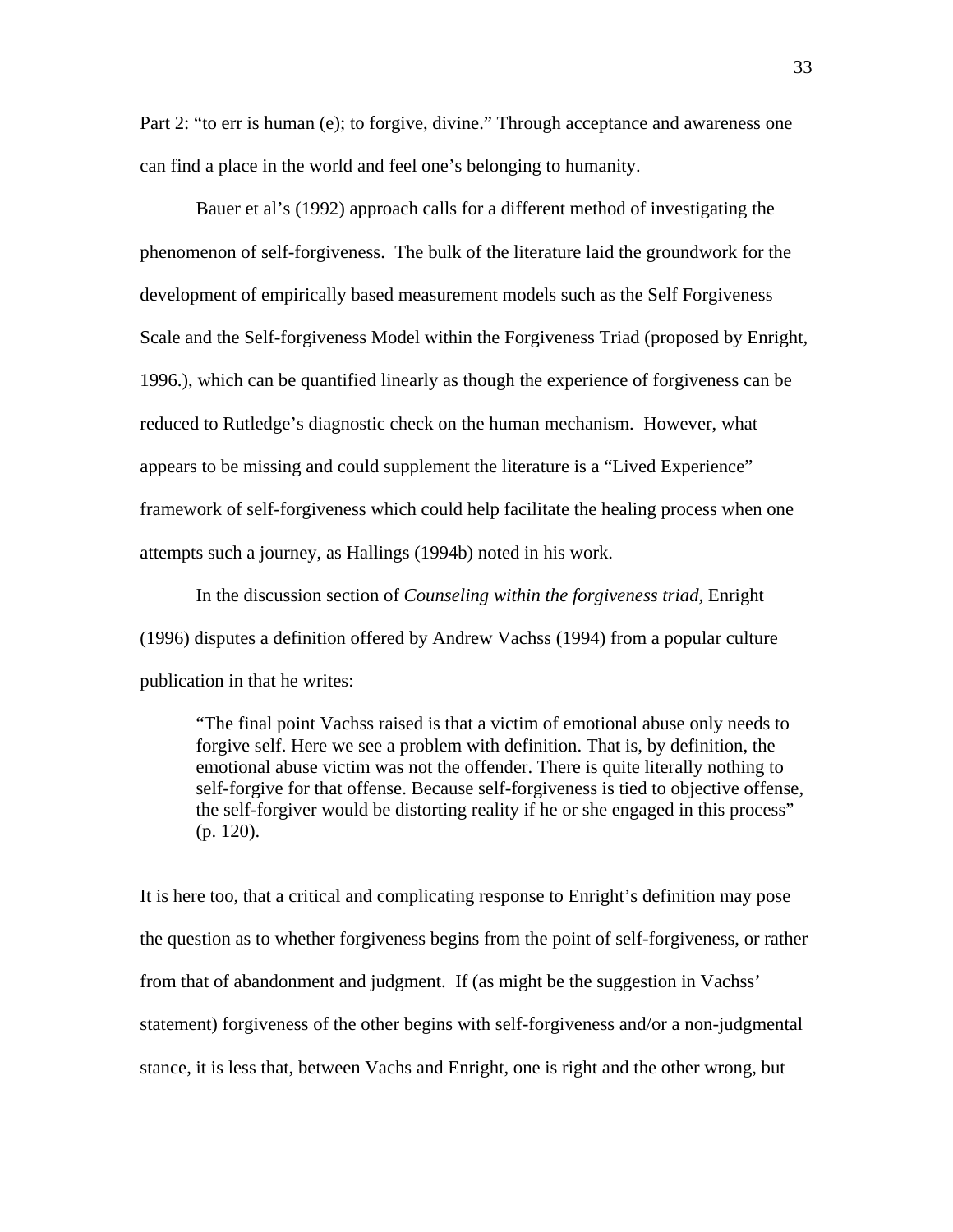Part 2: "to err is human (e); to forgive, divine." Through acceptance and awareness one can find a place in the world and feel one's belonging to humanity.

Bauer et al's (1992) approach calls for a different method of investigating the phenomenon of self-forgiveness. The bulk of the literature laid the groundwork for the development of empirically based measurement models such as the Self Forgiveness Scale and the Self-forgiveness Model within the Forgiveness Triad (proposed by Enright, 1996.), which can be quantified linearly as though the experience of forgiveness can be reduced to Rutledge's diagnostic check on the human mechanism. However, what appears to be missing and could supplement the literature is a "Lived Experience" framework of self-forgiveness which could help facilitate the healing process when one attempts such a journey, as Hallings (1994b) noted in his work.

In the discussion section of *Counseling within the forgiveness triad,* Enright (1996) disputes a definition offered by Andrew Vachss (1994) from a popular culture publication in that he writes:

"The final point Vachss raised is that a victim of emotional abuse only needs to forgive self. Here we see a problem with definition. That is, by definition, the emotional abuse victim was not the offender. There is quite literally nothing to self-forgive for that offense. Because self-forgiveness is tied to objective offense, the self-forgiver would be distorting reality if he or she engaged in this process" (p. 120).

It is here too, that a critical and complicating response to Enright's definition may pose the question as to whether forgiveness begins from the point of self-forgiveness, or rather from that of abandonment and judgment. If (as might be the suggestion in Vachss' statement) forgiveness of the other begins with self-forgiveness and/or a non-judgmental stance, it is less that, between Vachs and Enright, one is right and the other wrong, but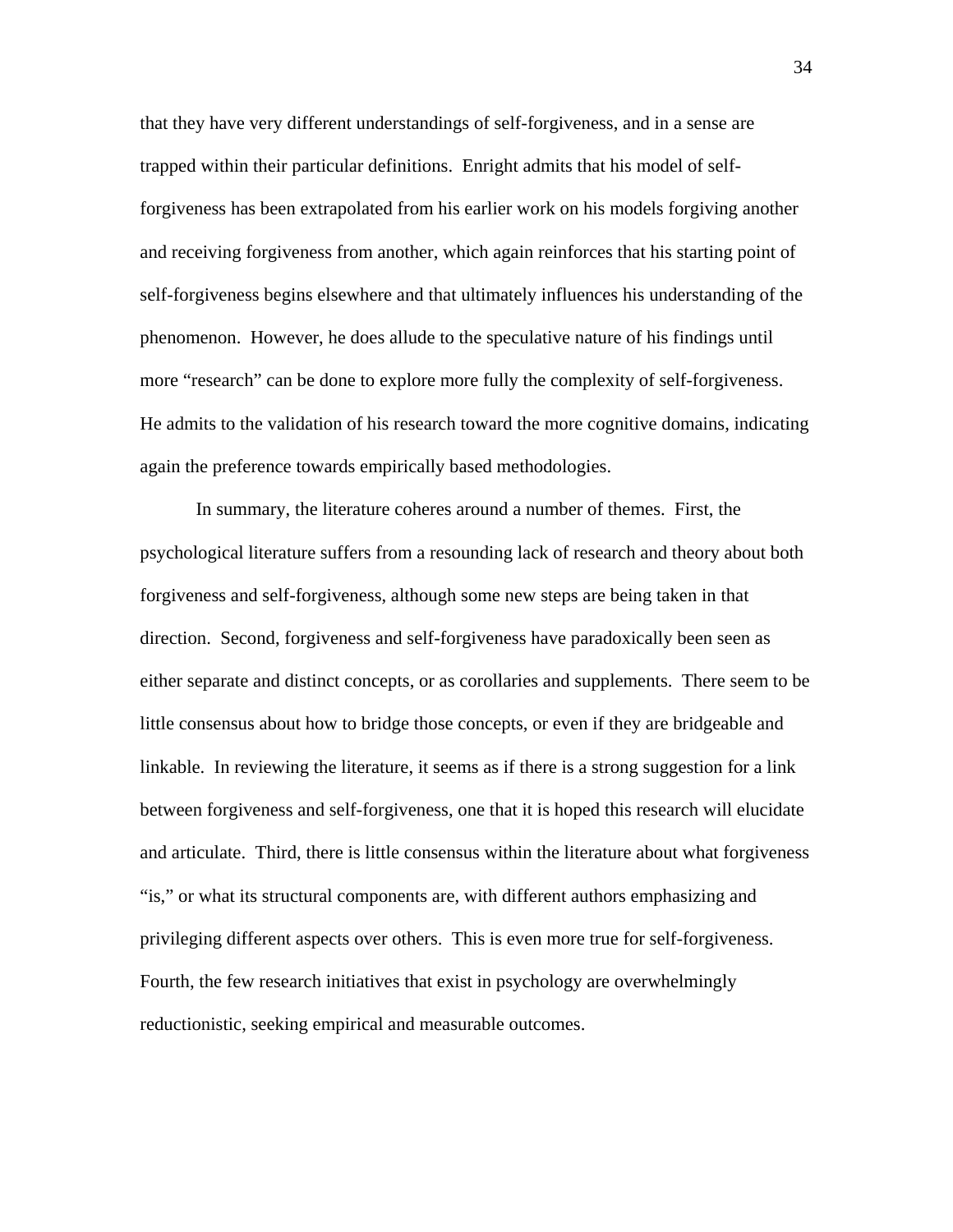that they have very different understandings of self-forgiveness, and in a sense are trapped within their particular definitions. Enright admits that his model of selfforgiveness has been extrapolated from his earlier work on his models forgiving another and receiving forgiveness from another, which again reinforces that his starting point of self-forgiveness begins elsewhere and that ultimately influences his understanding of the phenomenon. However, he does allude to the speculative nature of his findings until more "research" can be done to explore more fully the complexity of self-forgiveness. He admits to the validation of his research toward the more cognitive domains, indicating again the preference towards empirically based methodologies.

In summary, the literature coheres around a number of themes. First, the psychological literature suffers from a resounding lack of research and theory about both forgiveness and self-forgiveness, although some new steps are being taken in that direction. Second, forgiveness and self-forgiveness have paradoxically been seen as either separate and distinct concepts, or as corollaries and supplements. There seem to be little consensus about how to bridge those concepts, or even if they are bridgeable and linkable. In reviewing the literature, it seems as if there is a strong suggestion for a link between forgiveness and self-forgiveness, one that it is hoped this research will elucidate and articulate. Third, there is little consensus within the literature about what forgiveness "is," or what its structural components are, with different authors emphasizing and privileging different aspects over others. This is even more true for self-forgiveness. Fourth, the few research initiatives that exist in psychology are overwhelmingly reductionistic, seeking empirical and measurable outcomes.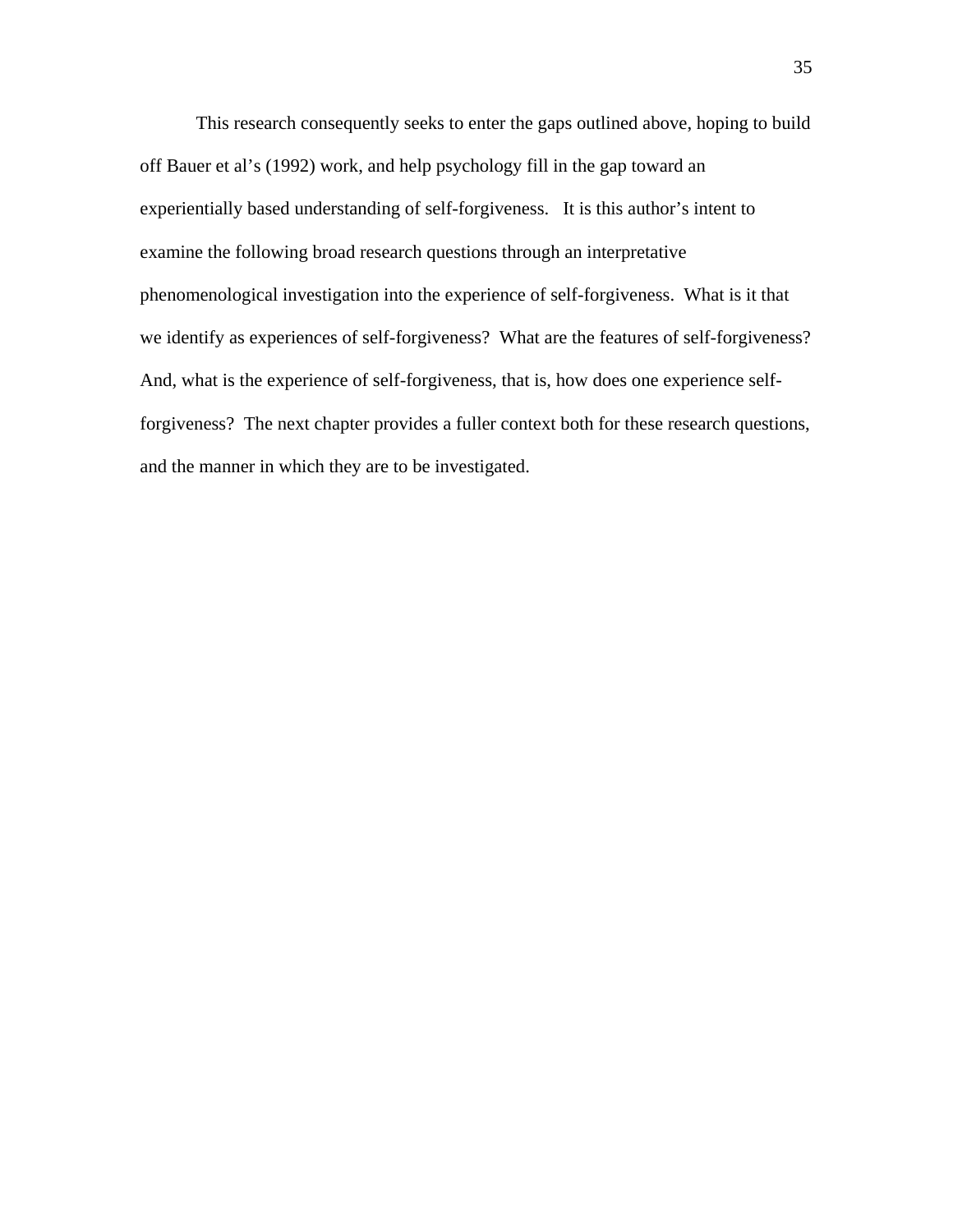This research consequently seeks to enter the gaps outlined above, hoping to build off Bauer et al's (1992) work, and help psychology fill in the gap toward an experientially based understanding of self-forgiveness. It is this author's intent to examine the following broad research questions through an interpretative phenomenological investigation into the experience of self-forgiveness. What is it that we identify as experiences of self-forgiveness? What are the features of self-forgiveness? And, what is the experience of self-forgiveness, that is, how does one experience selfforgiveness? The next chapter provides a fuller context both for these research questions, and the manner in which they are to be investigated.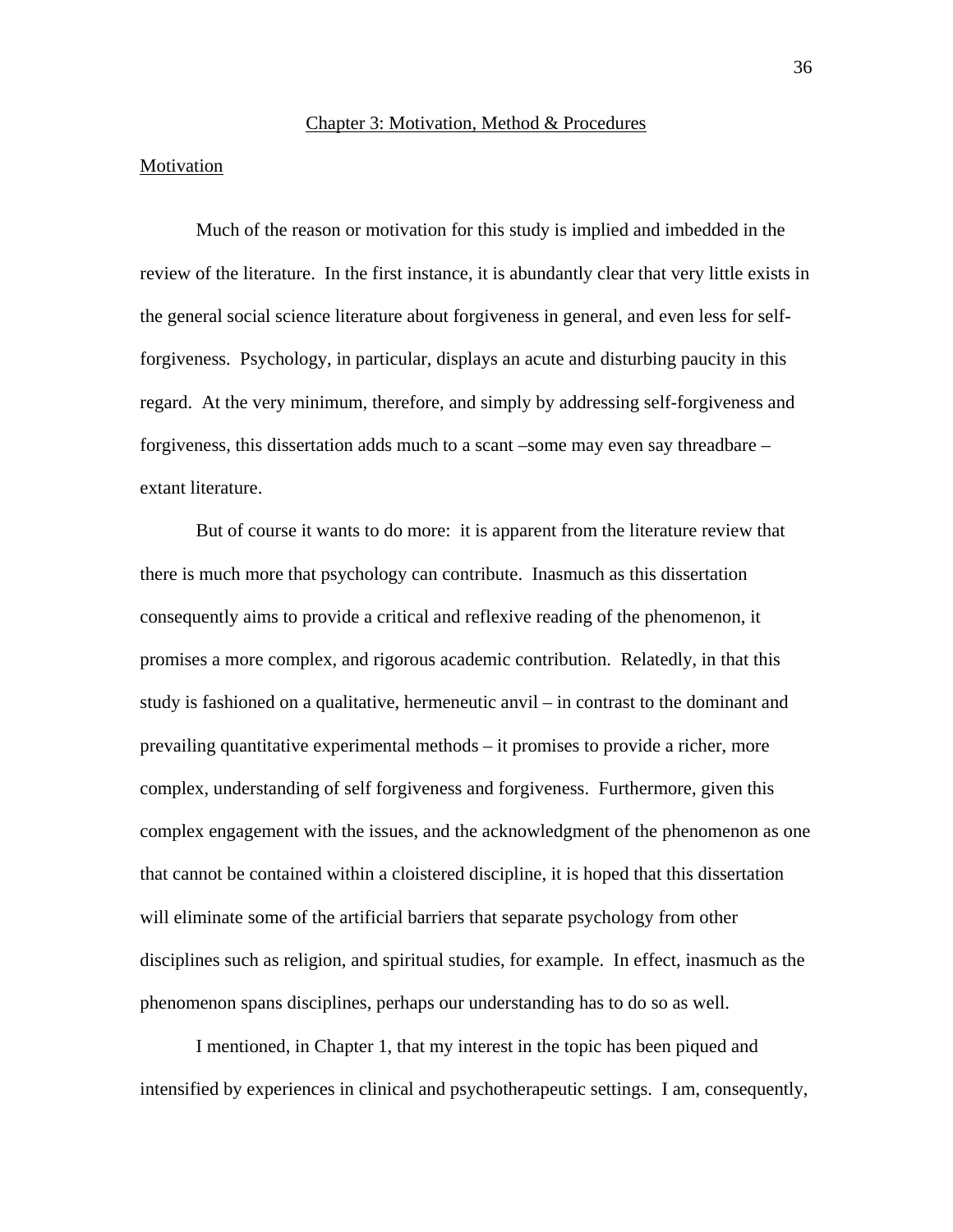## Chapter 3: Motivation, Method & Procedures

# Motivation

Much of the reason or motivation for this study is implied and imbedded in the review of the literature. In the first instance, it is abundantly clear that very little exists in the general social science literature about forgiveness in general, and even less for selfforgiveness. Psychology, in particular, displays an acute and disturbing paucity in this regard. At the very minimum, therefore, and simply by addressing self-forgiveness and forgiveness, this dissertation adds much to a scant –some may even say threadbare – extant literature.

But of course it wants to do more: it is apparent from the literature review that there is much more that psychology can contribute. Inasmuch as this dissertation consequently aims to provide a critical and reflexive reading of the phenomenon, it promises a more complex, and rigorous academic contribution. Relatedly, in that this study is fashioned on a qualitative, hermeneutic anvil – in contrast to the dominant and prevailing quantitative experimental methods – it promises to provide a richer, more complex, understanding of self forgiveness and forgiveness. Furthermore, given this complex engagement with the issues, and the acknowledgment of the phenomenon as one that cannot be contained within a cloistered discipline, it is hoped that this dissertation will eliminate some of the artificial barriers that separate psychology from other disciplines such as religion, and spiritual studies, for example. In effect, inasmuch as the phenomenon spans disciplines, perhaps our understanding has to do so as well.

 I mentioned, in Chapter 1, that my interest in the topic has been piqued and intensified by experiences in clinical and psychotherapeutic settings. I am, consequently,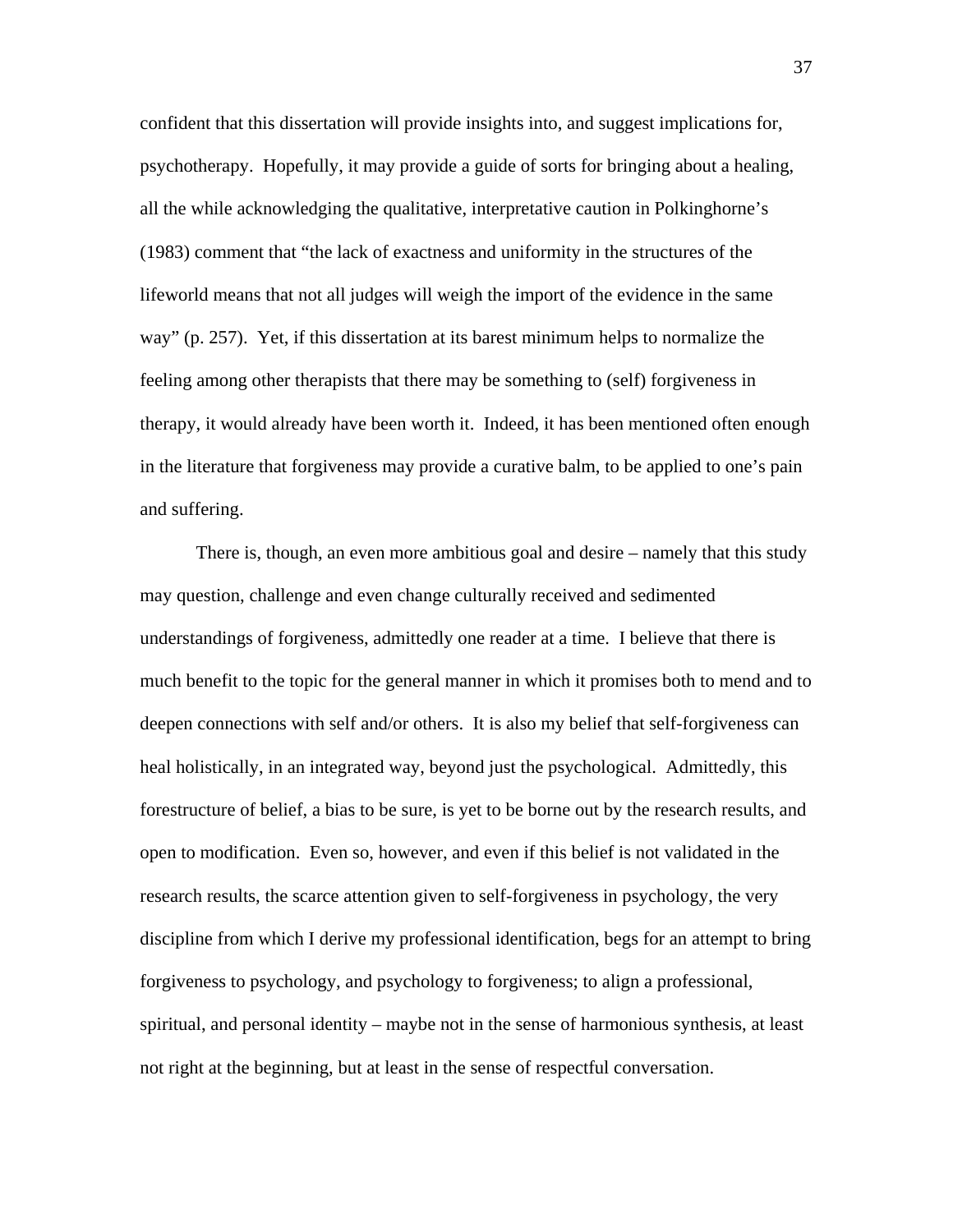confident that this dissertation will provide insights into, and suggest implications for, psychotherapy. Hopefully, it may provide a guide of sorts for bringing about a healing, all the while acknowledging the qualitative, interpretative caution in Polkinghorne's (1983) comment that "the lack of exactness and uniformity in the structures of the lifeworld means that not all judges will weigh the import of the evidence in the same way" (p. 257). Yet, if this dissertation at its barest minimum helps to normalize the feeling among other therapists that there may be something to (self) forgiveness in therapy, it would already have been worth it. Indeed, it has been mentioned often enough in the literature that forgiveness may provide a curative balm, to be applied to one's pain and suffering.

There is, though, an even more ambitious goal and desire – namely that this study may question, challenge and even change culturally received and sedimented understandings of forgiveness, admittedly one reader at a time. I believe that there is much benefit to the topic for the general manner in which it promises both to mend and to deepen connections with self and/or others. It is also my belief that self-forgiveness can heal holistically, in an integrated way, beyond just the psychological. Admittedly, this forestructure of belief, a bias to be sure, is yet to be borne out by the research results, and open to modification. Even so, however, and even if this belief is not validated in the research results, the scarce attention given to self-forgiveness in psychology, the very discipline from which I derive my professional identification, begs for an attempt to bring forgiveness to psychology, and psychology to forgiveness; to align a professional, spiritual, and personal identity – maybe not in the sense of harmonious synthesis, at least not right at the beginning, but at least in the sense of respectful conversation.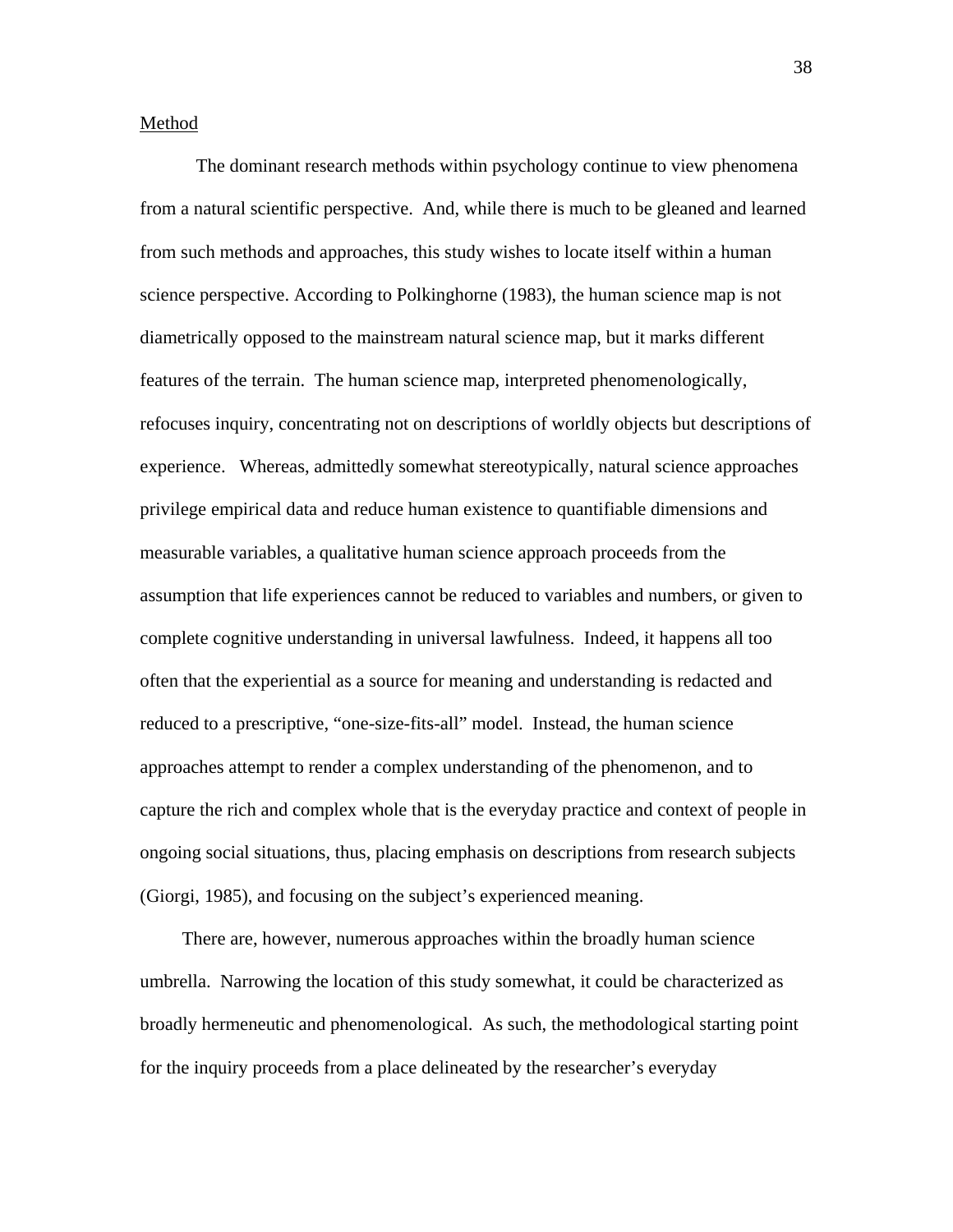### Method

 The dominant research methods within psychology continue to view phenomena from a natural scientific perspective. And, while there is much to be gleaned and learned from such methods and approaches, this study wishes to locate itself within a human science perspective. According to Polkinghorne (1983), the human science map is not diametrically opposed to the mainstream natural science map, but it marks different features of the terrain. The human science map, interpreted phenomenologically, refocuses inquiry, concentrating not on descriptions of worldly objects but descriptions of experience. Whereas, admittedly somewhat stereotypically, natural science approaches privilege empirical data and reduce human existence to quantifiable dimensions and measurable variables, a qualitative human science approach proceeds from the assumption that life experiences cannot be reduced to variables and numbers, or given to complete cognitive understanding in universal lawfulness. Indeed, it happens all too often that the experiential as a source for meaning and understanding is redacted and reduced to a prescriptive, "one-size-fits-all" model. Instead, the human science approaches attempt to render a complex understanding of the phenomenon, and to capture the rich and complex whole that is the everyday practice and context of people in ongoing social situations, thus, placing emphasis on descriptions from research subjects (Giorgi, 1985), and focusing on the subject's experienced meaning.

There are, however, numerous approaches within the broadly human science umbrella. Narrowing the location of this study somewhat, it could be characterized as broadly hermeneutic and phenomenological. As such, the methodological starting point for the inquiry proceeds from a place delineated by the researcher's everyday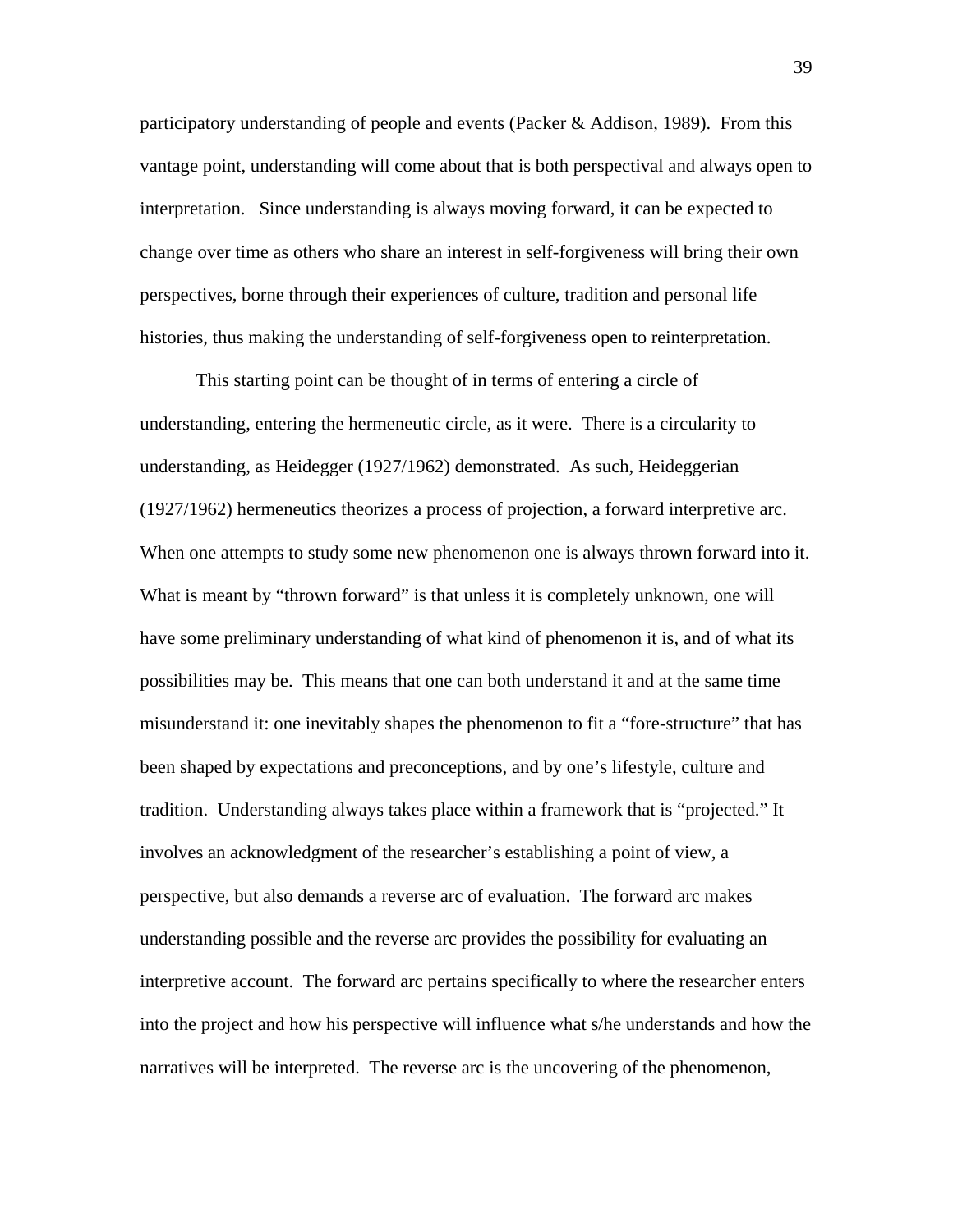participatory understanding of people and events (Packer & Addison, 1989). From this vantage point, understanding will come about that is both perspectival and always open to interpretation. Since understanding is always moving forward, it can be expected to change over time as others who share an interest in self-forgiveness will bring their own perspectives, borne through their experiences of culture, tradition and personal life histories, thus making the understanding of self-forgiveness open to reinterpretation.

This starting point can be thought of in terms of entering a circle of understanding, entering the hermeneutic circle, as it were. There is a circularity to understanding, as Heidegger (1927/1962) demonstrated. As such, Heideggerian (1927/1962) hermeneutics theorizes a process of projection, a forward interpretive arc. When one attempts to study some new phenomenon one is always thrown forward into it. What is meant by "thrown forward" is that unless it is completely unknown, one will have some preliminary understanding of what kind of phenomenon it is, and of what its possibilities may be. This means that one can both understand it and at the same time misunderstand it: one inevitably shapes the phenomenon to fit a "fore-structure" that has been shaped by expectations and preconceptions, and by one's lifestyle, culture and tradition. Understanding always takes place within a framework that is "projected." It involves an acknowledgment of the researcher's establishing a point of view, a perspective, but also demands a reverse arc of evaluation. The forward arc makes understanding possible and the reverse arc provides the possibility for evaluating an interpretive account. The forward arc pertains specifically to where the researcher enters into the project and how his perspective will influence what s/he understands and how the narratives will be interpreted. The reverse arc is the uncovering of the phenomenon,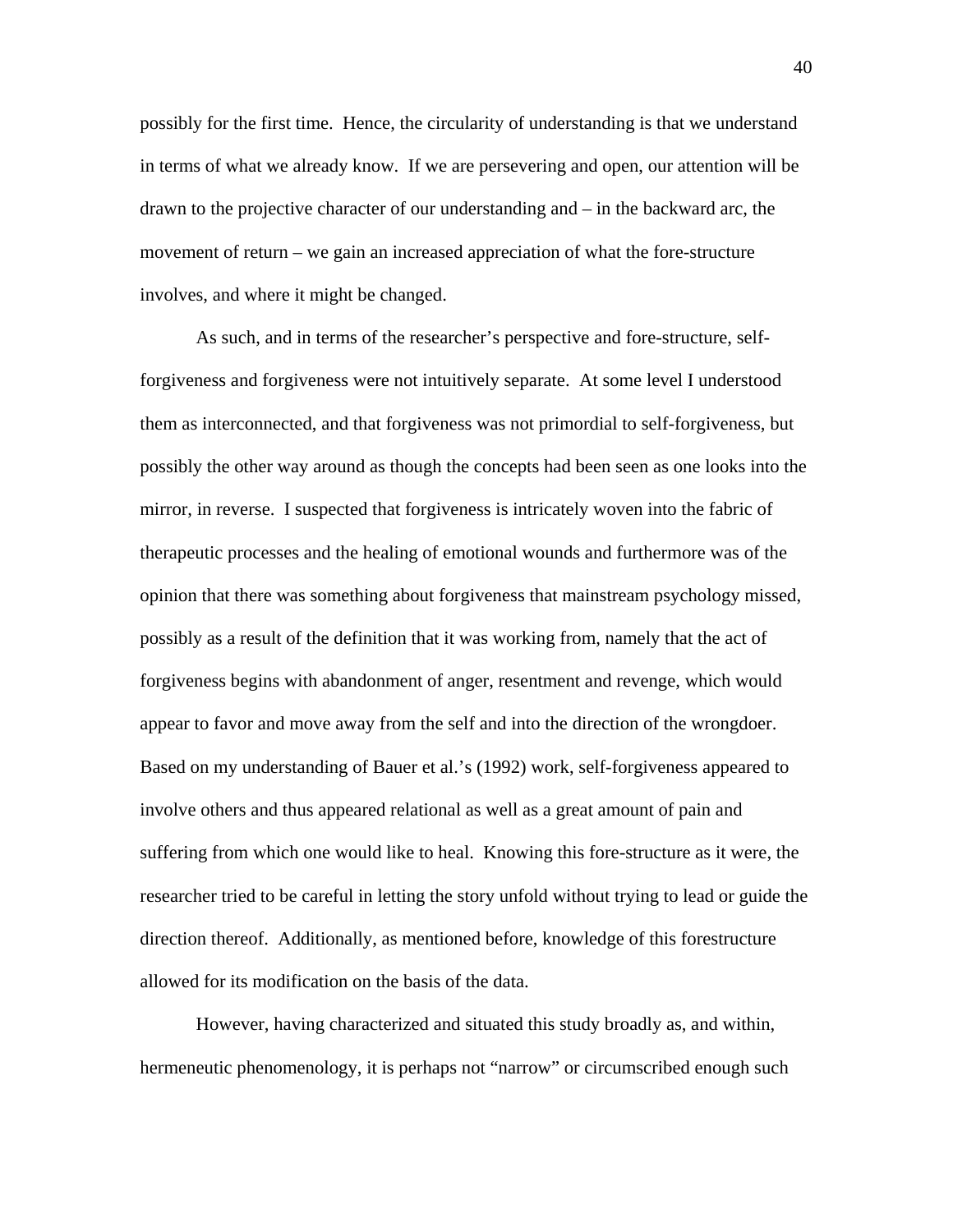possibly for the first time. Hence, the circularity of understanding is that we understand in terms of what we already know. If we are persevering and open, our attention will be drawn to the projective character of our understanding and – in the backward arc, the movement of return – we gain an increased appreciation of what the fore-structure involves, and where it might be changed.

As such, and in terms of the researcher's perspective and fore-structure, selfforgiveness and forgiveness were not intuitively separate. At some level I understood them as interconnected, and that forgiveness was not primordial to self-forgiveness, but possibly the other way around as though the concepts had been seen as one looks into the mirror, in reverse. I suspected that forgiveness is intricately woven into the fabric of therapeutic processes and the healing of emotional wounds and furthermore was of the opinion that there was something about forgiveness that mainstream psychology missed, possibly as a result of the definition that it was working from, namely that the act of forgiveness begins with abandonment of anger, resentment and revenge, which would appear to favor and move away from the self and into the direction of the wrongdoer. Based on my understanding of Bauer et al.'s (1992) work, self-forgiveness appeared to involve others and thus appeared relational as well as a great amount of pain and suffering from which one would like to heal. Knowing this fore-structure as it were, the researcher tried to be careful in letting the story unfold without trying to lead or guide the direction thereof. Additionally, as mentioned before, knowledge of this forestructure allowed for its modification on the basis of the data.

However, having characterized and situated this study broadly as, and within, hermeneutic phenomenology, it is perhaps not "narrow" or circumscribed enough such

40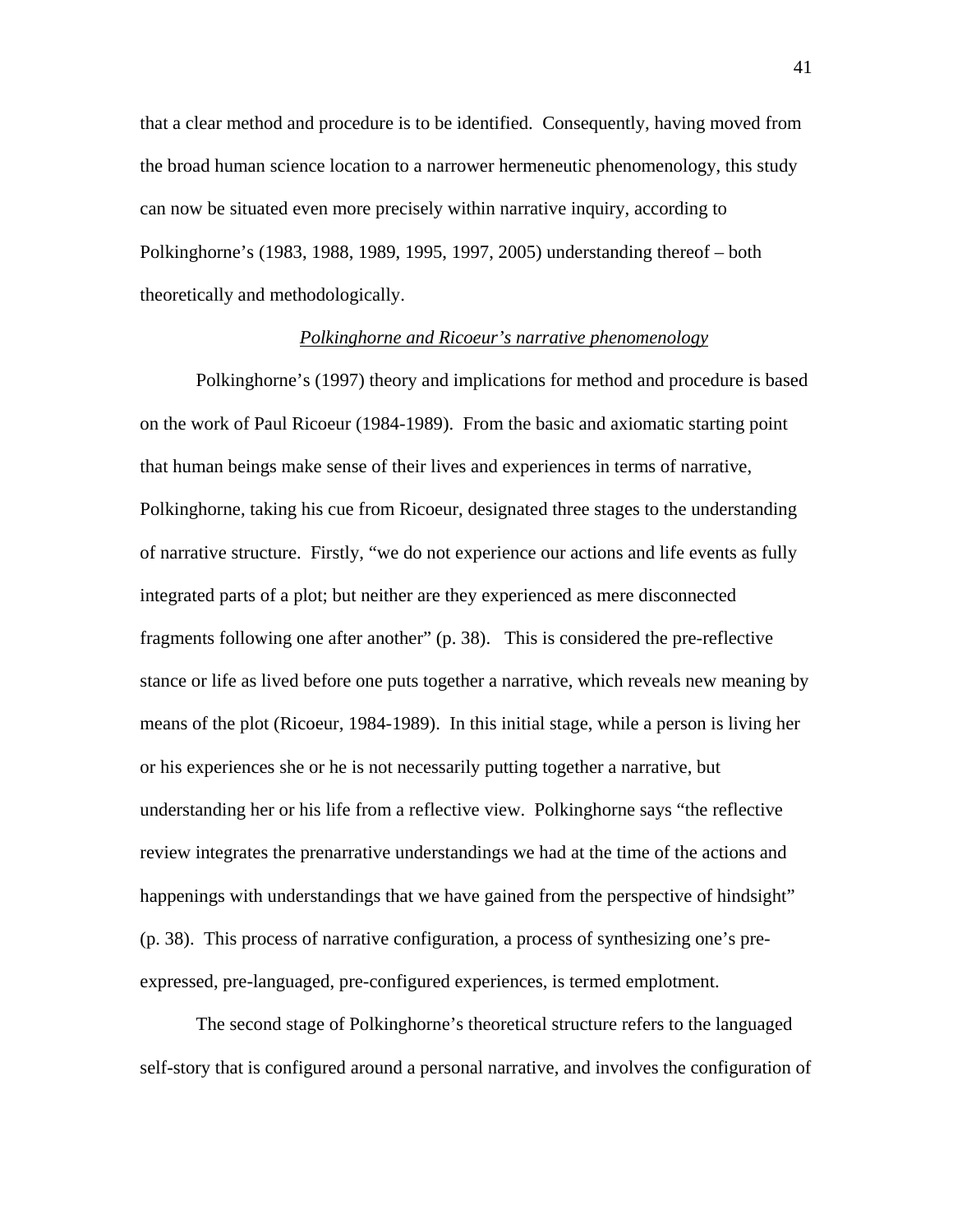that a clear method and procedure is to be identified. Consequently, having moved from the broad human science location to a narrower hermeneutic phenomenology, this study can now be situated even more precisely within narrative inquiry, according to Polkinghorne's (1983, 1988, 1989, 1995, 1997, 2005) understanding thereof – both theoretically and methodologically.

# *Polkinghorne and Ricoeur's narrative phenomenology*

Polkinghorne's (1997) theory and implications for method and procedure is based on the work of Paul Ricoeur (1984-1989). From the basic and axiomatic starting point that human beings make sense of their lives and experiences in terms of narrative, Polkinghorne, taking his cue from Ricoeur, designated three stages to the understanding of narrative structure. Firstly, "we do not experience our actions and life events as fully integrated parts of a plot; but neither are they experienced as mere disconnected fragments following one after another" (p. 38). This is considered the pre-reflective stance or life as lived before one puts together a narrative, which reveals new meaning by means of the plot (Ricoeur, 1984-1989). In this initial stage, while a person is living her or his experiences she or he is not necessarily putting together a narrative, but understanding her or his life from a reflective view. Polkinghorne says "the reflective review integrates the prenarrative understandings we had at the time of the actions and happenings with understandings that we have gained from the perspective of hindsight" (p. 38). This process of narrative configuration, a process of synthesizing one's preexpressed, pre-languaged, pre-configured experiences, is termed emplotment.

The second stage of Polkinghorne's theoretical structure refers to the languaged self-story that is configured around a personal narrative, and involves the configuration of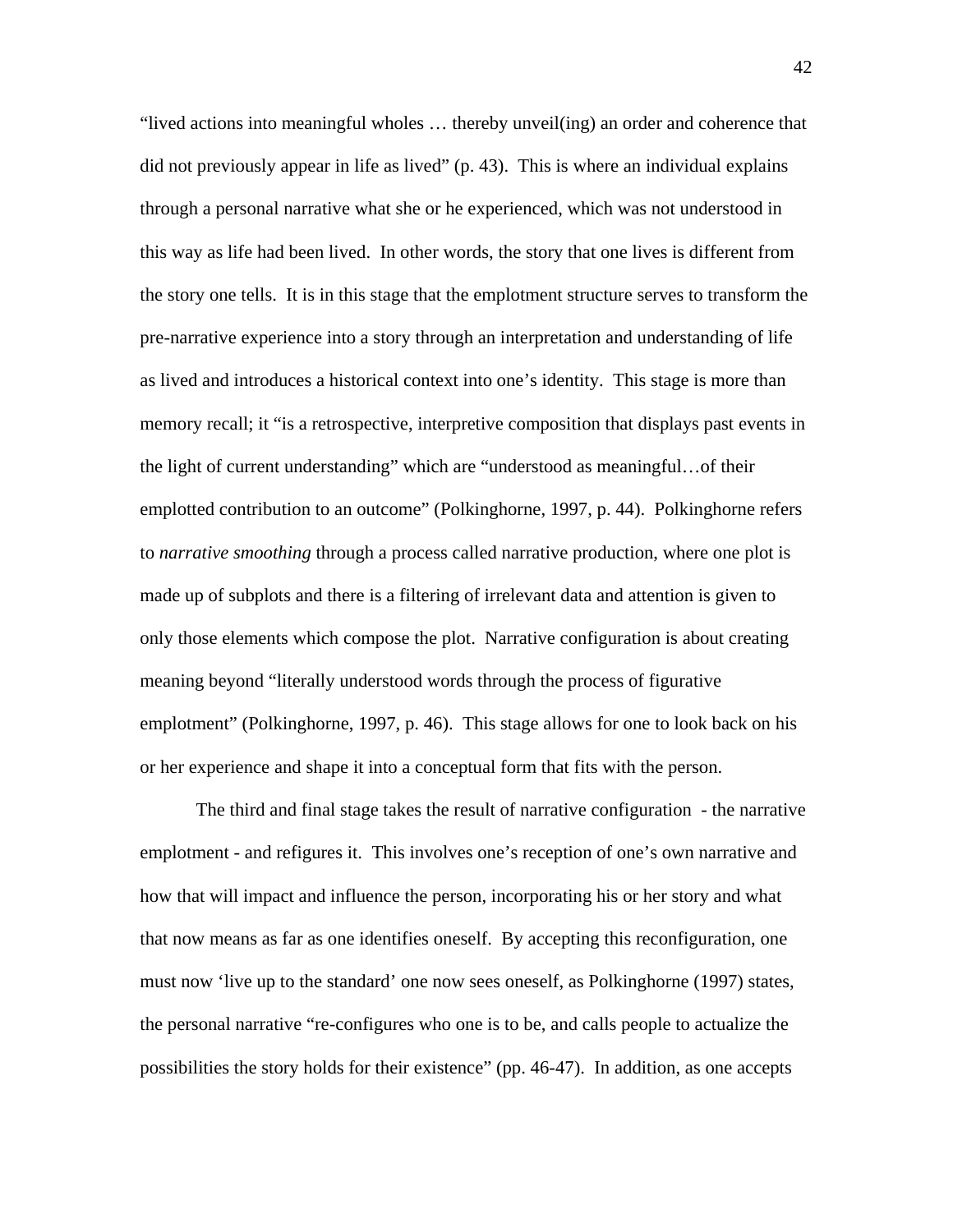"lived actions into meaningful wholes … thereby unveil(ing) an order and coherence that did not previously appear in life as lived" (p. 43). This is where an individual explains through a personal narrative what she or he experienced, which was not understood in this way as life had been lived. In other words, the story that one lives is different from the story one tells. It is in this stage that the emplotment structure serves to transform the pre-narrative experience into a story through an interpretation and understanding of life as lived and introduces a historical context into one's identity. This stage is more than memory recall; it "is a retrospective, interpretive composition that displays past events in the light of current understanding" which are "understood as meaningful…of their emplotted contribution to an outcome" (Polkinghorne, 1997, p. 44). Polkinghorne refers to *narrative smoothing* through a process called narrative production, where one plot is made up of subplots and there is a filtering of irrelevant data and attention is given to only those elements which compose the plot. Narrative configuration is about creating meaning beyond "literally understood words through the process of figurative emplotment" (Polkinghorne, 1997, p. 46). This stage allows for one to look back on his or her experience and shape it into a conceptual form that fits with the person.

The third and final stage takes the result of narrative configuration - the narrative emplotment - and refigures it. This involves one's reception of one's own narrative and how that will impact and influence the person, incorporating his or her story and what that now means as far as one identifies oneself. By accepting this reconfiguration, one must now 'live up to the standard' one now sees oneself, as Polkinghorne (1997) states, the personal narrative "re-configures who one is to be, and calls people to actualize the possibilities the story holds for their existence" (pp. 46-47). In addition, as one accepts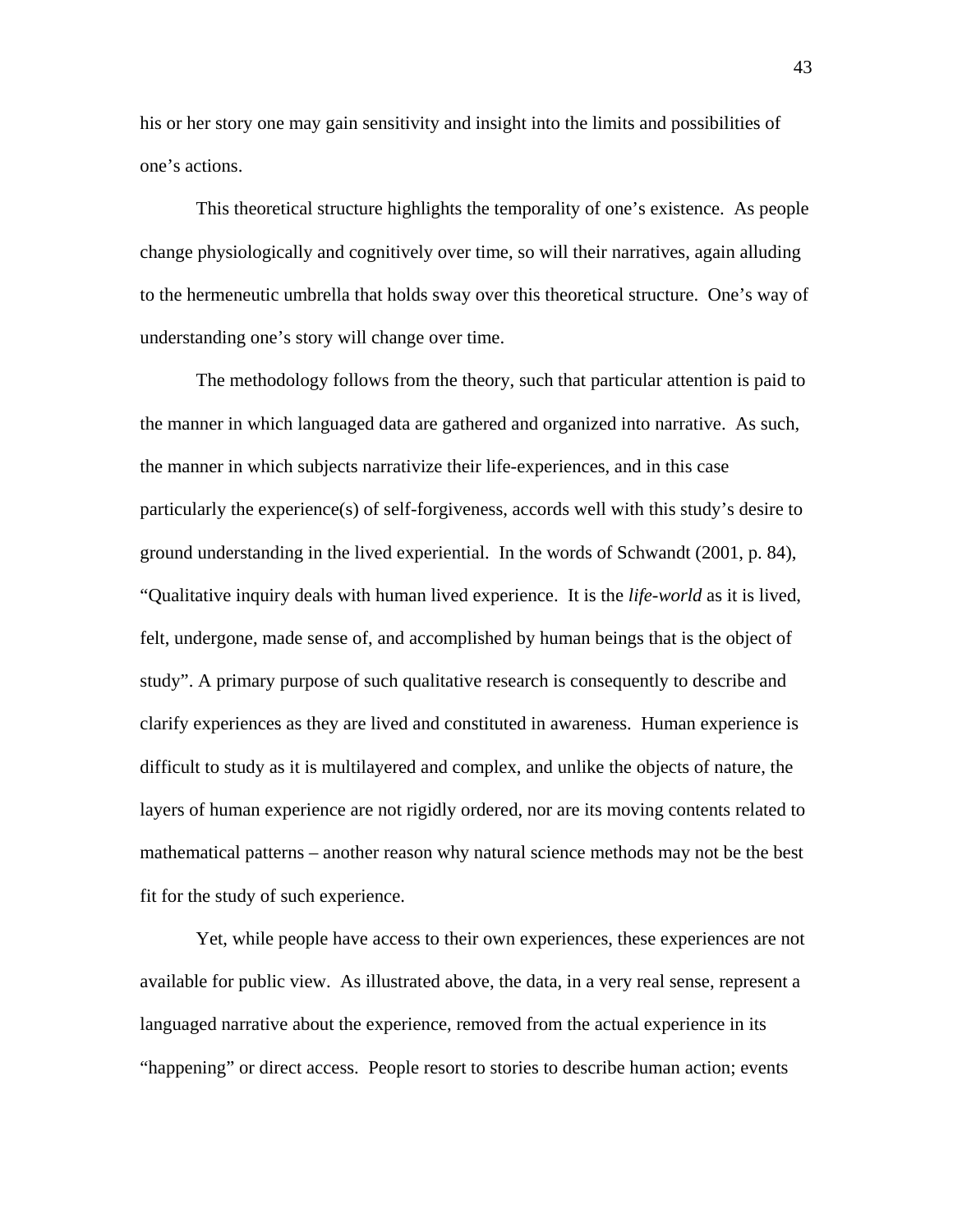his or her story one may gain sensitivity and insight into the limits and possibilities of one's actions.

This theoretical structure highlights the temporality of one's existence. As people change physiologically and cognitively over time, so will their narratives, again alluding to the hermeneutic umbrella that holds sway over this theoretical structure. One's way of understanding one's story will change over time.

The methodology follows from the theory, such that particular attention is paid to the manner in which languaged data are gathered and organized into narrative. As such, the manner in which subjects narrativize their life-experiences, and in this case particularly the experience(s) of self-forgiveness, accords well with this study's desire to ground understanding in the lived experiential. In the words of Schwandt (2001, p. 84), "Qualitative inquiry deals with human lived experience. It is the *life-world* as it is lived, felt, undergone, made sense of, and accomplished by human beings that is the object of study". A primary purpose of such qualitative research is consequently to describe and clarify experiences as they are lived and constituted in awareness. Human experience is difficult to study as it is multilayered and complex, and unlike the objects of nature, the layers of human experience are not rigidly ordered, nor are its moving contents related to mathematical patterns – another reason why natural science methods may not be the best fit for the study of such experience.

Yet, while people have access to their own experiences, these experiences are not available for public view. As illustrated above, the data, in a very real sense, represent a languaged narrative about the experience, removed from the actual experience in its "happening" or direct access. People resort to stories to describe human action; events

43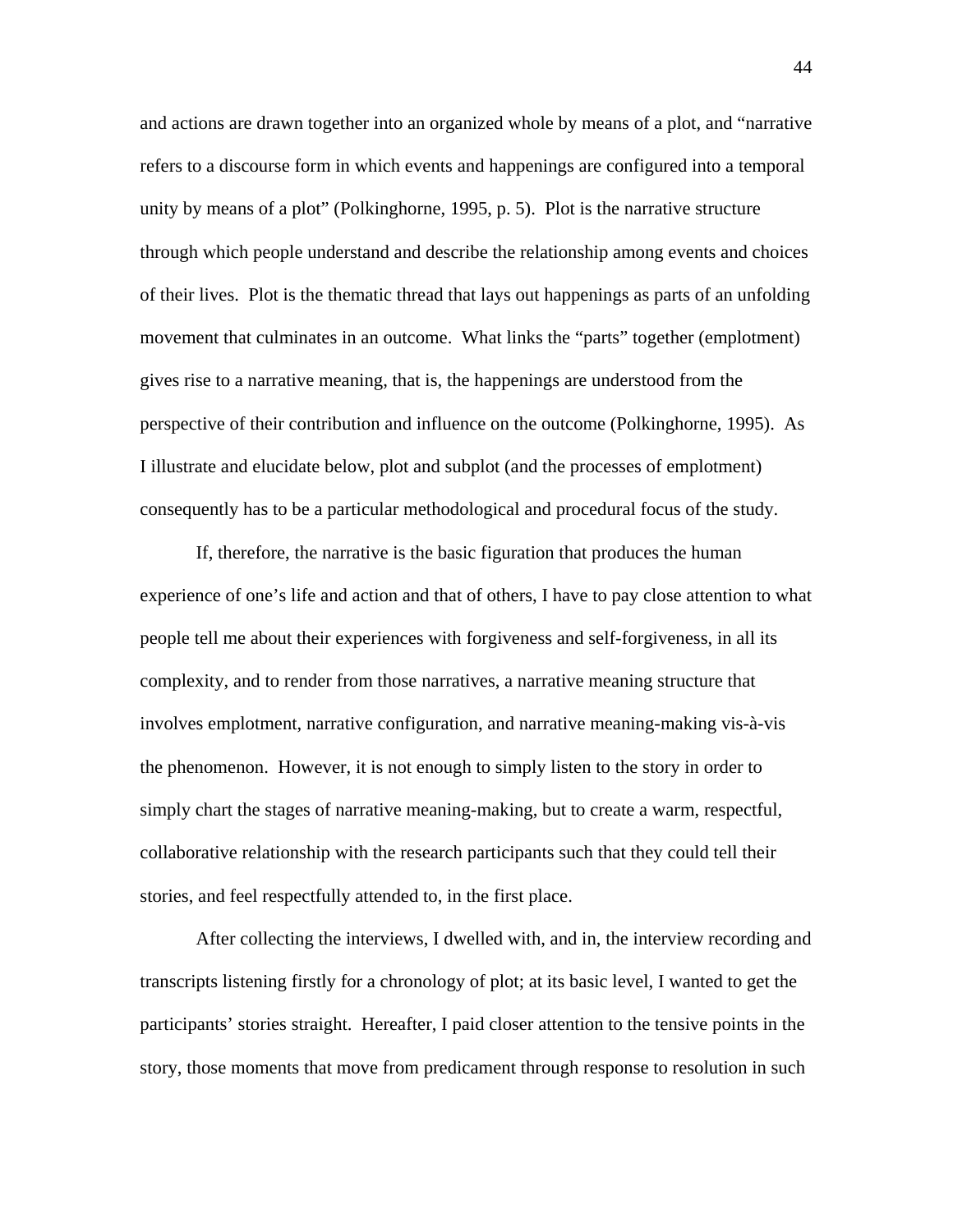and actions are drawn together into an organized whole by means of a plot, and "narrative refers to a discourse form in which events and happenings are configured into a temporal unity by means of a plot" (Polkinghorne, 1995, p. 5). Plot is the narrative structure through which people understand and describe the relationship among events and choices of their lives. Plot is the thematic thread that lays out happenings as parts of an unfolding movement that culminates in an outcome. What links the "parts" together (emplotment) gives rise to a narrative meaning, that is, the happenings are understood from the perspective of their contribution and influence on the outcome (Polkinghorne, 1995). As I illustrate and elucidate below, plot and subplot (and the processes of emplotment) consequently has to be a particular methodological and procedural focus of the study.

If, therefore, the narrative is the basic figuration that produces the human experience of one's life and action and that of others, I have to pay close attention to what people tell me about their experiences with forgiveness and self-forgiveness, in all its complexity, and to render from those narratives, a narrative meaning structure that involves emplotment, narrative configuration, and narrative meaning-making vis-à-vis the phenomenon. However, it is not enough to simply listen to the story in order to simply chart the stages of narrative meaning-making, but to create a warm, respectful, collaborative relationship with the research participants such that they could tell their stories, and feel respectfully attended to, in the first place.

After collecting the interviews, I dwelled with, and in, the interview recording and transcripts listening firstly for a chronology of plot; at its basic level, I wanted to get the participants' stories straight. Hereafter, I paid closer attention to the tensive points in the story, those moments that move from predicament through response to resolution in such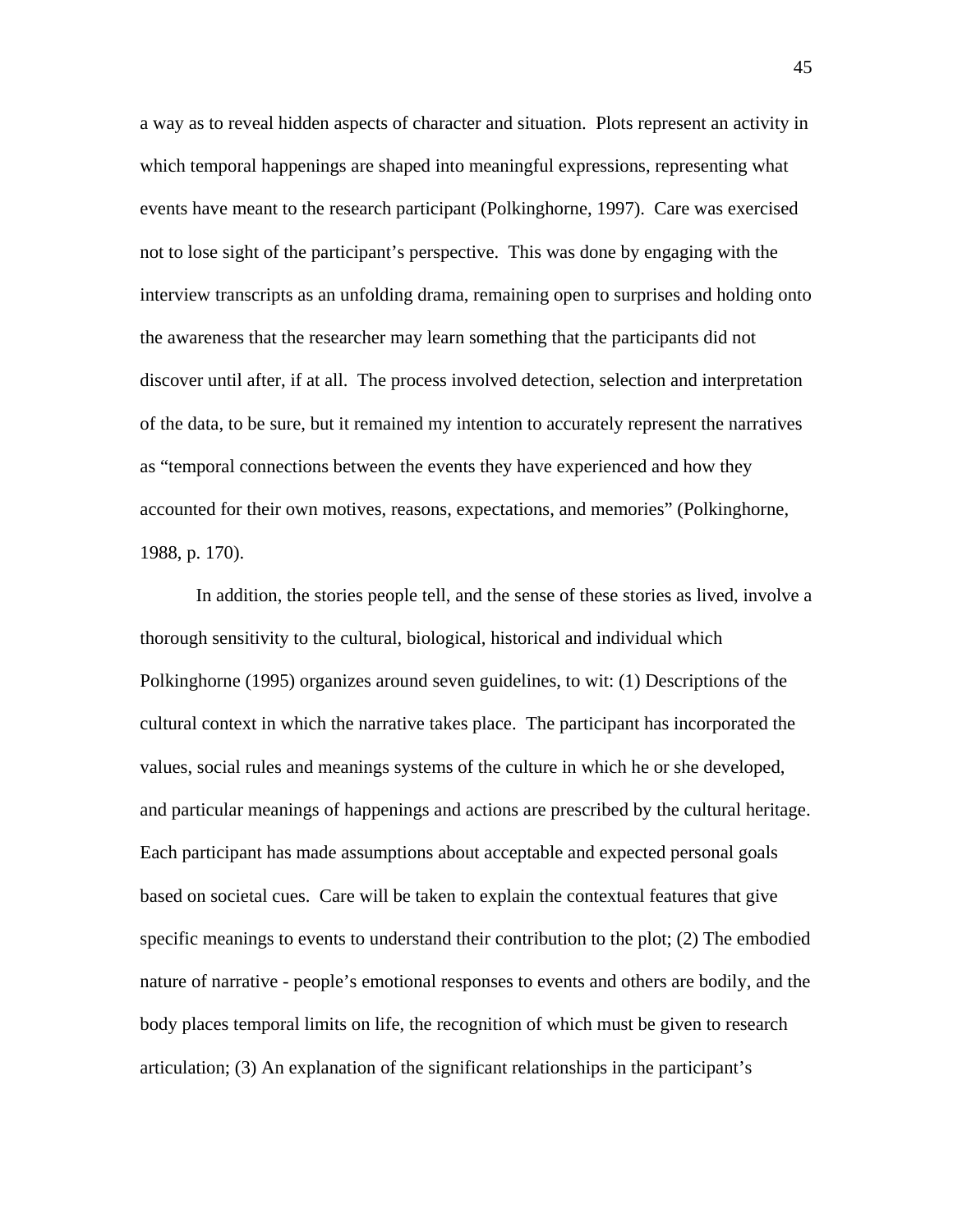a way as to reveal hidden aspects of character and situation. Plots represent an activity in which temporal happenings are shaped into meaningful expressions, representing what events have meant to the research participant (Polkinghorne, 1997). Care was exercised not to lose sight of the participant's perspective. This was done by engaging with the interview transcripts as an unfolding drama, remaining open to surprises and holding onto the awareness that the researcher may learn something that the participants did not discover until after, if at all. The process involved detection, selection and interpretation of the data, to be sure, but it remained my intention to accurately represent the narratives as "temporal connections between the events they have experienced and how they accounted for their own motives, reasons, expectations, and memories" (Polkinghorne, 1988, p. 170).

In addition, the stories people tell, and the sense of these stories as lived, involve a thorough sensitivity to the cultural, biological, historical and individual which Polkinghorne (1995) organizes around seven guidelines, to wit: (1) Descriptions of the cultural context in which the narrative takes place. The participant has incorporated the values, social rules and meanings systems of the culture in which he or she developed, and particular meanings of happenings and actions are prescribed by the cultural heritage. Each participant has made assumptions about acceptable and expected personal goals based on societal cues. Care will be taken to explain the contextual features that give specific meanings to events to understand their contribution to the plot; (2) The embodied nature of narrative - people's emotional responses to events and others are bodily, and the body places temporal limits on life, the recognition of which must be given to research articulation; (3) An explanation of the significant relationships in the participant's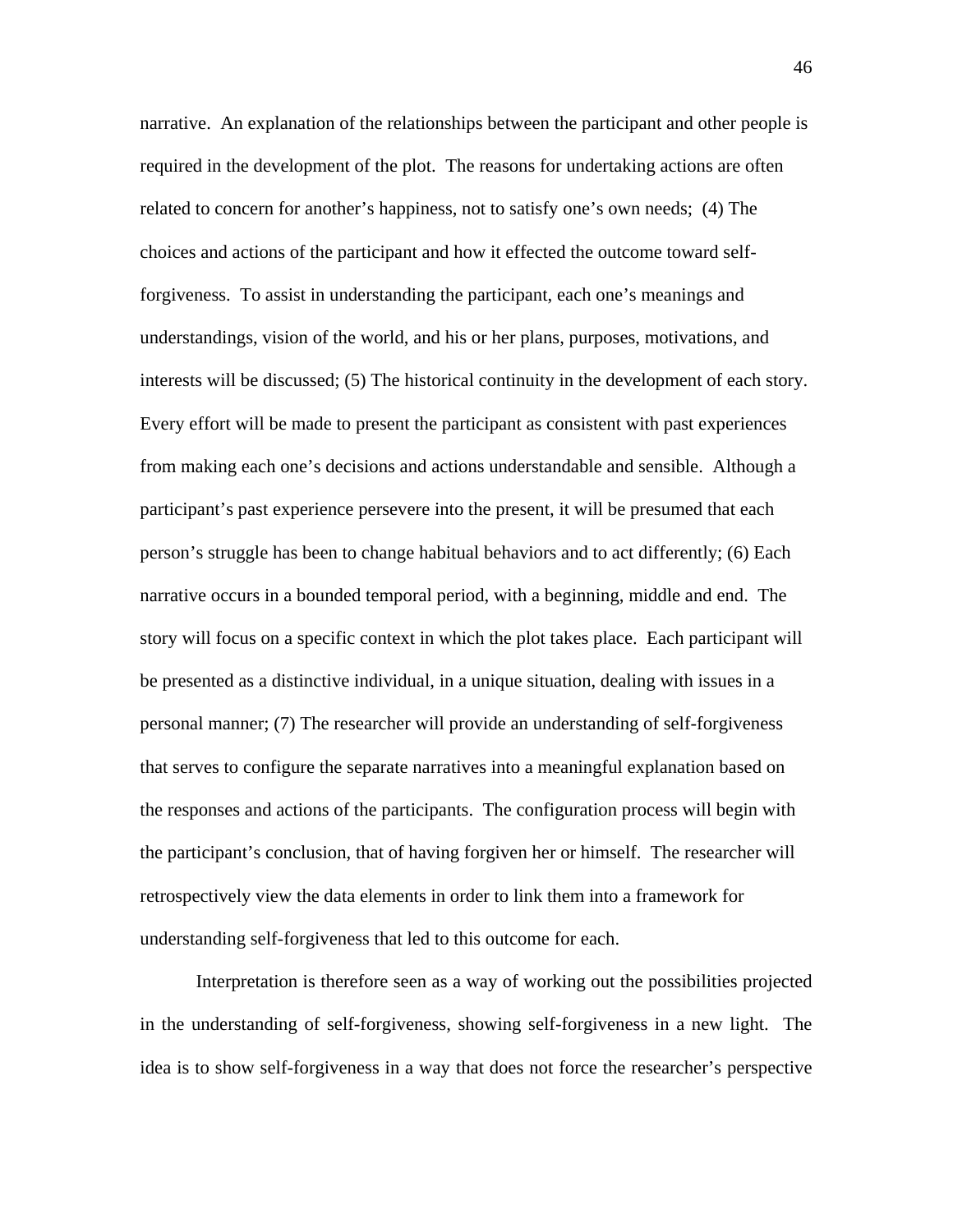narrative. An explanation of the relationships between the participant and other people is required in the development of the plot. The reasons for undertaking actions are often related to concern for another's happiness, not to satisfy one's own needs; (4) The choices and actions of the participant and how it effected the outcome toward selfforgiveness. To assist in understanding the participant, each one's meanings and understandings, vision of the world, and his or her plans, purposes, motivations, and interests will be discussed; (5) The historical continuity in the development of each story. Every effort will be made to present the participant as consistent with past experiences from making each one's decisions and actions understandable and sensible. Although a participant's past experience persevere into the present, it will be presumed that each person's struggle has been to change habitual behaviors and to act differently; (6) Each narrative occurs in a bounded temporal period, with a beginning, middle and end. The story will focus on a specific context in which the plot takes place. Each participant will be presented as a distinctive individual, in a unique situation, dealing with issues in a personal manner; (7) The researcher will provide an understanding of self-forgiveness that serves to configure the separate narratives into a meaningful explanation based on the responses and actions of the participants. The configuration process will begin with the participant's conclusion, that of having forgiven her or himself. The researcher will retrospectively view the data elements in order to link them into a framework for understanding self-forgiveness that led to this outcome for each.

Interpretation is therefore seen as a way of working out the possibilities projected in the understanding of self-forgiveness, showing self-forgiveness in a new light. The idea is to show self-forgiveness in a way that does not force the researcher's perspective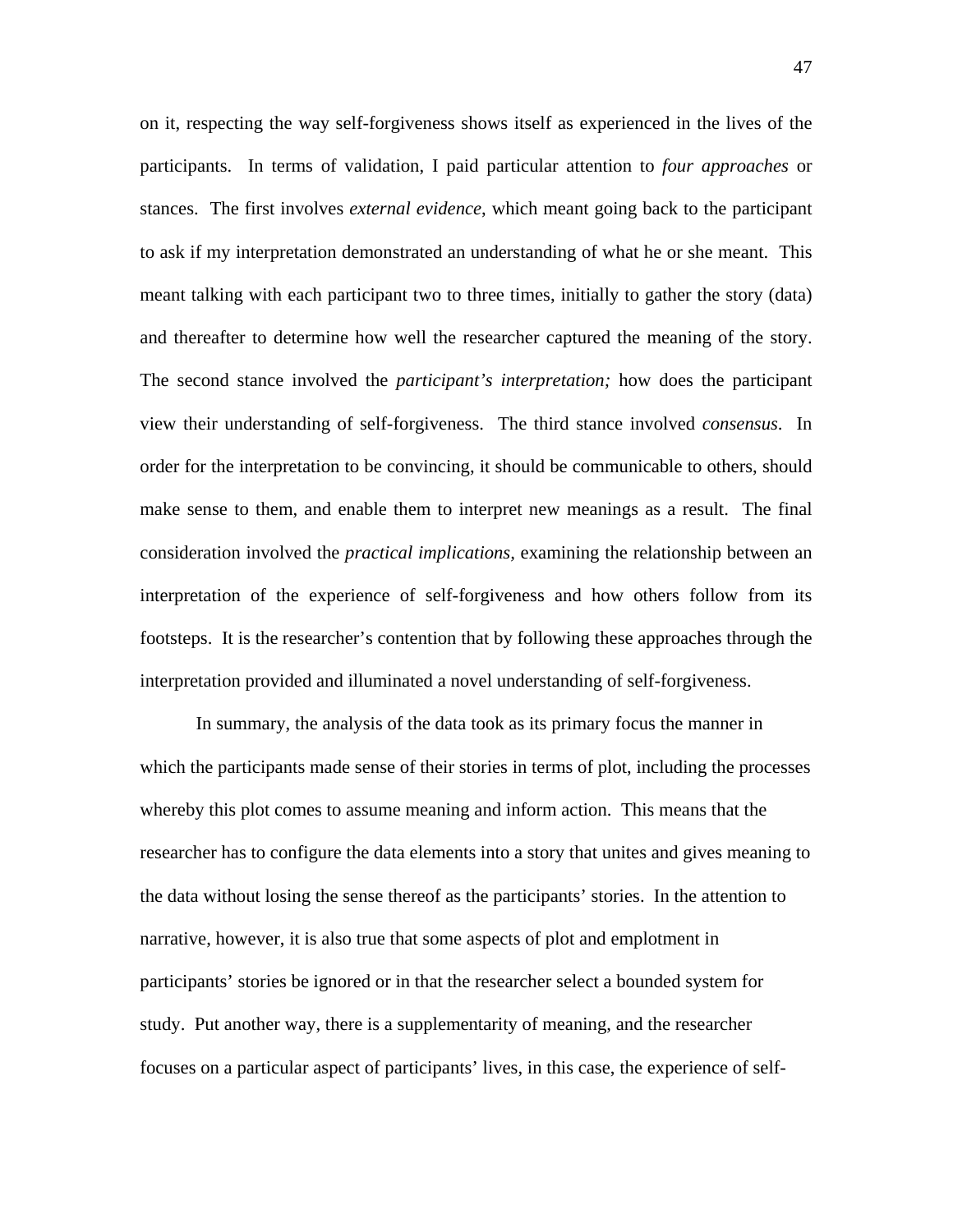on it, respecting the way self-forgiveness shows itself as experienced in the lives of the participants. In terms of validation, I paid particular attention to *four approaches* or stances. The first involves *external evidence*, which meant going back to the participant to ask if my interpretation demonstrated an understanding of what he or she meant. This meant talking with each participant two to three times, initially to gather the story (data) and thereafter to determine how well the researcher captured the meaning of the story. The second stance involved the *participant's interpretation;* how does the participant view their understanding of self-forgiveness. The third stance involved *consensus*. In order for the interpretation to be convincing, it should be communicable to others, should make sense to them, and enable them to interpret new meanings as a result. The final consideration involved the *practical implications,* examining the relationship between an interpretation of the experience of self-forgiveness and how others follow from its footsteps. It is the researcher's contention that by following these approaches through the interpretation provided and illuminated a novel understanding of self-forgiveness.

In summary, the analysis of the data took as its primary focus the manner in which the participants made sense of their stories in terms of plot, including the processes whereby this plot comes to assume meaning and inform action. This means that the researcher has to configure the data elements into a story that unites and gives meaning to the data without losing the sense thereof as the participants' stories. In the attention to narrative, however, it is also true that some aspects of plot and emplotment in participants' stories be ignored or in that the researcher select a bounded system for study. Put another way, there is a supplementarity of meaning, and the researcher focuses on a particular aspect of participants' lives, in this case, the experience of self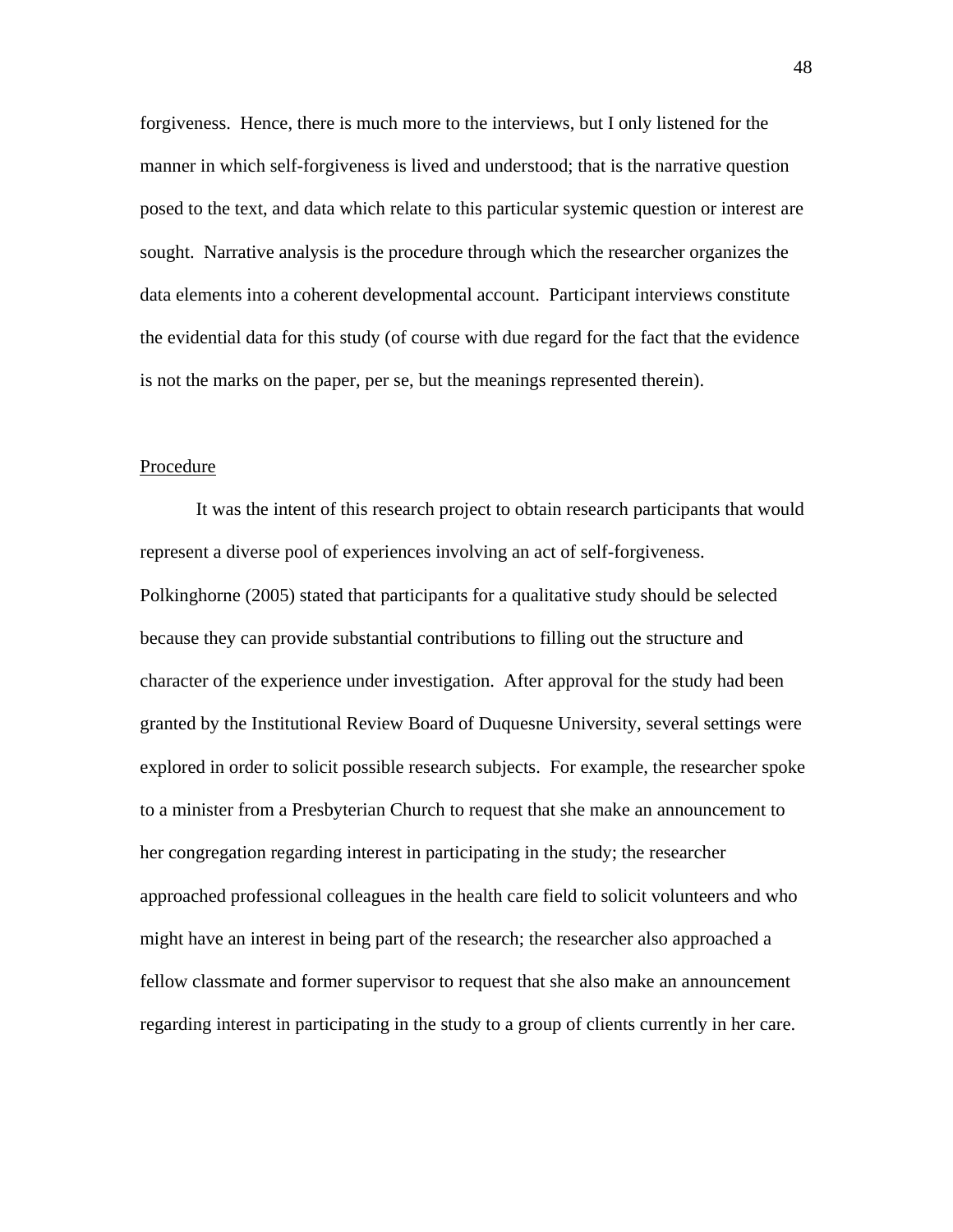forgiveness. Hence, there is much more to the interviews, but I only listened for the manner in which self-forgiveness is lived and understood; that is the narrative question posed to the text, and data which relate to this particular systemic question or interest are sought. Narrative analysis is the procedure through which the researcher organizes the data elements into a coherent developmental account. Participant interviews constitute the evidential data for this study (of course with due regard for the fact that the evidence is not the marks on the paper, per se, but the meanings represented therein).

# Procedure

It was the intent of this research project to obtain research participants that would represent a diverse pool of experiences involving an act of self-forgiveness. Polkinghorne (2005) stated that participants for a qualitative study should be selected because they can provide substantial contributions to filling out the structure and character of the experience under investigation. After approval for the study had been granted by the Institutional Review Board of Duquesne University, several settings were explored in order to solicit possible research subjects. For example, the researcher spoke to a minister from a Presbyterian Church to request that she make an announcement to her congregation regarding interest in participating in the study; the researcher approached professional colleagues in the health care field to solicit volunteers and who might have an interest in being part of the research; the researcher also approached a fellow classmate and former supervisor to request that she also make an announcement regarding interest in participating in the study to a group of clients currently in her care.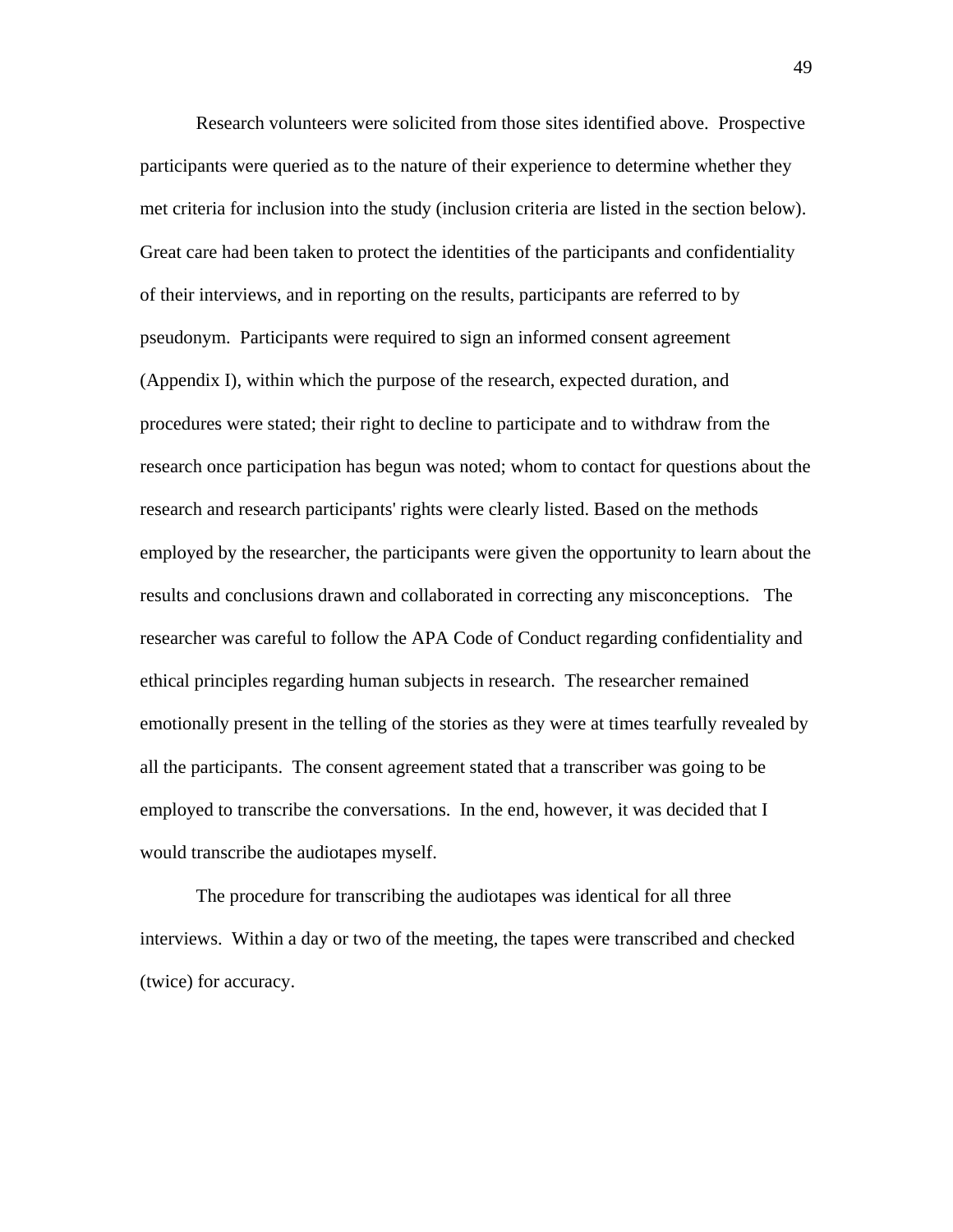Research volunteers were solicited from those sites identified above. Prospective participants were queried as to the nature of their experience to determine whether they met criteria for inclusion into the study (inclusion criteria are listed in the section below). Great care had been taken to protect the identities of the participants and confidentiality of their interviews, and in reporting on the results, participants are referred to by pseudonym. Participants were required to sign an informed consent agreement (Appendix I), within which the purpose of the research, expected duration, and procedures were stated; their right to decline to participate and to withdraw from the research once participation has begun was noted; whom to contact for questions about the research and research participants' rights were clearly listed. Based on the methods employed by the researcher, the participants were given the opportunity to learn about the results and conclusions drawn and collaborated in correcting any misconceptions. The researcher was careful to follow the APA Code of Conduct regarding confidentiality and ethical principles regarding human subjects in research. The researcher remained emotionally present in the telling of the stories as they were at times tearfully revealed by all the participants. The consent agreement stated that a transcriber was going to be employed to transcribe the conversations. In the end, however, it was decided that I would transcribe the audiotapes myself.

The procedure for transcribing the audiotapes was identical for all three interviews. Within a day or two of the meeting, the tapes were transcribed and checked (twice) for accuracy.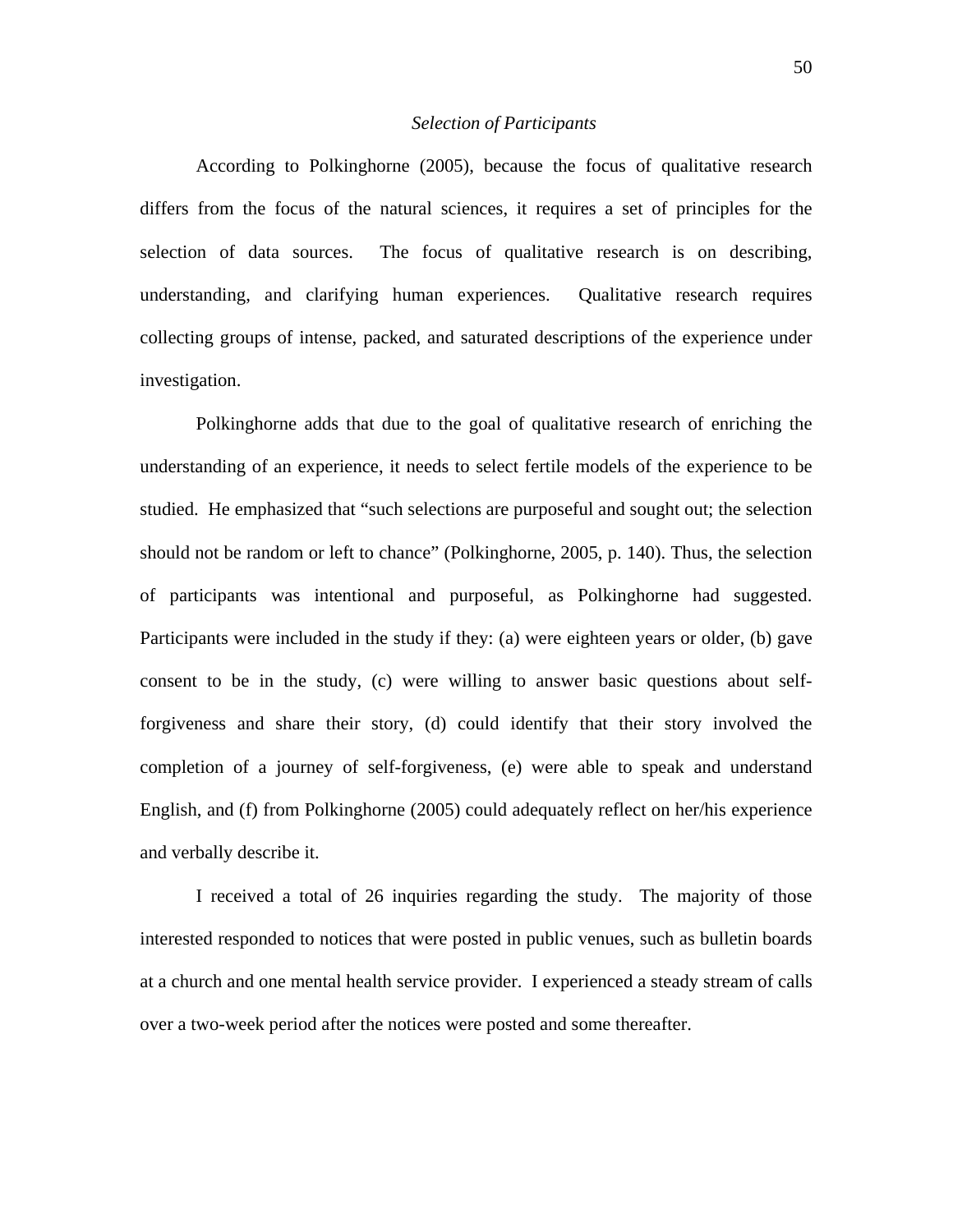### *Selection of Participants*

According to Polkinghorne (2005), because the focus of qualitative research differs from the focus of the natural sciences, it requires a set of principles for the selection of data sources. The focus of qualitative research is on describing, understanding, and clarifying human experiences. Qualitative research requires collecting groups of intense, packed, and saturated descriptions of the experience under investigation.

Polkinghorne adds that due to the goal of qualitative research of enriching the understanding of an experience, it needs to select fertile models of the experience to be studied. He emphasized that "such selections are purposeful and sought out; the selection should not be random or left to chance" (Polkinghorne, 2005, p. 140). Thus, the selection of participants was intentional and purposeful, as Polkinghorne had suggested. Participants were included in the study if they: (a) were eighteen years or older, (b) gave consent to be in the study, (c) were willing to answer basic questions about selfforgiveness and share their story, (d) could identify that their story involved the completion of a journey of self-forgiveness, (e) were able to speak and understand English, and (f) from Polkinghorne (2005) could adequately reflect on her/his experience and verbally describe it.

I received a total of 26 inquiries regarding the study. The majority of those interested responded to notices that were posted in public venues, such as bulletin boards at a church and one mental health service provider. I experienced a steady stream of calls over a two-week period after the notices were posted and some thereafter.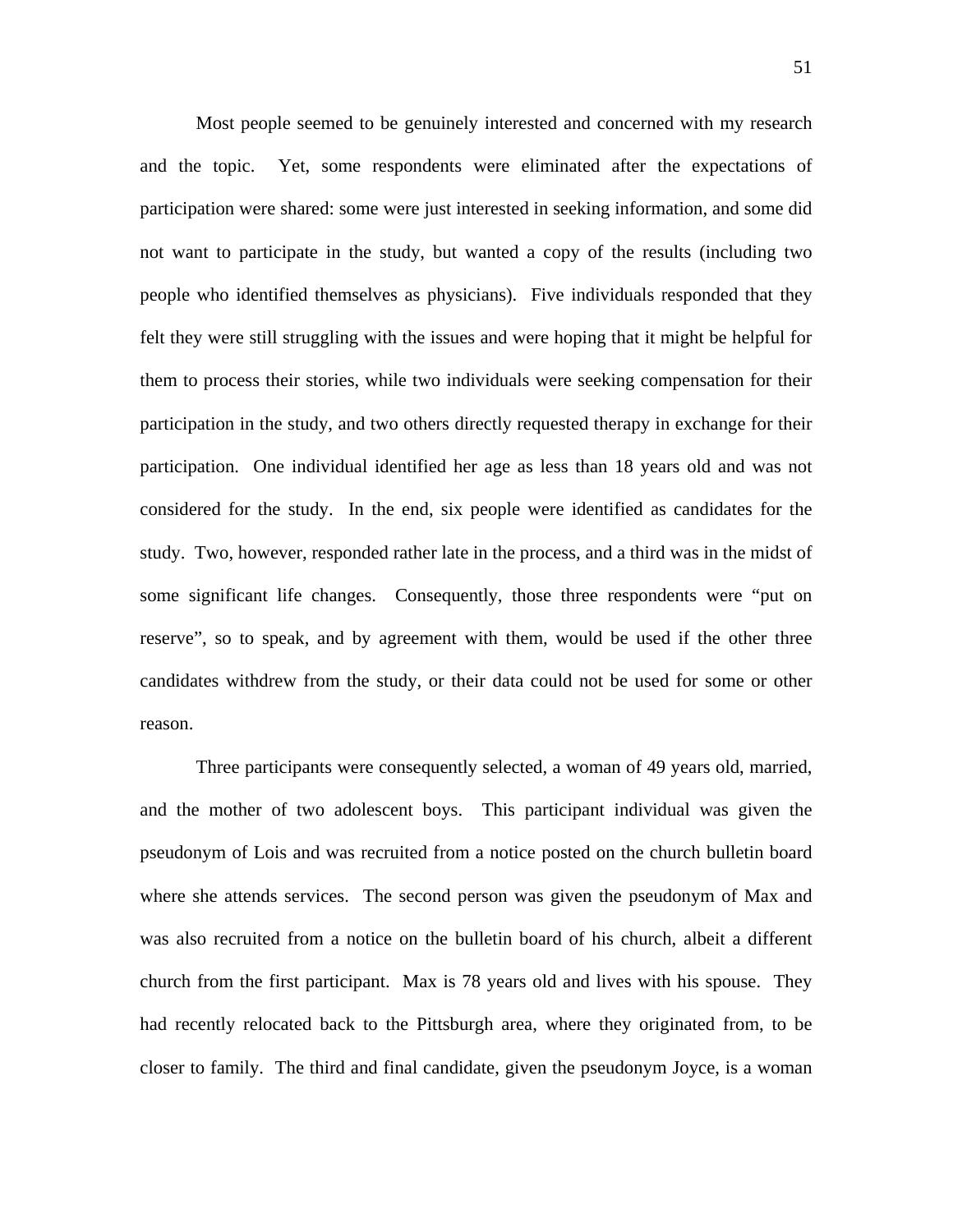Most people seemed to be genuinely interested and concerned with my research and the topic. Yet, some respondents were eliminated after the expectations of participation were shared: some were just interested in seeking information, and some did not want to participate in the study, but wanted a copy of the results (including two people who identified themselves as physicians). Five individuals responded that they felt they were still struggling with the issues and were hoping that it might be helpful for them to process their stories, while two individuals were seeking compensation for their participation in the study, and two others directly requested therapy in exchange for their participation. One individual identified her age as less than 18 years old and was not considered for the study. In the end, six people were identified as candidates for the study. Two, however, responded rather late in the process, and a third was in the midst of some significant life changes. Consequently, those three respondents were "put on reserve", so to speak, and by agreement with them, would be used if the other three candidates withdrew from the study, or their data could not be used for some or other reason.

Three participants were consequently selected, a woman of 49 years old, married, and the mother of two adolescent boys. This participant individual was given the pseudonym of Lois and was recruited from a notice posted on the church bulletin board where she attends services. The second person was given the pseudonym of Max and was also recruited from a notice on the bulletin board of his church, albeit a different church from the first participant. Max is 78 years old and lives with his spouse. They had recently relocated back to the Pittsburgh area, where they originated from, to be closer to family. The third and final candidate, given the pseudonym Joyce, is a woman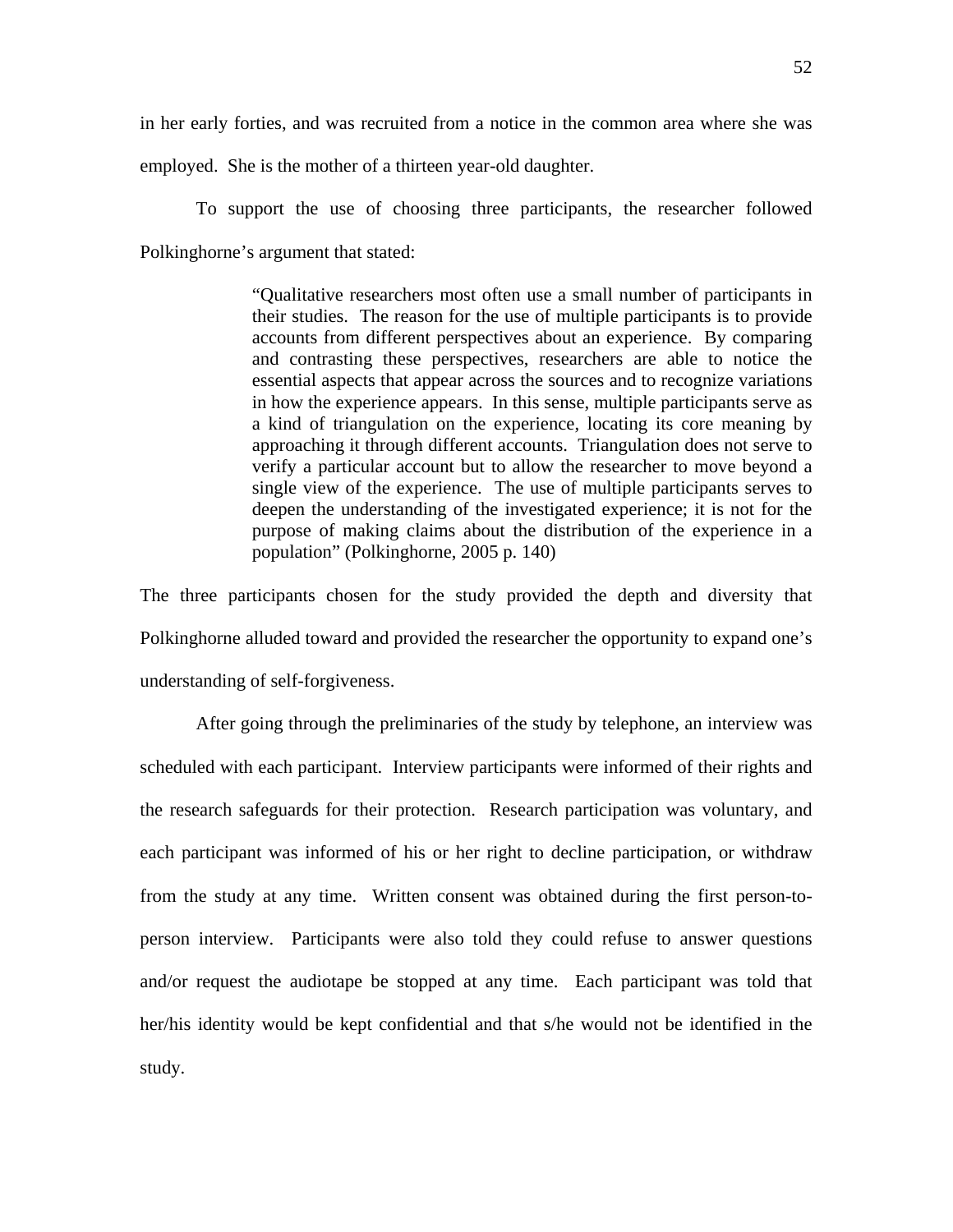in her early forties, and was recruited from a notice in the common area where she was

employed. She is the mother of a thirteen year-old daughter.

To support the use of choosing three participants, the researcher followed Polkinghorne's argument that stated:

> "Qualitative researchers most often use a small number of participants in their studies. The reason for the use of multiple participants is to provide accounts from different perspectives about an experience. By comparing and contrasting these perspectives, researchers are able to notice the essential aspects that appear across the sources and to recognize variations in how the experience appears. In this sense, multiple participants serve as a kind of triangulation on the experience, locating its core meaning by approaching it through different accounts. Triangulation does not serve to verify a particular account but to allow the researcher to move beyond a single view of the experience. The use of multiple participants serves to deepen the understanding of the investigated experience; it is not for the purpose of making claims about the distribution of the experience in a population" (Polkinghorne, 2005 p. 140)

The three participants chosen for the study provided the depth and diversity that Polkinghorne alluded toward and provided the researcher the opportunity to expand one's understanding of self-forgiveness.

After going through the preliminaries of the study by telephone, an interview was scheduled with each participant. Interview participants were informed of their rights and the research safeguards for their protection. Research participation was voluntary, and each participant was informed of his or her right to decline participation, or withdraw from the study at any time. Written consent was obtained during the first person-toperson interview. Participants were also told they could refuse to answer questions and/or request the audiotape be stopped at any time. Each participant was told that her/his identity would be kept confidential and that s/he would not be identified in the study.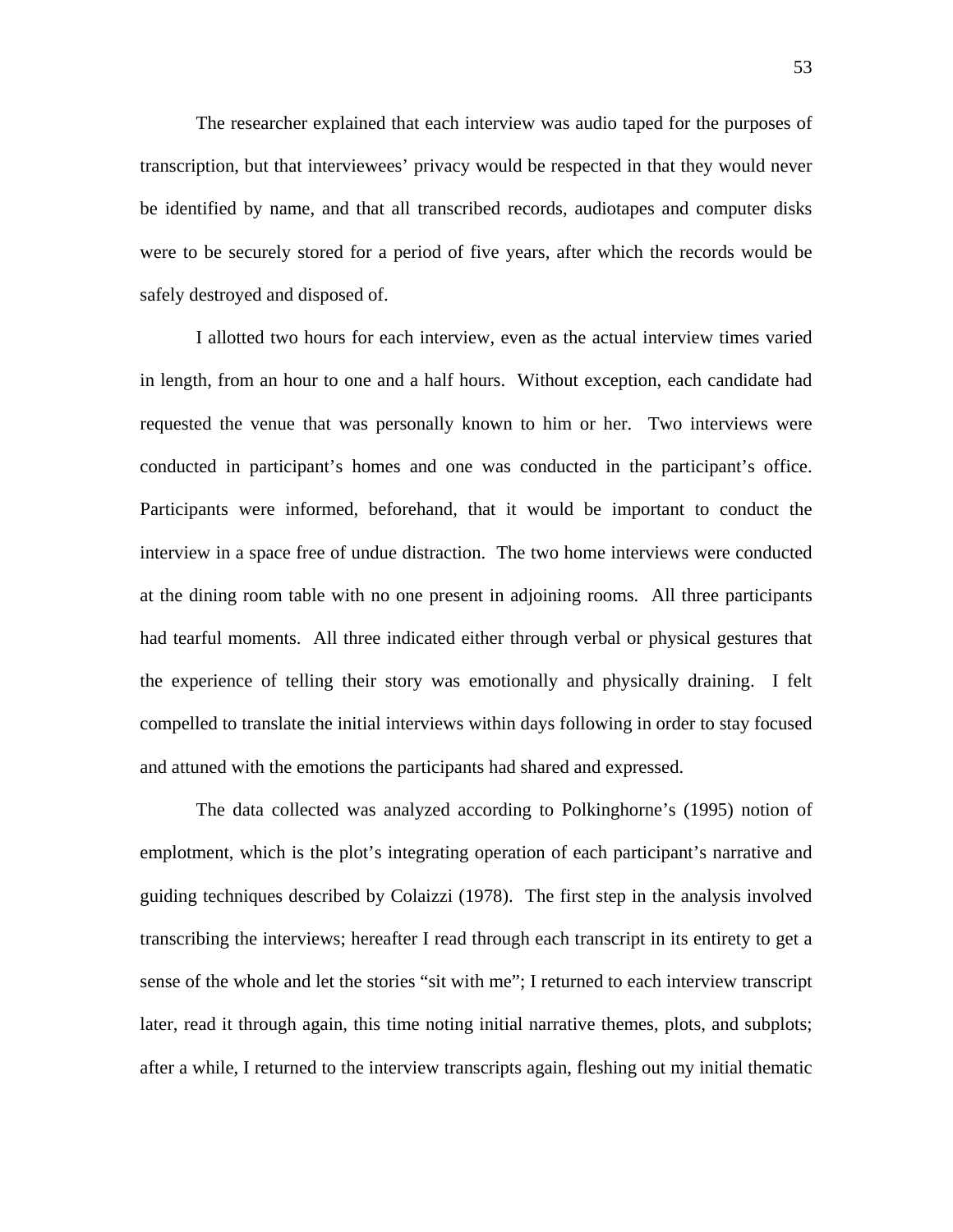The researcher explained that each interview was audio taped for the purposes of transcription, but that interviewees' privacy would be respected in that they would never be identified by name, and that all transcribed records, audiotapes and computer disks were to be securely stored for a period of five years, after which the records would be safely destroyed and disposed of.

I allotted two hours for each interview, even as the actual interview times varied in length, from an hour to one and a half hours. Without exception, each candidate had requested the venue that was personally known to him or her. Two interviews were conducted in participant's homes and one was conducted in the participant's office. Participants were informed, beforehand, that it would be important to conduct the interview in a space free of undue distraction. The two home interviews were conducted at the dining room table with no one present in adjoining rooms. All three participants had tearful moments. All three indicated either through verbal or physical gestures that the experience of telling their story was emotionally and physically draining. I felt compelled to translate the initial interviews within days following in order to stay focused and attuned with the emotions the participants had shared and expressed.

The data collected was analyzed according to Polkinghorne's (1995) notion of emplotment, which is the plot's integrating operation of each participant's narrative and guiding techniques described by Colaizzi (1978). The first step in the analysis involved transcribing the interviews; hereafter I read through each transcript in its entirety to get a sense of the whole and let the stories "sit with me"; I returned to each interview transcript later, read it through again, this time noting initial narrative themes, plots, and subplots; after a while, I returned to the interview transcripts again, fleshing out my initial thematic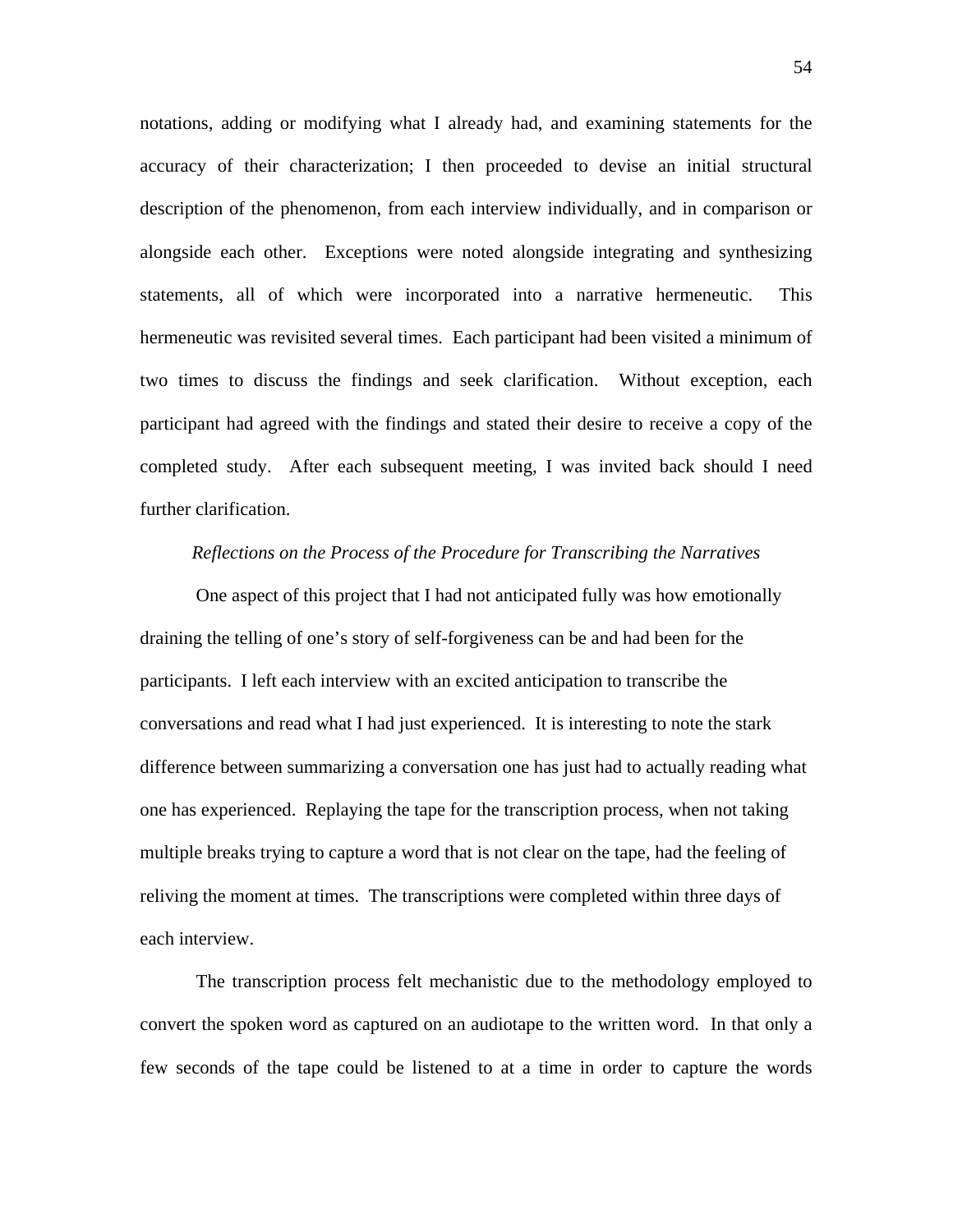notations, adding or modifying what I already had, and examining statements for the accuracy of their characterization; I then proceeded to devise an initial structural description of the phenomenon, from each interview individually, and in comparison or alongside each other. Exceptions were noted alongside integrating and synthesizing statements, all of which were incorporated into a narrative hermeneutic. This hermeneutic was revisited several times. Each participant had been visited a minimum of two times to discuss the findings and seek clarification. Without exception, each participant had agreed with the findings and stated their desire to receive a copy of the completed study. After each subsequent meeting, I was invited back should I need further clarification.

# *Reflections on the Process of the Procedure for Transcribing the Narratives*

One aspect of this project that I had not anticipated fully was how emotionally draining the telling of one's story of self-forgiveness can be and had been for the participants. I left each interview with an excited anticipation to transcribe the conversations and read what I had just experienced. It is interesting to note the stark difference between summarizing a conversation one has just had to actually reading what one has experienced. Replaying the tape for the transcription process, when not taking multiple breaks trying to capture a word that is not clear on the tape, had the feeling of reliving the moment at times. The transcriptions were completed within three days of each interview.

The transcription process felt mechanistic due to the methodology employed to convert the spoken word as captured on an audiotape to the written word. In that only a few seconds of the tape could be listened to at a time in order to capture the words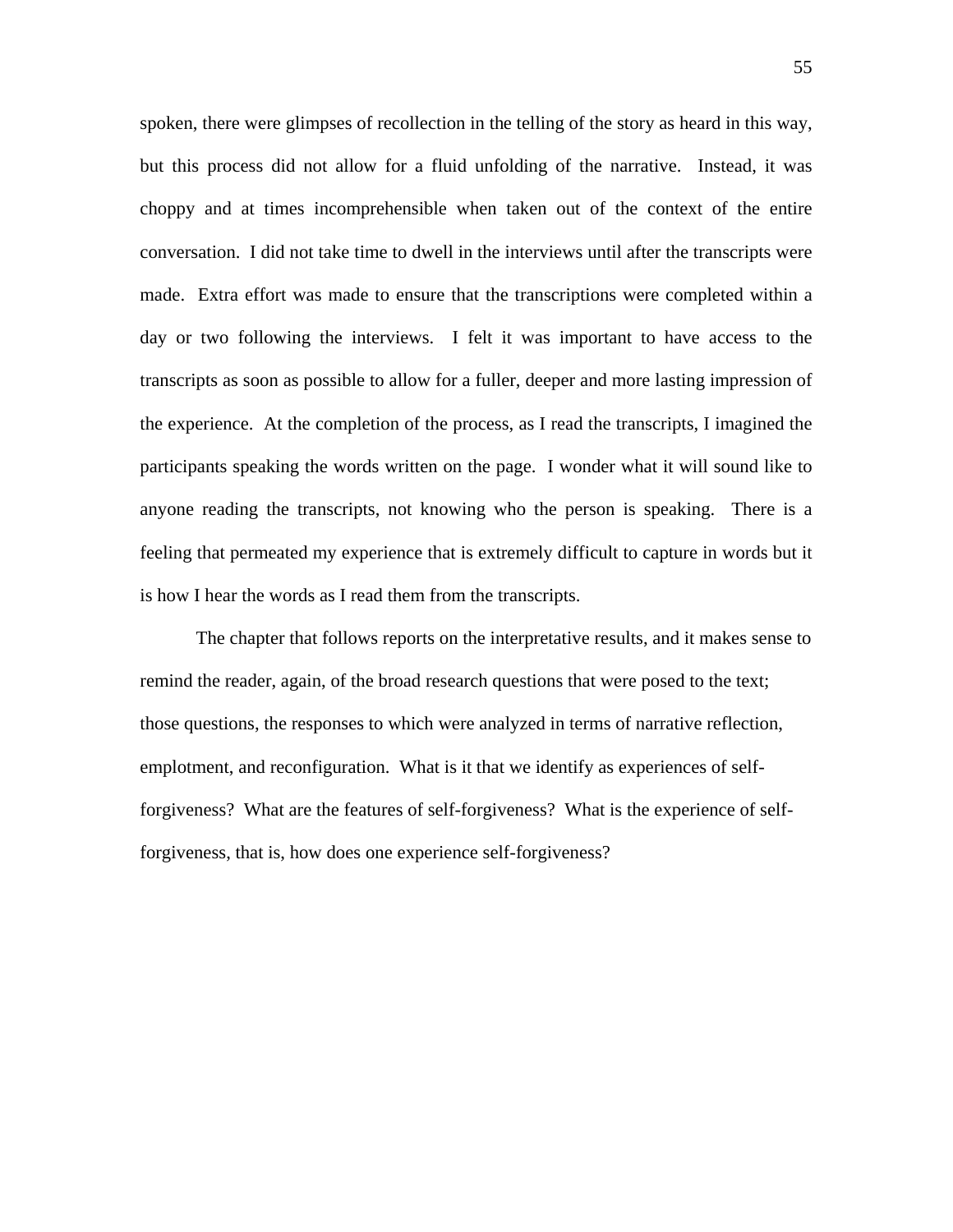spoken, there were glimpses of recollection in the telling of the story as heard in this way, but this process did not allow for a fluid unfolding of the narrative. Instead, it was choppy and at times incomprehensible when taken out of the context of the entire conversation. I did not take time to dwell in the interviews until after the transcripts were made. Extra effort was made to ensure that the transcriptions were completed within a day or two following the interviews. I felt it was important to have access to the transcripts as soon as possible to allow for a fuller, deeper and more lasting impression of the experience. At the completion of the process, as I read the transcripts, I imagined the participants speaking the words written on the page. I wonder what it will sound like to anyone reading the transcripts, not knowing who the person is speaking. There is a feeling that permeated my experience that is extremely difficult to capture in words but it is how I hear the words as I read them from the transcripts.

The chapter that follows reports on the interpretative results, and it makes sense to remind the reader, again, of the broad research questions that were posed to the text; those questions, the responses to which were analyzed in terms of narrative reflection, emplotment, and reconfiguration. What is it that we identify as experiences of selfforgiveness? What are the features of self-forgiveness? What is the experience of selfforgiveness, that is, how does one experience self-forgiveness?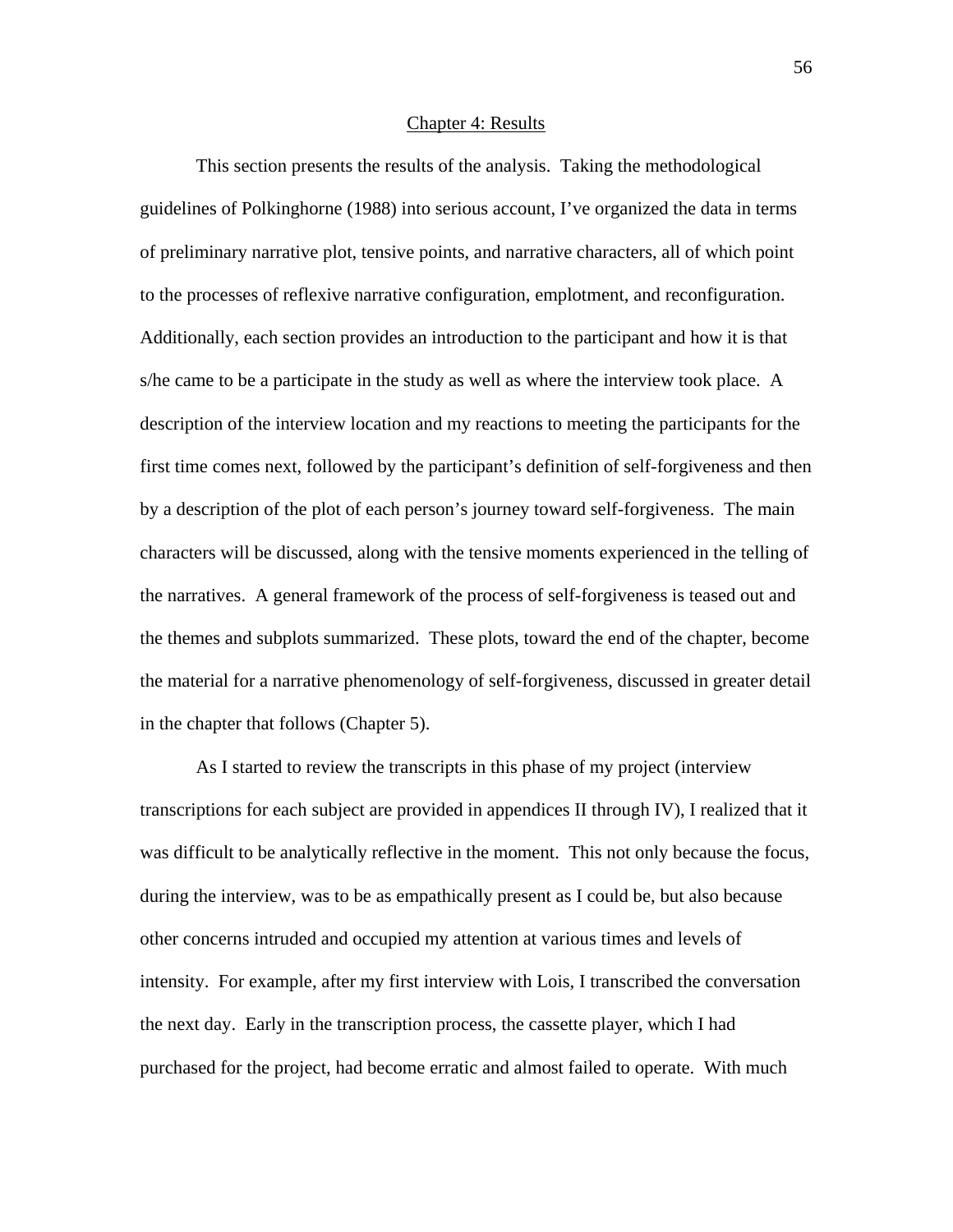#### Chapter 4: Results

 This section presents the results of the analysis. Taking the methodological guidelines of Polkinghorne (1988) into serious account, I've organized the data in terms of preliminary narrative plot, tensive points, and narrative characters, all of which point to the processes of reflexive narrative configuration, emplotment, and reconfiguration. Additionally, each section provides an introduction to the participant and how it is that s/he came to be a participate in the study as well as where the interview took place. A description of the interview location and my reactions to meeting the participants for the first time comes next, followed by the participant's definition of self-forgiveness and then by a description of the plot of each person's journey toward self-forgiveness. The main characters will be discussed, along with the tensive moments experienced in the telling of the narratives. A general framework of the process of self-forgiveness is teased out and the themes and subplots summarized. These plots, toward the end of the chapter, become the material for a narrative phenomenology of self-forgiveness, discussed in greater detail in the chapter that follows (Chapter 5).

 As I started to review the transcripts in this phase of my project (interview transcriptions for each subject are provided in appendices II through IV), I realized that it was difficult to be analytically reflective in the moment. This not only because the focus, during the interview, was to be as empathically present as I could be, but also because other concerns intruded and occupied my attention at various times and levels of intensity. For example, after my first interview with Lois, I transcribed the conversation the next day. Early in the transcription process, the cassette player, which I had purchased for the project, had become erratic and almost failed to operate. With much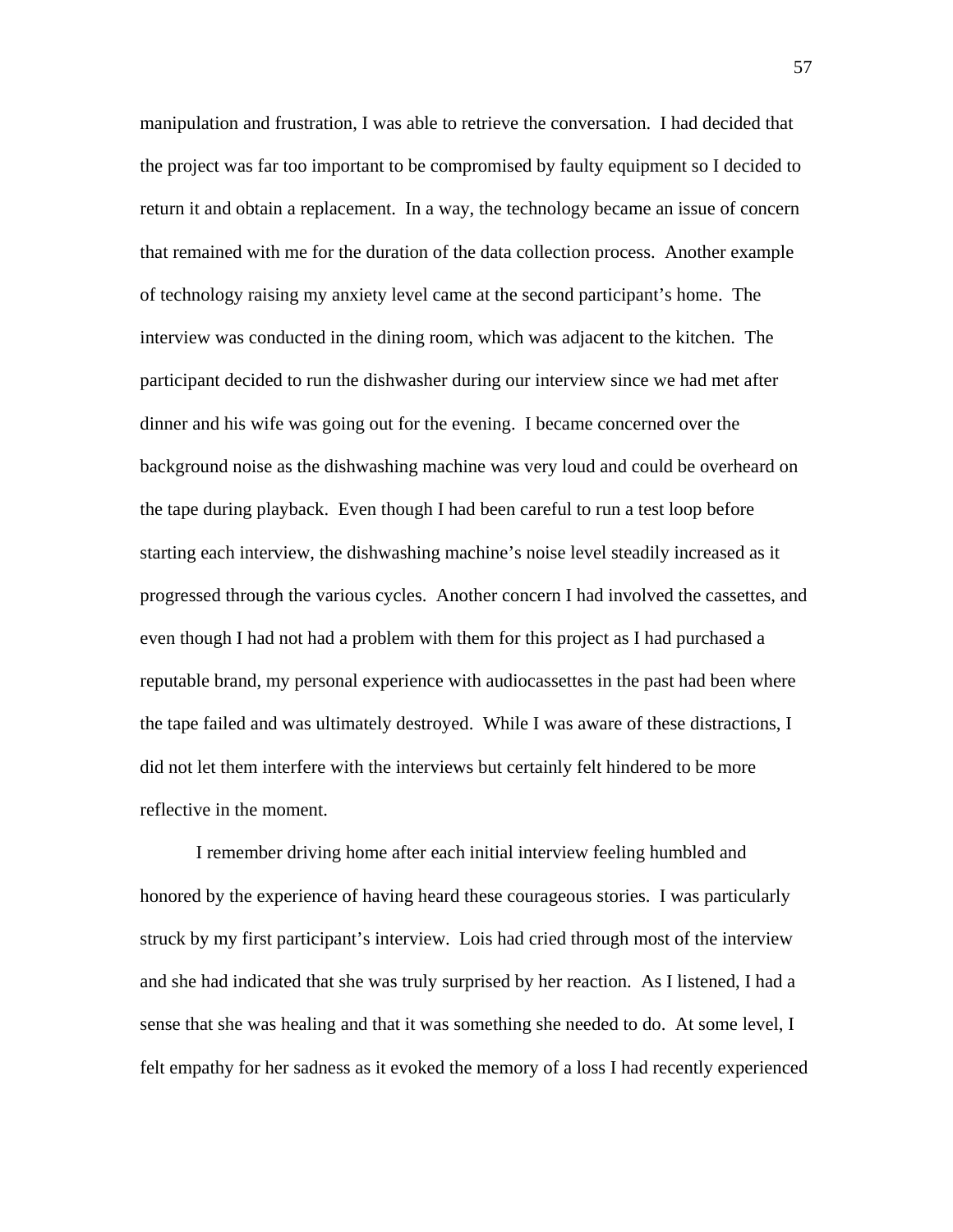manipulation and frustration, I was able to retrieve the conversation. I had decided that the project was far too important to be compromised by faulty equipment so I decided to return it and obtain a replacement. In a way, the technology became an issue of concern that remained with me for the duration of the data collection process. Another example of technology raising my anxiety level came at the second participant's home. The interview was conducted in the dining room, which was adjacent to the kitchen. The participant decided to run the dishwasher during our interview since we had met after dinner and his wife was going out for the evening. I became concerned over the background noise as the dishwashing machine was very loud and could be overheard on the tape during playback. Even though I had been careful to run a test loop before starting each interview, the dishwashing machine's noise level steadily increased as it progressed through the various cycles. Another concern I had involved the cassettes, and even though I had not had a problem with them for this project as I had purchased a reputable brand, my personal experience with audiocassettes in the past had been where the tape failed and was ultimately destroyed. While I was aware of these distractions, I did not let them interfere with the interviews but certainly felt hindered to be more reflective in the moment.

 I remember driving home after each initial interview feeling humbled and honored by the experience of having heard these courageous stories. I was particularly struck by my first participant's interview. Lois had cried through most of the interview and she had indicated that she was truly surprised by her reaction. As I listened, I had a sense that she was healing and that it was something she needed to do. At some level, I felt empathy for her sadness as it evoked the memory of a loss I had recently experienced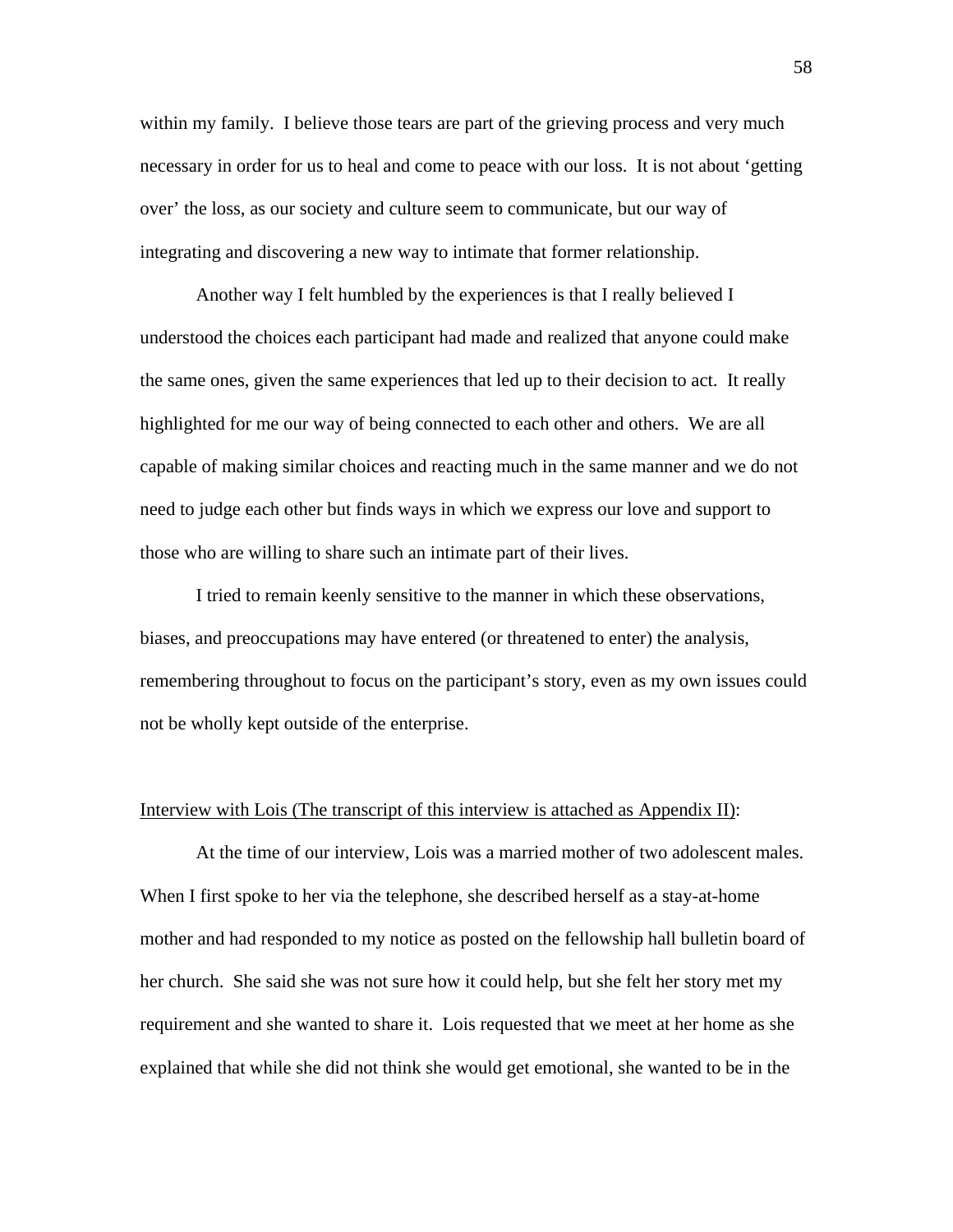within my family. I believe those tears are part of the grieving process and very much necessary in order for us to heal and come to peace with our loss. It is not about 'getting over' the loss, as our society and culture seem to communicate, but our way of integrating and discovering a new way to intimate that former relationship.

 Another way I felt humbled by the experiences is that I really believed I understood the choices each participant had made and realized that anyone could make the same ones, given the same experiences that led up to their decision to act. It really highlighted for me our way of being connected to each other and others. We are all capable of making similar choices and reacting much in the same manner and we do not need to judge each other but finds ways in which we express our love and support to those who are willing to share such an intimate part of their lives.

I tried to remain keenly sensitive to the manner in which these observations, biases, and preoccupations may have entered (or threatened to enter) the analysis, remembering throughout to focus on the participant's story, even as my own issues could not be wholly kept outside of the enterprise.

### Interview with Lois (The transcript of this interview is attached as Appendix II):

At the time of our interview, Lois was a married mother of two adolescent males. When I first spoke to her via the telephone, she described herself as a stay-at-home mother and had responded to my notice as posted on the fellowship hall bulletin board of her church. She said she was not sure how it could help, but she felt her story met my requirement and she wanted to share it. Lois requested that we meet at her home as she explained that while she did not think she would get emotional, she wanted to be in the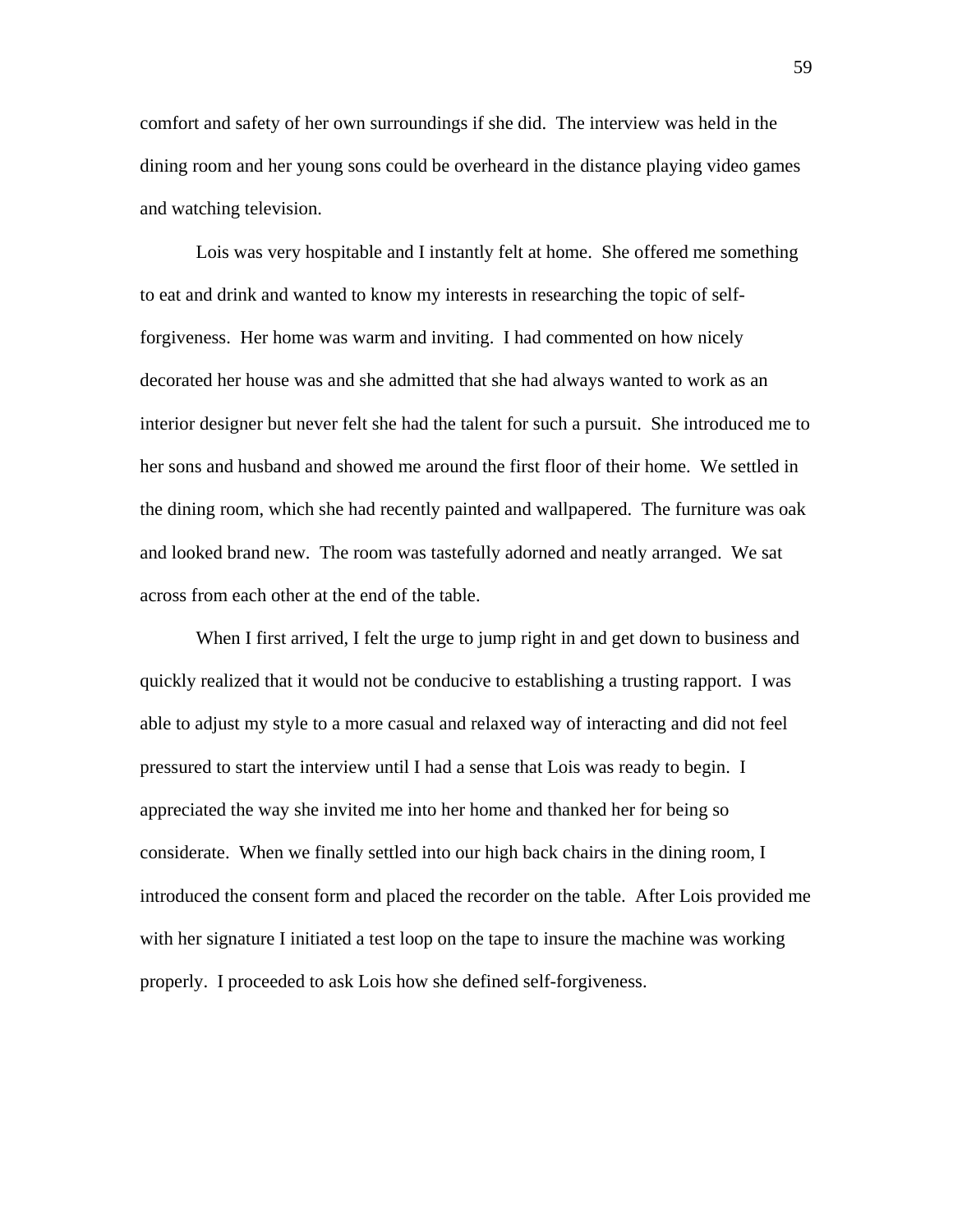comfort and safety of her own surroundings if she did. The interview was held in the dining room and her young sons could be overheard in the distance playing video games and watching television.

Lois was very hospitable and I instantly felt at home. She offered me something to eat and drink and wanted to know my interests in researching the topic of selfforgiveness. Her home was warm and inviting. I had commented on how nicely decorated her house was and she admitted that she had always wanted to work as an interior designer but never felt she had the talent for such a pursuit. She introduced me to her sons and husband and showed me around the first floor of their home. We settled in the dining room, which she had recently painted and wallpapered. The furniture was oak and looked brand new. The room was tastefully adorned and neatly arranged. We sat across from each other at the end of the table.

When I first arrived, I felt the urge to jump right in and get down to business and quickly realized that it would not be conducive to establishing a trusting rapport. I was able to adjust my style to a more casual and relaxed way of interacting and did not feel pressured to start the interview until I had a sense that Lois was ready to begin. I appreciated the way she invited me into her home and thanked her for being so considerate. When we finally settled into our high back chairs in the dining room, I introduced the consent form and placed the recorder on the table. After Lois provided me with her signature I initiated a test loop on the tape to insure the machine was working properly. I proceeded to ask Lois how she defined self-forgiveness.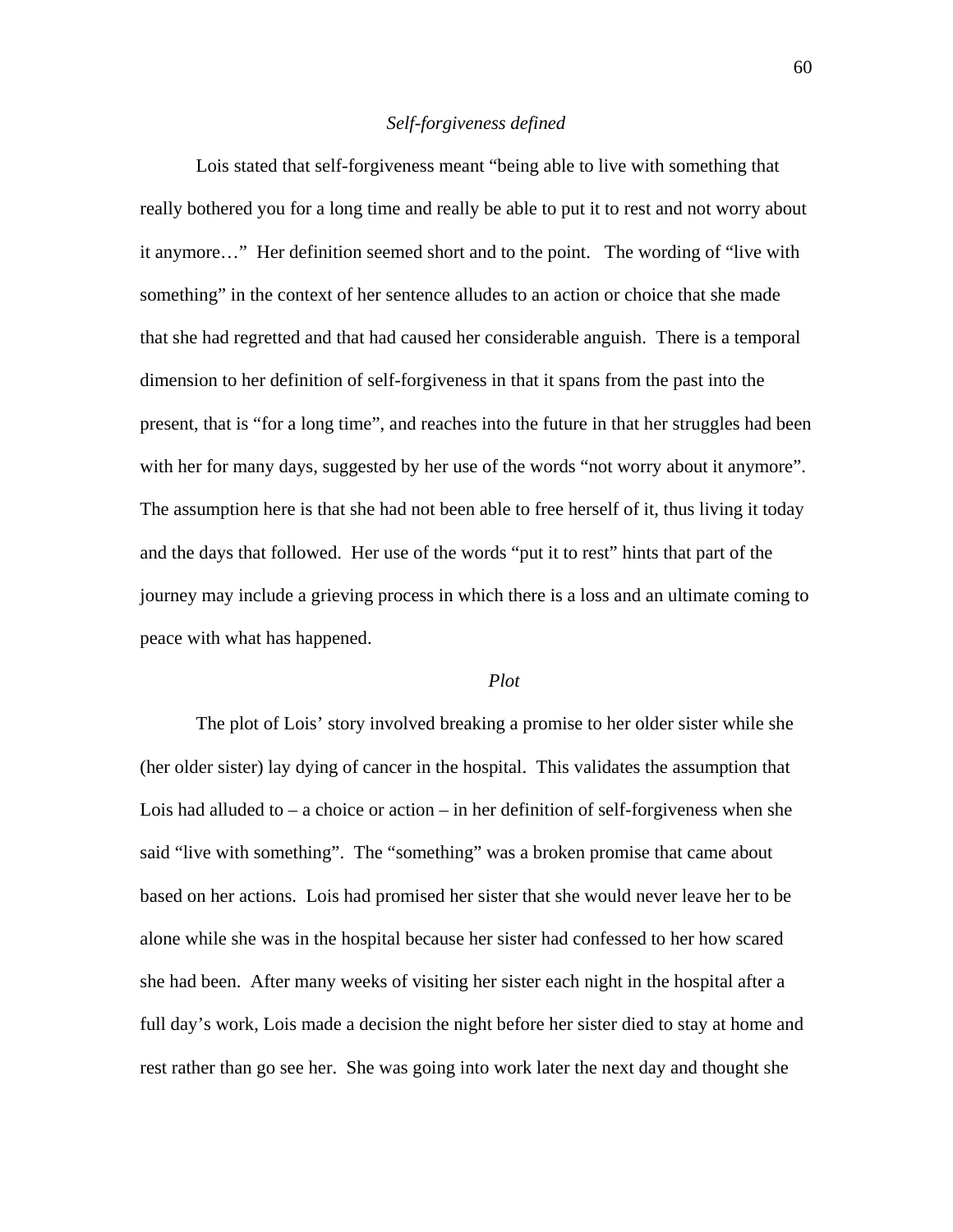# *Self-forgiveness defined*

Lois stated that self-forgiveness meant "being able to live with something that really bothered you for a long time and really be able to put it to rest and not worry about it anymore…" Her definition seemed short and to the point. The wording of "live with something" in the context of her sentence alludes to an action or choice that she made that she had regretted and that had caused her considerable anguish. There is a temporal dimension to her definition of self-forgiveness in that it spans from the past into the present, that is "for a long time", and reaches into the future in that her struggles had been with her for many days, suggested by her use of the words "not worry about it anymore". The assumption here is that she had not been able to free herself of it, thus living it today and the days that followed. Her use of the words "put it to rest" hints that part of the journey may include a grieving process in which there is a loss and an ultimate coming to peace with what has happened.

# *Plot*

The plot of Lois' story involved breaking a promise to her older sister while she (her older sister) lay dying of cancer in the hospital. This validates the assumption that Lois had alluded to  $-$  a choice or action  $-$  in her definition of self-forgiveness when she said "live with something". The "something" was a broken promise that came about based on her actions. Lois had promised her sister that she would never leave her to be alone while she was in the hospital because her sister had confessed to her how scared she had been. After many weeks of visiting her sister each night in the hospital after a full day's work, Lois made a decision the night before her sister died to stay at home and rest rather than go see her. She was going into work later the next day and thought she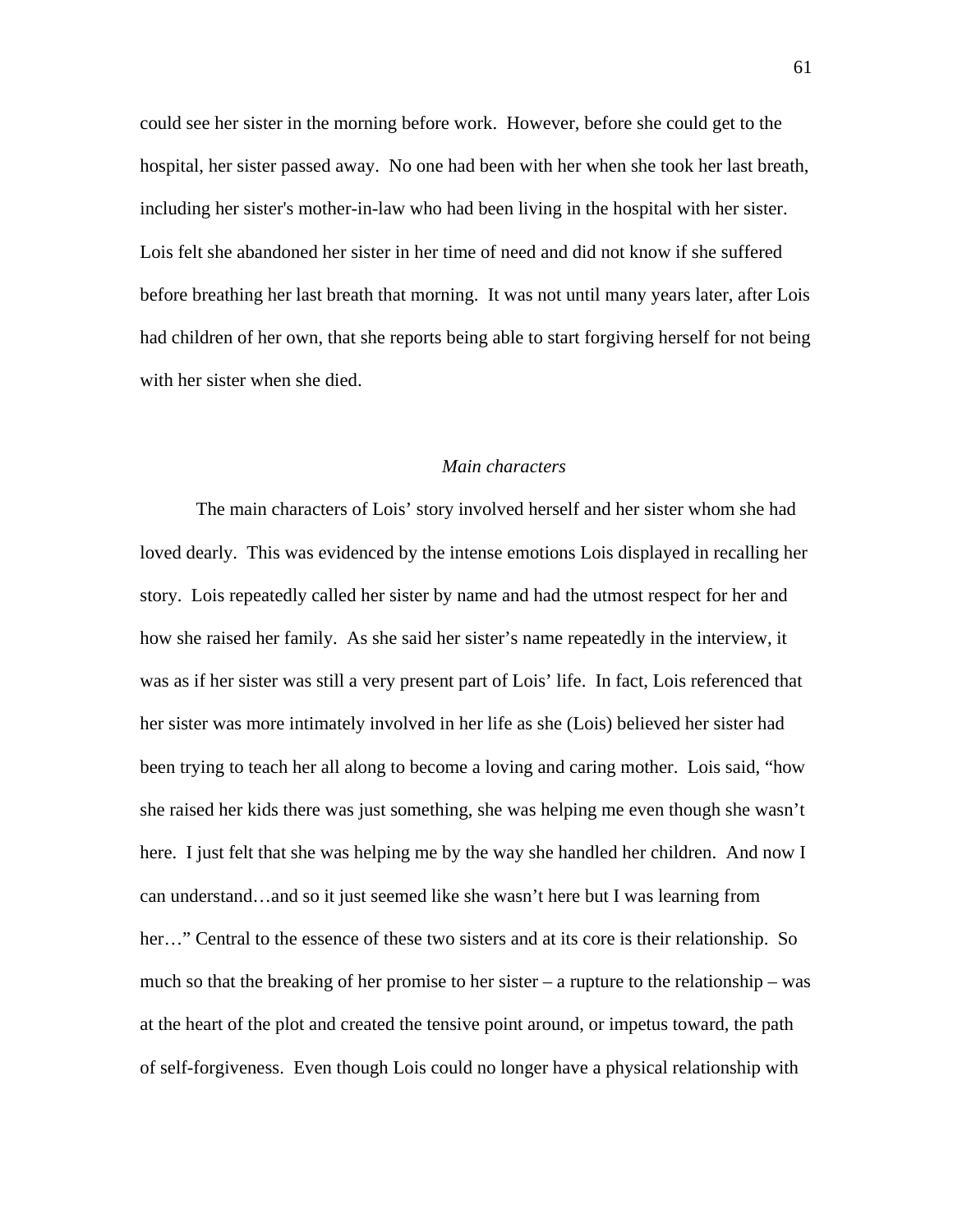could see her sister in the morning before work. However, before she could get to the hospital, her sister passed away. No one had been with her when she took her last breath, including her sister's mother-in-law who had been living in the hospital with her sister. Lois felt she abandoned her sister in her time of need and did not know if she suffered before breathing her last breath that morning. It was not until many years later, after Lois had children of her own, that she reports being able to start forgiving herself for not being with her sister when she died.

# *Main characters*

 The main characters of Lois' story involved herself and her sister whom she had loved dearly. This was evidenced by the intense emotions Lois displayed in recalling her story. Lois repeatedly called her sister by name and had the utmost respect for her and how she raised her family. As she said her sister's name repeatedly in the interview, it was as if her sister was still a very present part of Lois' life. In fact, Lois referenced that her sister was more intimately involved in her life as she (Lois) believed her sister had been trying to teach her all along to become a loving and caring mother. Lois said, "how she raised her kids there was just something, she was helping me even though she wasn't here. I just felt that she was helping me by the way she handled her children. And now I can understand…and so it just seemed like she wasn't here but I was learning from her..." Central to the essence of these two sisters and at its core is their relationship. So much so that the breaking of her promise to her sister – a rupture to the relationship – was at the heart of the plot and created the tensive point around, or impetus toward, the path of self-forgiveness. Even though Lois could no longer have a physical relationship with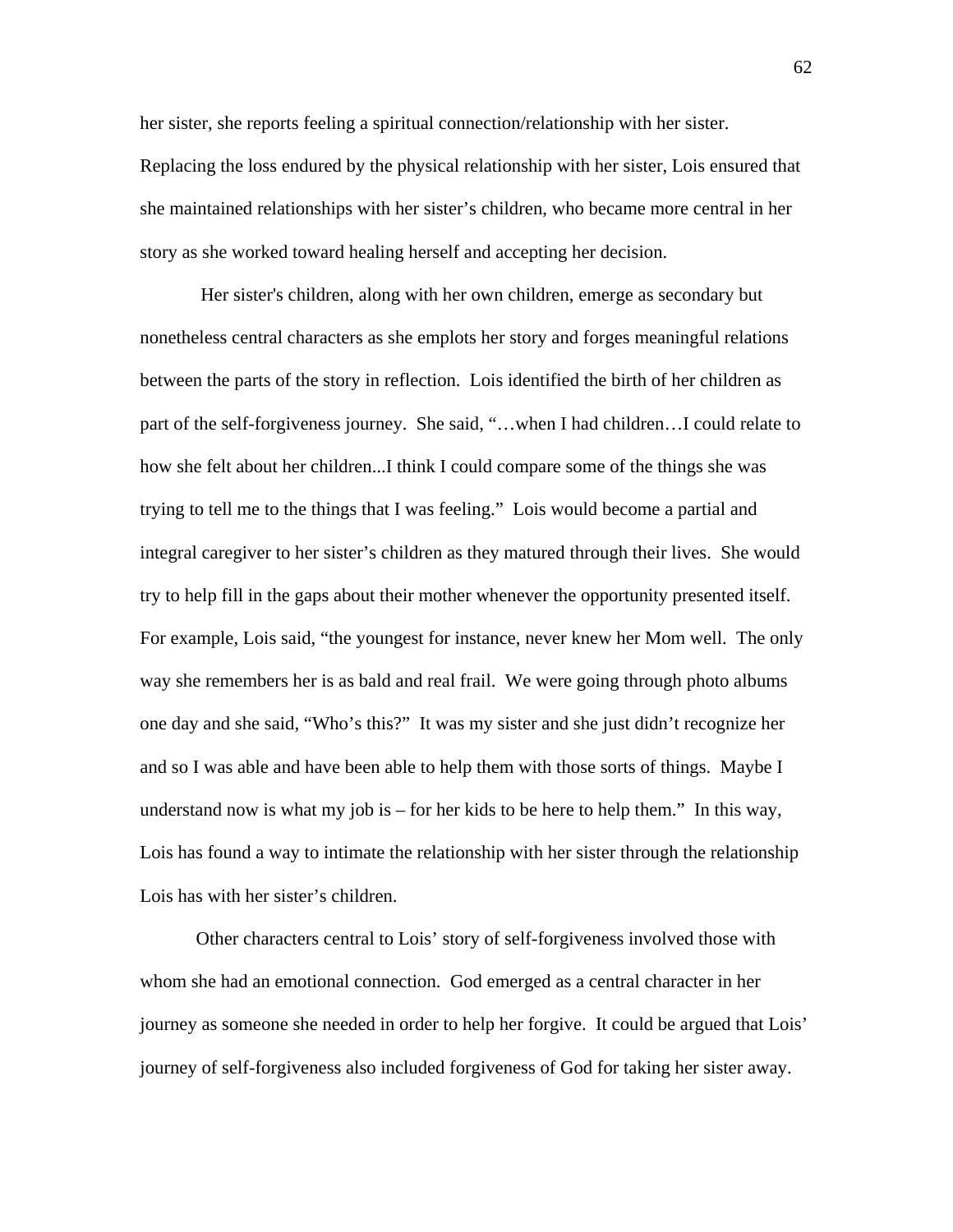her sister, she reports feeling a spiritual connection/relationship with her sister. Replacing the loss endured by the physical relationship with her sister, Lois ensured that she maintained relationships with her sister's children, who became more central in her story as she worked toward healing herself and accepting her decision.

 Her sister's children, along with her own children, emerge as secondary but nonetheless central characters as she emplots her story and forges meaningful relations between the parts of the story in reflection. Lois identified the birth of her children as part of the self-forgiveness journey. She said, "…when I had children…I could relate to how she felt about her children...I think I could compare some of the things she was trying to tell me to the things that I was feeling." Lois would become a partial and integral caregiver to her sister's children as they matured through their lives. She would try to help fill in the gaps about their mother whenever the opportunity presented itself. For example, Lois said, "the youngest for instance, never knew her Mom well. The only way she remembers her is as bald and real frail. We were going through photo albums one day and she said, "Who's this?" It was my sister and she just didn't recognize her and so I was able and have been able to help them with those sorts of things. Maybe I understand now is what my job is – for her kids to be here to help them." In this way, Lois has found a way to intimate the relationship with her sister through the relationship Lois has with her sister's children.

Other characters central to Lois' story of self-forgiveness involved those with whom she had an emotional connection. God emerged as a central character in her journey as someone she needed in order to help her forgive. It could be argued that Lois' journey of self-forgiveness also included forgiveness of God for taking her sister away.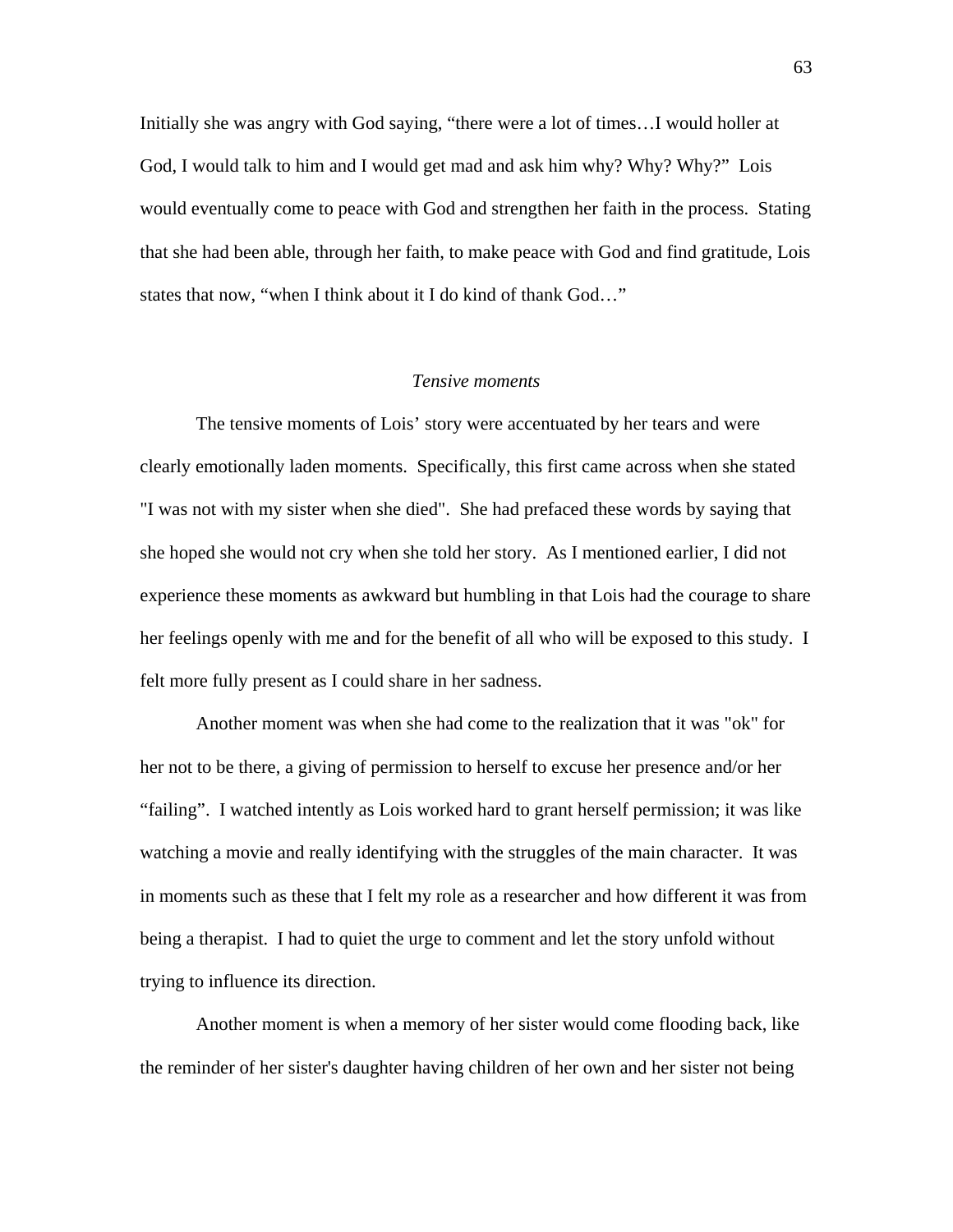Initially she was angry with God saying, "there were a lot of times…I would holler at God, I would talk to him and I would get mad and ask him why? Why? Why?" Lois would eventually come to peace with God and strengthen her faith in the process. Stating that she had been able, through her faith, to make peace with God and find gratitude, Lois states that now, "when I think about it I do kind of thank God…"

## *Tensive moments*

The tensive moments of Lois' story were accentuated by her tears and were clearly emotionally laden moments. Specifically, this first came across when she stated "I was not with my sister when she died". She had prefaced these words by saying that she hoped she would not cry when she told her story. As I mentioned earlier, I did not experience these moments as awkward but humbling in that Lois had the courage to share her feelings openly with me and for the benefit of all who will be exposed to this study. I felt more fully present as I could share in her sadness.

Another moment was when she had come to the realization that it was "ok" for her not to be there, a giving of permission to herself to excuse her presence and/or her "failing". I watched intently as Lois worked hard to grant herself permission; it was like watching a movie and really identifying with the struggles of the main character. It was in moments such as these that I felt my role as a researcher and how different it was from being a therapist. I had to quiet the urge to comment and let the story unfold without trying to influence its direction.

Another moment is when a memory of her sister would come flooding back, like the reminder of her sister's daughter having children of her own and her sister not being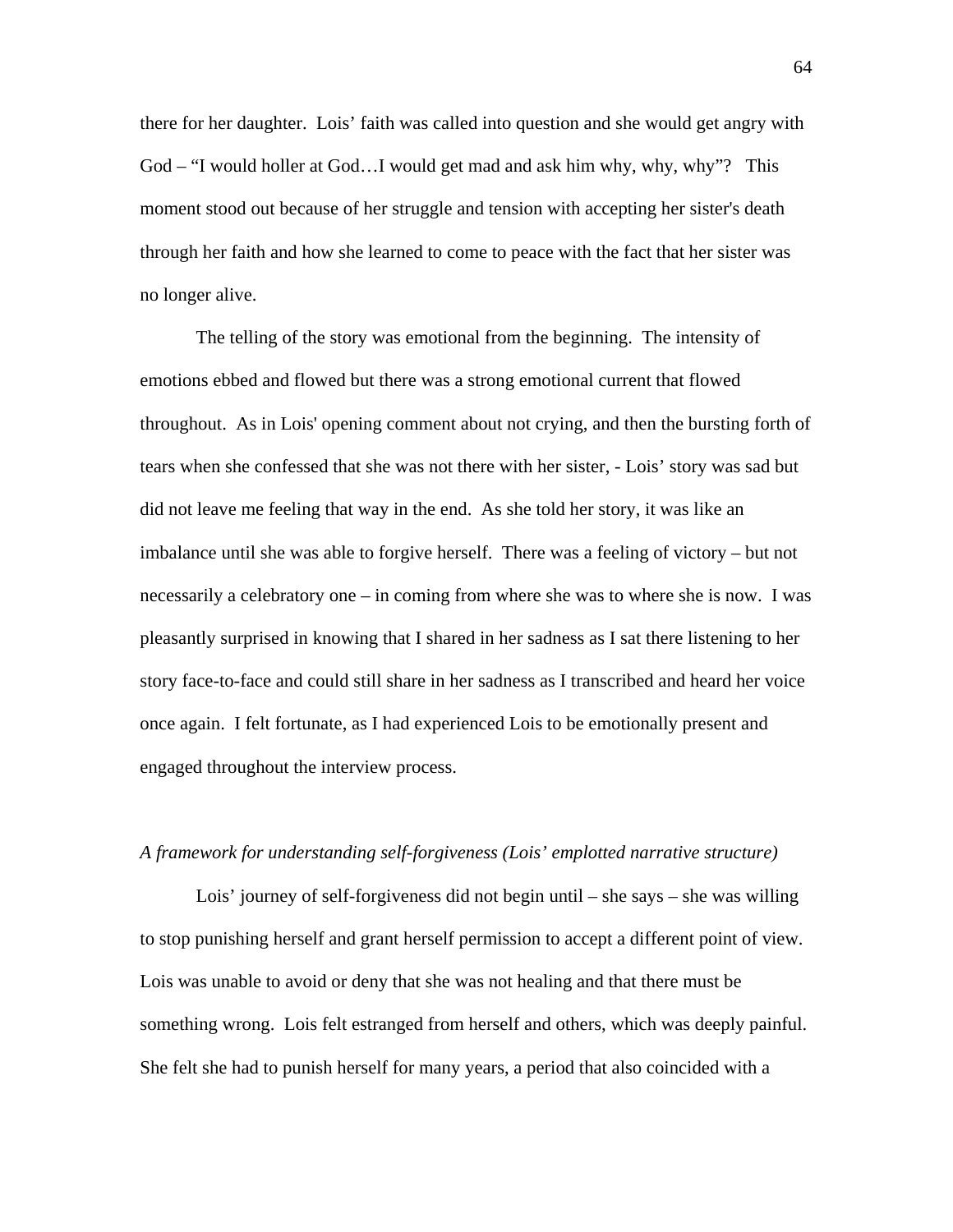there for her daughter. Lois' faith was called into question and she would get angry with God – "I would holler at God…I would get mad and ask him why, why, why"? This moment stood out because of her struggle and tension with accepting her sister's death through her faith and how she learned to come to peace with the fact that her sister was no longer alive.

 The telling of the story was emotional from the beginning. The intensity of emotions ebbed and flowed but there was a strong emotional current that flowed throughout. As in Lois' opening comment about not crying, and then the bursting forth of tears when she confessed that she was not there with her sister, - Lois' story was sad but did not leave me feeling that way in the end. As she told her story, it was like an imbalance until she was able to forgive herself. There was a feeling of victory – but not necessarily a celebratory one – in coming from where she was to where she is now. I was pleasantly surprised in knowing that I shared in her sadness as I sat there listening to her story face-to-face and could still share in her sadness as I transcribed and heard her voice once again. I felt fortunate, as I had experienced Lois to be emotionally present and engaged throughout the interview process.

## *A framework for understanding self-forgiveness (Lois' emplotted narrative structure)*

 Lois' journey of self-forgiveness did not begin until – she says – she was willing to stop punishing herself and grant herself permission to accept a different point of view. Lois was unable to avoid or deny that she was not healing and that there must be something wrong. Lois felt estranged from herself and others, which was deeply painful. She felt she had to punish herself for many years, a period that also coincided with a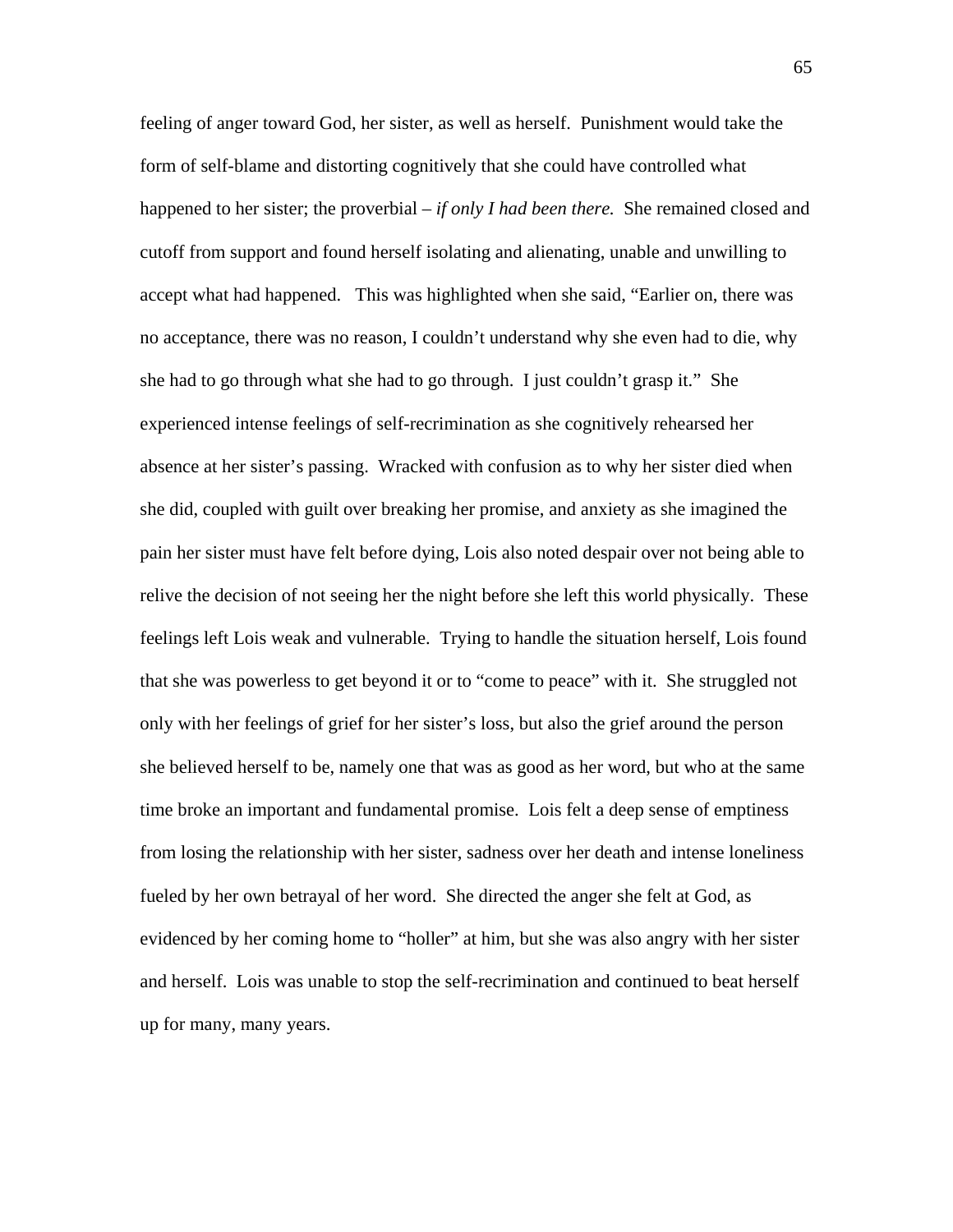feeling of anger toward God, her sister, as well as herself. Punishment would take the form of self-blame and distorting cognitively that she could have controlled what happened to her sister; the proverbial – *if only I had been there.* She remained closed and cutoff from support and found herself isolating and alienating, unable and unwilling to accept what had happened. This was highlighted when she said, "Earlier on, there was no acceptance, there was no reason, I couldn't understand why she even had to die, why she had to go through what she had to go through. I just couldn't grasp it." She experienced intense feelings of self-recrimination as she cognitively rehearsed her absence at her sister's passing. Wracked with confusion as to why her sister died when she did, coupled with guilt over breaking her promise, and anxiety as she imagined the pain her sister must have felt before dying, Lois also noted despair over not being able to relive the decision of not seeing her the night before she left this world physically. These feelings left Lois weak and vulnerable. Trying to handle the situation herself, Lois found that she was powerless to get beyond it or to "come to peace" with it. She struggled not only with her feelings of grief for her sister's loss, but also the grief around the person she believed herself to be, namely one that was as good as her word, but who at the same time broke an important and fundamental promise. Lois felt a deep sense of emptiness from losing the relationship with her sister, sadness over her death and intense loneliness fueled by her own betrayal of her word. She directed the anger she felt at God, as evidenced by her coming home to "holler" at him, but she was also angry with her sister and herself. Lois was unable to stop the self-recrimination and continued to beat herself up for many, many years.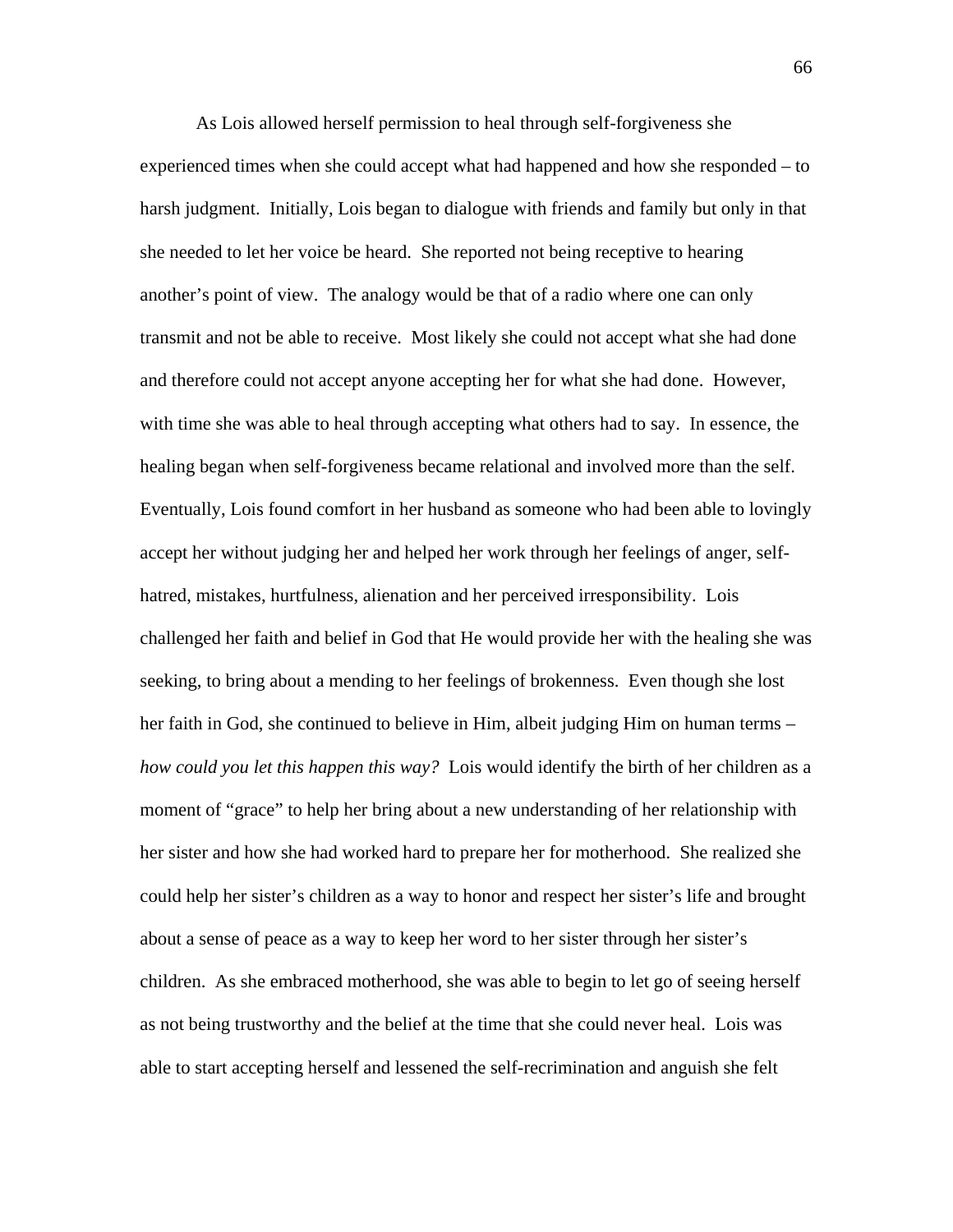As Lois allowed herself permission to heal through self-forgiveness she experienced times when she could accept what had happened and how she responded – to harsh judgment. Initially, Lois began to dialogue with friends and family but only in that she needed to let her voice be heard. She reported not being receptive to hearing another's point of view. The analogy would be that of a radio where one can only transmit and not be able to receive. Most likely she could not accept what she had done and therefore could not accept anyone accepting her for what she had done. However, with time she was able to heal through accepting what others had to say. In essence, the healing began when self-forgiveness became relational and involved more than the self. Eventually, Lois found comfort in her husband as someone who had been able to lovingly accept her without judging her and helped her work through her feelings of anger, selfhatred, mistakes, hurtfulness, alienation and her perceived irresponsibility. Lois challenged her faith and belief in God that He would provide her with the healing she was seeking, to bring about a mending to her feelings of brokenness. Even though she lost her faith in God, she continued to believe in Him, albeit judging Him on human terms – *how could you let this happen this way?* Lois would identify the birth of her children as a moment of "grace" to help her bring about a new understanding of her relationship with her sister and how she had worked hard to prepare her for motherhood. She realized she could help her sister's children as a way to honor and respect her sister's life and brought about a sense of peace as a way to keep her word to her sister through her sister's children. As she embraced motherhood, she was able to begin to let go of seeing herself as not being trustworthy and the belief at the time that she could never heal. Lois was able to start accepting herself and lessened the self-recrimination and anguish she felt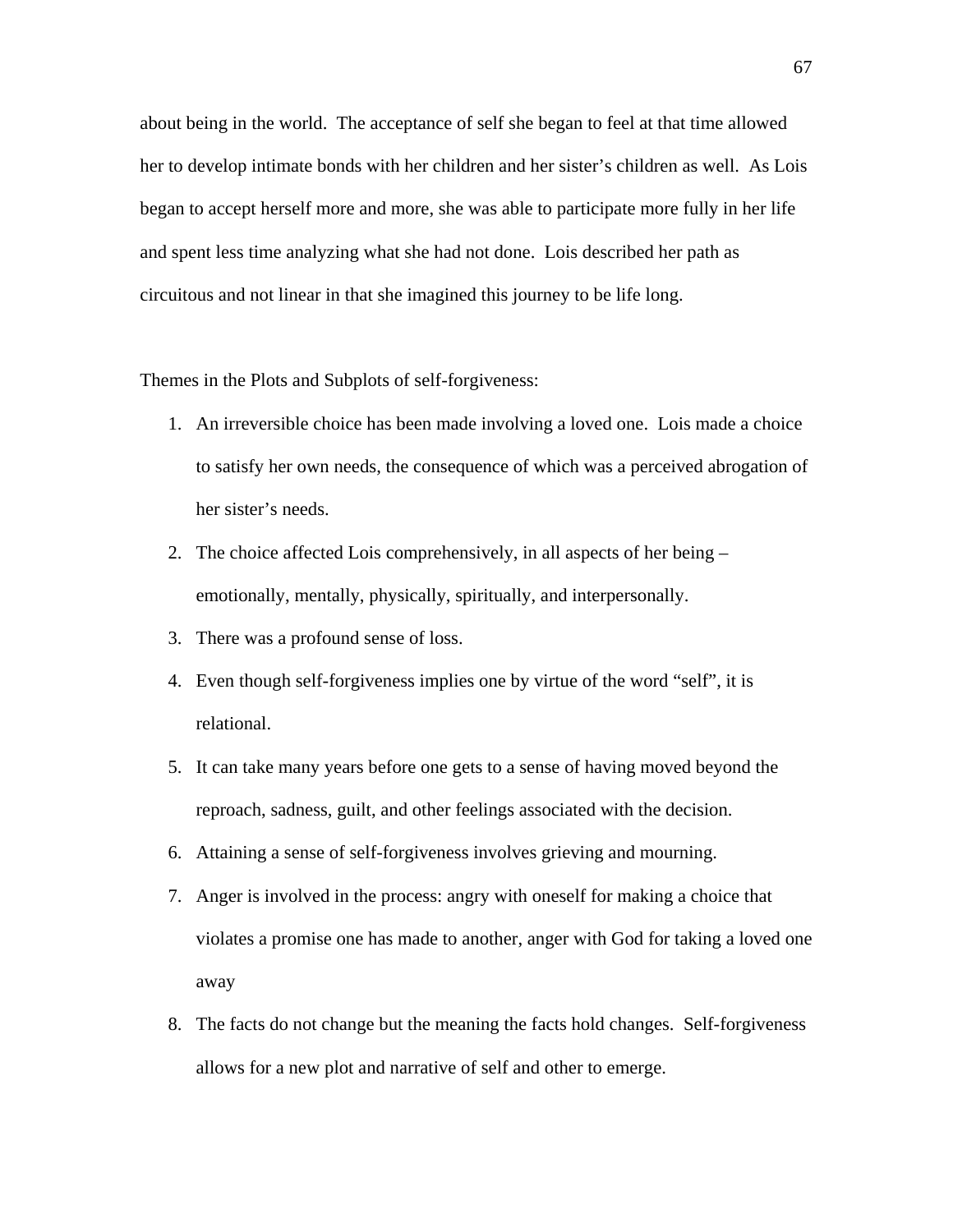about being in the world. The acceptance of self she began to feel at that time allowed her to develop intimate bonds with her children and her sister's children as well. As Lois began to accept herself more and more, she was able to participate more fully in her life and spent less time analyzing what she had not done. Lois described her path as circuitous and not linear in that she imagined this journey to be life long.

Themes in the Plots and Subplots of self-forgiveness:

- 1. An irreversible choice has been made involving a loved one. Lois made a choice to satisfy her own needs, the consequence of which was a perceived abrogation of her sister's needs.
- 2. The choice affected Lois comprehensively, in all aspects of her being emotionally, mentally, physically, spiritually, and interpersonally.
- 3. There was a profound sense of loss.
- 4. Even though self-forgiveness implies one by virtue of the word "self", it is relational.
- 5. It can take many years before one gets to a sense of having moved beyond the reproach, sadness, guilt, and other feelings associated with the decision.
- 6. Attaining a sense of self-forgiveness involves grieving and mourning.
- 7. Anger is involved in the process: angry with oneself for making a choice that violates a promise one has made to another, anger with God for taking a loved one away
- 8. The facts do not change but the meaning the facts hold changes. Self-forgiveness allows for a new plot and narrative of self and other to emerge.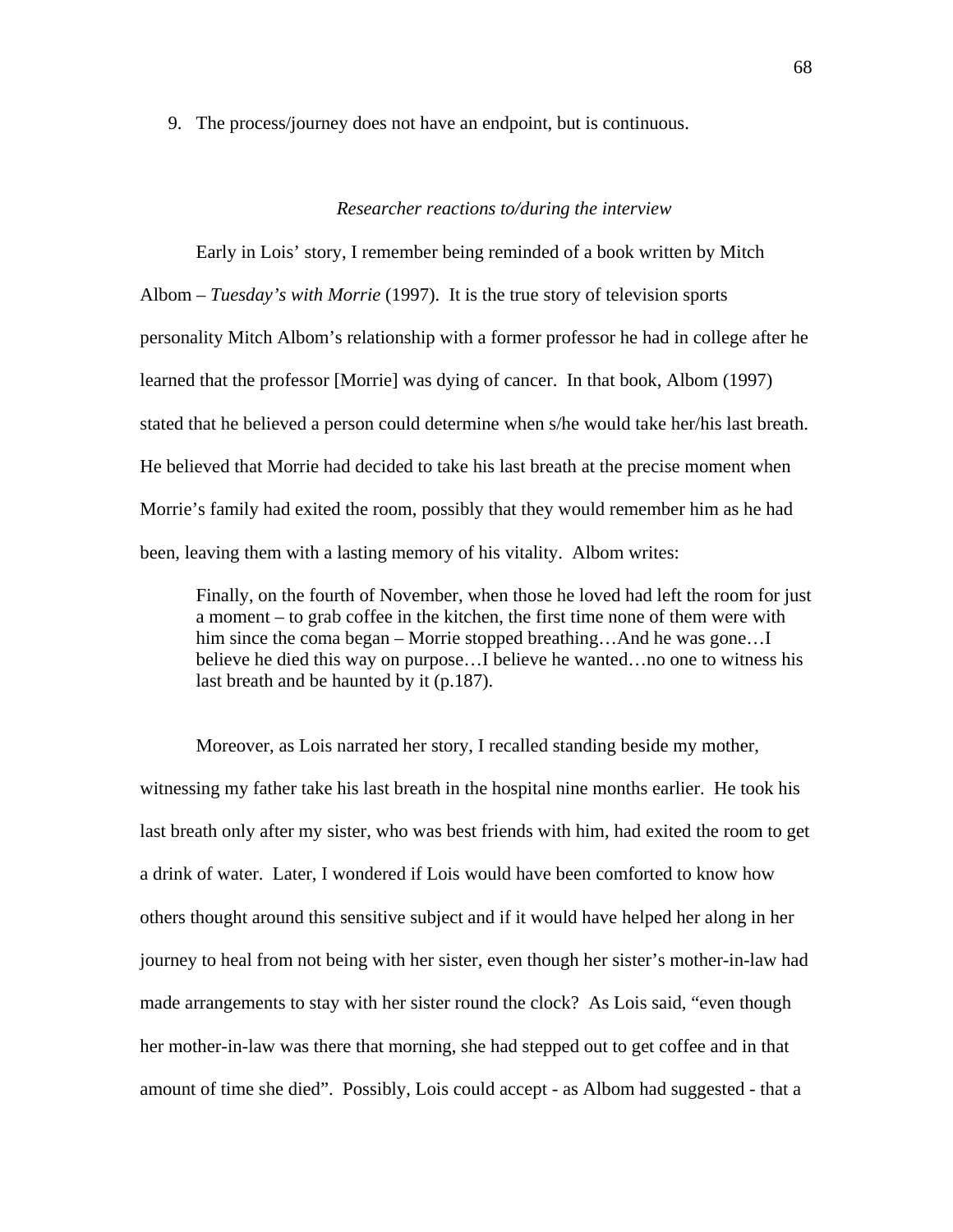9. The process/journey does not have an endpoint, but is continuous.

#### *Researcher reactions to/during the interview*

Early in Lois' story, I remember being reminded of a book written by Mitch Albom – *Tuesday's with Morrie* (1997). It is the true story of television sports personality Mitch Albom's relationship with a former professor he had in college after he learned that the professor [Morrie] was dying of cancer. In that book, Albom (1997) stated that he believed a person could determine when s/he would take her/his last breath. He believed that Morrie had decided to take his last breath at the precise moment when Morrie's family had exited the room, possibly that they would remember him as he had been, leaving them with a lasting memory of his vitality. Albom writes:

Finally, on the fourth of November, when those he loved had left the room for just a moment – to grab coffee in the kitchen, the first time none of them were with him since the coma began – Morrie stopped breathing...And he was gone...I believe he died this way on purpose…I believe he wanted…no one to witness his last breath and be haunted by it (p.187).

Moreover, as Lois narrated her story, I recalled standing beside my mother, witnessing my father take his last breath in the hospital nine months earlier. He took his last breath only after my sister, who was best friends with him, had exited the room to get a drink of water. Later, I wondered if Lois would have been comforted to know how others thought around this sensitive subject and if it would have helped her along in her journey to heal from not being with her sister, even though her sister's mother-in-law had made arrangements to stay with her sister round the clock? As Lois said, "even though her mother-in-law was there that morning, she had stepped out to get coffee and in that amount of time she died". Possibly, Lois could accept - as Albom had suggested - that a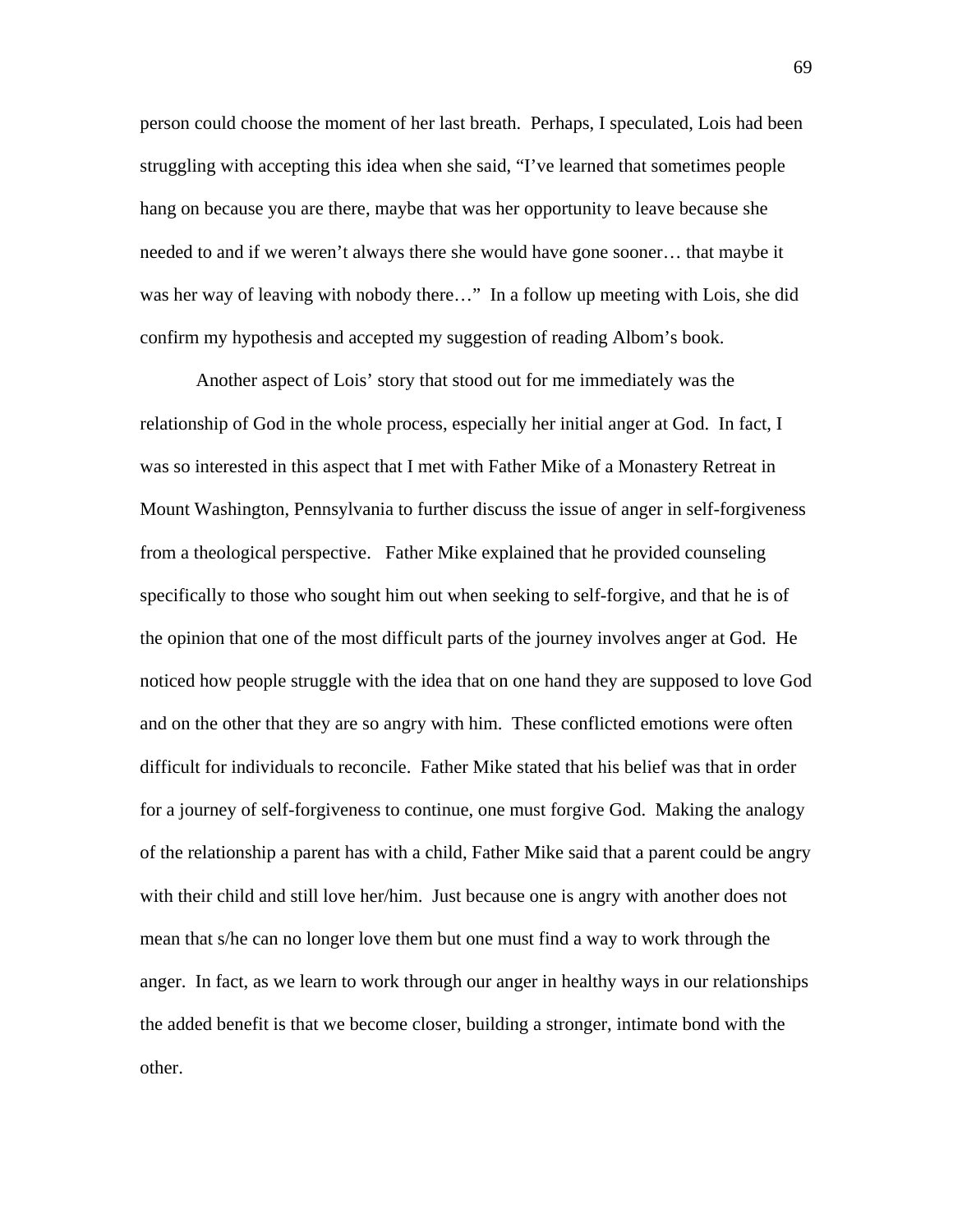person could choose the moment of her last breath. Perhaps, I speculated, Lois had been struggling with accepting this idea when she said, "I've learned that sometimes people hang on because you are there, maybe that was her opportunity to leave because she needed to and if we weren't always there she would have gone sooner… that maybe it was her way of leaving with nobody there..." In a follow up meeting with Lois, she did confirm my hypothesis and accepted my suggestion of reading Albom's book.

Another aspect of Lois' story that stood out for me immediately was the relationship of God in the whole process, especially her initial anger at God. In fact, I was so interested in this aspect that I met with Father Mike of a Monastery Retreat in Mount Washington, Pennsylvania to further discuss the issue of anger in self-forgiveness from a theological perspective. Father Mike explained that he provided counseling specifically to those who sought him out when seeking to self-forgive, and that he is of the opinion that one of the most difficult parts of the journey involves anger at God. He noticed how people struggle with the idea that on one hand they are supposed to love God and on the other that they are so angry with him. These conflicted emotions were often difficult for individuals to reconcile. Father Mike stated that his belief was that in order for a journey of self-forgiveness to continue, one must forgive God. Making the analogy of the relationship a parent has with a child, Father Mike said that a parent could be angry with their child and still love her/him. Just because one is angry with another does not mean that s/he can no longer love them but one must find a way to work through the anger. In fact, as we learn to work through our anger in healthy ways in our relationships the added benefit is that we become closer, building a stronger, intimate bond with the other.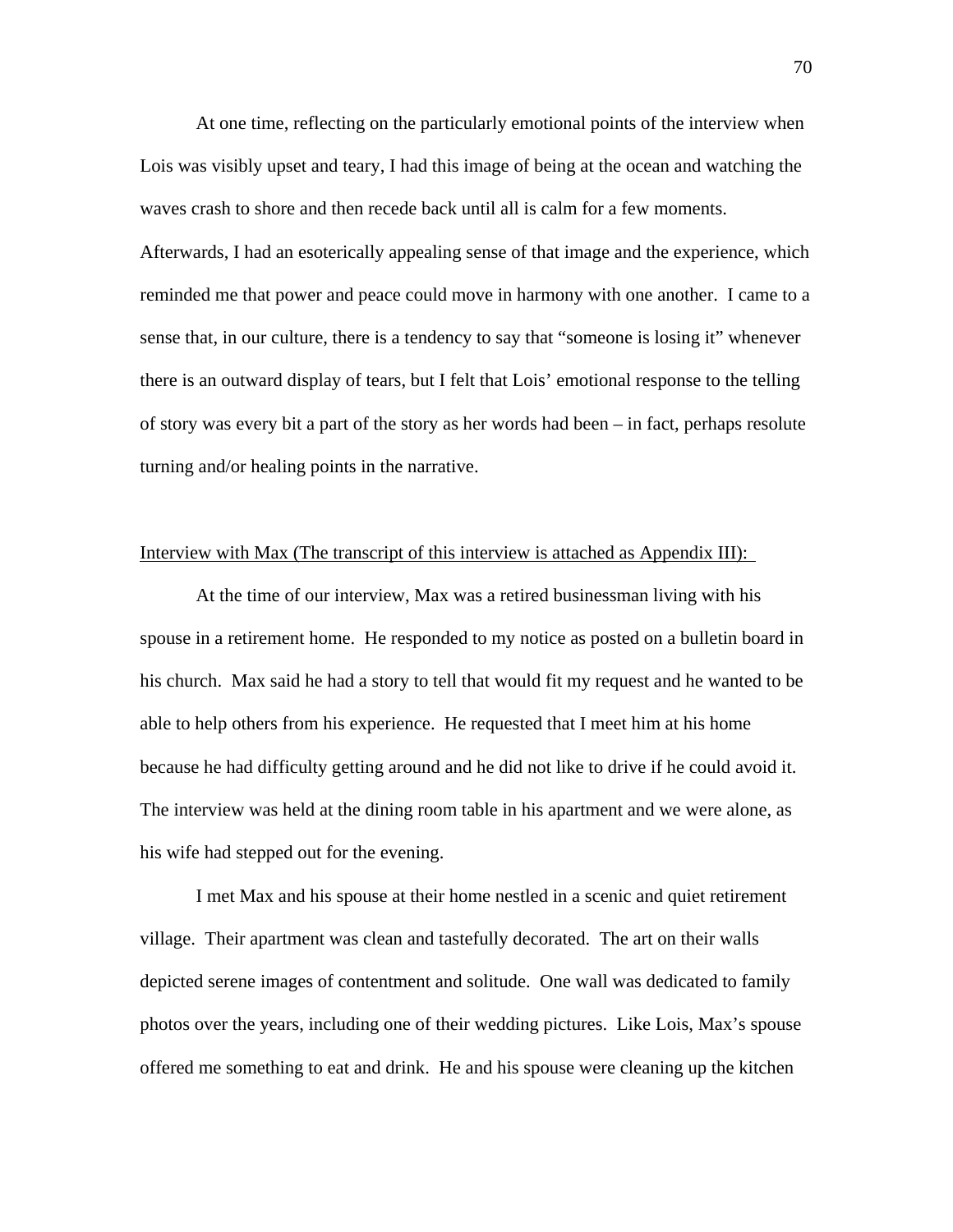At one time, reflecting on the particularly emotional points of the interview when Lois was visibly upset and teary, I had this image of being at the ocean and watching the waves crash to shore and then recede back until all is calm for a few moments.

Afterwards, I had an esoterically appealing sense of that image and the experience, which reminded me that power and peace could move in harmony with one another. I came to a sense that, in our culture, there is a tendency to say that "someone is losing it" whenever there is an outward display of tears, but I felt that Lois' emotional response to the telling of story was every bit a part of the story as her words had been – in fact, perhaps resolute turning and/or healing points in the narrative.

## Interview with Max (The transcript of this interview is attached as Appendix III):

At the time of our interview, Max was a retired businessman living with his spouse in a retirement home. He responded to my notice as posted on a bulletin board in his church. Max said he had a story to tell that would fit my request and he wanted to be able to help others from his experience. He requested that I meet him at his home because he had difficulty getting around and he did not like to drive if he could avoid it. The interview was held at the dining room table in his apartment and we were alone, as his wife had stepped out for the evening.

I met Max and his spouse at their home nestled in a scenic and quiet retirement village. Their apartment was clean and tastefully decorated. The art on their walls depicted serene images of contentment and solitude. One wall was dedicated to family photos over the years, including one of their wedding pictures. Like Lois, Max's spouse offered me something to eat and drink. He and his spouse were cleaning up the kitchen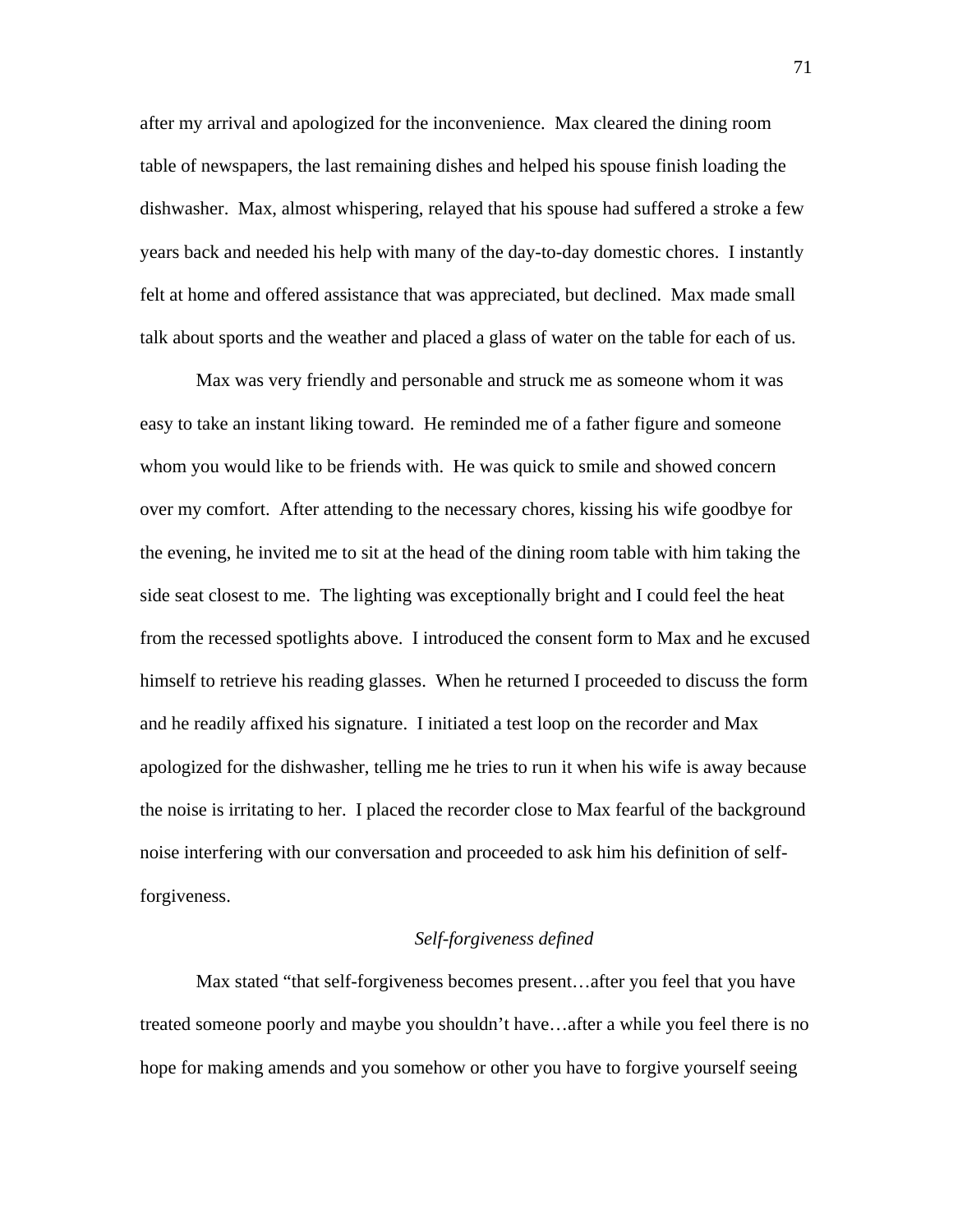after my arrival and apologized for the inconvenience. Max cleared the dining room table of newspapers, the last remaining dishes and helped his spouse finish loading the dishwasher. Max, almost whispering, relayed that his spouse had suffered a stroke a few years back and needed his help with many of the day-to-day domestic chores. I instantly felt at home and offered assistance that was appreciated, but declined. Max made small talk about sports and the weather and placed a glass of water on the table for each of us.

Max was very friendly and personable and struck me as someone whom it was easy to take an instant liking toward. He reminded me of a father figure and someone whom you would like to be friends with. He was quick to smile and showed concern over my comfort. After attending to the necessary chores, kissing his wife goodbye for the evening, he invited me to sit at the head of the dining room table with him taking the side seat closest to me. The lighting was exceptionally bright and I could feel the heat from the recessed spotlights above. I introduced the consent form to Max and he excused himself to retrieve his reading glasses. When he returned I proceeded to discuss the form and he readily affixed his signature. I initiated a test loop on the recorder and Max apologized for the dishwasher, telling me he tries to run it when his wife is away because the noise is irritating to her. I placed the recorder close to Max fearful of the background noise interfering with our conversation and proceeded to ask him his definition of selfforgiveness.

## *Self-forgiveness defined*

Max stated "that self-forgiveness becomes present…after you feel that you have treated someone poorly and maybe you shouldn't have…after a while you feel there is no hope for making amends and you somehow or other you have to forgive yourself seeing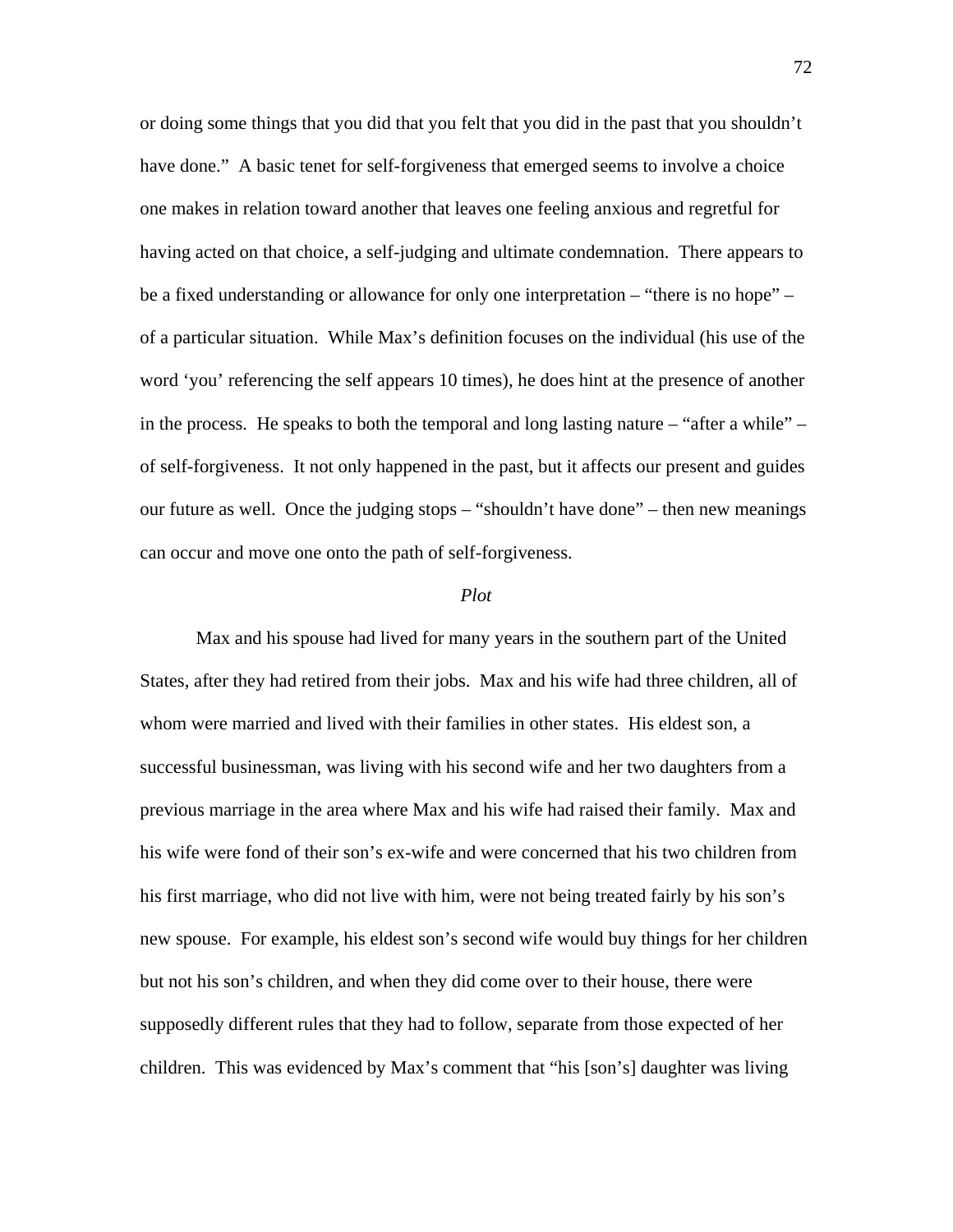or doing some things that you did that you felt that you did in the past that you shouldn't have done." A basic tenet for self-forgiveness that emerged seems to involve a choice one makes in relation toward another that leaves one feeling anxious and regretful for having acted on that choice, a self-judging and ultimate condemnation. There appears to be a fixed understanding or allowance for only one interpretation – "there is no hope" – of a particular situation. While Max's definition focuses on the individual (his use of the word 'you' referencing the self appears 10 times), he does hint at the presence of another in the process. He speaks to both the temporal and long lasting nature – "after a while" – of self-forgiveness. It not only happened in the past, but it affects our present and guides our future as well. Once the judging stops – "shouldn't have done" – then new meanings can occur and move one onto the path of self-forgiveness.

# *Plot*

Max and his spouse had lived for many years in the southern part of the United States, after they had retired from their jobs. Max and his wife had three children, all of whom were married and lived with their families in other states. His eldest son, a successful businessman, was living with his second wife and her two daughters from a previous marriage in the area where Max and his wife had raised their family. Max and his wife were fond of their son's ex-wife and were concerned that his two children from his first marriage, who did not live with him, were not being treated fairly by his son's new spouse. For example, his eldest son's second wife would buy things for her children but not his son's children, and when they did come over to their house, there were supposedly different rules that they had to follow, separate from those expected of her children. This was evidenced by Max's comment that "his [son's] daughter was living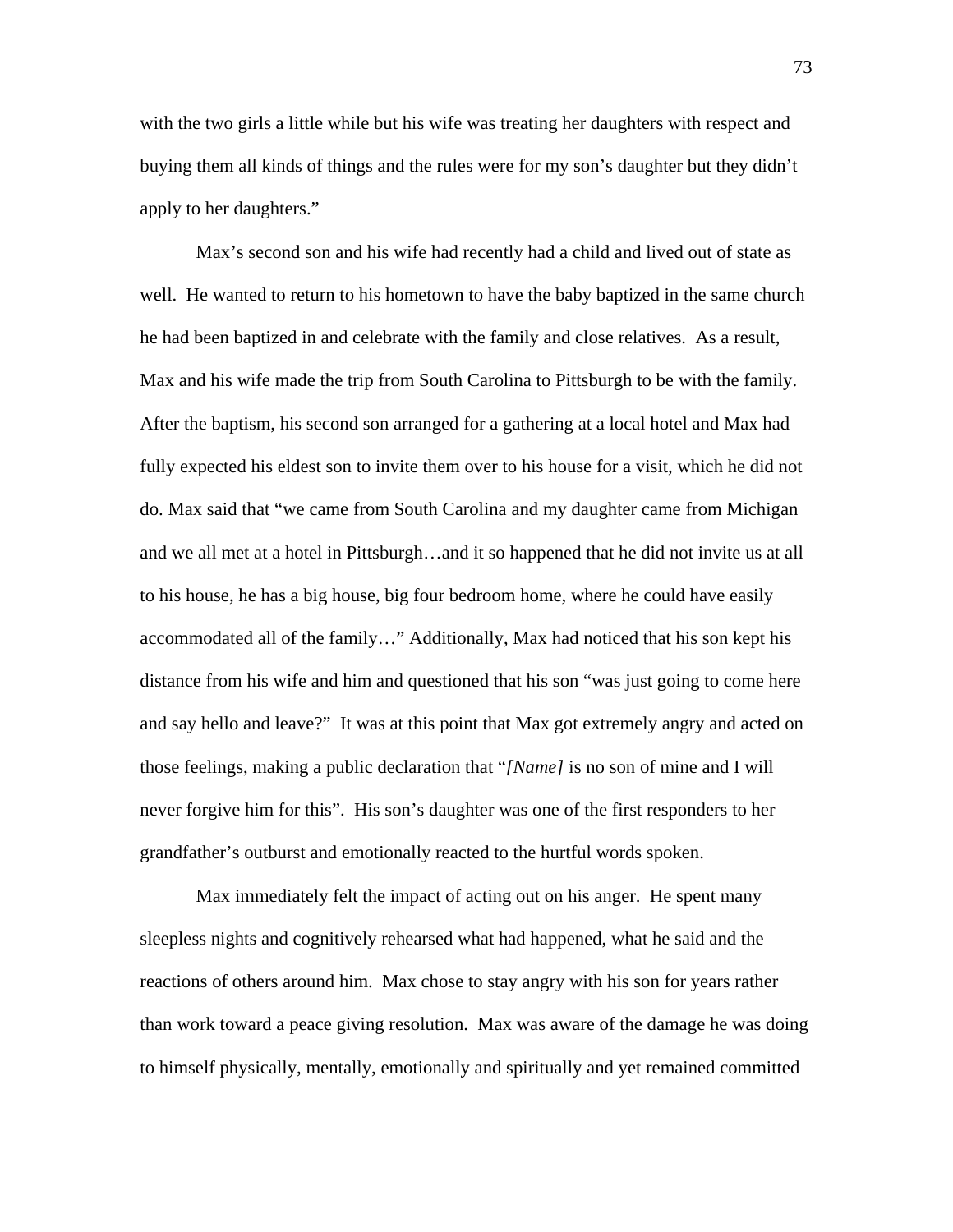with the two girls a little while but his wife was treating her daughters with respect and buying them all kinds of things and the rules were for my son's daughter but they didn't apply to her daughters."

Max's second son and his wife had recently had a child and lived out of state as well. He wanted to return to his hometown to have the baby baptized in the same church he had been baptized in and celebrate with the family and close relatives. As a result, Max and his wife made the trip from South Carolina to Pittsburgh to be with the family. After the baptism, his second son arranged for a gathering at a local hotel and Max had fully expected his eldest son to invite them over to his house for a visit, which he did not do. Max said that "we came from South Carolina and my daughter came from Michigan and we all met at a hotel in Pittsburgh…and it so happened that he did not invite us at all to his house, he has a big house, big four bedroom home, where he could have easily accommodated all of the family…" Additionally, Max had noticed that his son kept his distance from his wife and him and questioned that his son "was just going to come here and say hello and leave?" It was at this point that Max got extremely angry and acted on those feelings, making a public declaration that "*[Name]* is no son of mine and I will never forgive him for this". His son's daughter was one of the first responders to her grandfather's outburst and emotionally reacted to the hurtful words spoken.

Max immediately felt the impact of acting out on his anger. He spent many sleepless nights and cognitively rehearsed what had happened, what he said and the reactions of others around him. Max chose to stay angry with his son for years rather than work toward a peace giving resolution. Max was aware of the damage he was doing to himself physically, mentally, emotionally and spiritually and yet remained committed

73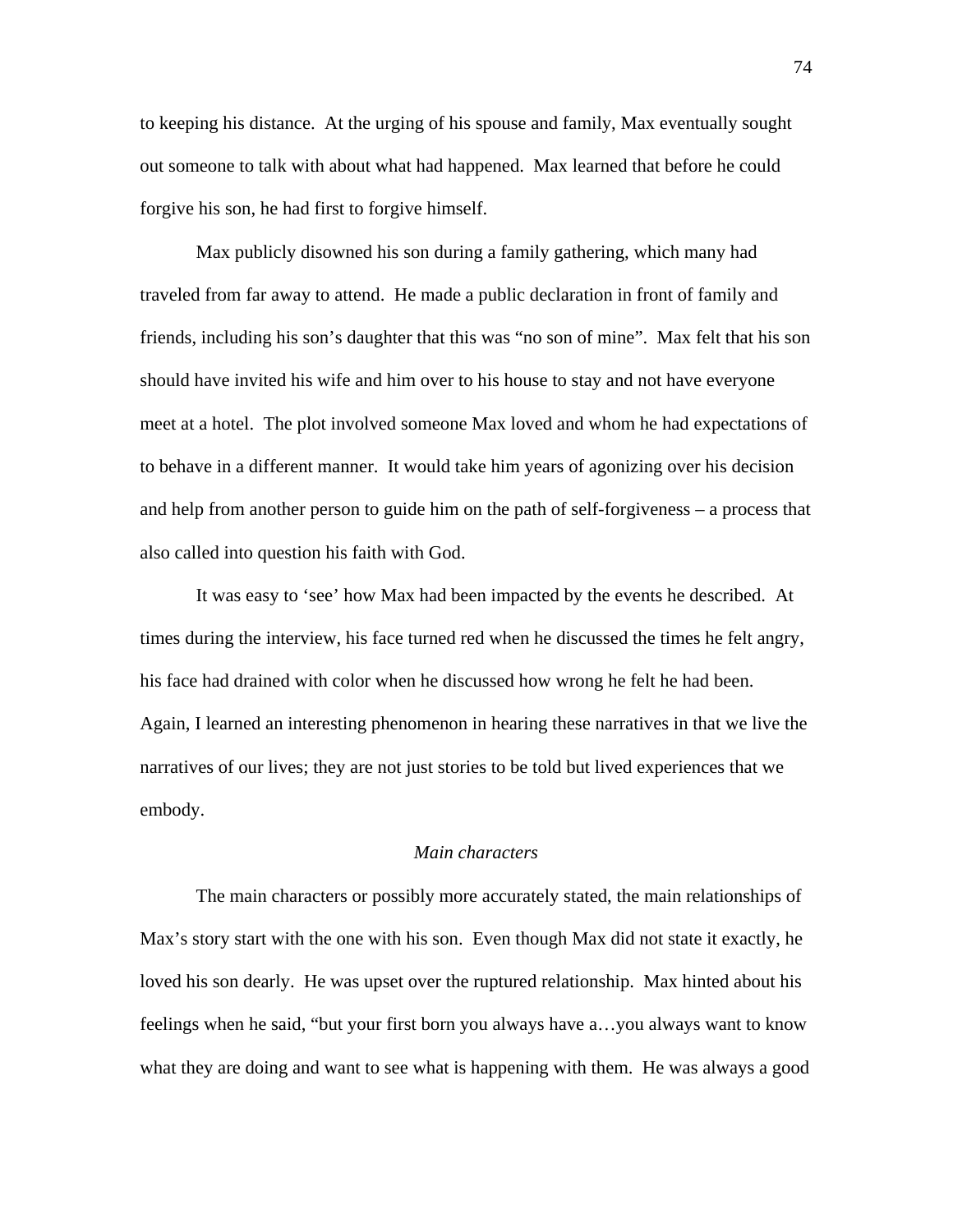to keeping his distance. At the urging of his spouse and family, Max eventually sought out someone to talk with about what had happened. Max learned that before he could forgive his son, he had first to forgive himself.

Max publicly disowned his son during a family gathering, which many had traveled from far away to attend. He made a public declaration in front of family and friends, including his son's daughter that this was "no son of mine". Max felt that his son should have invited his wife and him over to his house to stay and not have everyone meet at a hotel. The plot involved someone Max loved and whom he had expectations of to behave in a different manner. It would take him years of agonizing over his decision and help from another person to guide him on the path of self-forgiveness – a process that also called into question his faith with God.

It was easy to 'see' how Max had been impacted by the events he described. At times during the interview, his face turned red when he discussed the times he felt angry, his face had drained with color when he discussed how wrong he felt he had been. Again, I learned an interesting phenomenon in hearing these narratives in that we live the narratives of our lives; they are not just stories to be told but lived experiences that we embody.

# *Main characters*

The main characters or possibly more accurately stated, the main relationships of Max's story start with the one with his son. Even though Max did not state it exactly, he loved his son dearly. He was upset over the ruptured relationship. Max hinted about his feelings when he said, "but your first born you always have a…you always want to know what they are doing and want to see what is happening with them. He was always a good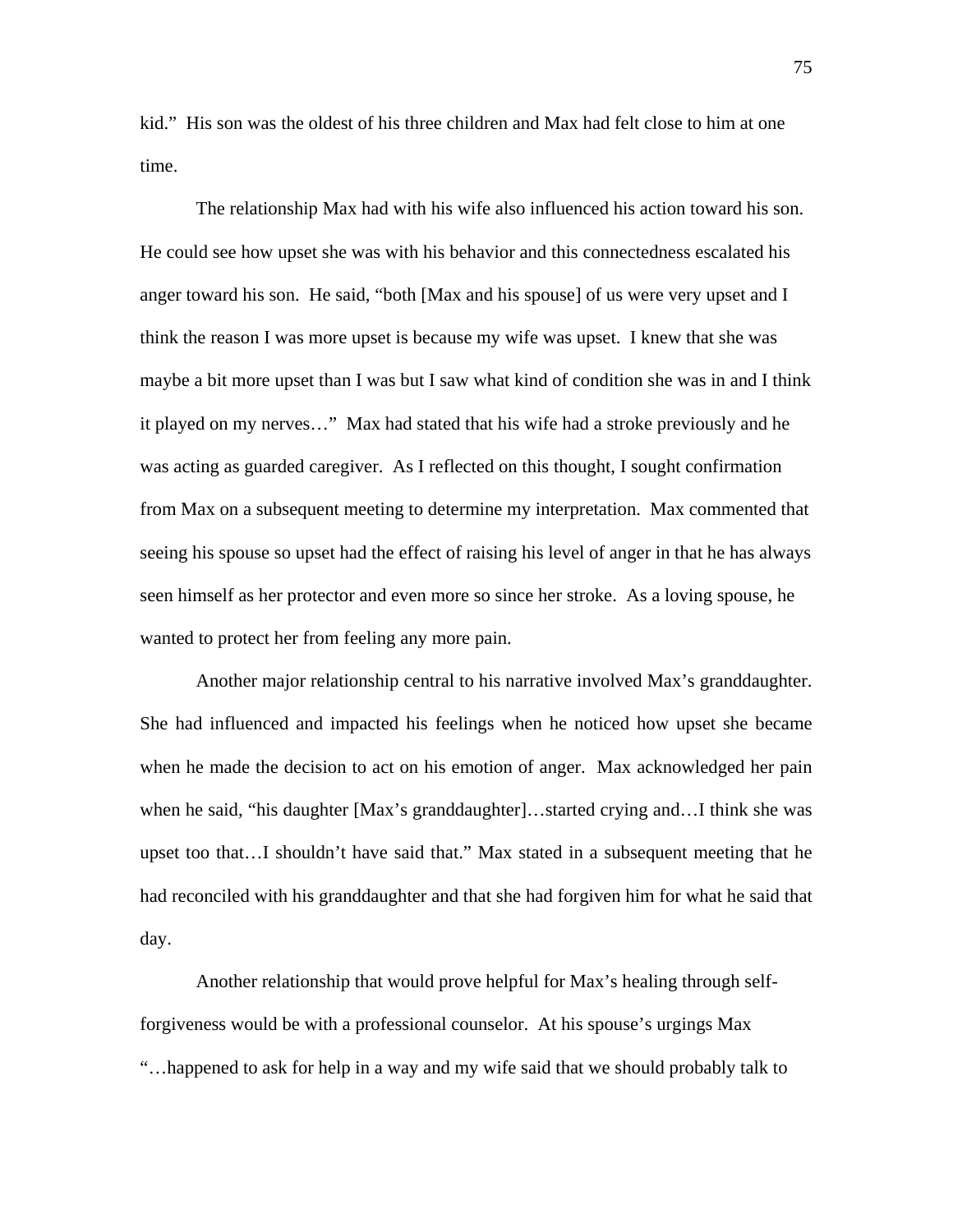kid." His son was the oldest of his three children and Max had felt close to him at one time.

The relationship Max had with his wife also influenced his action toward his son. He could see how upset she was with his behavior and this connectedness escalated his anger toward his son. He said, "both [Max and his spouse] of us were very upset and I think the reason I was more upset is because my wife was upset. I knew that she was maybe a bit more upset than I was but I saw what kind of condition she was in and I think it played on my nerves…" Max had stated that his wife had a stroke previously and he was acting as guarded caregiver. As I reflected on this thought, I sought confirmation from Max on a subsequent meeting to determine my interpretation. Max commented that seeing his spouse so upset had the effect of raising his level of anger in that he has always seen himself as her protector and even more so since her stroke. As a loving spouse, he wanted to protect her from feeling any more pain.

Another major relationship central to his narrative involved Max's granddaughter. She had influenced and impacted his feelings when he noticed how upset she became when he made the decision to act on his emotion of anger. Max acknowledged her pain when he said, "his daughter [Max's granddaughter]…started crying and…I think she was upset too that…I shouldn't have said that." Max stated in a subsequent meeting that he had reconciled with his granddaughter and that she had forgiven him for what he said that day.

Another relationship that would prove helpful for Max's healing through selfforgiveness would be with a professional counselor. At his spouse's urgings Max "…happened to ask for help in a way and my wife said that we should probably talk to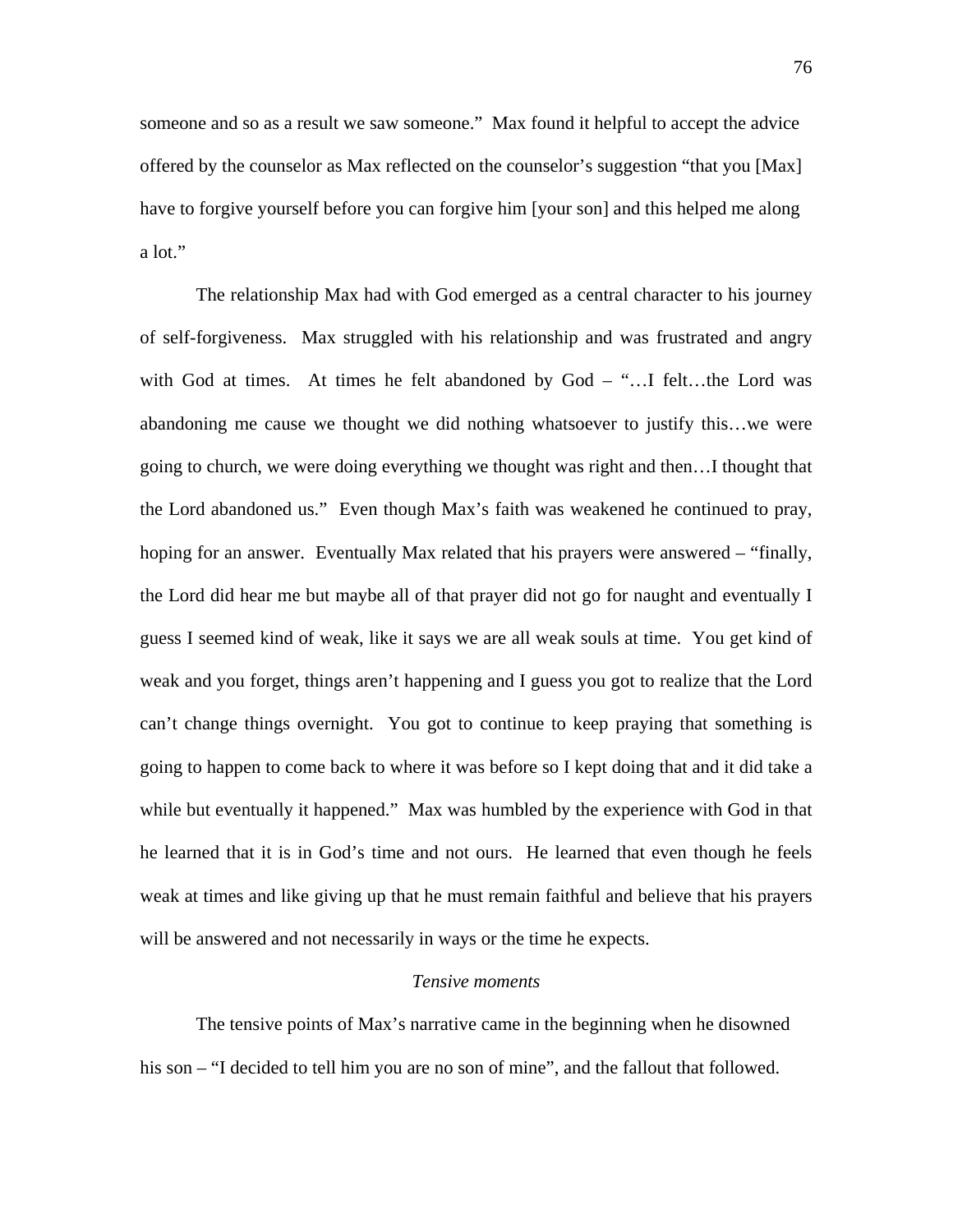someone and so as a result we saw someone." Max found it helpful to accept the advice offered by the counselor as Max reflected on the counselor's suggestion "that you [Max] have to forgive yourself before you can forgive him [your son] and this helped me along a lot."

The relationship Max had with God emerged as a central character to his journey of self-forgiveness. Max struggled with his relationship and was frustrated and angry with God at times. At times he felt abandoned by God – "...I felt...the Lord was abandoning me cause we thought we did nothing whatsoever to justify this…we were going to church, we were doing everything we thought was right and then…I thought that the Lord abandoned us." Even though Max's faith was weakened he continued to pray, hoping for an answer. Eventually Max related that his prayers were answered – "finally, the Lord did hear me but maybe all of that prayer did not go for naught and eventually I guess I seemed kind of weak, like it says we are all weak souls at time. You get kind of weak and you forget, things aren't happening and I guess you got to realize that the Lord can't change things overnight. You got to continue to keep praying that something is going to happen to come back to where it was before so I kept doing that and it did take a while but eventually it happened." Max was humbled by the experience with God in that he learned that it is in God's time and not ours. He learned that even though he feels weak at times and like giving up that he must remain faithful and believe that his prayers will be answered and not necessarily in ways or the time he expects.

# *Tensive moments*

The tensive points of Max's narrative came in the beginning when he disowned his son – "I decided to tell him you are no son of mine", and the fallout that followed.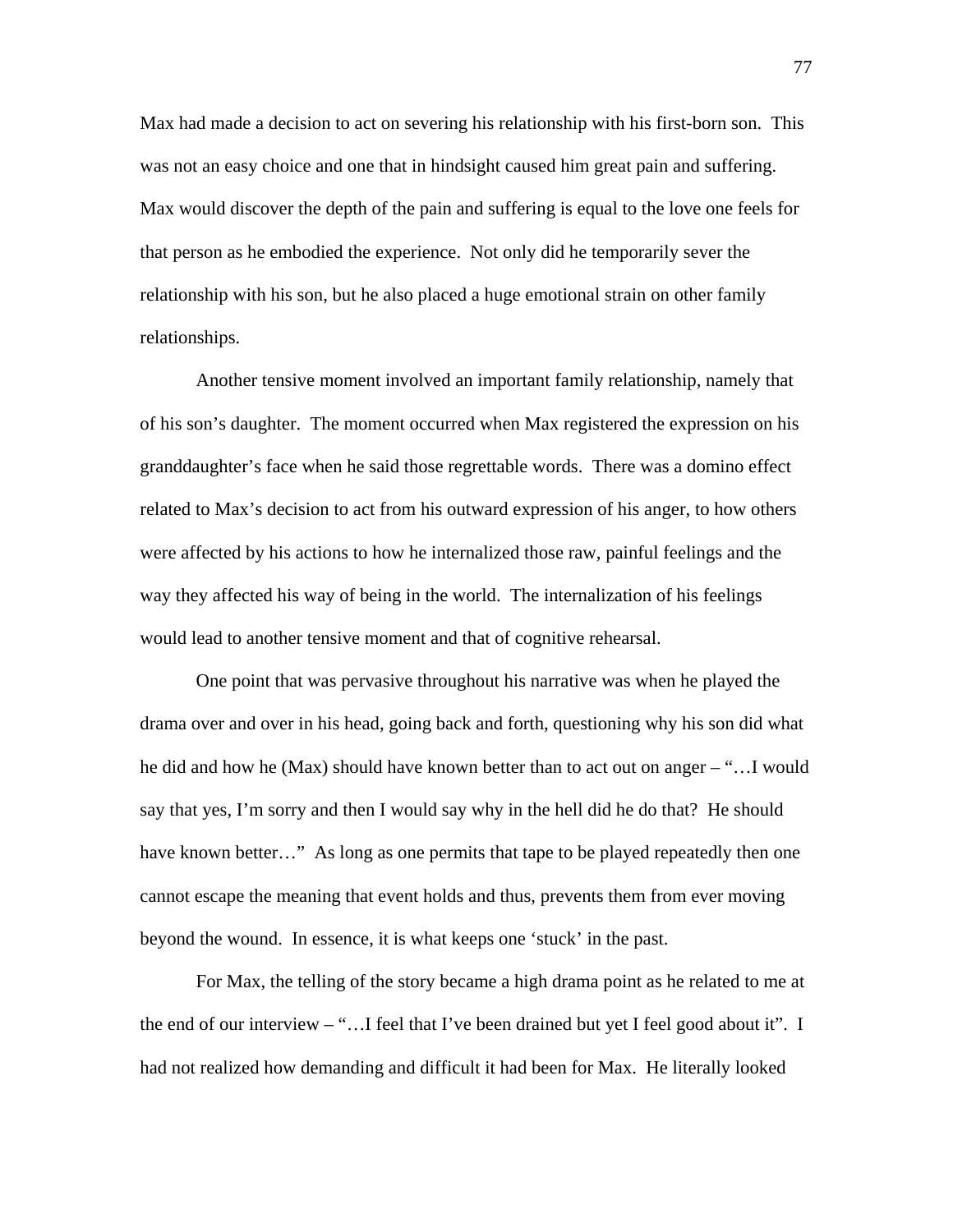Max had made a decision to act on severing his relationship with his first-born son. This was not an easy choice and one that in hindsight caused him great pain and suffering. Max would discover the depth of the pain and suffering is equal to the love one feels for that person as he embodied the experience. Not only did he temporarily sever the relationship with his son, but he also placed a huge emotional strain on other family relationships.

Another tensive moment involved an important family relationship, namely that of his son's daughter. The moment occurred when Max registered the expression on his granddaughter's face when he said those regrettable words. There was a domino effect related to Max's decision to act from his outward expression of his anger, to how others were affected by his actions to how he internalized those raw, painful feelings and the way they affected his way of being in the world. The internalization of his feelings would lead to another tensive moment and that of cognitive rehearsal.

One point that was pervasive throughout his narrative was when he played the drama over and over in his head, going back and forth, questioning why his son did what he did and how he (Max) should have known better than to act out on anger – "…I would say that yes, I'm sorry and then I would say why in the hell did he do that? He should have known better..." As long as one permits that tape to be played repeatedly then one cannot escape the meaning that event holds and thus, prevents them from ever moving beyond the wound. In essence, it is what keeps one 'stuck' in the past.

For Max, the telling of the story became a high drama point as he related to me at the end of our interview – "…I feel that I've been drained but yet I feel good about it". I had not realized how demanding and difficult it had been for Max. He literally looked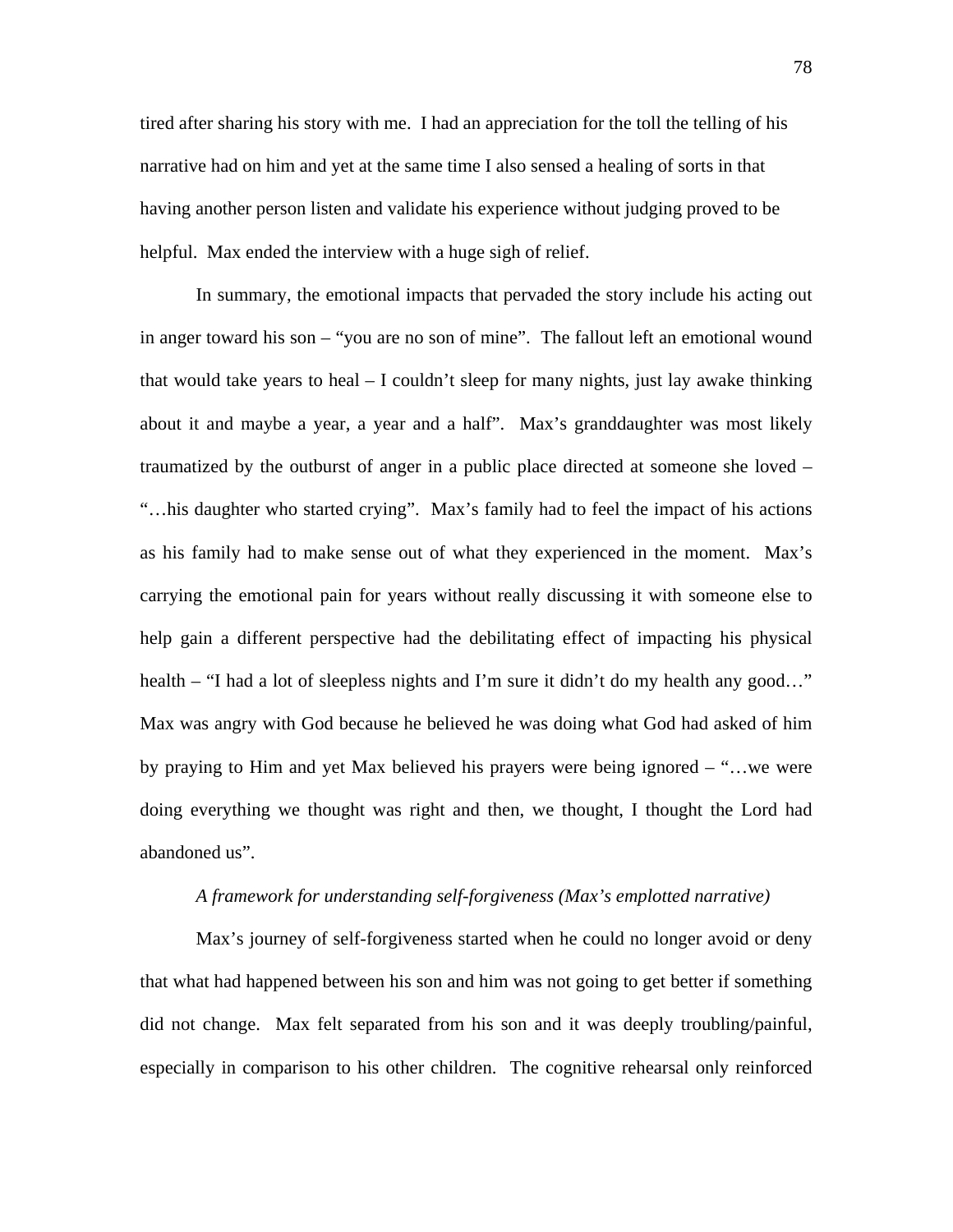tired after sharing his story with me. I had an appreciation for the toll the telling of his narrative had on him and yet at the same time I also sensed a healing of sorts in that having another person listen and validate his experience without judging proved to be helpful. Max ended the interview with a huge sigh of relief.

In summary, the emotional impacts that pervaded the story include his acting out in anger toward his son – "you are no son of mine". The fallout left an emotional wound that would take years to heal  $-1$  couldn't sleep for many nights, just lay awake thinking about it and maybe a year, a year and a half". Max's granddaughter was most likely traumatized by the outburst of anger in a public place directed at someone she loved – "…his daughter who started crying". Max's family had to feel the impact of his actions as his family had to make sense out of what they experienced in the moment. Max's carrying the emotional pain for years without really discussing it with someone else to help gain a different perspective had the debilitating effect of impacting his physical health – "I had a lot of sleepless nights and I'm sure it didn't do my health any good..." Max was angry with God because he believed he was doing what God had asked of him by praying to Him and yet Max believed his prayers were being ignored – "…we were doing everything we thought was right and then, we thought, I thought the Lord had abandoned us".

#### *A framework for understanding self-forgiveness (Max's emplotted narrative)*

Max's journey of self-forgiveness started when he could no longer avoid or deny that what had happened between his son and him was not going to get better if something did not change. Max felt separated from his son and it was deeply troubling/painful, especially in comparison to his other children. The cognitive rehearsal only reinforced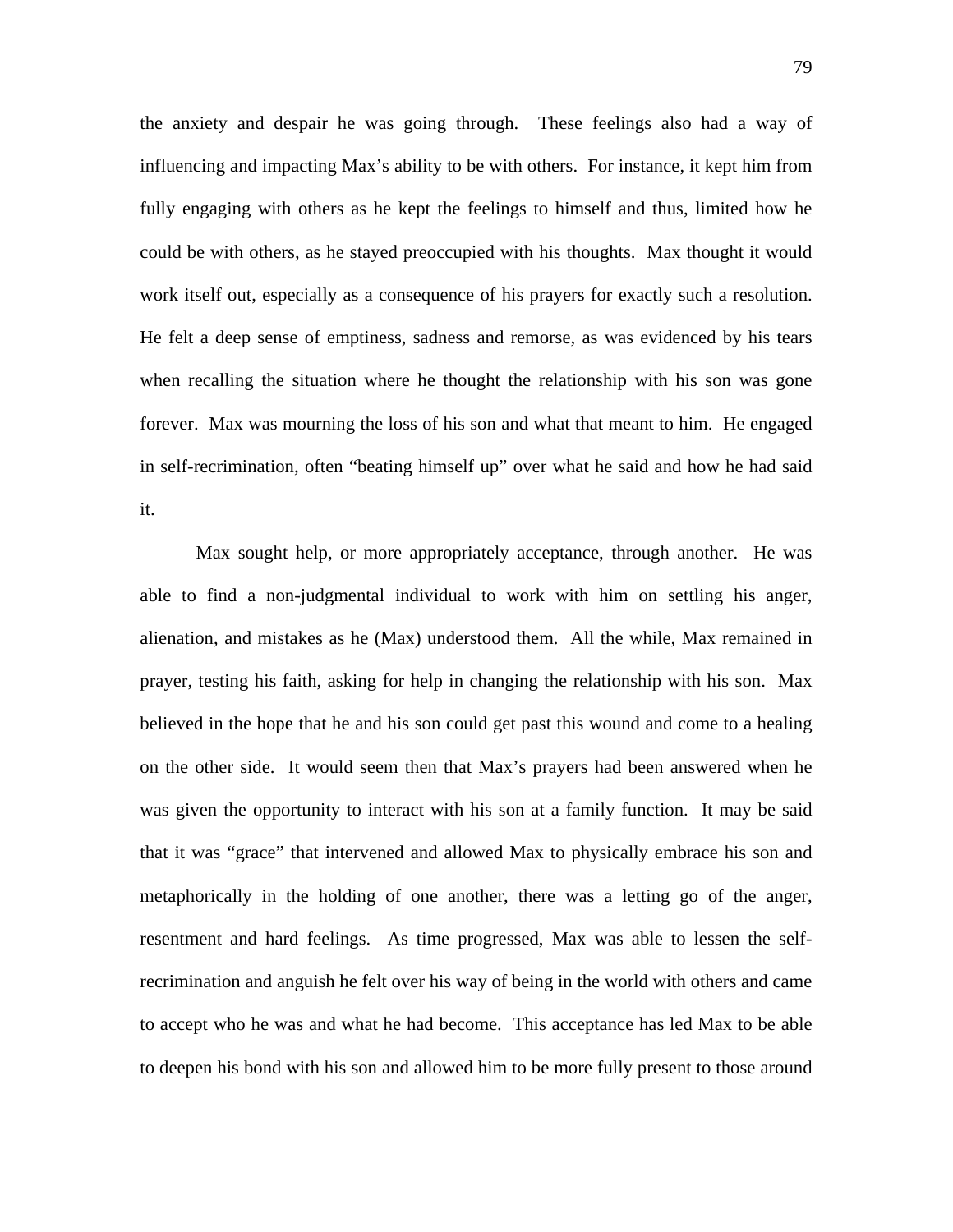the anxiety and despair he was going through. These feelings also had a way of influencing and impacting Max's ability to be with others. For instance, it kept him from fully engaging with others as he kept the feelings to himself and thus, limited how he could be with others, as he stayed preoccupied with his thoughts. Max thought it would work itself out, especially as a consequence of his prayers for exactly such a resolution. He felt a deep sense of emptiness, sadness and remorse, as was evidenced by his tears when recalling the situation where he thought the relationship with his son was gone forever. Max was mourning the loss of his son and what that meant to him. He engaged in self-recrimination, often "beating himself up" over what he said and how he had said it.

Max sought help, or more appropriately acceptance, through another. He was able to find a non-judgmental individual to work with him on settling his anger, alienation, and mistakes as he (Max) understood them. All the while, Max remained in prayer, testing his faith, asking for help in changing the relationship with his son. Max believed in the hope that he and his son could get past this wound and come to a healing on the other side. It would seem then that Max's prayers had been answered when he was given the opportunity to interact with his son at a family function. It may be said that it was "grace" that intervened and allowed Max to physically embrace his son and metaphorically in the holding of one another, there was a letting go of the anger, resentment and hard feelings. As time progressed, Max was able to lessen the selfrecrimination and anguish he felt over his way of being in the world with others and came to accept who he was and what he had become. This acceptance has led Max to be able to deepen his bond with his son and allowed him to be more fully present to those around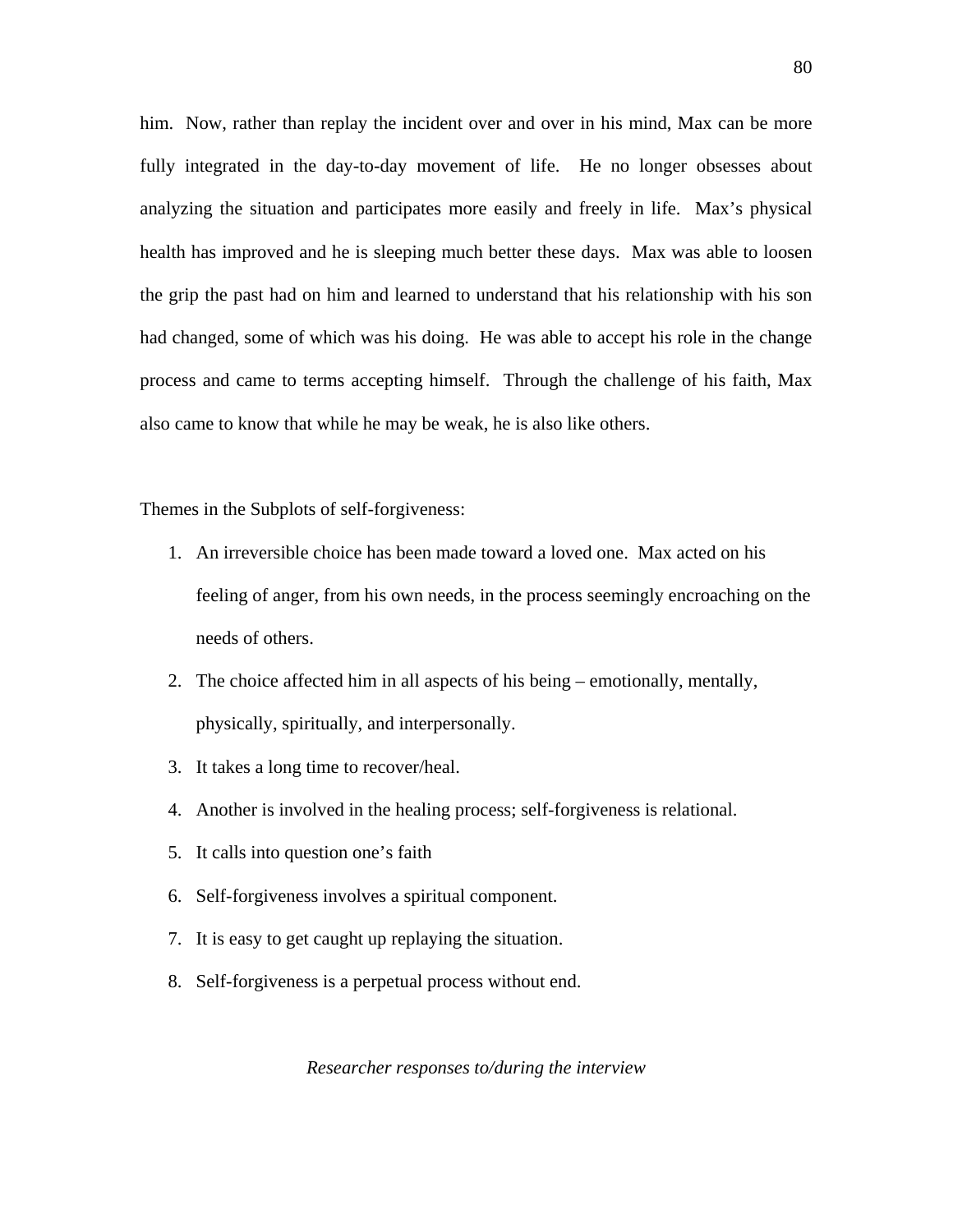him. Now, rather than replay the incident over and over in his mind, Max can be more fully integrated in the day-to-day movement of life. He no longer obsesses about analyzing the situation and participates more easily and freely in life. Max's physical health has improved and he is sleeping much better these days. Max was able to loosen the grip the past had on him and learned to understand that his relationship with his son had changed, some of which was his doing. He was able to accept his role in the change process and came to terms accepting himself. Through the challenge of his faith, Max also came to know that while he may be weak, he is also like others.

Themes in the Subplots of self-forgiveness:

- 1. An irreversible choice has been made toward a loved one. Max acted on his feeling of anger, from his own needs, in the process seemingly encroaching on the needs of others.
- 2. The choice affected him in all aspects of his being emotionally, mentally, physically, spiritually, and interpersonally.
- 3. It takes a long time to recover/heal.
- 4. Another is involved in the healing process; self-forgiveness is relational.
- 5. It calls into question one's faith
- 6. Self-forgiveness involves a spiritual component.
- 7. It is easy to get caught up replaying the situation.
- 8. Self-forgiveness is a perpetual process without end.

*Researcher responses to/during the interview*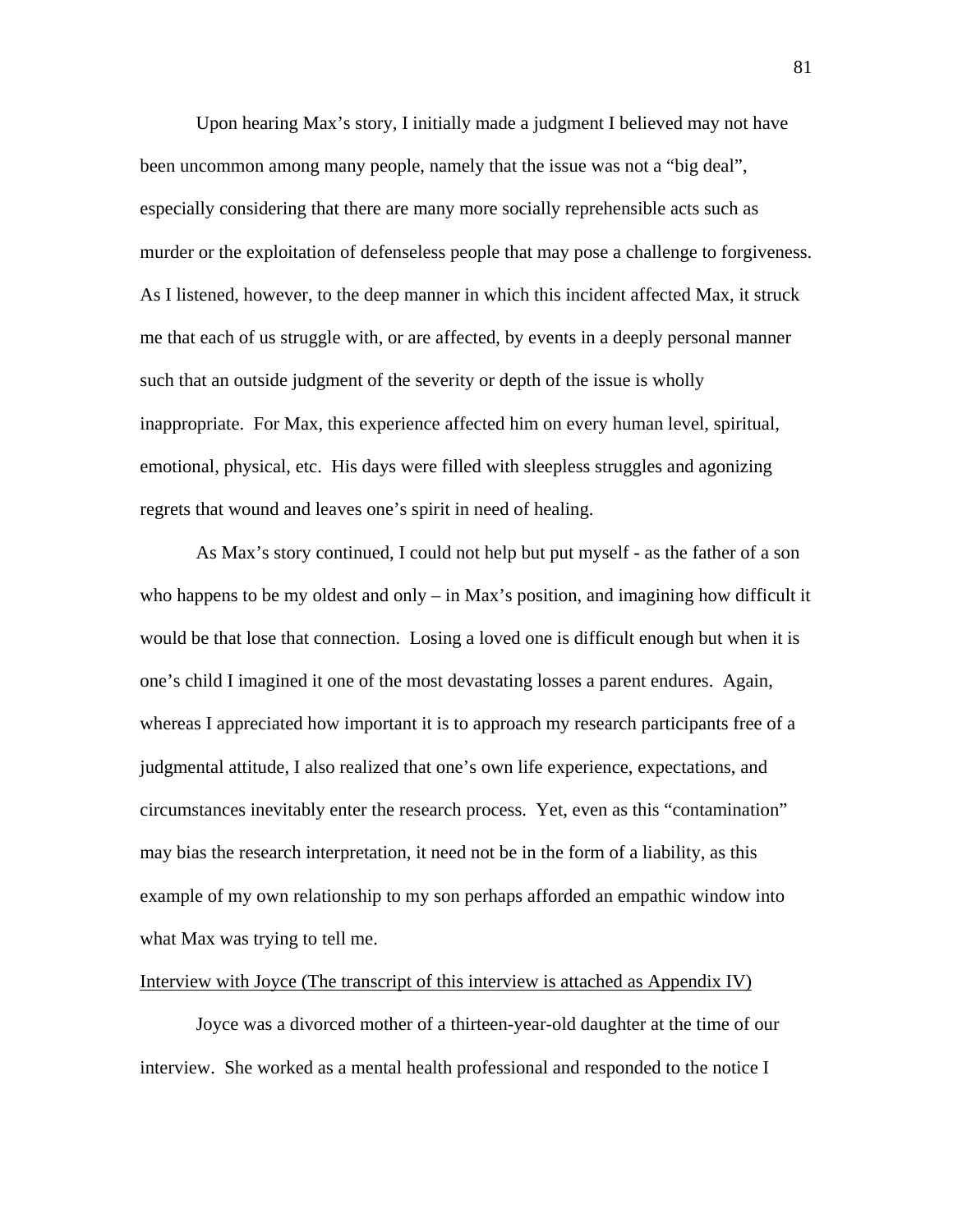Upon hearing Max's story, I initially made a judgment I believed may not have been uncommon among many people, namely that the issue was not a "big deal", especially considering that there are many more socially reprehensible acts such as murder or the exploitation of defenseless people that may pose a challenge to forgiveness. As I listened, however, to the deep manner in which this incident affected Max, it struck me that each of us struggle with, or are affected, by events in a deeply personal manner such that an outside judgment of the severity or depth of the issue is wholly inappropriate. For Max, this experience affected him on every human level, spiritual, emotional, physical, etc. His days were filled with sleepless struggles and agonizing regrets that wound and leaves one's spirit in need of healing.

As Max's story continued, I could not help but put myself - as the father of a son who happens to be my oldest and only  $-$  in Max's position, and imagining how difficult it would be that lose that connection. Losing a loved one is difficult enough but when it is one's child I imagined it one of the most devastating losses a parent endures. Again, whereas I appreciated how important it is to approach my research participants free of a judgmental attitude, I also realized that one's own life experience, expectations, and circumstances inevitably enter the research process. Yet, even as this "contamination" may bias the research interpretation, it need not be in the form of a liability, as this example of my own relationship to my son perhaps afforded an empathic window into what Max was trying to tell me.

# Interview with Joyce (The transcript of this interview is attached as Appendix IV)

 Joyce was a divorced mother of a thirteen-year-old daughter at the time of our interview. She worked as a mental health professional and responded to the notice I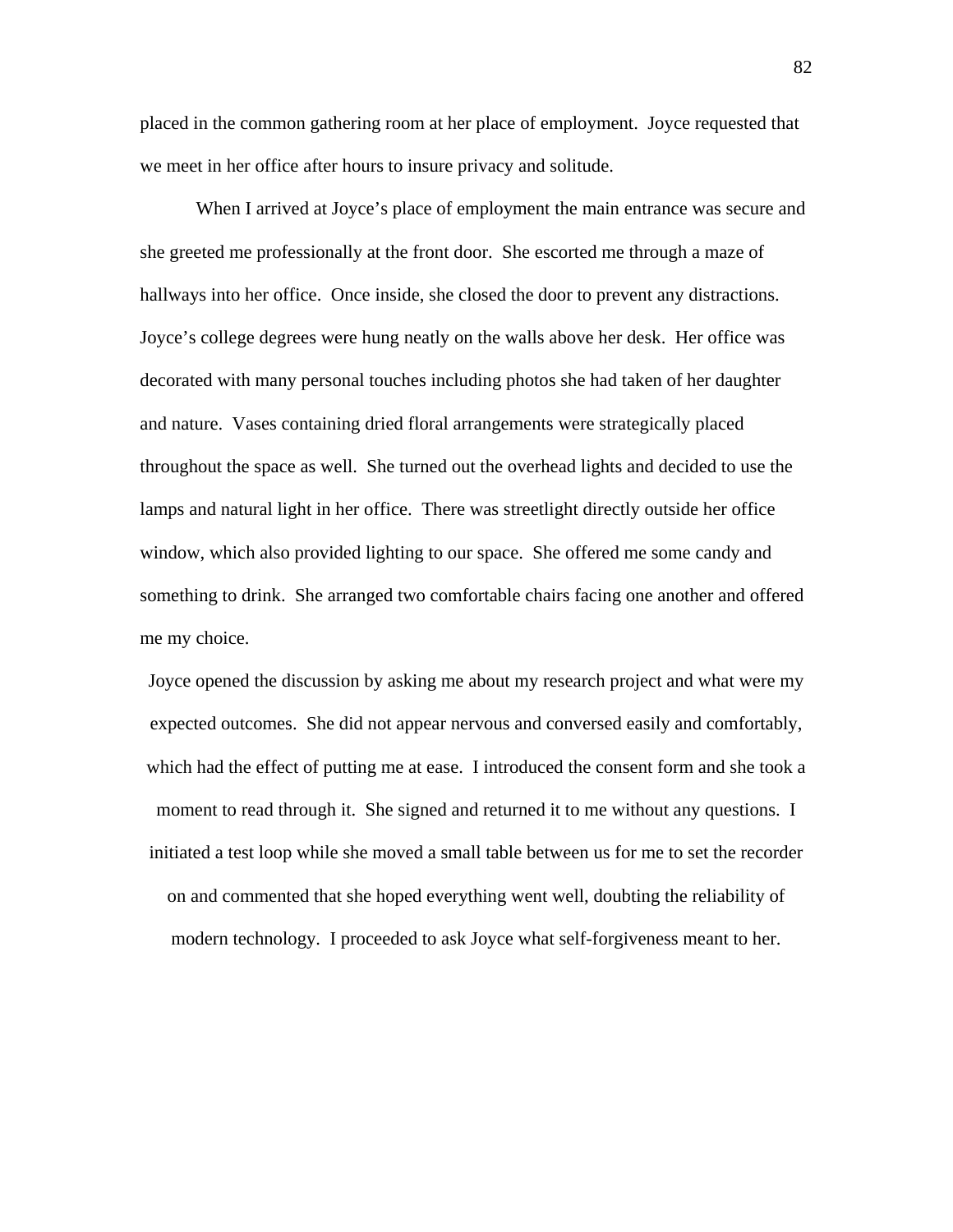placed in the common gathering room at her place of employment. Joyce requested that we meet in her office after hours to insure privacy and solitude.

 When I arrived at Joyce's place of employment the main entrance was secure and she greeted me professionally at the front door. She escorted me through a maze of hallways into her office. Once inside, she closed the door to prevent any distractions. Joyce's college degrees were hung neatly on the walls above her desk. Her office was decorated with many personal touches including photos she had taken of her daughter and nature. Vases containing dried floral arrangements were strategically placed throughout the space as well. She turned out the overhead lights and decided to use the lamps and natural light in her office. There was streetlight directly outside her office window, which also provided lighting to our space. She offered me some candy and something to drink. She arranged two comfortable chairs facing one another and offered me my choice.

Joyce opened the discussion by asking me about my research project and what were my expected outcomes. She did not appear nervous and conversed easily and comfortably, which had the effect of putting me at ease. I introduced the consent form and she took a moment to read through it. She signed and returned it to me without any questions. I initiated a test loop while she moved a small table between us for me to set the recorder on and commented that she hoped everything went well, doubting the reliability of modern technology. I proceeded to ask Joyce what self-forgiveness meant to her.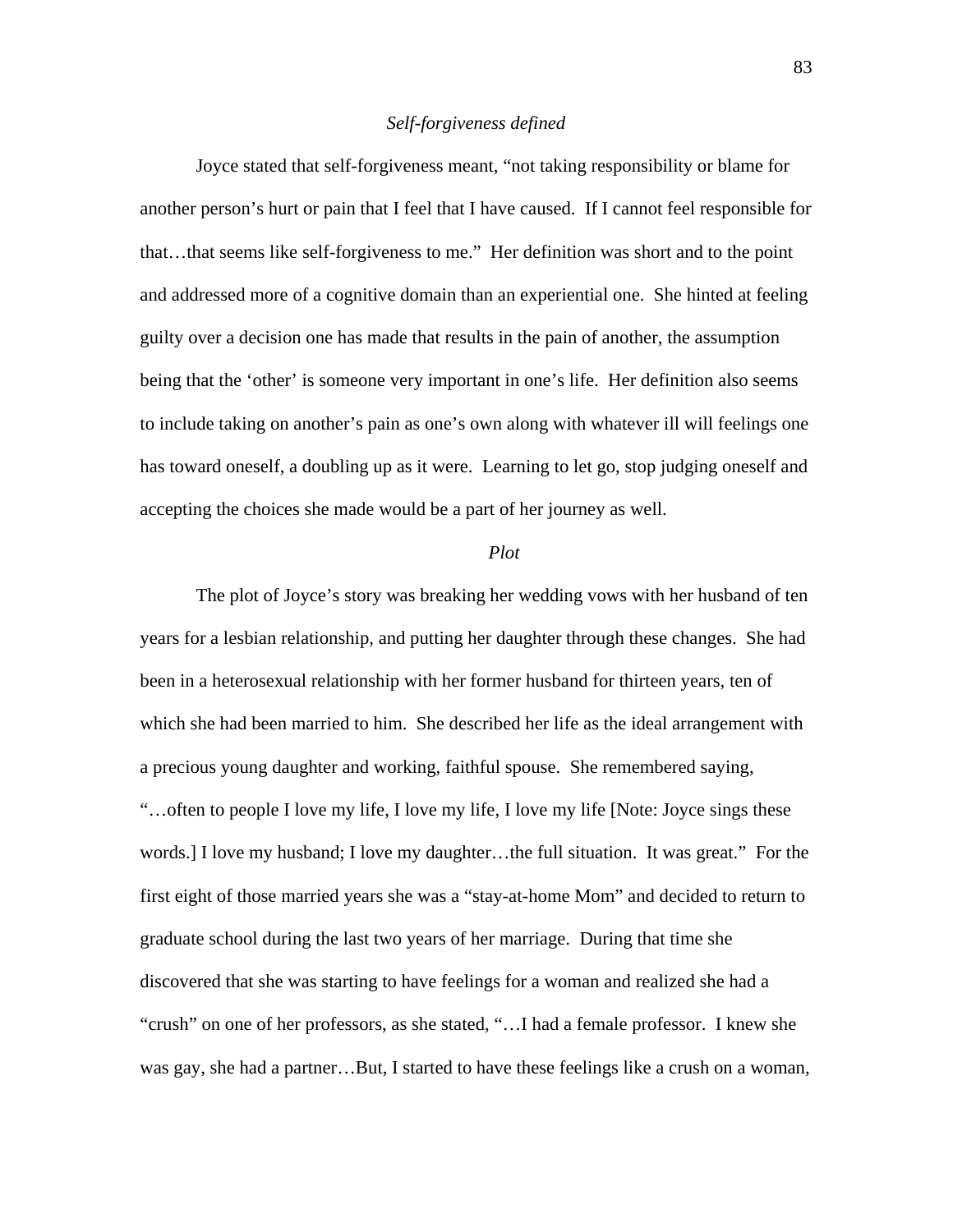## *Self-forgiveness defined*

 Joyce stated that self-forgiveness meant, "not taking responsibility or blame for another person's hurt or pain that I feel that I have caused. If I cannot feel responsible for that…that seems like self-forgiveness to me." Her definition was short and to the point and addressed more of a cognitive domain than an experiential one. She hinted at feeling guilty over a decision one has made that results in the pain of another, the assumption being that the 'other' is someone very important in one's life. Her definition also seems to include taking on another's pain as one's own along with whatever ill will feelings one has toward oneself, a doubling up as it were. Learning to let go, stop judging oneself and accepting the choices she made would be a part of her journey as well.

# *Plot*

The plot of Joyce's story was breaking her wedding vows with her husband of ten years for a lesbian relationship, and putting her daughter through these changes. She had been in a heterosexual relationship with her former husband for thirteen years, ten of which she had been married to him. She described her life as the ideal arrangement with a precious young daughter and working, faithful spouse. She remembered saying, "…often to people I love my life, I love my life, I love my life [Note: Joyce sings these words.] I love my husband; I love my daughter…the full situation. It was great." For the first eight of those married years she was a "stay-at-home Mom" and decided to return to graduate school during the last two years of her marriage. During that time she discovered that she was starting to have feelings for a woman and realized she had a "crush" on one of her professors, as she stated, "…I had a female professor. I knew she was gay, she had a partner…But, I started to have these feelings like a crush on a woman,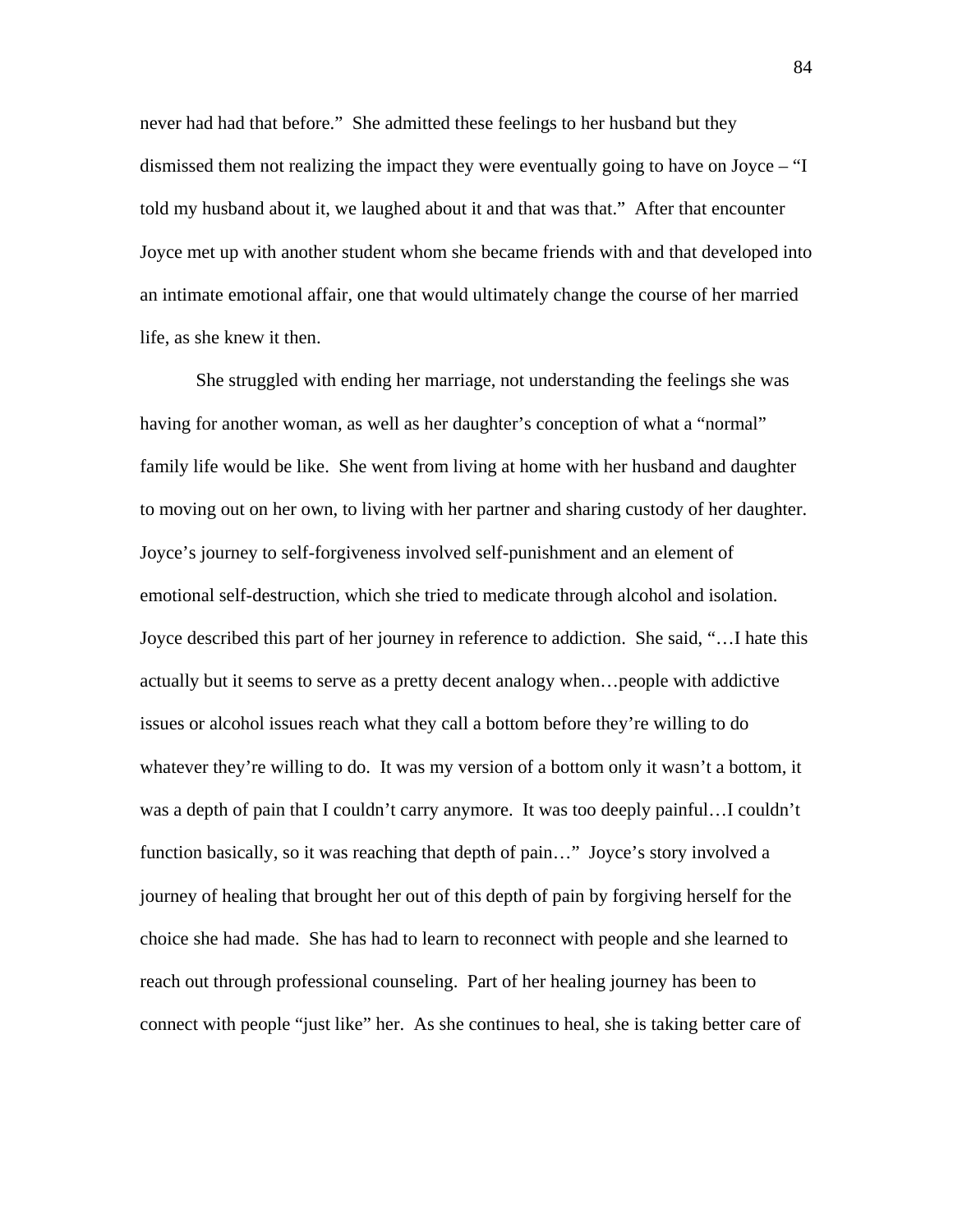never had had that before." She admitted these feelings to her husband but they dismissed them not realizing the impact they were eventually going to have on Joyce – "I told my husband about it, we laughed about it and that was that." After that encounter Joyce met up with another student whom she became friends with and that developed into an intimate emotional affair, one that would ultimately change the course of her married life, as she knew it then.

She struggled with ending her marriage, not understanding the feelings she was having for another woman, as well as her daughter's conception of what a "normal" family life would be like. She went from living at home with her husband and daughter to moving out on her own, to living with her partner and sharing custody of her daughter. Joyce's journey to self-forgiveness involved self-punishment and an element of emotional self-destruction, which she tried to medicate through alcohol and isolation. Joyce described this part of her journey in reference to addiction. She said, "…I hate this actually but it seems to serve as a pretty decent analogy when…people with addictive issues or alcohol issues reach what they call a bottom before they're willing to do whatever they're willing to do. It was my version of a bottom only it wasn't a bottom, it was a depth of pain that I couldn't carry anymore. It was too deeply painful…I couldn't function basically, so it was reaching that depth of pain…" Joyce's story involved a journey of healing that brought her out of this depth of pain by forgiving herself for the choice she had made. She has had to learn to reconnect with people and she learned to reach out through professional counseling. Part of her healing journey has been to connect with people "just like" her. As she continues to heal, she is taking better care of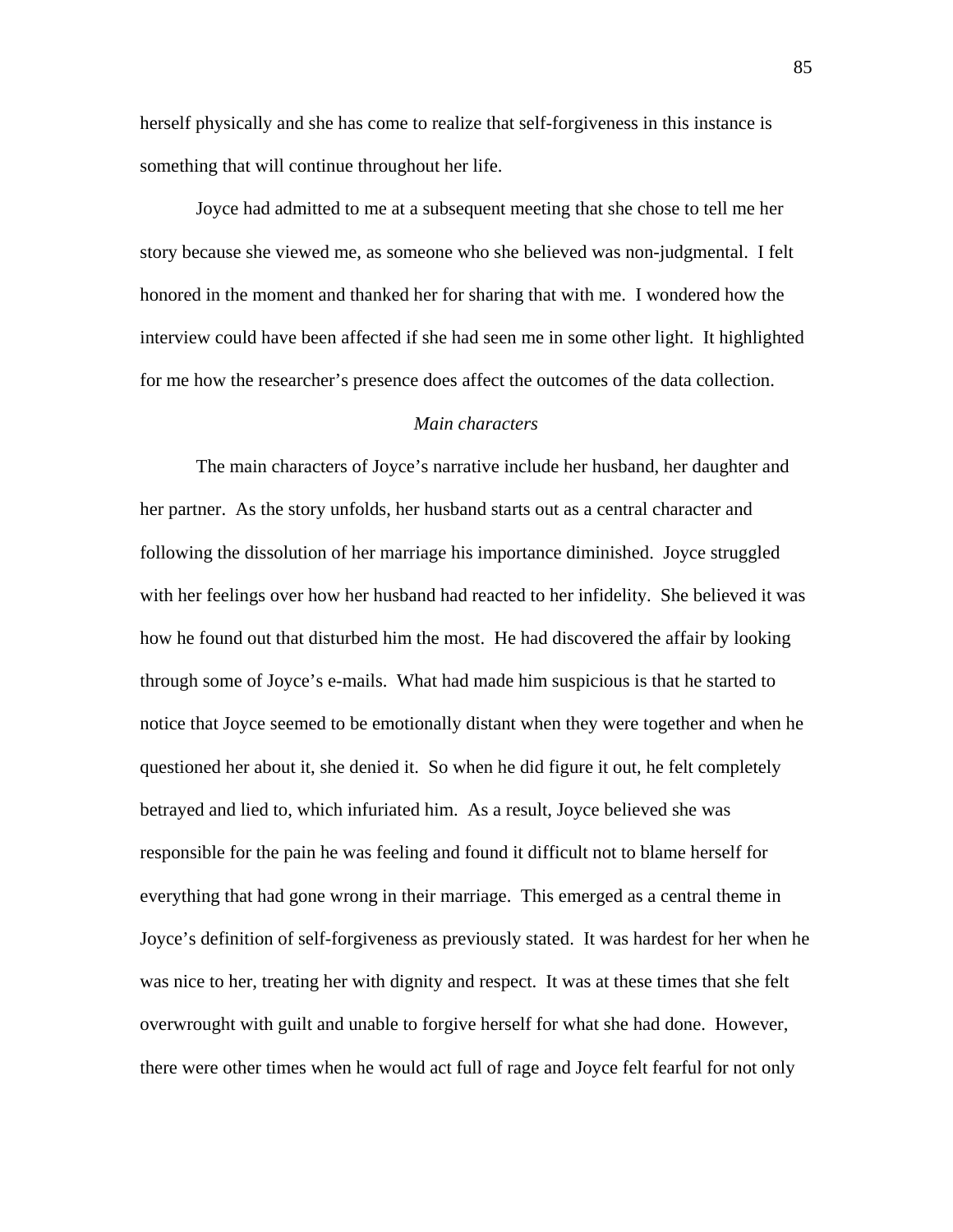herself physically and she has come to realize that self-forgiveness in this instance is something that will continue throughout her life.

Joyce had admitted to me at a subsequent meeting that she chose to tell me her story because she viewed me, as someone who she believed was non-judgmental. I felt honored in the moment and thanked her for sharing that with me. I wondered how the interview could have been affected if she had seen me in some other light. It highlighted for me how the researcher's presence does affect the outcomes of the data collection.

#### *Main characters*

The main characters of Joyce's narrative include her husband, her daughter and her partner. As the story unfolds, her husband starts out as a central character and following the dissolution of her marriage his importance diminished. Joyce struggled with her feelings over how her husband had reacted to her infidelity. She believed it was how he found out that disturbed him the most. He had discovered the affair by looking through some of Joyce's e-mails. What had made him suspicious is that he started to notice that Joyce seemed to be emotionally distant when they were together and when he questioned her about it, she denied it. So when he did figure it out, he felt completely betrayed and lied to, which infuriated him. As a result, Joyce believed she was responsible for the pain he was feeling and found it difficult not to blame herself for everything that had gone wrong in their marriage. This emerged as a central theme in Joyce's definition of self-forgiveness as previously stated. It was hardest for her when he was nice to her, treating her with dignity and respect. It was at these times that she felt overwrought with guilt and unable to forgive herself for what she had done. However, there were other times when he would act full of rage and Joyce felt fearful for not only

85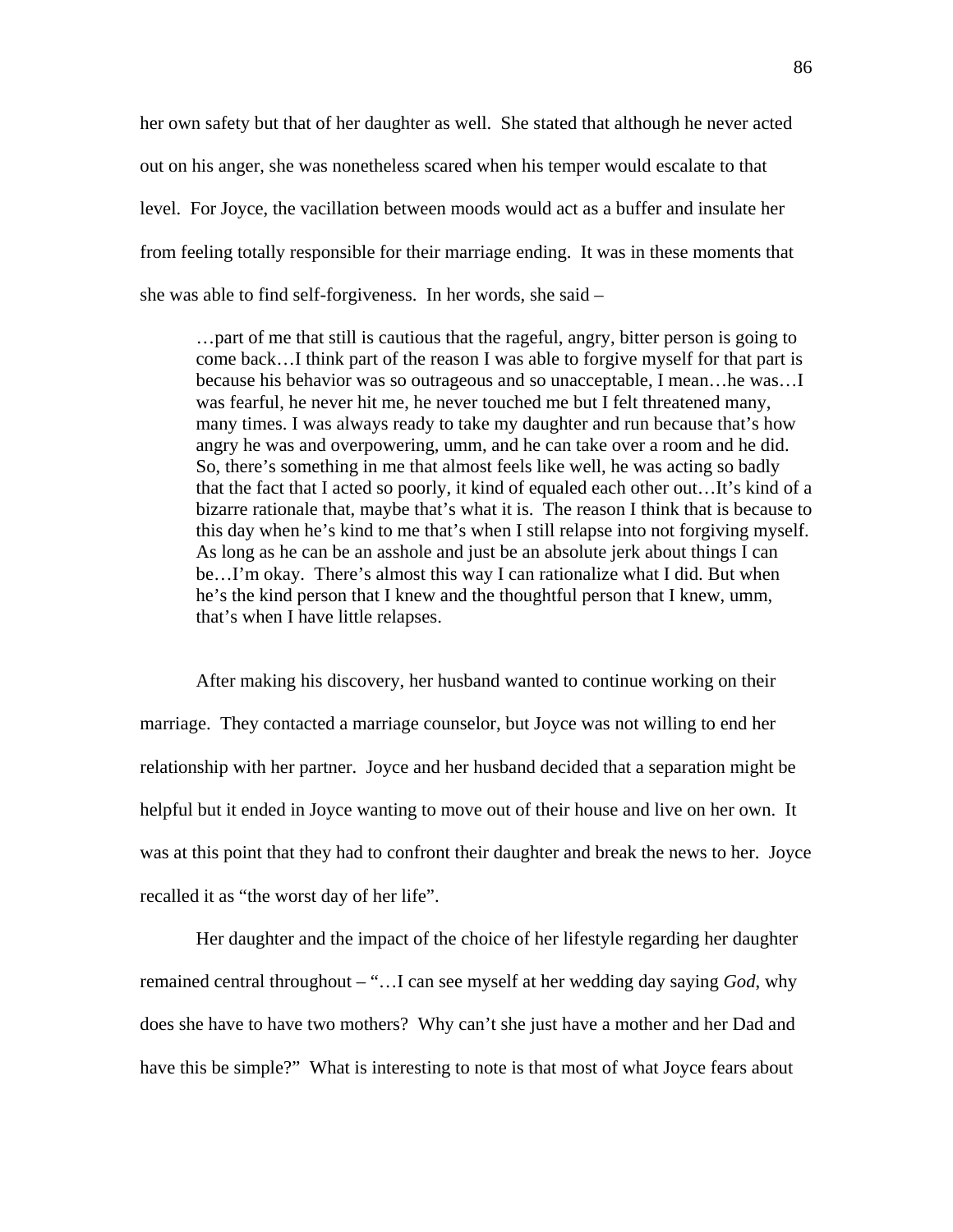her own safety but that of her daughter as well. She stated that although he never acted out on his anger, she was nonetheless scared when his temper would escalate to that level. For Joyce, the vacillation between moods would act as a buffer and insulate her from feeling totally responsible for their marriage ending. It was in these moments that she was able to find self-forgiveness. In her words, she said –

…part of me that still is cautious that the rageful, angry, bitter person is going to come back…I think part of the reason I was able to forgive myself for that part is because his behavior was so outrageous and so unacceptable, I mean…he was…I was fearful, he never hit me, he never touched me but I felt threatened many, many times. I was always ready to take my daughter and run because that's how angry he was and overpowering, umm, and he can take over a room and he did. So, there's something in me that almost feels like well, he was acting so badly that the fact that I acted so poorly, it kind of equaled each other out…It's kind of a bizarre rationale that, maybe that's what it is. The reason I think that is because to this day when he's kind to me that's when I still relapse into not forgiving myself. As long as he can be an asshole and just be an absolute jerk about things I can be…I'm okay. There's almost this way I can rationalize what I did. But when he's the kind person that I knew and the thoughtful person that I knew, umm, that's when I have little relapses.

After making his discovery, her husband wanted to continue working on their marriage. They contacted a marriage counselor, but Joyce was not willing to end her relationship with her partner. Joyce and her husband decided that a separation might be helpful but it ended in Joyce wanting to move out of their house and live on her own. It was at this point that they had to confront their daughter and break the news to her. Joyce recalled it as "the worst day of her life".

Her daughter and the impact of the choice of her lifestyle regarding her daughter remained central throughout – "…I can see myself at her wedding day saying *God*, why does she have to have two mothers? Why can't she just have a mother and her Dad and have this be simple?" What is interesting to note is that most of what Joyce fears about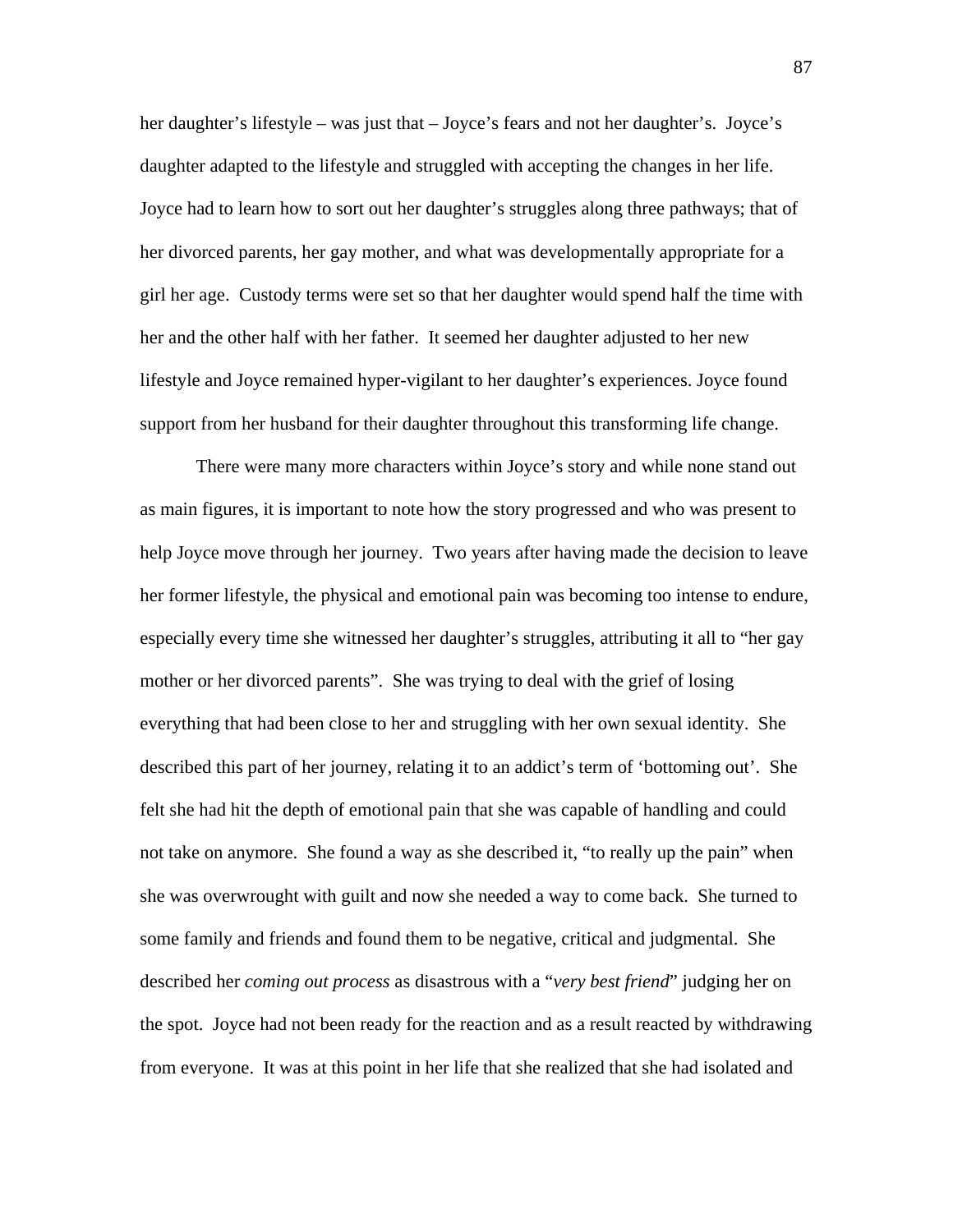her daughter's lifestyle – was just that – Joyce's fears and not her daughter's. Joyce's daughter adapted to the lifestyle and struggled with accepting the changes in her life. Joyce had to learn how to sort out her daughter's struggles along three pathways; that of her divorced parents, her gay mother, and what was developmentally appropriate for a girl her age. Custody terms were set so that her daughter would spend half the time with her and the other half with her father. It seemed her daughter adjusted to her new lifestyle and Joyce remained hyper-vigilant to her daughter's experiences. Joyce found support from her husband for their daughter throughout this transforming life change.

There were many more characters within Joyce's story and while none stand out as main figures, it is important to note how the story progressed and who was present to help Joyce move through her journey. Two years after having made the decision to leave her former lifestyle, the physical and emotional pain was becoming too intense to endure, especially every time she witnessed her daughter's struggles, attributing it all to "her gay mother or her divorced parents". She was trying to deal with the grief of losing everything that had been close to her and struggling with her own sexual identity. She described this part of her journey, relating it to an addict's term of 'bottoming out'. She felt she had hit the depth of emotional pain that she was capable of handling and could not take on anymore. She found a way as she described it, "to really up the pain" when she was overwrought with guilt and now she needed a way to come back. She turned to some family and friends and found them to be negative, critical and judgmental. She described her *coming out process* as disastrous with a "*very best friend*" judging her on the spot. Joyce had not been ready for the reaction and as a result reacted by withdrawing from everyone. It was at this point in her life that she realized that she had isolated and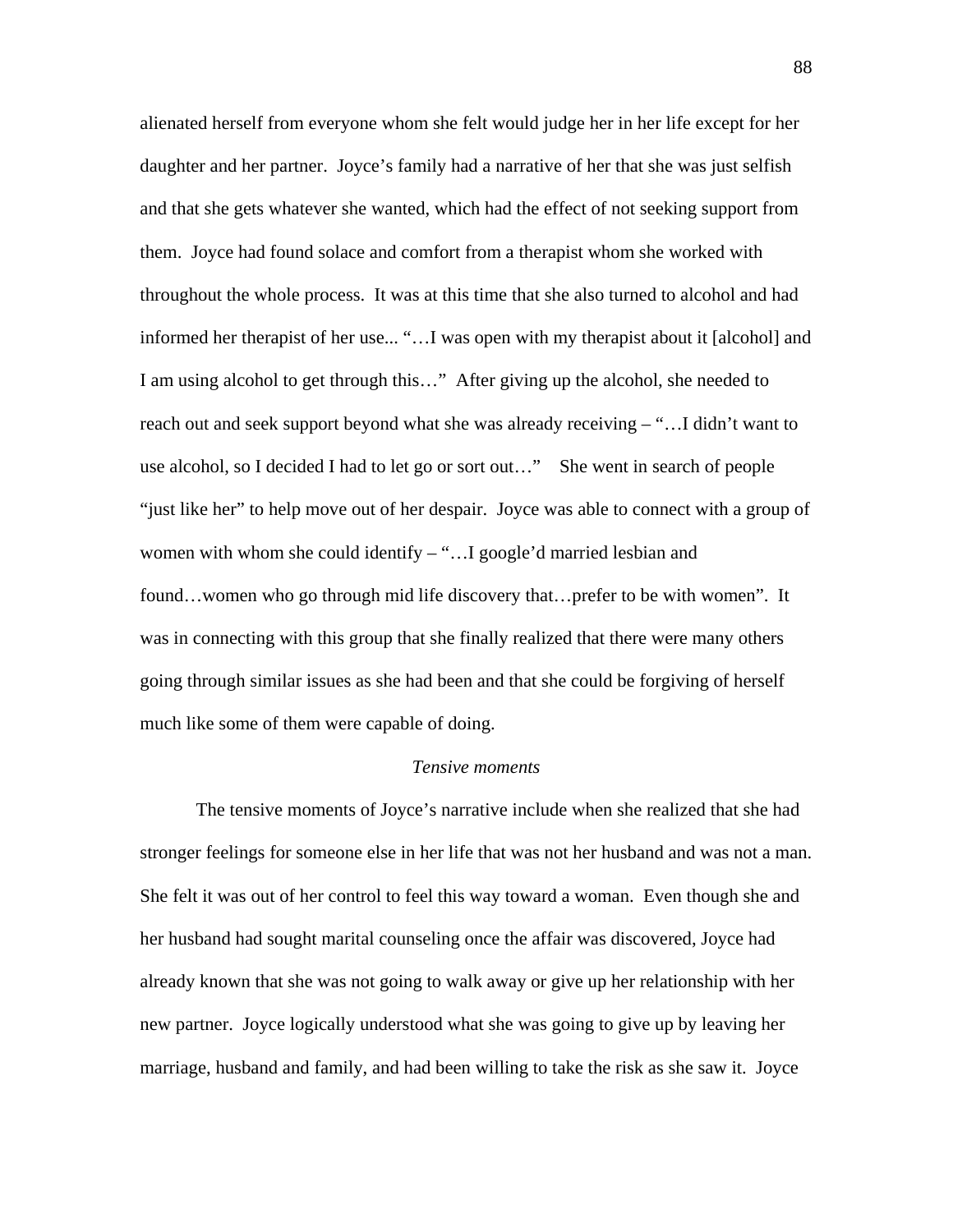alienated herself from everyone whom she felt would judge her in her life except for her daughter and her partner. Joyce's family had a narrative of her that she was just selfish and that she gets whatever she wanted, which had the effect of not seeking support from them. Joyce had found solace and comfort from a therapist whom she worked with throughout the whole process. It was at this time that she also turned to alcohol and had informed her therapist of her use... "…I was open with my therapist about it [alcohol] and I am using alcohol to get through this…" After giving up the alcohol, she needed to reach out and seek support beyond what she was already receiving – "…I didn't want to use alcohol, so I decided I had to let go or sort out…" She went in search of people "just like her" to help move out of her despair. Joyce was able to connect with a group of women with whom she could identify – "... I google'd married lesbian and found…women who go through mid life discovery that…prefer to be with women". It was in connecting with this group that she finally realized that there were many others going through similar issues as she had been and that she could be forgiving of herself much like some of them were capable of doing.

# *Tensive moments*

The tensive moments of Joyce's narrative include when she realized that she had stronger feelings for someone else in her life that was not her husband and was not a man. She felt it was out of her control to feel this way toward a woman. Even though she and her husband had sought marital counseling once the affair was discovered, Joyce had already known that she was not going to walk away or give up her relationship with her new partner. Joyce logically understood what she was going to give up by leaving her marriage, husband and family, and had been willing to take the risk as she saw it. Joyce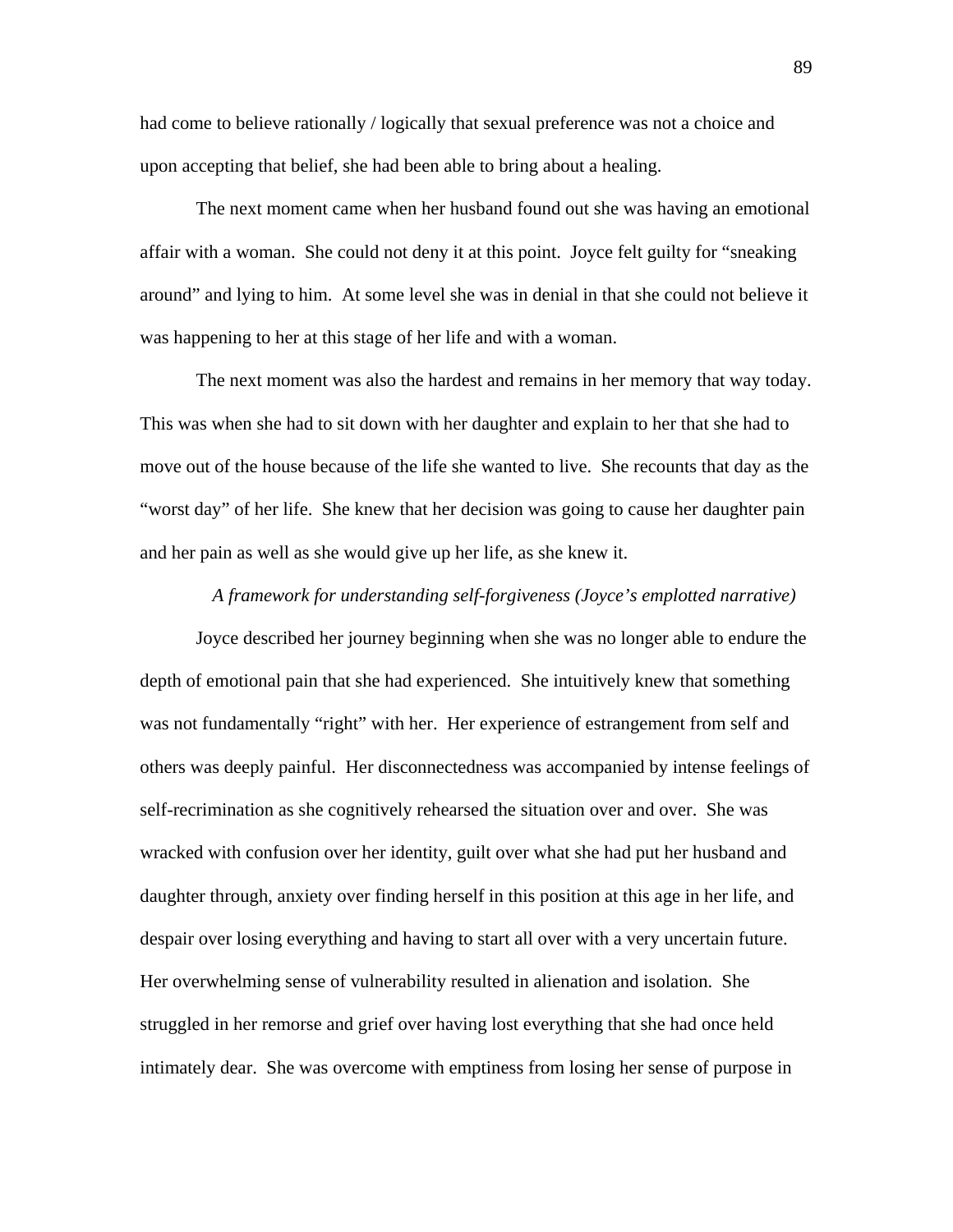had come to believe rationally / logically that sexual preference was not a choice and upon accepting that belief, she had been able to bring about a healing.

The next moment came when her husband found out she was having an emotional affair with a woman. She could not deny it at this point. Joyce felt guilty for "sneaking around" and lying to him. At some level she was in denial in that she could not believe it was happening to her at this stage of her life and with a woman.

The next moment was also the hardest and remains in her memory that way today. This was when she had to sit down with her daughter and explain to her that she had to move out of the house because of the life she wanted to live. She recounts that day as the "worst day" of her life. She knew that her decision was going to cause her daughter pain and her pain as well as she would give up her life, as she knew it.

# *A framework for understanding self-forgiveness (Joyce's emplotted narrative)*

Joyce described her journey beginning when she was no longer able to endure the depth of emotional pain that she had experienced. She intuitively knew that something was not fundamentally "right" with her. Her experience of estrangement from self and others was deeply painful. Her disconnectedness was accompanied by intense feelings of self-recrimination as she cognitively rehearsed the situation over and over. She was wracked with confusion over her identity, guilt over what she had put her husband and daughter through, anxiety over finding herself in this position at this age in her life, and despair over losing everything and having to start all over with a very uncertain future. Her overwhelming sense of vulnerability resulted in alienation and isolation. She struggled in her remorse and grief over having lost everything that she had once held intimately dear. She was overcome with emptiness from losing her sense of purpose in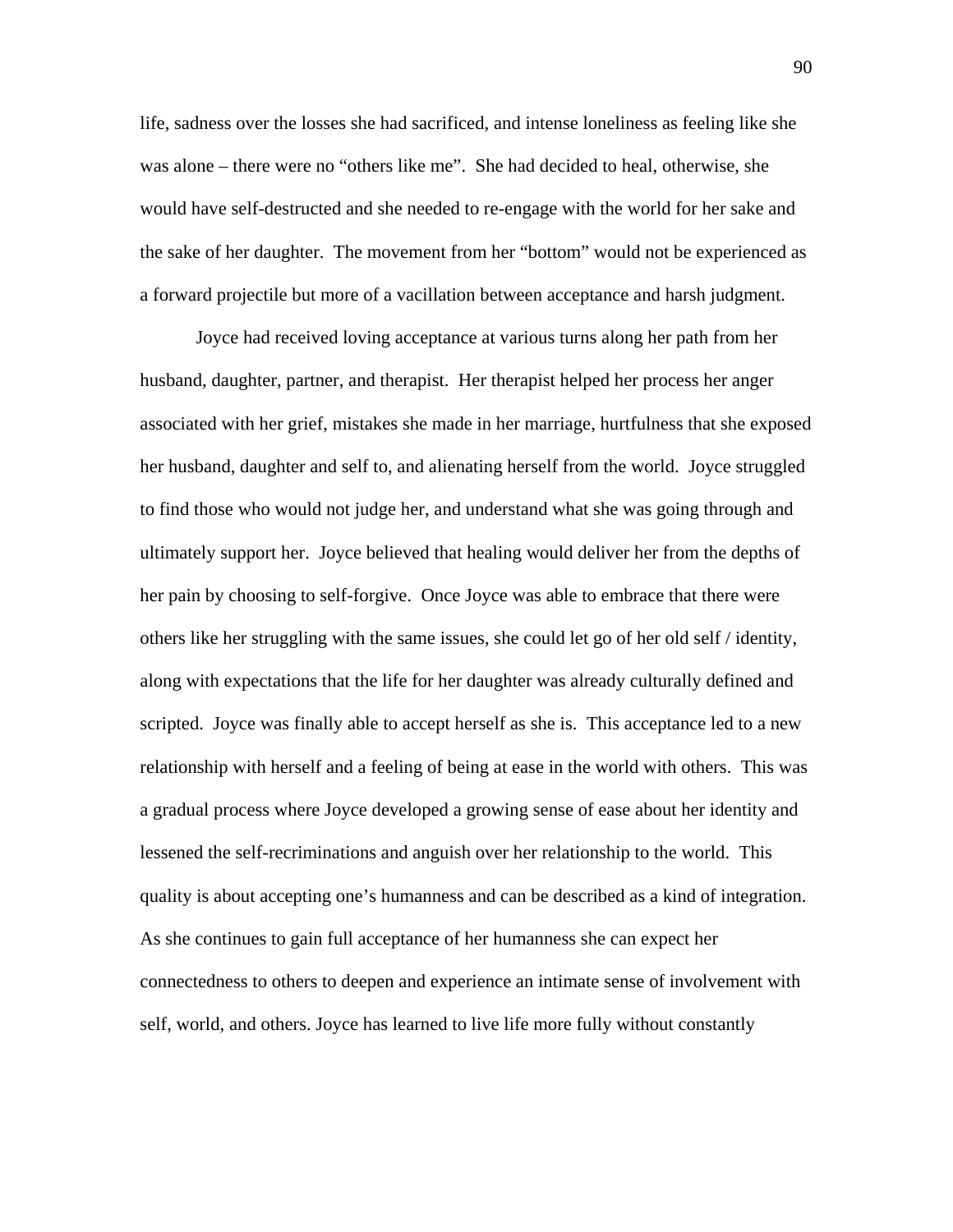life, sadness over the losses she had sacrificed, and intense loneliness as feeling like she was alone – there were no "others like me". She had decided to heal, otherwise, she would have self-destructed and she needed to re-engage with the world for her sake and the sake of her daughter. The movement from her "bottom" would not be experienced as a forward projectile but more of a vacillation between acceptance and harsh judgment.

Joyce had received loving acceptance at various turns along her path from her husband, daughter, partner, and therapist. Her therapist helped her process her anger associated with her grief, mistakes she made in her marriage, hurtfulness that she exposed her husband, daughter and self to, and alienating herself from the world. Joyce struggled to find those who would not judge her, and understand what she was going through and ultimately support her. Joyce believed that healing would deliver her from the depths of her pain by choosing to self-forgive. Once Joyce was able to embrace that there were others like her struggling with the same issues, she could let go of her old self / identity, along with expectations that the life for her daughter was already culturally defined and scripted. Joyce was finally able to accept herself as she is. This acceptance led to a new relationship with herself and a feeling of being at ease in the world with others. This was a gradual process where Joyce developed a growing sense of ease about her identity and lessened the self-recriminations and anguish over her relationship to the world. This quality is about accepting one's humanness and can be described as a kind of integration. As she continues to gain full acceptance of her humanness she can expect her connectedness to others to deepen and experience an intimate sense of involvement with self, world, and others. Joyce has learned to live life more fully without constantly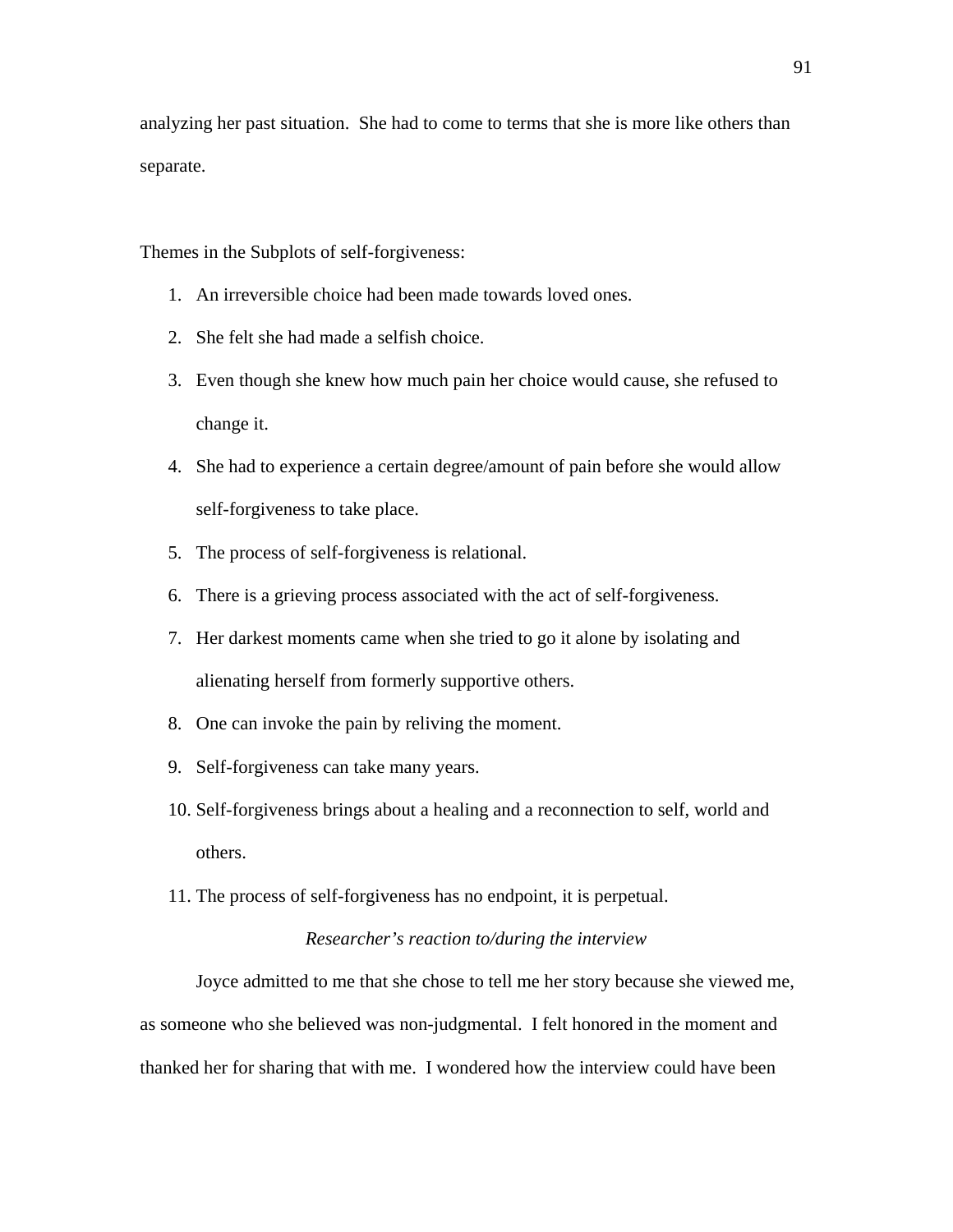analyzing her past situation. She had to come to terms that she is more like others than separate.

Themes in the Subplots of self-forgiveness:

- 1. An irreversible choice had been made towards loved ones.
- 2. She felt she had made a selfish choice.
- 3. Even though she knew how much pain her choice would cause, she refused to change it.
- 4. She had to experience a certain degree/amount of pain before she would allow self-forgiveness to take place.
- 5. The process of self-forgiveness is relational.
- 6. There is a grieving process associated with the act of self-forgiveness.
- 7. Her darkest moments came when she tried to go it alone by isolating and alienating herself from formerly supportive others.
- 8. One can invoke the pain by reliving the moment.
- 9. Self-forgiveness can take many years.
- 10. Self-forgiveness brings about a healing and a reconnection to self, world and others.
- 11. The process of self-forgiveness has no endpoint, it is perpetual.

## *Researcher's reaction to/during the interview*

Joyce admitted to me that she chose to tell me her story because she viewed me, as someone who she believed was non-judgmental. I felt honored in the moment and thanked her for sharing that with me. I wondered how the interview could have been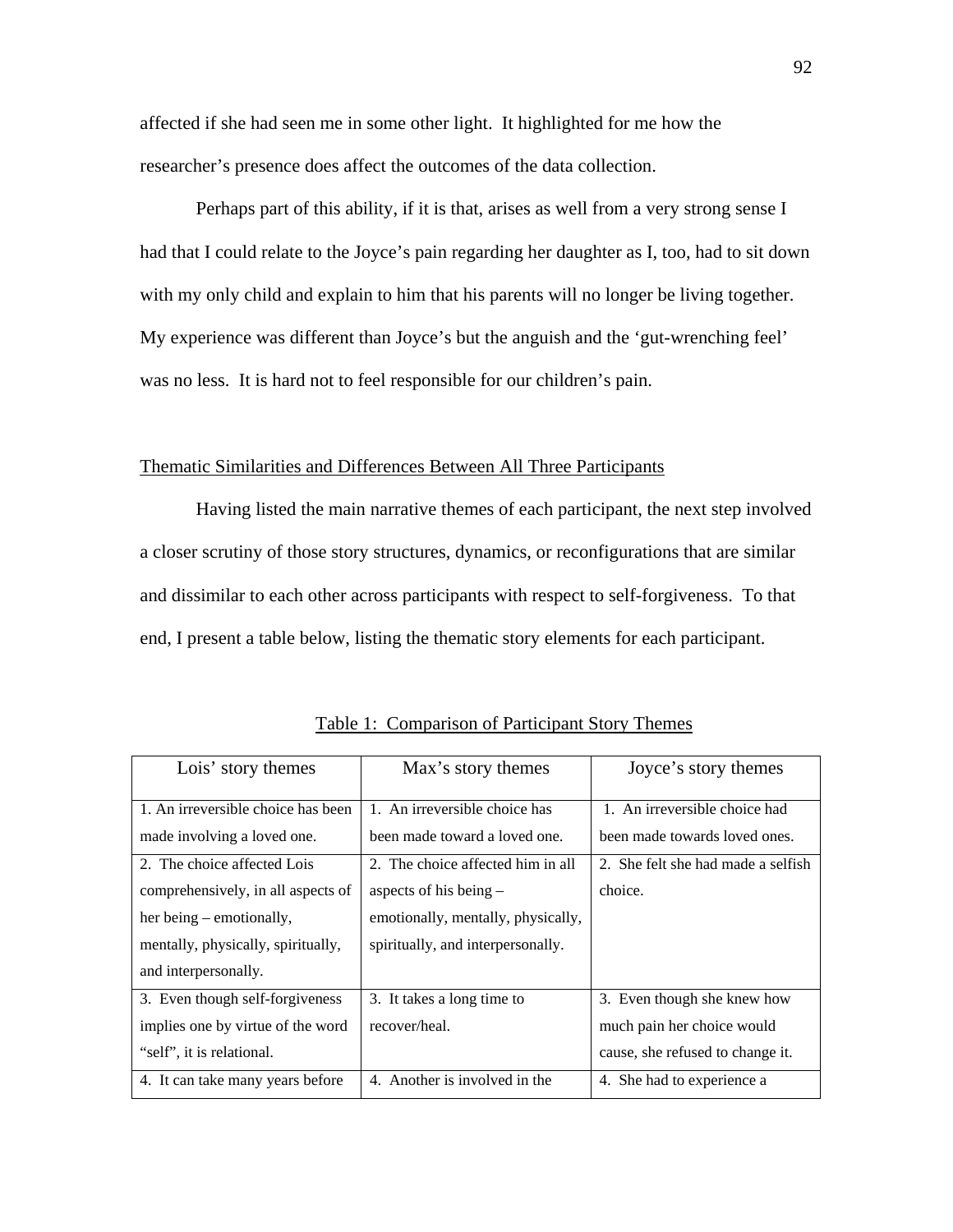affected if she had seen me in some other light. It highlighted for me how the researcher's presence does affect the outcomes of the data collection.

Perhaps part of this ability, if it is that, arises as well from a very strong sense I had that I could relate to the Joyce's pain regarding her daughter as I, too, had to sit down with my only child and explain to him that his parents will no longer be living together. My experience was different than Joyce's but the anguish and the 'gut-wrenching feel' was no less. It is hard not to feel responsible for our children's pain.

# Thematic Similarities and Differences Between All Three Participants

Having listed the main narrative themes of each participant, the next step involved a closer scrutiny of those story structures, dynamics, or reconfigurations that are similar and dissimilar to each other across participants with respect to self-forgiveness. To that end, I present a table below, listing the thematic story elements for each participant.

| Lois' story themes                 | Max's story themes                           | Joyce's story themes               |
|------------------------------------|----------------------------------------------|------------------------------------|
| 1. An irreversible choice has been | 1. An irreversible choice has                | 1. An irreversible choice had      |
| made involving a loved one.        | been made toward a loved one.                | been made towards loved ones.      |
| 2. The choice affected Lois        | 2. The choice affected him in all            | 2. She felt she had made a selfish |
| comprehensively, in all aspects of | aspects of his being $-$                     | choice.                            |
| her being – emotionally,           | emotionally, mentally, physically,           |                                    |
| mentally, physically, spiritually, | spiritually, and interpersonally.            |                                    |
| and interpersonally.               |                                              |                                    |
| 3. Even though self-forgiveness    | 3. It takes a long time to                   | 3. Even though she knew how        |
| implies one by virtue of the word  | recover/heal.                                | much pain her choice would         |
| "self", it is relational.          |                                              | cause, she refused to change it.   |
| 4. It can take many years before   | Another is involved in the<br>$\overline{4}$ | She had to experience a<br>4.      |

Table 1: Comparison of Participant Story Themes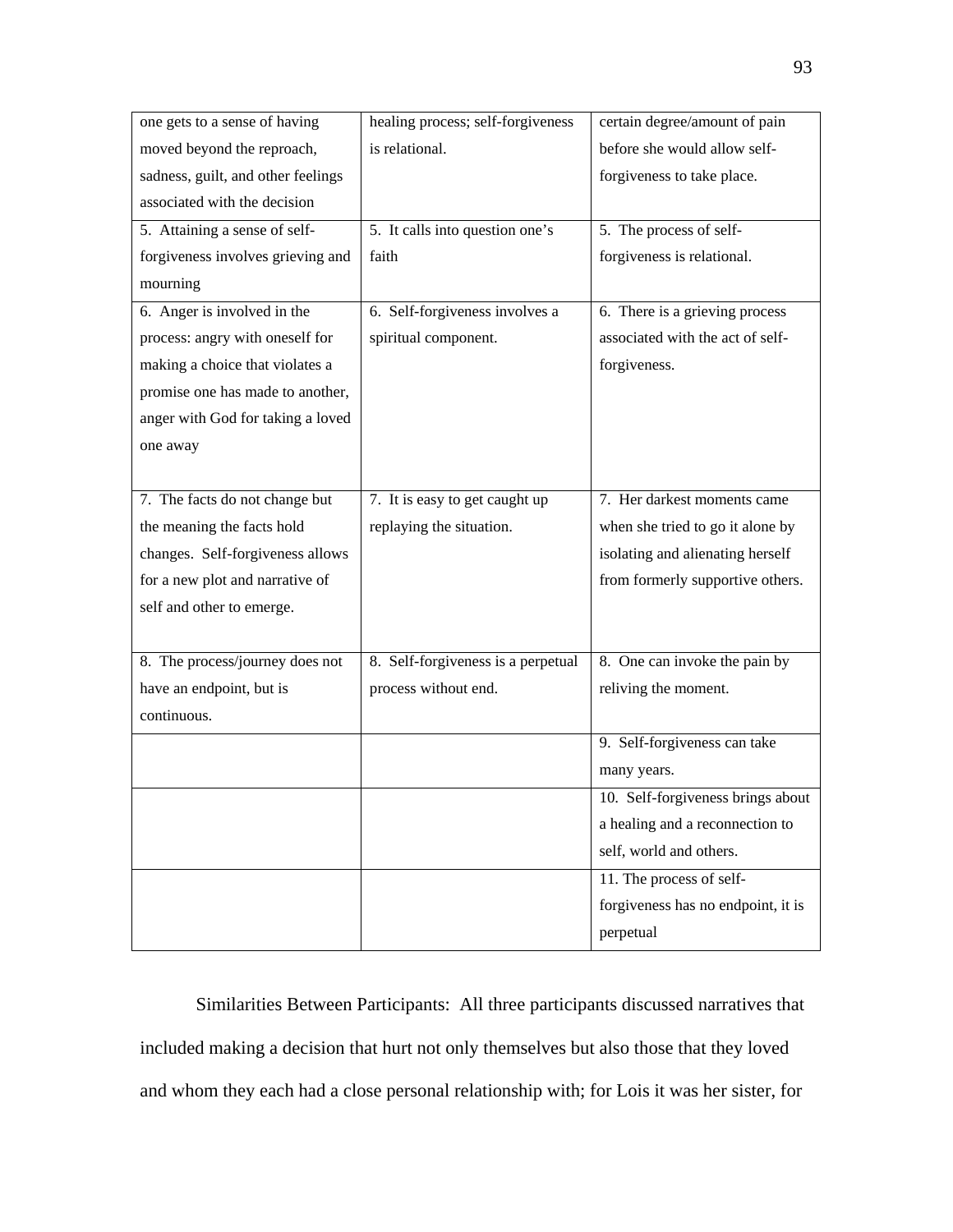| one gets to a sense of having      | healing process; self-forgiveness  | certain degree/amount of pain      |
|------------------------------------|------------------------------------|------------------------------------|
| moved beyond the reproach,         | is relational.                     | before she would allow self-       |
| sadness, guilt, and other feelings |                                    | forgiveness to take place.         |
| associated with the decision       |                                    |                                    |
| 5. Attaining a sense of self-      | 5. It calls into question one's    | 5. The process of self-            |
| forgiveness involves grieving and  | faith                              | forgiveness is relational.         |
| mourning                           |                                    |                                    |
| 6. Anger is involved in the        | 6. Self-forgiveness involves a     | 6. There is a grieving process     |
| process: angry with oneself for    | spiritual component.               | associated with the act of self-   |
| making a choice that violates a    |                                    | forgiveness.                       |
| promise one has made to another,   |                                    |                                    |
| anger with God for taking a loved  |                                    |                                    |
| one away                           |                                    |                                    |
|                                    |                                    |                                    |
| 7. The facts do not change but     | 7. It is easy to get caught up     | 7. Her darkest moments came        |
| the meaning the facts hold         | replaying the situation.           | when she tried to go it alone by   |
| changes. Self-forgiveness allows   |                                    | isolating and alienating herself   |
| for a new plot and narrative of    |                                    | from formerly supportive others.   |
| self and other to emerge.          |                                    |                                    |
|                                    |                                    |                                    |
| 8. The process/journey does not    | 8. Self-forgiveness is a perpetual | 8. One can invoke the pain by      |
| have an endpoint, but is           | process without end.               | reliving the moment.               |
| continuous.                        |                                    |                                    |
|                                    |                                    | 9. Self-forgiveness can take       |
|                                    |                                    | many years.                        |
|                                    |                                    | 10. Self-forgiveness brings about  |
|                                    |                                    | a healing and a reconnection to    |
|                                    |                                    | self, world and others.            |
|                                    |                                    | 11. The process of self-           |
|                                    |                                    | forgiveness has no endpoint, it is |
|                                    |                                    | perpetual                          |

Similarities Between Participants: All three participants discussed narratives that included making a decision that hurt not only themselves but also those that they loved and whom they each had a close personal relationship with; for Lois it was her sister, for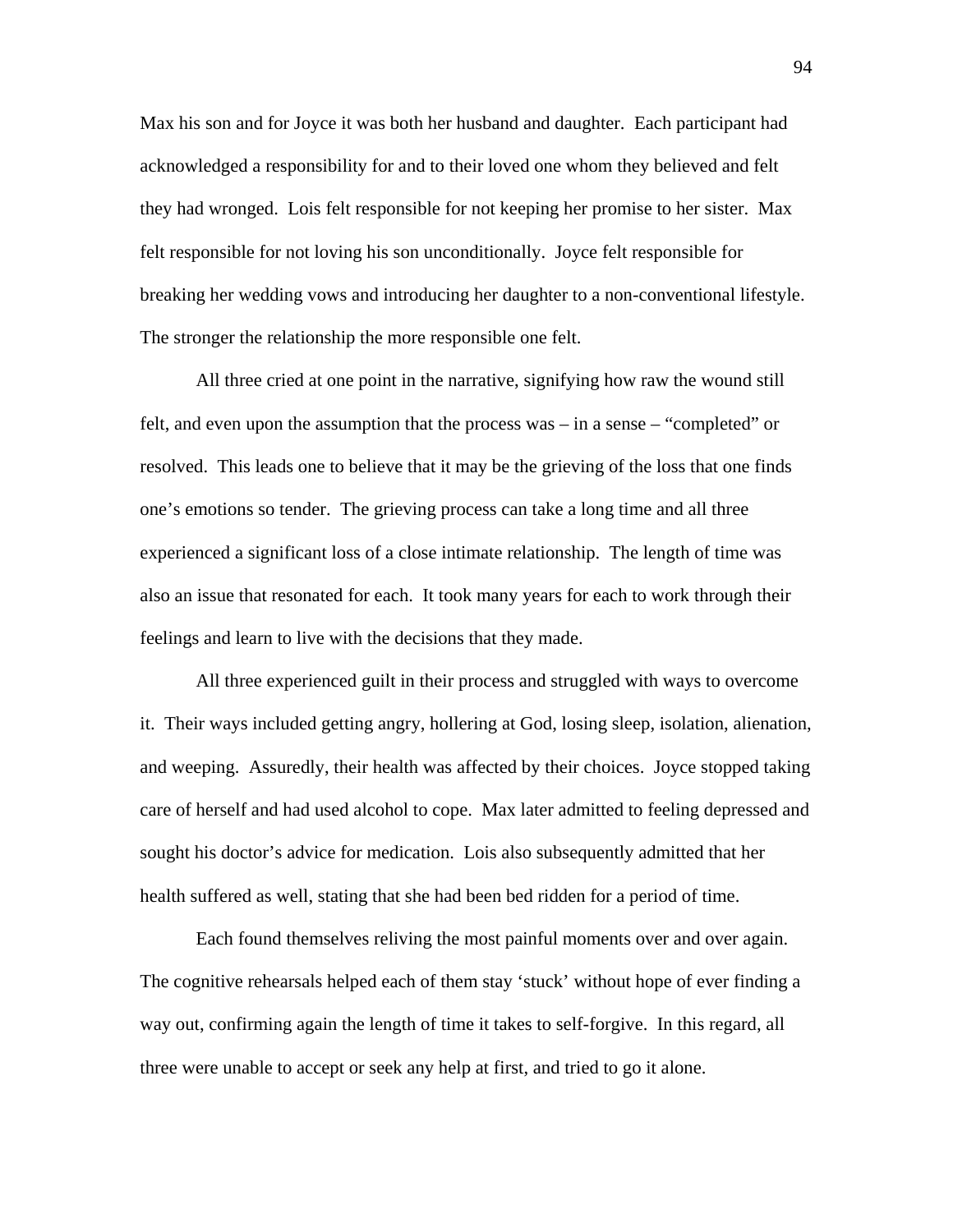Max his son and for Joyce it was both her husband and daughter. Each participant had acknowledged a responsibility for and to their loved one whom they believed and felt they had wronged. Lois felt responsible for not keeping her promise to her sister. Max felt responsible for not loving his son unconditionally. Joyce felt responsible for breaking her wedding vows and introducing her daughter to a non-conventional lifestyle. The stronger the relationship the more responsible one felt.

All three cried at one point in the narrative, signifying how raw the wound still felt, and even upon the assumption that the process was – in a sense – "completed" or resolved. This leads one to believe that it may be the grieving of the loss that one finds one's emotions so tender. The grieving process can take a long time and all three experienced a significant loss of a close intimate relationship. The length of time was also an issue that resonated for each. It took many years for each to work through their feelings and learn to live with the decisions that they made.

All three experienced guilt in their process and struggled with ways to overcome it. Their ways included getting angry, hollering at God, losing sleep, isolation, alienation, and weeping. Assuredly, their health was affected by their choices. Joyce stopped taking care of herself and had used alcohol to cope. Max later admitted to feeling depressed and sought his doctor's advice for medication. Lois also subsequently admitted that her health suffered as well, stating that she had been bed ridden for a period of time.

Each found themselves reliving the most painful moments over and over again. The cognitive rehearsals helped each of them stay 'stuck' without hope of ever finding a way out, confirming again the length of time it takes to self-forgive. In this regard, all three were unable to accept or seek any help at first, and tried to go it alone.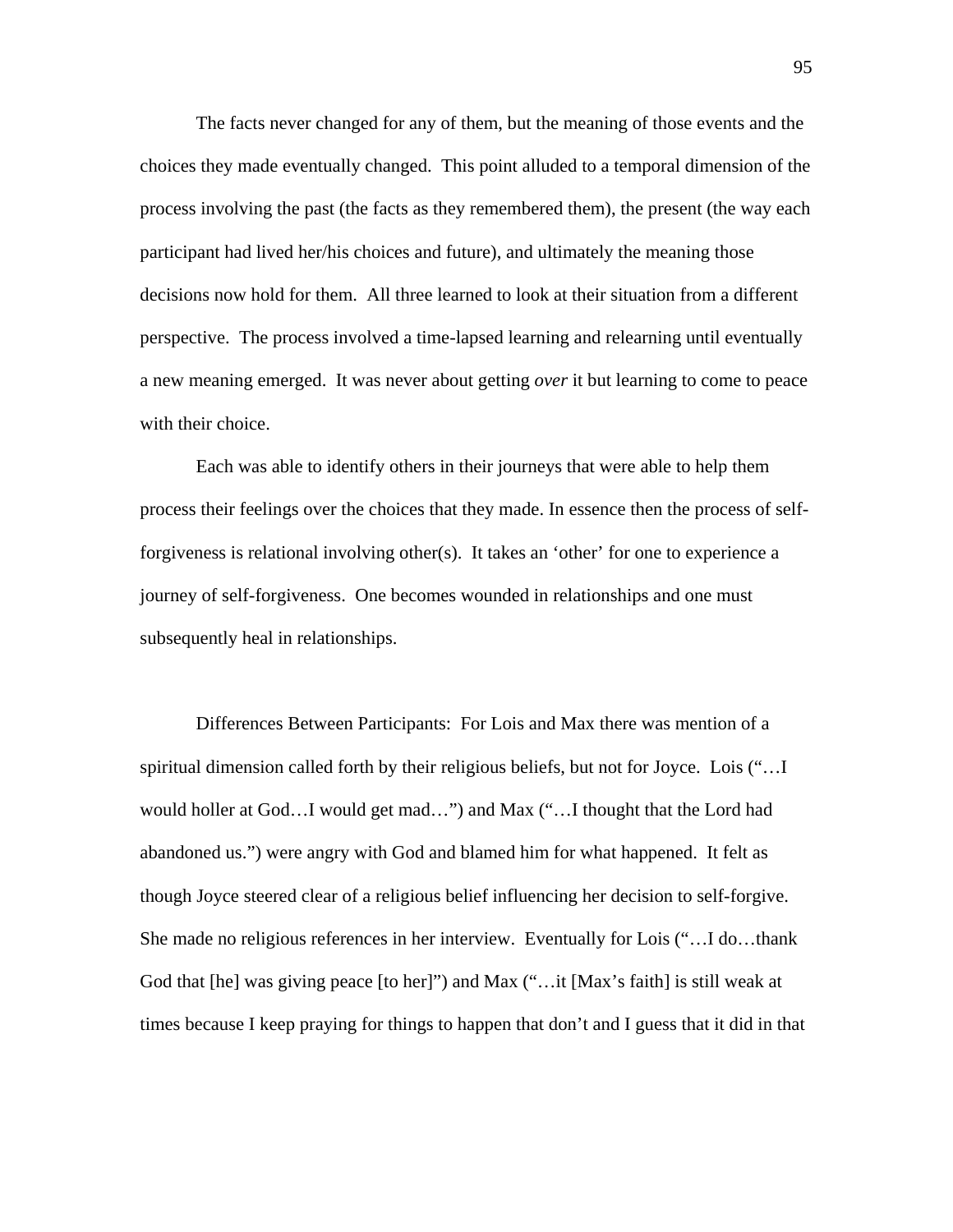The facts never changed for any of them, but the meaning of those events and the choices they made eventually changed. This point alluded to a temporal dimension of the process involving the past (the facts as they remembered them), the present (the way each participant had lived her/his choices and future), and ultimately the meaning those decisions now hold for them. All three learned to look at their situation from a different perspective. The process involved a time-lapsed learning and relearning until eventually a new meaning emerged. It was never about getting *over* it but learning to come to peace with their choice.

Each was able to identify others in their journeys that were able to help them process their feelings over the choices that they made. In essence then the process of selfforgiveness is relational involving other(s). It takes an 'other' for one to experience a journey of self-forgiveness. One becomes wounded in relationships and one must subsequently heal in relationships.

Differences Between Participants: For Lois and Max there was mention of a spiritual dimension called forth by their religious beliefs, but not for Joyce. Lois ("…I would holler at God…I would get mad…") and Max ("…I thought that the Lord had abandoned us.") were angry with God and blamed him for what happened. It felt as though Joyce steered clear of a religious belief influencing her decision to self-forgive. She made no religious references in her interview. Eventually for Lois ("…I do…thank God that [he] was giving peace [to her]") and Max ("…it [Max's faith] is still weak at times because I keep praying for things to happen that don't and I guess that it did in that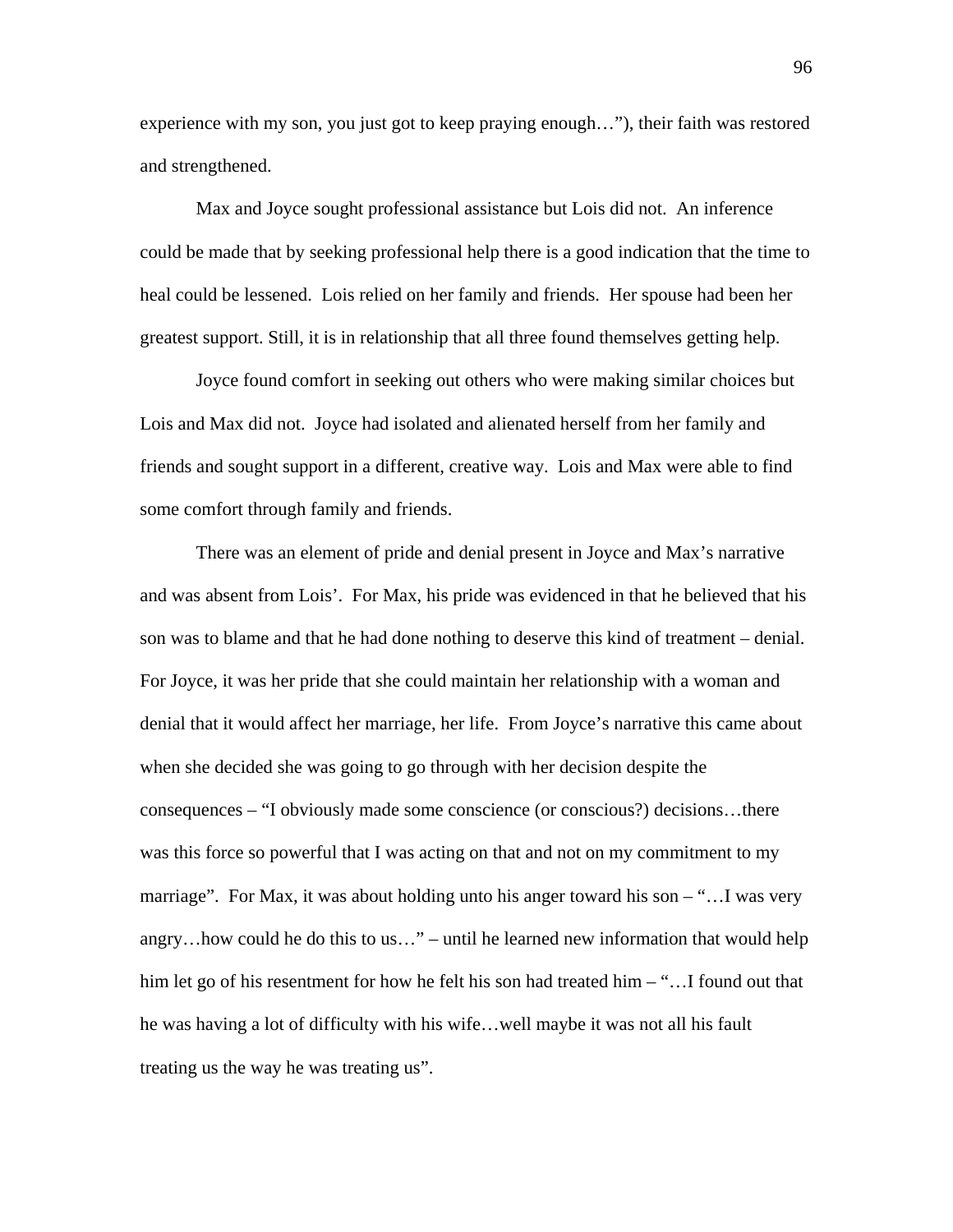experience with my son, you just got to keep praying enough…"), their faith was restored and strengthened.

Max and Joyce sought professional assistance but Lois did not. An inference could be made that by seeking professional help there is a good indication that the time to heal could be lessened. Lois relied on her family and friends. Her spouse had been her greatest support. Still, it is in relationship that all three found themselves getting help.

Joyce found comfort in seeking out others who were making similar choices but Lois and Max did not. Joyce had isolated and alienated herself from her family and friends and sought support in a different, creative way. Lois and Max were able to find some comfort through family and friends.

There was an element of pride and denial present in Joyce and Max's narrative and was absent from Lois'. For Max, his pride was evidenced in that he believed that his son was to blame and that he had done nothing to deserve this kind of treatment – denial. For Joyce, it was her pride that she could maintain her relationship with a woman and denial that it would affect her marriage, her life. From Joyce's narrative this came about when she decided she was going to go through with her decision despite the consequences – "I obviously made some conscience (or conscious?) decisions…there was this force so powerful that I was acting on that and not on my commitment to my marriage". For Max, it was about holding unto his anger toward his son  $-\tilde{\ }$ ... I was very angry…how could he do this to us…" – until he learned new information that would help him let go of his resentment for how he felt his son had treated him – "... I found out that he was having a lot of difficulty with his wife…well maybe it was not all his fault treating us the way he was treating us".

96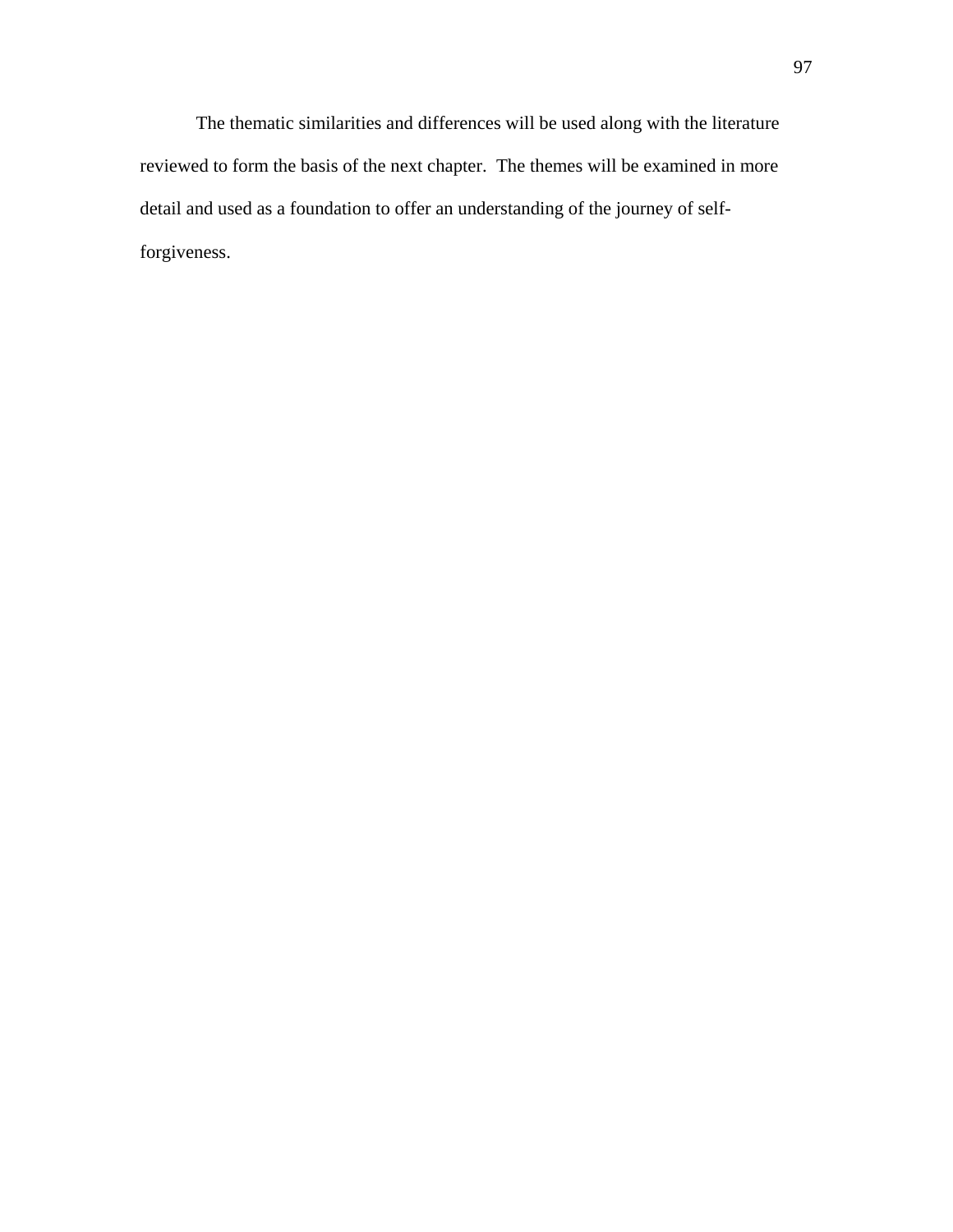The thematic similarities and differences will be used along with the literature reviewed to form the basis of the next chapter. The themes will be examined in more detail and used as a foundation to offer an understanding of the journey of selfforgiveness.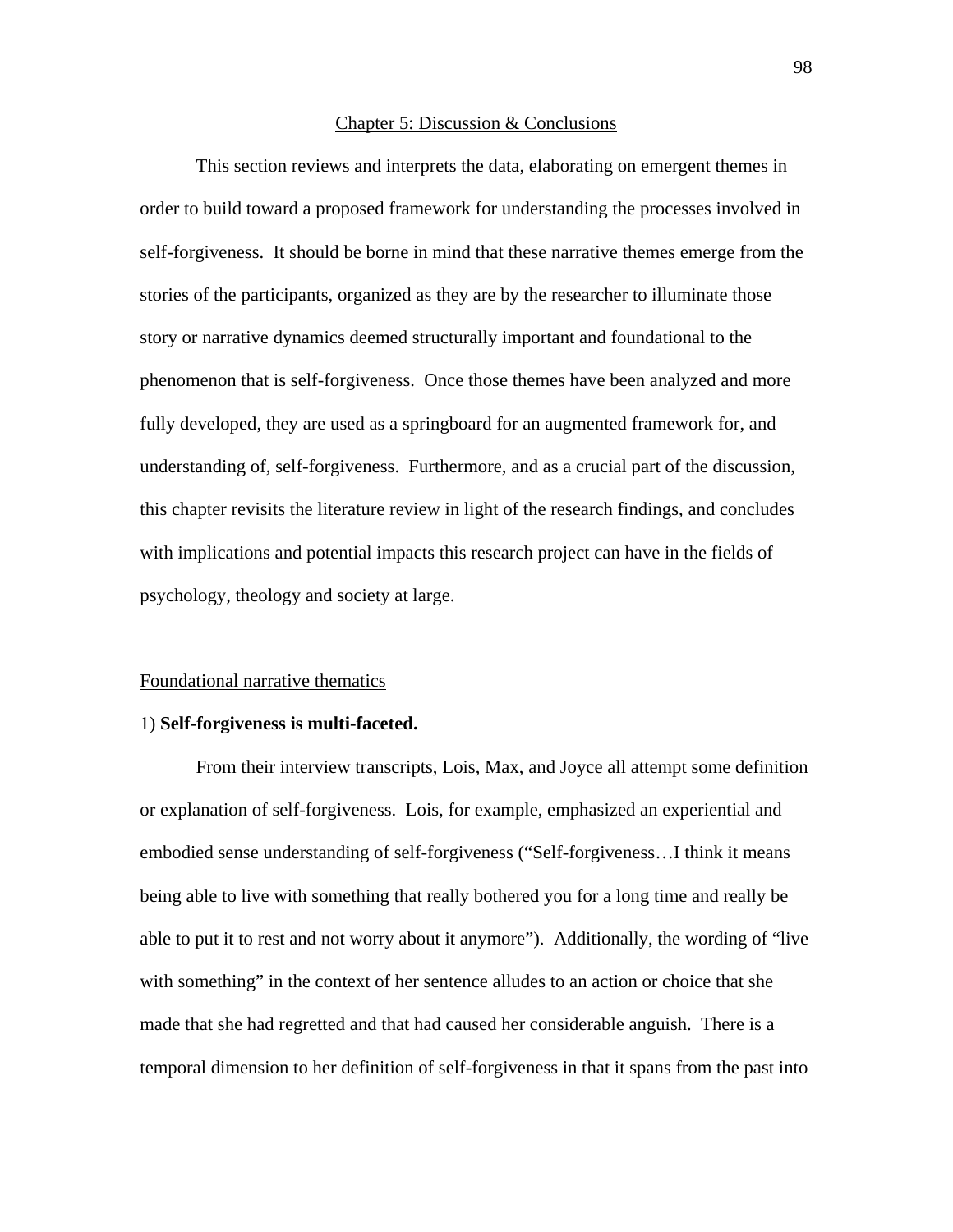#### Chapter 5: Discussion & Conclusions

This section reviews and interprets the data, elaborating on emergent themes in order to build toward a proposed framework for understanding the processes involved in self-forgiveness. It should be borne in mind that these narrative themes emerge from the stories of the participants, organized as they are by the researcher to illuminate those story or narrative dynamics deemed structurally important and foundational to the phenomenon that is self-forgiveness. Once those themes have been analyzed and more fully developed, they are used as a springboard for an augmented framework for, and understanding of, self-forgiveness. Furthermore, and as a crucial part of the discussion, this chapter revisits the literature review in light of the research findings, and concludes with implications and potential impacts this research project can have in the fields of psychology, theology and society at large.

#### Foundational narrative thematics

## 1) **Self-forgiveness is multi-faceted.**

From their interview transcripts, Lois, Max, and Joyce all attempt some definition or explanation of self-forgiveness. Lois, for example, emphasized an experiential and embodied sense understanding of self-forgiveness ("Self-forgiveness…I think it means being able to live with something that really bothered you for a long time and really be able to put it to rest and not worry about it anymore"). Additionally, the wording of "live with something" in the context of her sentence alludes to an action or choice that she made that she had regretted and that had caused her considerable anguish. There is a temporal dimension to her definition of self-forgiveness in that it spans from the past into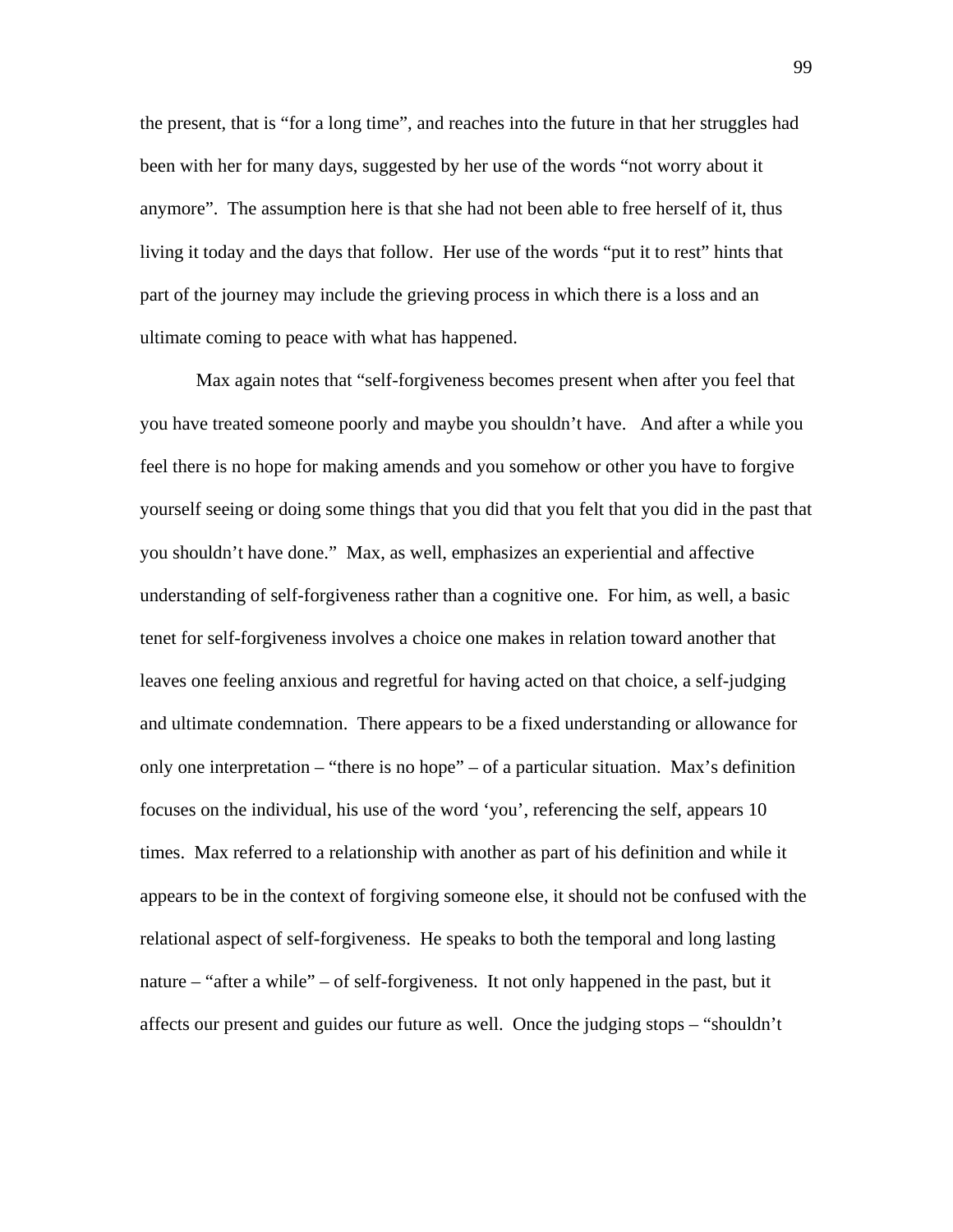the present, that is "for a long time", and reaches into the future in that her struggles had been with her for many days, suggested by her use of the words "not worry about it anymore". The assumption here is that she had not been able to free herself of it, thus living it today and the days that follow. Her use of the words "put it to rest" hints that part of the journey may include the grieving process in which there is a loss and an ultimate coming to peace with what has happened.

Max again notes that "self-forgiveness becomes present when after you feel that you have treated someone poorly and maybe you shouldn't have. And after a while you feel there is no hope for making amends and you somehow or other you have to forgive yourself seeing or doing some things that you did that you felt that you did in the past that you shouldn't have done." Max, as well, emphasizes an experiential and affective understanding of self-forgiveness rather than a cognitive one. For him, as well, a basic tenet for self-forgiveness involves a choice one makes in relation toward another that leaves one feeling anxious and regretful for having acted on that choice, a self-judging and ultimate condemnation. There appears to be a fixed understanding or allowance for only one interpretation – "there is no hope" – of a particular situation. Max's definition focuses on the individual, his use of the word 'you', referencing the self, appears 10 times. Max referred to a relationship with another as part of his definition and while it appears to be in the context of forgiving someone else, it should not be confused with the relational aspect of self-forgiveness. He speaks to both the temporal and long lasting nature – "after a while" – of self-forgiveness. It not only happened in the past, but it affects our present and guides our future as well. Once the judging stops – "shouldn't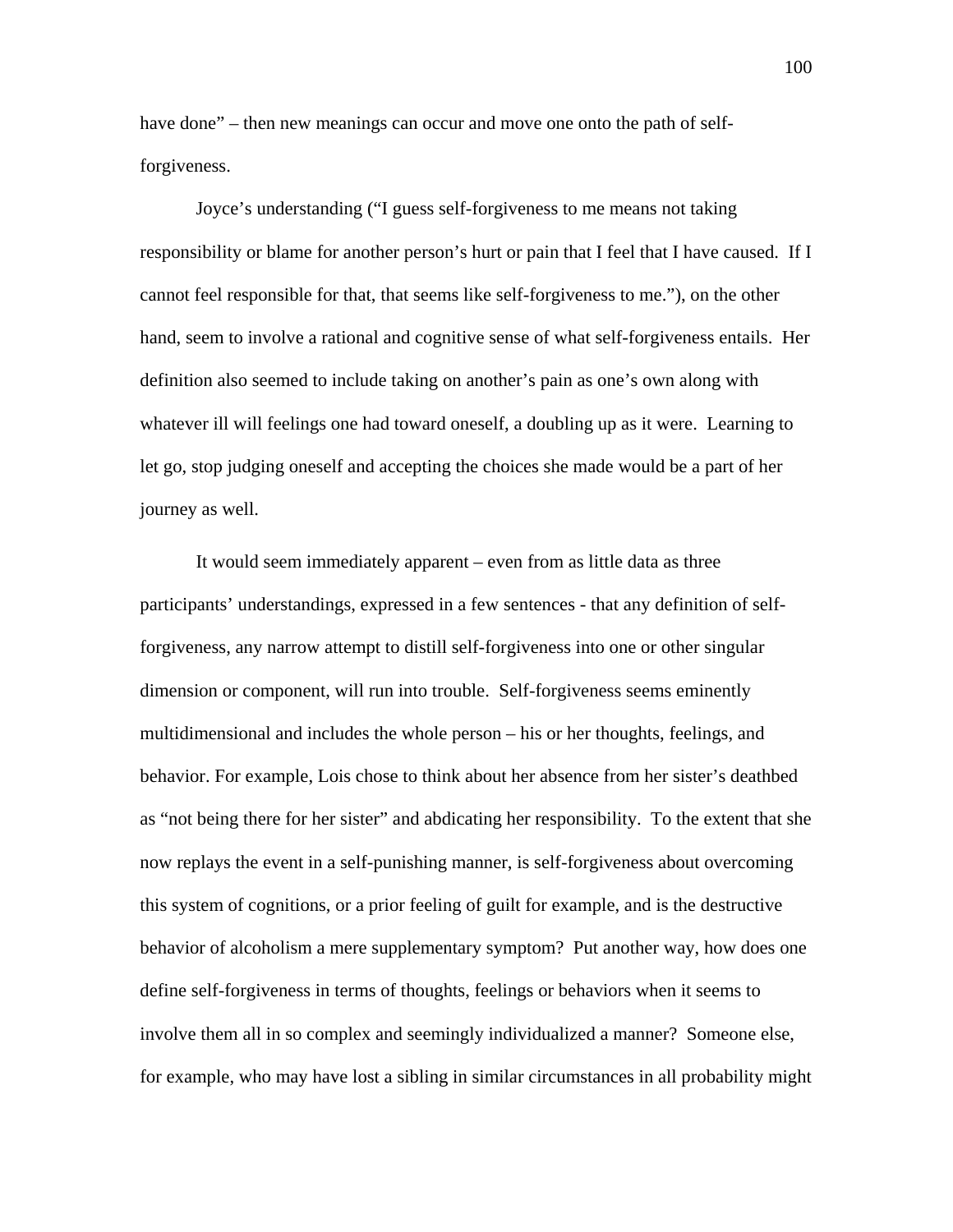have done" – then new meanings can occur and move one onto the path of selfforgiveness.

Joyce's understanding ("I guess self-forgiveness to me means not taking responsibility or blame for another person's hurt or pain that I feel that I have caused. If I cannot feel responsible for that, that seems like self-forgiveness to me."), on the other hand, seem to involve a rational and cognitive sense of what self-forgiveness entails. Her definition also seemed to include taking on another's pain as one's own along with whatever ill will feelings one had toward oneself, a doubling up as it were. Learning to let go, stop judging oneself and accepting the choices she made would be a part of her journey as well.

It would seem immediately apparent – even from as little data as three participants' understandings, expressed in a few sentences - that any definition of selfforgiveness, any narrow attempt to distill self-forgiveness into one or other singular dimension or component, will run into trouble. Self-forgiveness seems eminently multidimensional and includes the whole person – his or her thoughts, feelings, and behavior. For example, Lois chose to think about her absence from her sister's deathbed as "not being there for her sister" and abdicating her responsibility. To the extent that she now replays the event in a self-punishing manner, is self-forgiveness about overcoming this system of cognitions, or a prior feeling of guilt for example, and is the destructive behavior of alcoholism a mere supplementary symptom? Put another way, how does one define self-forgiveness in terms of thoughts, feelings or behaviors when it seems to involve them all in so complex and seemingly individualized a manner? Someone else, for example, who may have lost a sibling in similar circumstances in all probability might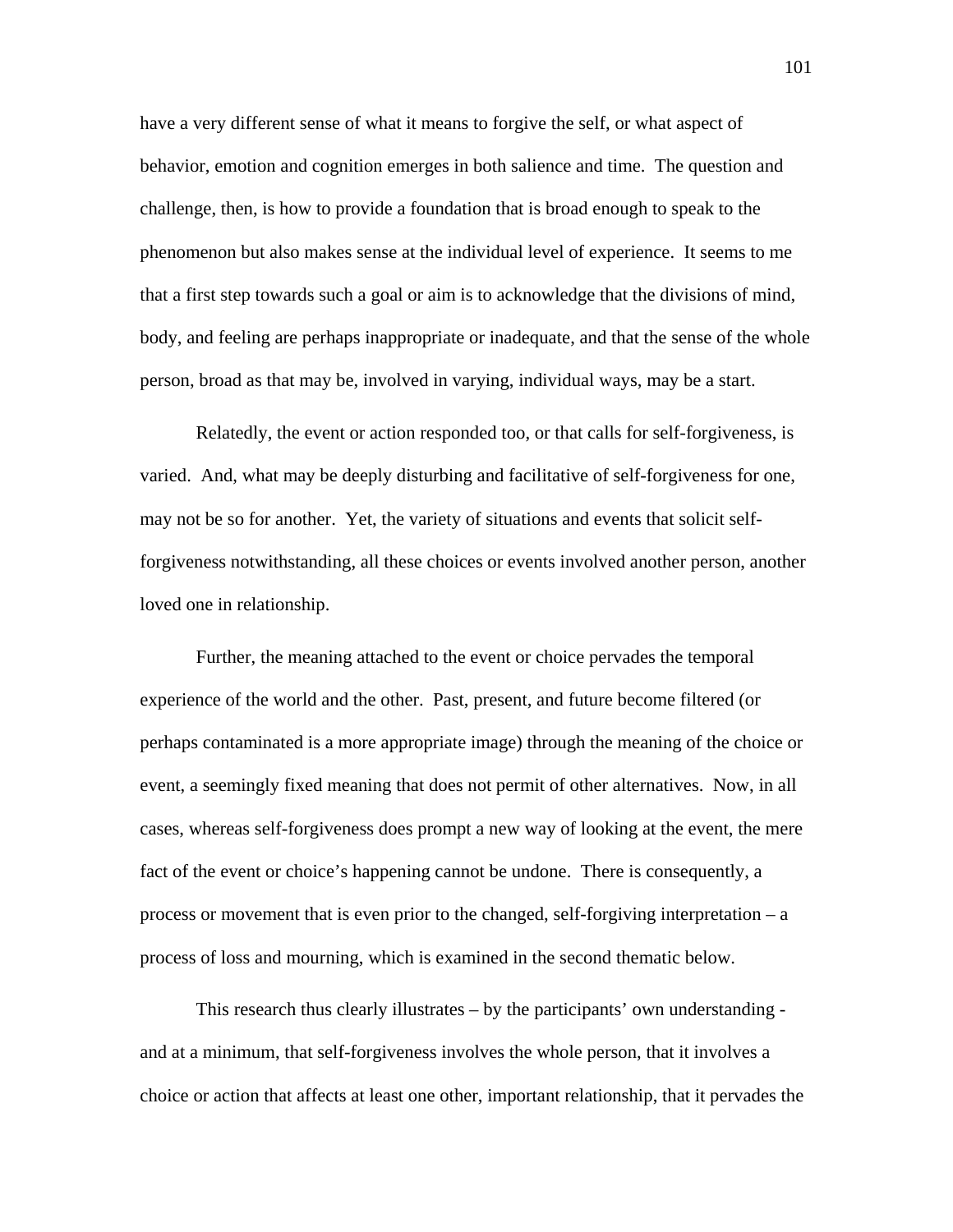have a very different sense of what it means to forgive the self, or what aspect of behavior, emotion and cognition emerges in both salience and time. The question and challenge, then, is how to provide a foundation that is broad enough to speak to the phenomenon but also makes sense at the individual level of experience. It seems to me that a first step towards such a goal or aim is to acknowledge that the divisions of mind, body, and feeling are perhaps inappropriate or inadequate, and that the sense of the whole person, broad as that may be, involved in varying, individual ways, may be a start.

Relatedly, the event or action responded too, or that calls for self-forgiveness, is varied. And, what may be deeply disturbing and facilitative of self-forgiveness for one, may not be so for another. Yet, the variety of situations and events that solicit selfforgiveness notwithstanding, all these choices or events involved another person, another loved one in relationship.

Further, the meaning attached to the event or choice pervades the temporal experience of the world and the other. Past, present, and future become filtered (or perhaps contaminated is a more appropriate image) through the meaning of the choice or event, a seemingly fixed meaning that does not permit of other alternatives. Now, in all cases, whereas self-forgiveness does prompt a new way of looking at the event, the mere fact of the event or choice's happening cannot be undone. There is consequently, a process or movement that is even prior to the changed, self-forgiving interpretation – a process of loss and mourning, which is examined in the second thematic below.

This research thus clearly illustrates – by the participants' own understanding and at a minimum, that self-forgiveness involves the whole person, that it involves a choice or action that affects at least one other, important relationship, that it pervades the

101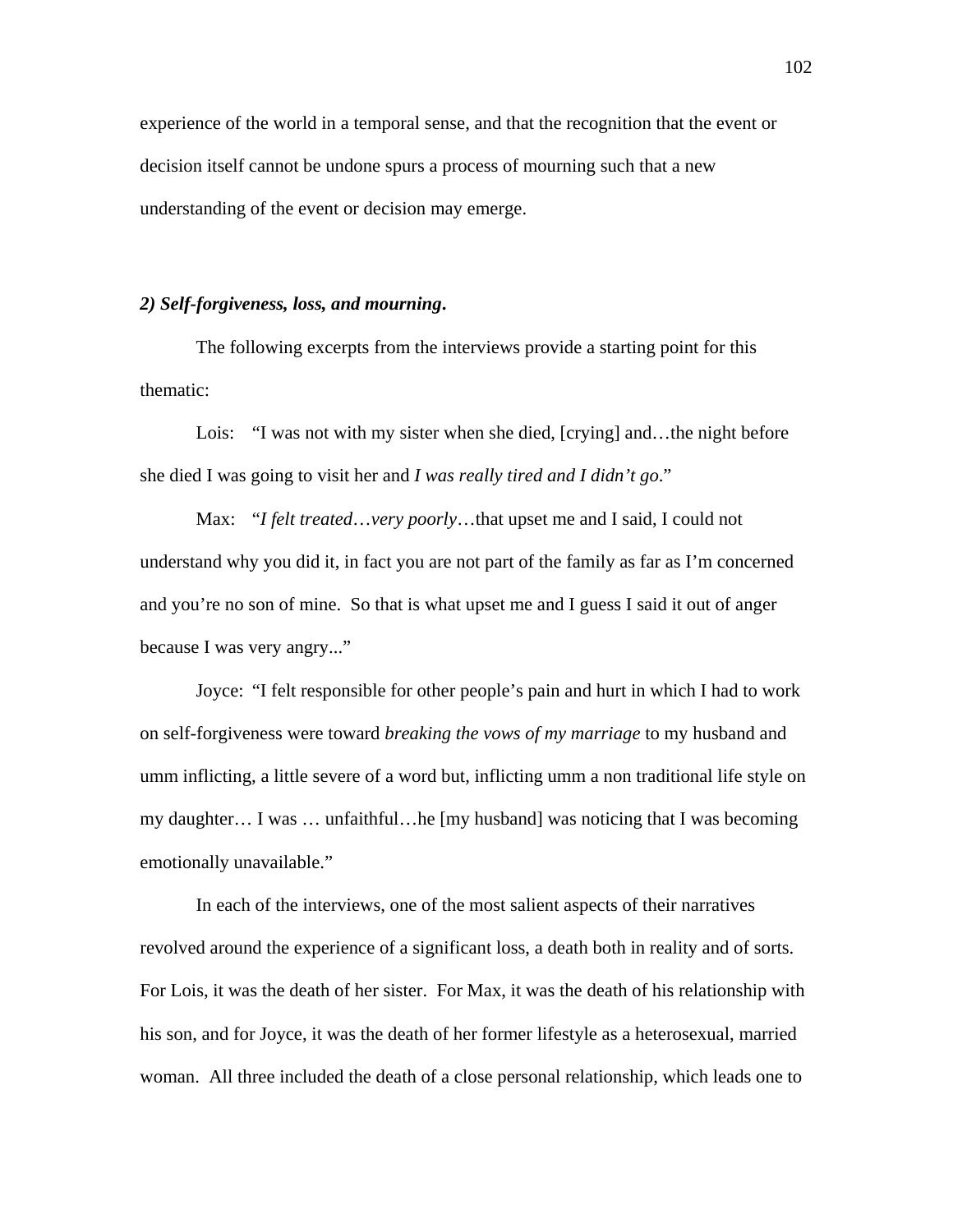experience of the world in a temporal sense, and that the recognition that the event or decision itself cannot be undone spurs a process of mourning such that a new understanding of the event or decision may emerge.

#### *2) Self-forgiveness, loss, and mourning***.**

The following excerpts from the interviews provide a starting point for this thematic:

Lois: "I was not with my sister when she died, [crying] and...the night before she died I was going to visit her and *I was really tired and I didn't go*."

Max: "*I felt treated*…*very poorly*…that upset me and I said, I could not understand why you did it, in fact you are not part of the family as far as I'm concerned and you're no son of mine. So that is what upset me and I guess I said it out of anger because I was very angry..."

Joyce: "I felt responsible for other people's pain and hurt in which I had to work on self-forgiveness were toward *breaking the vows of my marriage* to my husband and umm inflicting, a little severe of a word but, inflicting umm a non traditional life style on my daughter… I was … unfaithful…he [my husband] was noticing that I was becoming emotionally unavailable."

 In each of the interviews, one of the most salient aspects of their narratives revolved around the experience of a significant loss, a death both in reality and of sorts. For Lois, it was the death of her sister. For Max, it was the death of his relationship with his son, and for Joyce, it was the death of her former lifestyle as a heterosexual, married woman. All three included the death of a close personal relationship, which leads one to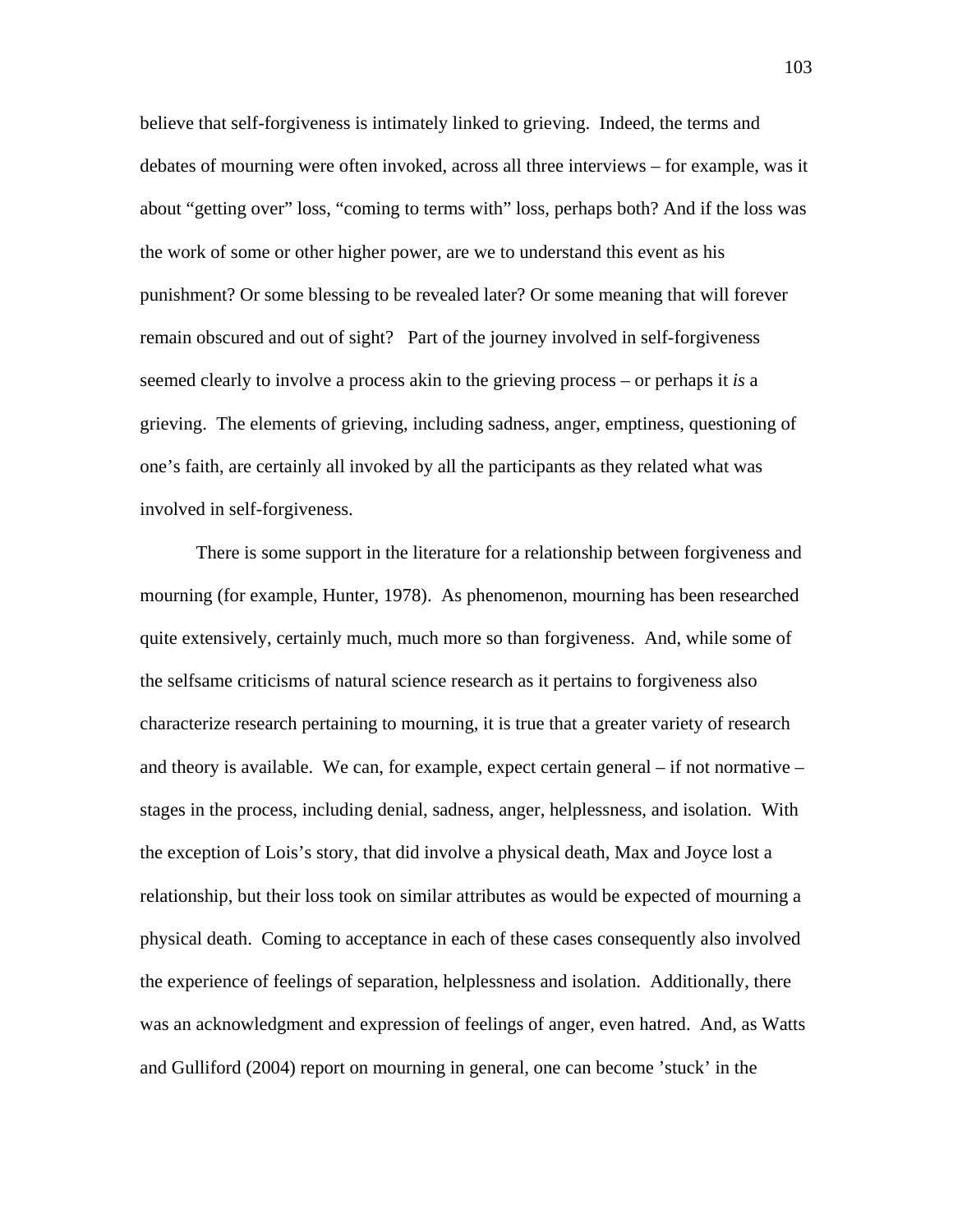believe that self-forgiveness is intimately linked to grieving. Indeed, the terms and debates of mourning were often invoked, across all three interviews – for example, was it about "getting over" loss, "coming to terms with" loss, perhaps both? And if the loss was the work of some or other higher power, are we to understand this event as his punishment? Or some blessing to be revealed later? Or some meaning that will forever remain obscured and out of sight? Part of the journey involved in self-forgiveness seemed clearly to involve a process akin to the grieving process – or perhaps it *is* a grieving. The elements of grieving, including sadness, anger, emptiness, questioning of one's faith, are certainly all invoked by all the participants as they related what was involved in self-forgiveness.

There is some support in the literature for a relationship between forgiveness and mourning (for example, Hunter, 1978). As phenomenon, mourning has been researched quite extensively, certainly much, much more so than forgiveness. And, while some of the selfsame criticisms of natural science research as it pertains to forgiveness also characterize research pertaining to mourning, it is true that a greater variety of research and theory is available. We can, for example, expect certain general – if not normative – stages in the process, including denial, sadness, anger, helplessness, and isolation. With the exception of Lois's story, that did involve a physical death, Max and Joyce lost a relationship, but their loss took on similar attributes as would be expected of mourning a physical death. Coming to acceptance in each of these cases consequently also involved the experience of feelings of separation, helplessness and isolation. Additionally, there was an acknowledgment and expression of feelings of anger, even hatred. And, as Watts and Gulliford (2004) report on mourning in general, one can become 'stuck' in the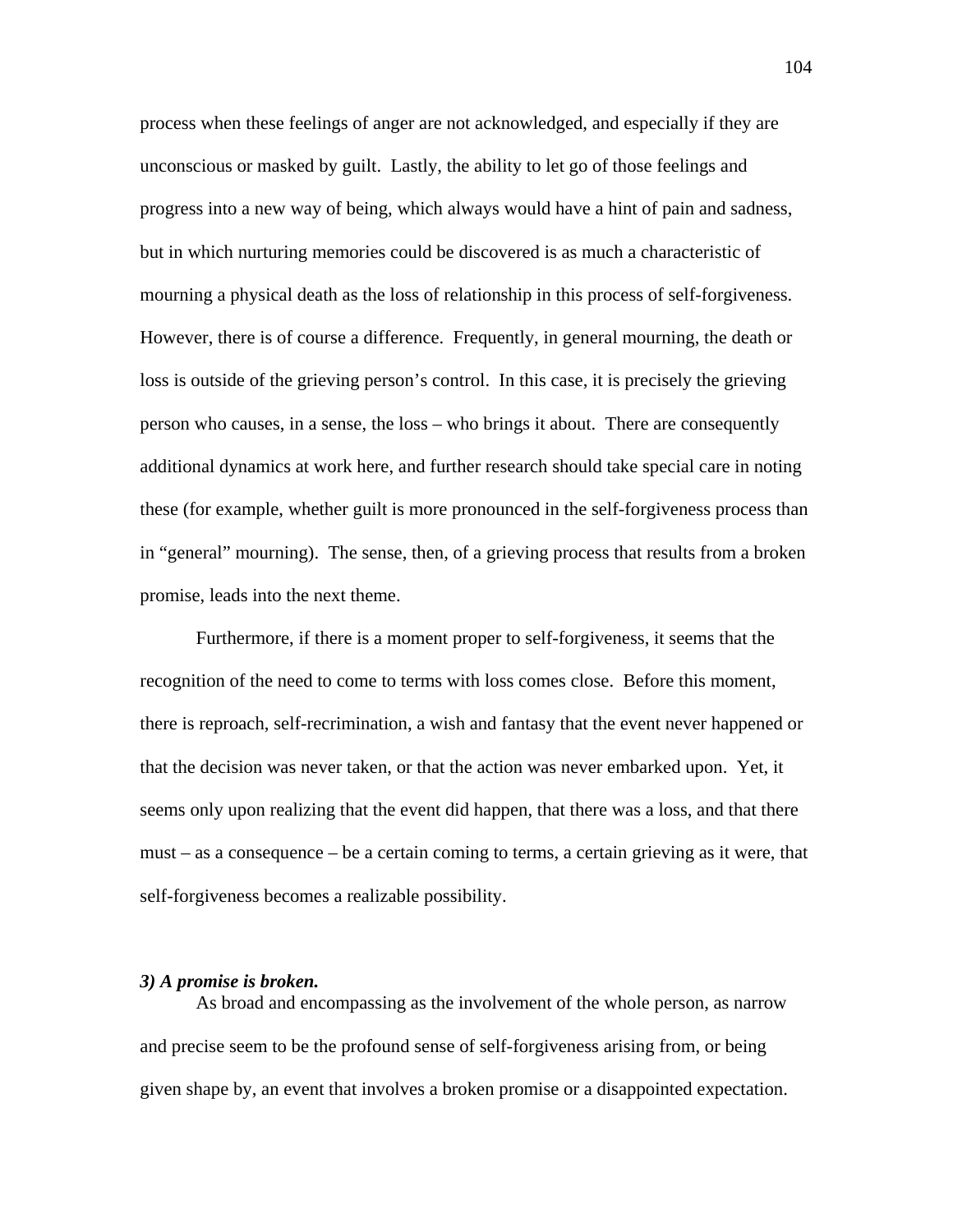process when these feelings of anger are not acknowledged, and especially if they are unconscious or masked by guilt. Lastly, the ability to let go of those feelings and progress into a new way of being, which always would have a hint of pain and sadness, but in which nurturing memories could be discovered is as much a characteristic of mourning a physical death as the loss of relationship in this process of self-forgiveness. However, there is of course a difference. Frequently, in general mourning, the death or loss is outside of the grieving person's control. In this case, it is precisely the grieving person who causes, in a sense, the loss – who brings it about. There are consequently additional dynamics at work here, and further research should take special care in noting these (for example, whether guilt is more pronounced in the self-forgiveness process than in "general" mourning). The sense, then, of a grieving process that results from a broken promise, leads into the next theme.

Furthermore, if there is a moment proper to self-forgiveness, it seems that the recognition of the need to come to terms with loss comes close. Before this moment, there is reproach, self-recrimination, a wish and fantasy that the event never happened or that the decision was never taken, or that the action was never embarked upon. Yet, it seems only upon realizing that the event did happen, that there was a loss, and that there must – as a consequence – be a certain coming to terms, a certain grieving as it were, that self-forgiveness becomes a realizable possibility.

#### *3) A promise is broken.*

As broad and encompassing as the involvement of the whole person, as narrow and precise seem to be the profound sense of self-forgiveness arising from, or being given shape by, an event that involves a broken promise or a disappointed expectation.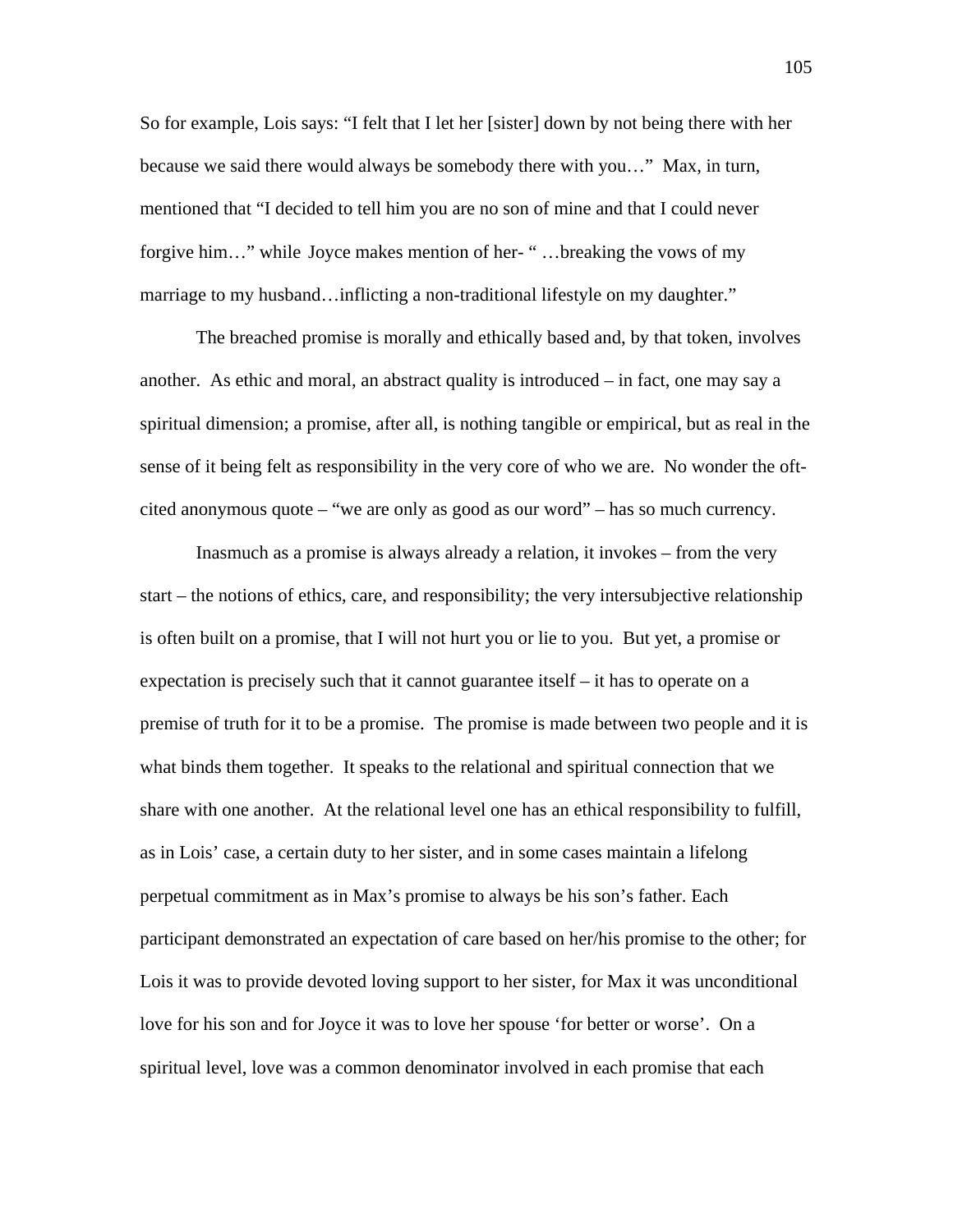So for example, Lois says: "I felt that I let her [sister] down by not being there with her because we said there would always be somebody there with you…" Max, in turn, mentioned that "I decided to tell him you are no son of mine and that I could never forgive him…" while Joyce makes mention of her- " …breaking the vows of my marriage to my husband…inflicting a non-traditional lifestyle on my daughter."

The breached promise is morally and ethically based and, by that token, involves another. As ethic and moral, an abstract quality is introduced – in fact, one may say a spiritual dimension; a promise, after all, is nothing tangible or empirical, but as real in the sense of it being felt as responsibility in the very core of who we are. No wonder the oftcited anonymous quote – "we are only as good as our word" – has so much currency.

 Inasmuch as a promise is always already a relation, it invokes – from the very start – the notions of ethics, care, and responsibility; the very intersubjective relationship is often built on a promise, that I will not hurt you or lie to you. But yet, a promise or expectation is precisely such that it cannot guarantee itself – it has to operate on a premise of truth for it to be a promise. The promise is made between two people and it is what binds them together. It speaks to the relational and spiritual connection that we share with one another. At the relational level one has an ethical responsibility to fulfill, as in Lois' case, a certain duty to her sister, and in some cases maintain a lifelong perpetual commitment as in Max's promise to always be his son's father. Each participant demonstrated an expectation of care based on her/his promise to the other; for Lois it was to provide devoted loving support to her sister, for Max it was unconditional love for his son and for Joyce it was to love her spouse 'for better or worse'. On a spiritual level, love was a common denominator involved in each promise that each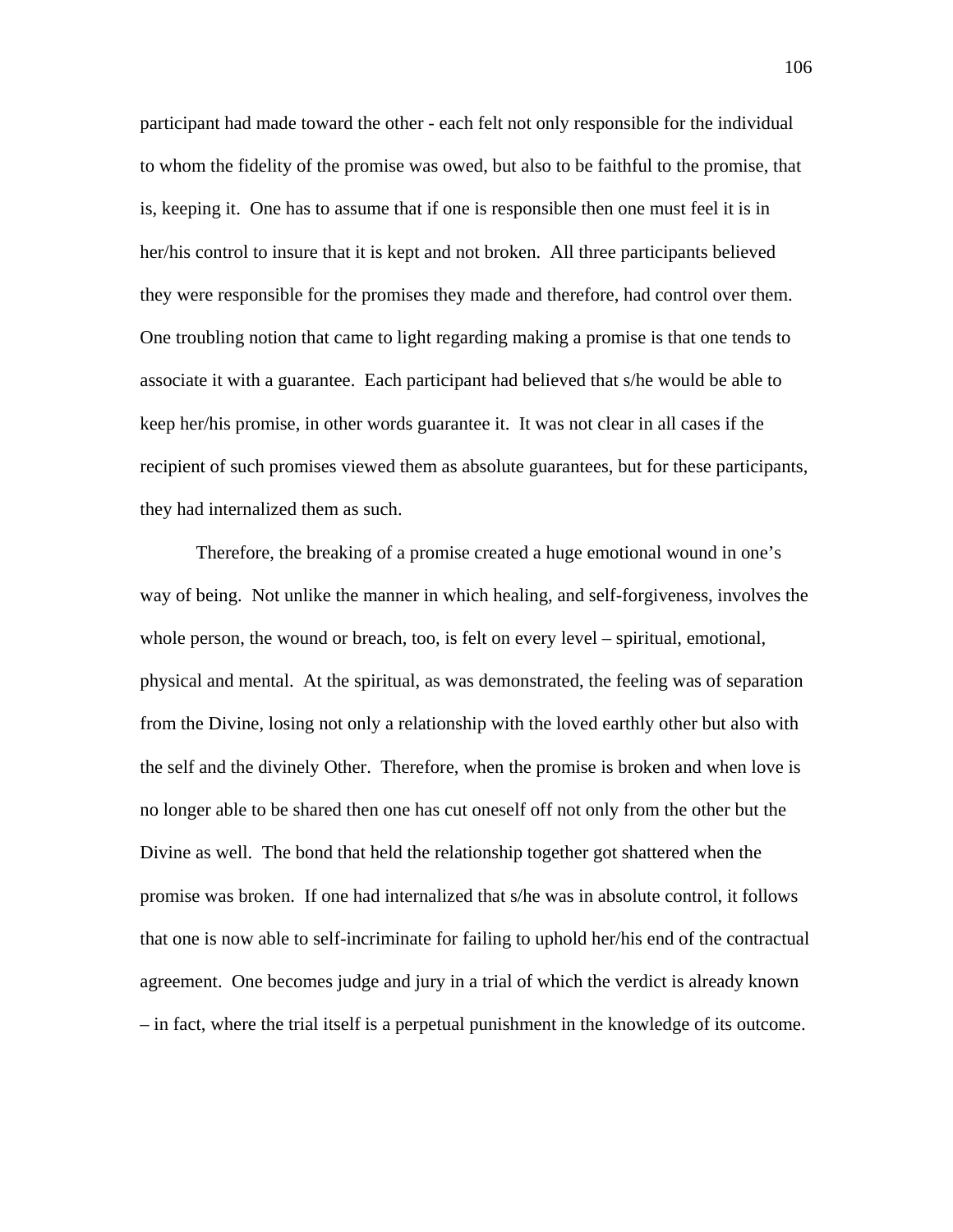participant had made toward the other - each felt not only responsible for the individual to whom the fidelity of the promise was owed, but also to be faithful to the promise, that is, keeping it. One has to assume that if one is responsible then one must feel it is in her/his control to insure that it is kept and not broken. All three participants believed they were responsible for the promises they made and therefore, had control over them. One troubling notion that came to light regarding making a promise is that one tends to associate it with a guarantee. Each participant had believed that s/he would be able to keep her/his promise, in other words guarantee it. It was not clear in all cases if the recipient of such promises viewed them as absolute guarantees, but for these participants, they had internalized them as such.

 Therefore, the breaking of a promise created a huge emotional wound in one's way of being. Not unlike the manner in which healing, and self-forgiveness, involves the whole person, the wound or breach, too, is felt on every level – spiritual, emotional, physical and mental. At the spiritual, as was demonstrated, the feeling was of separation from the Divine, losing not only a relationship with the loved earthly other but also with the self and the divinely Other. Therefore, when the promise is broken and when love is no longer able to be shared then one has cut oneself off not only from the other but the Divine as well. The bond that held the relationship together got shattered when the promise was broken. If one had internalized that s/he was in absolute control, it follows that one is now able to self-incriminate for failing to uphold her/his end of the contractual agreement. One becomes judge and jury in a trial of which the verdict is already known – in fact, where the trial itself is a perpetual punishment in the knowledge of its outcome.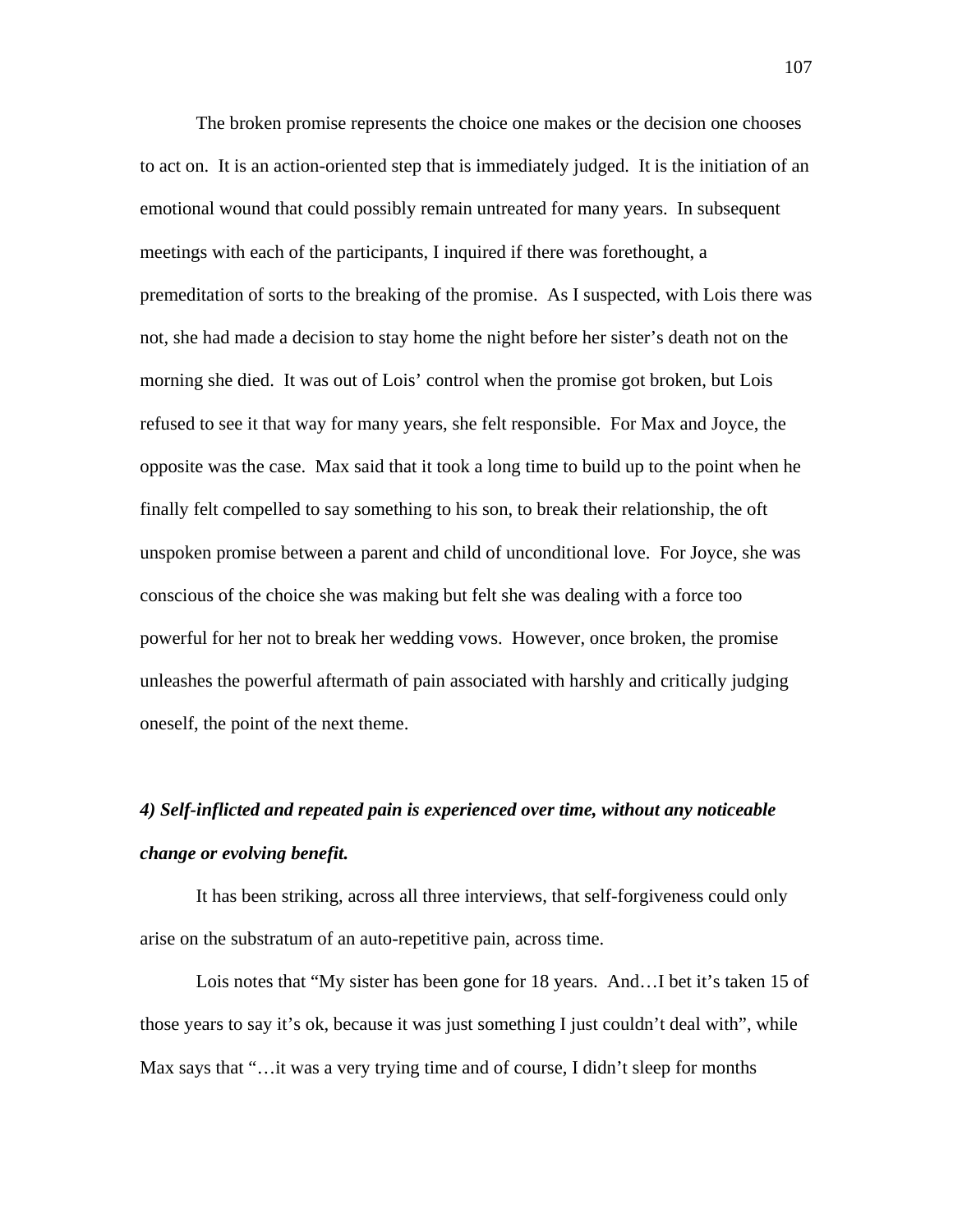The broken promise represents the choice one makes or the decision one chooses to act on. It is an action-oriented step that is immediately judged. It is the initiation of an emotional wound that could possibly remain untreated for many years. In subsequent meetings with each of the participants, I inquired if there was forethought, a premeditation of sorts to the breaking of the promise. As I suspected, with Lois there was not, she had made a decision to stay home the night before her sister's death not on the morning she died. It was out of Lois' control when the promise got broken, but Lois refused to see it that way for many years, she felt responsible. For Max and Joyce, the opposite was the case. Max said that it took a long time to build up to the point when he finally felt compelled to say something to his son, to break their relationship, the oft unspoken promise between a parent and child of unconditional love. For Joyce, she was conscious of the choice she was making but felt she was dealing with a force too powerful for her not to break her wedding vows. However, once broken, the promise unleashes the powerful aftermath of pain associated with harshly and critically judging oneself, the point of the next theme.

## *4) Self-inflicted and repeated pain is experienced over time, without any noticeable change or evolving benefit.*

It has been striking, across all three interviews, that self-forgiveness could only arise on the substratum of an auto-repetitive pain, across time.

Lois notes that "My sister has been gone for 18 years. And...I bet it's taken 15 of those years to say it's ok, because it was just something I just couldn't deal with", while Max says that "...it was a very trying time and of course, I didn't sleep for months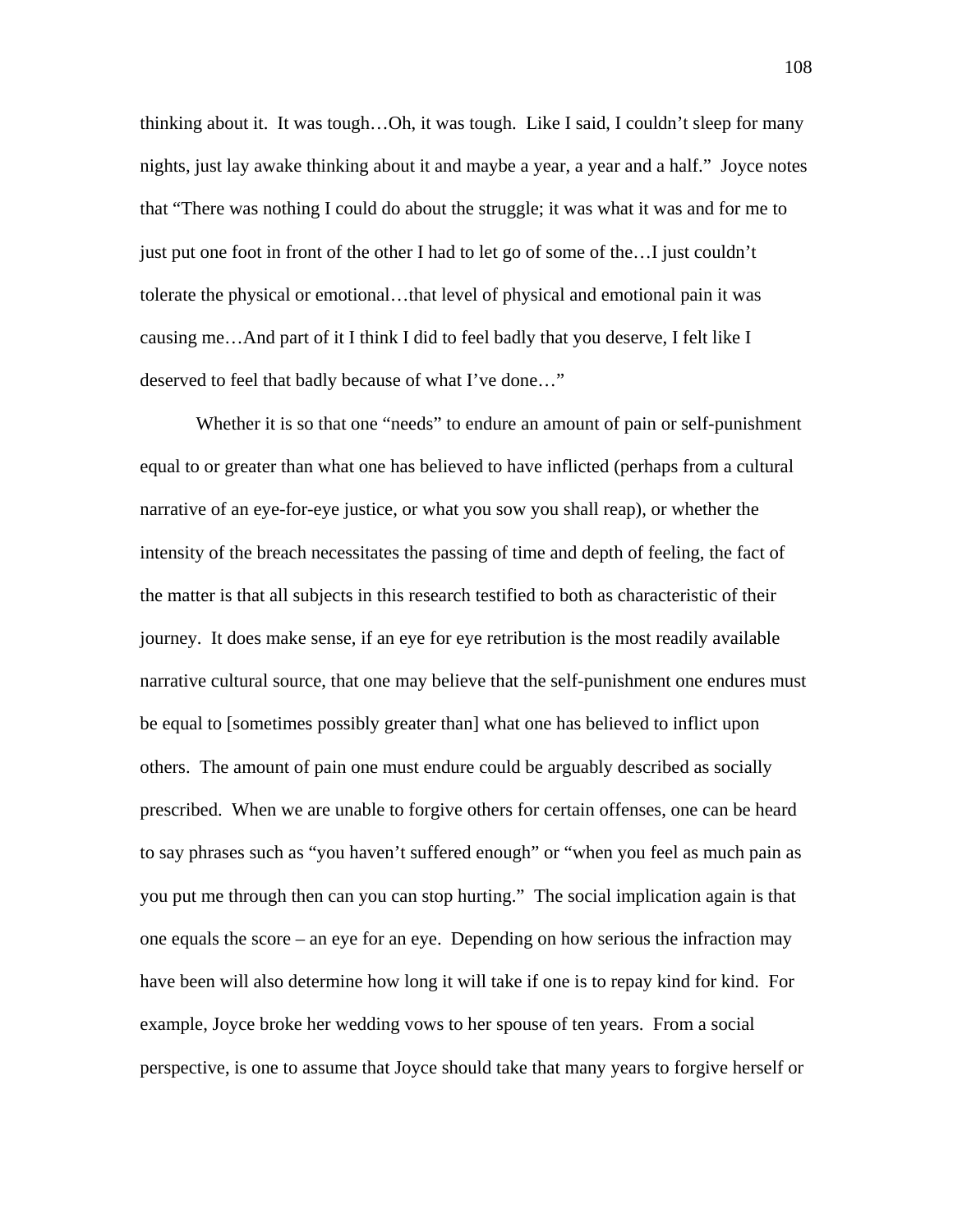thinking about it. It was tough…Oh, it was tough. Like I said, I couldn't sleep for many nights, just lay awake thinking about it and maybe a year, a year and a half." Joyce notes that "There was nothing I could do about the struggle; it was what it was and for me to just put one foot in front of the other I had to let go of some of the…I just couldn't tolerate the physical or emotional…that level of physical and emotional pain it was causing me…And part of it I think I did to feel badly that you deserve, I felt like I deserved to feel that badly because of what I've done…"

 Whether it is so that one "needs" to endure an amount of pain or self-punishment equal to or greater than what one has believed to have inflicted (perhaps from a cultural narrative of an eye-for-eye justice, or what you sow you shall reap), or whether the intensity of the breach necessitates the passing of time and depth of feeling, the fact of the matter is that all subjects in this research testified to both as characteristic of their journey. It does make sense, if an eye for eye retribution is the most readily available narrative cultural source, that one may believe that the self-punishment one endures must be equal to [sometimes possibly greater than] what one has believed to inflict upon others. The amount of pain one must endure could be arguably described as socially prescribed. When we are unable to forgive others for certain offenses, one can be heard to say phrases such as "you haven't suffered enough" or "when you feel as much pain as you put me through then can you can stop hurting." The social implication again is that one equals the score – an eye for an eye. Depending on how serious the infraction may have been will also determine how long it will take if one is to repay kind for kind. For example, Joyce broke her wedding vows to her spouse of ten years. From a social perspective, is one to assume that Joyce should take that many years to forgive herself or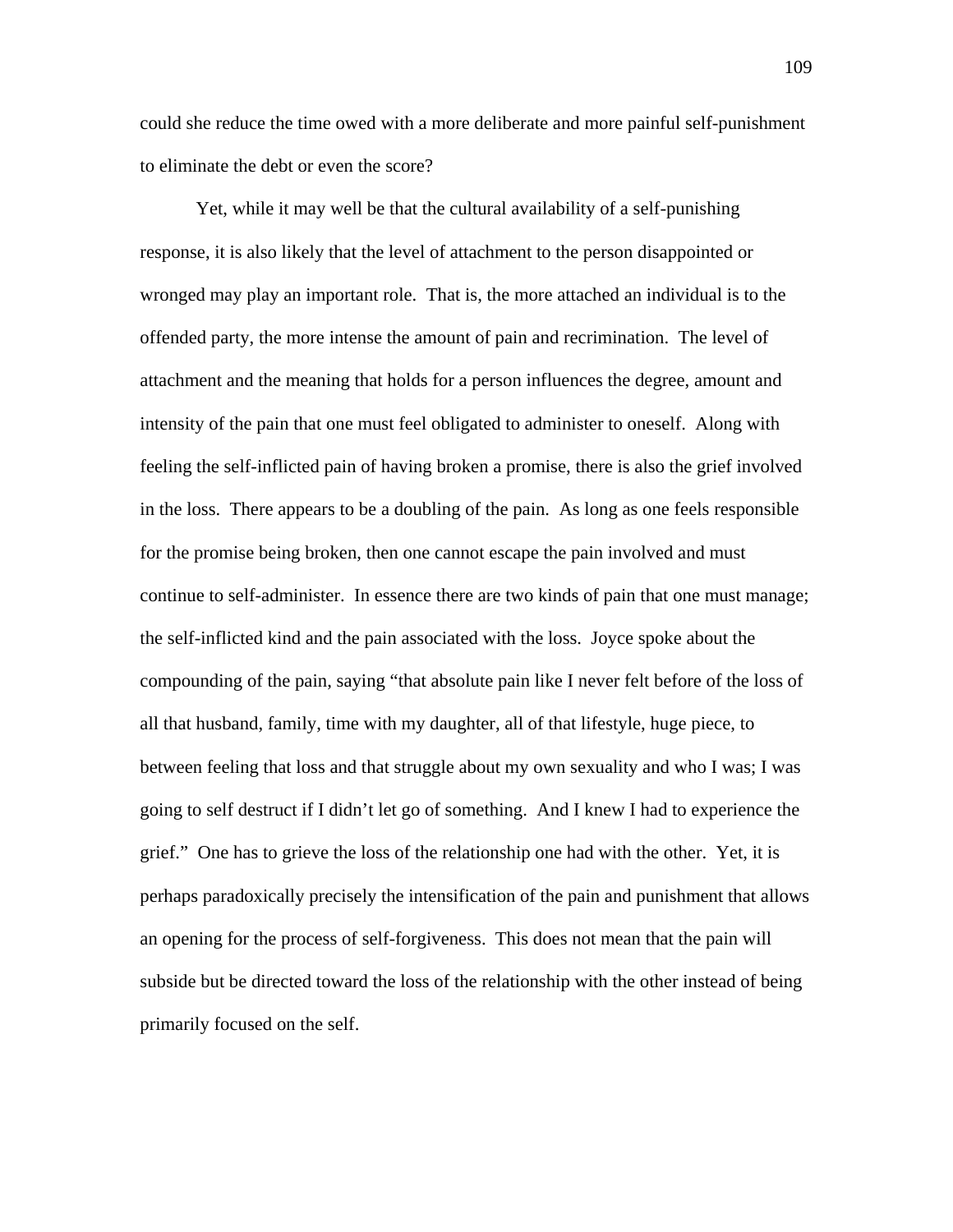could she reduce the time owed with a more deliberate and more painful self-punishment to eliminate the debt or even the score?

 Yet, while it may well be that the cultural availability of a self-punishing response, it is also likely that the level of attachment to the person disappointed or wronged may play an important role. That is, the more attached an individual is to the offended party, the more intense the amount of pain and recrimination. The level of attachment and the meaning that holds for a person influences the degree, amount and intensity of the pain that one must feel obligated to administer to oneself. Along with feeling the self-inflicted pain of having broken a promise, there is also the grief involved in the loss. There appears to be a doubling of the pain. As long as one feels responsible for the promise being broken, then one cannot escape the pain involved and must continue to self-administer. In essence there are two kinds of pain that one must manage; the self-inflicted kind and the pain associated with the loss. Joyce spoke about the compounding of the pain, saying "that absolute pain like I never felt before of the loss of all that husband, family, time with my daughter, all of that lifestyle, huge piece, to between feeling that loss and that struggle about my own sexuality and who I was; I was going to self destruct if I didn't let go of something. And I knew I had to experience the grief." One has to grieve the loss of the relationship one had with the other. Yet, it is perhaps paradoxically precisely the intensification of the pain and punishment that allows an opening for the process of self-forgiveness. This does not mean that the pain will subside but be directed toward the loss of the relationship with the other instead of being primarily focused on the self.

109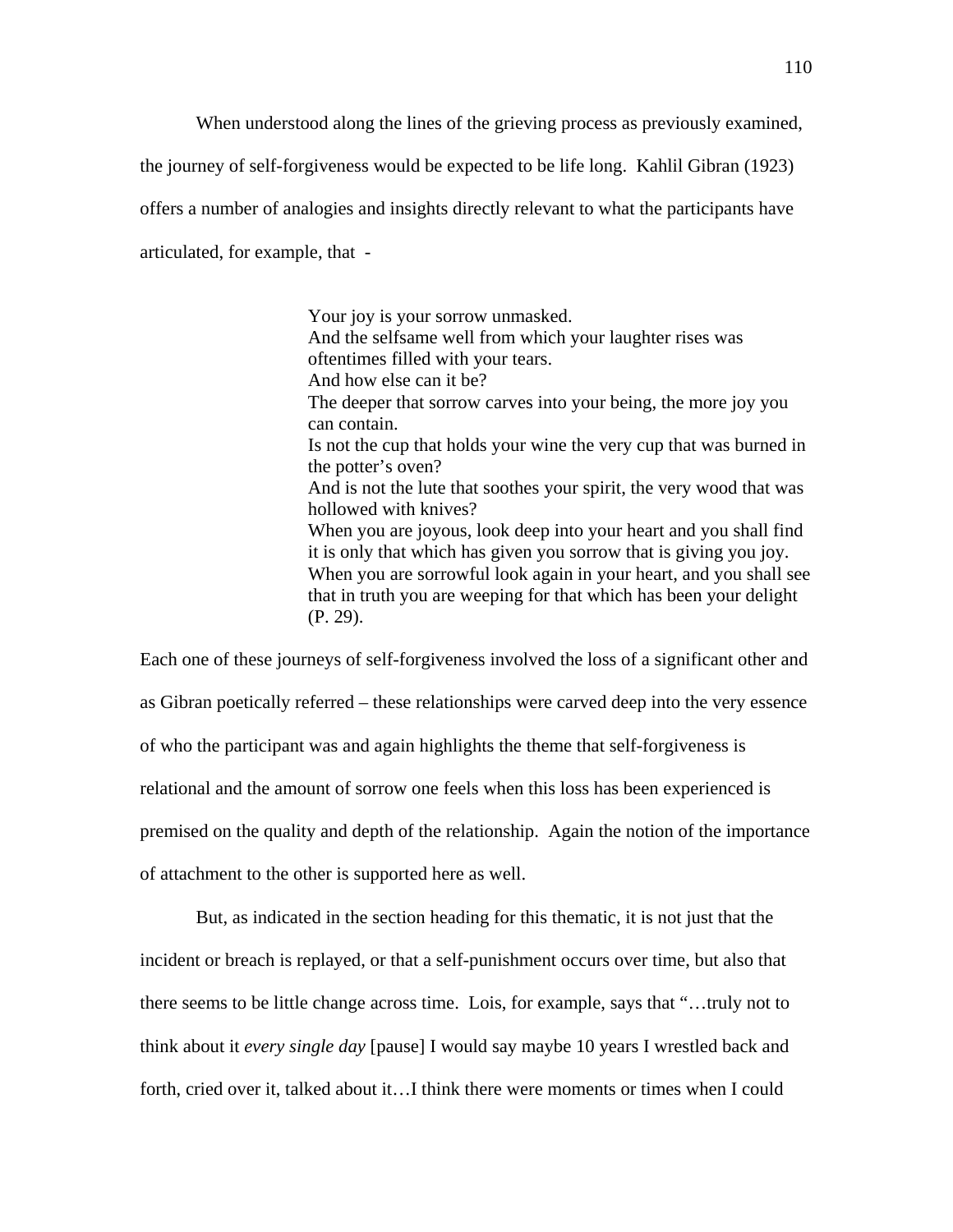When understood along the lines of the grieving process as previously examined,

the journey of self-forgiveness would be expected to be life long. Kahlil Gibran (1923)

offers a number of analogies and insights directly relevant to what the participants have

articulated, for example, that -

Your joy is your sorrow unmasked. And the selfsame well from which your laughter rises was oftentimes filled with your tears. And how else can it be? The deeper that sorrow carves into your being, the more joy you can contain. Is not the cup that holds your wine the very cup that was burned in the potter's oven? And is not the lute that soothes your spirit, the very wood that was hollowed with knives? When you are joyous, look deep into your heart and you shall find it is only that which has given you sorrow that is giving you joy. When you are sorrowful look again in your heart, and you shall see that in truth you are weeping for that which has been your delight (P. 29).

Each one of these journeys of self-forgiveness involved the loss of a significant other and as Gibran poetically referred – these relationships were carved deep into the very essence of who the participant was and again highlights the theme that self-forgiveness is relational and the amount of sorrow one feels when this loss has been experienced is premised on the quality and depth of the relationship. Again the notion of the importance of attachment to the other is supported here as well.

But, as indicated in the section heading for this thematic, it is not just that the incident or breach is replayed, or that a self-punishment occurs over time, but also that there seems to be little change across time. Lois, for example, says that "…truly not to think about it *every single day* [pause] I would say maybe 10 years I wrestled back and forth, cried over it, talked about it…I think there were moments or times when I could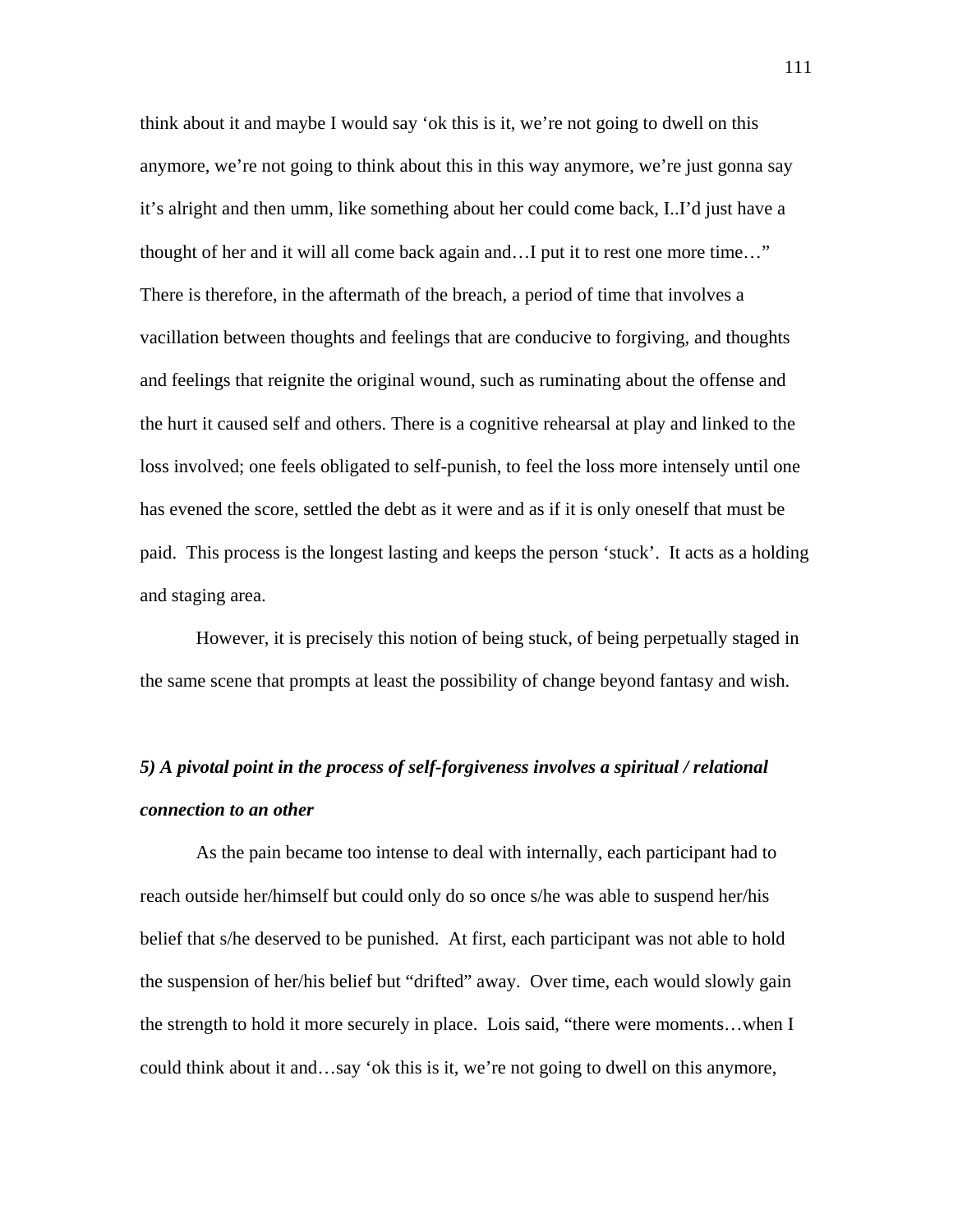think about it and maybe I would say 'ok this is it, we're not going to dwell on this anymore, we're not going to think about this in this way anymore, we're just gonna say it's alright and then umm, like something about her could come back, I..I'd just have a thought of her and it will all come back again and…I put it to rest one more time…" There is therefore, in the aftermath of the breach, a period of time that involves a vacillation between thoughts and feelings that are conducive to forgiving, and thoughts and feelings that reignite the original wound, such as ruminating about the offense and the hurt it caused self and others. There is a cognitive rehearsal at play and linked to the loss involved; one feels obligated to self-punish, to feel the loss more intensely until one has evened the score, settled the debt as it were and as if it is only oneself that must be paid. This process is the longest lasting and keeps the person 'stuck'. It acts as a holding and staging area.

However, it is precisely this notion of being stuck, of being perpetually staged in the same scene that prompts at least the possibility of change beyond fantasy and wish.

## *5) A pivotal point in the process of self-forgiveness involves a spiritual / relational connection to an other*

As the pain became too intense to deal with internally, each participant had to reach outside her/himself but could only do so once s/he was able to suspend her/his belief that s/he deserved to be punished. At first, each participant was not able to hold the suspension of her/his belief but "drifted" away. Over time, each would slowly gain the strength to hold it more securely in place. Lois said, "there were moments…when I could think about it and…say 'ok this is it, we're not going to dwell on this anymore,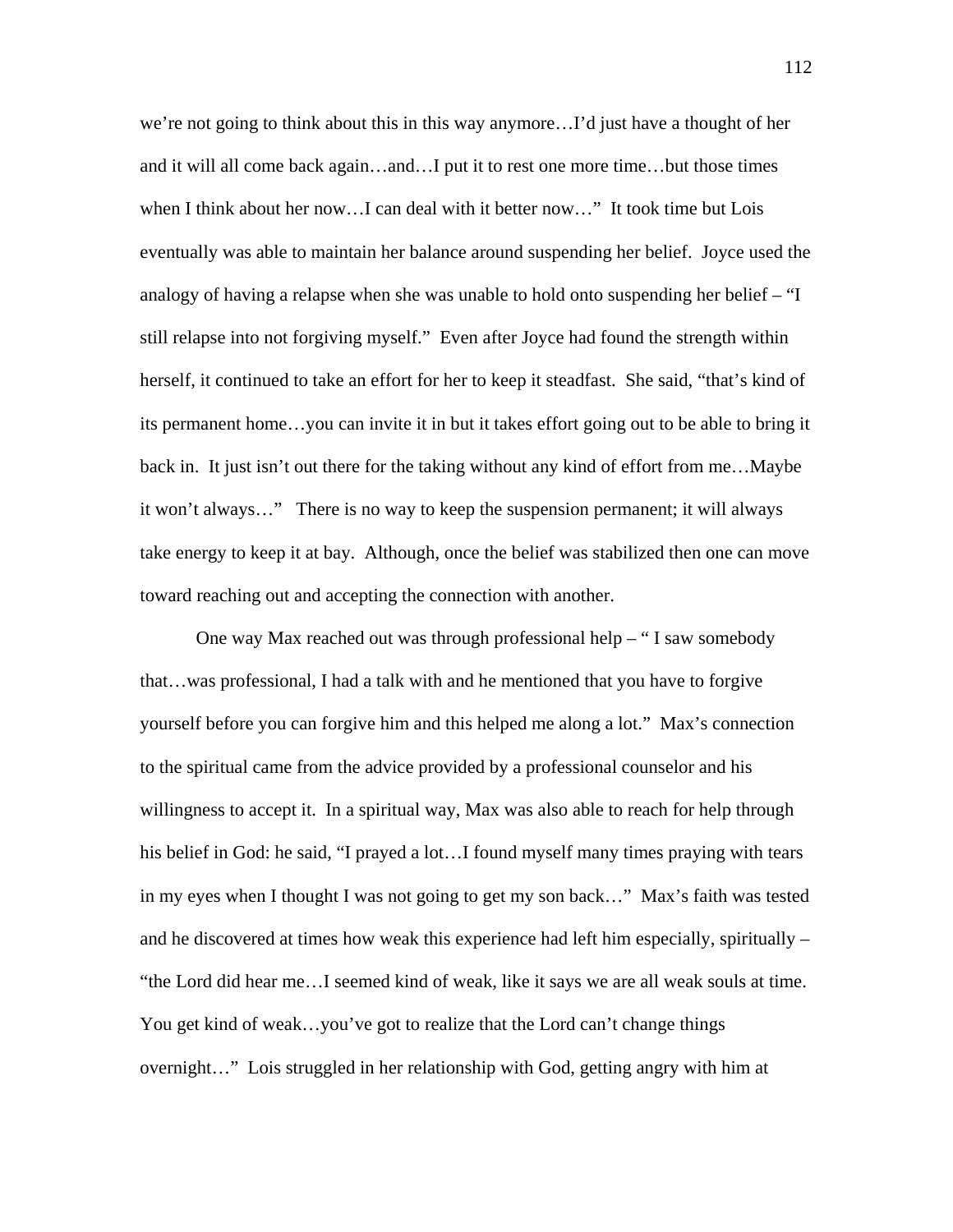we're not going to think about this in this way anymore…I'd just have a thought of her and it will all come back again…and…I put it to rest one more time…but those times when I think about her now…I can deal with it better now…" It took time but Lois eventually was able to maintain her balance around suspending her belief. Joyce used the analogy of having a relapse when she was unable to hold onto suspending her belief – "I still relapse into not forgiving myself." Even after Joyce had found the strength within herself, it continued to take an effort for her to keep it steadfast. She said, "that's kind of its permanent home…you can invite it in but it takes effort going out to be able to bring it back in. It just isn't out there for the taking without any kind of effort from me…Maybe it won't always…" There is no way to keep the suspension permanent; it will always take energy to keep it at bay. Although, once the belief was stabilized then one can move toward reaching out and accepting the connection with another.

 One way Max reached out was through professional help – " I saw somebody that…was professional, I had a talk with and he mentioned that you have to forgive yourself before you can forgive him and this helped me along a lot." Max's connection to the spiritual came from the advice provided by a professional counselor and his willingness to accept it. In a spiritual way, Max was also able to reach for help through his belief in God: he said, "I prayed a lot...I found myself many times praying with tears in my eyes when I thought I was not going to get my son back…" Max's faith was tested and he discovered at times how weak this experience had left him especially, spiritually – "the Lord did hear me…I seemed kind of weak, like it says we are all weak souls at time. You get kind of weak…you've got to realize that the Lord can't change things overnight…" Lois struggled in her relationship with God, getting angry with him at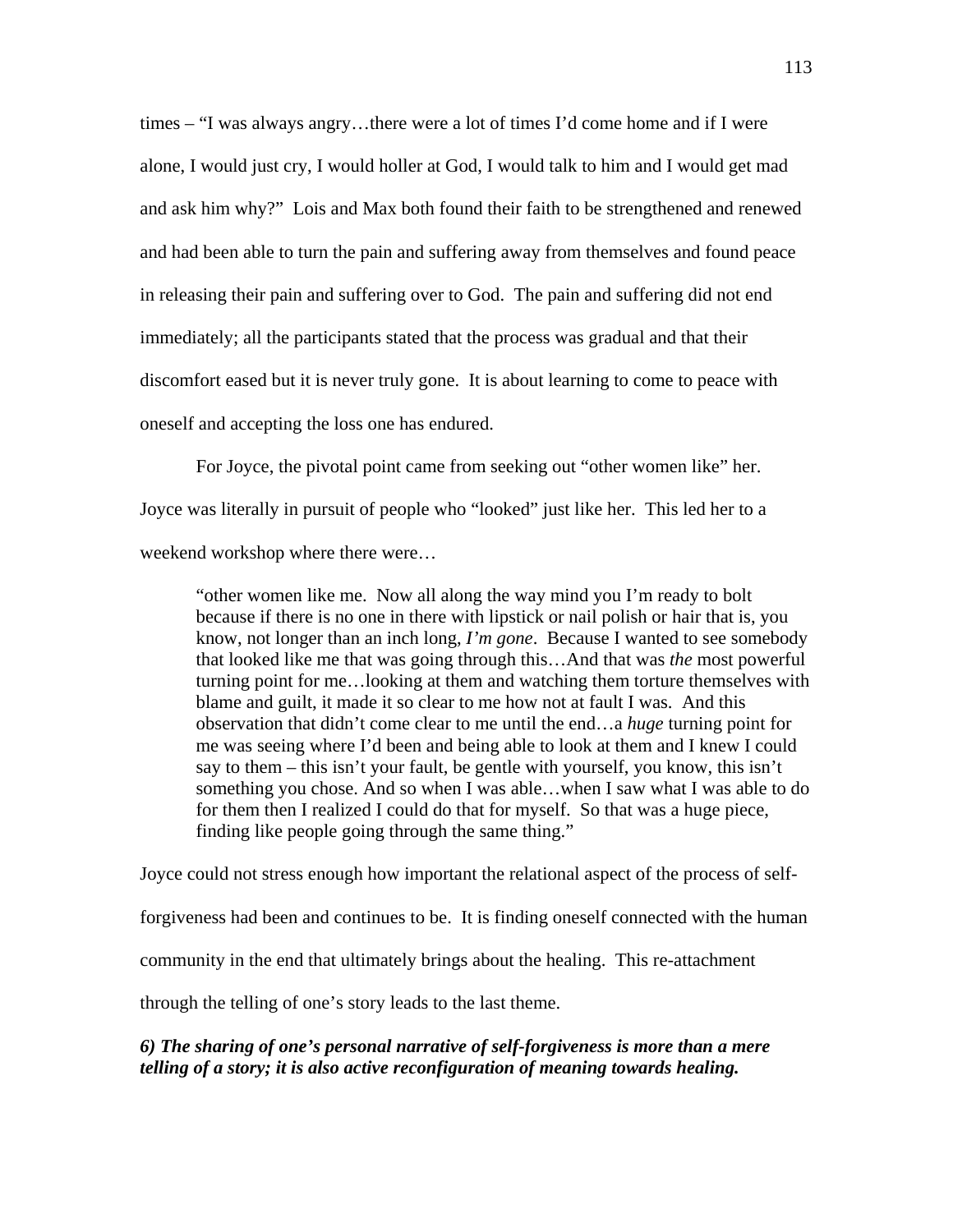times – "I was always angry…there were a lot of times I'd come home and if I were alone, I would just cry, I would holler at God, I would talk to him and I would get mad and ask him why?" Lois and Max both found their faith to be strengthened and renewed and had been able to turn the pain and suffering away from themselves and found peace in releasing their pain and suffering over to God. The pain and suffering did not end immediately; all the participants stated that the process was gradual and that their discomfort eased but it is never truly gone. It is about learning to come to peace with oneself and accepting the loss one has endured.

 For Joyce, the pivotal point came from seeking out "other women like" her. Joyce was literally in pursuit of people who "looked" just like her. This led her to a weekend workshop where there were…

"other women like me. Now all along the way mind you I'm ready to bolt because if there is no one in there with lipstick or nail polish or hair that is, you know, not longer than an inch long, *I'm gone*. Because I wanted to see somebody that looked like me that was going through this…And that was *the* most powerful turning point for me…looking at them and watching them torture themselves with blame and guilt, it made it so clear to me how not at fault I was. And this observation that didn't come clear to me until the end…a *huge* turning point for me was seeing where I'd been and being able to look at them and I knew I could say to them – this isn't your fault, be gentle with yourself, you know, this isn't something you chose. And so when I was able…when I saw what I was able to do for them then I realized I could do that for myself. So that was a huge piece, finding like people going through the same thing."

Joyce could not stress enough how important the relational aspect of the process of self-

forgiveness had been and continues to be. It is finding oneself connected with the human

community in the end that ultimately brings about the healing. This re-attachment

through the telling of one's story leads to the last theme.

*6) The sharing of one's personal narrative of self-forgiveness is more than a mere telling of a story; it is also active reconfiguration of meaning towards healing.*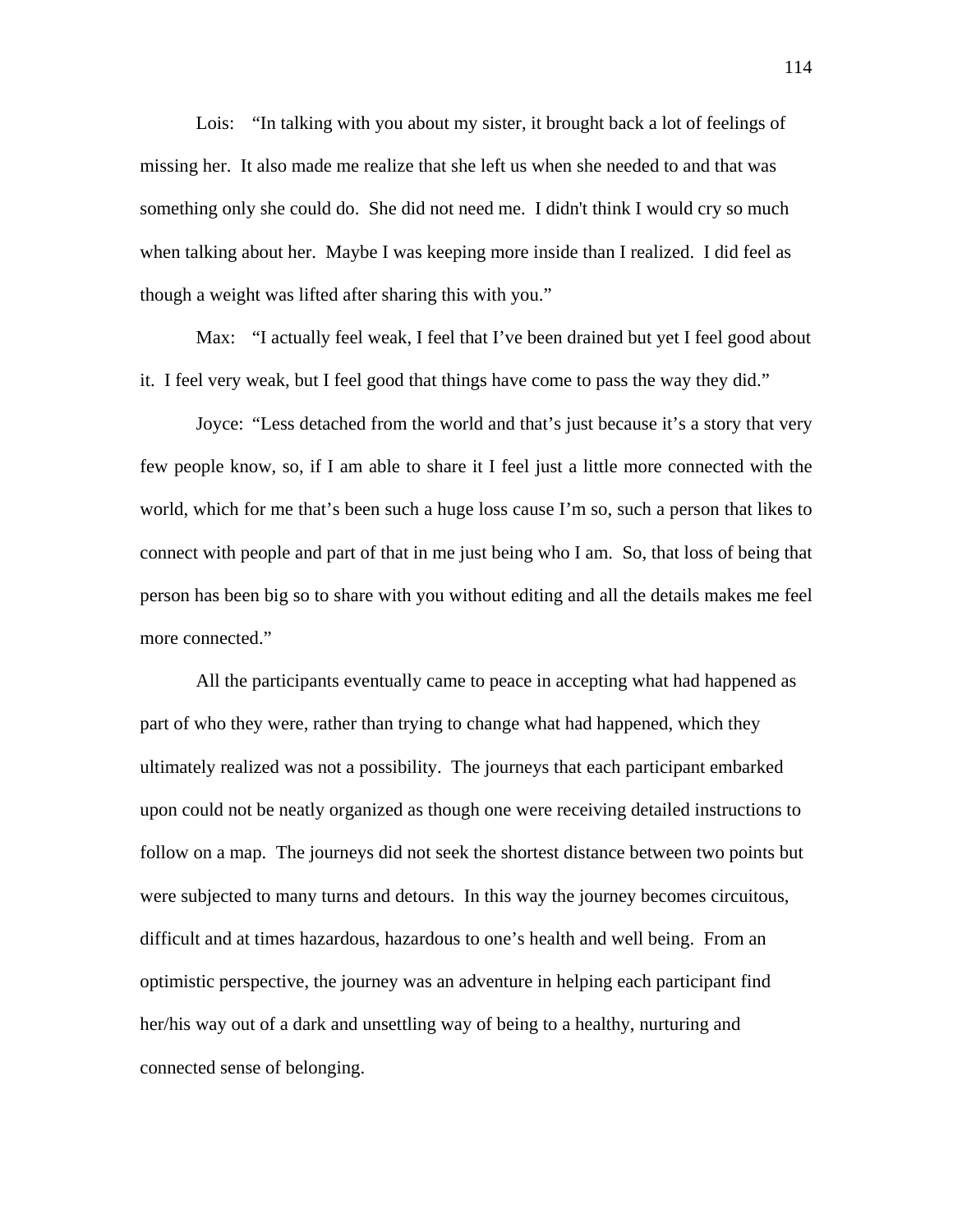Lois: "In talking with you about my sister, it brought back a lot of feelings of missing her. It also made me realize that she left us when she needed to and that was something only she could do. She did not need me. I didn't think I would cry so much when talking about her. Maybe I was keeping more inside than I realized. I did feel as though a weight was lifted after sharing this with you."

Max: "I actually feel weak, I feel that I've been drained but yet I feel good about it. I feel very weak, but I feel good that things have come to pass the way they did."

Joyce: "Less detached from the world and that's just because it's a story that very few people know, so, if I am able to share it I feel just a little more connected with the world, which for me that's been such a huge loss cause I'm so, such a person that likes to connect with people and part of that in me just being who I am. So, that loss of being that person has been big so to share with you without editing and all the details makes me feel more connected."

All the participants eventually came to peace in accepting what had happened as part of who they were, rather than trying to change what had happened, which they ultimately realized was not a possibility. The journeys that each participant embarked upon could not be neatly organized as though one were receiving detailed instructions to follow on a map. The journeys did not seek the shortest distance between two points but were subjected to many turns and detours. In this way the journey becomes circuitous, difficult and at times hazardous, hazardous to one's health and well being. From an optimistic perspective, the journey was an adventure in helping each participant find her/his way out of a dark and unsettling way of being to a healthy, nurturing and connected sense of belonging.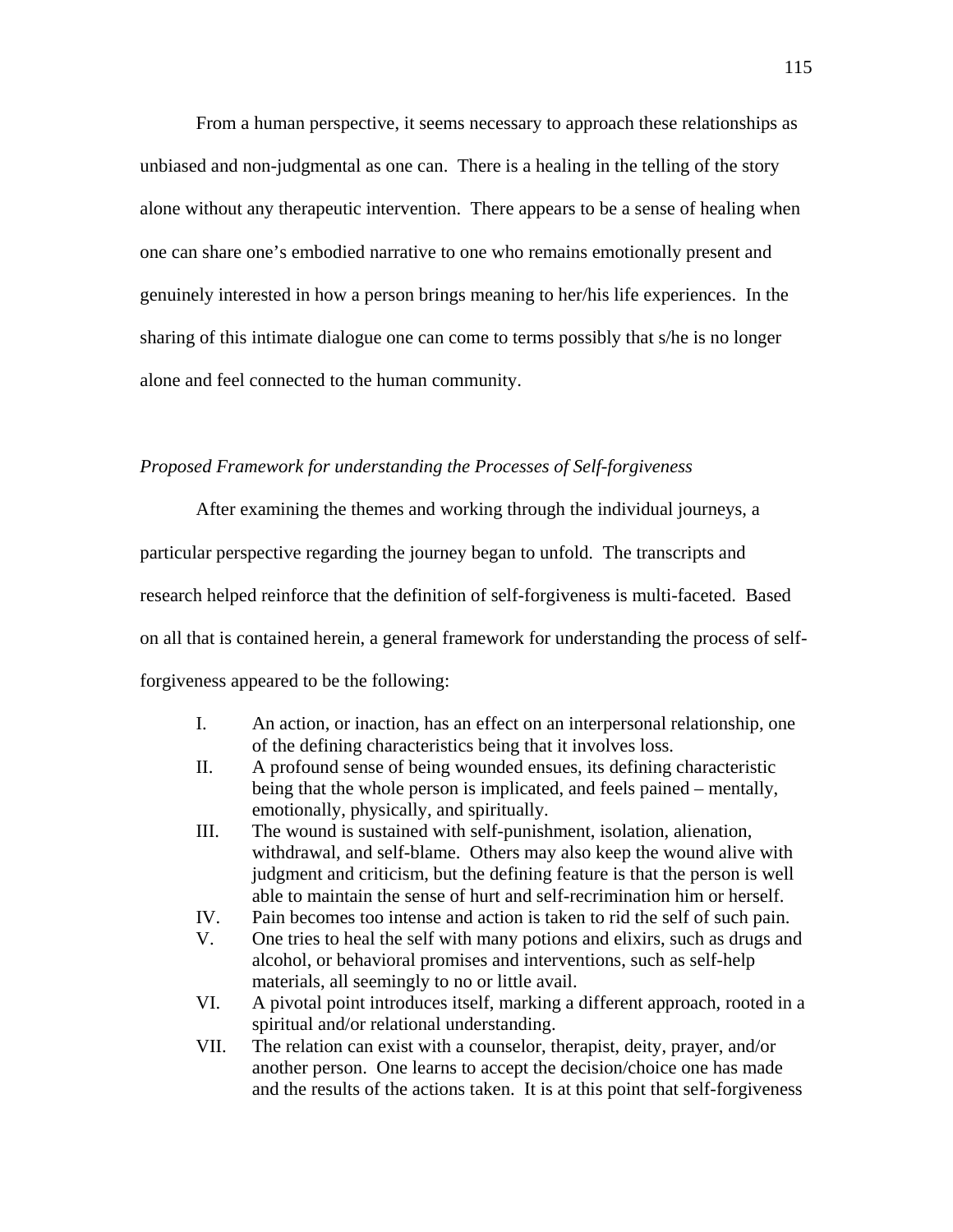From a human perspective, it seems necessary to approach these relationships as unbiased and non-judgmental as one can. There is a healing in the telling of the story alone without any therapeutic intervention. There appears to be a sense of healing when one can share one's embodied narrative to one who remains emotionally present and genuinely interested in how a person brings meaning to her/his life experiences. In the sharing of this intimate dialogue one can come to terms possibly that s/he is no longer alone and feel connected to the human community.

#### *Proposed Framework for understanding the Processes of Self-forgiveness*

After examining the themes and working through the individual journeys, a particular perspective regarding the journey began to unfold. The transcripts and research helped reinforce that the definition of self-forgiveness is multi-faceted. Based on all that is contained herein, a general framework for understanding the process of selfforgiveness appeared to be the following:

- I. An action, or inaction, has an effect on an interpersonal relationship, one of the defining characteristics being that it involves loss.
- II. A profound sense of being wounded ensues, its defining characteristic being that the whole person is implicated, and feels pained – mentally, emotionally, physically, and spiritually.
- III. The wound is sustained with self-punishment, isolation, alienation, withdrawal, and self-blame. Others may also keep the wound alive with judgment and criticism, but the defining feature is that the person is well able to maintain the sense of hurt and self-recrimination him or herself.
- IV. Pain becomes too intense and action is taken to rid the self of such pain.
- V. One tries to heal the self with many potions and elixirs, such as drugs and alcohol, or behavioral promises and interventions, such as self-help materials, all seemingly to no or little avail.
- VI. A pivotal point introduces itself, marking a different approach, rooted in a spiritual and/or relational understanding.
- VII. The relation can exist with a counselor, therapist, deity, prayer, and/or another person. One learns to accept the decision/choice one has made and the results of the actions taken. It is at this point that self-forgiveness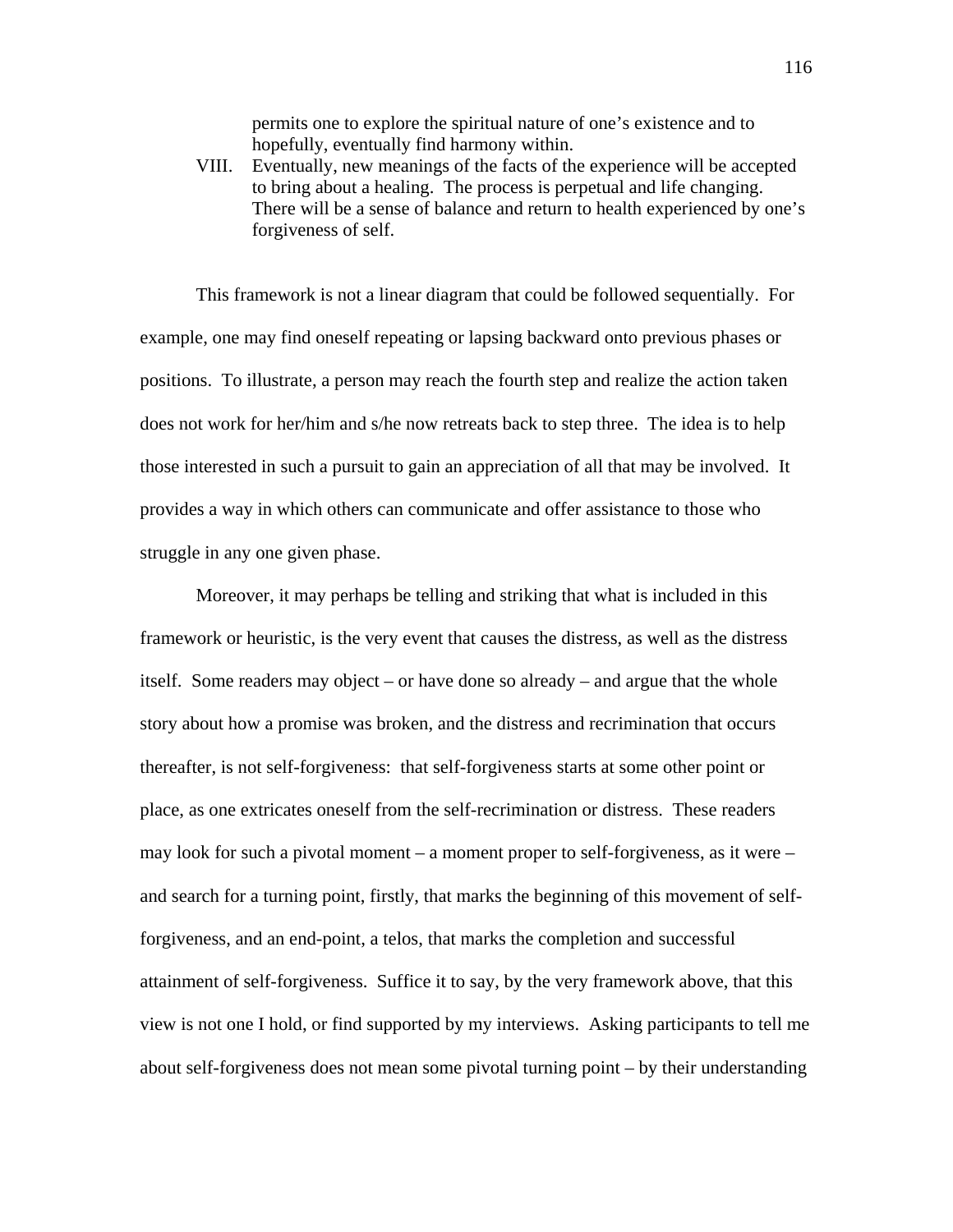permits one to explore the spiritual nature of one's existence and to hopefully, eventually find harmony within.

VIII. Eventually, new meanings of the facts of the experience will be accepted to bring about a healing. The process is perpetual and life changing. There will be a sense of balance and return to health experienced by one's forgiveness of self.

This framework is not a linear diagram that could be followed sequentially. For example, one may find oneself repeating or lapsing backward onto previous phases or positions. To illustrate, a person may reach the fourth step and realize the action taken does not work for her/him and s/he now retreats back to step three. The idea is to help those interested in such a pursuit to gain an appreciation of all that may be involved. It provides a way in which others can communicate and offer assistance to those who struggle in any one given phase.

Moreover, it may perhaps be telling and striking that what is included in this framework or heuristic, is the very event that causes the distress, as well as the distress itself. Some readers may object – or have done so already – and argue that the whole story about how a promise was broken, and the distress and recrimination that occurs thereafter, is not self-forgiveness: that self-forgiveness starts at some other point or place, as one extricates oneself from the self-recrimination or distress. These readers may look for such a pivotal moment – a moment proper to self-forgiveness, as it were – and search for a turning point, firstly, that marks the beginning of this movement of selfforgiveness, and an end-point, a telos, that marks the completion and successful attainment of self-forgiveness. Suffice it to say, by the very framework above, that this view is not one I hold, or find supported by my interviews. Asking participants to tell me about self-forgiveness does not mean some pivotal turning point – by their understanding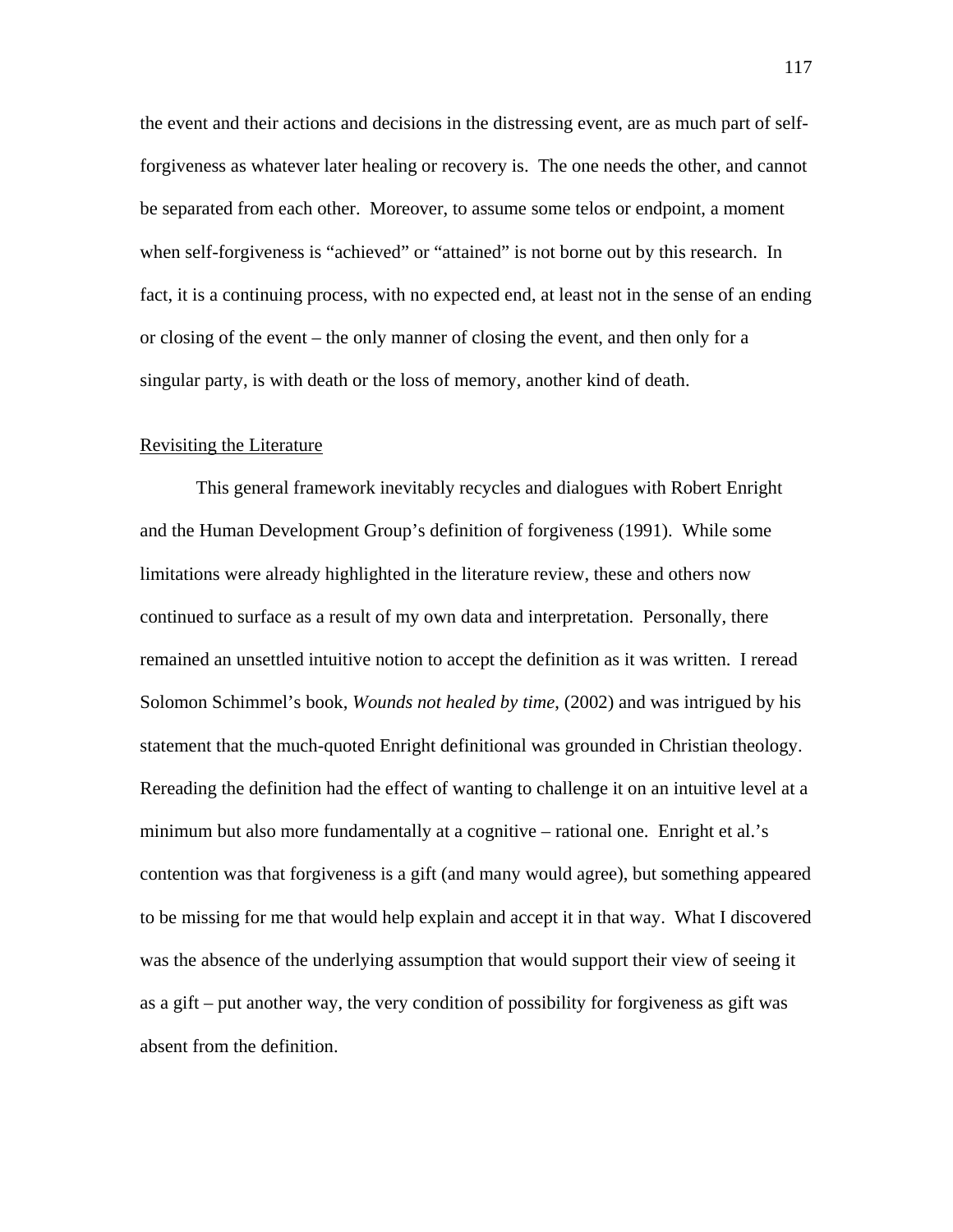the event and their actions and decisions in the distressing event, are as much part of selfforgiveness as whatever later healing or recovery is. The one needs the other, and cannot be separated from each other. Moreover, to assume some telos or endpoint, a moment when self-forgiveness is "achieved" or "attained" is not borne out by this research. In fact, it is a continuing process, with no expected end, at least not in the sense of an ending or closing of the event – the only manner of closing the event, and then only for a singular party, is with death or the loss of memory, another kind of death.

#### Revisiting the Literature

This general framework inevitably recycles and dialogues with Robert Enright and the Human Development Group's definition of forgiveness (1991). While some limitations were already highlighted in the literature review, these and others now continued to surface as a result of my own data and interpretation. Personally, there remained an unsettled intuitive notion to accept the definition as it was written. I reread Solomon Schimmel's book, *Wounds not healed by time*, (2002) and was intrigued by his statement that the much-quoted Enright definitional was grounded in Christian theology. Rereading the definition had the effect of wanting to challenge it on an intuitive level at a minimum but also more fundamentally at a cognitive – rational one. Enright et al.'s contention was that forgiveness is a gift (and many would agree), but something appeared to be missing for me that would help explain and accept it in that way. What I discovered was the absence of the underlying assumption that would support their view of seeing it as a gift – put another way, the very condition of possibility for forgiveness as gift was absent from the definition.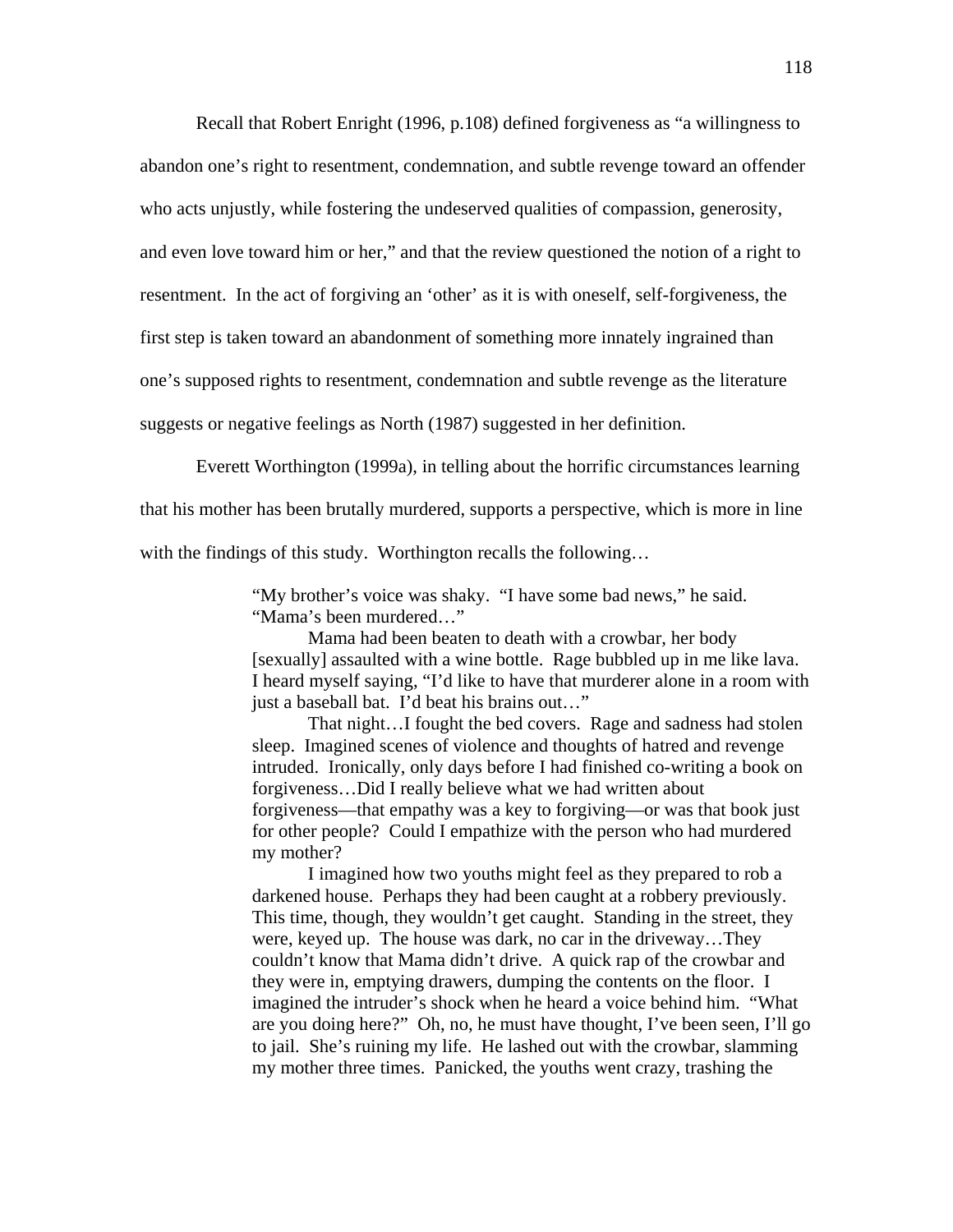Recall that Robert Enright (1996, p.108) defined forgiveness as "a willingness to abandon one's right to resentment, condemnation, and subtle revenge toward an offender who acts unjustly, while fostering the undeserved qualities of compassion, generosity, and even love toward him or her," and that the review questioned the notion of a right to resentment. In the act of forgiving an 'other' as it is with oneself, self-forgiveness, the first step is taken toward an abandonment of something more innately ingrained than one's supposed rights to resentment, condemnation and subtle revenge as the literature suggests or negative feelings as North (1987) suggested in her definition.

Everett Worthington (1999a), in telling about the horrific circumstances learning that his mother has been brutally murdered, supports a perspective, which is more in line with the findings of this study. Worthington recalls the following...

> "My brother's voice was shaky. "I have some bad news," he said. "Mama's been murdered…"

 Mama had been beaten to death with a crowbar, her body [sexually] assaulted with a wine bottle. Rage bubbled up in me like lava. I heard myself saying, "I'd like to have that murderer alone in a room with just a baseball bat. I'd beat his brains out…"

 That night…I fought the bed covers. Rage and sadness had stolen sleep. Imagined scenes of violence and thoughts of hatred and revenge intruded. Ironically, only days before I had finished co-writing a book on forgiveness…Did I really believe what we had written about forgiveness—that empathy was a key to forgiving—or was that book just for other people? Could I empathize with the person who had murdered my mother?

 I imagined how two youths might feel as they prepared to rob a darkened house. Perhaps they had been caught at a robbery previously. This time, though, they wouldn't get caught. Standing in the street, they were, keyed up. The house was dark, no car in the driveway…They couldn't know that Mama didn't drive. A quick rap of the crowbar and they were in, emptying drawers, dumping the contents on the floor. I imagined the intruder's shock when he heard a voice behind him. "What are you doing here?" Oh, no, he must have thought, I've been seen, I'll go to jail. She's ruining my life. He lashed out with the crowbar, slamming my mother three times. Panicked, the youths went crazy, trashing the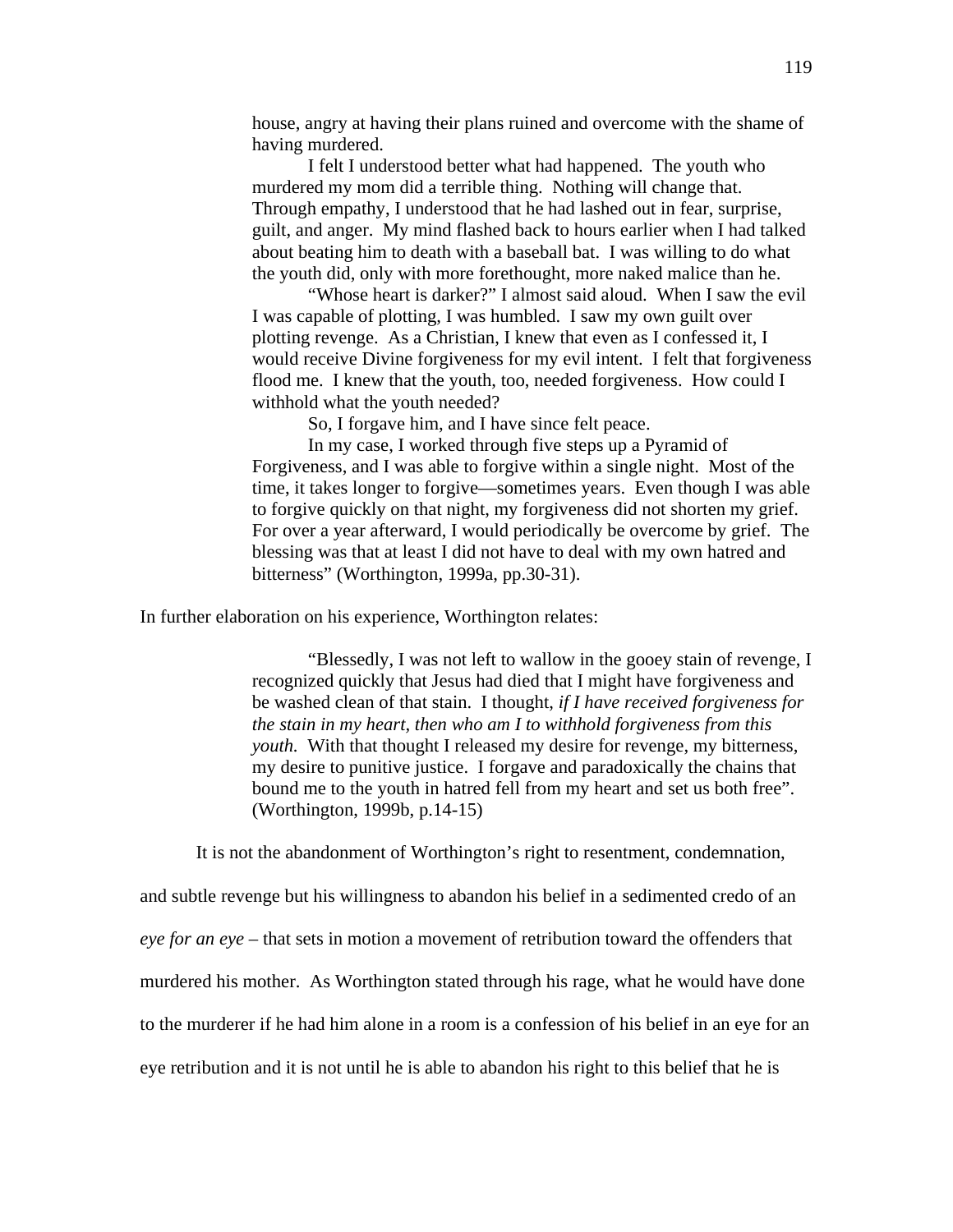house, angry at having their plans ruined and overcome with the shame of having murdered.

 I felt I understood better what had happened. The youth who murdered my mom did a terrible thing. Nothing will change that. Through empathy, I understood that he had lashed out in fear, surprise, guilt, and anger. My mind flashed back to hours earlier when I had talked about beating him to death with a baseball bat. I was willing to do what the youth did, only with more forethought, more naked malice than he.

"Whose heart is darker?" I almost said aloud. When I saw the evil I was capable of plotting, I was humbled. I saw my own guilt over plotting revenge. As a Christian, I knew that even as I confessed it, I would receive Divine forgiveness for my evil intent. I felt that forgiveness flood me. I knew that the youth, too, needed forgiveness. How could I withhold what the youth needed?

So, I forgave him, and I have since felt peace.

 In my case, I worked through five steps up a Pyramid of Forgiveness, and I was able to forgive within a single night. Most of the time, it takes longer to forgive—sometimes years. Even though I was able to forgive quickly on that night, my forgiveness did not shorten my grief. For over a year afterward, I would periodically be overcome by grief. The blessing was that at least I did not have to deal with my own hatred and bitterness" (Worthington, 1999a, pp.30-31).

In further elaboration on his experience, Worthington relates:

"Blessedly, I was not left to wallow in the gooey stain of revenge, I recognized quickly that Jesus had died that I might have forgiveness and be washed clean of that stain. I thought, *if I have received forgiveness for the stain in my heart, then who am I to withhold forgiveness from this youth.* With that thought I released my desire for revenge, my bitterness, my desire to punitive justice. I forgave and paradoxically the chains that bound me to the youth in hatred fell from my heart and set us both free". (Worthington, 1999b, p.14-15)

It is not the abandonment of Worthington's right to resentment, condemnation,

and subtle revenge but his willingness to abandon his belief in a sedimented credo of an *eye for an eye* – that sets in motion a movement of retribution toward the offenders that murdered his mother. As Worthington stated through his rage, what he would have done to the murderer if he had him alone in a room is a confession of his belief in an eye for an eye retribution and it is not until he is able to abandon his right to this belief that he is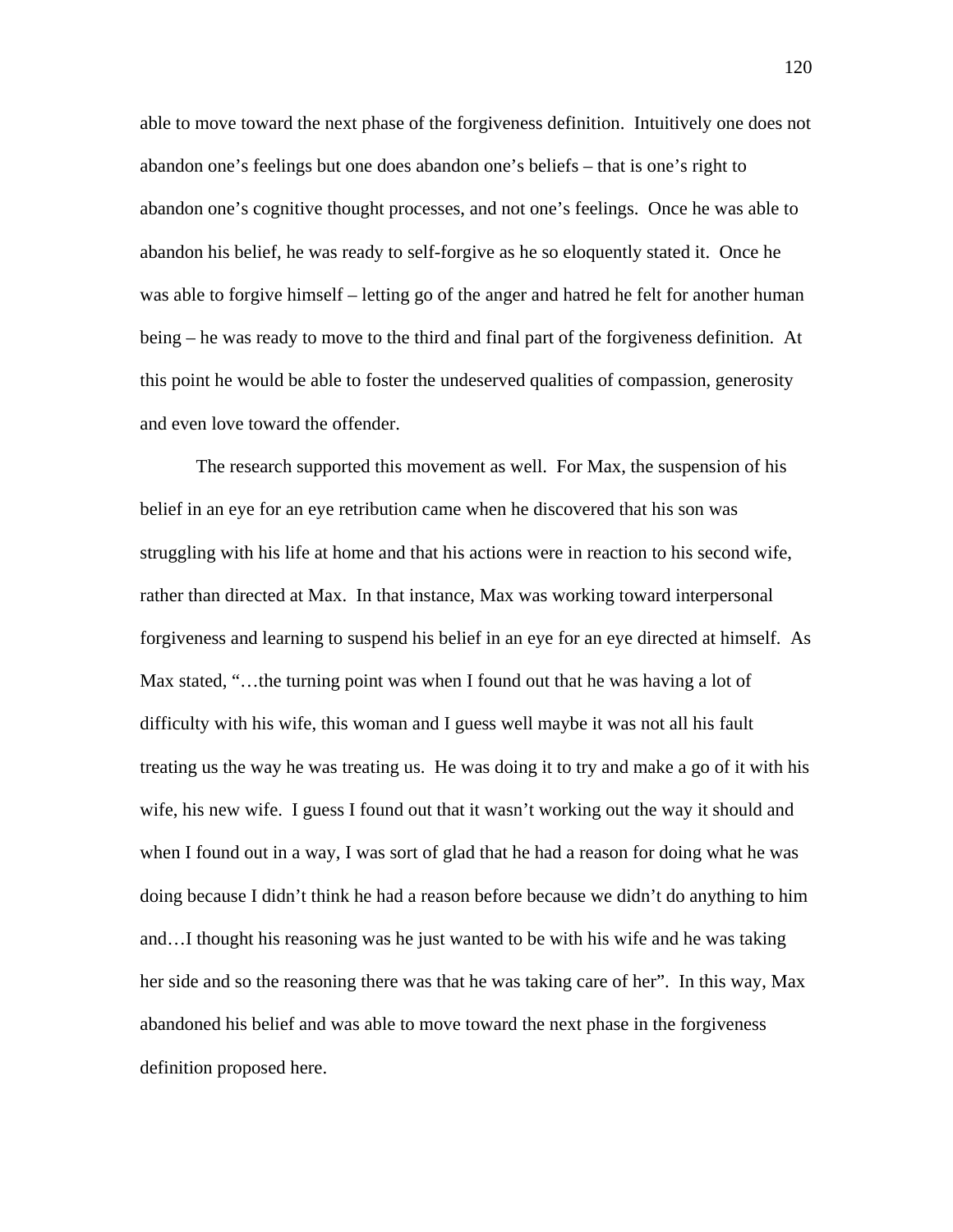able to move toward the next phase of the forgiveness definition. Intuitively one does not abandon one's feelings but one does abandon one's beliefs – that is one's right to abandon one's cognitive thought processes, and not one's feelings. Once he was able to abandon his belief, he was ready to self-forgive as he so eloquently stated it. Once he was able to forgive himself – letting go of the anger and hatred he felt for another human being – he was ready to move to the third and final part of the forgiveness definition. At this point he would be able to foster the undeserved qualities of compassion, generosity and even love toward the offender.

 The research supported this movement as well. For Max, the suspension of his belief in an eye for an eye retribution came when he discovered that his son was struggling with his life at home and that his actions were in reaction to his second wife, rather than directed at Max. In that instance, Max was working toward interpersonal forgiveness and learning to suspend his belief in an eye for an eye directed at himself. As Max stated, "...the turning point was when I found out that he was having a lot of difficulty with his wife, this woman and I guess well maybe it was not all his fault treating us the way he was treating us. He was doing it to try and make a go of it with his wife, his new wife. I guess I found out that it wasn't working out the way it should and when I found out in a way, I was sort of glad that he had a reason for doing what he was doing because I didn't think he had a reason before because we didn't do anything to him and…I thought his reasoning was he just wanted to be with his wife and he was taking her side and so the reasoning there was that he was taking care of her". In this way, Max abandoned his belief and was able to move toward the next phase in the forgiveness definition proposed here.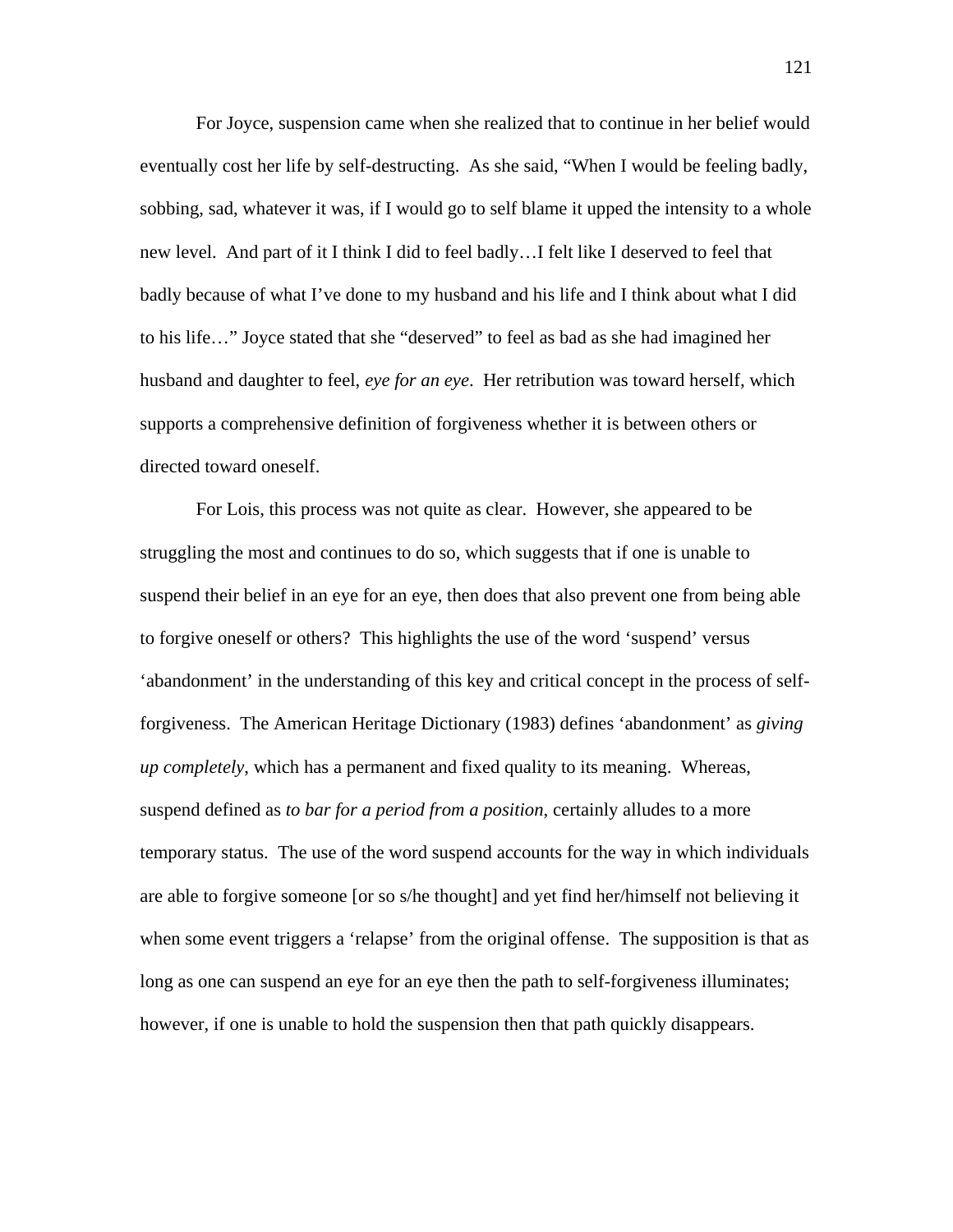For Joyce, suspension came when she realized that to continue in her belief would eventually cost her life by self-destructing. As she said, "When I would be feeling badly, sobbing, sad, whatever it was, if I would go to self blame it upped the intensity to a whole new level. And part of it I think I did to feel badly…I felt like I deserved to feel that badly because of what I've done to my husband and his life and I think about what I did to his life…" Joyce stated that she "deserved" to feel as bad as she had imagined her husband and daughter to feel, *eye for an eye*. Her retribution was toward herself, which supports a comprehensive definition of forgiveness whether it is between others or directed toward oneself.

 For Lois, this process was not quite as clear. However, she appeared to be struggling the most and continues to do so, which suggests that if one is unable to suspend their belief in an eye for an eye, then does that also prevent one from being able to forgive oneself or others? This highlights the use of the word 'suspend' versus 'abandonment' in the understanding of this key and critical concept in the process of selfforgiveness. The American Heritage Dictionary (1983) defines 'abandonment' as *giving up completely*, which has a permanent and fixed quality to its meaning. Whereas, suspend defined as *to bar for a period from a position*, certainly alludes to a more temporary status. The use of the word suspend accounts for the way in which individuals are able to forgive someone [or so s/he thought] and yet find her/himself not believing it when some event triggers a 'relapse' from the original offense. The supposition is that as long as one can suspend an eye for an eye then the path to self-forgiveness illuminates; however, if one is unable to hold the suspension then that path quickly disappears.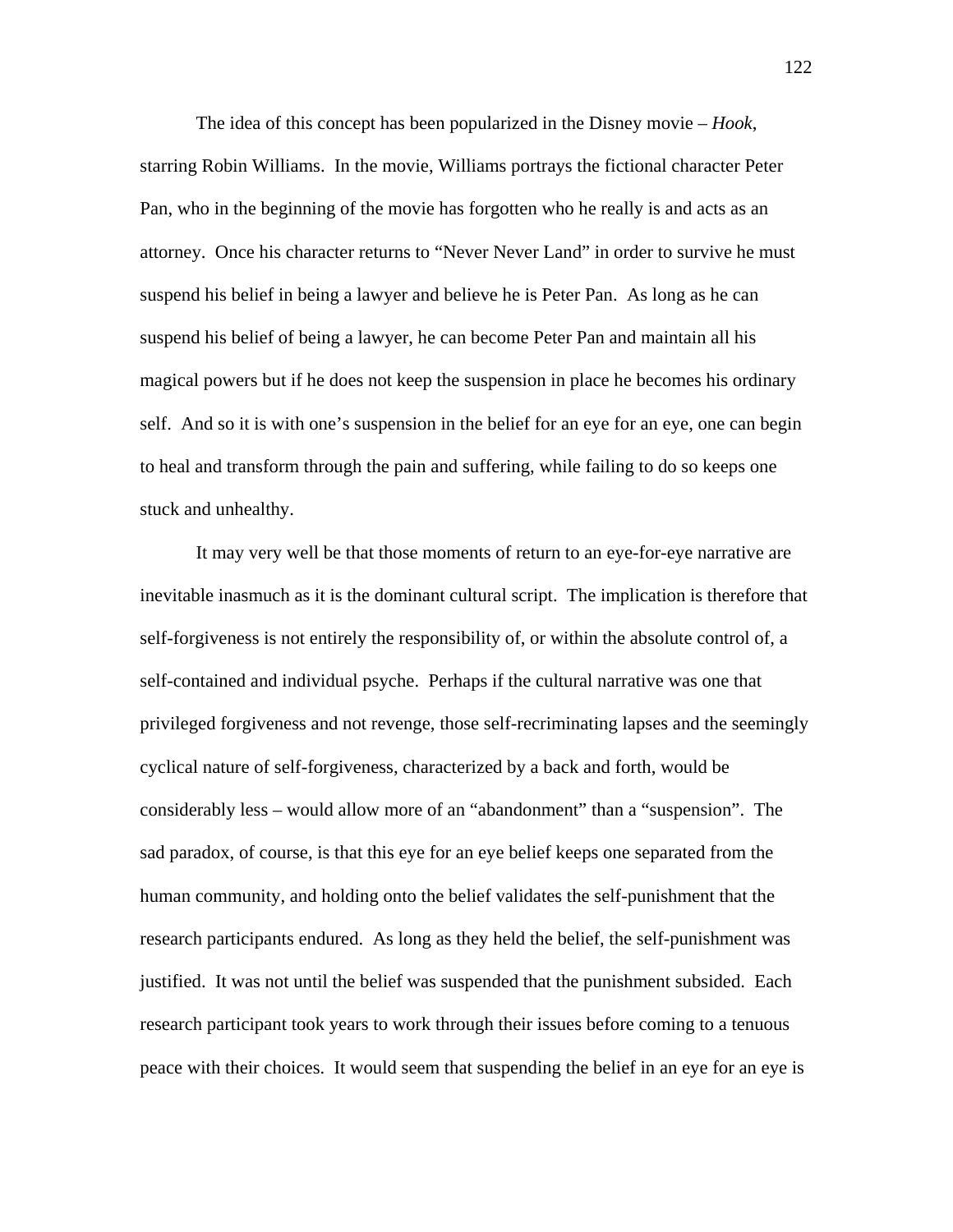The idea of this concept has been popularized in the Disney movie – *Hook*, starring Robin Williams. In the movie, Williams portrays the fictional character Peter Pan, who in the beginning of the movie has forgotten who he really is and acts as an attorney. Once his character returns to "Never Never Land" in order to survive he must suspend his belief in being a lawyer and believe he is Peter Pan. As long as he can suspend his belief of being a lawyer, he can become Peter Pan and maintain all his magical powers but if he does not keep the suspension in place he becomes his ordinary self. And so it is with one's suspension in the belief for an eye for an eye, one can begin to heal and transform through the pain and suffering, while failing to do so keeps one stuck and unhealthy.

It may very well be that those moments of return to an eye-for-eye narrative are inevitable inasmuch as it is the dominant cultural script. The implication is therefore that self-forgiveness is not entirely the responsibility of, or within the absolute control of, a self-contained and individual psyche. Perhaps if the cultural narrative was one that privileged forgiveness and not revenge, those self-recriminating lapses and the seemingly cyclical nature of self-forgiveness, characterized by a back and forth, would be considerably less – would allow more of an "abandonment" than a "suspension". The sad paradox, of course, is that this eye for an eye belief keeps one separated from the human community, and holding onto the belief validates the self-punishment that the research participants endured. As long as they held the belief, the self-punishment was justified. It was not until the belief was suspended that the punishment subsided. Each research participant took years to work through their issues before coming to a tenuous peace with their choices. It would seem that suspending the belief in an eye for an eye is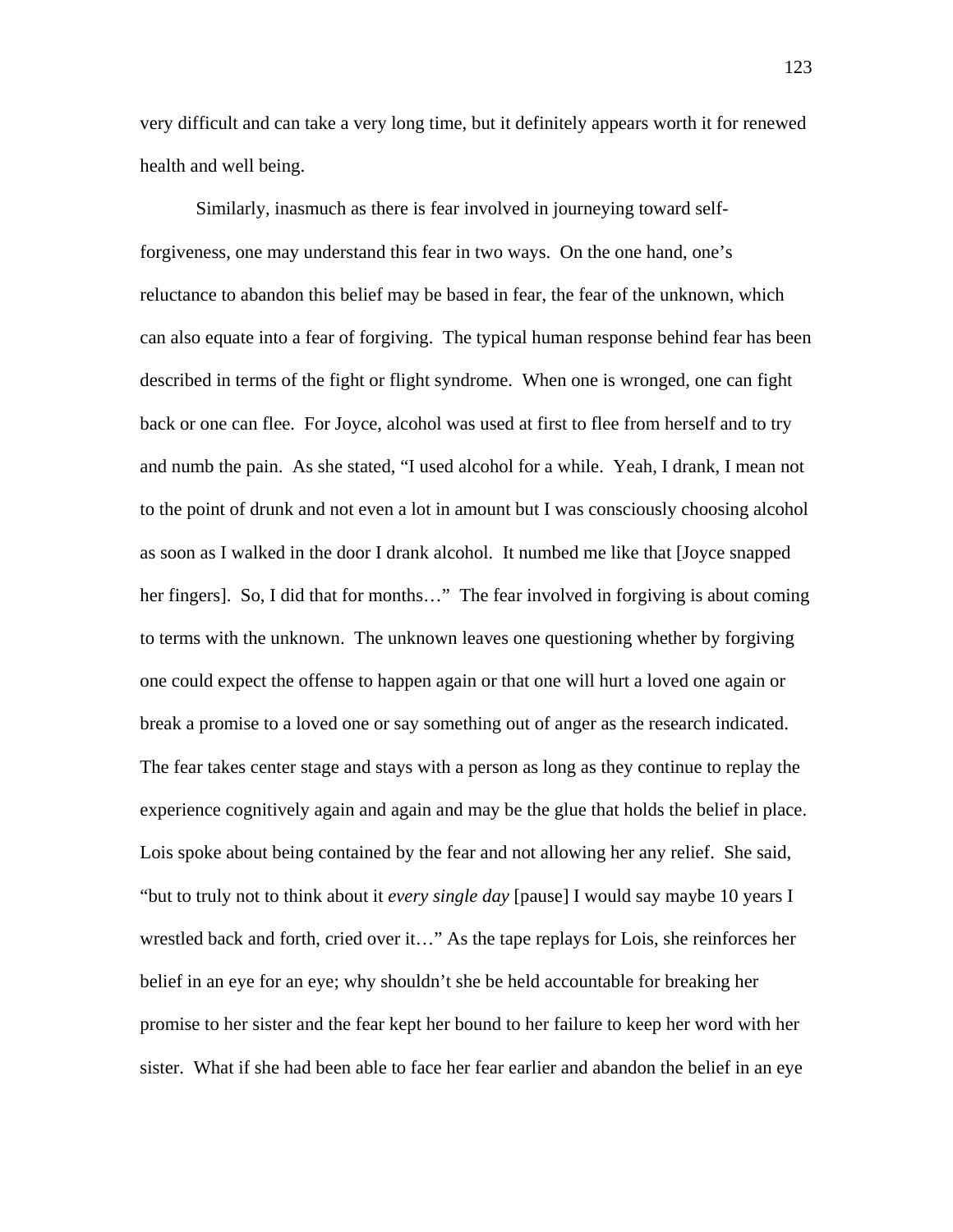very difficult and can take a very long time, but it definitely appears worth it for renewed health and well being.

Similarly, inasmuch as there is fear involved in journeying toward selfforgiveness, one may understand this fear in two ways. On the one hand, one's reluctance to abandon this belief may be based in fear, the fear of the unknown, which can also equate into a fear of forgiving. The typical human response behind fear has been described in terms of the fight or flight syndrome. When one is wronged, one can fight back or one can flee. For Joyce, alcohol was used at first to flee from herself and to try and numb the pain. As she stated, "I used alcohol for a while. Yeah, I drank, I mean not to the point of drunk and not even a lot in amount but I was consciously choosing alcohol as soon as I walked in the door I drank alcohol. It numbed me like that [Joyce snapped her fingers]. So, I did that for months..." The fear involved in forgiving is about coming to terms with the unknown. The unknown leaves one questioning whether by forgiving one could expect the offense to happen again or that one will hurt a loved one again or break a promise to a loved one or say something out of anger as the research indicated. The fear takes center stage and stays with a person as long as they continue to replay the experience cognitively again and again and may be the glue that holds the belief in place. Lois spoke about being contained by the fear and not allowing her any relief. She said, "but to truly not to think about it *every single day* [pause] I would say maybe 10 years I wrestled back and forth, cried over it…" As the tape replays for Lois, she reinforces her belief in an eye for an eye; why shouldn't she be held accountable for breaking her promise to her sister and the fear kept her bound to her failure to keep her word with her sister. What if she had been able to face her fear earlier and abandon the belief in an eye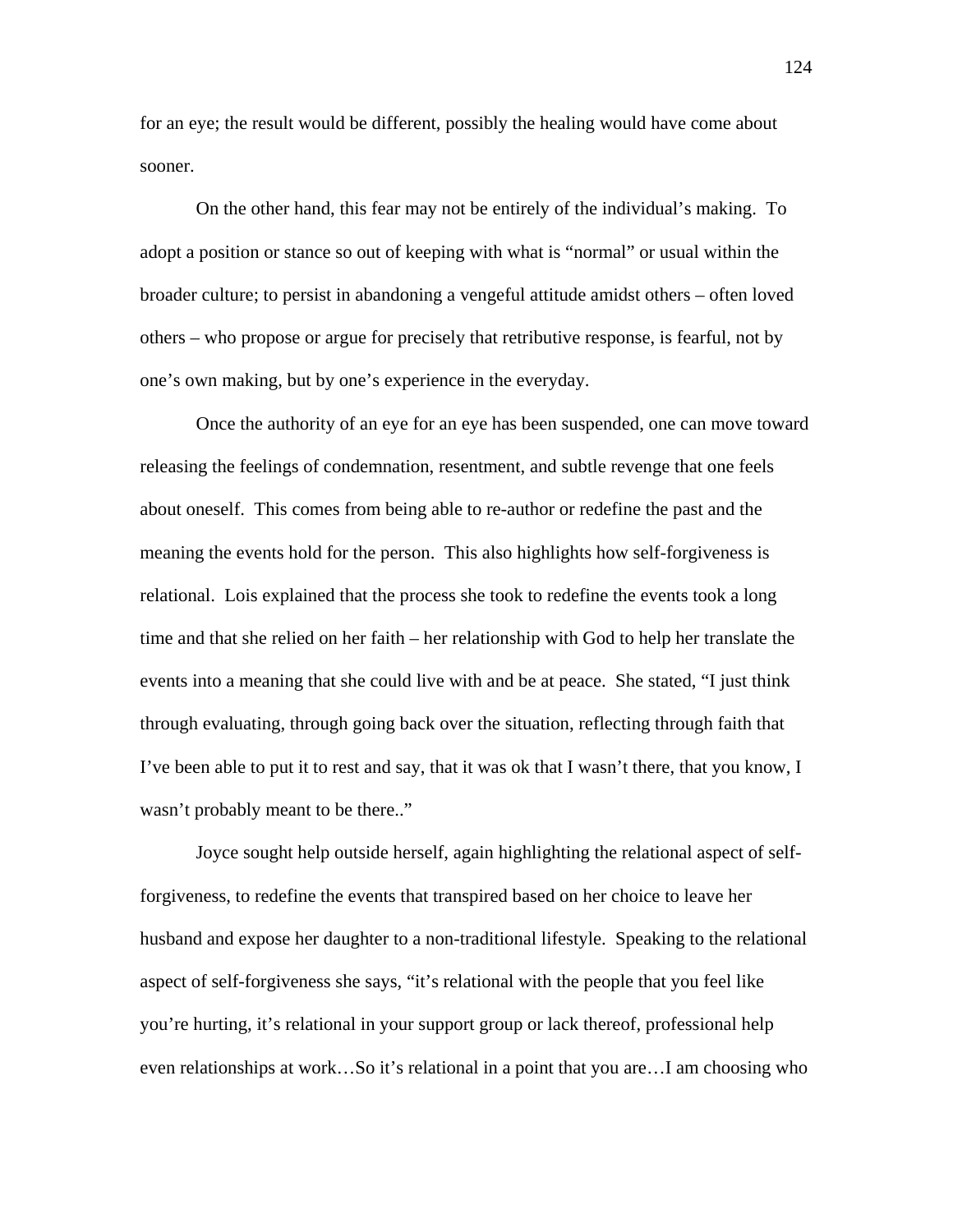for an eye; the result would be different, possibly the healing would have come about sooner.

On the other hand, this fear may not be entirely of the individual's making. To adopt a position or stance so out of keeping with what is "normal" or usual within the broader culture; to persist in abandoning a vengeful attitude amidst others – often loved others – who propose or argue for precisely that retributive response, is fearful, not by one's own making, but by one's experience in the everyday.

 Once the authority of an eye for an eye has been suspended, one can move toward releasing the feelings of condemnation, resentment, and subtle revenge that one feels about oneself. This comes from being able to re-author or redefine the past and the meaning the events hold for the person. This also highlights how self-forgiveness is relational. Lois explained that the process she took to redefine the events took a long time and that she relied on her faith – her relationship with God to help her translate the events into a meaning that she could live with and be at peace. She stated, "I just think through evaluating, through going back over the situation, reflecting through faith that I've been able to put it to rest and say, that it was ok that I wasn't there, that you know, I wasn't probably meant to be there.."

Joyce sought help outside herself, again highlighting the relational aspect of selfforgiveness, to redefine the events that transpired based on her choice to leave her husband and expose her daughter to a non-traditional lifestyle. Speaking to the relational aspect of self-forgiveness she says, "it's relational with the people that you feel like you're hurting, it's relational in your support group or lack thereof, professional help even relationships at work…So it's relational in a point that you are…I am choosing who

124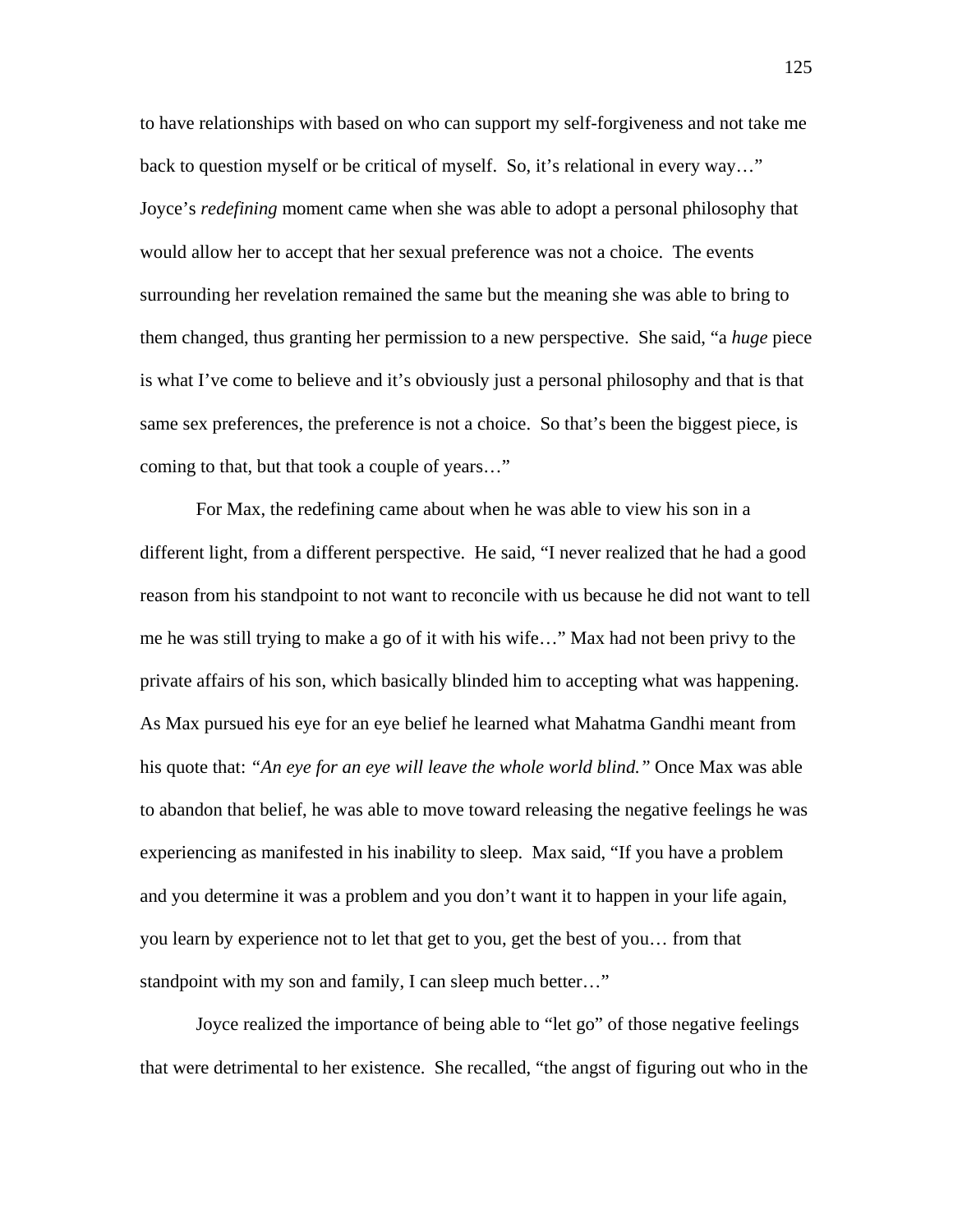to have relationships with based on who can support my self-forgiveness and not take me back to question myself or be critical of myself. So, it's relational in every way..." Joyce's *redefining* moment came when she was able to adopt a personal philosophy that would allow her to accept that her sexual preference was not a choice. The events surrounding her revelation remained the same but the meaning she was able to bring to them changed, thus granting her permission to a new perspective. She said, "a *huge* piece is what I've come to believe and it's obviously just a personal philosophy and that is that same sex preferences, the preference is not a choice. So that's been the biggest piece, is coming to that, but that took a couple of years…"

For Max, the redefining came about when he was able to view his son in a different light, from a different perspective. He said, "I never realized that he had a good reason from his standpoint to not want to reconcile with us because he did not want to tell me he was still trying to make a go of it with his wife…" Max had not been privy to the private affairs of his son, which basically blinded him to accepting what was happening. As Max pursued his eye for an eye belief he learned what Mahatma Gandhi meant from his quote that: *"An eye for an eye will leave the whole world blind."* Once Max was able to abandon that belief, he was able to move toward releasing the negative feelings he was experiencing as manifested in his inability to sleep. Max said, "If you have a problem and you determine it was a problem and you don't want it to happen in your life again, you learn by experience not to let that get to you, get the best of you… from that standpoint with my son and family, I can sleep much better…"

Joyce realized the importance of being able to "let go" of those negative feelings that were detrimental to her existence. She recalled, "the angst of figuring out who in the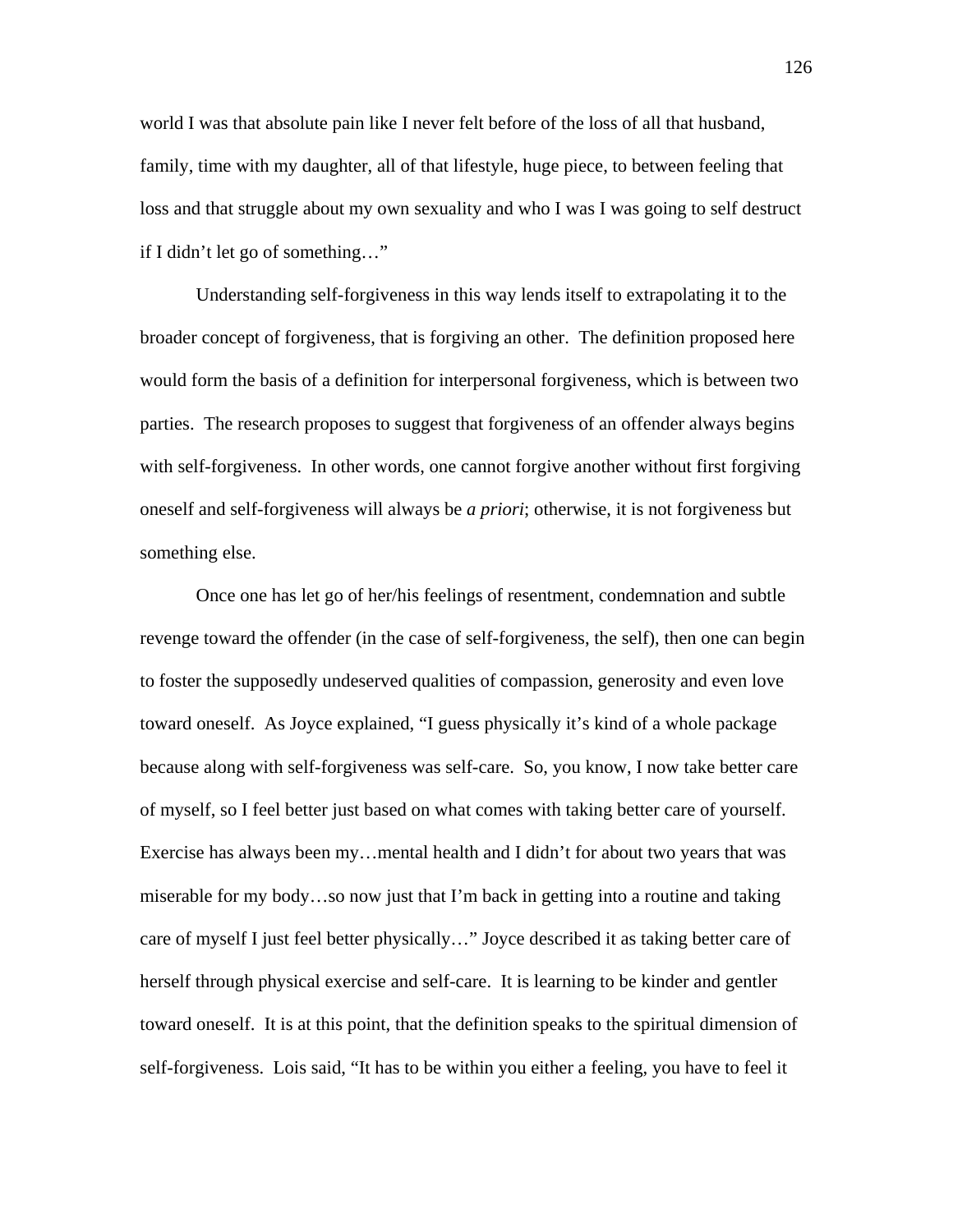world I was that absolute pain like I never felt before of the loss of all that husband, family, time with my daughter, all of that lifestyle, huge piece, to between feeling that loss and that struggle about my own sexuality and who I was I was going to self destruct if I didn't let go of something…"

Understanding self-forgiveness in this way lends itself to extrapolating it to the broader concept of forgiveness, that is forgiving an other. The definition proposed here would form the basis of a definition for interpersonal forgiveness, which is between two parties. The research proposes to suggest that forgiveness of an offender always begins with self-forgiveness. In other words, one cannot forgive another without first forgiving oneself and self-forgiveness will always be *a priori*; otherwise, it is not forgiveness but something else.

 Once one has let go of her/his feelings of resentment, condemnation and subtle revenge toward the offender (in the case of self-forgiveness, the self), then one can begin to foster the supposedly undeserved qualities of compassion, generosity and even love toward oneself. As Joyce explained, "I guess physically it's kind of a whole package because along with self-forgiveness was self-care. So, you know, I now take better care of myself, so I feel better just based on what comes with taking better care of yourself. Exercise has always been my…mental health and I didn't for about two years that was miserable for my body…so now just that I'm back in getting into a routine and taking care of myself I just feel better physically…" Joyce described it as taking better care of herself through physical exercise and self-care. It is learning to be kinder and gentler toward oneself. It is at this point, that the definition speaks to the spiritual dimension of self-forgiveness. Lois said, "It has to be within you either a feeling, you have to feel it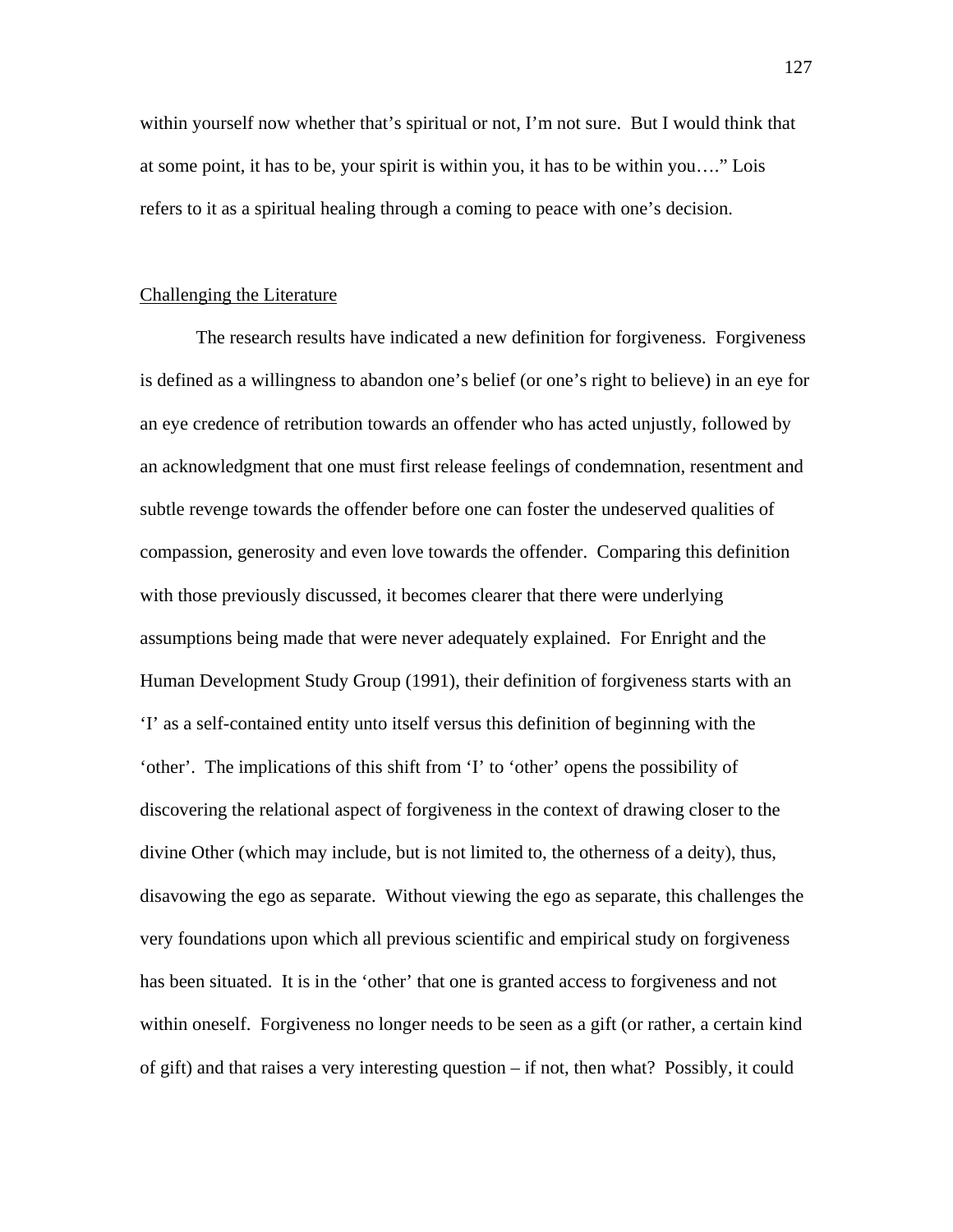within yourself now whether that's spiritual or not, I'm not sure. But I would think that at some point, it has to be, your spirit is within you, it has to be within you…." Lois refers to it as a spiritual healing through a coming to peace with one's decision.

#### Challenging the Literature

 The research results have indicated a new definition for forgiveness. Forgiveness is defined as a willingness to abandon one's belief (or one's right to believe) in an eye for an eye credence of retribution towards an offender who has acted unjustly, followed by an acknowledgment that one must first release feelings of condemnation, resentment and subtle revenge towards the offender before one can foster the undeserved qualities of compassion, generosity and even love towards the offender. Comparing this definition with those previously discussed, it becomes clearer that there were underlying assumptions being made that were never adequately explained. For Enright and the Human Development Study Group (1991), their definition of forgiveness starts with an 'I' as a self-contained entity unto itself versus this definition of beginning with the 'other'. The implications of this shift from 'I' to 'other' opens the possibility of discovering the relational aspect of forgiveness in the context of drawing closer to the divine Other (which may include, but is not limited to, the otherness of a deity), thus, disavowing the ego as separate. Without viewing the ego as separate, this challenges the very foundations upon which all previous scientific and empirical study on forgiveness has been situated. It is in the 'other' that one is granted access to forgiveness and not within oneself. Forgiveness no longer needs to be seen as a gift (or rather, a certain kind of gift) and that raises a very interesting question – if not, then what? Possibly, it could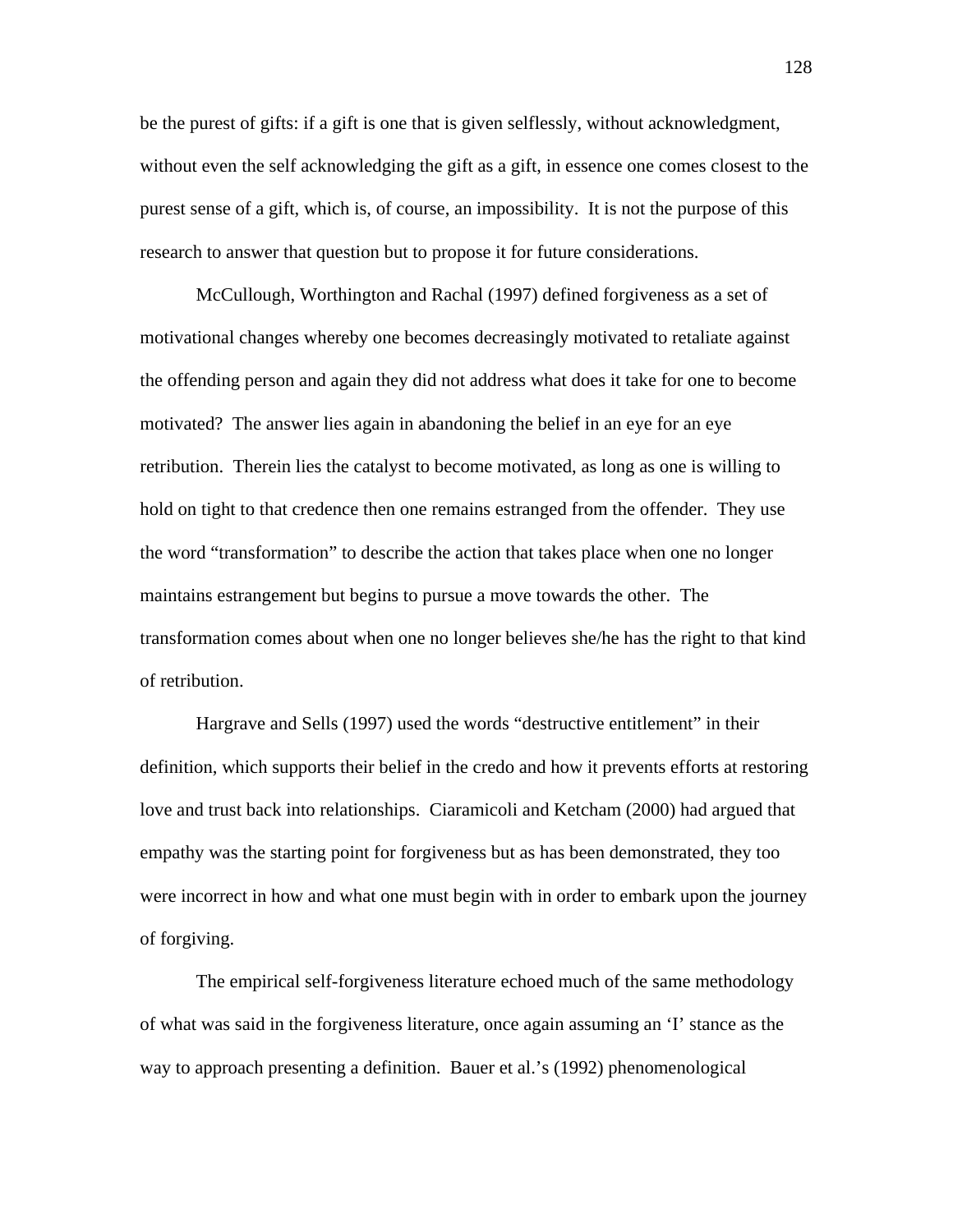be the purest of gifts: if a gift is one that is given selflessly, without acknowledgment, without even the self acknowledging the gift as a gift, in essence one comes closest to the purest sense of a gift, which is, of course, an impossibility. It is not the purpose of this research to answer that question but to propose it for future considerations.

 McCullough, Worthington and Rachal (1997) defined forgiveness as a set of motivational changes whereby one becomes decreasingly motivated to retaliate against the offending person and again they did not address what does it take for one to become motivated? The answer lies again in abandoning the belief in an eye for an eye retribution. Therein lies the catalyst to become motivated, as long as one is willing to hold on tight to that credence then one remains estranged from the offender. They use the word "transformation" to describe the action that takes place when one no longer maintains estrangement but begins to pursue a move towards the other. The transformation comes about when one no longer believes she/he has the right to that kind of retribution.

 Hargrave and Sells (1997) used the words "destructive entitlement" in their definition, which supports their belief in the credo and how it prevents efforts at restoring love and trust back into relationships. Ciaramicoli and Ketcham (2000) had argued that empathy was the starting point for forgiveness but as has been demonstrated, they too were incorrect in how and what one must begin with in order to embark upon the journey of forgiving.

 The empirical self-forgiveness literature echoed much of the same methodology of what was said in the forgiveness literature, once again assuming an 'I' stance as the way to approach presenting a definition. Bauer et al.'s (1992) phenomenological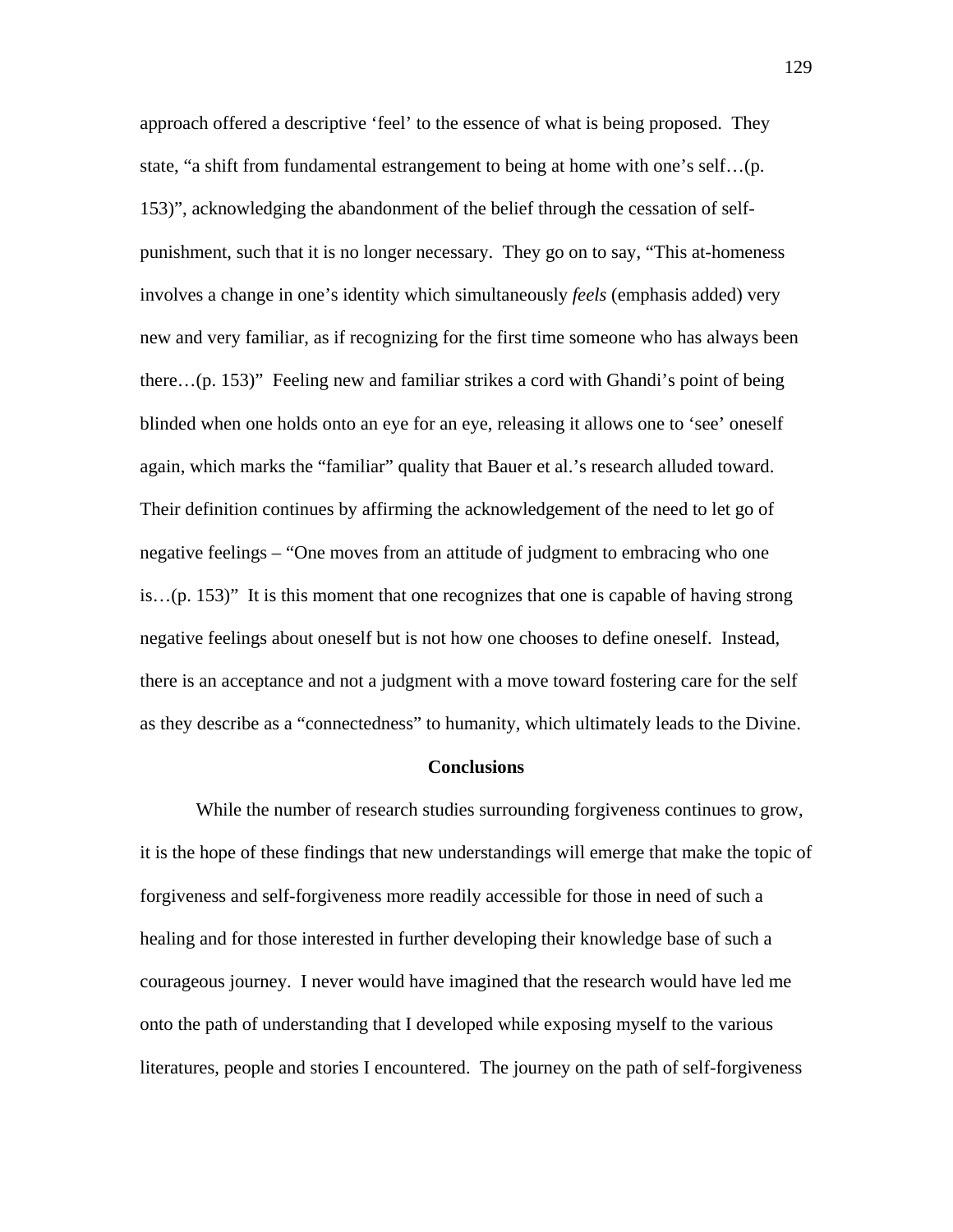approach offered a descriptive 'feel' to the essence of what is being proposed. They state, "a shift from fundamental estrangement to being at home with one's self…(p. 153)", acknowledging the abandonment of the belief through the cessation of selfpunishment, such that it is no longer necessary. They go on to say, "This at-homeness involves a change in one's identity which simultaneously *feels* (emphasis added) very new and very familiar, as if recognizing for the first time someone who has always been there…(p. 153)" Feeling new and familiar strikes a cord with Ghandi's point of being blinded when one holds onto an eye for an eye, releasing it allows one to 'see' oneself again, which marks the "familiar" quality that Bauer et al.'s research alluded toward. Their definition continues by affirming the acknowledgement of the need to let go of negative feelings – "One moves from an attitude of judgment to embracing who one is…(p. 153)" It is this moment that one recognizes that one is capable of having strong negative feelings about oneself but is not how one chooses to define oneself. Instead, there is an acceptance and not a judgment with a move toward fostering care for the self as they describe as a "connectedness" to humanity, which ultimately leads to the Divine.

#### **Conclusions**

 While the number of research studies surrounding forgiveness continues to grow, it is the hope of these findings that new understandings will emerge that make the topic of forgiveness and self-forgiveness more readily accessible for those in need of such a healing and for those interested in further developing their knowledge base of such a courageous journey. I never would have imagined that the research would have led me onto the path of understanding that I developed while exposing myself to the various literatures, people and stories I encountered. The journey on the path of self-forgiveness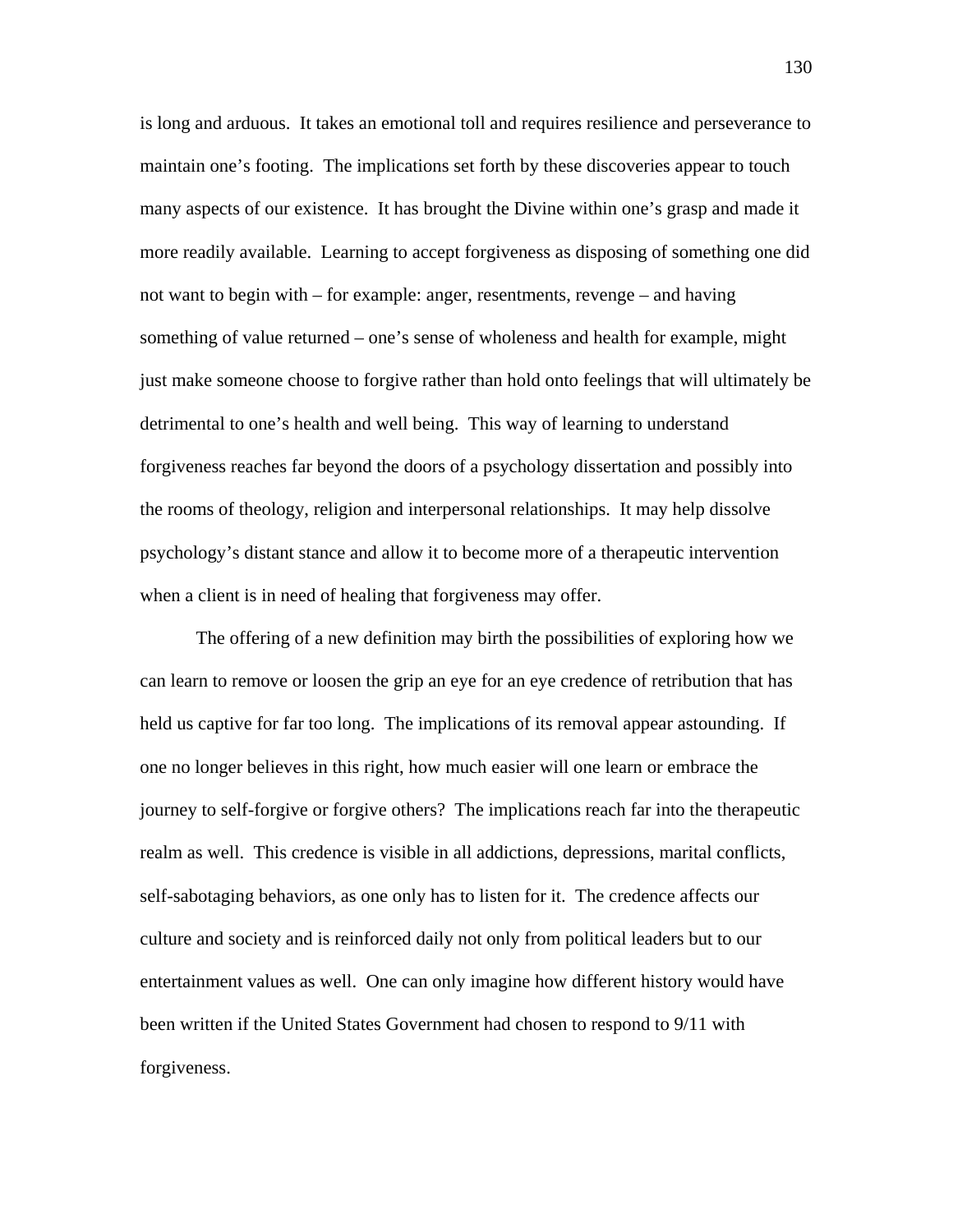is long and arduous. It takes an emotional toll and requires resilience and perseverance to maintain one's footing. The implications set forth by these discoveries appear to touch many aspects of our existence. It has brought the Divine within one's grasp and made it more readily available. Learning to accept forgiveness as disposing of something one did not want to begin with – for example: anger, resentments, revenge – and having something of value returned – one's sense of wholeness and health for example, might just make someone choose to forgive rather than hold onto feelings that will ultimately be detrimental to one's health and well being. This way of learning to understand forgiveness reaches far beyond the doors of a psychology dissertation and possibly into the rooms of theology, religion and interpersonal relationships. It may help dissolve psychology's distant stance and allow it to become more of a therapeutic intervention when a client is in need of healing that forgiveness may offer.

 The offering of a new definition may birth the possibilities of exploring how we can learn to remove or loosen the grip an eye for an eye credence of retribution that has held us captive for far too long. The implications of its removal appear astounding. If one no longer believes in this right, how much easier will one learn or embrace the journey to self-forgive or forgive others? The implications reach far into the therapeutic realm as well. This credence is visible in all addictions, depressions, marital conflicts, self-sabotaging behaviors, as one only has to listen for it. The credence affects our culture and society and is reinforced daily not only from political leaders but to our entertainment values as well. One can only imagine how different history would have been written if the United States Government had chosen to respond to 9/11 with forgiveness.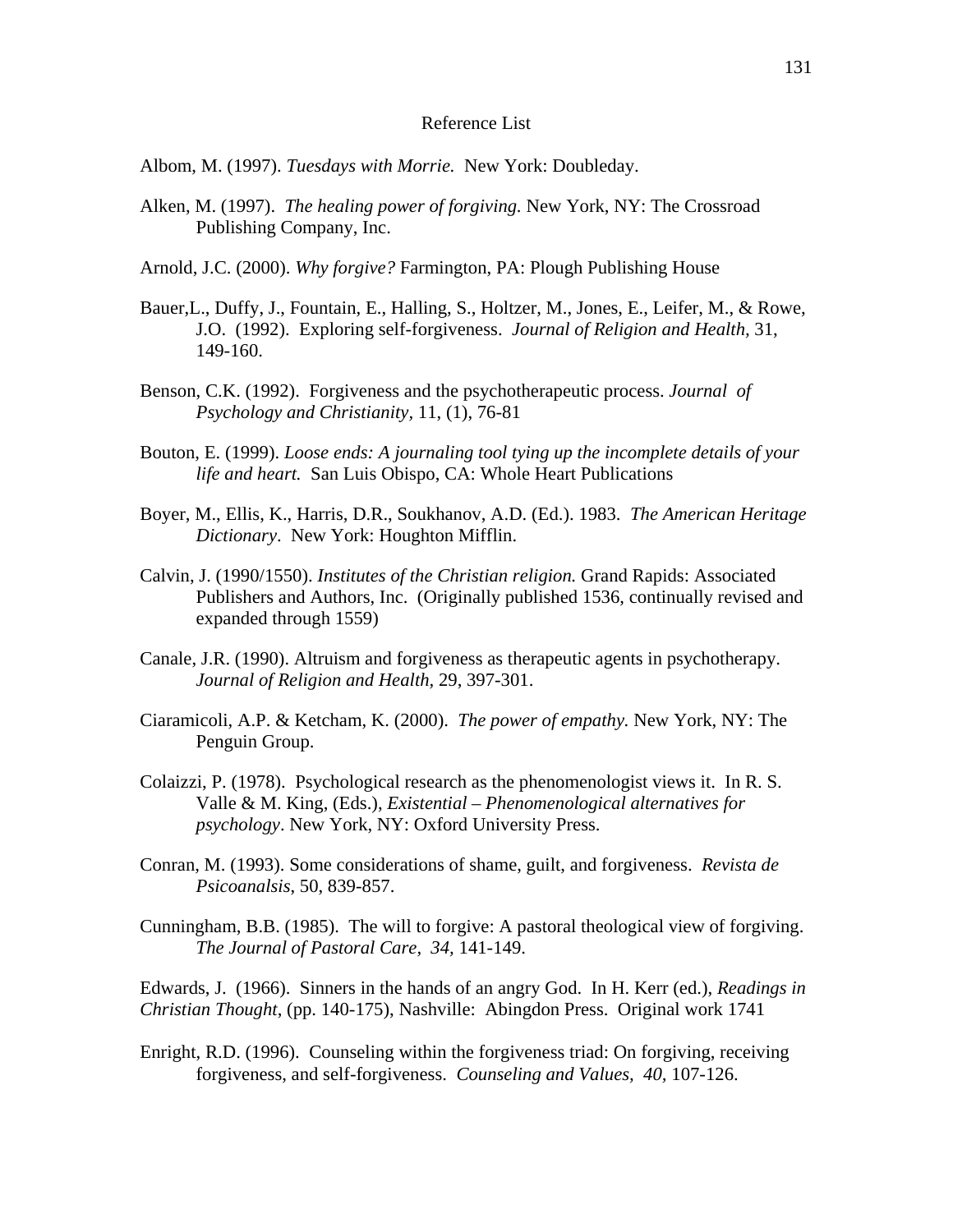#### Reference List

Albom, M. (1997). *Tuesdays with Morrie.* New York: Doubleday.

- Alken, M. (1997). *The healing power of forgiving.* New York, NY: The Crossroad Publishing Company, Inc.
- Arnold, J.C. (2000). *Why forgive?* Farmington, PA: Plough Publishing House
- Bauer,L., Duffy, J., Fountain, E., Halling, S., Holtzer, M., Jones, E., Leifer, M., & Rowe, J.O. (1992). Exploring self-forgiveness. *Journal of Religion and Health,* 31, 149-160.
- Benson, C.K. (1992). Forgiveness and the psychotherapeutic process. *Journal of Psychology and Christianity,* 11, (1), 76-81
- Bouton, E. (1999). *Loose ends: A journaling tool tying up the incomplete details of your life and heart.* San Luis Obispo, CA: Whole Heart Publications
- Boyer, M., Ellis, K., Harris, D.R., Soukhanov, A.D. (Ed.). 1983. *The American Heritage Dictionary*. New York: Houghton Mifflin.
- Calvin, J. (1990/1550). *Institutes of the Christian religion.* Grand Rapids: Associated Publishers and Authors, Inc. (Originally published 1536, continually revised and expanded through 1559)
- Canale, J.R. (1990). Altruism and forgiveness as therapeutic agents in psychotherapy. *Journal of Religion and Health,* 29, 397-301.
- Ciaramicoli, A.P. & Ketcham, K. (2000). *The power of empathy.* New York, NY: The Penguin Group.
- Colaizzi, P. (1978). Psychological research as the phenomenologist views it. In R. S. Valle & M. King, (Eds.), *Existential – Phenomenological alternatives for psychology*. New York, NY: Oxford University Press.
- Conran, M. (1993). Some considerations of shame, guilt, and forgiveness. *Revista de Psicoanalsis*, 50, 839-857.
- Cunningham, B.B. (1985). The will to forgive: A pastoral theological view of forgiving. *The Journal of Pastoral Care, 34,* 141-149.

Edwards, J. (1966). Sinners in the hands of an angry God. In H. Kerr (ed.), *Readings in Christian Thought*, (pp. 140-175), Nashville: Abingdon Press. Original work 1741

Enright, R.D. (1996). Counseling within the forgiveness triad: On forgiving, receiving forgiveness, and self-forgiveness. *Counseling and Values, 40,* 107-126.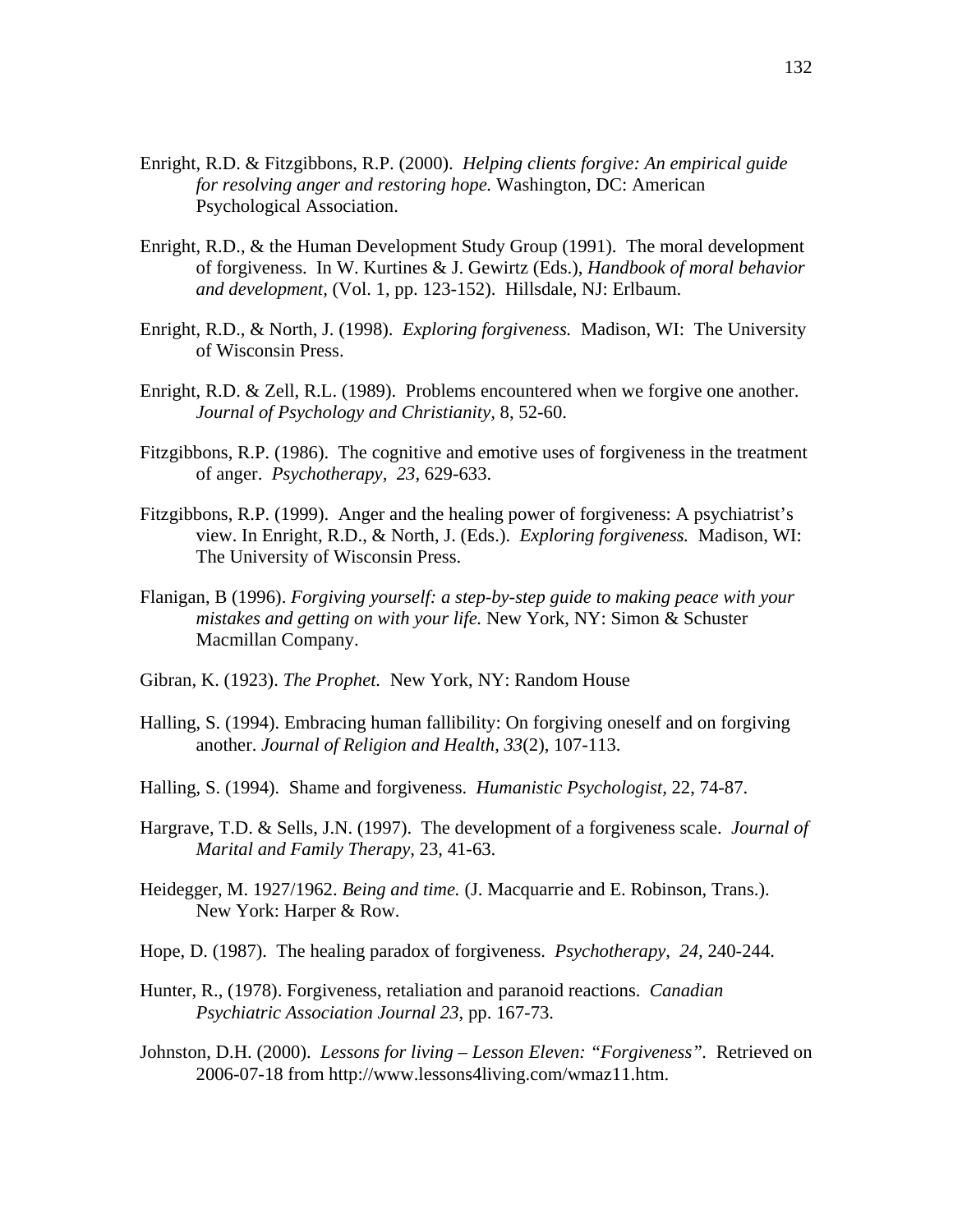- Enright, R.D. & Fitzgibbons, R.P. (2000). *Helping clients forgive: An empirical guide for resolving anger and restoring hope.* Washington, DC: American Psychological Association.
- Enright, R.D., & the Human Development Study Group (1991). The moral development of forgiveness. In W. Kurtines & J. Gewirtz (Eds.), *Handbook of moral behavior and development,* (Vol. 1, pp. 123-152). Hillsdale, NJ: Erlbaum.
- Enright, R.D., & North, J. (1998). *Exploring forgiveness.* Madison, WI: The University of Wisconsin Press.
- Enright, R.D. & Zell, R.L. (1989). Problems encountered when we forgive one another. *Journal of Psychology and Christianity,* 8, 52-60.
- Fitzgibbons, R.P. (1986). The cognitive and emotive uses of forgiveness in the treatment of anger. *Psychotherapy, 23,* 629-633.
- Fitzgibbons, R.P. (1999). Anger and the healing power of forgiveness: A psychiatrist's view. In Enright, R.D., & North, J. (Eds.). *Exploring forgiveness.* Madison, WI: The University of Wisconsin Press.
- Flanigan, B (1996). *Forgiving yourself: a step-by-step guide to making peace with your mistakes and getting on with your life.* New York, NY: Simon & Schuster Macmillan Company.
- Gibran, K. (1923). *The Prophet.* New York, NY: Random House
- Halling, S. (1994). Embracing human fallibility: On forgiving oneself and on forgiving another. *Journal of Religion and Health*, *33*(2), 107-113.
- Halling, S. (1994). Shame and forgiveness. *Humanistic Psychologist,* 22, 74-87.
- Hargrave, T.D. & Sells, J.N. (1997). The development of a forgiveness scale. *Journal of Marital and Family Therapy,* 23, 41-63.
- Heidegger, M. 1927/1962. *Being and time.* (J. Macquarrie and E. Robinson, Trans.). New York: Harper & Row.
- Hope, D. (1987). The healing paradox of forgiveness. *Psychotherapy, 24,* 240-244.
- Hunter, R., (1978). Forgiveness, retaliation and paranoid reactions. *Canadian Psychiatric Association Journal 23*, pp. 167-73.
- Johnston, D.H. (2000). *Lessons for living Lesson Eleven: "Forgiveness".* Retrieved on 2006-07-18 from http://www.lessons4living.com/wmaz11.htm.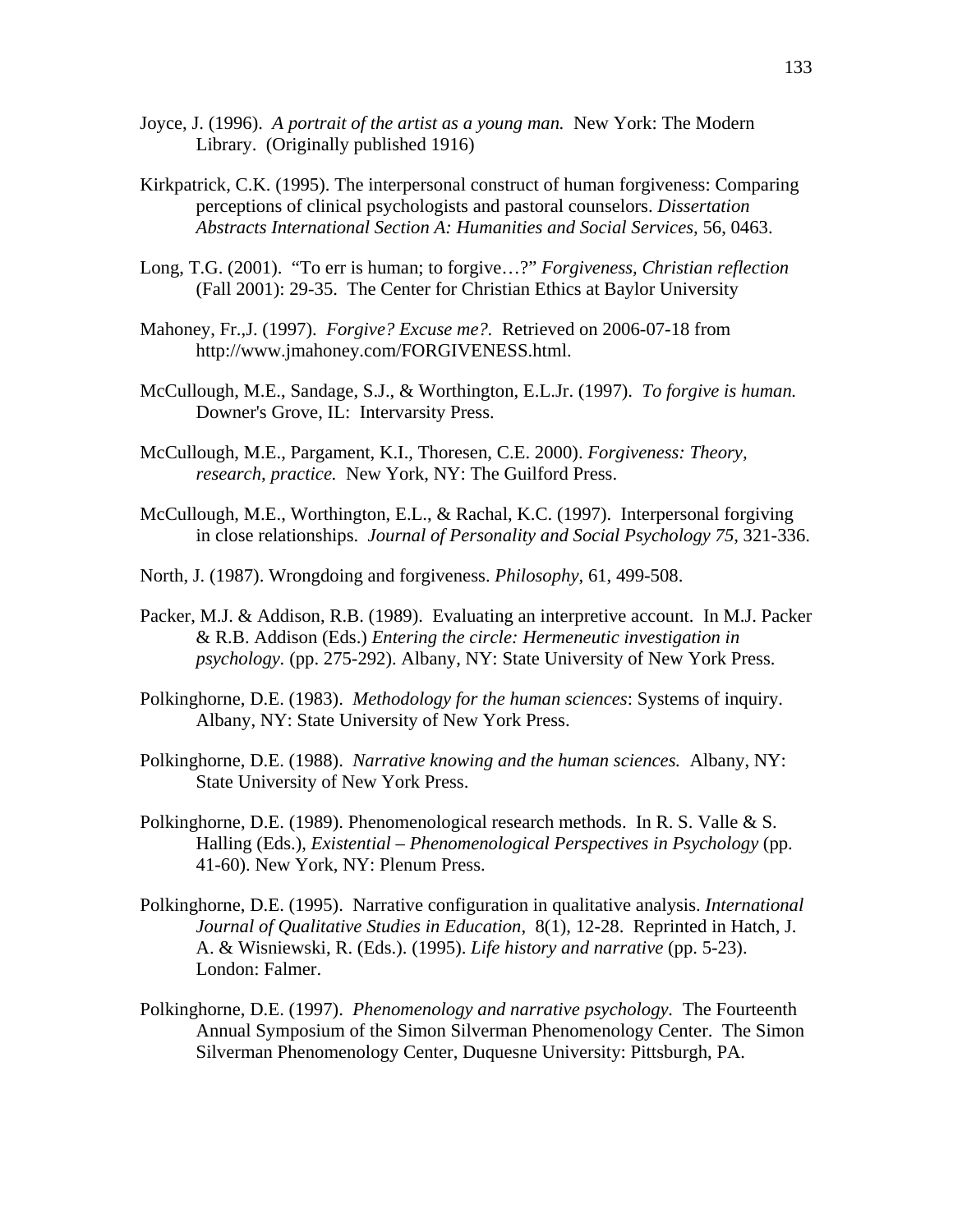- Joyce, J. (1996). *A portrait of the artist as a young man.* New York: The Modern Library. (Originally published 1916)
- Kirkpatrick, C.K. (1995). The interpersonal construct of human forgiveness: Comparing perceptions of clinical psychologists and pastoral counselors. *Dissertation Abstracts International Section A: Humanities and Social Services,* 56, 0463.
- Long, T.G. (2001). "To err is human; to forgive…?" *Forgiveness, Christian reflection* (Fall 2001): 29-35. The Center for Christian Ethics at Baylor University
- Mahoney, Fr.,J. (1997). *Forgive? Excuse me?.* Retrieved on 2006-07-18 from http://www.jmahoney.com/FORGIVENESS.html.
- McCullough, M.E., Sandage, S.J., & Worthington, E.L.Jr. (1997). *To forgive is human.*  Downer's Grove, IL: Intervarsity Press.
- McCullough, M.E., Pargament, K.I., Thoresen, C.E. 2000). *Forgiveness: Theory, research, practice.* New York, NY: The Guilford Press.
- McCullough, M.E., Worthington, E.L., & Rachal, K.C. (1997). Interpersonal forgiving in close relationships. *Journal of Personality and Social Psychology 75,* 321-336.
- North, J. (1987). Wrongdoing and forgiveness. *Philosophy*, 61, 499-508.
- Packer, M.J. & Addison, R.B. (1989). Evaluating an interpretive account. In M.J. Packer & R.B. Addison (Eds.) *Entering the circle: Hermeneutic investigation in psychology.* (pp. 275-292). Albany, NY: State University of New York Press.
- Polkinghorne, D.E. (1983). *Methodology for the human sciences*: Systems of inquiry. Albany, NY: State University of New York Press.
- Polkinghorne, D.E. (1988). *Narrative knowing and the human sciences.* Albany, NY: State University of New York Press.
- Polkinghorne, D.E. (1989). Phenomenological research methods. In R. S. Valle  $&$  S. Halling (Eds.), *Existential – Phenomenological Perspectives in Psychology* (pp. 41-60). New York, NY: Plenum Press.
- Polkinghorne, D.E. (1995). Narrative configuration in qualitative analysis. *International Journal of Qualitative Studies in Education*, 8(1), 12-28. Reprinted in Hatch, J. A. & Wisniewski, R. (Eds.). (1995). *Life history and narrative* (pp. 5-23). London: Falmer.
- Polkinghorne, D.E. (1997). *Phenomenology and narrative psychology.* The Fourteenth Annual Symposium of the Simon Silverman Phenomenology Center. The Simon Silverman Phenomenology Center, Duquesne University: Pittsburgh, PA.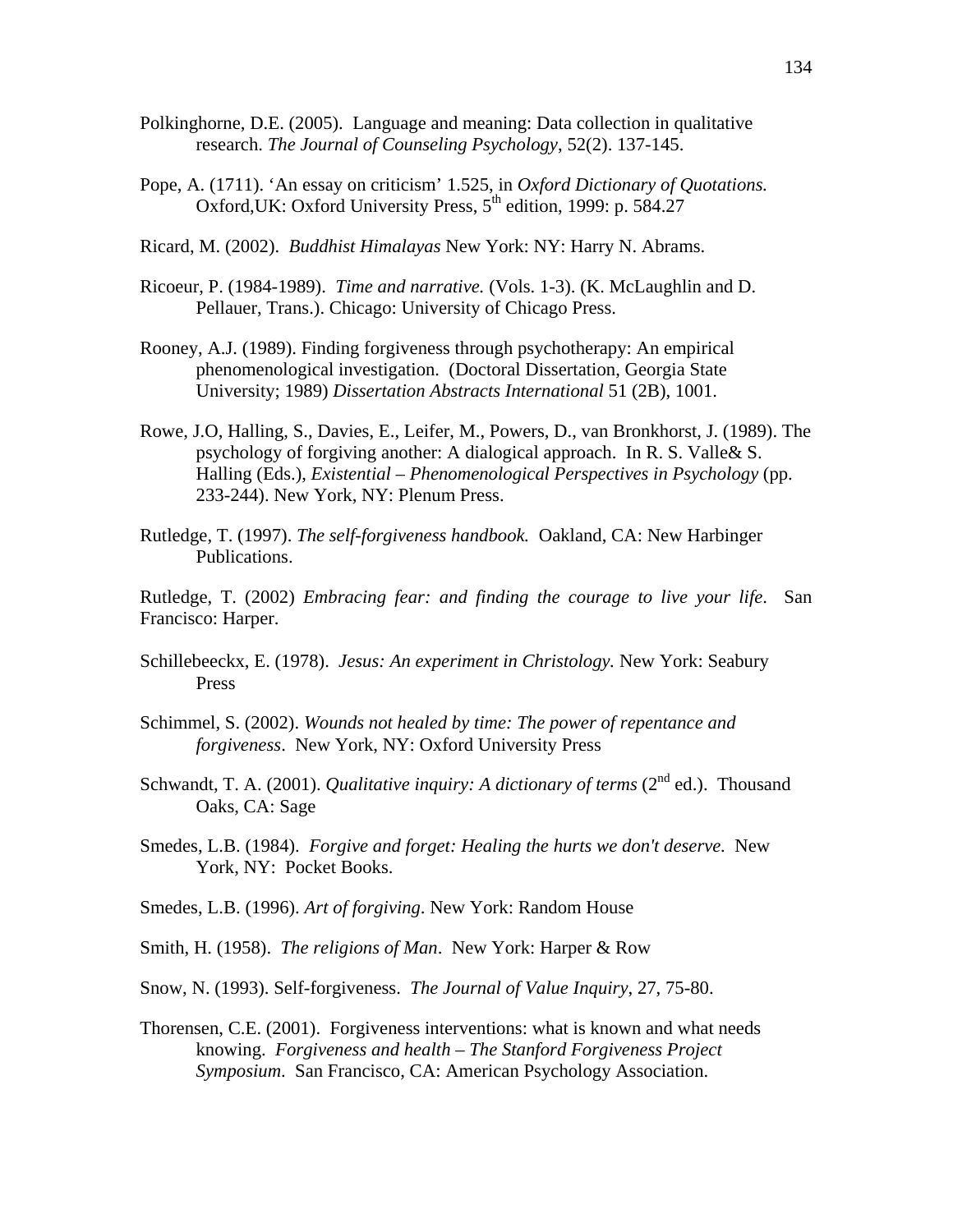- Polkinghorne, D.E. (2005). Language and meaning: Data collection in qualitative research. *The Journal of Counseling Psychology*, 52(2). 137-145.
- Pope, A. (1711). 'An essay on criticism' 1.525, in *Oxford Dictionary of Quotations.*  Oxford, UK: Oxford University Press, 5<sup>th</sup> edition, 1999: p. 584.27
- Ricard, M. (2002). *Buddhist Himalayas* New York: NY: Harry N. Abrams.
- Ricoeur, P. (1984-1989). *Time and narrative.* (Vols. 1-3). (K. McLaughlin and D. Pellauer, Trans.). Chicago: University of Chicago Press.
- Rooney, A.J. (1989). Finding forgiveness through psychotherapy: An empirical phenomenological investigation. (Doctoral Dissertation, Georgia State University; 1989) *Dissertation Abstracts International* 51 (2B), 1001.
- Rowe, J.O, Halling, S., Davies, E., Leifer, M., Powers, D., van Bronkhorst, J. (1989). The psychology of forgiving another: A dialogical approach. In R. S. Valle& S. Halling (Eds.), *Existential – Phenomenological Perspectives in Psychology* (pp. 233-244). New York, NY: Plenum Press.
- Rutledge, T. (1997). *The self-forgiveness handbook.* Oakland, CA: New Harbinger Publications.

Rutledge, T. (2002) *Embracing fear: and finding the courage to live your life*. San Francisco: Harper.

- Schillebeeckx, E. (1978). *Jesus: An experiment in Christology.* New York: Seabury Press
- Schimmel, S. (2002). *Wounds not healed by time: The power of repentance and forgiveness*. New York, NY: Oxford University Press
- Schwandt, T. A. (2001). *Qualitative inquiry: A dictionary of terms* (2<sup>nd</sup> ed.). Thousand Oaks, CA: Sage
- Smedes, L.B. (1984). *Forgive and forget: Healing the hurts we don't deserve.* New York, NY: Pocket Books.
- Smedes, L.B. (1996). *Art of forgiving*. New York: Random House
- Smith, H. (1958). *The religions of Man*. New York: Harper & Row
- Snow, N. (1993). Self-forgiveness. *The Journal of Value Inquiry*, 27, 75-80.
- Thorensen, C.E. (2001). Forgiveness interventions: what is known and what needs knowing. *Forgiveness and health – The Stanford Forgiveness Project Symposium*. San Francisco, CA: American Psychology Association.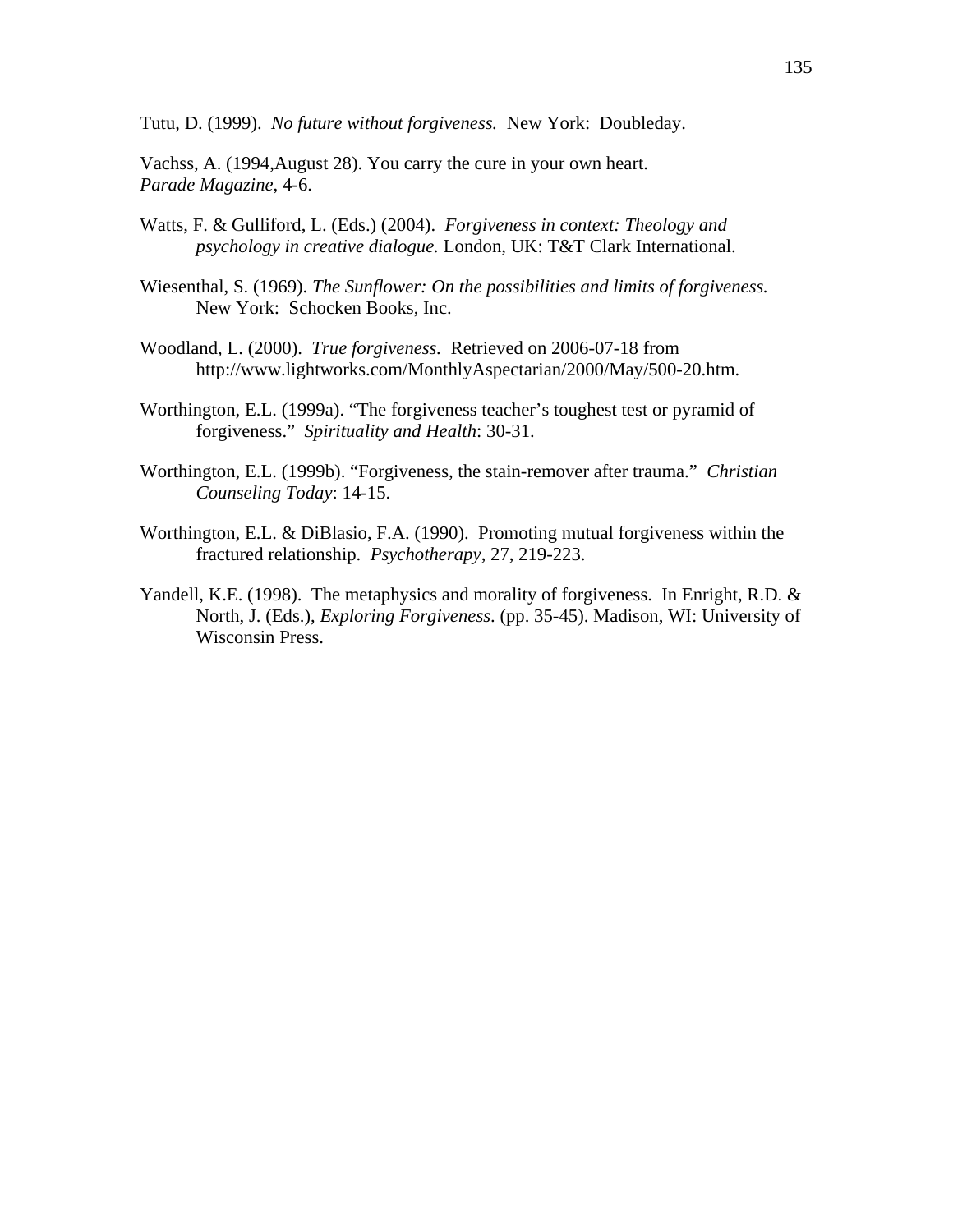Tutu, D. (1999). *No future without forgiveness.* New York: Doubleday.

Vachss, A. (1994,August 28). You carry the cure in your own heart. *Parade Magazine*, 4-6.

- Watts, F. & Gulliford, L. (Eds.) (2004). *Forgiveness in context: Theology and psychology in creative dialogue.* London, UK: T&T Clark International.
- Wiesenthal, S. (1969). *The Sunflower: On the possibilities and limits of forgiveness.* New York: Schocken Books, Inc.
- Woodland, L. (2000). *True forgiveness.* Retrieved on 2006-07-18 from http://www.lightworks.com/MonthlyAspectarian/2000/May/500-20.htm.
- Worthington, E.L. (1999a). "The forgiveness teacher's toughest test or pyramid of forgiveness." *Spirituality and Health*: 30-31.
- Worthington, E.L. (1999b). "Forgiveness, the stain-remover after trauma." *Christian Counseling Today*: 14-15.
- Worthington, E.L. & DiBlasio, F.A. (1990). Promoting mutual forgiveness within the fractured relationship. *Psychotherapy*, 27, 219-223.
- Yandell, K.E. (1998). The metaphysics and morality of forgiveness. In Enright, R.D.  $\&$ North, J. (Eds.), *Exploring Forgiveness*. (pp. 35-45). Madison, WI: University of Wisconsin Press.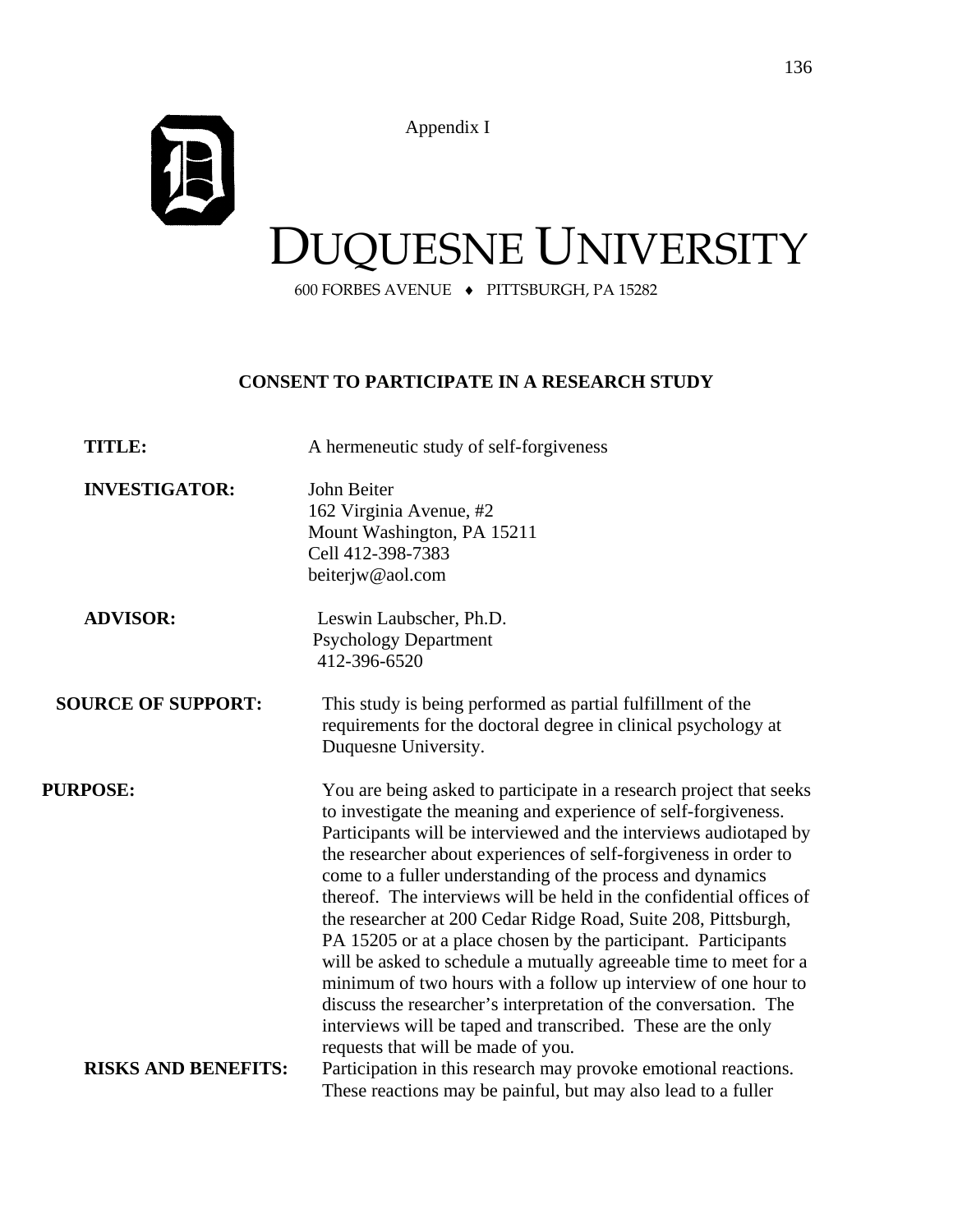Appendix I



# DUQUESNE UNIVERSITY

600 FORBES AVENUE ♦ PITTSBURGH, PA 15282

### **CONSENT TO PARTICIPATE IN A RESEARCH STUDY**

| <b>TITLE:</b>              | A hermeneutic study of self-forgiveness                                                                                                                                                                                                                                                                                                                                                                                                                                                                                                                                                                                                                                                                                                                                                                                            |
|----------------------------|------------------------------------------------------------------------------------------------------------------------------------------------------------------------------------------------------------------------------------------------------------------------------------------------------------------------------------------------------------------------------------------------------------------------------------------------------------------------------------------------------------------------------------------------------------------------------------------------------------------------------------------------------------------------------------------------------------------------------------------------------------------------------------------------------------------------------------|
| <b>INVESTIGATOR:</b>       | John Beiter<br>162 Virginia Avenue, #2<br>Mount Washington, PA 15211<br>Cell 412-398-7383<br>beiterjw@aol.com                                                                                                                                                                                                                                                                                                                                                                                                                                                                                                                                                                                                                                                                                                                      |
| <b>ADVISOR:</b>            | Leswin Laubscher, Ph.D.<br><b>Psychology Department</b><br>412-396-6520                                                                                                                                                                                                                                                                                                                                                                                                                                                                                                                                                                                                                                                                                                                                                            |
| <b>SOURCE OF SUPPORT:</b>  | This study is being performed as partial fulfillment of the<br>requirements for the doctoral degree in clinical psychology at<br>Duquesne University.                                                                                                                                                                                                                                                                                                                                                                                                                                                                                                                                                                                                                                                                              |
| <b>PURPOSE:</b>            | You are being asked to participate in a research project that seeks<br>to investigate the meaning and experience of self-forgiveness.<br>Participants will be interviewed and the interviews audiotaped by<br>the researcher about experiences of self-forgiveness in order to<br>come to a fuller understanding of the process and dynamics<br>thereof. The interviews will be held in the confidential offices of<br>the researcher at 200 Cedar Ridge Road, Suite 208, Pittsburgh,<br>PA 15205 or at a place chosen by the participant. Participants<br>will be asked to schedule a mutually agreeable time to meet for a<br>minimum of two hours with a follow up interview of one hour to<br>discuss the researcher's interpretation of the conversation. The<br>interviews will be taped and transcribed. These are the only |
| <b>RISKS AND BENEFITS:</b> | requests that will be made of you.<br>Participation in this research may provoke emotional reactions.<br>These reactions may be painful, but may also lead to a fuller                                                                                                                                                                                                                                                                                                                                                                                                                                                                                                                                                                                                                                                             |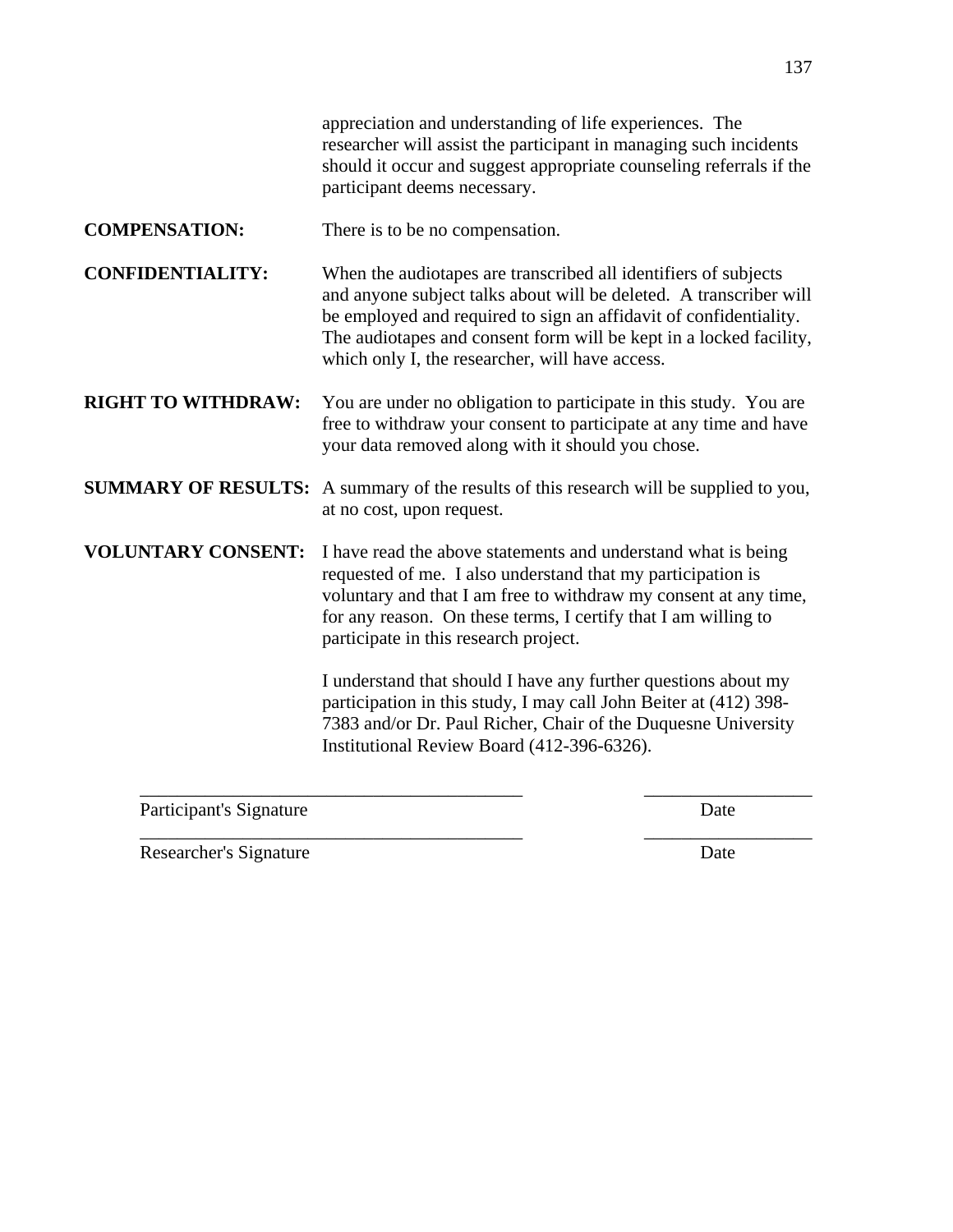|                           | appreciation and understanding of life experiences. The<br>researcher will assist the participant in managing such incidents<br>should it occur and suggest appropriate counseling referrals if the<br>participant deems necessary.                                                                                                 |      |  |
|---------------------------|-------------------------------------------------------------------------------------------------------------------------------------------------------------------------------------------------------------------------------------------------------------------------------------------------------------------------------------|------|--|
| <b>COMPENSATION:</b>      | There is to be no compensation.                                                                                                                                                                                                                                                                                                     |      |  |
| <b>CONFIDENTIALITY:</b>   | When the audiotapes are transcribed all identifiers of subjects<br>and anyone subject talks about will be deleted. A transcriber will<br>be employed and required to sign an affidavit of confidentiality.<br>The audiotapes and consent form will be kept in a locked facility,<br>which only I, the researcher, will have access. |      |  |
| <b>RIGHT TO WITHDRAW:</b> | You are under no obligation to participate in this study. You are<br>free to withdraw your consent to participate at any time and have<br>your data removed along with it should you chose.                                                                                                                                         |      |  |
|                           | <b>SUMMARY OF RESULTS:</b> A summary of the results of this research will be supplied to you,<br>at no cost, upon request.                                                                                                                                                                                                          |      |  |
| <b>VOLUNTARY CONSENT:</b> | I have read the above statements and understand what is being<br>requested of me. I also understand that my participation is<br>voluntary and that I am free to withdraw my consent at any time,<br>for any reason. On these terms, I certify that I am willing to<br>participate in this research project.                         |      |  |
|                           | I understand that should I have any further questions about my<br>participation in this study, I may call John Beiter at (412) 398-<br>7383 and/or Dr. Paul Richer, Chair of the Duquesne University<br>Institutional Review Board (412-396-6326).                                                                                  |      |  |
| Participant's Signature   |                                                                                                                                                                                                                                                                                                                                     | Date |  |

Researcher's Signature Date

\_\_\_\_\_\_\_\_\_\_\_\_\_\_\_\_\_\_\_\_\_\_\_\_\_\_\_\_\_\_\_\_\_\_\_\_\_\_\_\_\_ \_\_\_\_\_\_\_\_\_\_\_\_\_\_\_\_\_\_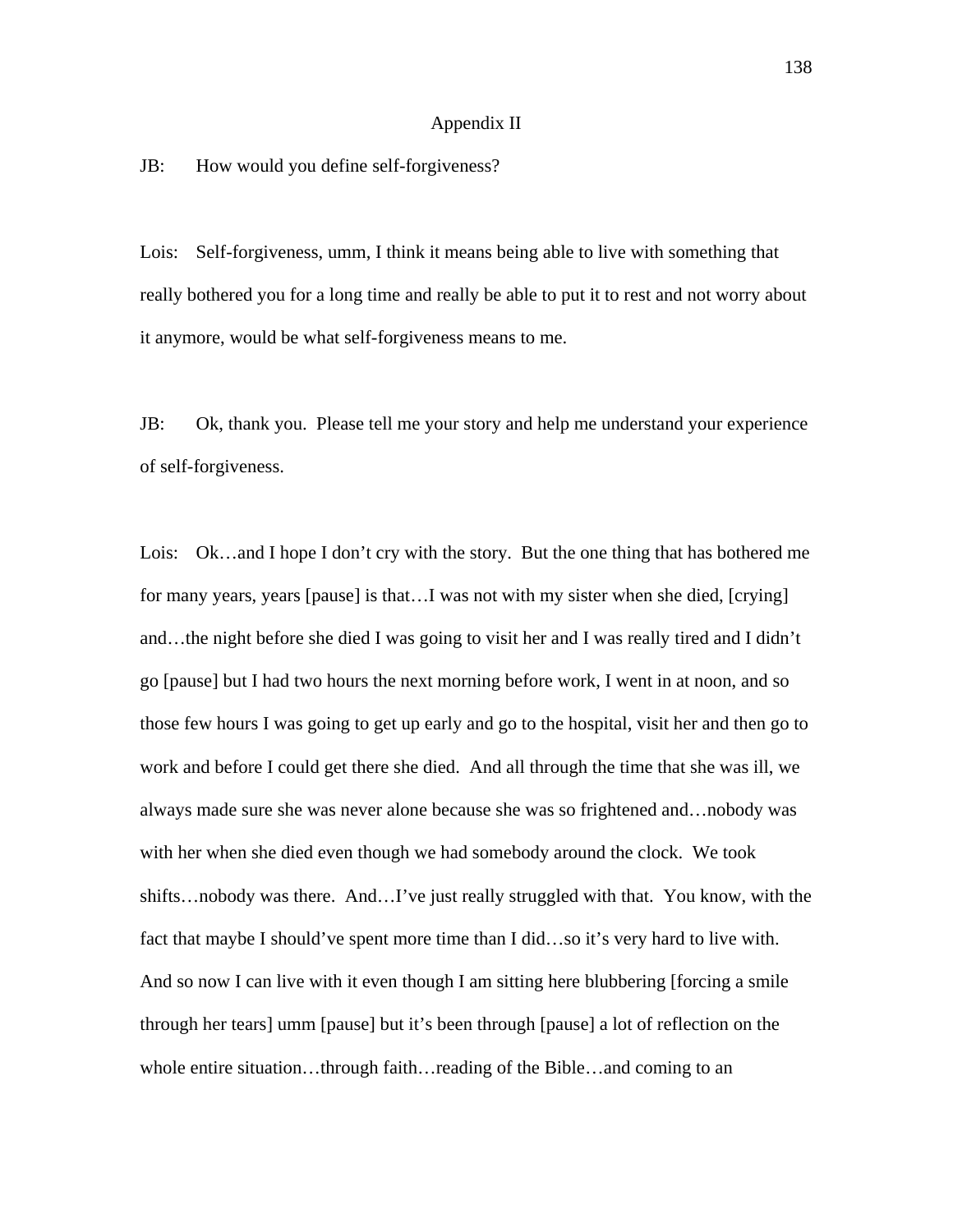#### Appendix II

### JB: How would you define self-forgiveness?

Lois: Self-forgiveness, umm, I think it means being able to live with something that really bothered you for a long time and really be able to put it to rest and not worry about it anymore, would be what self-forgiveness means to me.

JB: Ok, thank you. Please tell me your story and help me understand your experience of self-forgiveness.

Lois: Ok…and I hope I don't cry with the story. But the one thing that has bothered me for many years, years [pause] is that…I was not with my sister when she died, [crying] and…the night before she died I was going to visit her and I was really tired and I didn't go [pause] but I had two hours the next morning before work, I went in at noon, and so those few hours I was going to get up early and go to the hospital, visit her and then go to work and before I could get there she died. And all through the time that she was ill, we always made sure she was never alone because she was so frightened and…nobody was with her when she died even though we had somebody around the clock. We took shifts…nobody was there. And…I've just really struggled with that. You know, with the fact that maybe I should've spent more time than I did…so it's very hard to live with. And so now I can live with it even though I am sitting here blubbering [forcing a smile through her tears] umm [pause] but it's been through [pause] a lot of reflection on the whole entire situation…through faith…reading of the Bible…and coming to an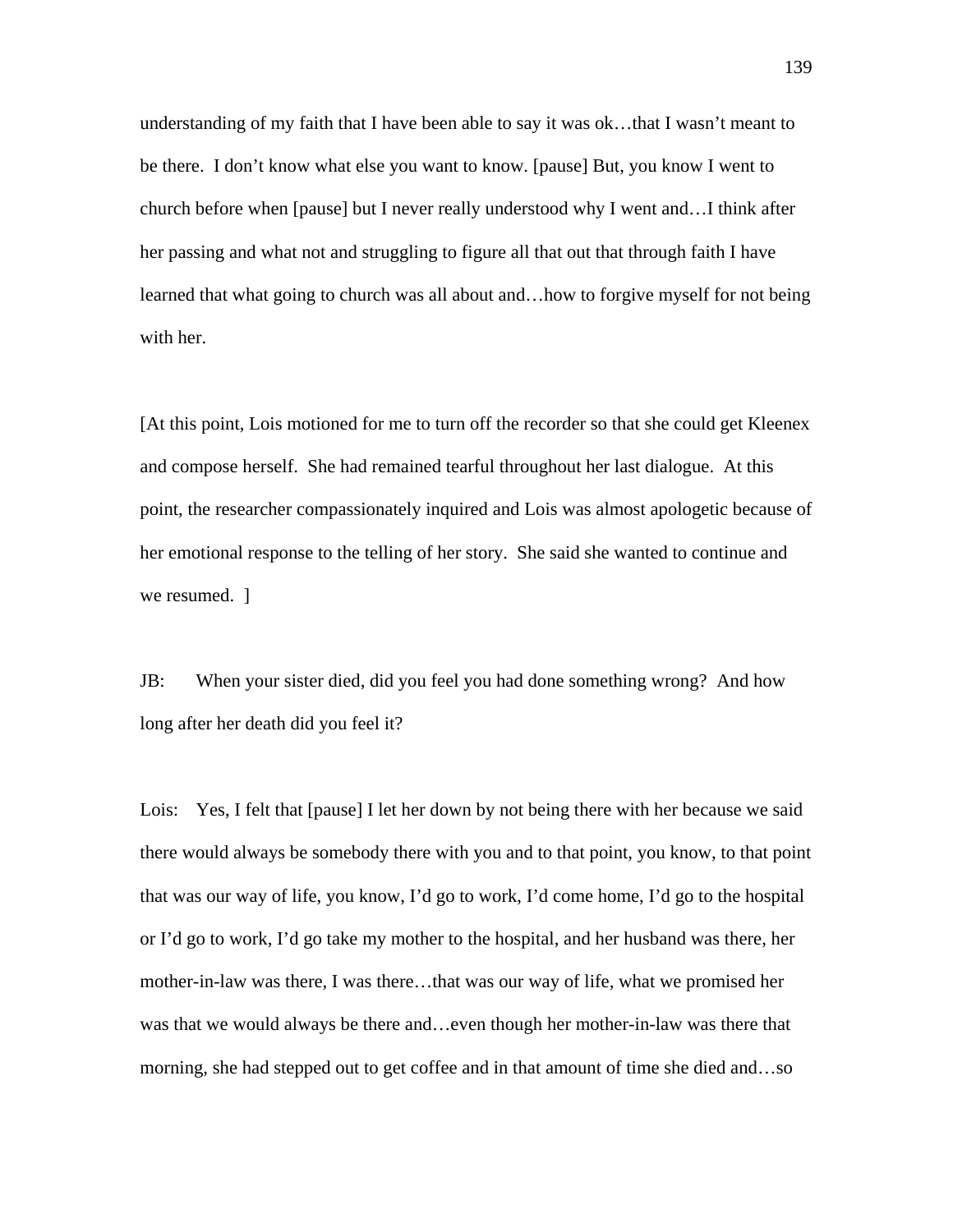understanding of my faith that I have been able to say it was ok…that I wasn't meant to be there. I don't know what else you want to know. [pause] But, you know I went to church before when [pause] but I never really understood why I went and…I think after her passing and what not and struggling to figure all that out that through faith I have learned that what going to church was all about and…how to forgive myself for not being with her.

[At this point, Lois motioned for me to turn off the recorder so that she could get Kleenex and compose herself. She had remained tearful throughout her last dialogue. At this point, the researcher compassionately inquired and Lois was almost apologetic because of her emotional response to the telling of her story. She said she wanted to continue and we resumed. ]

JB: When your sister died, did you feel you had done something wrong? And how long after her death did you feel it?

Lois: Yes, I felt that [pause] I let her down by not being there with her because we said there would always be somebody there with you and to that point, you know, to that point that was our way of life, you know, I'd go to work, I'd come home, I'd go to the hospital or I'd go to work, I'd go take my mother to the hospital, and her husband was there, her mother-in-law was there, I was there…that was our way of life, what we promised her was that we would always be there and…even though her mother-in-law was there that morning, she had stepped out to get coffee and in that amount of time she died and…so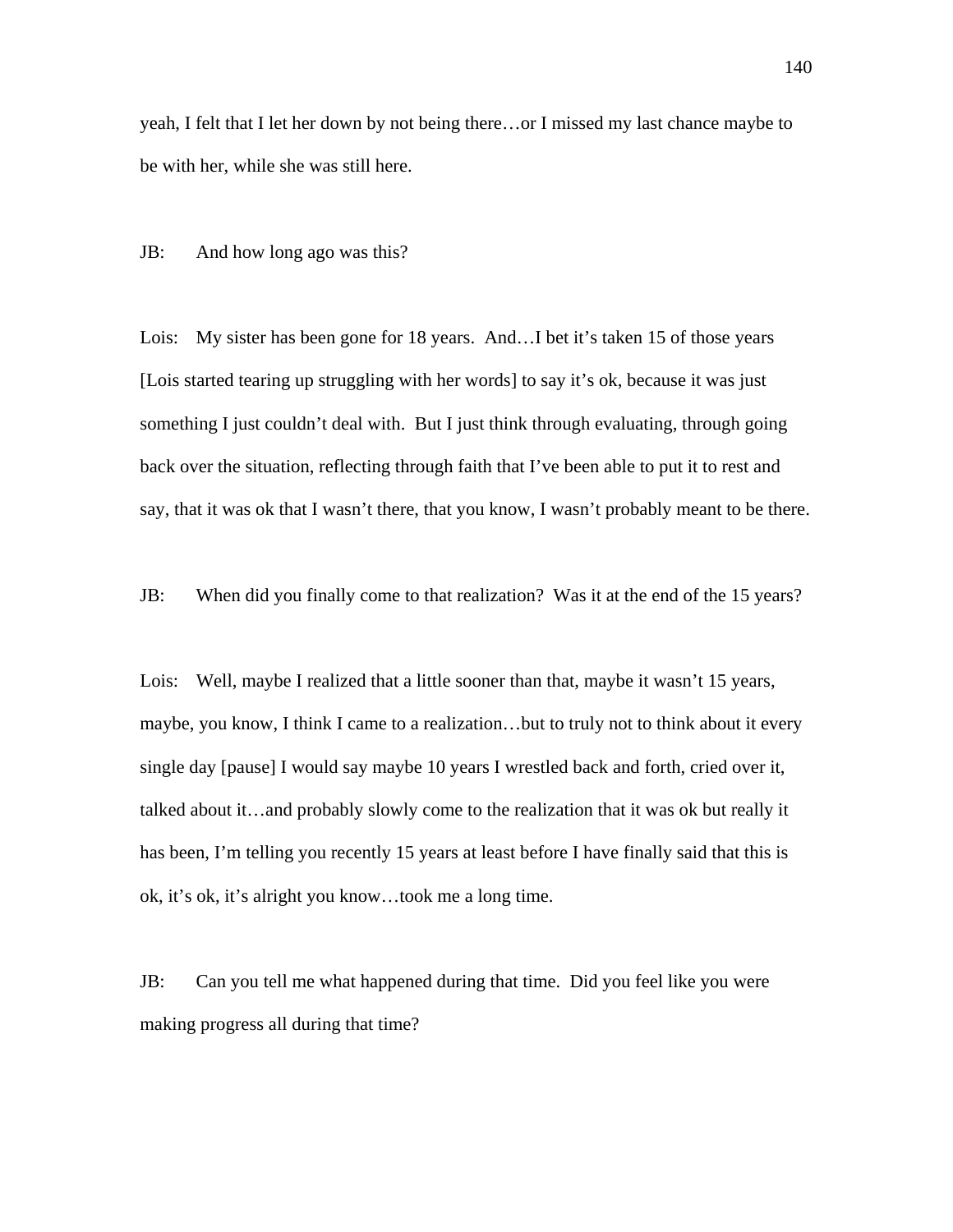yeah, I felt that I let her down by not being there…or I missed my last chance maybe to be with her, while she was still here.

JB: And how long ago was this?

Lois: My sister has been gone for 18 years. And...I bet it's taken 15 of those years [Lois started tearing up struggling with her words] to say it's ok, because it was just something I just couldn't deal with. But I just think through evaluating, through going back over the situation, reflecting through faith that I've been able to put it to rest and say, that it was ok that I wasn't there, that you know, I wasn't probably meant to be there.

JB: When did you finally come to that realization? Was it at the end of the 15 years?

Lois: Well, maybe I realized that a little sooner than that, maybe it wasn't 15 years, maybe, you know, I think I came to a realization…but to truly not to think about it every single day [pause] I would say maybe 10 years I wrestled back and forth, cried over it, talked about it…and probably slowly come to the realization that it was ok but really it has been, I'm telling you recently 15 years at least before I have finally said that this is ok, it's ok, it's alright you know…took me a long time.

JB: Can you tell me what happened during that time. Did you feel like you were making progress all during that time?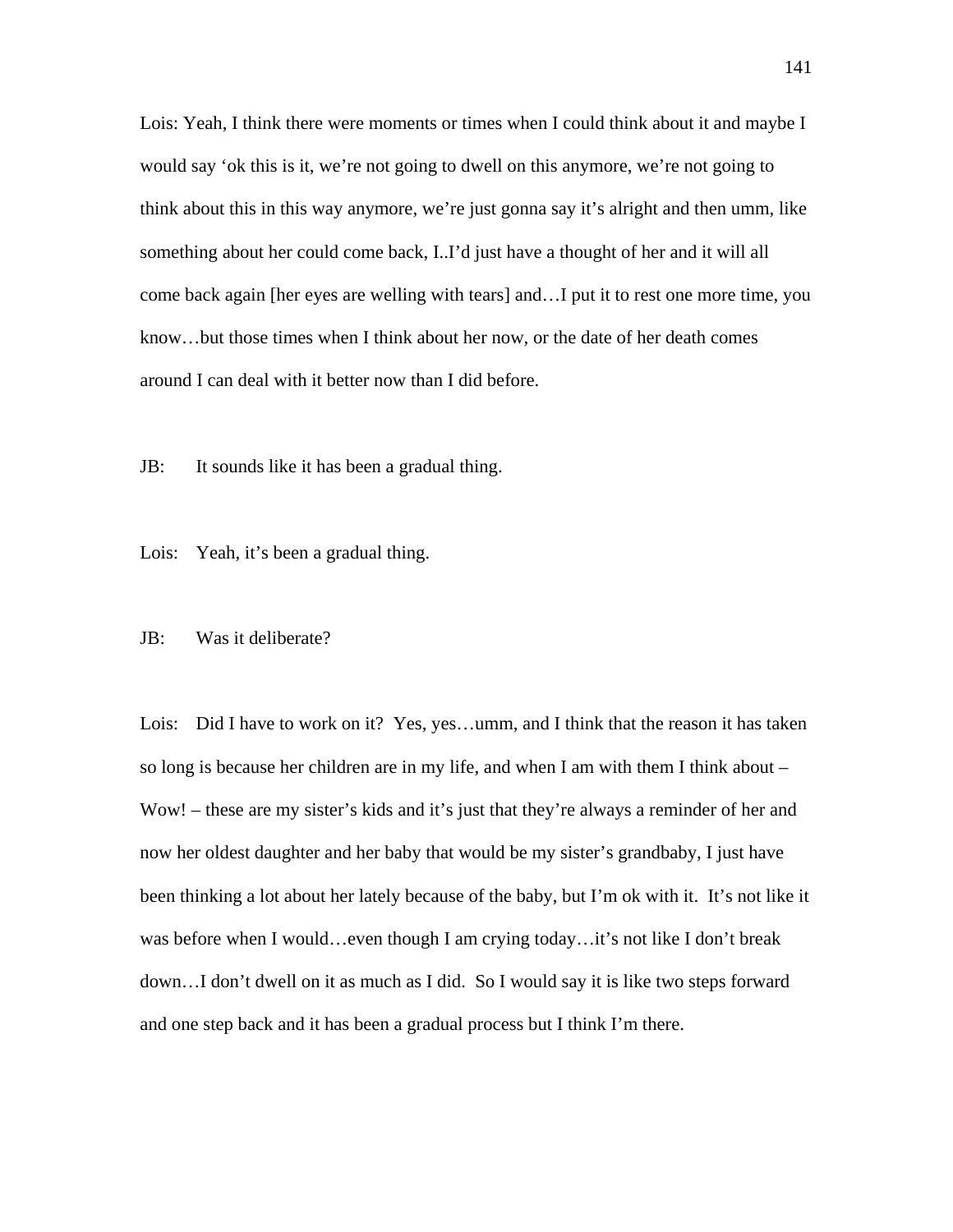Lois: Yeah, I think there were moments or times when I could think about it and maybe I would say 'ok this is it, we're not going to dwell on this anymore, we're not going to think about this in this way anymore, we're just gonna say it's alright and then umm, like something about her could come back, I..I'd just have a thought of her and it will all come back again [her eyes are welling with tears] and…I put it to rest one more time, you know…but those times when I think about her now, or the date of her death comes around I can deal with it better now than I did before.

JB: It sounds like it has been a gradual thing.

Lois: Yeah, it's been a gradual thing.

#### JB: Was it deliberate?

Lois: Did I have to work on it? Yes, yes...umm, and I think that the reason it has taken so long is because her children are in my life, and when I am with them I think about – Wow! – these are my sister's kids and it's just that they're always a reminder of her and now her oldest daughter and her baby that would be my sister's grandbaby, I just have been thinking a lot about her lately because of the baby, but I'm ok with it. It's not like it was before when I would…even though I am crying today…it's not like I don't break down…I don't dwell on it as much as I did. So I would say it is like two steps forward and one step back and it has been a gradual process but I think I'm there.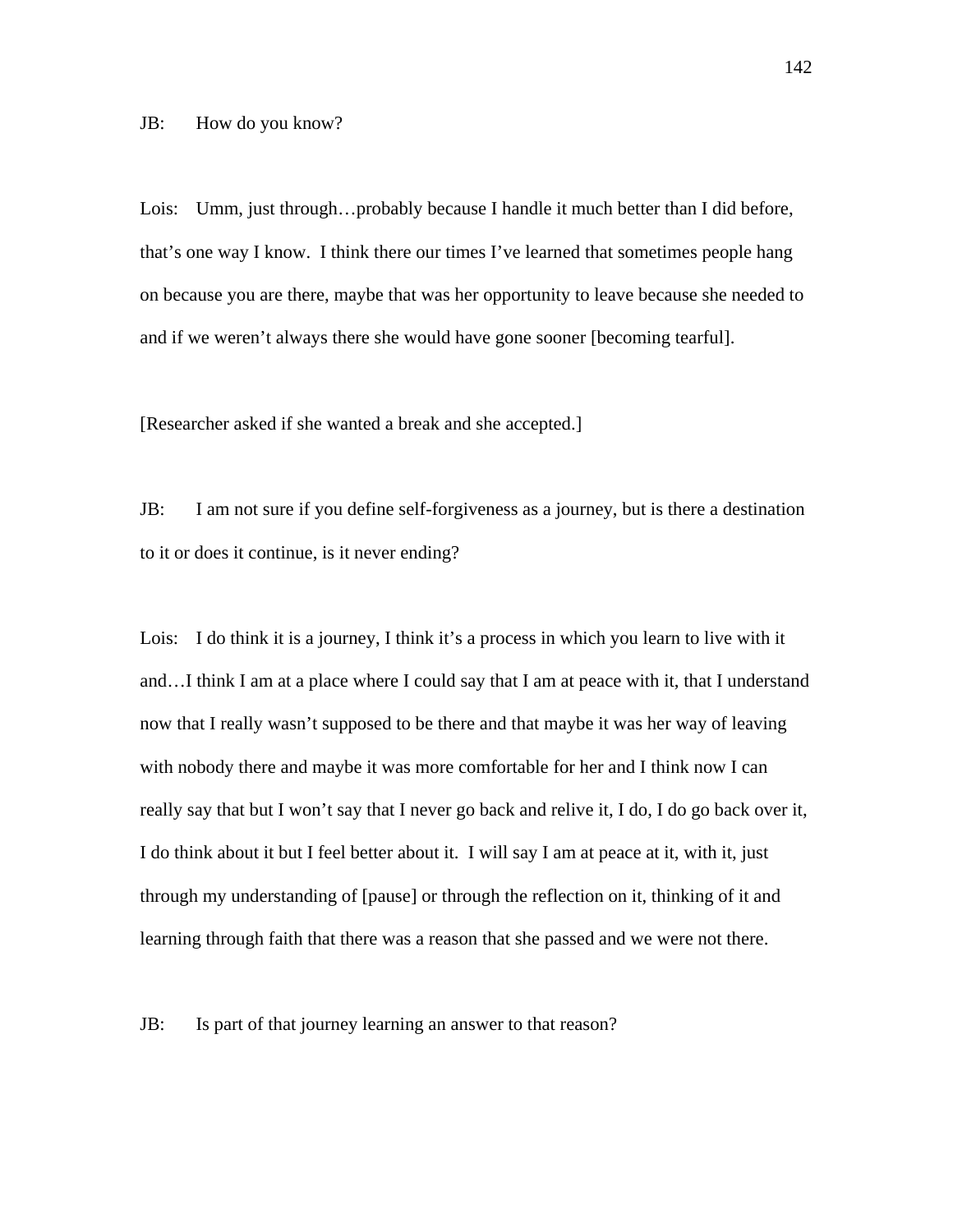#### JB: How do you know?

Lois: Umm, just through...probably because I handle it much better than I did before, that's one way I know. I think there our times I've learned that sometimes people hang on because you are there, maybe that was her opportunity to leave because she needed to and if we weren't always there she would have gone sooner [becoming tearful].

[Researcher asked if she wanted a break and she accepted.]

JB: I am not sure if you define self-forgiveness as a journey, but is there a destination to it or does it continue, is it never ending?

Lois: I do think it is a journey, I think it's a process in which you learn to live with it and…I think I am at a place where I could say that I am at peace with it, that I understand now that I really wasn't supposed to be there and that maybe it was her way of leaving with nobody there and maybe it was more comfortable for her and I think now I can really say that but I won't say that I never go back and relive it, I do, I do go back over it, I do think about it but I feel better about it. I will say I am at peace at it, with it, just through my understanding of [pause] or through the reflection on it, thinking of it and learning through faith that there was a reason that she passed and we were not there.

JB: Is part of that journey learning an answer to that reason?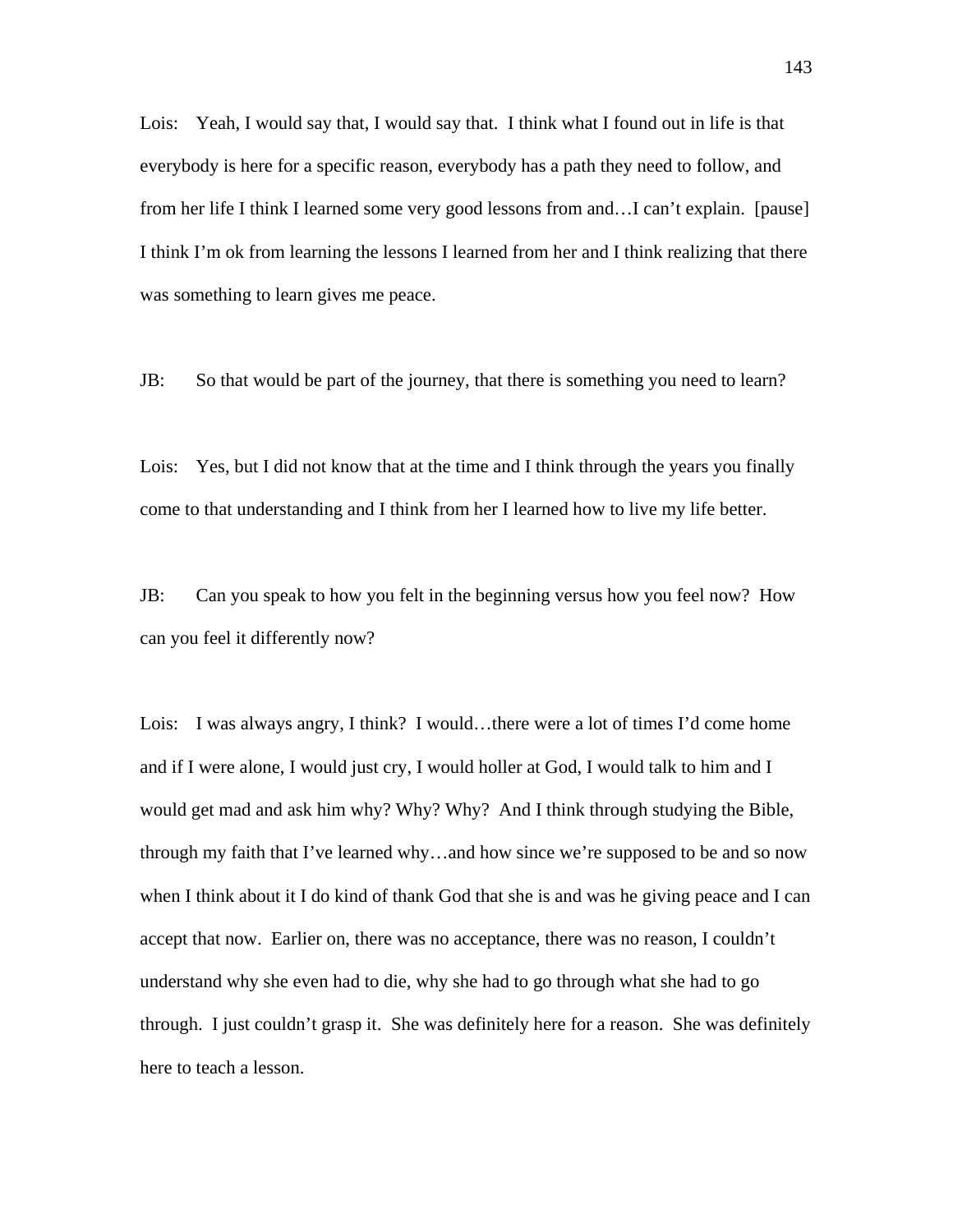Lois: Yeah, I would say that, I would say that. I think what I found out in life is that everybody is here for a specific reason, everybody has a path they need to follow, and from her life I think I learned some very good lessons from and…I can't explain. [pause] I think I'm ok from learning the lessons I learned from her and I think realizing that there was something to learn gives me peace.

JB: So that would be part of the journey, that there is something you need to learn?

Lois: Yes, but I did not know that at the time and I think through the years you finally come to that understanding and I think from her I learned how to live my life better.

JB: Can you speak to how you felt in the beginning versus how you feel now? How can you feel it differently now?

Lois: I was always angry, I think? I would...there were a lot of times I'd come home and if I were alone, I would just cry, I would holler at God, I would talk to him and I would get mad and ask him why? Why? Why? And I think through studying the Bible, through my faith that I've learned why…and how since we're supposed to be and so now when I think about it I do kind of thank God that she is and was he giving peace and I can accept that now. Earlier on, there was no acceptance, there was no reason, I couldn't understand why she even had to die, why she had to go through what she had to go through. I just couldn't grasp it. She was definitely here for a reason. She was definitely here to teach a lesson.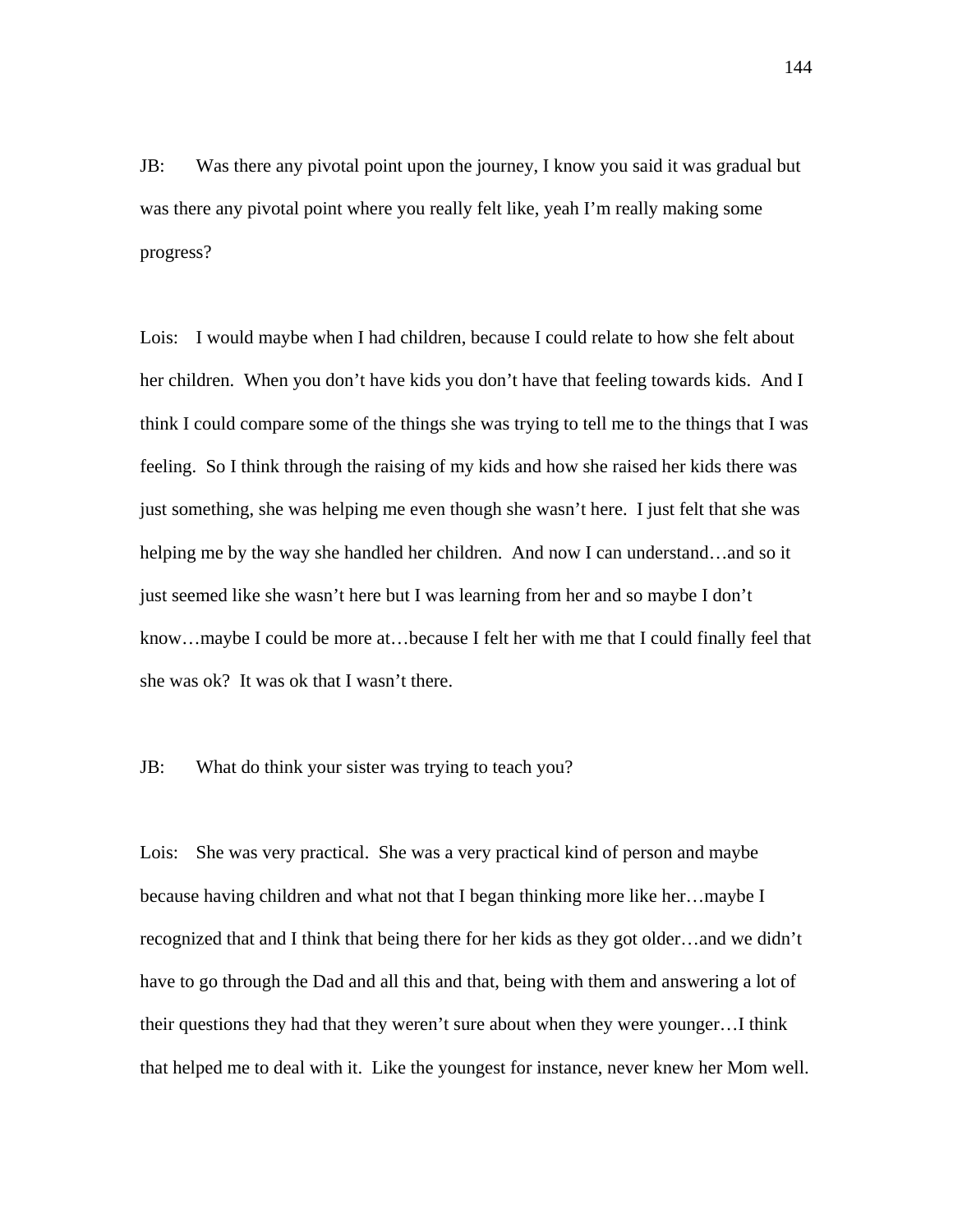JB: Was there any pivotal point upon the journey, I know you said it was gradual but was there any pivotal point where you really felt like, yeah I'm really making some progress?

Lois: I would maybe when I had children, because I could relate to how she felt about her children. When you don't have kids you don't have that feeling towards kids. And I think I could compare some of the things she was trying to tell me to the things that I was feeling. So I think through the raising of my kids and how she raised her kids there was just something, she was helping me even though she wasn't here. I just felt that she was helping me by the way she handled her children. And now I can understand...and so it just seemed like she wasn't here but I was learning from her and so maybe I don't know…maybe I could be more at…because I felt her with me that I could finally feel that she was ok? It was ok that I wasn't there.

# JB: What do think your sister was trying to teach you?

Lois: She was very practical. She was a very practical kind of person and maybe because having children and what not that I began thinking more like her…maybe I recognized that and I think that being there for her kids as they got older…and we didn't have to go through the Dad and all this and that, being with them and answering a lot of their questions they had that they weren't sure about when they were younger…I think that helped me to deal with it. Like the youngest for instance, never knew her Mom well.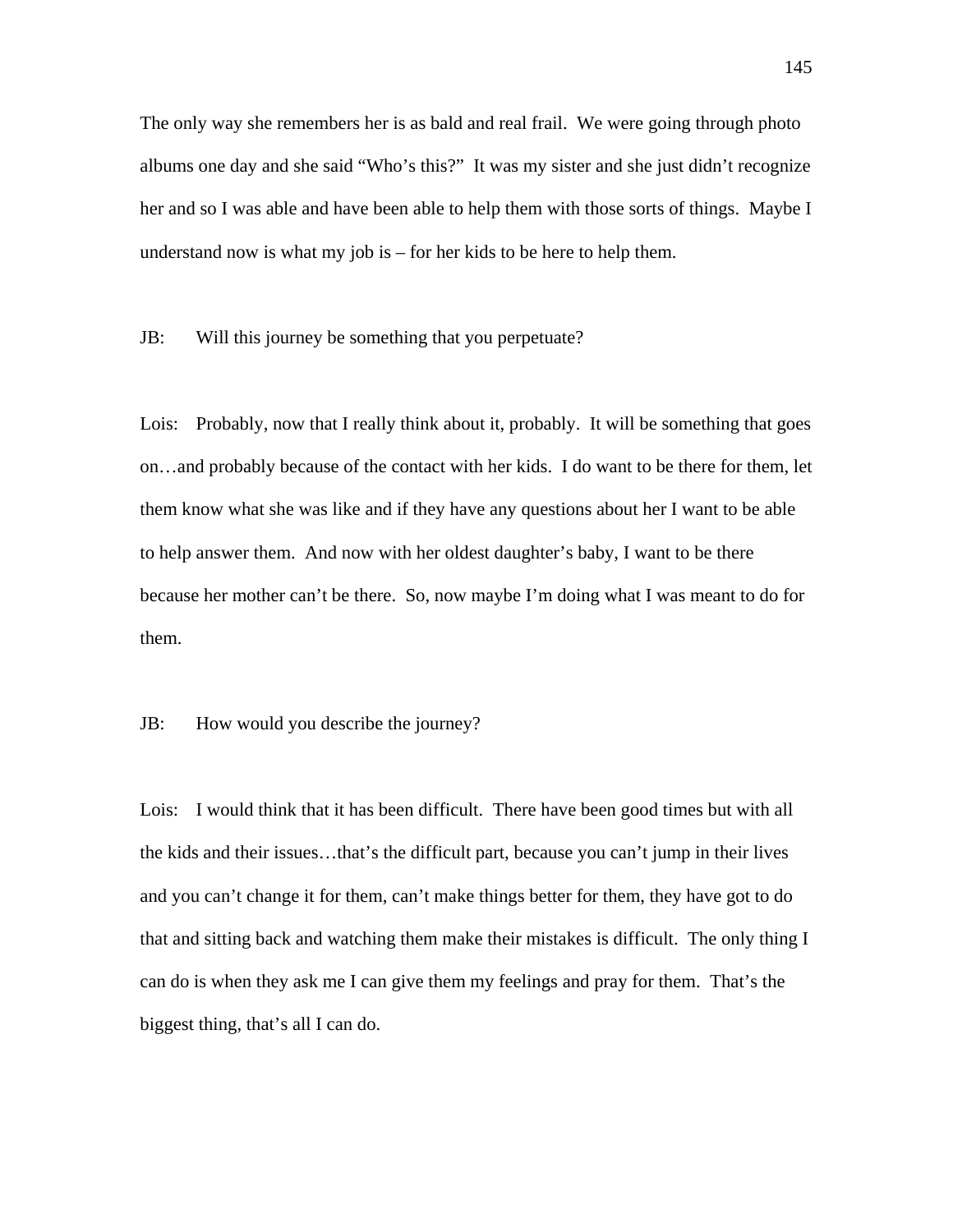The only way she remembers her is as bald and real frail. We were going through photo albums one day and she said "Who's this?" It was my sister and she just didn't recognize her and so I was able and have been able to help them with those sorts of things. Maybe I understand now is what my job is – for her kids to be here to help them.

JB: Will this journey be something that you perpetuate?

Lois: Probably, now that I really think about it, probably. It will be something that goes on…and probably because of the contact with her kids. I do want to be there for them, let them know what she was like and if they have any questions about her I want to be able to help answer them. And now with her oldest daughter's baby, I want to be there because her mother can't be there. So, now maybe I'm doing what I was meant to do for them.

JB: How would you describe the journey?

Lois: I would think that it has been difficult. There have been good times but with all the kids and their issues…that's the difficult part, because you can't jump in their lives and you can't change it for them, can't make things better for them, they have got to do that and sitting back and watching them make their mistakes is difficult. The only thing I can do is when they ask me I can give them my feelings and pray for them. That's the biggest thing, that's all I can do.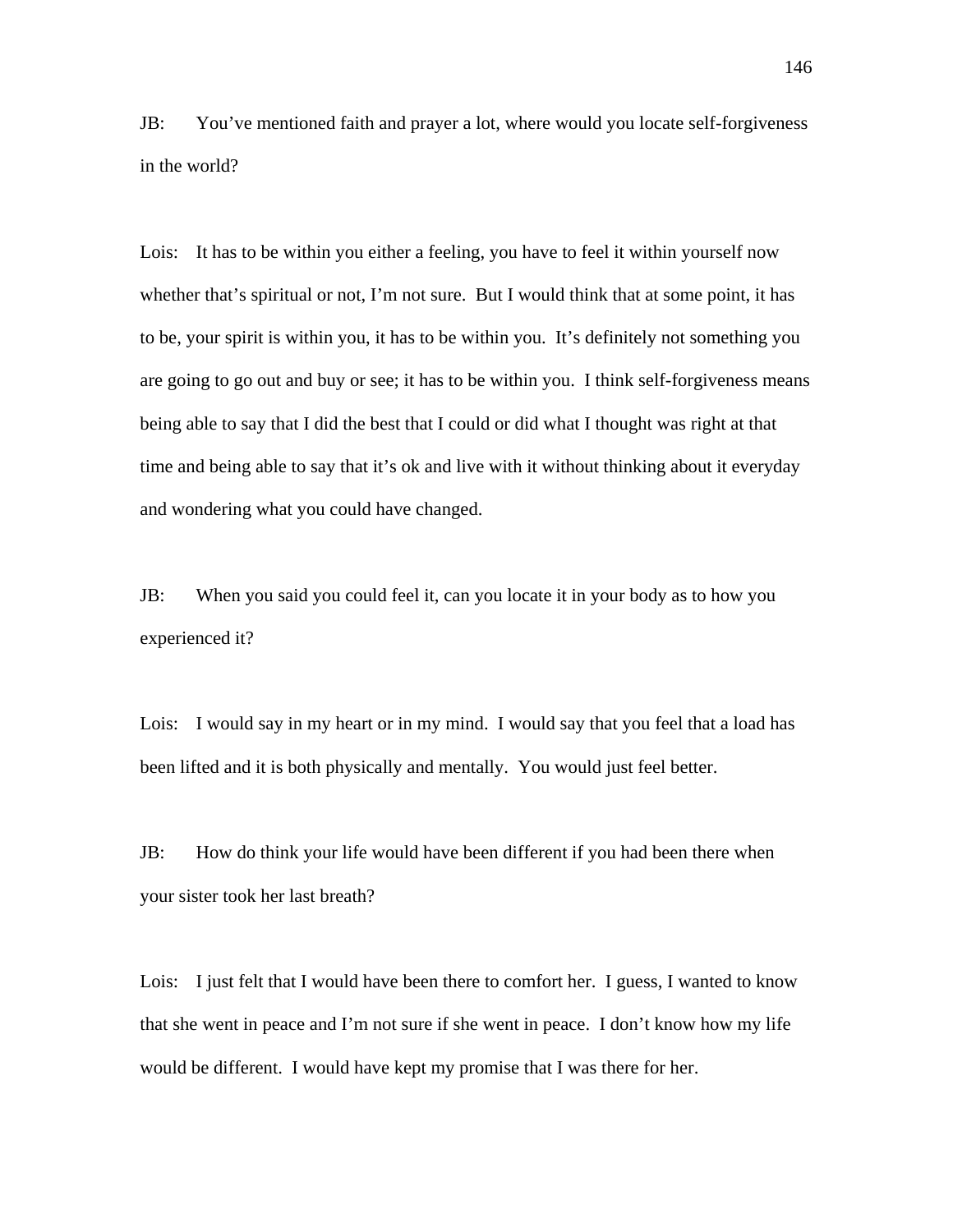JB: You've mentioned faith and prayer a lot, where would you locate self-forgiveness in the world?

Lois: It has to be within you either a feeling, you have to feel it within yourself now whether that's spiritual or not, I'm not sure. But I would think that at some point, it has to be, your spirit is within you, it has to be within you. It's definitely not something you are going to go out and buy or see; it has to be within you. I think self-forgiveness means being able to say that I did the best that I could or did what I thought was right at that time and being able to say that it's ok and live with it without thinking about it everyday and wondering what you could have changed.

JB: When you said you could feel it, can you locate it in your body as to how you experienced it?

Lois: I would say in my heart or in my mind. I would say that you feel that a load has been lifted and it is both physically and mentally. You would just feel better.

JB: How do think your life would have been different if you had been there when your sister took her last breath?

Lois: I just felt that I would have been there to comfort her. I guess, I wanted to know that she went in peace and I'm not sure if she went in peace. I don't know how my life would be different. I would have kept my promise that I was there for her.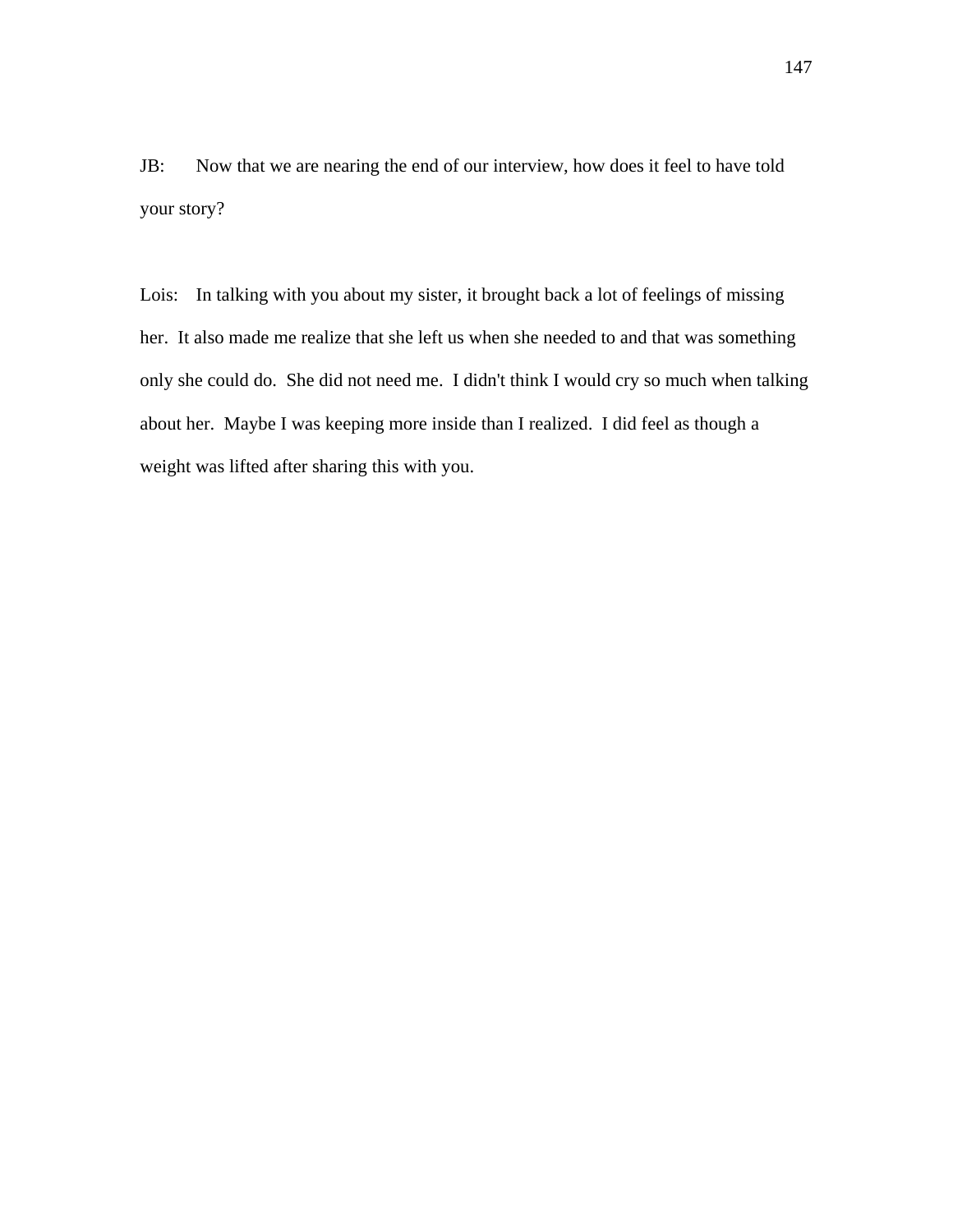JB: Now that we are nearing the end of our interview, how does it feel to have told your story?

Lois: In talking with you about my sister, it brought back a lot of feelings of missing her. It also made me realize that she left us when she needed to and that was something only she could do. She did not need me. I didn't think I would cry so much when talking about her. Maybe I was keeping more inside than I realized. I did feel as though a weight was lifted after sharing this with you.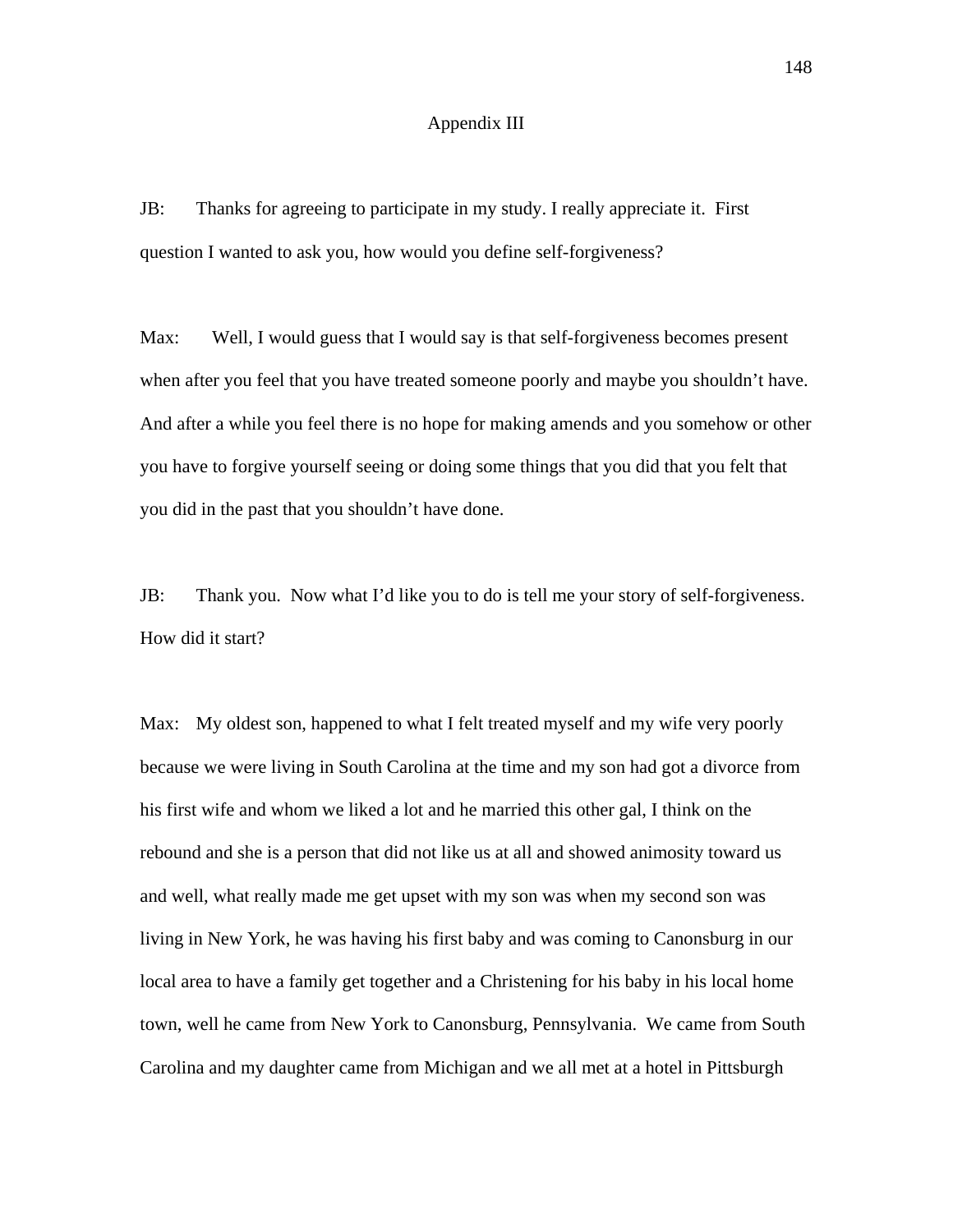# Appendix III

JB: Thanks for agreeing to participate in my study. I really appreciate it. First question I wanted to ask you, how would you define self-forgiveness?

Max: Well, I would guess that I would say is that self-forgiveness becomes present when after you feel that you have treated someone poorly and maybe you shouldn't have. And after a while you feel there is no hope for making amends and you somehow or other you have to forgive yourself seeing or doing some things that you did that you felt that you did in the past that you shouldn't have done.

JB: Thank you. Now what I'd like you to do is tell me your story of self-forgiveness. How did it start?

Max: My oldest son, happened to what I felt treated myself and my wife very poorly because we were living in South Carolina at the time and my son had got a divorce from his first wife and whom we liked a lot and he married this other gal, I think on the rebound and she is a person that did not like us at all and showed animosity toward us and well, what really made me get upset with my son was when my second son was living in New York, he was having his first baby and was coming to Canonsburg in our local area to have a family get together and a Christening for his baby in his local home town, well he came from New York to Canonsburg, Pennsylvania. We came from South Carolina and my daughter came from Michigan and we all met at a hotel in Pittsburgh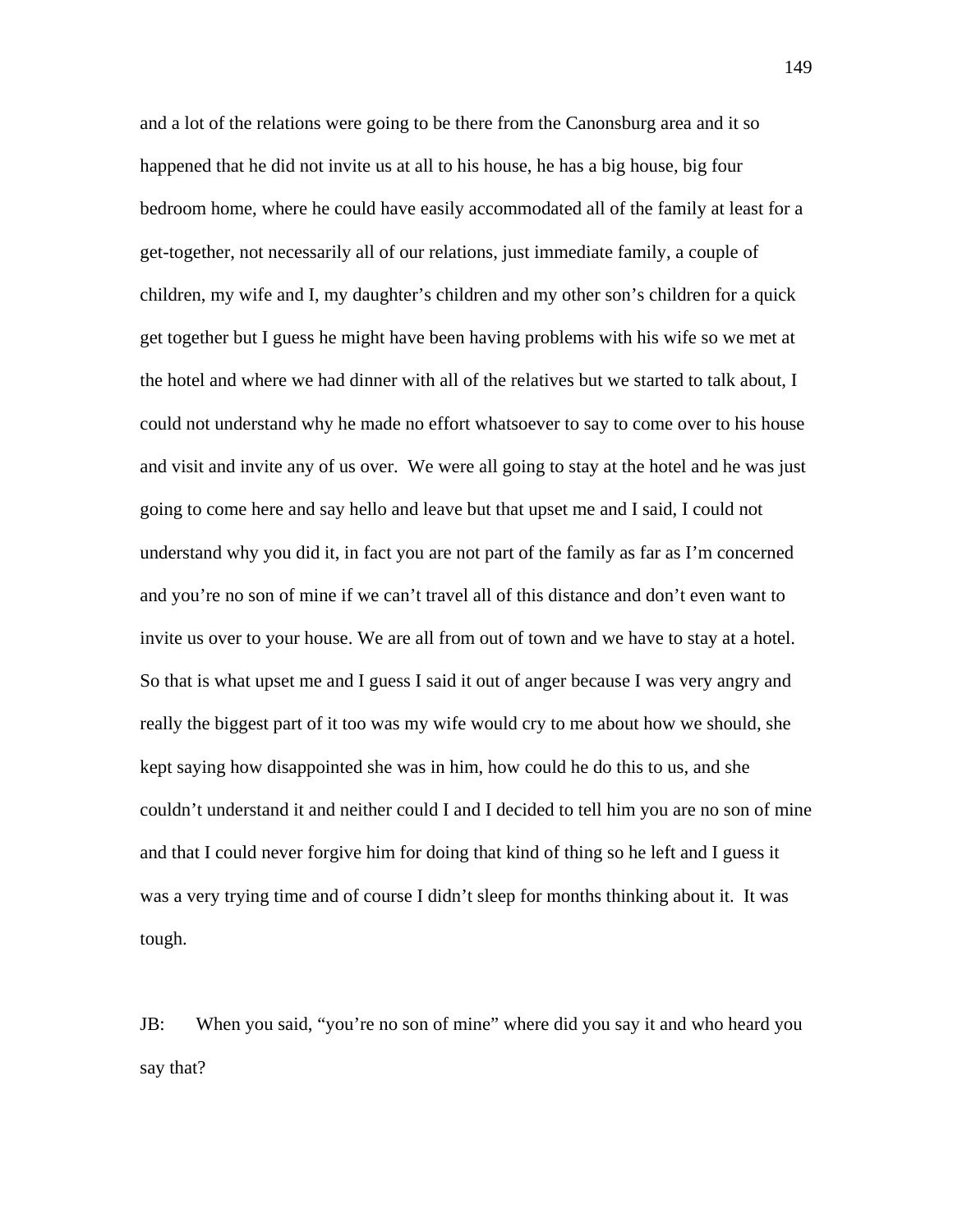and a lot of the relations were going to be there from the Canonsburg area and it so happened that he did not invite us at all to his house, he has a big house, big four bedroom home, where he could have easily accommodated all of the family at least for a get-together, not necessarily all of our relations, just immediate family, a couple of children, my wife and I, my daughter's children and my other son's children for a quick get together but I guess he might have been having problems with his wife so we met at the hotel and where we had dinner with all of the relatives but we started to talk about, I could not understand why he made no effort whatsoever to say to come over to his house and visit and invite any of us over. We were all going to stay at the hotel and he was just going to come here and say hello and leave but that upset me and I said, I could not understand why you did it, in fact you are not part of the family as far as I'm concerned and you're no son of mine if we can't travel all of this distance and don't even want to invite us over to your house. We are all from out of town and we have to stay at a hotel. So that is what upset me and I guess I said it out of anger because I was very angry and really the biggest part of it too was my wife would cry to me about how we should, she kept saying how disappointed she was in him, how could he do this to us, and she couldn't understand it and neither could I and I decided to tell him you are no son of mine and that I could never forgive him for doing that kind of thing so he left and I guess it was a very trying time and of course I didn't sleep for months thinking about it. It was tough.

JB: When you said, "you're no son of mine" where did you say it and who heard you say that?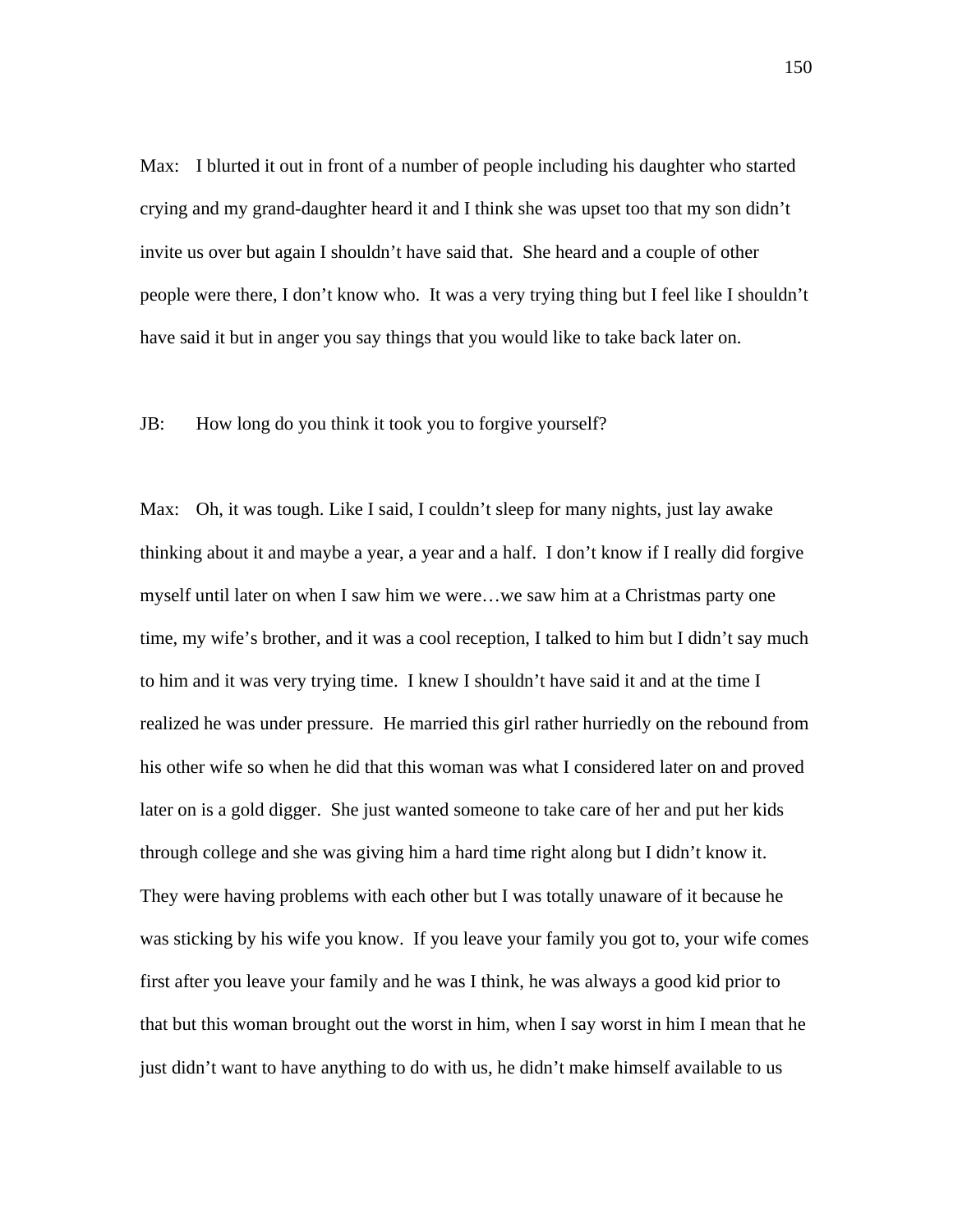Max: I blurted it out in front of a number of people including his daughter who started crying and my grand-daughter heard it and I think she was upset too that my son didn't invite us over but again I shouldn't have said that. She heard and a couple of other people were there, I don't know who. It was a very trying thing but I feel like I shouldn't have said it but in anger you say things that you would like to take back later on.

### JB: How long do you think it took you to forgive yourself?

Max: Oh, it was tough. Like I said, I couldn't sleep for many nights, just lay awake thinking about it and maybe a year, a year and a half. I don't know if I really did forgive myself until later on when I saw him we were…we saw him at a Christmas party one time, my wife's brother, and it was a cool reception, I talked to him but I didn't say much to him and it was very trying time. I knew I shouldn't have said it and at the time I realized he was under pressure. He married this girl rather hurriedly on the rebound from his other wife so when he did that this woman was what I considered later on and proved later on is a gold digger. She just wanted someone to take care of her and put her kids through college and she was giving him a hard time right along but I didn't know it. They were having problems with each other but I was totally unaware of it because he was sticking by his wife you know. If you leave your family you got to, your wife comes first after you leave your family and he was I think, he was always a good kid prior to that but this woman brought out the worst in him, when I say worst in him I mean that he just didn't want to have anything to do with us, he didn't make himself available to us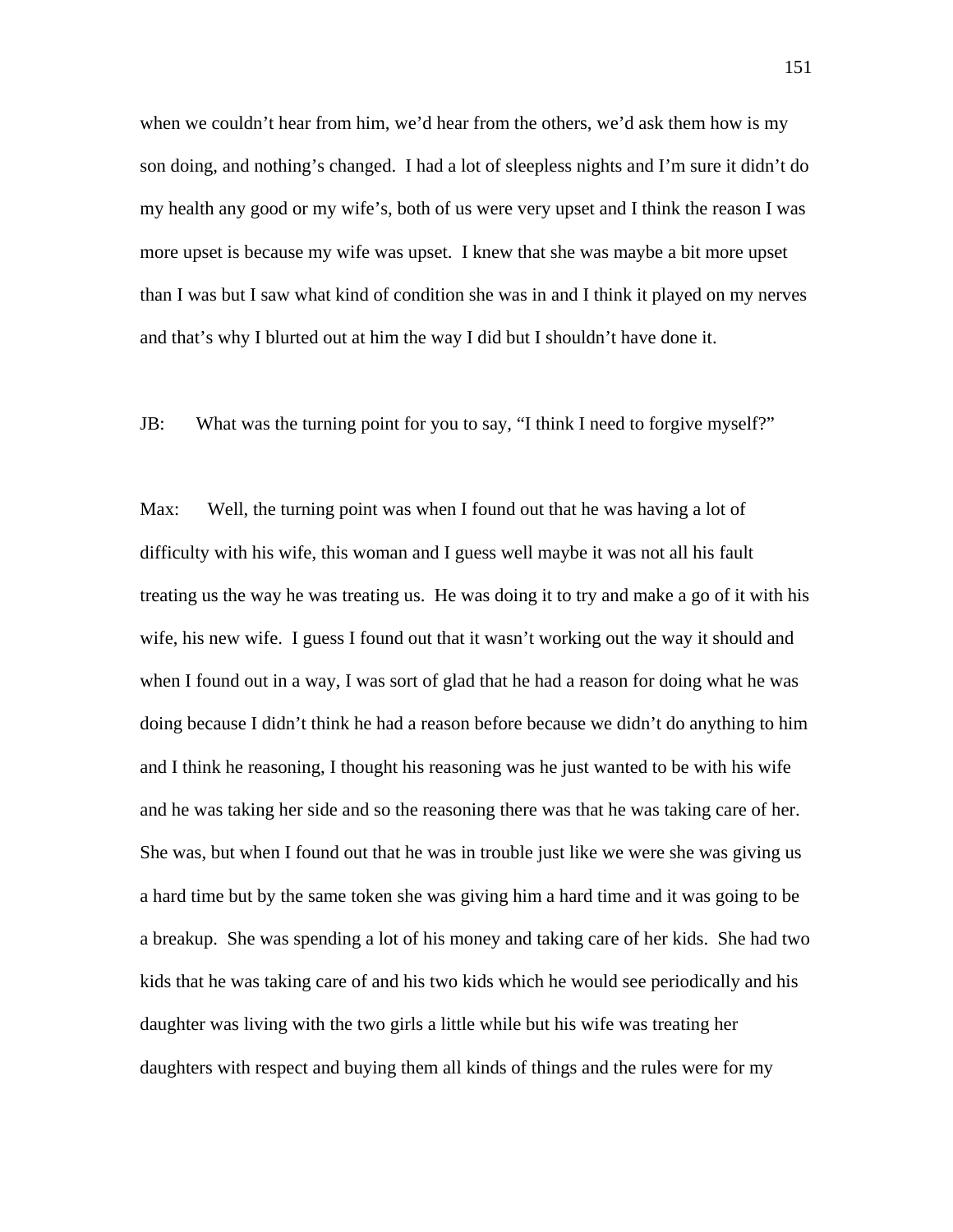when we couldn't hear from him, we'd hear from the others, we'd ask them how is my son doing, and nothing's changed. I had a lot of sleepless nights and I'm sure it didn't do my health any good or my wife's, both of us were very upset and I think the reason I was more upset is because my wife was upset. I knew that she was maybe a bit more upset than I was but I saw what kind of condition she was in and I think it played on my nerves and that's why I blurted out at him the way I did but I shouldn't have done it.

JB: What was the turning point for you to say, "I think I need to forgive myself?"

Max: Well, the turning point was when I found out that he was having a lot of difficulty with his wife, this woman and I guess well maybe it was not all his fault treating us the way he was treating us. He was doing it to try and make a go of it with his wife, his new wife. I guess I found out that it wasn't working out the way it should and when I found out in a way, I was sort of glad that he had a reason for doing what he was doing because I didn't think he had a reason before because we didn't do anything to him and I think he reasoning, I thought his reasoning was he just wanted to be with his wife and he was taking her side and so the reasoning there was that he was taking care of her. She was, but when I found out that he was in trouble just like we were she was giving us a hard time but by the same token she was giving him a hard time and it was going to be a breakup. She was spending a lot of his money and taking care of her kids. She had two kids that he was taking care of and his two kids which he would see periodically and his daughter was living with the two girls a little while but his wife was treating her daughters with respect and buying them all kinds of things and the rules were for my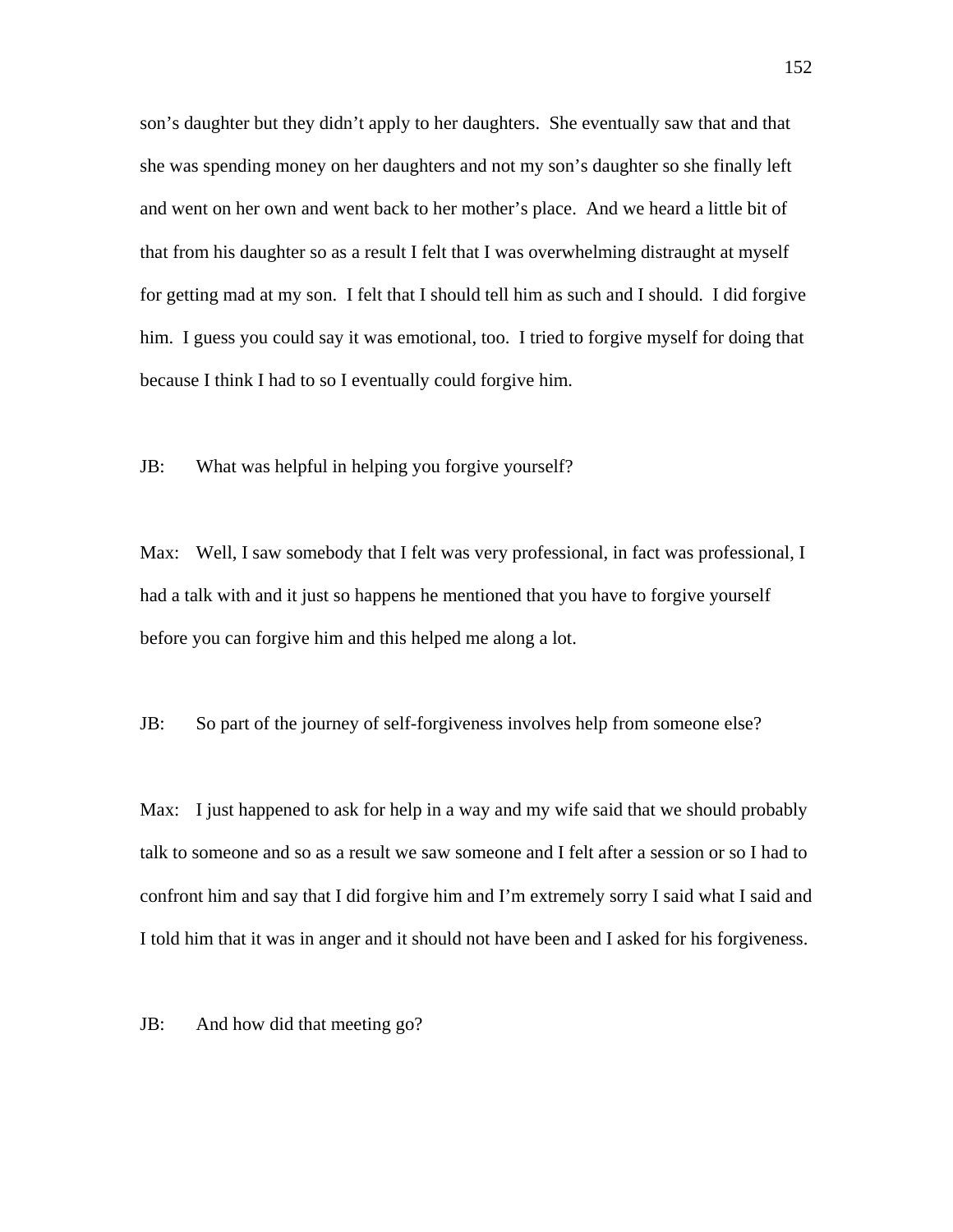son's daughter but they didn't apply to her daughters. She eventually saw that and that she was spending money on her daughters and not my son's daughter so she finally left and went on her own and went back to her mother's place. And we heard a little bit of that from his daughter so as a result I felt that I was overwhelming distraught at myself for getting mad at my son. I felt that I should tell him as such and I should. I did forgive him. I guess you could say it was emotional, too. I tried to forgive myself for doing that because I think I had to so I eventually could forgive him.

JB: What was helpful in helping you forgive yourself?

Max: Well, I saw somebody that I felt was very professional, in fact was professional, I had a talk with and it just so happens he mentioned that you have to forgive yourself before you can forgive him and this helped me along a lot.

JB: So part of the journey of self-forgiveness involves help from someone else?

Max: I just happened to ask for help in a way and my wife said that we should probably talk to someone and so as a result we saw someone and I felt after a session or so I had to confront him and say that I did forgive him and I'm extremely sorry I said what I said and I told him that it was in anger and it should not have been and I asked for his forgiveness.

JB: And how did that meeting go?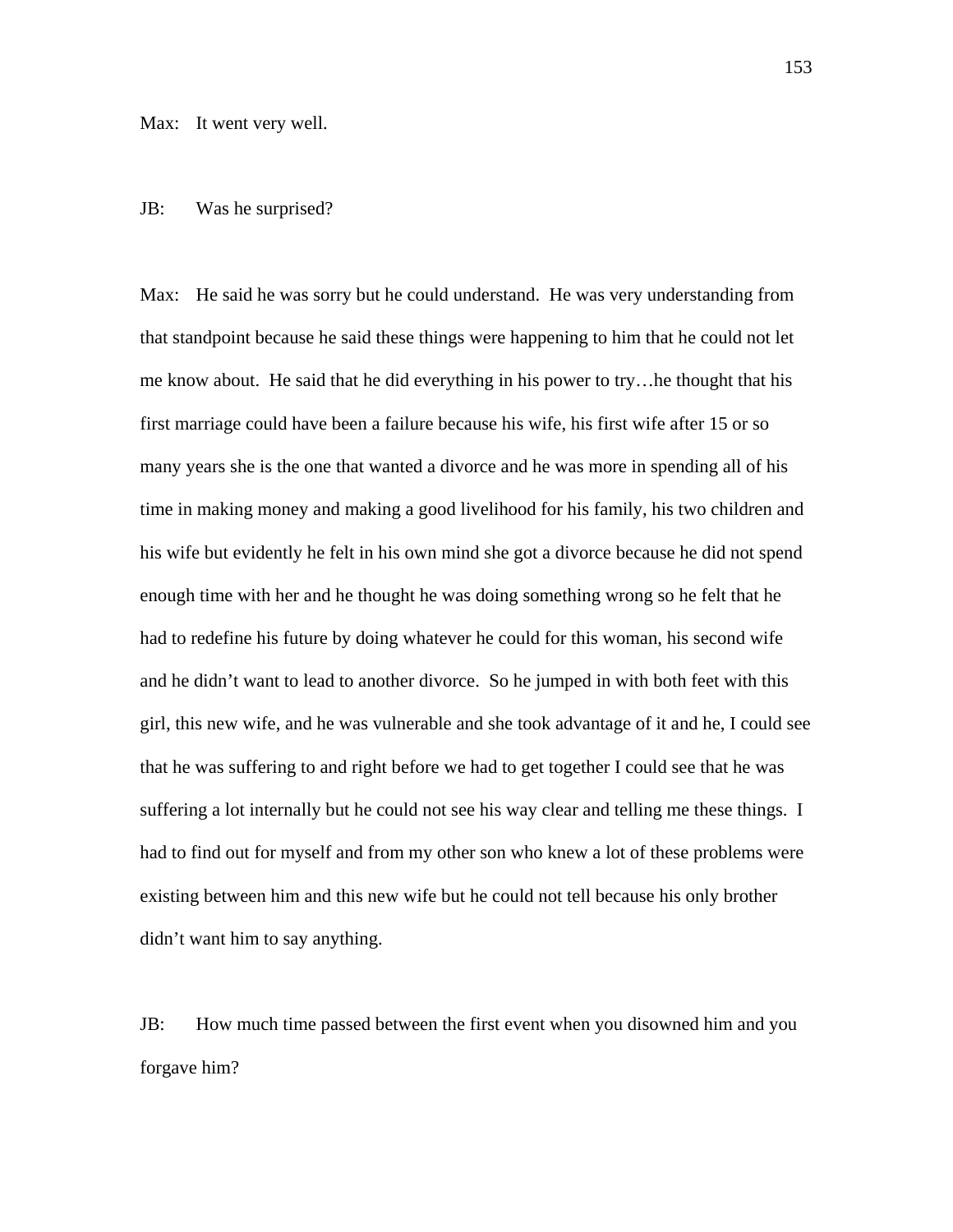### JB: Was he surprised?

Max: He said he was sorry but he could understand. He was very understanding from that standpoint because he said these things were happening to him that he could not let me know about. He said that he did everything in his power to try…he thought that his first marriage could have been a failure because his wife, his first wife after 15 or so many years she is the one that wanted a divorce and he was more in spending all of his time in making money and making a good livelihood for his family, his two children and his wife but evidently he felt in his own mind she got a divorce because he did not spend enough time with her and he thought he was doing something wrong so he felt that he had to redefine his future by doing whatever he could for this woman, his second wife and he didn't want to lead to another divorce. So he jumped in with both feet with this girl, this new wife, and he was vulnerable and she took advantage of it and he, I could see that he was suffering to and right before we had to get together I could see that he was suffering a lot internally but he could not see his way clear and telling me these things. I had to find out for myself and from my other son who knew a lot of these problems were existing between him and this new wife but he could not tell because his only brother didn't want him to say anything.

JB: How much time passed between the first event when you disowned him and you forgave him?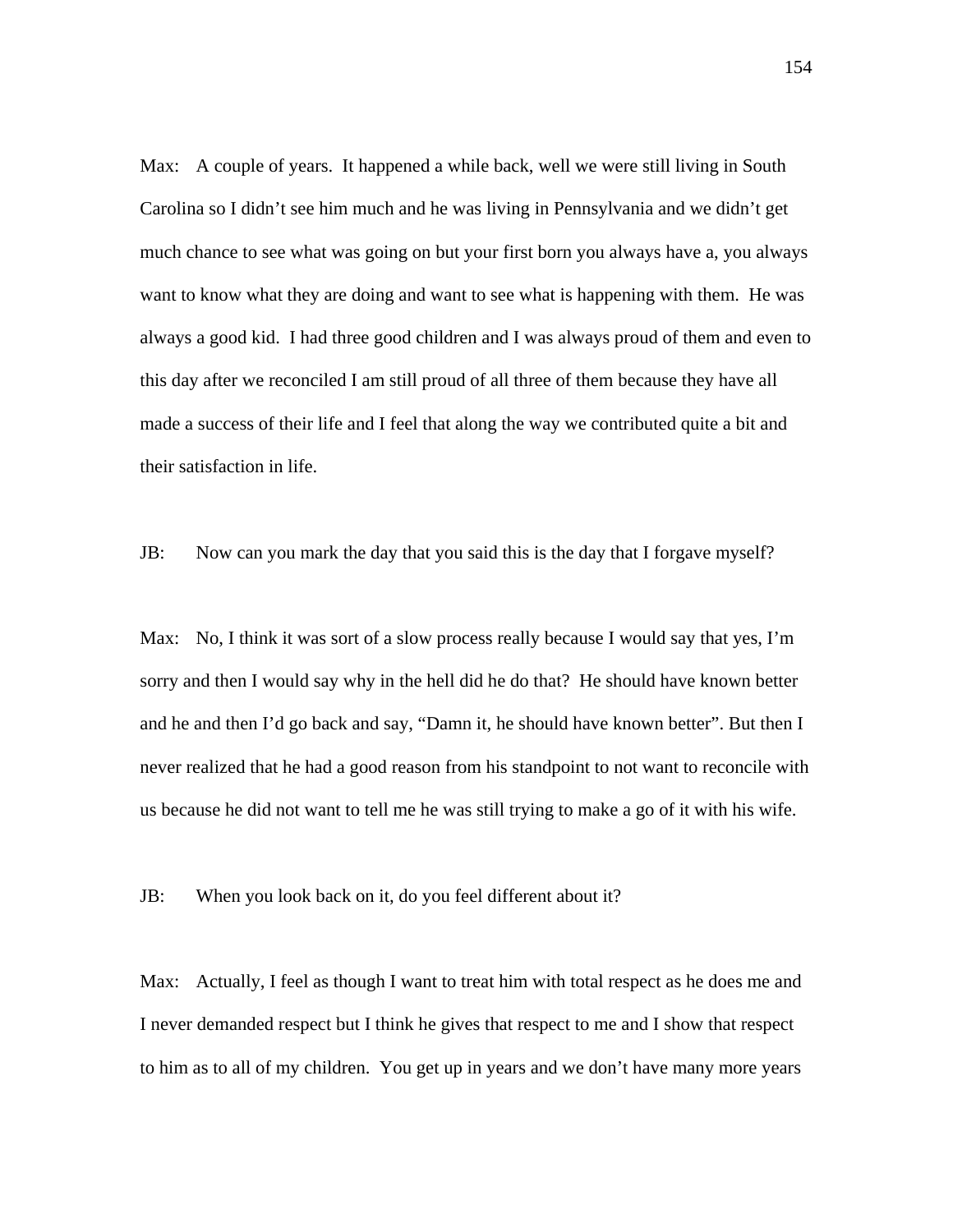Max: A couple of years. It happened a while back, well we were still living in South Carolina so I didn't see him much and he was living in Pennsylvania and we didn't get much chance to see what was going on but your first born you always have a, you always want to know what they are doing and want to see what is happening with them. He was always a good kid. I had three good children and I was always proud of them and even to this day after we reconciled I am still proud of all three of them because they have all made a success of their life and I feel that along the way we contributed quite a bit and their satisfaction in life.

JB: Now can you mark the day that you said this is the day that I forgave myself?

Max: No, I think it was sort of a slow process really because I would say that yes, I'm sorry and then I would say why in the hell did he do that? He should have known better and he and then I'd go back and say, "Damn it, he should have known better". But then I never realized that he had a good reason from his standpoint to not want to reconcile with us because he did not want to tell me he was still trying to make a go of it with his wife.

JB: When you look back on it, do you feel different about it?

Max: Actually, I feel as though I want to treat him with total respect as he does me and I never demanded respect but I think he gives that respect to me and I show that respect to him as to all of my children. You get up in years and we don't have many more years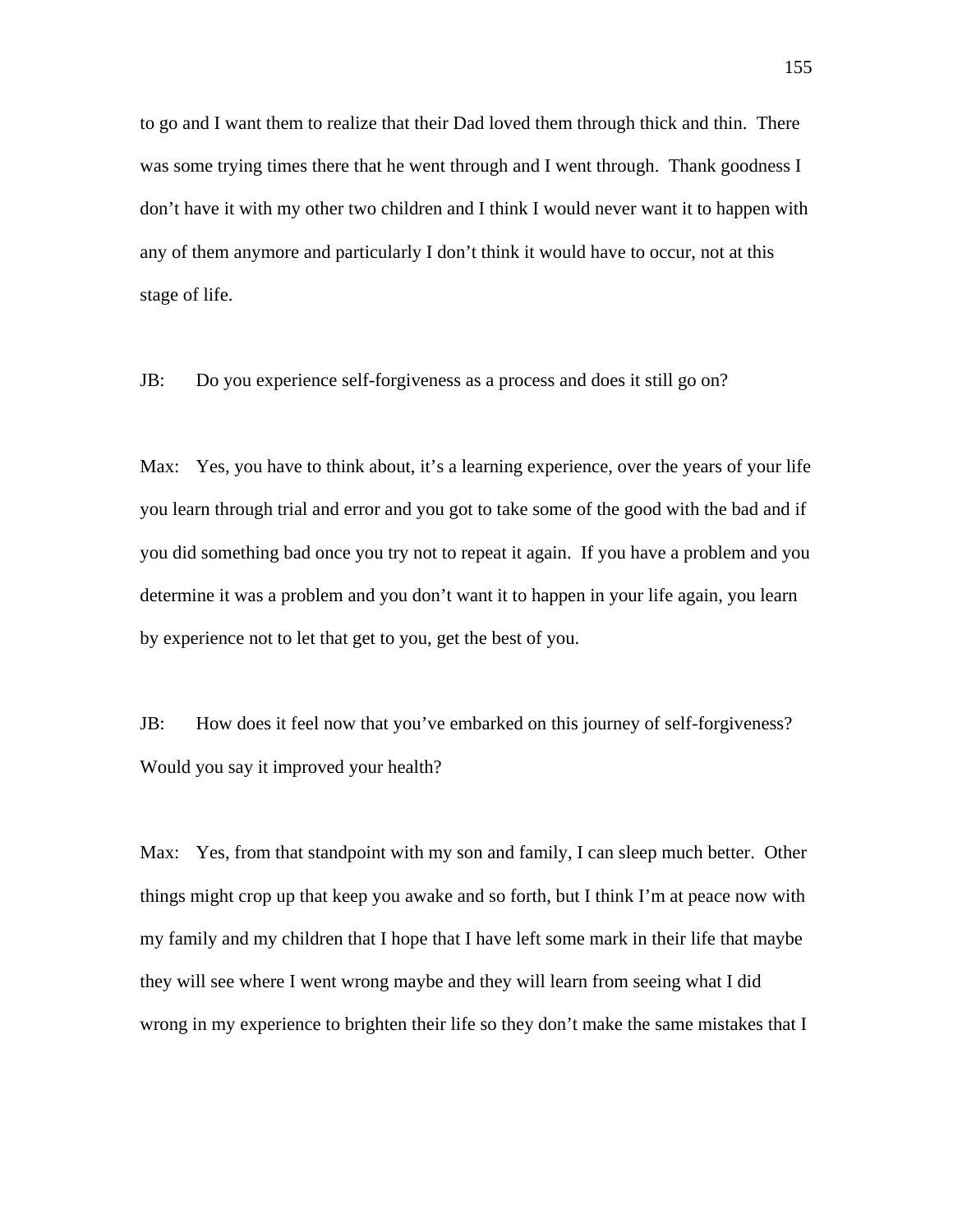to go and I want them to realize that their Dad loved them through thick and thin. There was some trying times there that he went through and I went through. Thank goodness I don't have it with my other two children and I think I would never want it to happen with any of them anymore and particularly I don't think it would have to occur, not at this stage of life.

JB: Do you experience self-forgiveness as a process and does it still go on?

Max: Yes, you have to think about, it's a learning experience, over the years of your life you learn through trial and error and you got to take some of the good with the bad and if you did something bad once you try not to repeat it again. If you have a problem and you determine it was a problem and you don't want it to happen in your life again, you learn by experience not to let that get to you, get the best of you.

JB: How does it feel now that you've embarked on this journey of self-forgiveness? Would you say it improved your health?

Max: Yes, from that standpoint with my son and family, I can sleep much better. Other things might crop up that keep you awake and so forth, but I think I'm at peace now with my family and my children that I hope that I have left some mark in their life that maybe they will see where I went wrong maybe and they will learn from seeing what I did wrong in my experience to brighten their life so they don't make the same mistakes that I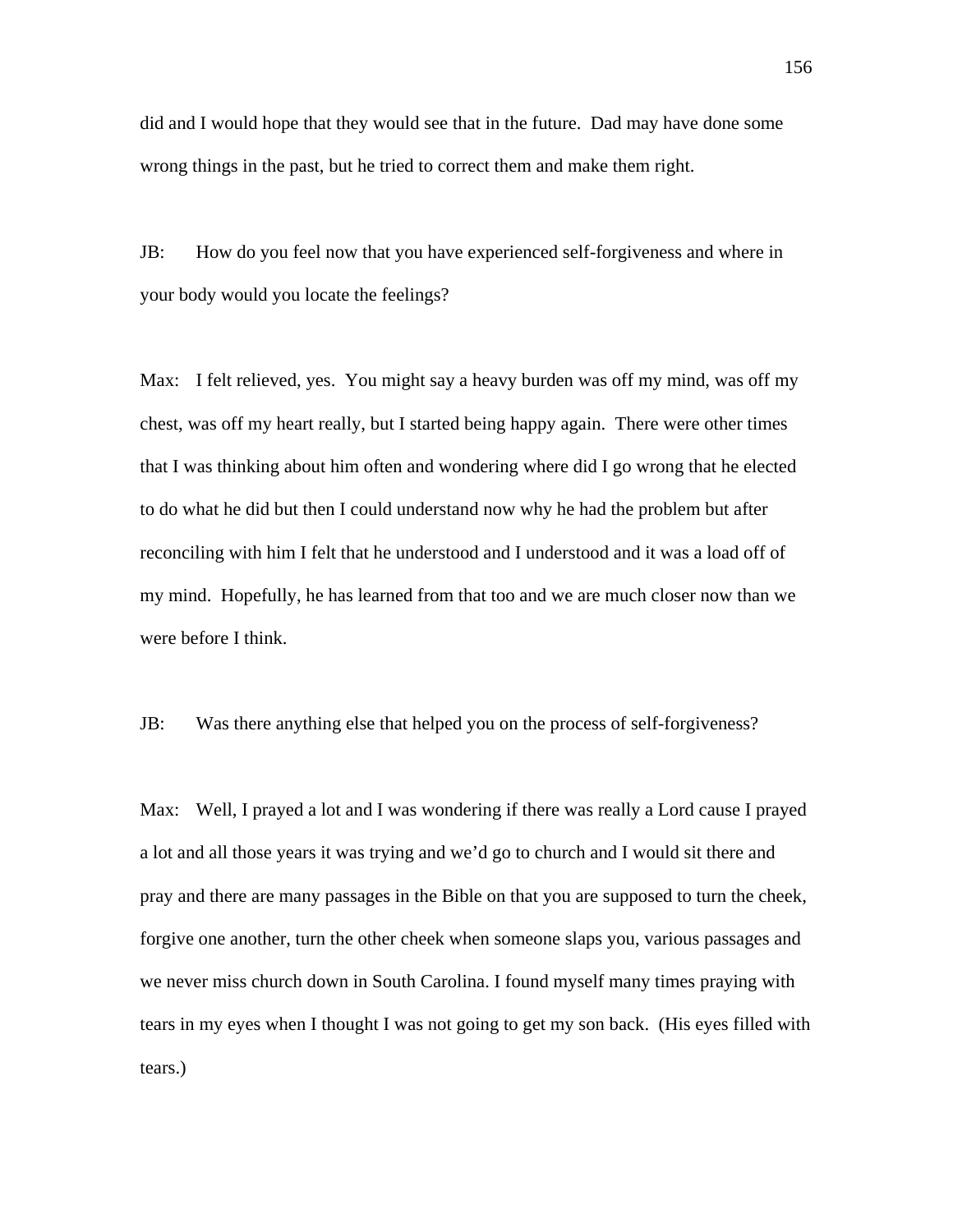did and I would hope that they would see that in the future. Dad may have done some wrong things in the past, but he tried to correct them and make them right.

JB: How do you feel now that you have experienced self-forgiveness and where in your body would you locate the feelings?

Max: I felt relieved, yes. You might say a heavy burden was off my mind, was off my chest, was off my heart really, but I started being happy again. There were other times that I was thinking about him often and wondering where did I go wrong that he elected to do what he did but then I could understand now why he had the problem but after reconciling with him I felt that he understood and I understood and it was a load off of my mind. Hopefully, he has learned from that too and we are much closer now than we were before I think.

JB: Was there anything else that helped you on the process of self-forgiveness?

Max: Well, I prayed a lot and I was wondering if there was really a Lord cause I prayed a lot and all those years it was trying and we'd go to church and I would sit there and pray and there are many passages in the Bible on that you are supposed to turn the cheek, forgive one another, turn the other cheek when someone slaps you, various passages and we never miss church down in South Carolina. I found myself many times praying with tears in my eyes when I thought I was not going to get my son back. (His eyes filled with tears.)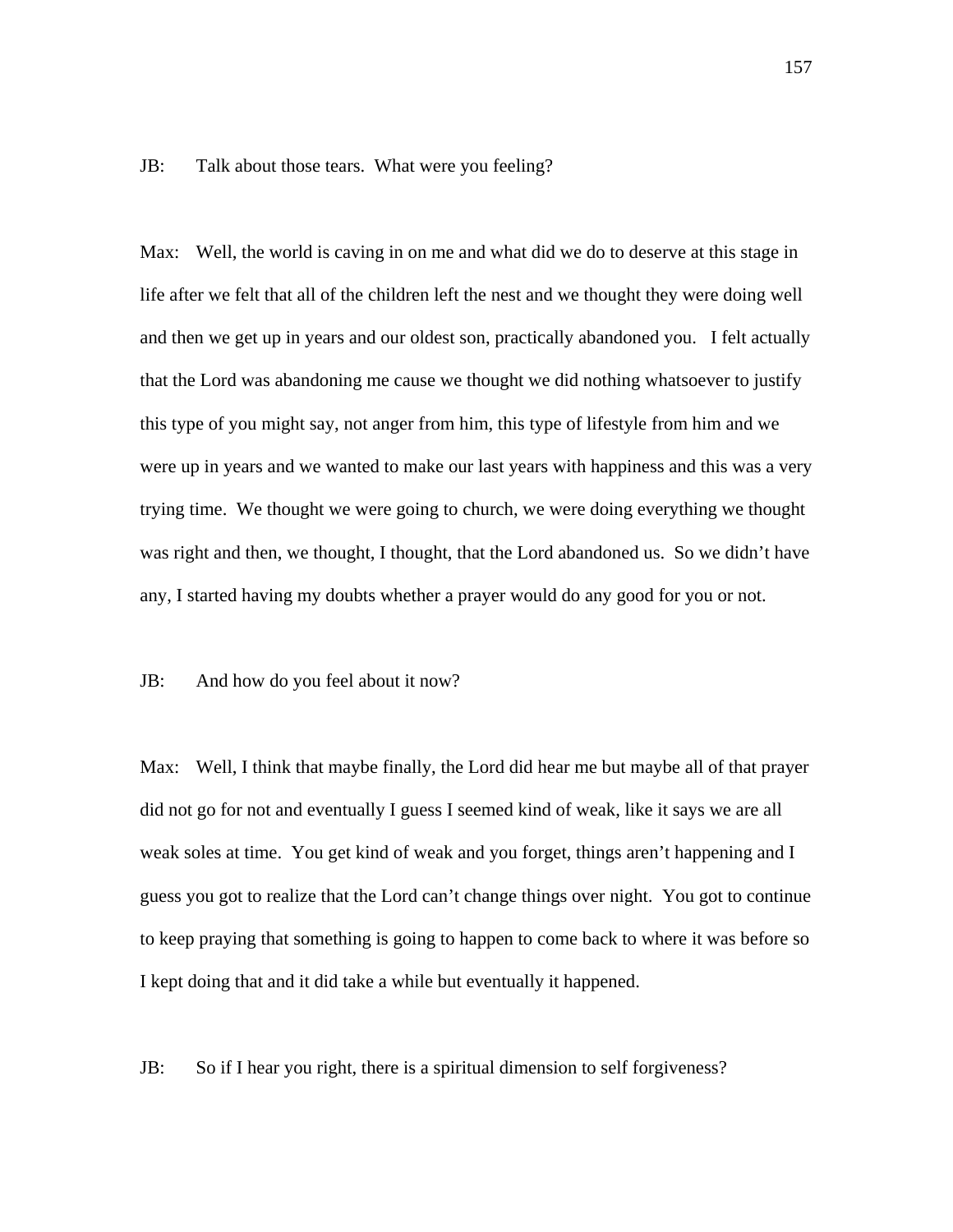#### JB: Talk about those tears. What were you feeling?

Max: Well, the world is caving in on me and what did we do to deserve at this stage in life after we felt that all of the children left the nest and we thought they were doing well and then we get up in years and our oldest son, practically abandoned you. I felt actually that the Lord was abandoning me cause we thought we did nothing whatsoever to justify this type of you might say, not anger from him, this type of lifestyle from him and we were up in years and we wanted to make our last years with happiness and this was a very trying time. We thought we were going to church, we were doing everything we thought was right and then, we thought, I thought, that the Lord abandoned us. So we didn't have any, I started having my doubts whether a prayer would do any good for you or not.

#### JB: And how do you feel about it now?

Max: Well, I think that maybe finally, the Lord did hear me but maybe all of that prayer did not go for not and eventually I guess I seemed kind of weak, like it says we are all weak soles at time. You get kind of weak and you forget, things aren't happening and I guess you got to realize that the Lord can't change things over night. You got to continue to keep praying that something is going to happen to come back to where it was before so I kept doing that and it did take a while but eventually it happened.

JB: So if I hear you right, there is a spiritual dimension to self forgiveness?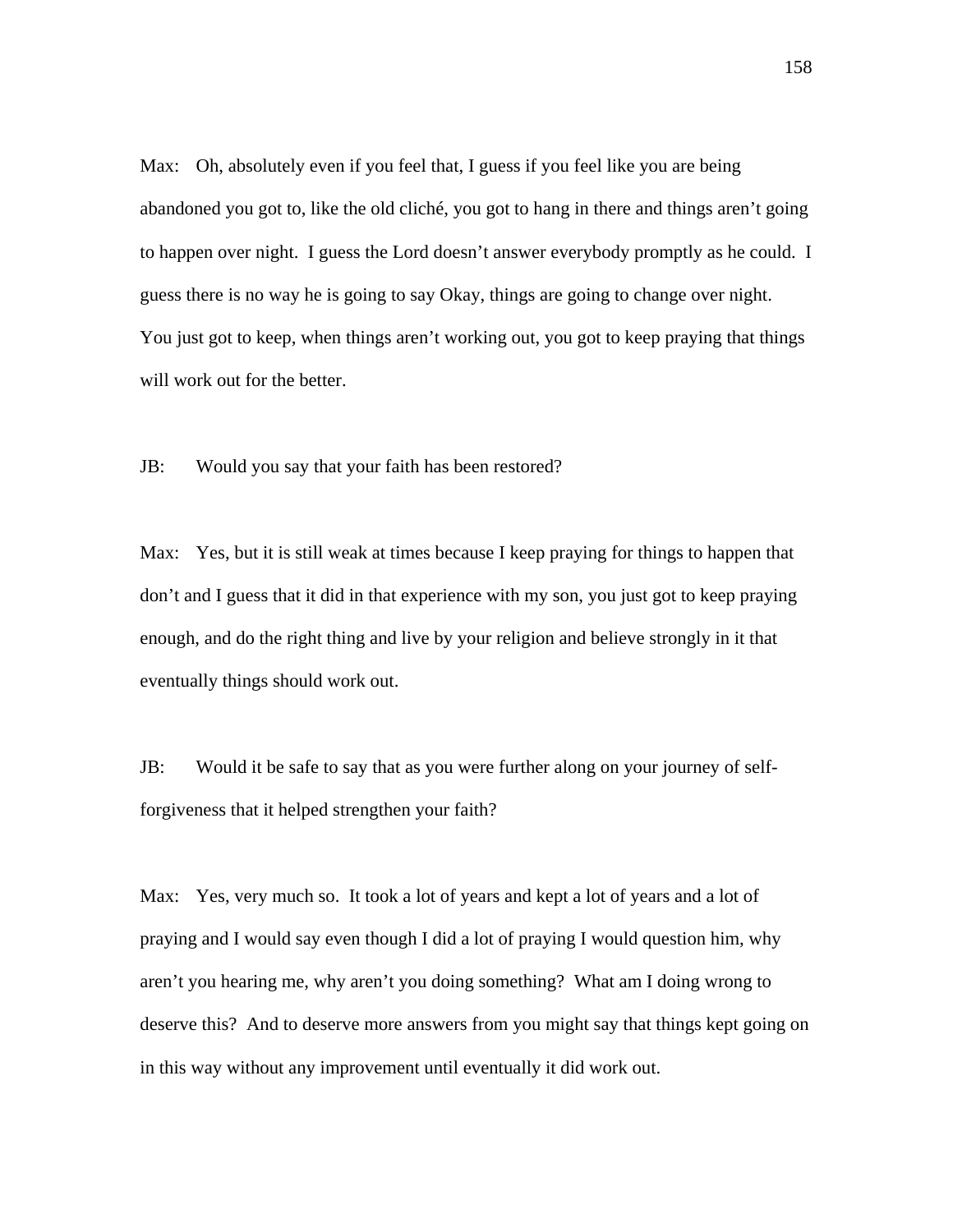Max: Oh, absolutely even if you feel that, I guess if you feel like you are being abandoned you got to, like the old cliché, you got to hang in there and things aren't going to happen over night. I guess the Lord doesn't answer everybody promptly as he could. I guess there is no way he is going to say Okay, things are going to change over night. You just got to keep, when things aren't working out, you got to keep praying that things will work out for the better.

JB: Would you say that your faith has been restored?

Max: Yes, but it is still weak at times because I keep praying for things to happen that don't and I guess that it did in that experience with my son, you just got to keep praying enough, and do the right thing and live by your religion and believe strongly in it that eventually things should work out.

JB: Would it be safe to say that as you were further along on your journey of selfforgiveness that it helped strengthen your faith?

Max: Yes, very much so. It took a lot of years and kept a lot of years and a lot of praying and I would say even though I did a lot of praying I would question him, why aren't you hearing me, why aren't you doing something? What am I doing wrong to deserve this? And to deserve more answers from you might say that things kept going on in this way without any improvement until eventually it did work out.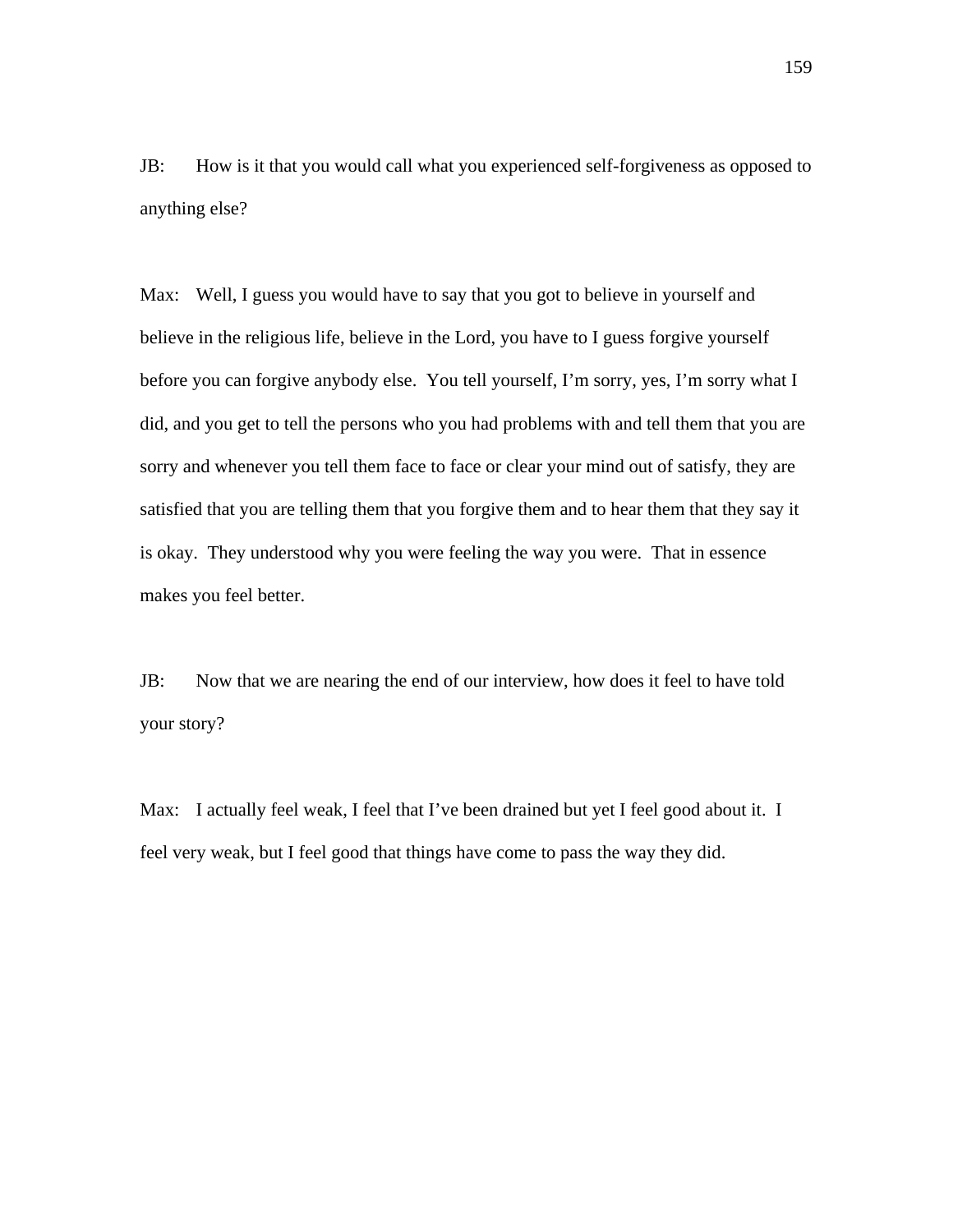JB: How is it that you would call what you experienced self-forgiveness as opposed to anything else?

Max: Well, I guess you would have to say that you got to believe in yourself and believe in the religious life, believe in the Lord, you have to I guess forgive yourself before you can forgive anybody else. You tell yourself, I'm sorry, yes, I'm sorry what I did, and you get to tell the persons who you had problems with and tell them that you are sorry and whenever you tell them face to face or clear your mind out of satisfy, they are satisfied that you are telling them that you forgive them and to hear them that they say it is okay. They understood why you were feeling the way you were. That in essence makes you feel better.

JB: Now that we are nearing the end of our interview, how does it feel to have told your story?

Max: I actually feel weak, I feel that I've been drained but yet I feel good about it. I feel very weak, but I feel good that things have come to pass the way they did.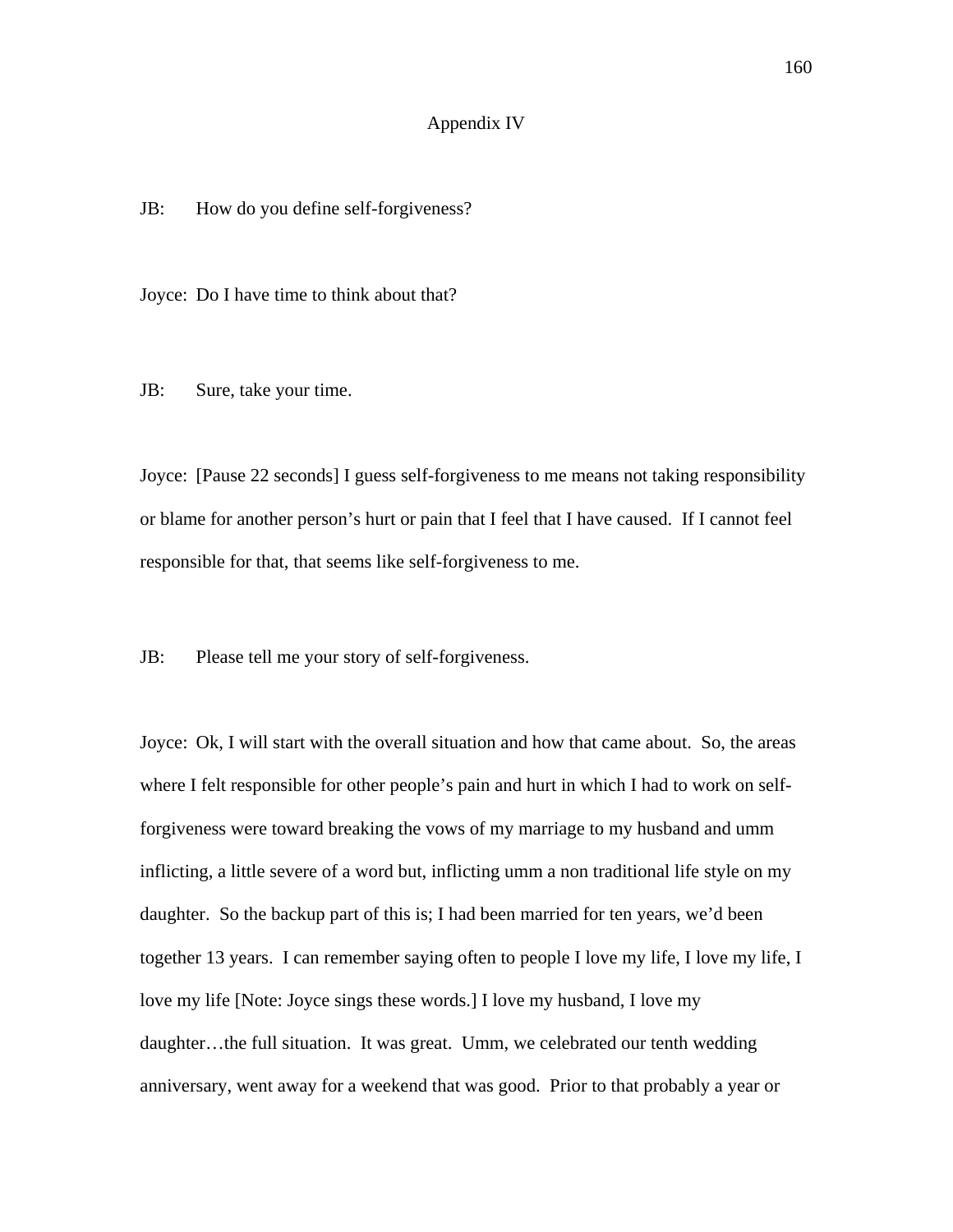## Appendix IV

JB: How do you define self-forgiveness?

Joyce: Do I have time to think about that?

JB: Sure, take your time.

Joyce: [Pause 22 seconds] I guess self-forgiveness to me means not taking responsibility or blame for another person's hurt or pain that I feel that I have caused. If I cannot feel responsible for that, that seems like self-forgiveness to me.

JB: Please tell me your story of self-forgiveness.

Joyce: Ok, I will start with the overall situation and how that came about. So, the areas where I felt responsible for other people's pain and hurt in which I had to work on selfforgiveness were toward breaking the vows of my marriage to my husband and umm inflicting, a little severe of a word but, inflicting umm a non traditional life style on my daughter. So the backup part of this is; I had been married for ten years, we'd been together 13 years. I can remember saying often to people I love my life, I love my life, I love my life [Note: Joyce sings these words.] I love my husband, I love my daughter…the full situation. It was great. Umm, we celebrated our tenth wedding anniversary, went away for a weekend that was good. Prior to that probably a year or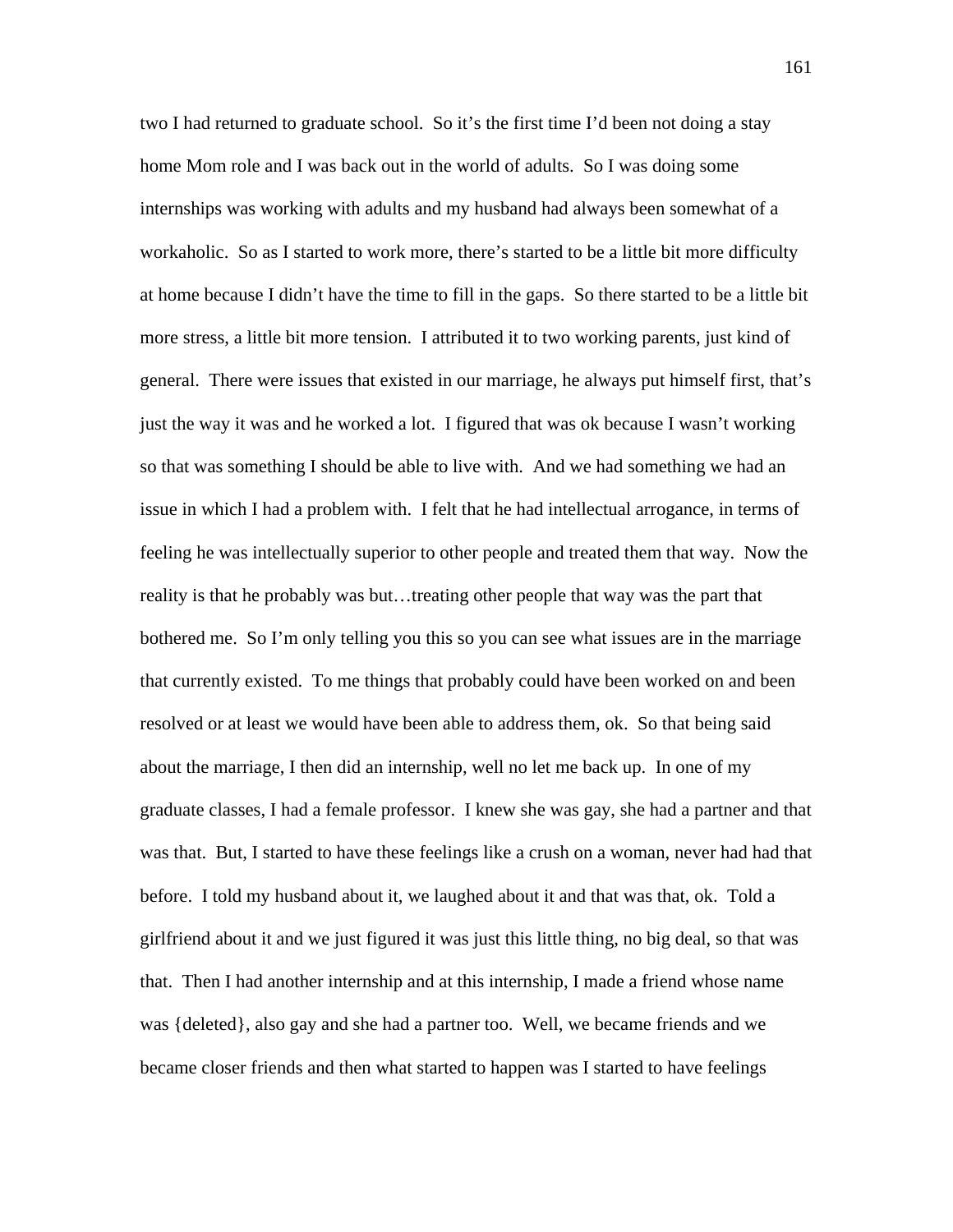two I had returned to graduate school. So it's the first time I'd been not doing a stay home Mom role and I was back out in the world of adults. So I was doing some internships was working with adults and my husband had always been somewhat of a workaholic. So as I started to work more, there's started to be a little bit more difficulty at home because I didn't have the time to fill in the gaps. So there started to be a little bit more stress, a little bit more tension. I attributed it to two working parents, just kind of general. There were issues that existed in our marriage, he always put himself first, that's just the way it was and he worked a lot. I figured that was ok because I wasn't working so that was something I should be able to live with. And we had something we had an issue in which I had a problem with. I felt that he had intellectual arrogance, in terms of feeling he was intellectually superior to other people and treated them that way. Now the reality is that he probably was but…treating other people that way was the part that bothered me. So I'm only telling you this so you can see what issues are in the marriage that currently existed. To me things that probably could have been worked on and been resolved or at least we would have been able to address them, ok. So that being said about the marriage, I then did an internship, well no let me back up. In one of my graduate classes, I had a female professor. I knew she was gay, she had a partner and that was that. But, I started to have these feelings like a crush on a woman, never had had that before. I told my husband about it, we laughed about it and that was that, ok. Told a girlfriend about it and we just figured it was just this little thing, no big deal, so that was that. Then I had another internship and at this internship, I made a friend whose name was {deleted}, also gay and she had a partner too. Well, we became friends and we became closer friends and then what started to happen was I started to have feelings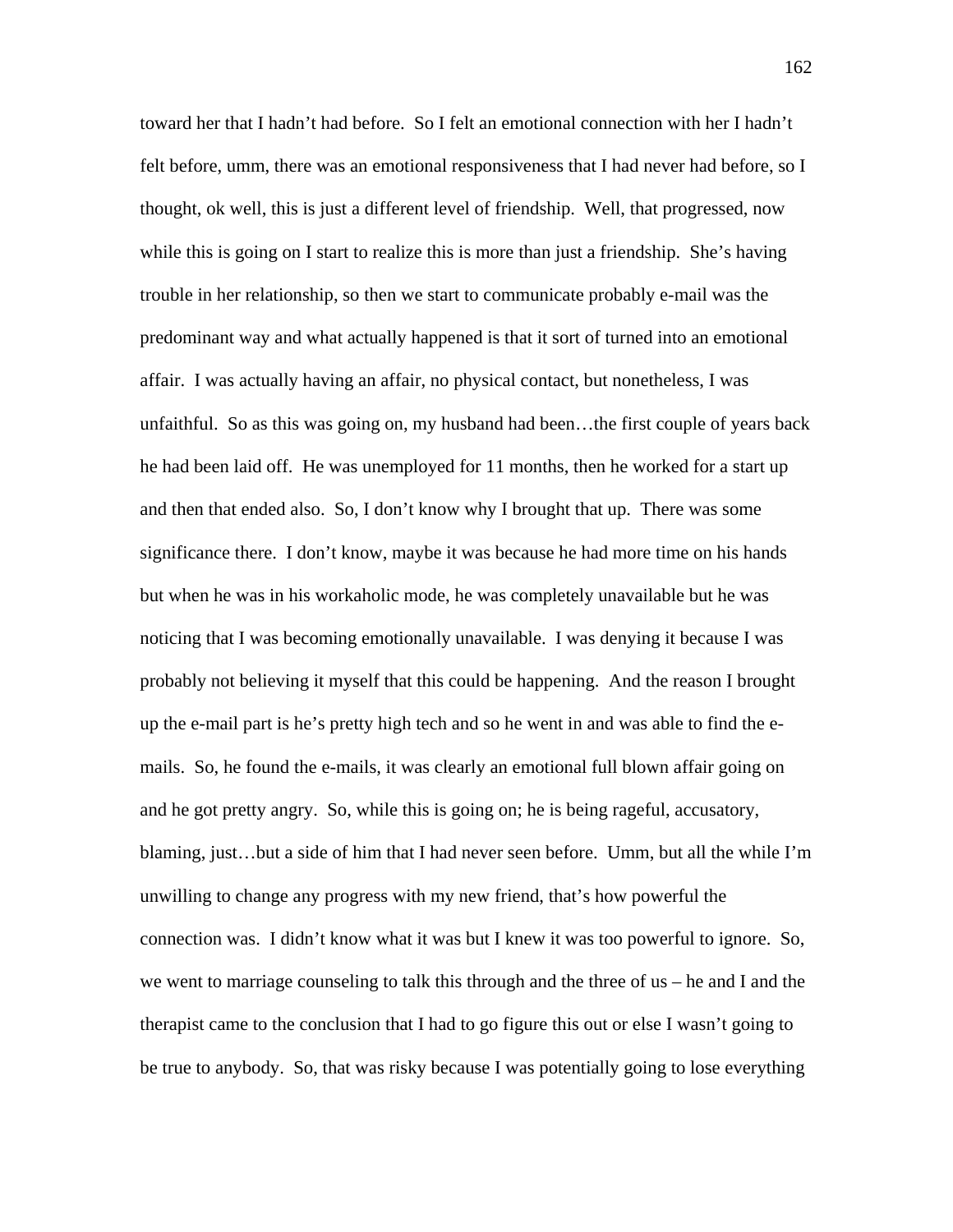toward her that I hadn't had before. So I felt an emotional connection with her I hadn't felt before, umm, there was an emotional responsiveness that I had never had before, so I thought, ok well, this is just a different level of friendship. Well, that progressed, now while this is going on I start to realize this is more than just a friendship. She's having trouble in her relationship, so then we start to communicate probably e-mail was the predominant way and what actually happened is that it sort of turned into an emotional affair. I was actually having an affair, no physical contact, but nonetheless, I was unfaithful. So as this was going on, my husband had been…the first couple of years back he had been laid off. He was unemployed for 11 months, then he worked for a start up and then that ended also. So, I don't know why I brought that up. There was some significance there. I don't know, maybe it was because he had more time on his hands but when he was in his workaholic mode, he was completely unavailable but he was noticing that I was becoming emotionally unavailable. I was denying it because I was probably not believing it myself that this could be happening. And the reason I brought up the e-mail part is he's pretty high tech and so he went in and was able to find the emails. So, he found the e-mails, it was clearly an emotional full blown affair going on and he got pretty angry. So, while this is going on; he is being rageful, accusatory, blaming, just…but a side of him that I had never seen before. Umm, but all the while I'm unwilling to change any progress with my new friend, that's how powerful the connection was. I didn't know what it was but I knew it was too powerful to ignore. So, we went to marriage counseling to talk this through and the three of us – he and I and the therapist came to the conclusion that I had to go figure this out or else I wasn't going to be true to anybody. So, that was risky because I was potentially going to lose everything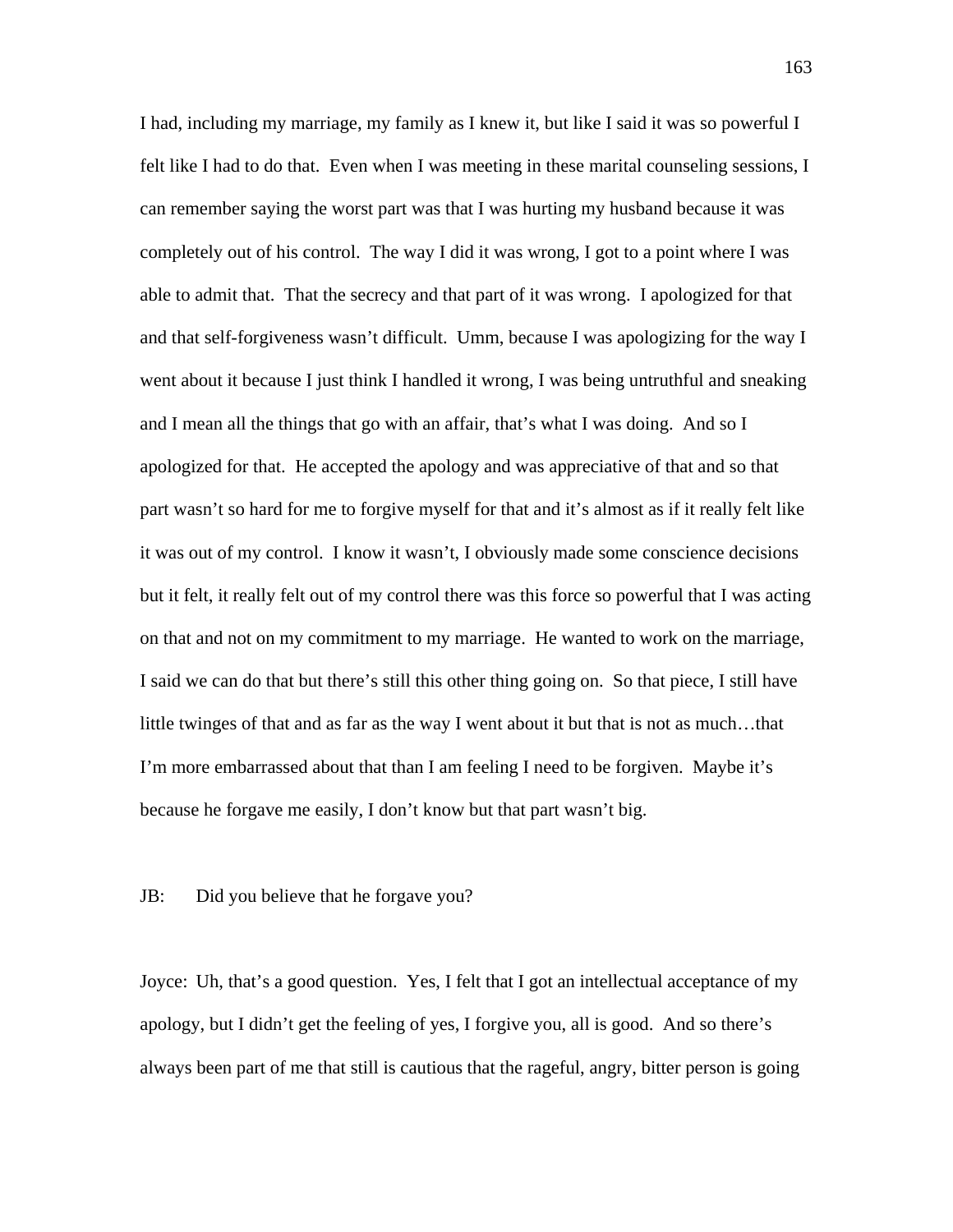I had, including my marriage, my family as I knew it, but like I said it was so powerful I felt like I had to do that. Even when I was meeting in these marital counseling sessions, I can remember saying the worst part was that I was hurting my husband because it was completely out of his control. The way I did it was wrong, I got to a point where I was able to admit that. That the secrecy and that part of it was wrong. I apologized for that and that self-forgiveness wasn't difficult. Umm, because I was apologizing for the way I went about it because I just think I handled it wrong, I was being untruthful and sneaking and I mean all the things that go with an affair, that's what I was doing. And so I apologized for that. He accepted the apology and was appreciative of that and so that part wasn't so hard for me to forgive myself for that and it's almost as if it really felt like it was out of my control. I know it wasn't, I obviously made some conscience decisions but it felt, it really felt out of my control there was this force so powerful that I was acting on that and not on my commitment to my marriage. He wanted to work on the marriage, I said we can do that but there's still this other thing going on. So that piece, I still have little twinges of that and as far as the way I went about it but that is not as much…that I'm more embarrassed about that than I am feeling I need to be forgiven. Maybe it's because he forgave me easily, I don't know but that part wasn't big.

### JB: Did you believe that he forgave you?

Joyce: Uh, that's a good question. Yes, I felt that I got an intellectual acceptance of my apology, but I didn't get the feeling of yes, I forgive you, all is good. And so there's always been part of me that still is cautious that the rageful, angry, bitter person is going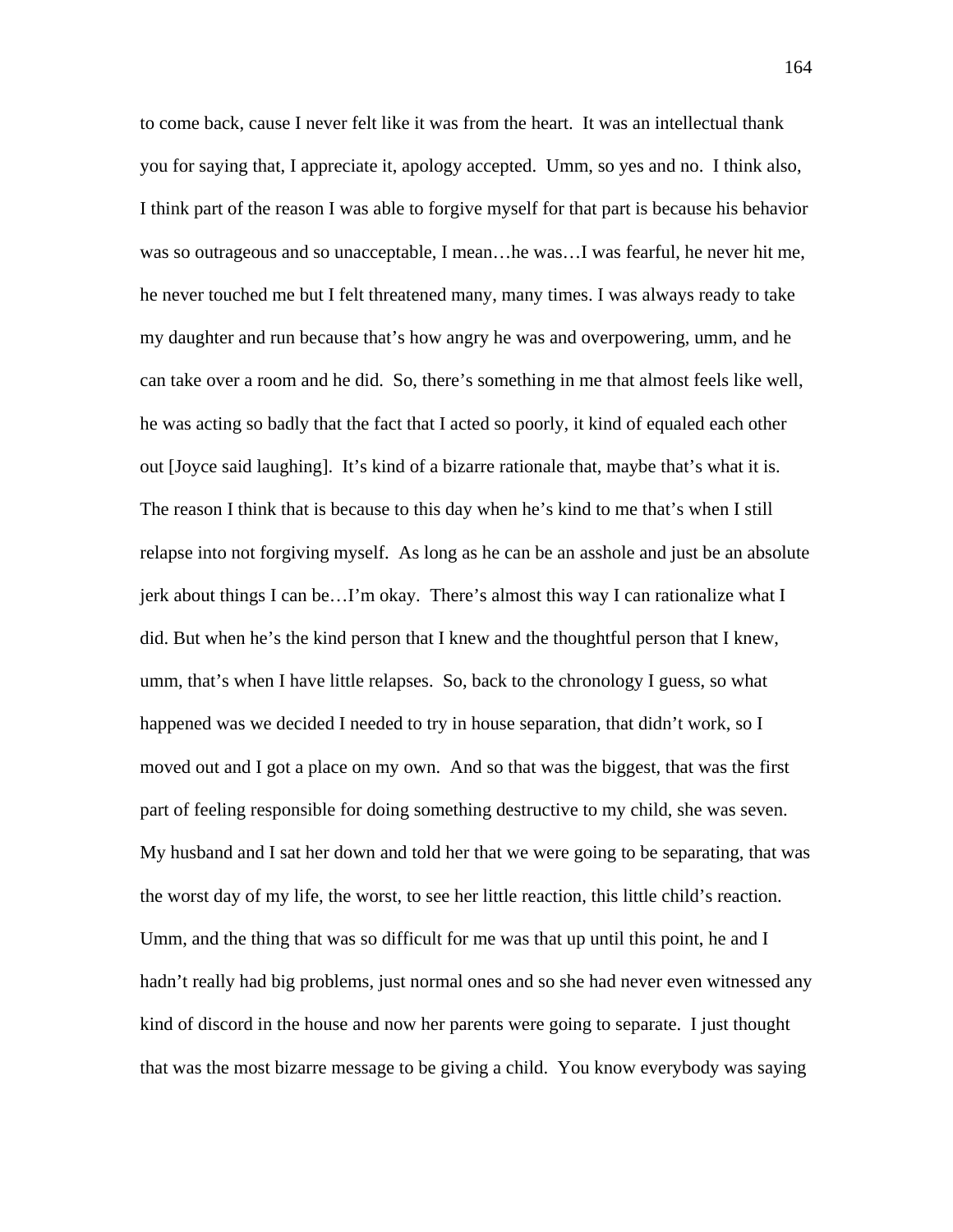to come back, cause I never felt like it was from the heart. It was an intellectual thank you for saying that, I appreciate it, apology accepted. Umm, so yes and no. I think also, I think part of the reason I was able to forgive myself for that part is because his behavior was so outrageous and so unacceptable, I mean…he was…I was fearful, he never hit me, he never touched me but I felt threatened many, many times. I was always ready to take my daughter and run because that's how angry he was and overpowering, umm, and he can take over a room and he did. So, there's something in me that almost feels like well, he was acting so badly that the fact that I acted so poorly, it kind of equaled each other out [Joyce said laughing]. It's kind of a bizarre rationale that, maybe that's what it is. The reason I think that is because to this day when he's kind to me that's when I still relapse into not forgiving myself. As long as he can be an asshole and just be an absolute jerk about things I can be…I'm okay. There's almost this way I can rationalize what I did. But when he's the kind person that I knew and the thoughtful person that I knew, umm, that's when I have little relapses. So, back to the chronology I guess, so what happened was we decided I needed to try in house separation, that didn't work, so I moved out and I got a place on my own. And so that was the biggest, that was the first part of feeling responsible for doing something destructive to my child, she was seven. My husband and I sat her down and told her that we were going to be separating, that was the worst day of my life, the worst, to see her little reaction, this little child's reaction. Umm, and the thing that was so difficult for me was that up until this point, he and I hadn't really had big problems, just normal ones and so she had never even witnessed any kind of discord in the house and now her parents were going to separate. I just thought that was the most bizarre message to be giving a child. You know everybody was saying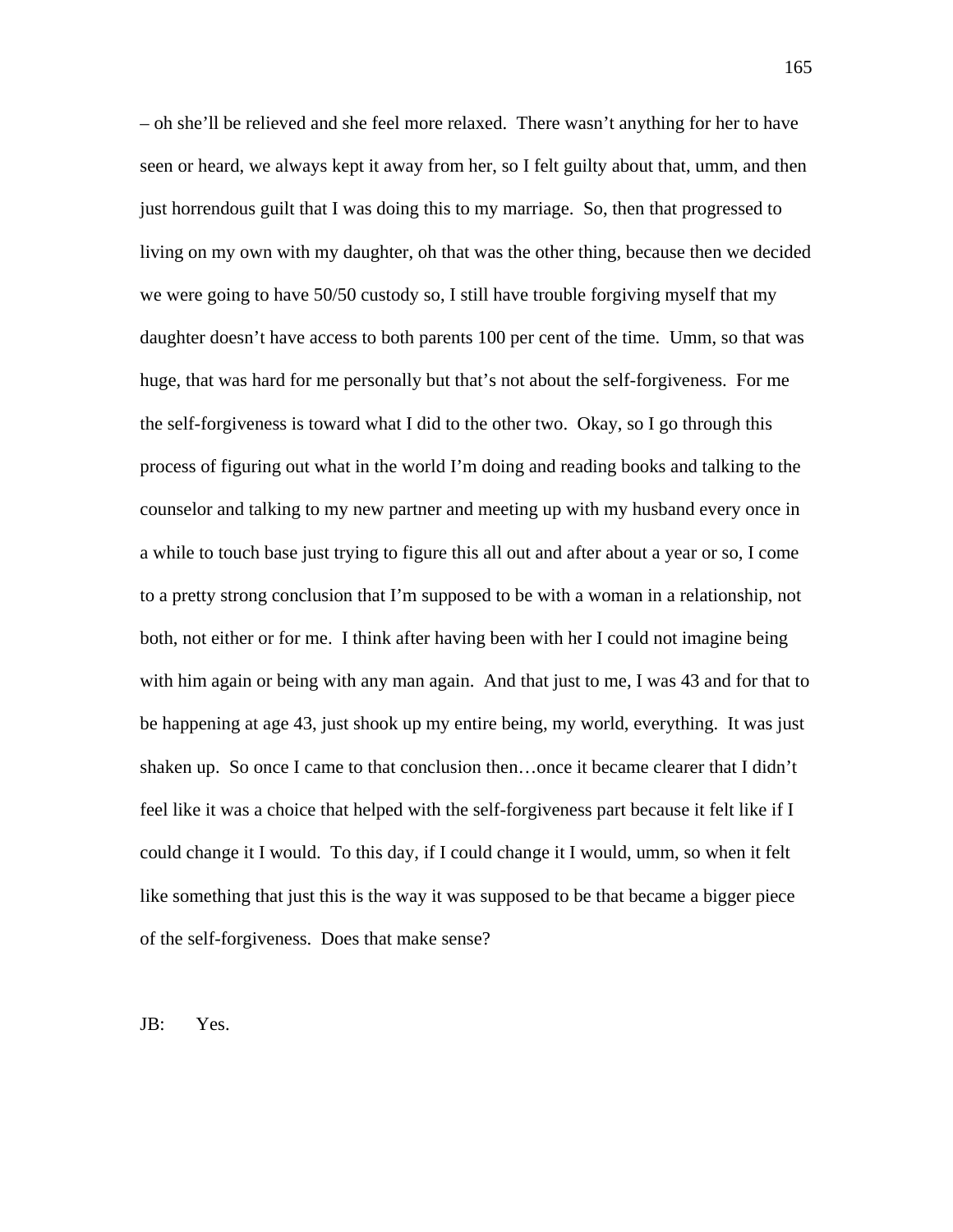– oh she'll be relieved and she feel more relaxed. There wasn't anything for her to have seen or heard, we always kept it away from her, so I felt guilty about that, umm, and then just horrendous guilt that I was doing this to my marriage. So, then that progressed to living on my own with my daughter, oh that was the other thing, because then we decided we were going to have 50/50 custody so, I still have trouble forgiving myself that my daughter doesn't have access to both parents 100 per cent of the time. Umm, so that was huge, that was hard for me personally but that's not about the self-forgiveness. For me the self-forgiveness is toward what I did to the other two. Okay, so I go through this process of figuring out what in the world I'm doing and reading books and talking to the counselor and talking to my new partner and meeting up with my husband every once in a while to touch base just trying to figure this all out and after about a year or so, I come to a pretty strong conclusion that I'm supposed to be with a woman in a relationship, not both, not either or for me. I think after having been with her I could not imagine being with him again or being with any man again. And that just to me, I was 43 and for that to be happening at age 43, just shook up my entire being, my world, everything. It was just shaken up. So once I came to that conclusion then…once it became clearer that I didn't feel like it was a choice that helped with the self-forgiveness part because it felt like if I could change it I would. To this day, if I could change it I would, umm, so when it felt like something that just this is the way it was supposed to be that became a bigger piece of the self-forgiveness. Does that make sense?

JB: Yes.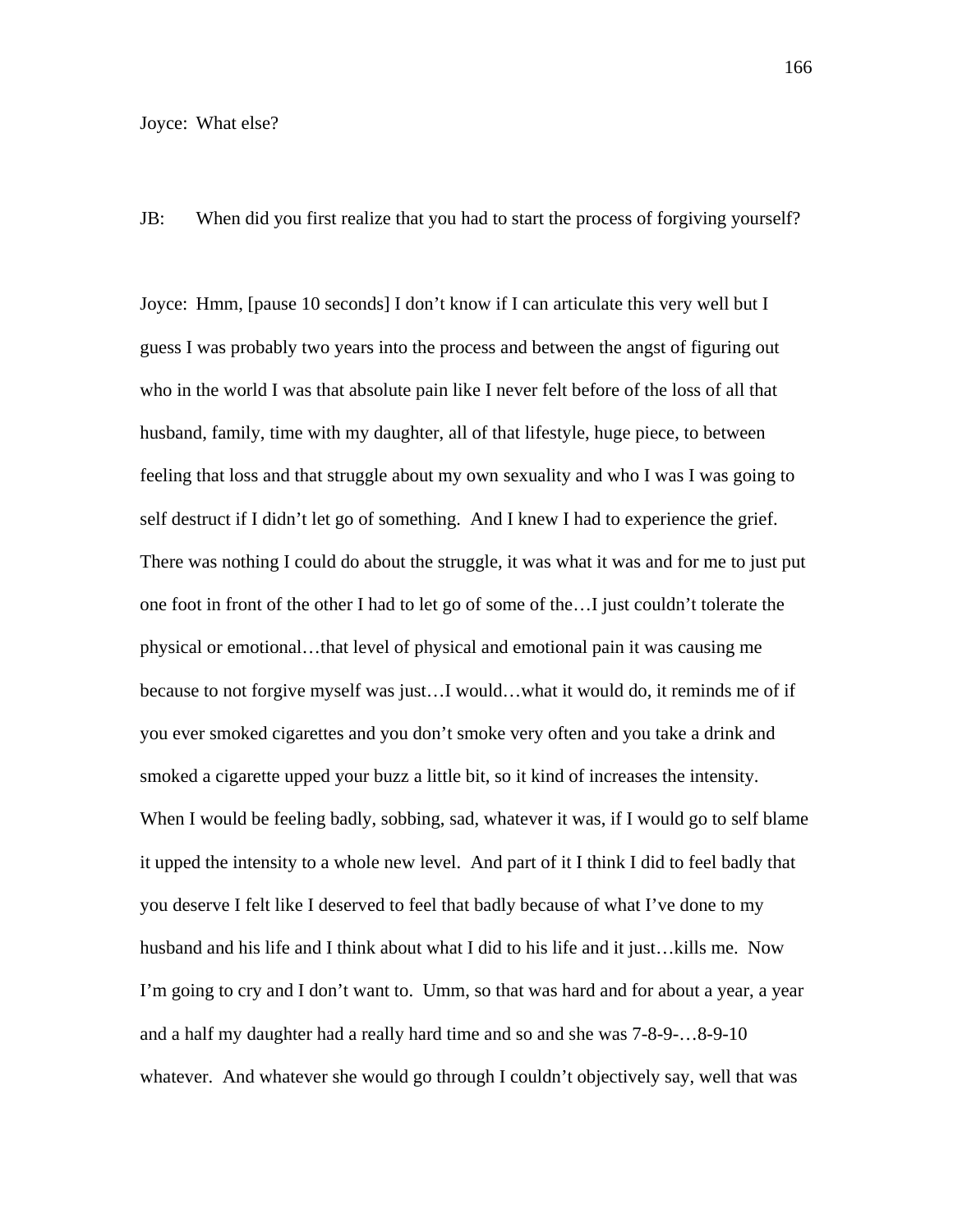JB: When did you first realize that you had to start the process of forgiving yourself?

Joyce: Hmm, [pause 10 seconds] I don't know if I can articulate this very well but I guess I was probably two years into the process and between the angst of figuring out who in the world I was that absolute pain like I never felt before of the loss of all that husband, family, time with my daughter, all of that lifestyle, huge piece, to between feeling that loss and that struggle about my own sexuality and who I was I was going to self destruct if I didn't let go of something. And I knew I had to experience the grief. There was nothing I could do about the struggle, it was what it was and for me to just put one foot in front of the other I had to let go of some of the…I just couldn't tolerate the physical or emotional…that level of physical and emotional pain it was causing me because to not forgive myself was just…I would…what it would do, it reminds me of if you ever smoked cigarettes and you don't smoke very often and you take a drink and smoked a cigarette upped your buzz a little bit, so it kind of increases the intensity. When I would be feeling badly, sobbing, sad, whatever it was, if I would go to self blame it upped the intensity to a whole new level. And part of it I think I did to feel badly that you deserve I felt like I deserved to feel that badly because of what I've done to my husband and his life and I think about what I did to his life and it just…kills me. Now I'm going to cry and I don't want to. Umm, so that was hard and for about a year, a year and a half my daughter had a really hard time and so and she was 7-8-9-…8-9-10 whatever. And whatever she would go through I couldn't objectively say, well that was

166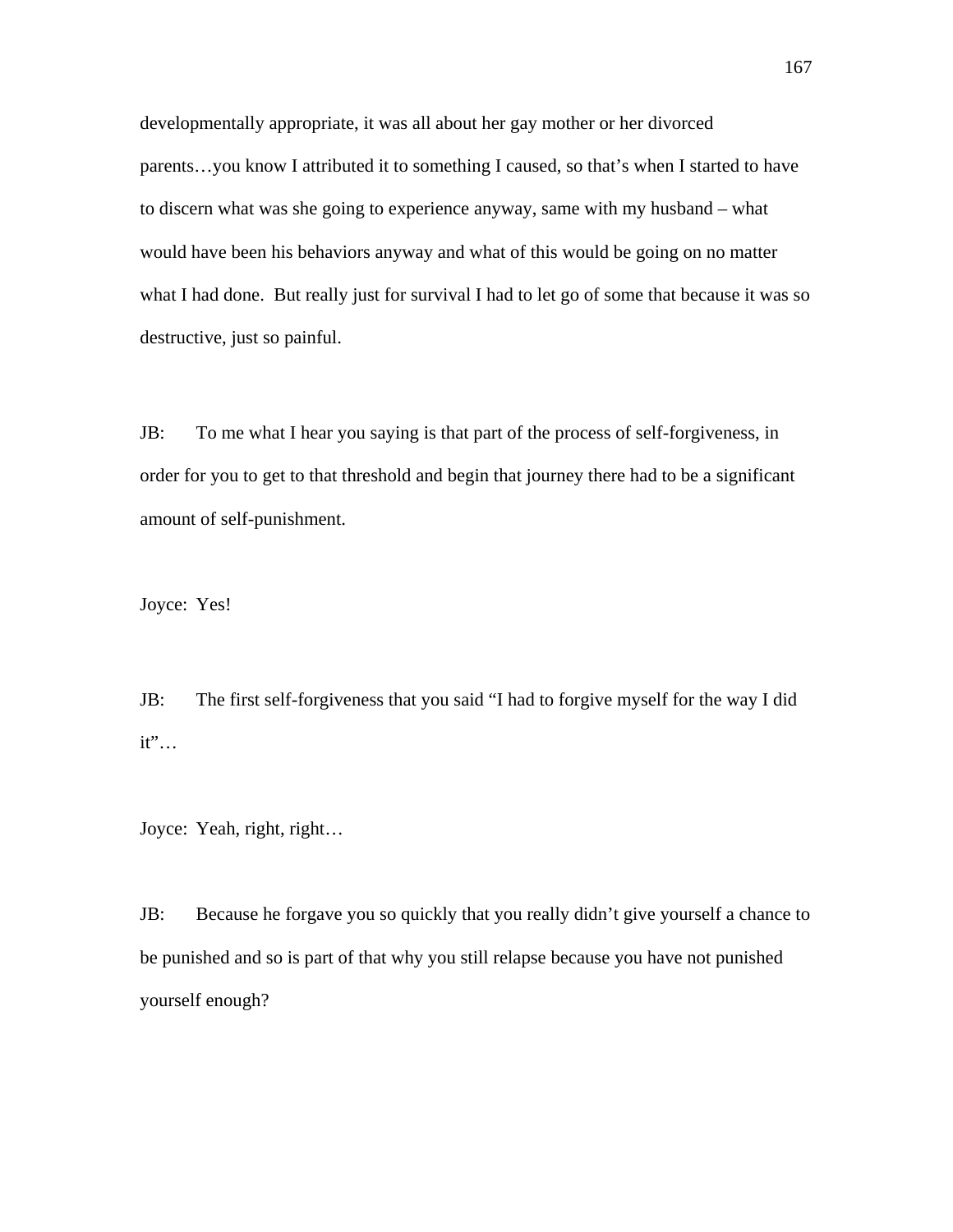developmentally appropriate, it was all about her gay mother or her divorced parents…you know I attributed it to something I caused, so that's when I started to have to discern what was she going to experience anyway, same with my husband – what would have been his behaviors anyway and what of this would be going on no matter what I had done. But really just for survival I had to let go of some that because it was so destructive, just so painful.

JB: To me what I hear you saying is that part of the process of self-forgiveness, in order for you to get to that threshold and begin that journey there had to be a significant amount of self-punishment.

Joyce: Yes!

JB: The first self-forgiveness that you said "I had to forgive myself for the way I did it"…

Joyce: Yeah, right, right…

JB: Because he forgave you so quickly that you really didn't give yourself a chance to be punished and so is part of that why you still relapse because you have not punished yourself enough?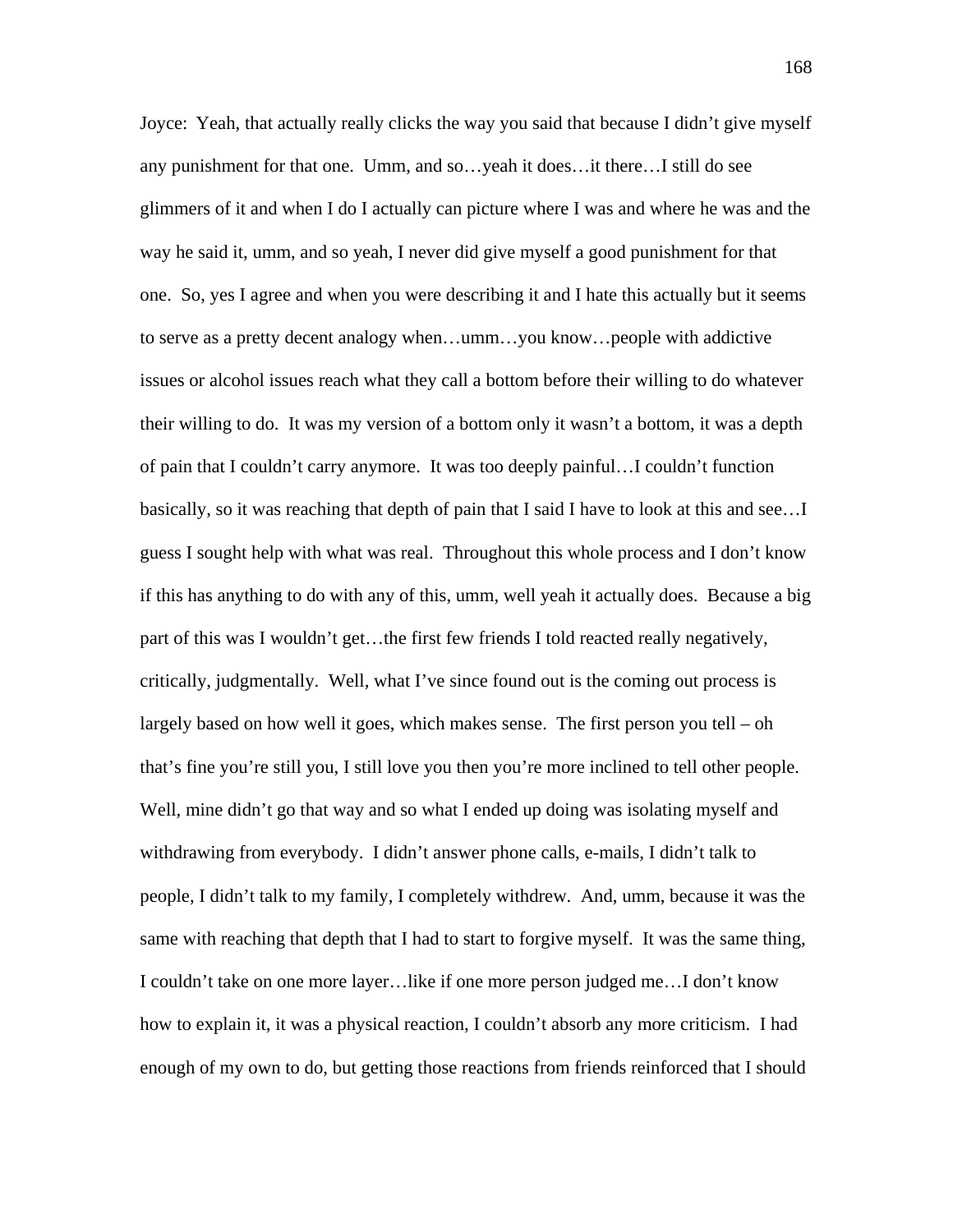Joyce: Yeah, that actually really clicks the way you said that because I didn't give myself any punishment for that one. Umm, and so…yeah it does…it there…I still do see glimmers of it and when I do I actually can picture where I was and where he was and the way he said it, umm, and so yeah, I never did give myself a good punishment for that one. So, yes I agree and when you were describing it and I hate this actually but it seems to serve as a pretty decent analogy when…umm…you know…people with addictive issues or alcohol issues reach what they call a bottom before their willing to do whatever their willing to do. It was my version of a bottom only it wasn't a bottom, it was a depth of pain that I couldn't carry anymore. It was too deeply painful…I couldn't function basically, so it was reaching that depth of pain that I said I have to look at this and see…I guess I sought help with what was real. Throughout this whole process and I don't know if this has anything to do with any of this, umm, well yeah it actually does. Because a big part of this was I wouldn't get…the first few friends I told reacted really negatively, critically, judgmentally. Well, what I've since found out is the coming out process is largely based on how well it goes, which makes sense. The first person you tell – oh that's fine you're still you, I still love you then you're more inclined to tell other people. Well, mine didn't go that way and so what I ended up doing was isolating myself and withdrawing from everybody. I didn't answer phone calls, e-mails, I didn't talk to people, I didn't talk to my family, I completely withdrew. And, umm, because it was the same with reaching that depth that I had to start to forgive myself. It was the same thing, I couldn't take on one more layer…like if one more person judged me…I don't know how to explain it, it was a physical reaction, I couldn't absorb any more criticism. I had enough of my own to do, but getting those reactions from friends reinforced that I should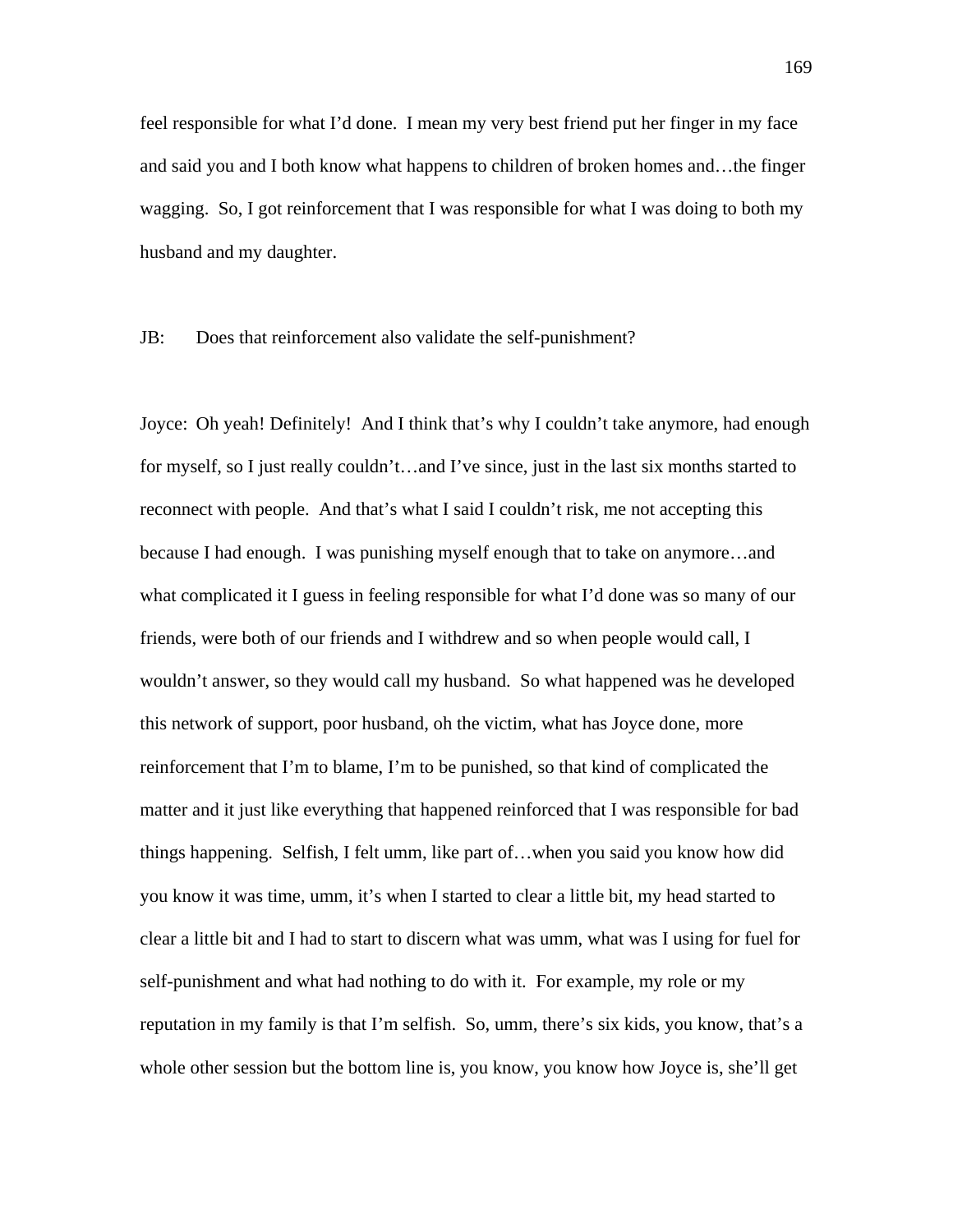feel responsible for what I'd done. I mean my very best friend put her finger in my face and said you and I both know what happens to children of broken homes and…the finger wagging. So, I got reinforcement that I was responsible for what I was doing to both my husband and my daughter.

### JB: Does that reinforcement also validate the self-punishment?

Joyce: Oh yeah! Definitely! And I think that's why I couldn't take anymore, had enough for myself, so I just really couldn't…and I've since, just in the last six months started to reconnect with people. And that's what I said I couldn't risk, me not accepting this because I had enough. I was punishing myself enough that to take on anymore…and what complicated it I guess in feeling responsible for what I'd done was so many of our friends, were both of our friends and I withdrew and so when people would call, I wouldn't answer, so they would call my husband. So what happened was he developed this network of support, poor husband, oh the victim, what has Joyce done, more reinforcement that I'm to blame, I'm to be punished, so that kind of complicated the matter and it just like everything that happened reinforced that I was responsible for bad things happening. Selfish, I felt umm, like part of…when you said you know how did you know it was time, umm, it's when I started to clear a little bit, my head started to clear a little bit and I had to start to discern what was umm, what was I using for fuel for self-punishment and what had nothing to do with it. For example, my role or my reputation in my family is that I'm selfish. So, umm, there's six kids, you know, that's a whole other session but the bottom line is, you know, you know how Joyce is, she'll get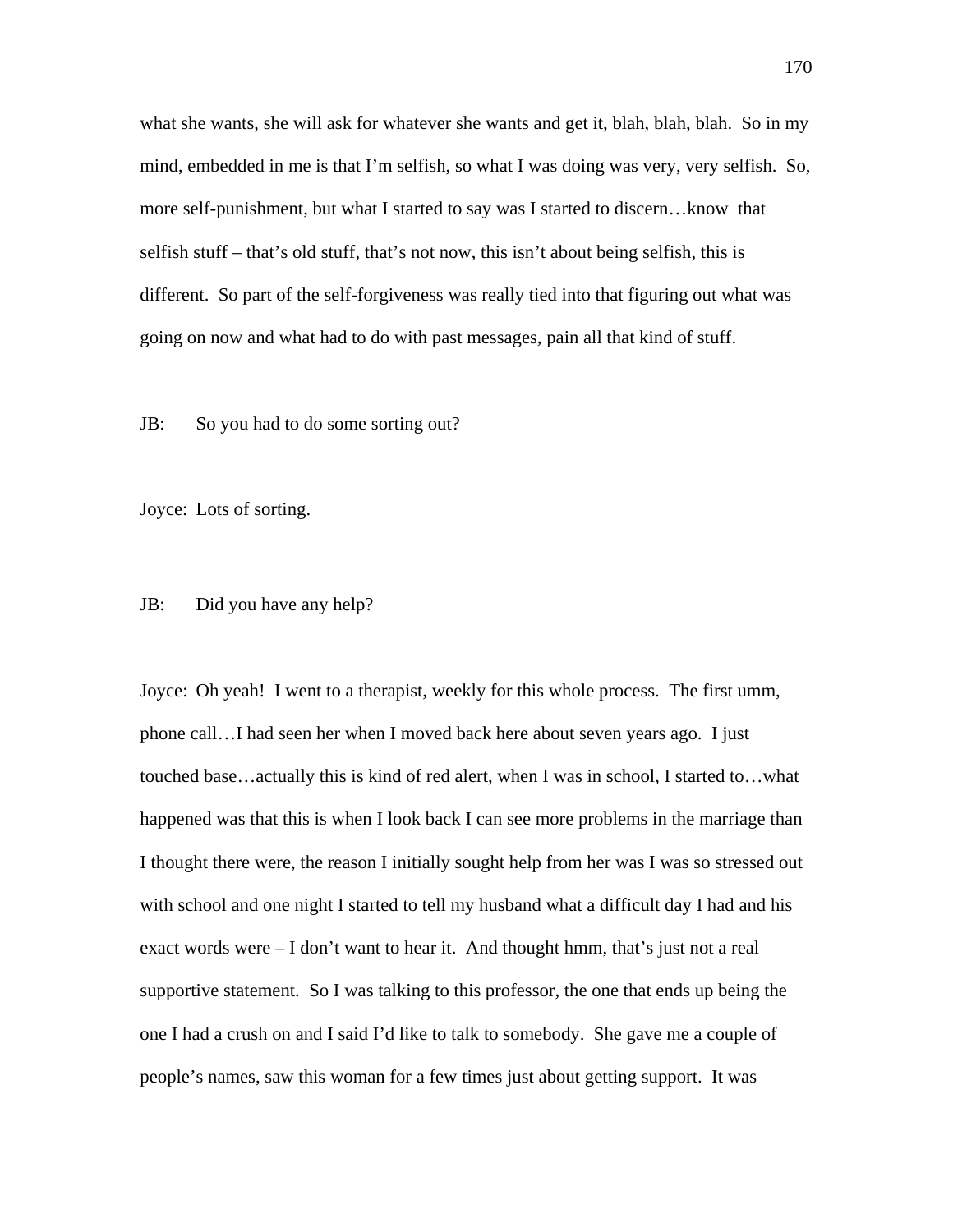what she wants, she will ask for whatever she wants and get it, blah, blah, blah. So in my mind, embedded in me is that I'm selfish, so what I was doing was very, very selfish. So, more self-punishment, but what I started to say was I started to discern…know that selfish stuff – that's old stuff, that's not now, this isn't about being selfish, this is different. So part of the self-forgiveness was really tied into that figuring out what was going on now and what had to do with past messages, pain all that kind of stuff.

JB: So you had to do some sorting out?

Joyce: Lots of sorting.

### JB: Did you have any help?

Joyce: Oh yeah! I went to a therapist, weekly for this whole process. The first umm, phone call…I had seen her when I moved back here about seven years ago. I just touched base…actually this is kind of red alert, when I was in school, I started to…what happened was that this is when I look back I can see more problems in the marriage than I thought there were, the reason I initially sought help from her was I was so stressed out with school and one night I started to tell my husband what a difficult day I had and his exact words were – I don't want to hear it. And thought hmm, that's just not a real supportive statement. So I was talking to this professor, the one that ends up being the one I had a crush on and I said I'd like to talk to somebody. She gave me a couple of people's names, saw this woman for a few times just about getting support. It was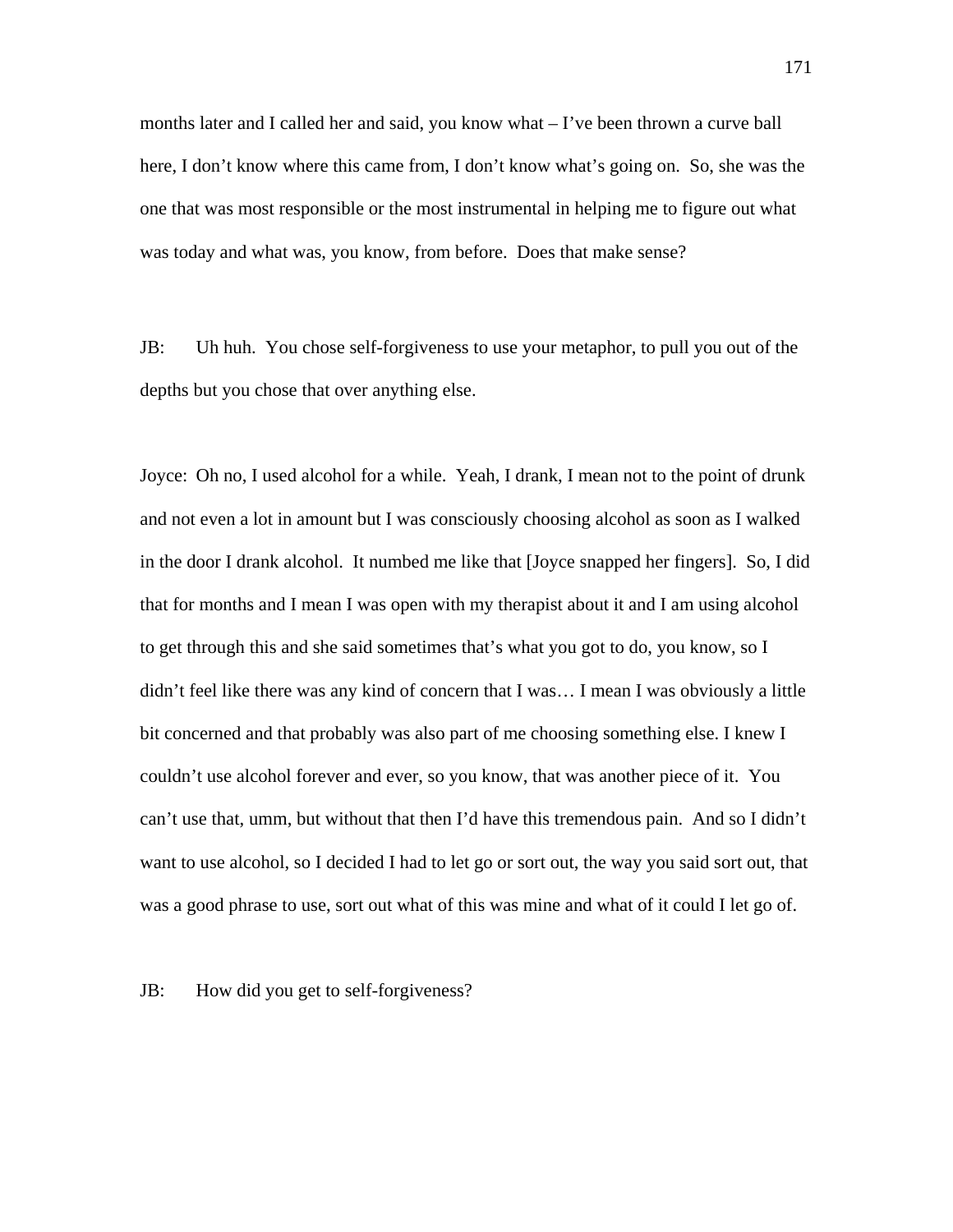months later and I called her and said, you know what – I've been thrown a curve ball here, I don't know where this came from, I don't know what's going on. So, she was the one that was most responsible or the most instrumental in helping me to figure out what was today and what was, you know, from before. Does that make sense?

JB: Uh huh. You chose self-forgiveness to use your metaphor, to pull you out of the depths but you chose that over anything else.

Joyce: Oh no, I used alcohol for a while. Yeah, I drank, I mean not to the point of drunk and not even a lot in amount but I was consciously choosing alcohol as soon as I walked in the door I drank alcohol. It numbed me like that [Joyce snapped her fingers]. So, I did that for months and I mean I was open with my therapist about it and I am using alcohol to get through this and she said sometimes that's what you got to do, you know, so I didn't feel like there was any kind of concern that I was… I mean I was obviously a little bit concerned and that probably was also part of me choosing something else. I knew I couldn't use alcohol forever and ever, so you know, that was another piece of it. You can't use that, umm, but without that then I'd have this tremendous pain. And so I didn't want to use alcohol, so I decided I had to let go or sort out, the way you said sort out, that was a good phrase to use, sort out what of this was mine and what of it could I let go of.

#### JB: How did you get to self-forgiveness?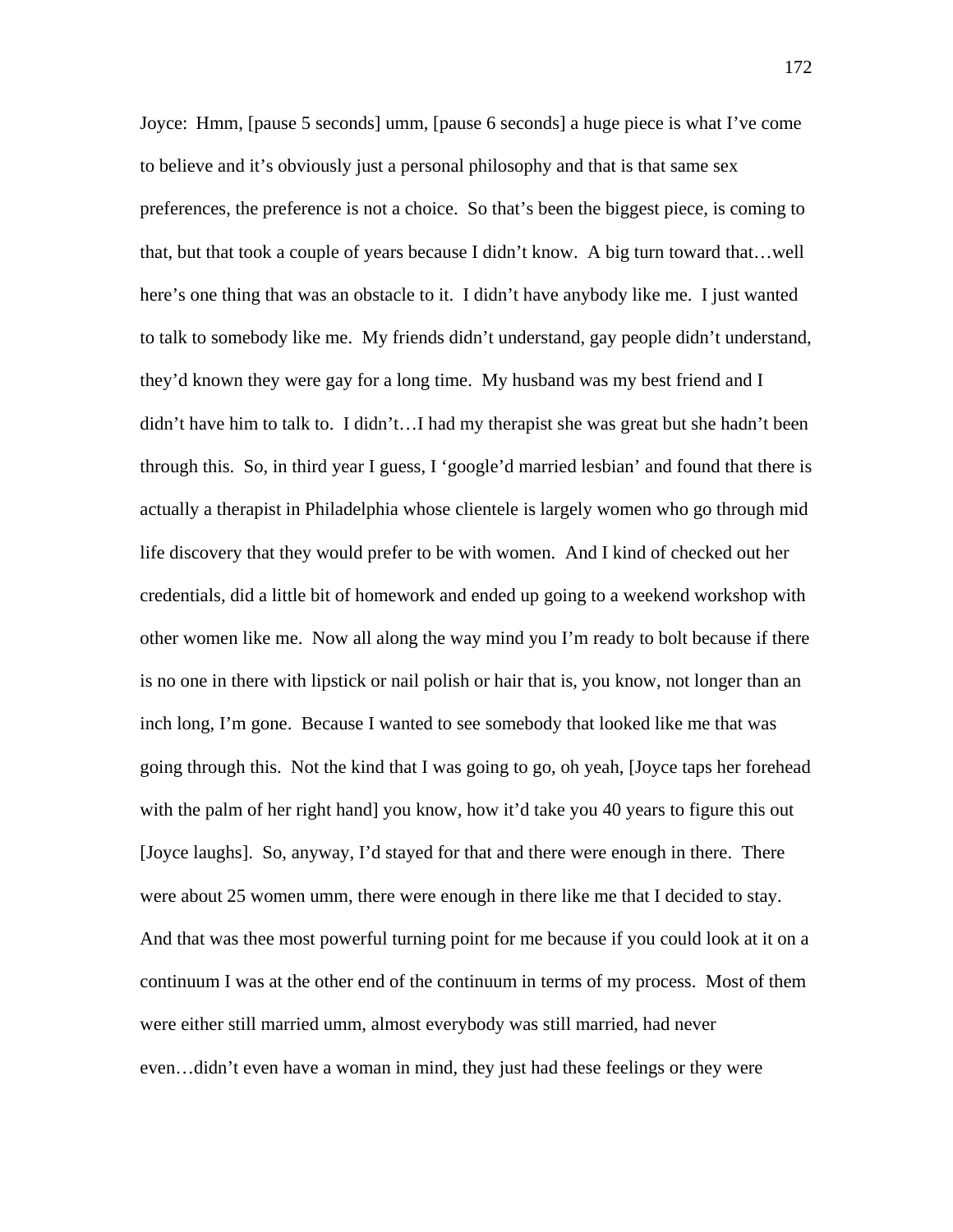Joyce: Hmm, [pause 5 seconds] umm, [pause 6 seconds] a huge piece is what I've come to believe and it's obviously just a personal philosophy and that is that same sex preferences, the preference is not a choice. So that's been the biggest piece, is coming to that, but that took a couple of years because I didn't know. A big turn toward that…well here's one thing that was an obstacle to it. I didn't have anybody like me. I just wanted to talk to somebody like me. My friends didn't understand, gay people didn't understand, they'd known they were gay for a long time. My husband was my best friend and I didn't have him to talk to. I didn't…I had my therapist she was great but she hadn't been through this. So, in third year I guess, I 'google'd married lesbian' and found that there is actually a therapist in Philadelphia whose clientele is largely women who go through mid life discovery that they would prefer to be with women. And I kind of checked out her credentials, did a little bit of homework and ended up going to a weekend workshop with other women like me. Now all along the way mind you I'm ready to bolt because if there is no one in there with lipstick or nail polish or hair that is, you know, not longer than an inch long, I'm gone. Because I wanted to see somebody that looked like me that was going through this. Not the kind that I was going to go, oh yeah, [Joyce taps her forehead with the palm of her right hand] you know, how it'd take you 40 years to figure this out [Joyce laughs]. So, anyway, I'd stayed for that and there were enough in there. There were about 25 women umm, there were enough in there like me that I decided to stay. And that was thee most powerful turning point for me because if you could look at it on a continuum I was at the other end of the continuum in terms of my process. Most of them were either still married umm, almost everybody was still married, had never even…didn't even have a woman in mind, they just had these feelings or they were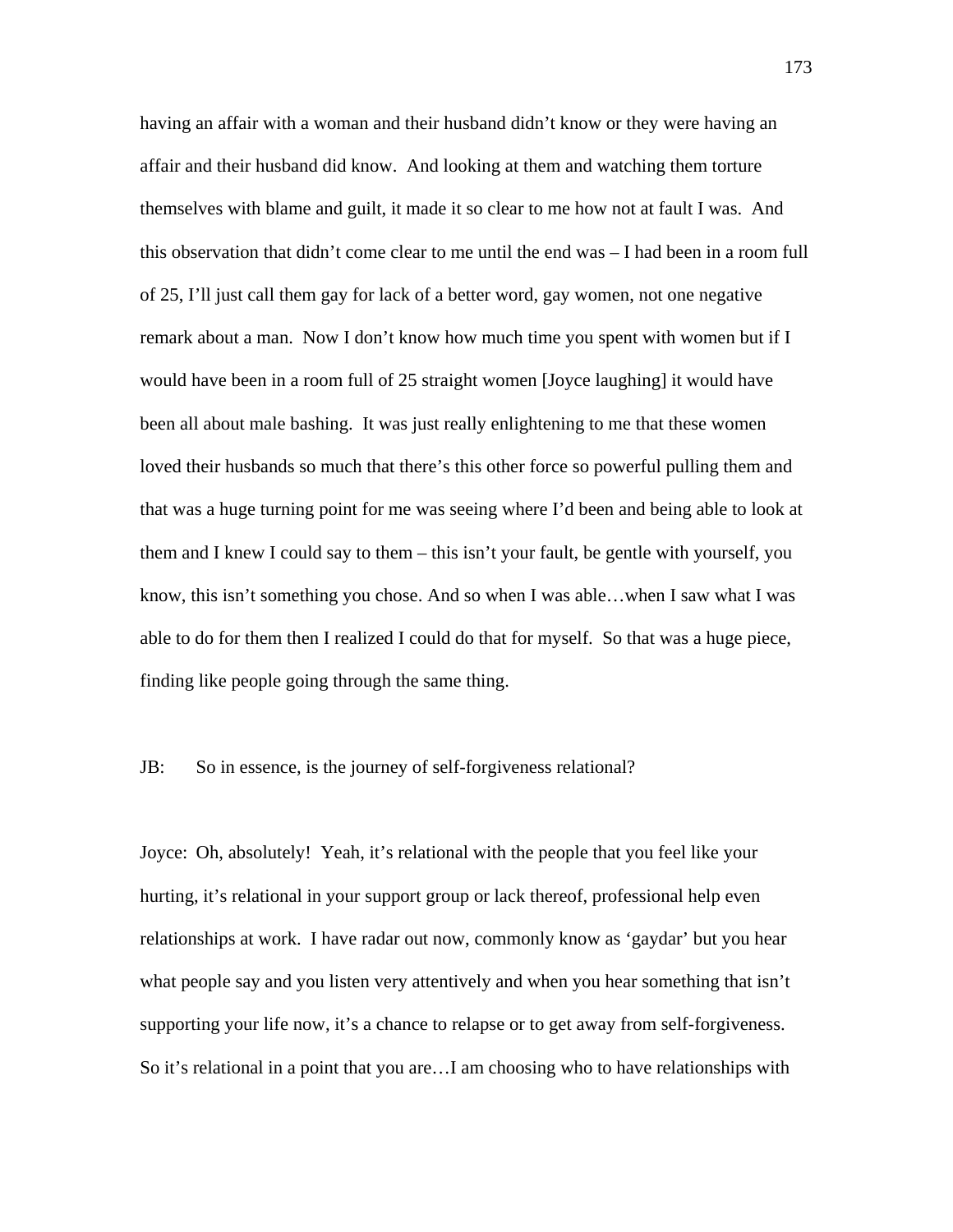having an affair with a woman and their husband didn't know or they were having an affair and their husband did know. And looking at them and watching them torture themselves with blame and guilt, it made it so clear to me how not at fault I was. And this observation that didn't come clear to me until the end was – I had been in a room full of 25, I'll just call them gay for lack of a better word, gay women, not one negative remark about a man. Now I don't know how much time you spent with women but if I would have been in a room full of 25 straight women [Joyce laughing] it would have been all about male bashing. It was just really enlightening to me that these women loved their husbands so much that there's this other force so powerful pulling them and that was a huge turning point for me was seeing where I'd been and being able to look at them and I knew I could say to them – this isn't your fault, be gentle with yourself, you know, this isn't something you chose. And so when I was able…when I saw what I was able to do for them then I realized I could do that for myself. So that was a huge piece, finding like people going through the same thing.

# JB: So in essence, is the journey of self-forgiveness relational?

Joyce: Oh, absolutely! Yeah, it's relational with the people that you feel like your hurting, it's relational in your support group or lack thereof, professional help even relationships at work. I have radar out now, commonly know as 'gaydar' but you hear what people say and you listen very attentively and when you hear something that isn't supporting your life now, it's a chance to relapse or to get away from self-forgiveness. So it's relational in a point that you are…I am choosing who to have relationships with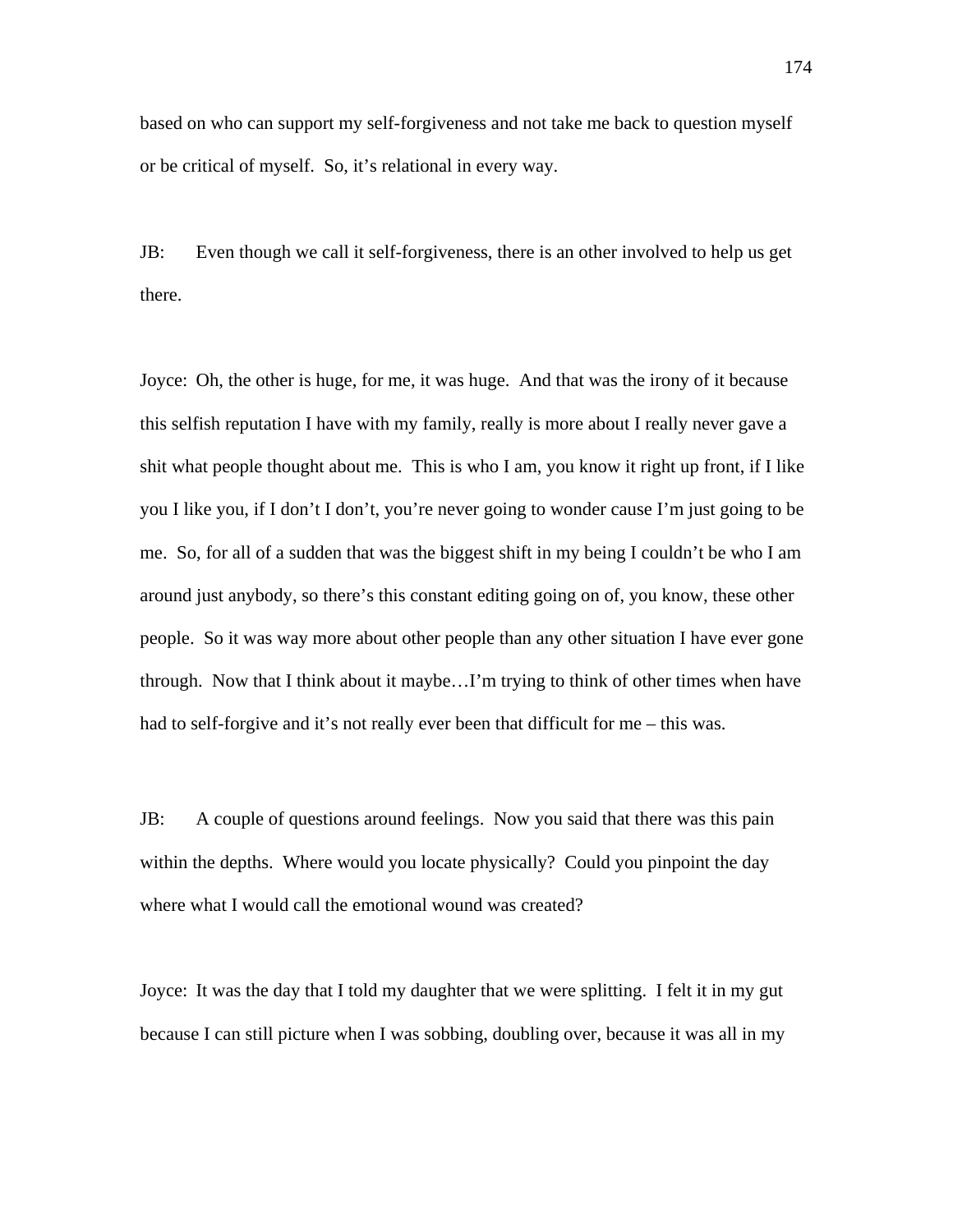based on who can support my self-forgiveness and not take me back to question myself or be critical of myself. So, it's relational in every way.

JB: Even though we call it self-forgiveness, there is an other involved to help us get there.

Joyce: Oh, the other is huge, for me, it was huge. And that was the irony of it because this selfish reputation I have with my family, really is more about I really never gave a shit what people thought about me. This is who I am, you know it right up front, if I like you I like you, if I don't I don't, you're never going to wonder cause I'm just going to be me. So, for all of a sudden that was the biggest shift in my being I couldn't be who I am around just anybody, so there's this constant editing going on of, you know, these other people. So it was way more about other people than any other situation I have ever gone through. Now that I think about it maybe…I'm trying to think of other times when have had to self-forgive and it's not really ever been that difficult for me – this was.

JB: A couple of questions around feelings. Now you said that there was this pain within the depths. Where would you locate physically? Could you pinpoint the day where what I would call the emotional wound was created?

Joyce: It was the day that I told my daughter that we were splitting. I felt it in my gut because I can still picture when I was sobbing, doubling over, because it was all in my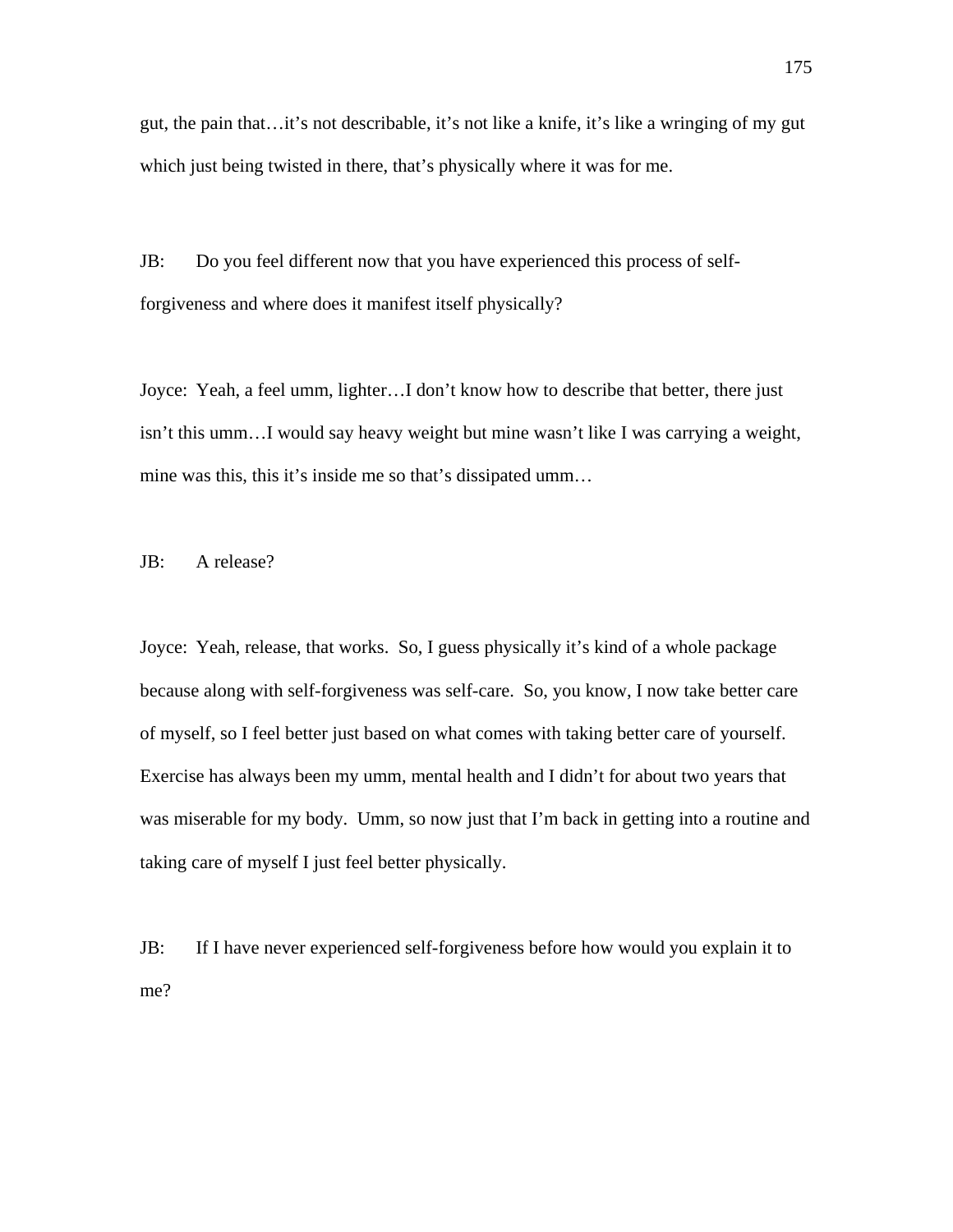gut, the pain that…it's not describable, it's not like a knife, it's like a wringing of my gut which just being twisted in there, that's physically where it was for me.

JB: Do you feel different now that you have experienced this process of selfforgiveness and where does it manifest itself physically?

Joyce: Yeah, a feel umm, lighter…I don't know how to describe that better, there just isn't this umm…I would say heavy weight but mine wasn't like I was carrying a weight, mine was this, this it's inside me so that's dissipated umm…

JB: A release?

Joyce: Yeah, release, that works. So, I guess physically it's kind of a whole package because along with self-forgiveness was self-care. So, you know, I now take better care of myself, so I feel better just based on what comes with taking better care of yourself. Exercise has always been my umm, mental health and I didn't for about two years that was miserable for my body. Umm, so now just that I'm back in getting into a routine and taking care of myself I just feel better physically.

JB: If I have never experienced self-forgiveness before how would you explain it to me?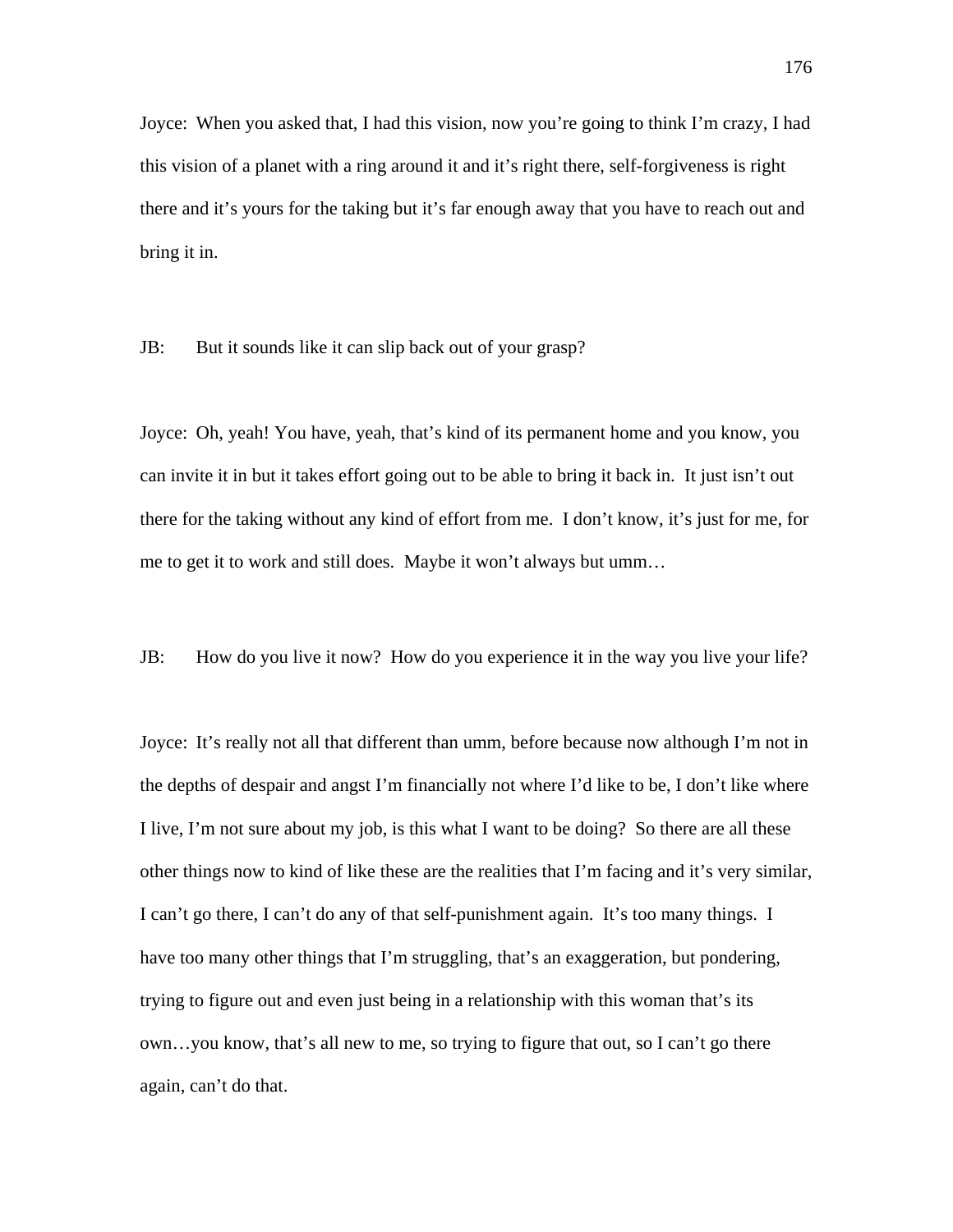Joyce: When you asked that, I had this vision, now you're going to think I'm crazy, I had this vision of a planet with a ring around it and it's right there, self-forgiveness is right there and it's yours for the taking but it's far enough away that you have to reach out and bring it in.

JB: But it sounds like it can slip back out of your grasp?

Joyce: Oh, yeah! You have, yeah, that's kind of its permanent home and you know, you can invite it in but it takes effort going out to be able to bring it back in. It just isn't out there for the taking without any kind of effort from me. I don't know, it's just for me, for me to get it to work and still does. Maybe it won't always but umm…

JB: How do you live it now? How do you experience it in the way you live your life?

Joyce: It's really not all that different than umm, before because now although I'm not in the depths of despair and angst I'm financially not where I'd like to be, I don't like where I live, I'm not sure about my job, is this what I want to be doing? So there are all these other things now to kind of like these are the realities that I'm facing and it's very similar, I can't go there, I can't do any of that self-punishment again. It's too many things. I have too many other things that I'm struggling, that's an exaggeration, but pondering, trying to figure out and even just being in a relationship with this woman that's its own…you know, that's all new to me, so trying to figure that out, so I can't go there again, can't do that.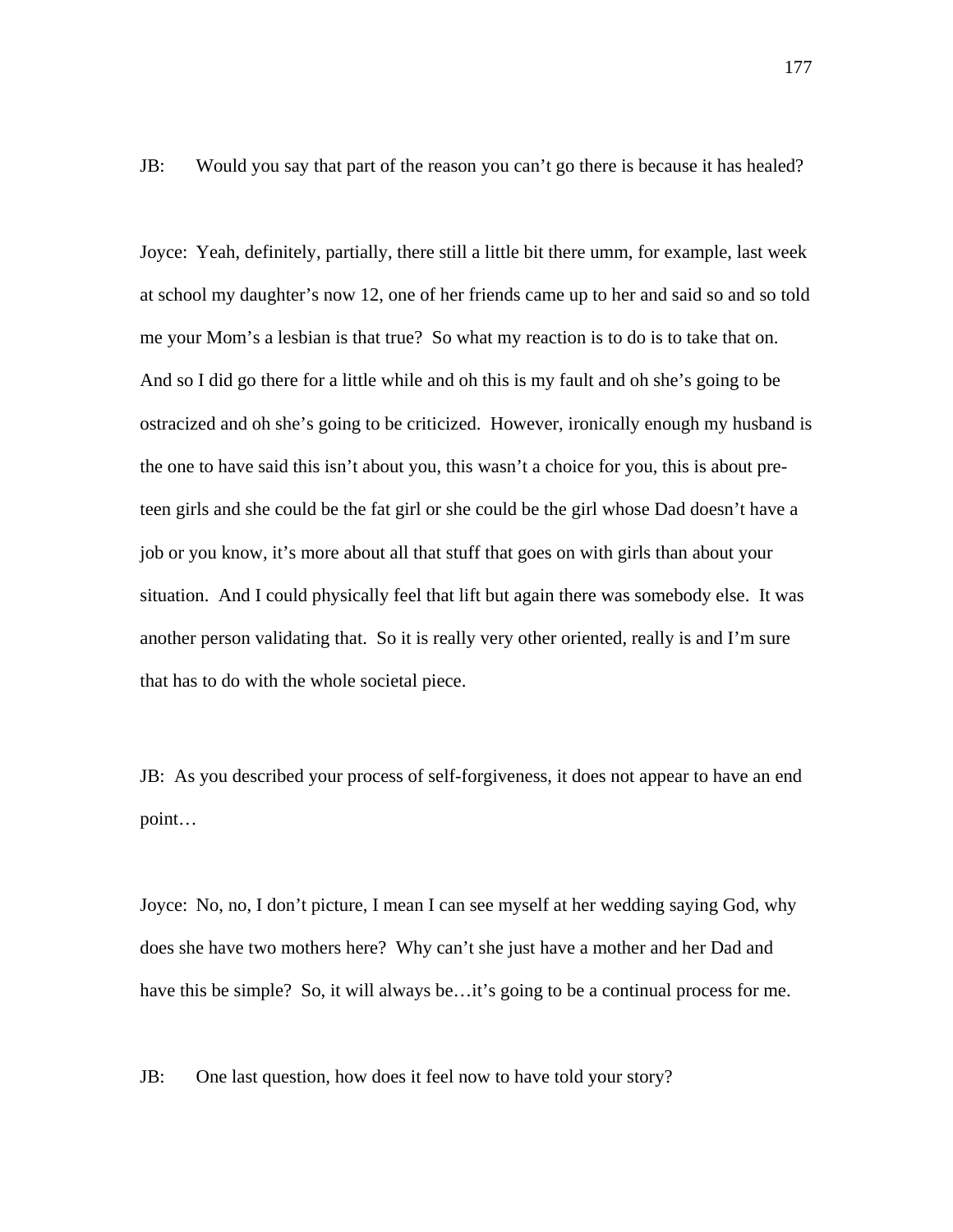JB: Would you say that part of the reason you can't go there is because it has healed?

Joyce: Yeah, definitely, partially, there still a little bit there umm, for example, last week at school my daughter's now 12, one of her friends came up to her and said so and so told me your Mom's a lesbian is that true? So what my reaction is to do is to take that on. And so I did go there for a little while and oh this is my fault and oh she's going to be ostracized and oh she's going to be criticized. However, ironically enough my husband is the one to have said this isn't about you, this wasn't a choice for you, this is about preteen girls and she could be the fat girl or she could be the girl whose Dad doesn't have a job or you know, it's more about all that stuff that goes on with girls than about your situation. And I could physically feel that lift but again there was somebody else. It was another person validating that. So it is really very other oriented, really is and I'm sure that has to do with the whole societal piece.

JB: As you described your process of self-forgiveness, it does not appear to have an end point…

Joyce: No, no, I don't picture, I mean I can see myself at her wedding saying God, why does she have two mothers here? Why can't she just have a mother and her Dad and have this be simple? So, it will always be…it's going to be a continual process for me.

JB: One last question, how does it feel now to have told your story?